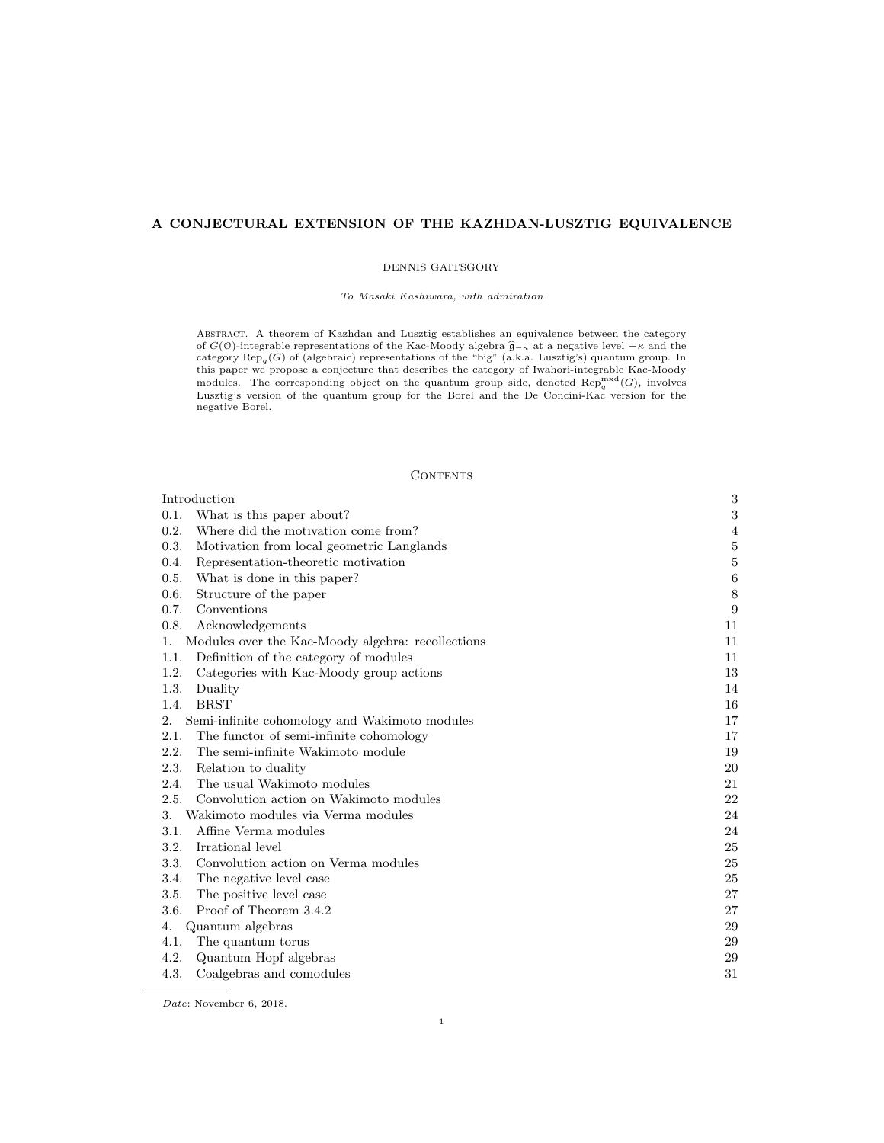# A CONJECTURAL EXTENSION OF THE KAZHDAN-LUSZTIG EQUIVALENCE

#### DENNIS GAITSGORY

### To Masaki Kashiwara, with admiration

Abstract. A theorem of Kazhdan and Lusztig establishes an equivalence between the category of  $G(\mathbb{O})$ -integrable representations of the Kac-Moody algebra  $\widehat{\mathfrak{g}}_{-\kappa}$  at a negative level  $-\kappa$  and the category Rep<sub>q</sub>(G) of (algebraic) representations of the "big" (a.k.a. Lusztig's) quantum group. In this paper we propose a conjecture that describes the category of Iwahori-integrable Kac-Moody modules. The corresponding object on the quantum group side, denoted  $\text{Rep}_q^{\text{mxd}}(G)$ , involves Lusztig's version of the quantum group for the Borel and the De Concini-Kac version for the negative Borel.

#### **CONTENTS**

| Introduction                                            | $\,3$   |
|---------------------------------------------------------|---------|
| What is this paper about?<br>0.1.                       | 3       |
| 0.2.<br>Where did the motivation come from?             | 4       |
| Motivation from local geometric Langlands<br>0.3.       | $\bf 5$ |
| 0.4.<br>Representation-theoretic motivation             | $\bf 5$ |
| 0.5.<br>What is done in this paper?                     | $\,6$   |
| 0.6.<br>Structure of the paper                          | $\,8\,$ |
| 0.7.<br>Conventions                                     | 9       |
| 0.8.<br>Acknowledgements                                | 11      |
| Modules over the Kac-Moody algebra: recollections<br>1. | 11      |
| Definition of the category of modules<br>1.1.           | 11      |
| 1.2.<br>Categories with Kac-Moody group actions         | 13      |
| 1.3.<br>Duality                                         | 14      |
| <b>BRST</b><br>1.4.                                     | 16      |
| 2.<br>Semi-infinite cohomology and Wakimoto modules     | 17      |
| The functor of semi-infinite cohomology<br>2.1.         | 17      |
| 2.2.<br>The semi-infinite Wakimoto module               | 19      |
| 2.3.<br>Relation to duality                             | 20      |
| The usual Wakimoto modules<br>2.4.                      | 21      |
| 2.5.<br>Convolution action on Wakimoto modules          | 22      |
| Wakimoto modules via Verma modules<br>3.                | 24      |
| Affine Verma modules<br>3.1.                            | 24      |
| Irrational level<br>3.2.                                | 25      |
| 3.3.<br>Convolution action on Verma modules             | 25      |
| 3.4.<br>The negative level case                         | 25      |
| The positive level case<br>3.5.                         | 27      |
| 3.6.<br>Proof of Theorem 3.4.2                          | 27      |
| Quantum algebras<br>4.                                  | 29      |
| 4.1.<br>The quantum torus                               | 29      |
| 4.2.<br>Quantum Hopf algebras                           | 29      |
| 4.3.<br>Coalgebras and comodules                        | 31      |

Date: November 6, 2018.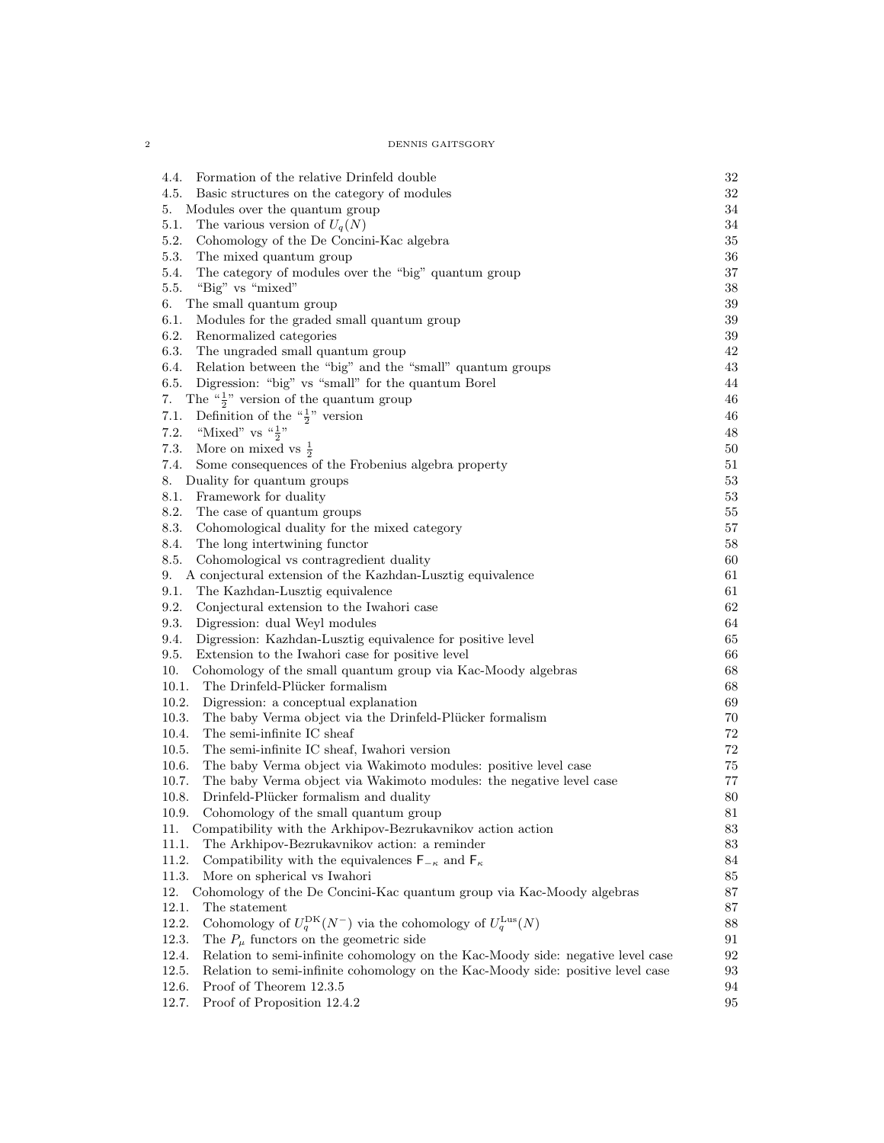2 DENNIS GAITSGORY

| Formation of the relative Drinfeld double<br>4.4.                                         | $32\,$ |
|-------------------------------------------------------------------------------------------|--------|
| Basic structures on the category of modules<br>4.5.                                       | 32     |
| 5.<br>Modules over the quantum group                                                      | 34     |
| 5.1.<br>The various version of $U_q(N)$                                                   | $34\,$ |
| 5.2.<br>Cohomology of the De Concini-Kac algebra                                          | 35     |
| 5.3.<br>The mixed quantum group                                                           | 36     |
| The category of modules over the "big" quantum group<br>5.4.                              | 37     |
| "Big" vs "mixed"<br>5.5.                                                                  | 38     |
| The small quantum group<br>6.                                                             | 39     |
| 6.1.<br>Modules for the graded small quantum group                                        | 39     |
| 6.2.<br>Renormalized categories                                                           | 39     |
| 6.3.<br>The ungraded small quantum group                                                  | 42     |
| Relation between the "big" and the "small" quantum groups<br>6.4.                         | 43     |
| Digression: "big" vs "small" for the quantum Borel<br>6.5.                                | 44     |
| The " $\frac{1}{2}$ " version of the quantum group<br>7.                                  | 46     |
| Definition of the " $\frac{1}{2}$ " version<br>7.1.                                       | 46     |
| "Mixed" vs $\frac{a_1}{2}$ "<br>7.2.                                                      | 48     |
| More on mixed vs $\frac{1}{2}$<br>7.3.                                                    | 50     |
| 7.4.<br>Some consequences of the Frobenius algebra property                               | 51     |
| Duality for quantum groups<br>8.                                                          | 53     |
| Framework for duality<br>8.1.                                                             | 53     |
| 8.2.                                                                                      | 55     |
| The case of quantum groups<br>8.3.<br>Cohomological duality for the mixed category        | 57     |
|                                                                                           |        |
| 8.4.<br>The long intertwining functor                                                     | 58     |
| 8.5.<br>Cohomological vs contragredient duality                                           | 60     |
| A conjectural extension of the Kazhdan-Lusztig equivalence<br>9.                          | 61     |
| 9.1.<br>The Kazhdan-Lusztig equivalence                                                   | 61     |
| 9.2.<br>Conjectural extension to the Iwahori case                                         | 62     |
| 9.3.<br>Digression: dual Weyl modules                                                     | 64     |
| 9.4.<br>Digression: Kazhdan-Lusztig equivalence for positive level                        | 65     |
| Extension to the Iwahori case for positive level<br>9.5.                                  | 66     |
| 10.<br>Cohomology of the small quantum group via Kac-Moody algebras                       | 68     |
| 10.1.<br>The Drinfeld-Plücker formalism                                                   | 68     |
| 10.2.<br>Digression: a conceptual explanation                                             | 69     |
| 10.3.<br>The baby Verma object via the Drinfeld-Plücker formalism                         | 70     |
| The semi-infinite IC sheaf<br>10.4.                                                       | 72     |
| 10.5.<br>The semi-infinite IC sheaf, Iwahori version                                      | 72     |
| The baby Verma object via Wakimoto modules: positive level case<br>10.6.                  | 75     |
| 10.7.<br>The baby Verma object via Wakimoto modules: the negative level case              | 77     |
| Drinfeld-Plücker formalism and duality<br>10.8.                                           | 80     |
| 10.9. Cohomology of the small quantum group                                               | $81\,$ |
| Compatibility with the Arkhipov-Bezrukavnikov action action<br>11.                        | 83     |
| 11.1.<br>The Arkhipov-Bezrukavnikov action: a reminder                                    | 83     |
| 11.2.<br>Compatibility with the equivalences $F_{-\kappa}$ and $F_{\kappa}$               | 84     |
| 11.3.<br>More on spherical vs Iwahori                                                     | 85     |
| 12.<br>Cohomology of the De Concini-Kac quantum group via Kac-Moody algebras              | 87     |
| 12.1.<br>The statement                                                                    | 87     |
| Cohomology of $U_q^{\text{DK}}(N^-)$ via the cohomology of $U_q^{\text{Lus}}(N)$<br>12.2. | 88     |
| 12.3.<br>The $P_\mu$ functors on the geometric side                                       | 91     |
| Relation to semi-infinite cohomology on the Kac-Moody side: negative level case<br>12.4.  | 92     |
| Relation to semi-infinite cohomology on the Kac-Moody side: positive level case<br>12.5.  | 93     |
| 12.6.<br>Proof of Theorem 12.3.5                                                          | 94     |
| 12.7.<br>Proof of Proposition 12.4.2                                                      | 95     |
|                                                                                           |        |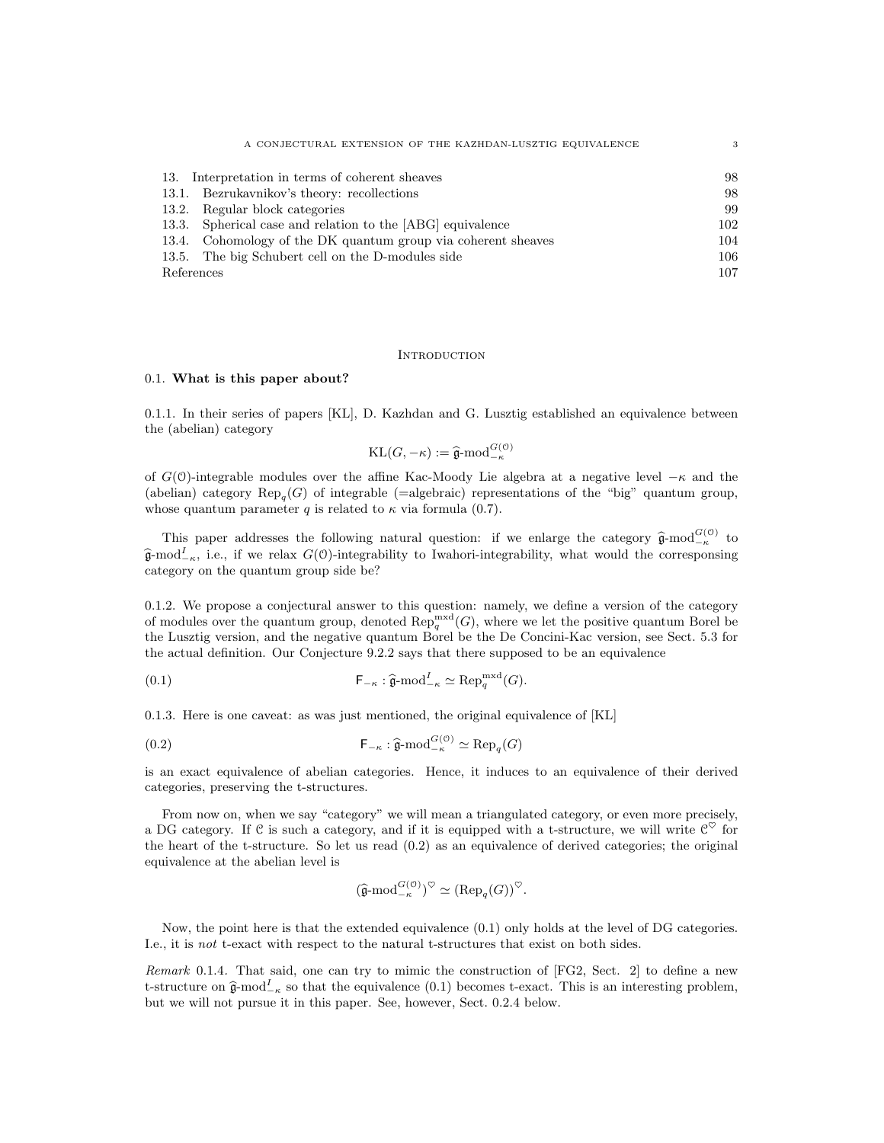| A CONJECTURAL EXTENSION OF THE KAZHDAN-LUSZTIG EQUIVALENCE    | 3   |
|---------------------------------------------------------------|-----|
|                                                               |     |
| 13. Interpretation in terms of coherent sheaves               | 98  |
| 13.1. Bezrukavnikov's theory: recollections                   | 98  |
| 13.2. Regular block categories                                | 99  |
| 13.3. Spherical case and relation to the [ABG] equivalence    | 102 |
| 13.4. Cohomology of the DK quantum group via coherent sheaves | 104 |
| 13.5. The big Schubert cell on the D-modules side             | 106 |
| References                                                    | 107 |

## **INTRODUCTION**

# 0.1. What is this paper about?

0.1.1. In their series of papers [KL], D. Kazhdan and G. Lusztig established an equivalence between the (abelian) category

$$
KL(G, -\kappa) := \hat{\mathfrak{g}}\text{-mod}_{-\kappa}^{G(\mathfrak{O})}
$$

of  $G(0)$ -integrable modules over the affine Kac-Moody Lie algebra at a negative level  $-\kappa$  and the (abelian) category  $\text{Rep}_q(G)$  of integrable (=algebraic) representations of the "big" quantum group, whose quantum parameter q is related to  $\kappa$  via formula (0.7).

This paper addresses the following natural question: if we enlarge the category  $\hat{\mathfrak{g}}$ -mod $\frac{G(0)}{\kappa}$  to  $\hat{\mathfrak{g}}$ -mod<sup>I</sup><sub>-κ</sub>, i.e., if we relax  $G(0)$ -integrability to Iwahori-integrability, what would the corresponsing category on the quantum group side be?

0.1.2. We propose a conjectural answer to this question: namely, we define a version of the category of modules over the quantum group, denoted  $\text{Rep}_{q}^{\text{mxd}}(G)$ , where we let the positive quantum Borel be the Lusztig version, and the negative quantum Borel be the De Concini-Kac version, see Sect. 5.3 for the actual definition. Our Conjecture 9.2.2 says that there supposed to be an equivalence

(0.1) 
$$
\mathsf{F}_{-\kappa} : \widehat{\mathfrak{g}}\text{-}\mathrm{mod}^{\mathit{I}}_{-\kappa} \simeq \mathrm{Rep}_q^{\mathrm{mxd}}(G).
$$

0.1.3. Here is one caveat: as was just mentioned, the original equivalence of [KL]

(0.2) 
$$
\mathsf{F}_{-\kappa} : \hat{\mathfrak{g}}\text{-}\mathrm{mod}_{-\kappa}^{G(\mathfrak{0})} \simeq \mathrm{Rep}_q(G)
$$

is an exact equivalence of abelian categories. Hence, it induces to an equivalence of their derived categories, preserving the t-structures.

From now on, when we say "category" we will mean a triangulated category, or even more precisely, a DG category. If C is such a category, and if it is equipped with a t-structure, we will write  $\mathcal{C}^{\heartsuit}$  for the heart of the t-structure. So let us read  $(0.2)$  as an equivalence of derived categories; the original equivalence at the abelian level is

$$
(\widehat{\mathfrak{g}}\text{-mod}_{-\kappa}^{G(\mathfrak{0})})^{\heartsuit} \simeq (\text{Rep}_q(G))^{\heartsuit}.
$$

Now, the point here is that the extended equivalence (0.1) only holds at the level of DG categories. I.e., it is not t-exact with respect to the natural t-structures that exist on both sides.

Remark 0.1.4. That said, one can try to mimic the construction of [FG2, Sect. 2] to define a new t-structure on  $\hat{\mathfrak{g}}$ -mod<sup>I</sup><sub>-κ</sub> so that the equivalence (0.1) becomes t-exact. This is an interesting problem, but we will not pursue it in this paper. See, however, Sect. 0.2.4 below.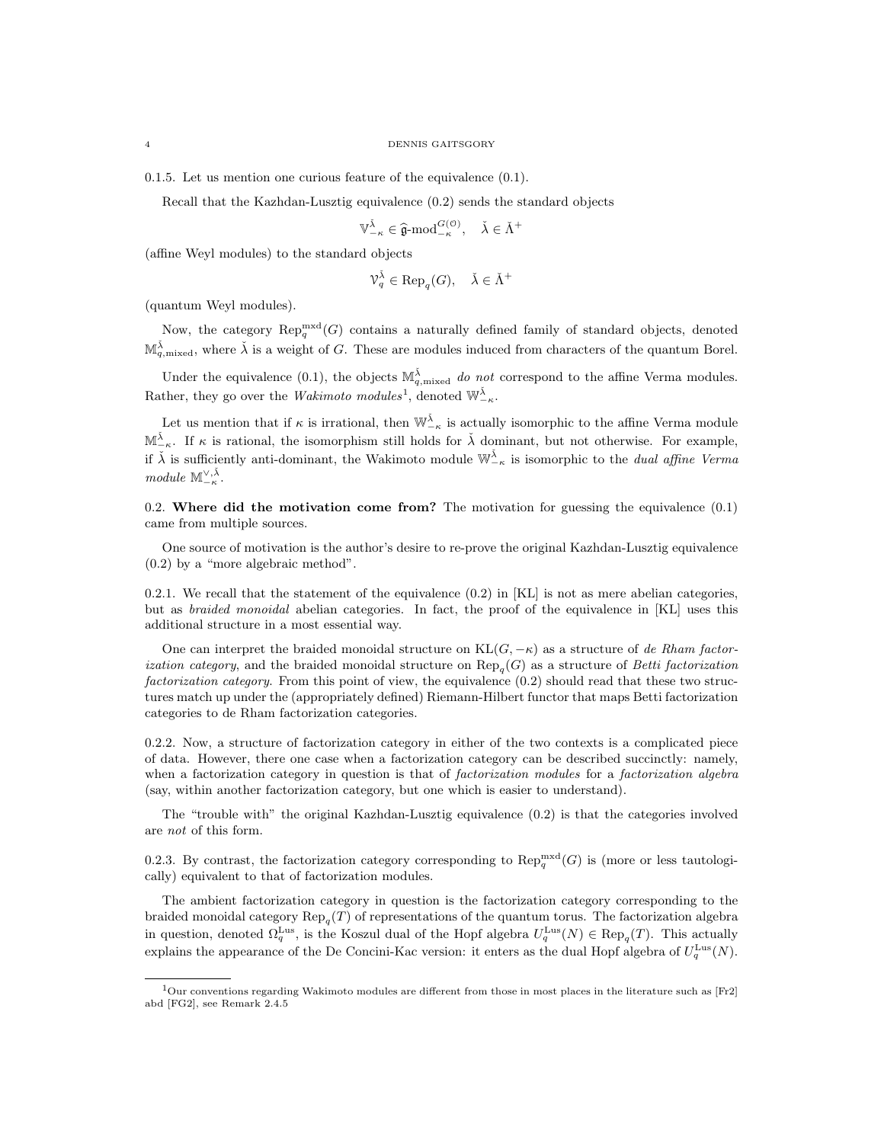0.1.5. Let us mention one curious feature of the equivalence (0.1).

Recall that the Kazhdan-Lusztig equivalence (0.2) sends the standard objects

$$
\mathbb{V}_{-\kappa}^{\check{\lambda}} \in \widehat{\mathfrak{g}}\text{-mod}_{-\kappa}^{G(\mathcal{O})}, \quad \check{\lambda} \in \check{\Lambda}^+
$$

(affine Weyl modules) to the standard objects

$$
\mathcal{V}_q^{\check{\lambda}} \in \text{Rep}_q(G), \quad \check{\lambda} \in \check{\Lambda}^+
$$

(quantum Weyl modules).

Now, the category  $\operatorname{Rep}_q^{\operatorname{mxd}}(G)$  contains a naturally defined family of standard objects, denoted  $\mathbb{M}_{q,\text{mixed}}^{\tilde{\lambda}}$ , where  $\tilde{\lambda}$  is a weight of G. These are modules induced from characters of the quantum Borel.

Under the equivalence (0.1), the objects  $\mathbb{M}_{q,\text{mixed}}^{\check{\lambda}}$  do not correspond to the affine Verma modules. Rather, they go over the *Wakimoto modules*<sup>1</sup>, denoted  $\mathbb{W}_{-\kappa}^{\check{\lambda}}$ .

Let us mention that if  $\kappa$  is irrational, then  $\mathbb{W}_{-\kappa}^{\check{\lambda}}$  is actually isomorphic to the affine Verma module  $\mathbb{M}^{\check{\lambda}}_{-\kappa}$ . If  $\kappa$  is rational, the isomorphism still holds for  $\check{\lambda}$  dominant, but not otherwise. For example, if  $\check{\lambda}$  is sufficiently anti-dominant, the Wakimoto module  $\mathbb{W}_{-\kappa}^{\check{\lambda}}$  is isomorphic to the *dual affine Verma* module  $\mathbb{M}_{-\kappa}^{\vee,\check{\lambda}}$ .

0.2. Where did the motivation come from? The motivation for guessing the equivalence  $(0.1)$ came from multiple sources.

One source of motivation is the author's desire to re-prove the original Kazhdan-Lusztig equivalence (0.2) by a "more algebraic method".

0.2.1. We recall that the statement of the equivalence  $(0.2)$  in [KL] is not as mere abelian categories, but as braided monoidal abelian categories. In fact, the proof of the equivalence in [KL] uses this additional structure in a most essential way.

One can interpret the braided monoidal structure on  $KL(G, -\kappa)$  as a structure of de Rham factor*ization category*, and the braided monoidal structure on  $\text{Rep}_q(G)$  as a structure of *Betti factorization* factorization category. From this point of view, the equivalence (0.2) should read that these two structures match up under the (appropriately defined) Riemann-Hilbert functor that maps Betti factorization categories to de Rham factorization categories.

0.2.2. Now, a structure of factorization category in either of the two contexts is a complicated piece of data. However, there one case when a factorization category can be described succinctly: namely, when a factorization category in question is that of *factorization modules* for a *factorization algebra* (say, within another factorization category, but one which is easier to understand).

The "trouble with" the original Kazhdan-Lusztig equivalence (0.2) is that the categories involved are not of this form.

0.2.3. By contrast, the factorization category corresponding to  $\text{Rep}_q^{\text{mxd}}(G)$  is (more or less tautologically) equivalent to that of factorization modules.

The ambient factorization category in question is the factorization category corresponding to the braided monoidal category  $\text{Rep}_q(T)$  of representations of the quantum torus. The factorization algebra in question, denoted  $\Omega_q^{\text{Lus}}$ , is the Koszul dual of the Hopf algebra  $U_q^{\text{Lus}}(N) \in \text{Rep}_q(T)$ . This actually explains the appearance of the De Concini-Kac version: it enters as the dual Hopf algebra of  $U_q^{\text{Lus}}(N)$ .

<sup>1</sup>Our conventions regarding Wakimoto modules are different from those in most places in the literature such as [Fr2] abd [FG2], see Remark 2.4.5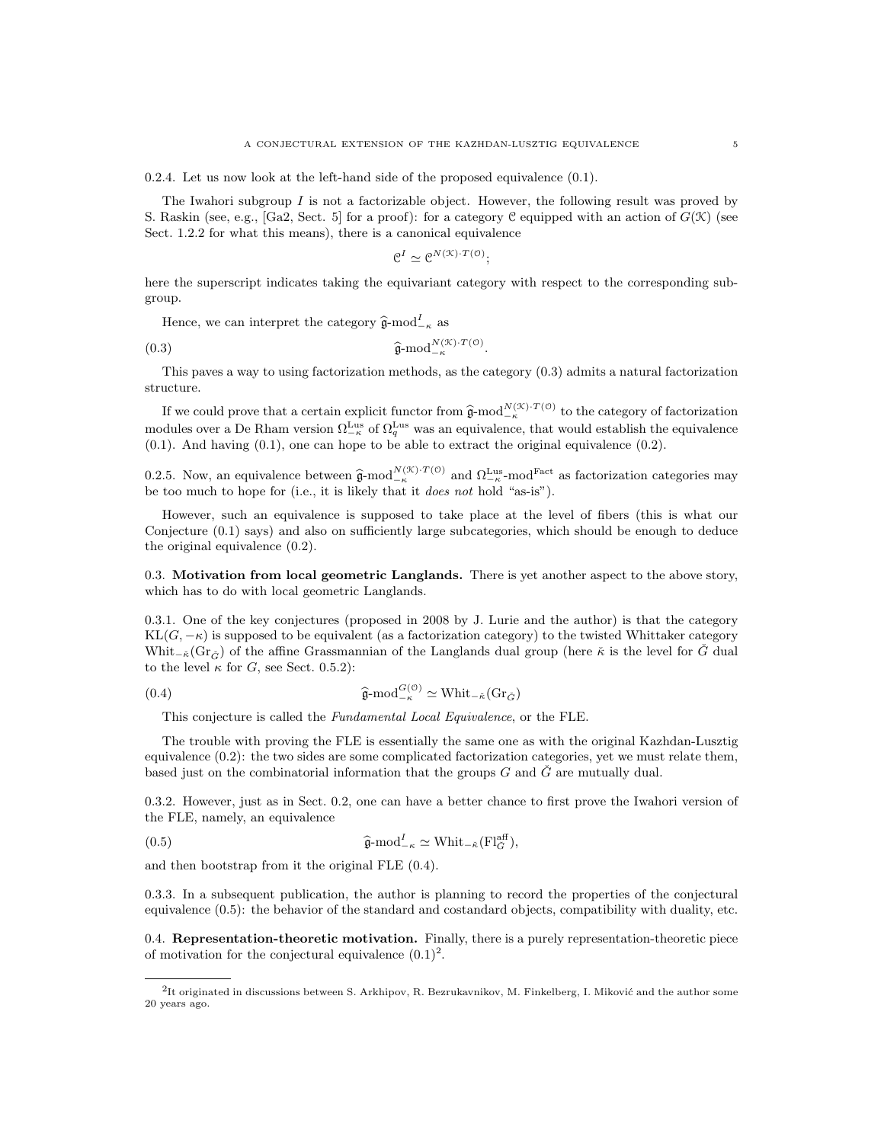0.2.4. Let us now look at the left-hand side of the proposed equivalence (0.1).

The Iwahori subgroup  $I$  is not a factorizable object. However, the following result was proved by S. Raskin (see, e.g., [Ga2, Sect. 5] for a proof): for a category C equipped with an action of  $G(\mathfrak{K})$  (see Sect. 1.2.2 for what this means), there is a canonical equivalence

$$
e^I \simeq e^{N(\mathcal{K}) \cdot T(\mathcal{O})};
$$

here the superscript indicates taking the equivariant category with respect to the corresponding subgroup.

Hence, we can interpret the category  $\hat{\mathfrak{g}}$ -mod $_{-\kappa}^{I}$  as

$$
\widehat{\mathfrak{g}}\text{-mod}_{-\kappa}^{N(\mathcal{K})\cdot T(\mathfrak{0})}.
$$

This paves a way to using factorization methods, as the category (0.3) admits a natural factorization structure.

If we could prove that a certain explicit functor from  $\hat{\mathfrak{g}}$ -mod<sup>N(X)·T(0)</sup> to the category of factorization modules over a De Rham version  $\Omega_{-\kappa}^{\text{Lus}}$  of  $\Omega_q^{\text{Lus}}$  was an equivalence, that would establish the equivalence (0.1). And having (0.1), one can hope to be able to extract the original equivalence (0.2).

0.2.5. Now, an equivalence between  $\hat{\mathfrak{g}}$ -mod<sup>N(X)·T(0)</sup> and  $\Omega_{-\kappa}^{\text{Lus}}$ -mod<sup>Fact</sup> as factorization categories may be too much to hope for (i.e., it is likely that it *does not* hold "as-is").

However, such an equivalence is supposed to take place at the level of fibers (this is what our Conjecture (0.1) says) and also on sufficiently large subcategories, which should be enough to deduce the original equivalence (0.2).

0.3. Motivation from local geometric Langlands. There is yet another aspect to the above story, which has to do with local geometric Langlands.

0.3.1. One of the key conjectures (proposed in 2008 by J. Lurie and the author) is that the category  $KL(G, -\kappa)$  is supposed to be equivalent (as a factorization category) to the twisted Whittaker category Whit<sub>− $\check{\kappa}$ </sub>(Gr<sub> $\check{G}$ </sub>) of the affine Grassmannian of the Langlands dual group (here  $\check{\kappa}$  is the level for  $\check{G}$  dual to the level  $\kappa$  for G, see Sect. 0.5.2):

(0.4) 
$$
\widehat{\mathfrak{g}}\text{-mod}_{-\kappa}^{G(0)} \simeq \text{Whit}_{-\kappa}(\text{Gr}_{\check{G}})
$$

This conjecture is called the Fundamental Local Equivalence, or the FLE.

The trouble with proving the FLE is essentially the same one as with the original Kazhdan-Lusztig equivalence (0.2): the two sides are some complicated factorization categories, yet we must relate them, based just on the combinatorial information that the groups  $G$  and  $\check{G}$  are mutually dual.

0.3.2. However, just as in Sect. 0.2, one can have a better chance to first prove the Iwahori version of the FLE, namely, an equivalence

(0.5) 
$$
\widehat{\mathfrak{g}}\text{-mod}_{-\kappa}^I \simeq \text{Whit}_{-\kappa}(\mathrm{Fl}_{\check{G}}^{\text{aff}}),
$$

and then bootstrap from it the original FLE (0.4).

0.3.3. In a subsequent publication, the author is planning to record the properties of the conjectural equivalence (0.5): the behavior of the standard and costandard objects, compatibility with duality, etc.

0.4. Representation-theoretic motivation. Finally, there is a purely representation-theoretic piece of motivation for the conjectural equivalence  $(0.1)^2$ .

 ${}^{2}$ It originated in discussions between S. Arkhipov, R. Bezrukavnikov, M. Finkelberg, I. Miković and the author some 20 years ago.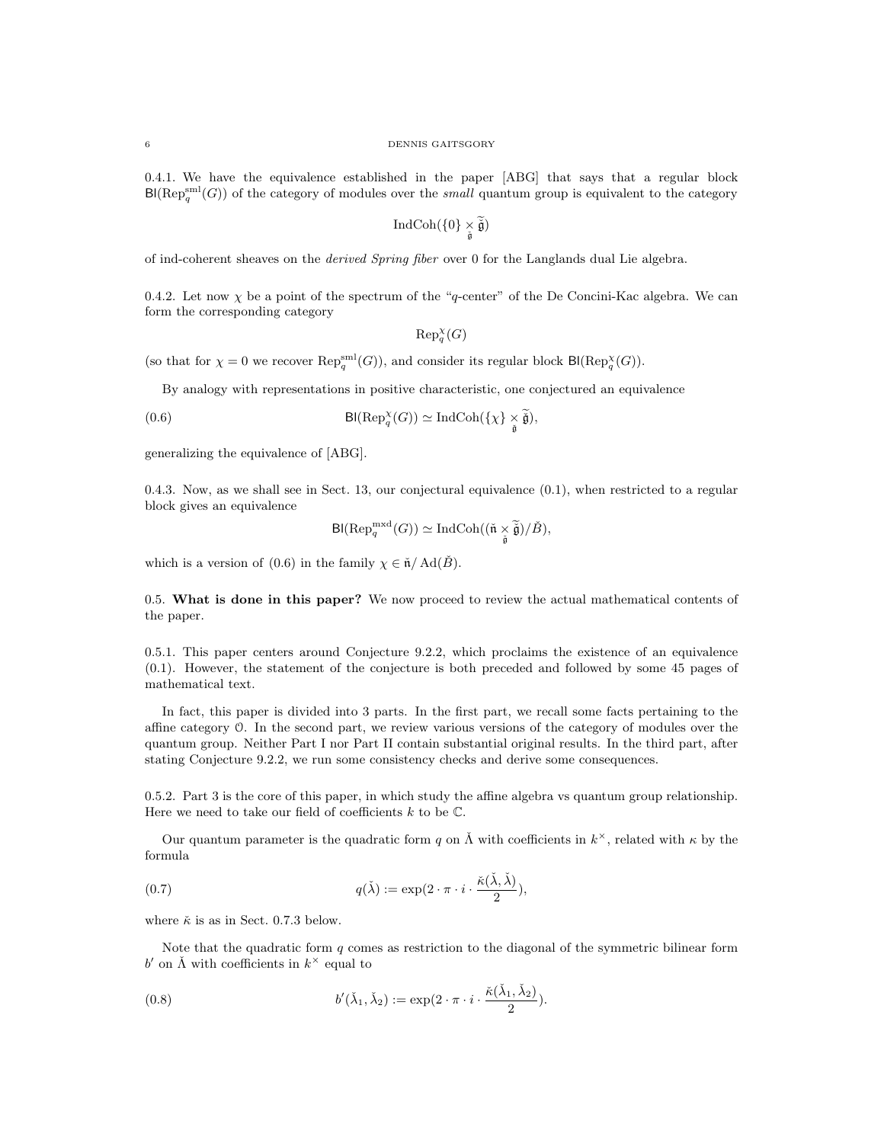0.4.1. We have the equivalence established in the paper [ABG] that says that a regular block  $\text{Bl}(\text{Rep}_q^{\text{sml}}(G))$  of the category of modules over the small quantum group is equivalent to the category

$$
\operatorname{IndCoh}(\{0\}\underset{\check{\mathfrak{g}}}{\times}\widetilde{\check{\mathfrak{g}}})
$$

of ind-coherent sheaves on the derived Spring fiber over 0 for the Langlands dual Lie algebra.

0.4.2. Let now  $\chi$  be a point of the spectrum of the "q-center" of the De Concini-Kac algebra. We can form the corresponding category

$$
\mathrm{Rep}_q^{\chi}(G)
$$

(so that for  $\chi = 0$  we recover  $\text{Rep}_q^{\text{small}}(G)$ ), and consider its regular block  $\text{Bl}(\text{Rep}_q^{\chi}(G))$ .

By analogy with representations in positive characteristic, one conjectured an equivalence

(0.6) 
$$
\text{Bl}(\text{Rep}_q^{\chi}(G)) \simeq \text{IndCoh}(\{\chi\} \underset{\tilde{\mathfrak{g}}}{\times} \tilde{\tilde{\mathfrak{g}}}),
$$

generalizing the equivalence of [ABG].

0.4.3. Now, as we shall see in Sect. 13, our conjectural equivalence (0.1), when restricted to a regular block gives an equivalence

$$
\text{Bl}(\text{Rep}_q^{\text{mxd}}(G)) \simeq \text{IndCoh}((\check{\mathfrak{n}} \times \widetilde{\check{\mathfrak{g}}})/\check{B}),
$$

which is a version of (0.6) in the family  $\chi \in \mathfrak{n}/\text{Ad}(\check{B})$ .

0.5. What is done in this paper? We now proceed to review the actual mathematical contents of the paper.

0.5.1. This paper centers around Conjecture 9.2.2, which proclaims the existence of an equivalence (0.1). However, the statement of the conjecture is both preceded and followed by some 45 pages of mathematical text.

In fact, this paper is divided into 3 parts. In the first part, we recall some facts pertaining to the affine category O. In the second part, we review various versions of the category of modules over the quantum group. Neither Part I nor Part II contain substantial original results. In the third part, after stating Conjecture 9.2.2, we run some consistency checks and derive some consequences.

0.5.2. Part 3 is the core of this paper, in which study the affine algebra vs quantum group relationship. Here we need to take our field of coefficients  $k$  to be  $\mathbb{C}$ .

Our quantum parameter is the quadratic form q on  $\check{\Lambda}$  with coefficients in  $k^{\times}$ , related with  $\kappa$  by the formula

(0.7) 
$$
q(\check{\lambda}) := \exp(2 \cdot \pi \cdot i \cdot \frac{\check{\kappa}(\check{\lambda}, \check{\lambda})}{2}),
$$

where  $\check{\kappa}$  is as in Sect. 0.7.3 below.

Note that the quadratic form  $q$  comes as restriction to the diagonal of the symmetric bilinear form b' on  $\check{\Lambda}$  with coefficients in  $k^{\times}$  equal to

(0.8) 
$$
b'(\check{\lambda}_1, \check{\lambda}_2) := \exp(2 \cdot \pi \cdot i \cdot \frac{\check{\kappa}(\check{\lambda}_1, \check{\lambda}_2)}{2}).
$$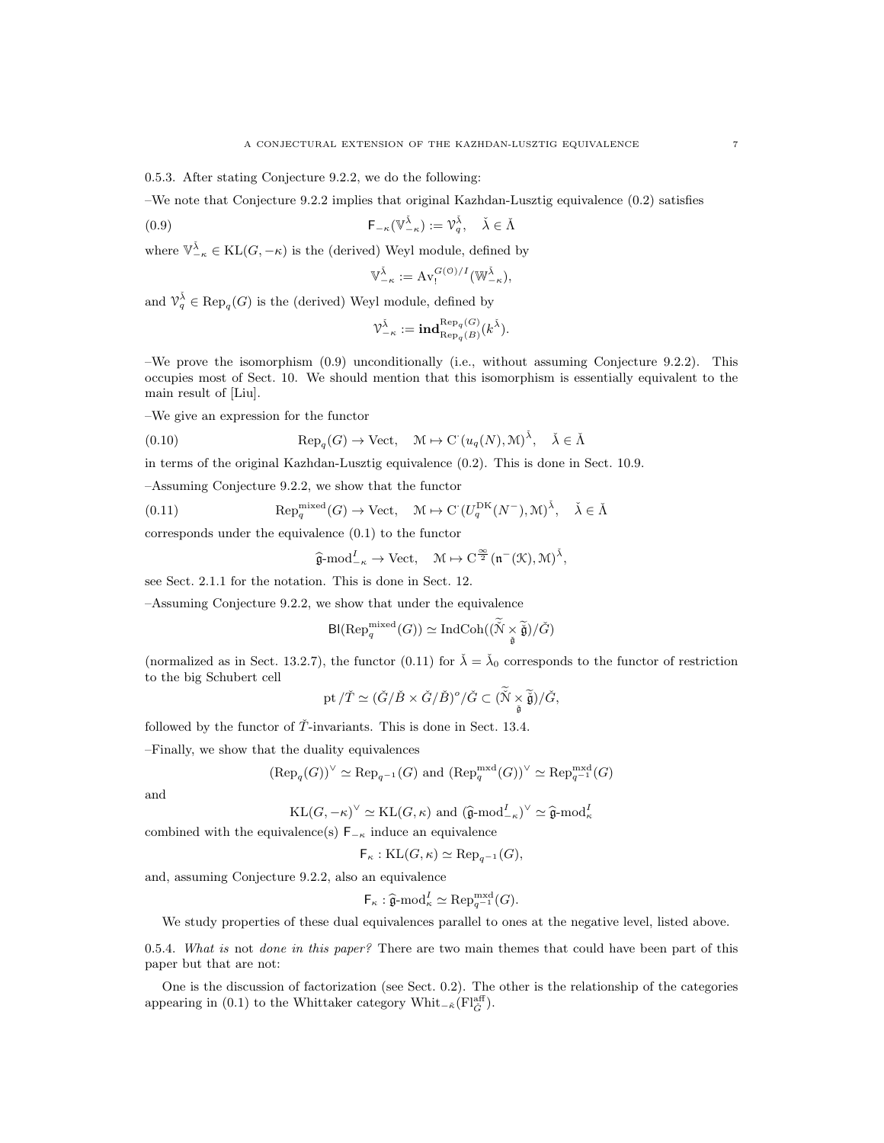0.5.3. After stating Conjecture 9.2.2, we do the following:

–We note that Conjecture 9.2.2 implies that original Kazhdan-Lusztig equivalence (0.2) satisfies

(0.9) 
$$
\mathsf{F}_{-\kappa}(\mathbb{V}_{-\kappa}^{\check{\lambda}}) := \mathbb{V}_q^{\check{\lambda}}, \quad \check{\lambda} \in \check{\Lambda}
$$

where  $\mathbb{V}_{-\kappa}^{\check{\lambda}} \in \text{KL}(G, -\kappa)$  is the (derived) Weyl module, defined by

$$
\mathbb{V}_{-\kappa}^{\check{\lambda}} := \mathrm{Av}_{!}^{G(\mathcal{O})/I}(\mathbb{W}_{-\kappa}^{\check{\lambda}}),
$$

and  $\mathcal{V}_q^{\check{\lambda}} \in \text{Rep}_q(G)$  is the (derived) Weyl module, defined by

$$
\mathcal{V}^{\check{\lambda}}_{-\kappa}:=\mathbf{ind}_{\text{Rep}_q(B)}^{\text{Rep}_q(G)}(k^{\check{\lambda}}).
$$

–We prove the isomorphism (0.9) unconditionally (i.e., without assuming Conjecture 9.2.2). This occupies most of Sect. 10. We should mention that this isomorphism is essentially equivalent to the main result of [Liu].

–We give an expression for the functor

(0.10) 
$$
\operatorname{Rep}_q(G) \to \operatorname{Vect}, \quad \mathcal{M} \mapsto \mathrm{C}^{\cdot}(u_q(N), \mathcal{M})^{\check{\lambda}}, \quad \check{\lambda} \in \check{\Lambda}
$$

in terms of the original Kazhdan-Lusztig equivalence (0.2). This is done in Sect. 10.9.

–Assuming Conjecture 9.2.2, we show that the functor

(0.11) 
$$
\operatorname{Rep}_q^{\operatorname{mixed}}(G) \to \operatorname{Vect}, \quad \mathcal{M} \mapsto \operatorname{C}(U_q^{\operatorname{DK}}(N^-), \mathcal{M})^{\check{\lambda}}, \quad \check{\lambda} \in \check{\Lambda}
$$

corresponds under the equivalence (0.1) to the functor

$$
\widehat{\mathfrak{g}}\text{-mod}_{-\kappa}^{\mathcal{I}} \to \text{Vect}, \quad \mathfrak{M} \mapsto \mathrm{C}^{\frac{\infty}{2}}(\mathfrak{n}^-(\mathfrak{K}), \mathfrak{M})^{\tilde{\lambda}},
$$

see Sect. 2.1.1 for the notation. This is done in Sect. 12.

–Assuming Conjecture 9.2.2, we show that under the equivalence

$$
\textrm{Bl}(\textrm{Rep}^{\textrm{mixed}}_q(G))\simeq \textrm{Ind}\textrm{Coh}((\widetilde{\mathcal{N}}\times \widetilde{\widetilde{\mathfrak{g}}})/\check{G})
$$

(normalized as in Sect. 13.2.7), the functor (0.11) for  $\check{\lambda} = \check{\lambda}_0$  corresponds to the functor of restriction to the big Schubert cell

$$
\mathrm{pt}/\check{T}\simeq(\check{G}/\check{B}\times\check{G}/\check{B})^o/\check{G}\subset(\widetilde{\mathcal{N}}\times\underset{\check{\mathfrak{g}}}{\widetilde{\mathfrak{g}}})/\check{G},
$$

followed by the functor of  $\overline{T}$ -invariants. This is done in Sect. 13.4.

–Finally, we show that the duality equivalences

$$
(\text{Rep}_q(G))^{\vee} \simeq \text{Rep}_{q^{-1}}(G) \text{ and } (\text{Rep}_q^{\text{mxd}}(G))^{\vee} \simeq \text{Rep}_{q^{-1}}^{\text{mxd}}(G)
$$

and

$$
KL(G, -\kappa)^{\vee} \simeq KL(G, \kappa) \text{ and } (\widehat{\mathfrak{g}}\text{-mod}_{-\kappa}^{I})^{\vee} \simeq \widehat{\mathfrak{g}}\text{-mod}_{\kappa}^{I}
$$

combined with the equivalence(s)  $F_{-\kappa}$  induce an equivalence

$$
\mathsf{F}_{\kappa}:\mathrm{KL}(G,\kappa)\simeq \mathrm{Rep}_{q^{-1}}(G),
$$

and, assuming Conjecture 9.2.2, also an equivalence

$$
\mathsf{F}_{\kappa} : \widehat{\mathfrak{g}}\text{-mod}_{\kappa}^{I} \simeq \text{Rep}_{q^{-1}}^{\text{mxd}}(G).
$$

We study properties of these dual equivalences parallel to ones at the negative level, listed above.

0.5.4. What is not done in this paper? There are two main themes that could have been part of this paper but that are not:

One is the discussion of factorization (see Sect. 0.2). The other is the relationship of the categories appearing in (0.1) to the Whittaker category Whit<sub>− $\tilde{\kappa}$ </sub>(Fl<sub> $\tilde{G}$ </sub>).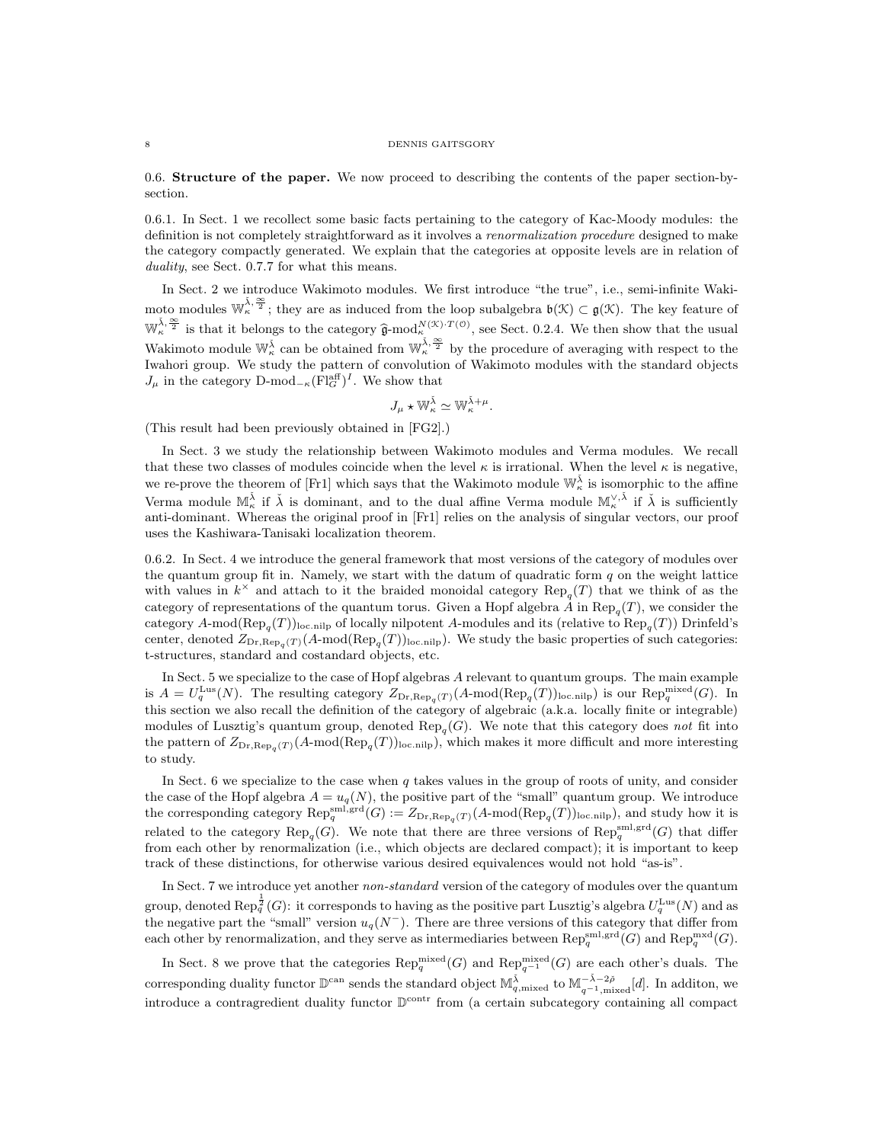#### 8 DENNIS GAITSGORY

0.6. Structure of the paper. We now proceed to describing the contents of the paper section-bysection.

0.6.1. In Sect. 1 we recollect some basic facts pertaining to the category of Kac-Moody modules: the definition is not completely straightforward as it involves a renormalization procedure designed to make the category compactly generated. We explain that the categories at opposite levels are in relation of duality, see Sect. 0.7.7 for what this means.

In Sect. 2 we introduce Wakimoto modules. We first introduce "the true", i.e., semi-infinite Wakimoto modules  $\mathbb{W}_{\kappa}^{\tilde{\lambda},\frac{\infty}{2}}$ ; they are as induced from the loop subalgebra  $\mathfrak{b}(\mathcal{K})\subset \mathfrak{g}(\mathcal{K})$ . The key feature of  $\mathbb{W}_{\kappa}^{\tilde{\lambda}, \frac{\infty}{2}}$  is that it belongs to the category  $\hat{\mathfrak{g}}$ -mod $_{\kappa}^{N(\mathcal{K}) \cdot T(\mathcal{O})}$ , see Sect. 0.2.4. We then show that the usual Wakimoto module  $\mathbb{W}_{\kappa}^{\bar{\lambda}}$  can be obtained from  $\mathbb{W}_{\kappa}^{\bar{\lambda}, \frac{\infty}{2}}$  by the procedure of averaging with respect to the Iwahori group. We study the pattern of convolution of Wakimoto modules with the standard objects  $J_{\mu}$  in the category D-mod<sub>− $\kappa$ </sub>(Fl<sub>G</sub><sup>aff</sup>)<sup>I</sup>. We show that

$$
J_\mu \star \mathbb{W}_\kappa^{\check{\lambda}} \simeq \mathbb{W}_\kappa^{\check{\lambda}+\mu}.
$$

(This result had been previously obtained in [FG2].)

In Sect. 3 we study the relationship between Wakimoto modules and Verma modules. We recall that these two classes of modules coincide when the level  $\kappa$  is irrational. When the level  $\kappa$  is negative, we re-prove the theorem of [Fr1] which says that the Wakimoto module  $\mathbb{W}_{\kappa}^{\check{\lambda}}$  is isomorphic to the affine Verma module  $\mathbb{M}_{\kappa}^{\check{\lambda}}$  if  $\check{\lambda}$  is dominant, and to the dual affine Verma module  $\mathbb{M}_{\kappa}^{\vee,\check{\lambda}}$  if  $\check{\lambda}$  is sufficiently anti-dominant. Whereas the original proof in [Fr1] relies on the analysis of singular vectors, our proof uses the Kashiwara-Tanisaki localization theorem.

0.6.2. In Sect. 4 we introduce the general framework that most versions of the category of modules over the quantum group fit in. Namely, we start with the datum of quadratic form  $q$  on the weight lattice with values in  $k^{\times}$  and attach to it the braided monoidal category  $\text{Rep}_{q}(T)$  that we think of as the category of representations of the quantum torus. Given a Hopf algebra A in  $\text{Rep}_{q}(T)$ , we consider the category  $A\text{-mod}(\text{Rep}_q(T))_{\text{loc,nilp}}$  of locally nilpotent A-modules and its (relative to  $\text{Rep}_q(T)$ ) Drinfeld's center, denoted  $Z_{\text{Dr},\text{Rep}_q(T)}(A\text{-mod}(\text{Rep}_q(T))_{\text{loc,nilp}})$ . We study the basic properties of such categories: t-structures, standard and costandard objects, etc.

In Sect. 5 we specialize to the case of Hopf algebras A relevant to quantum groups. The main example is  $A = U_q^{\text{Lus}}(N)$ . The resulting category  $Z_{\text{Dr},\text{Rep}_q(T)}(A\text{-mod}(\text{Rep}_q(T))_{\text{loc,nilp}})$  is our  $\text{Rep}_q^{\text{mixed}}(G)$ . In this section we also recall the definition of the category of algebraic (a.k.a. locally finite or integrable) modules of Lusztig's quantum group, denoted  $\text{Rep}_q(G)$ . We note that this category does not fit into the pattern of  $Z_{Dr,Rep_q(T)}(A\text{-mod}(Rep_q(T))_{loc,nilp})$ , which makes it more difficult and more interesting to study.

In Sect. 6 we specialize to the case when  $q$  takes values in the group of roots of unity, and consider the case of the Hopf algebra  $A = u_q(N)$ , the positive part of the "small" quantum group. We introduce the corresponding category  $\text{Rep}_q^{\text{sml,grd}}(G) := Z_{\text{Dr},\text{Rep}_q}(T) (A\text{-mod}(\text{Rep}_q(T))_{\text{loc,nilp}})$ , and study how it is related to the category  $\text{Rep}_q(G)$ . We note that there are three versions of  $\text{Rep}_q^{\text{sml},\text{grd}}(G)$  that differ from each other by renormalization (i.e., which objects are declared compact); it is important to keep track of these distinctions, for otherwise various desired equivalences would not hold "as-is".

In Sect. 7 we introduce yet another *non-standard* version of the category of modules over the quantum group, denoted  $\text{Rep}_q^{\frac{1}{2}}(G)$ : it corresponds to having as the positive part Lusztig's algebra  $U_q^{\text{Lus}}(N)$  and as the negative part the "small" version  $u_q(N^-)$ . There are three versions of this category that differ from each other by renormalization, and they serve as intermediaries between  $\text{Rep}_q^{\text{sml},\text{grd}}(G)$  and  $\text{Rep}_q^{\text{mxd}}(G)$ .

In Sect. 8 we prove that the categories  $\text{Rep}_q^{\text{mixed}}(G)$  and  $\text{Rep}_{q^{-1}}^{\text{mixed}}(G)$  are each other's duals. The corresponding duality functor  $\mathbb{D}^{\text{can}}$  sends the standard object  $\mathbb{M}^{\tilde{\lambda}}_{q,\text{mixed}}$  to  $\mathbb{M}^{-\tilde{\lambda}-2\tilde{\rho}}_{q^{-1},\text{mixed}}[d]$ . In additon, we introduce a contragredient duality functor  $\mathbb{D}^{\text{contr}}$  from (a certain subcategory containing all compact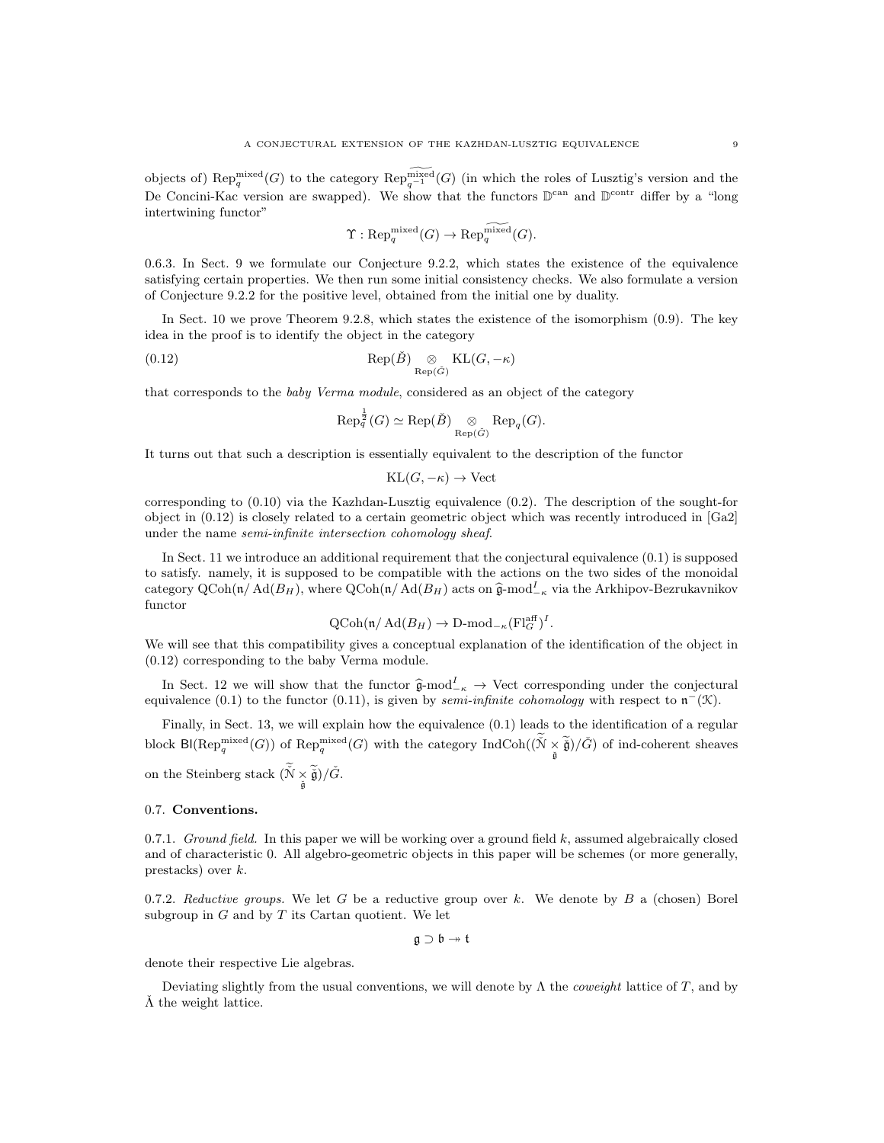objects of)  $\text{Rep}_q^{\text{mixed}}(G)$  to the category  $\text{Rep}_{q^{-1}}^{\widetilde{\text{mixed}}}(G)$  (in which the roles of Lusztig's version and the De Concini-Kac version are swapped). We show that the functors  $\mathbb{D}^{\text{can}}$  and  $\mathbb{D}^{\text{contr}}$  differ by a "long intertwining functor"

$$
\Upsilon: \mathrm{Rep}^{\mathrm{mixed}}_q(G) \rightarrow \mathrm{Rep}^{\widetilde{\mathrm{mixed}}}_q(G).
$$

0.6.3. In Sect. 9 we formulate our Conjecture 9.2.2, which states the existence of the equivalence satisfying certain properties. We then run some initial consistency checks. We also formulate a version of Conjecture 9.2.2 for the positive level, obtained from the initial one by duality.

In Sect. 10 we prove Theorem 9.2.8, which states the existence of the isomorphism  $(0.9)$ . The key idea in the proof is to identify the object in the category

(0.12) 
$$
\operatorname{Rep}(\check{B}) \underset{\operatorname{Rep}(\check{G})}{\otimes} \operatorname{KL}(G, -\kappa)
$$

that corresponds to the baby Verma module, considered as an object of the category

$$
\operatorname{Rep}_q^{\frac{1}{2}}(G) \simeq \operatorname{Rep}(\check{B}) \underset{\operatorname{Rep}(\check{G})}{\otimes} \operatorname{Rep}_q(G).
$$

It turns out that such a description is essentially equivalent to the description of the functor

$$
KL(G, -\kappa) \to Vect
$$

corresponding to  $(0.10)$  via the Kazhdan-Lusztig equivalence  $(0.2)$ . The description of the sought-for object in (0.12) is closely related to a certain geometric object which was recently introduced in [Ga2] under the name semi-infinite intersection cohomology sheaf.

In Sect. 11 we introduce an additional requirement that the conjectural equivalence (0.1) is supposed to satisfy. namely, it is supposed to be compatible with the actions on the two sides of the monoidal category QCoh(n/Ad( $B_H$ ), where QCoh(n/Ad( $B_H$ ) acts on  $\hat{\mathfrak{g}}$ -mod<sup>I</sup><sub>-κ</sub> via the Arkhipov-Bezrukavnikov functor

$$
\operatorname{QCoh}(\mathfrak{n}/\operatorname{Ad}(B_H) \to \operatorname{D-mod}_{-\kappa}(\operatorname{Fl}_G^{\operatorname{aff}})^I.
$$

We will see that this compatibility gives a conceptual explanation of the identification of the object in (0.12) corresponding to the baby Verma module.

In Sect. 12 we will show that the functor  $\hat{\mathfrak{g}}$ -mod<sup>I</sup><sub>- $\kappa$ </sub> → Vect corresponding under the conjectural<br>includes (0.1) to the functor (0.11) is given by some infinite sehemology with respect to  $\mathfrak{n}^{-}(T)$ equivalence (0.1) to the functor (0.11), is given by *semi-infinite cohomology* with respect to  $\mathfrak{n}^-(\mathfrak{K})$ .

Finally, in Sect. 13, we will explain how the equivalence (0.1) leads to the identification of a regular block  $\text{Bl}(\text{Rep}_q^{\text{mixed}}(G))$  of  $\text{Rep}_q^{\text{mixed}}(G)$  with the category  $\text{IndCoh}((\check{N} \times \check{g})/\check{G})$  of ind-coherent sheaves

on the Steinberg stack  $(\check{N} \times \widetilde{\check{\mathfrak{g}}})/\check{G}$ .

## 0.7. Conventions.

0.7.1. Ground field. In this paper we will be working over a ground field  $k$ , assumed algebraically closed and of characteristic 0. All algebro-geometric objects in this paper will be schemes (or more generally, prestacks) over k.

0.7.2. Reductive groups. We let G be a reductive group over k. We denote by B a (chosen) Borel subgroup in  $G$  and by  $T$  its Cartan quotient. We let

 $\mathfrak{g} \supset \mathfrak{b} \rightarrow \mathfrak{t}$ 

denote their respective Lie algebras.

Deviating slightly from the usual conventions, we will denote by  $\Lambda$  the *coweight* lattice of T, and by  $\tilde{\Lambda}$  the weight lattice.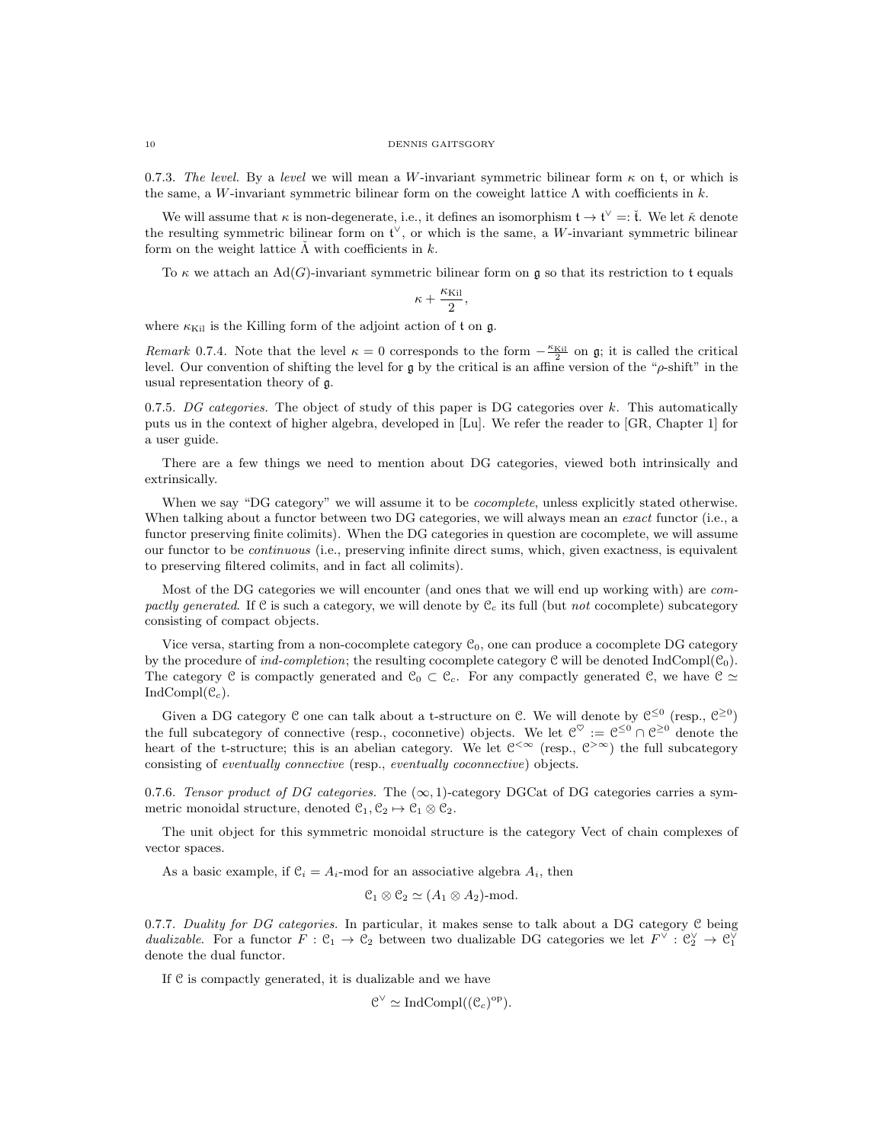0.7.3. The level. By a level we will mean a W-invariant symmetric bilinear form  $\kappa$  on t, or which is the same, a W-invariant symmetric bilinear form on the coweight lattice  $\Lambda$  with coefficients in k.

We will assume that  $\kappa$  is non-degenerate, i.e., it defines an isomorphism  $t \to t^{\vee} =: \check{t}$ . We let  $\check{\kappa}$  denote the resulting symmetric bilinear form on  $\mathfrak{t}^{\vee}$ , or which is the same, a W-invariant symmetric bilinear form on the weight lattice  $\tilde{\Lambda}$  with coefficients in k.

To  $\kappa$  we attach an Ad(G)-invariant symmetric bilinear form on g so that its restriction to t equals

$$
\kappa+\frac{\kappa_{\text{Kil}}}{2},
$$

where  $\kappa_{\text{Kil}}$  is the Killing form of the adjoint action of t on g.

Remark 0.7.4. Note that the level  $\kappa = 0$  corresponds to the form  $-\frac{\kappa_{\text{Kil}}}{2}$  on g; it is called the critical level. Our convention of shifting the level for g by the critical is an affine version of the " $\rho$ -shift" in the usual representation theory of g.

0.7.5. DG categories. The object of study of this paper is DG categories over k. This automatically puts us in the context of higher algebra, developed in [Lu]. We refer the reader to [GR, Chapter 1] for a user guide.

There are a few things we need to mention about DG categories, viewed both intrinsically and extrinsically.

When we say "DG category" we will assume it to be *cocomplete*, unless explicitly stated otherwise. When talking about a functor between two DG categories, we will always mean an *exact* functor (i.e., a functor preserving finite colimits). When the DG categories in question are cocomplete, we will assume our functor to be continuous (i.e., preserving infinite direct sums, which, given exactness, is equivalent to preserving filtered colimits, and in fact all colimits).

Most of the DG categories we will encounter (and ones that we will end up working with) are compactly generated. If C is such a category, we will denote by  $C_c$  its full (but not cocomplete) subcategory consisting of compact objects.

Vice versa, starting from a non-cocomplete category  $\mathfrak{C}_0$ , one can produce a cocomplete DG category by the procedure of ind-completion; the resulting cocomplete category  $C$  will be denoted IndCompl( $C_0$ ). The category C is compactly generated and  $\mathcal{C}_0 \subset \mathcal{C}_c$ . For any compactly generated C, we have  $\mathcal{C} \simeq$  $IndCompl(\mathcal{C}_c)$ .

Given a DG category C one can talk about a t-structure on C. We will denote by  $\mathfrak{C}^{\leq 0}$  (resp.,  $\mathfrak{C}^{\geq 0}$ ) the full subcategory of connective (resp., coconnetive) objects. We let  $\mathcal{C}^{\heartsuit} := \mathcal{C}^{\leq 0} \cap \mathcal{C}^{\geq 0}$  denote the heart of the t-structure; this is an abelian category. We let  $C^{\infty}$  (resp.,  $C^{\infty}$ ) the full subcategory consisting of eventually connective (resp., eventually coconnective) objects.

0.7.6. Tensor product of DG categories. The  $(\infty, 1)$ -category DGCat of DG categories carries a symmetric monoidal structure, denoted  $\mathcal{C}_1, \mathcal{C}_2 \mapsto \mathcal{C}_1 \otimes \mathcal{C}_2$ .

The unit object for this symmetric monoidal structure is the category Vect of chain complexes of vector spaces.

As a basic example, if  $C_i = A_i$ -mod for an associative algebra  $A_i$ , then

$$
\mathfrak{C}_1 \otimes \mathfrak{C}_2 \simeq (A_1 \otimes A_2)\text{-mod}.
$$

0.7.7. Duality for DG categories. In particular, it makes sense to talk about a DG category  $C$  being dualizable. For a functor  $F: \mathcal{C}_1 \to \mathcal{C}_2$  between two dualizable DG categories we let  $F^\vee: \mathcal{C}_2^\vee \to \mathcal{C}_1^\vee$ denote the dual functor.

If C is compactly generated, it is dualizable and we have

$$
\mathcal{C}^{\vee} \simeq \mathrm{IndCompl}((\mathcal{C}_c)^{\mathrm{op}}).
$$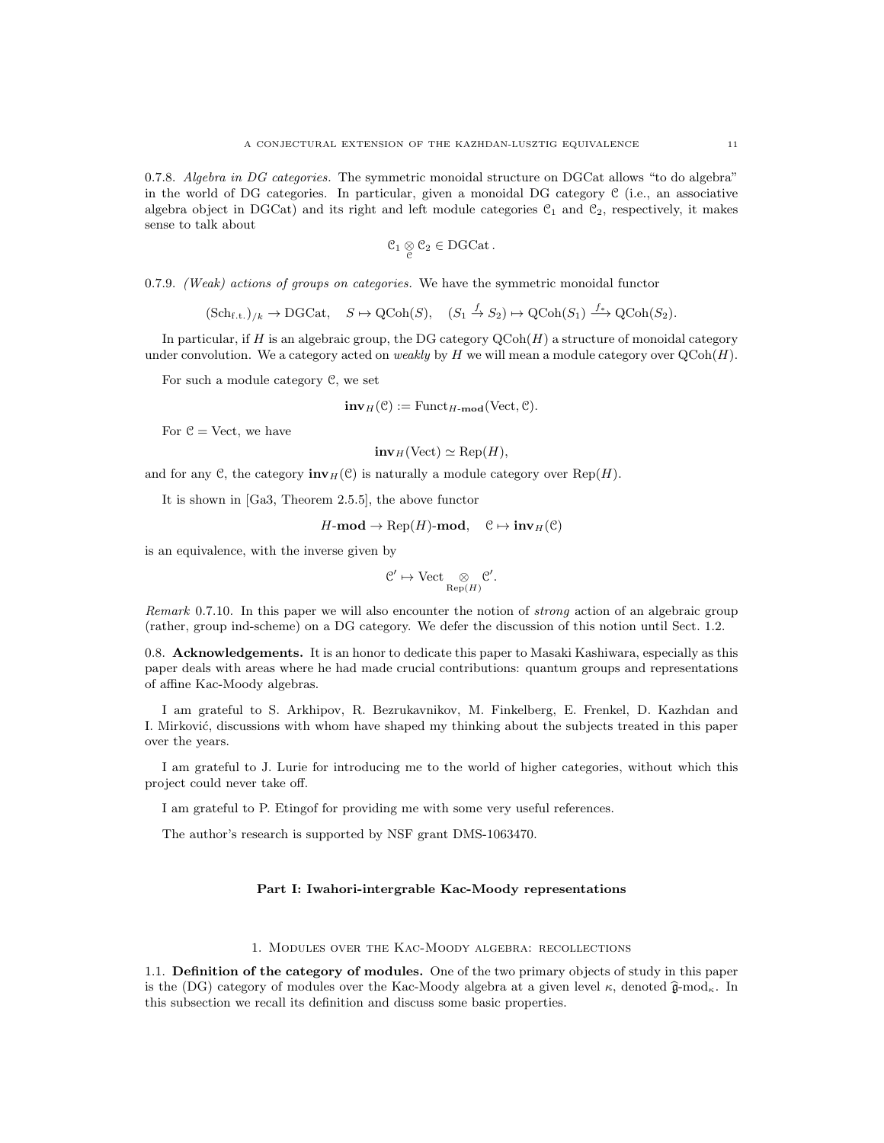0.7.8. Algebra in DG categories. The symmetric monoidal structure on DGCat allows "to do algebra" in the world of DG categories. In particular, given a monoidal DG category  $\mathcal C$  (i.e., an associative algebra object in DGCat) and its right and left module categories  $C_1$  and  $C_2$ , respectively, it makes sense to talk about

$$
\mathcal{C}_1\underset{\mathcal{C}}{\otimes}\mathcal{C}_2\in DGCat\,.
$$

0.7.9. (Weak) actions of groups on categories. We have the symmetric monoidal functor

$$
(\mathrm{Sch}_{\mathrm{f.t.}})_{/k} \to \mathrm{DGCat}, \quad S \mapsto \mathrm{QCoh}(S), \quad (S_1 \stackrel{f}{\to} S_2) \mapsto \mathrm{QCoh}(S_1) \stackrel{f_*}{\longrightarrow} \mathrm{QCoh}(S_2).
$$

In particular, if H is an algebraic group, the DG category  $\mathrm{QCoh}(H)$  a structure of monoidal category under convolution. We a category acted on *weakly* by  $H$  we will mean a module category over  $QCoh(H)$ .

For such a module category C, we set

$$
\mathbf{inv}_H(\mathcal{C}) := \mathrm{Funct}_{H\text{-}\mathbf{mod}}(\mathrm{Vect}, \mathcal{C}).
$$

For  $\mathcal{C} = \text{Vect}$ , we have

$$
inv_H(\text{Vect}) \simeq \text{Rep}(H),
$$

and for any C, the category  $\text{inv}_H(\mathcal{C})$  is naturally a module category over Rep(H).

It is shown in [Ga3, Theorem 2.5.5], the above functor

$$
H\text{-}\mathbf{mod} \to \text{Rep}(H)\text{-}\mathbf{mod}, \quad \mathcal{C} \mapsto \mathbf{inv}_H(\mathcal{C})
$$

is an equivalence, with the inverse given by

$$
\mathcal{C}' \mapsto \mathrm{Vect} \underset{\mathrm{Rep}(H)}{\otimes} \mathcal{C}'.
$$

Remark 0.7.10. In this paper we will also encounter the notion of *strong* action of an algebraic group (rather, group ind-scheme) on a DG category. We defer the discussion of this notion until Sect. 1.2.

0.8. Acknowledgements. It is an honor to dedicate this paper to Masaki Kashiwara, especially as this paper deals with areas where he had made crucial contributions: quantum groups and representations of affine Kac-Moody algebras.

I am grateful to S. Arkhipov, R. Bezrukavnikov, M. Finkelberg, E. Frenkel, D. Kazhdan and I. Mirković, discussions with whom have shaped my thinking about the subjects treated in this paper over the years.

I am grateful to J. Lurie for introducing me to the world of higher categories, without which this project could never take off.

I am grateful to P. Etingof for providing me with some very useful references.

The author's research is supported by NSF grant DMS-1063470.

# Part I: Iwahori-intergrable Kac-Moody representations

#### 1. Modules over the Kac-Moody algebra: recollections

1.1. Definition of the category of modules. One of the two primary objects of study in this paper is the (DG) category of modules over the Kac-Moody algebra at a given level  $\kappa$ , denoted  $\hat{\mathfrak{g}}$ -mod<sub> $\kappa$ </sub>. In this subsection we recall its definition and discuss some basic properties.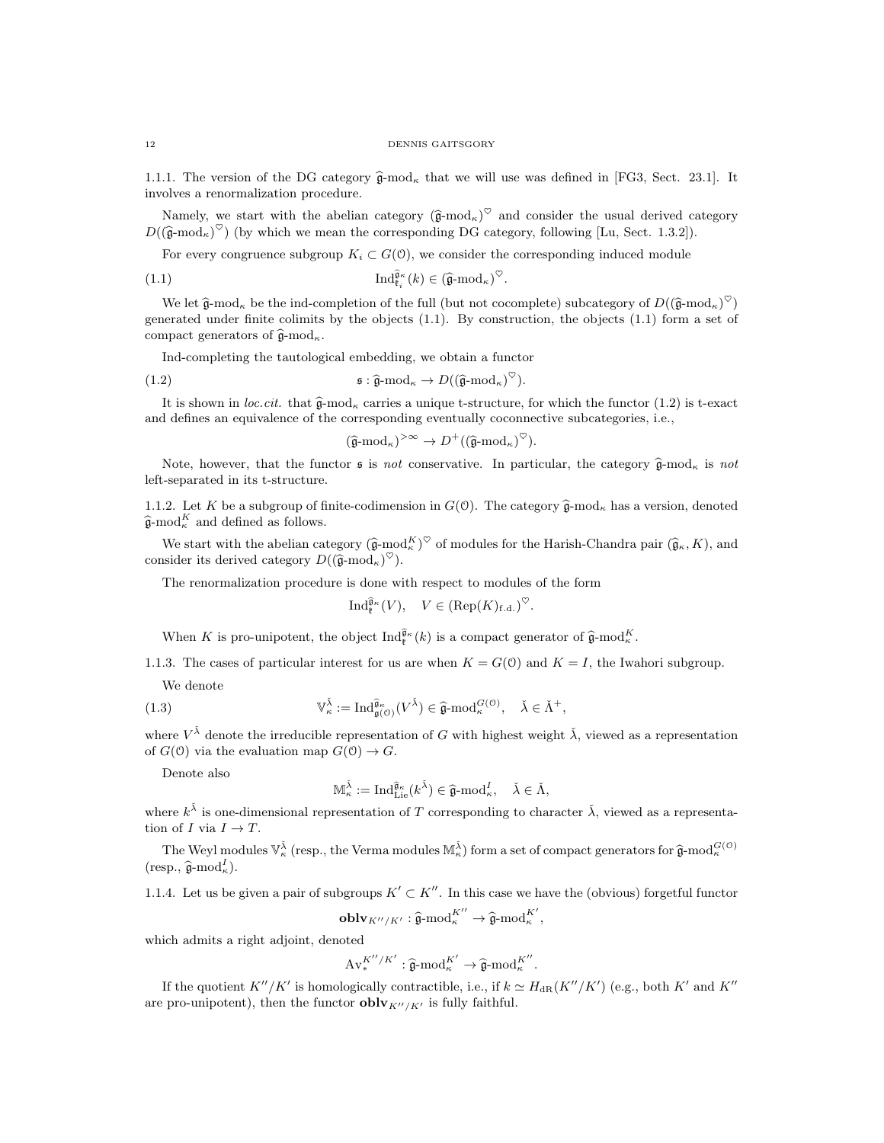1.1.1. The version of the DG category  $\hat{\mathfrak{g}}$ -mod<sub>k</sub> that we will use was defined in [FG3, Sect. 23.1]. It involves a renormalization procedure.

Namely, we start with the abelian category  $(\hat{\mathfrak{g}}{\text{-mod}}_k)^\heartsuit$  and consider the usual derived category  $D((\hat{\mathfrak{g}}\text{-mod}_\kappa)^\heartsuit)$  (by which we mean the corresponding DG category, following [Lu, Sect. 1.3.2]).

For every congruence subgroup  $K_i \subset G(0)$ , we consider the corresponding induced module

(1.1) 
$$
\operatorname{Ind}_{\mathfrak{k}_i}^{\widehat{\mathfrak{g}}_\kappa}(k) \in (\widehat{\mathfrak{g}}\text{-}\mathrm{mod}_\kappa)^{\heartsuit}.
$$

We let  $\hat{\mathfrak{g}}$ -mod<sub>K</sub> be the ind-completion of the full (but not cocomplete) subcategory of  $D((\hat{\mathfrak{g}}\text{-mod}_K)^{\heartsuit})$ generated under finite colimits by the objects (1.1). By construction, the objects (1.1) form a set of compact generators of  $\widehat{\mathfrak{g}}$ -mod<sub>k</sub>.

Ind-completing the tautological embedding, we obtain a functor

(1.2) 
$$
\qquad \qquad \mathfrak{s}: \hat{\mathfrak{g}} \text{-mod}_{\kappa} \to D(\left(\hat{\mathfrak{g}} \text{-mod}_{\kappa}\right)^{\heartsuit}).
$$

It is shown in loc.cit. that  $\hat{\mathfrak{g}}$ -mod<sub>k</sub> carries a unique t-structure, for which the functor (1.2) is t-exact and defines an equivalence of the corresponding eventually coconnective subcategories, i.e.,

$$
(\widehat{\mathfrak{g}}\text{-mod}_\kappa)^{>\infty} \to D^+(\left(\widehat{\mathfrak{g}}\text{-mod}_\kappa\right)^{\heartsuit}).
$$

Note, however, that the functor  $\mathfrak s$  is not conservative. In particular, the category  $\hat{\mathfrak a}$ -mod<sub>k</sub> is not left-separated in its t-structure.

1.1.2. Let K be a subgroup of finite-codimension in  $G(\mathcal{O})$ . The category  $\hat{\mathfrak{g}}$ -mod<sub>K</sub> has a version, denoted  $\widehat{\mathfrak{g}}$ -mod $_{\kappa}^{K}$  and defined as follows.

We start with the abelian category  $(\hat{\mathfrak{g}}_{\kappa} \mod N^{\heartsuit})^{\heartsuit}$  of modules for the Harish-Chandra pair  $(\hat{\mathfrak{g}}_{\kappa}, K)$ , and consider its derived category  $D((\widehat{\mathfrak{g}}\text{-mod}_\kappa)^\heartsuit).$ 

The renormalization procedure is done with respect to modules of the form

$$
\mathrm{Ind}_{\mathfrak{k}}^{\widehat{\mathfrak{g}}_{\kappa}}(V), \quad V \in (\mathrm{Rep}(K)_{\mathrm{f.d.}})^\heartsuit.
$$

When K is pro-unipotent, the object  $\text{Ind}_{\mathfrak{k}}^{\widehat{\mathfrak{g}}_{\kappa}}(k)$  is a compact generator of  $\widehat{\mathfrak{g}}$ -mod $_{\kappa}^{K}$ .

1.1.3. The cases of particular interest for us are when  $K = G(0)$  and  $K = I$ , the Iwahori subgroup. We denote

(1.3) 
$$
\mathbb{V}_{\kappa}^{\check{\lambda}} := \mathrm{Ind}_{\mathfrak{g}(\mathcal{O})}^{\widehat{\mathfrak{g}}_{\kappa}}(V^{\check{\lambda}}) \in \widehat{\mathfrak{g}}\text{-}\mathrm{mod}_{\kappa}^{G(\mathcal{O})}, \quad \check{\lambda} \in \check{\Lambda}^+,
$$

where  $V^{\check{\lambda}}$  denote the irreducible representation of G with highest weight  $\check{\lambda}$ , viewed as a representation of  $G(0)$  via the evaluation map  $G(0) \to G$ .

Denote also

$$
\mathbb{M}_{\kappa}^{\check{\lambda}} := \mathrm{Ind}_{\mathrm{Lie}}^{\widehat{\mathfrak{g}}_{\kappa}}(k^{\check{\lambda}}) \in \widehat{\mathfrak{g}}\text{-}\mathrm{mod}^I_{\kappa}, \quad \check{\lambda} \in \check{\Lambda},
$$

where  $k^{\check{\lambda}}$  is one-dimensional representation of T corresponding to character  $\check{\lambda}$ , viewed as a representation of I via  $I \to T$ .

The Weyl modules  $\mathbb{V}_{\kappa}^{\tilde{\lambda}}$  (resp., the Verma modules  $\mathbb{M}_{\kappa}^{\tilde{\lambda}}$ ) form a set of compact generators for  $\hat{\mathfrak{g}}$ -mod $_{\kappa}^{G(0)}$  $(\text{resp., } \widehat{\mathfrak{g}}\text{-mod}^I_{\kappa}).$ 

1.1.4. Let us be given a pair of subgroups  $K' \subset K''$ . In this case we have the (obvious) forgetful functor

$$
\mathbf{oblv}_{K''/K'} : \widehat{\mathfrak{g}}\text{-mod}_{\kappa}^{K''} \to \widehat{\mathfrak{g}}\text{-mod}_{\kappa}^{K'},
$$

which admits a right adjoint, denoted

$$
\mathrm{Av}^{K''/K'}_{*}: \widehat{\mathfrak{g}}\text{-mod}_{\kappa}^{K'} \to \widehat{\mathfrak{g}}\text{-mod}_{\kappa}^{K''}.
$$

If the quotient  $K''/K'$  is homologically contractible, i.e., if  $k \simeq H_{\rm dR}(K''/K')$  (e.g., both  $K'$  and  $K''$ are pro-unipotent), then the functor  $oblv_{K''/K'}$  is fully faithful.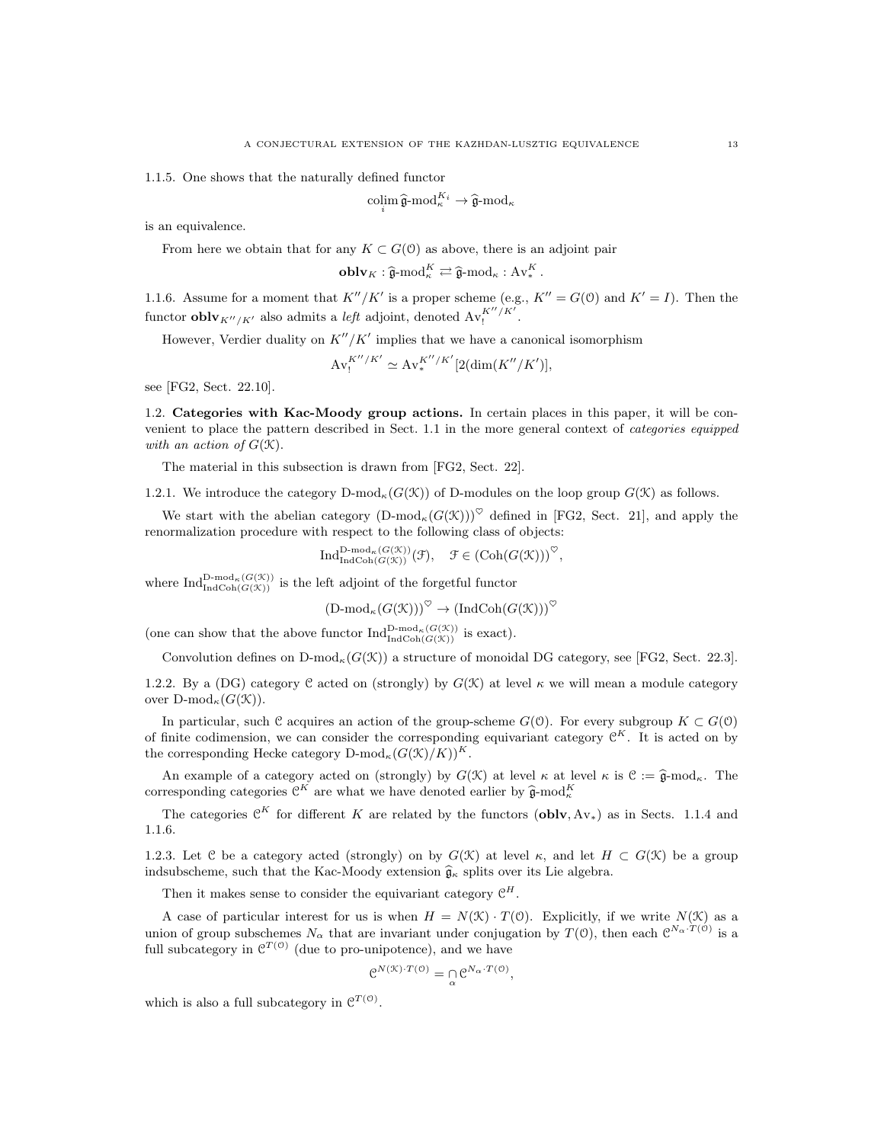1.1.5. One shows that the naturally defined functor

$$
\operatorname*{colim}_{i} \widehat{\mathfrak{g}}\text{-mod}_{\kappa}^{K_{i}} \to \widehat{\mathfrak{g}}\text{-mod}_{\kappa}
$$

is an equivalence.

From here we obtain that for any  $K \subset G(0)$  as above, there is an adjoint pair

$$
\mathbf{oblv}_K : \widehat{\mathfrak{g}}\text{-mod}_\kappa^K \rightleftarrows \widehat{\mathfrak{g}}\text{-mod}_\kappa : \mathbf{Av}_*^K.
$$

1.1.6. Assume for a moment that  $K''/K'$  is a proper scheme (e.g.,  $K'' = G(0)$  and  $K' = I$ ). Then the functor **oblv**<sub>K''/K'</sub> also admits a *left* adjoint, denoted  $Av_!^{K''/K'}$ .

However, Verdier duality on  $K''/K'$  implies that we have a canonical isomorphism

$$
\mathrm{Av}_{!}^{K''/K'} \simeq \mathrm{Av}_{*}^{K''/K'}[2(\dim(K''/K')],
$$

see [FG2, Sect. 22.10].

1.2. Categories with Kac-Moody group actions. In certain places in this paper, it will be convenient to place the pattern described in Sect. 1.1 in the more general context of categories equipped with an action of  $G(\mathcal{K})$ .

The material in this subsection is drawn from [FG2, Sect. 22].

1.2.1. We introduce the category  $D\text{-mod}_\kappa(G(\mathcal{K}))$  of D-modules on the loop group  $G(\mathcal{K})$  as follows.

We start with the abelian category  $(D\text{-mod}_{\kappa}(G(\mathcal{K})))^{\heartsuit}$  defined in [FG2, Sect. 21], and apply the renormalization procedure with respect to the following class of objects:

$$
\text{Ind}_{\text{Ind}\text{Coh}(G(\mathcal{K}))}^{\text{D-mod}_{\kappa}(G(\mathcal{K}))}(\mathcal{F}), \quad \mathcal{F} \in (\text{Coh}(G(\mathcal{K})))^{\heartsuit},
$$

where  $\text{Ind}_{\text{IndCoh}(G(\mathcal{K}))}^{\text{D-mod}_{\kappa}(G(\mathcal{K}))}$  is the left adjoint of the forgetful functor

$$
(\mathrm{D\text{-}mod}_\kappa(G(\mathcal{K})))^\heartsuit \to (\mathrm{IndCoh}(G(\mathcal{K})))^\heartsuit
$$

(one can show that the above functor  $\text{Ind}_{\text{Ind}\text{Coh}(G(\mathcal{K}))}^{\text{D-mod}_{\kappa}(G(\mathcal{K}))}$  is exact).

Convolution defines on  $D\text{-mod}_\kappa(G(\mathcal{K}))$  a structure of monoidal DG category, see [FG2, Sect. 22.3].

1.2.2. By a (DG) category C acted on (strongly) by  $G(\mathcal{K})$  at level  $\kappa$  we will mean a module category over  $D\text{-mod}_{\kappa}(G(\mathcal{K}))$ .

In particular, such C acquires an action of the group-scheme  $G(0)$ . For every subgroup  $K \subset G(0)$ of finite codimension, we can consider the corresponding equivariant category  $\mathcal{C}^K$ . It is acted on by the corresponding Hecke category  $D\text{-mod}_{\kappa}(G(\mathcal{K})/K))^{K}$ .

An example of a category acted on (strongly) by  $G(\mathcal{K})$  at level  $\kappa$  at level  $\kappa$  is  $\mathcal{C} := \widehat{\mathfrak{g}}$ -mod<sub> $\kappa$ </sub>. The corresponding categories  $\mathcal{C}^K$  are what we have denoted earlier by  $\widehat{\mathfrak{g}}$ -mod $_{\kappa}^K$ 

The categories  $\mathcal{C}^K$  for different K are related by the functors (oblv, Av<sub>\*</sub>) as in Sects. 1.1.4 and 1.1.6.

1.2.3. Let C be a category acted (strongly) on by  $G(\mathfrak{X})$  at level  $\kappa$ , and let  $H \subset G(\mathfrak{X})$  be a group indsubscheme, such that the Kac-Moody extension  $\hat{\mathfrak{g}}_{\kappa}$  splits over its Lie algebra.

Then it makes sense to consider the equivariant category  $\mathcal{C}^H$ .

A case of particular interest for us is when  $H = N(\mathcal{K}) \cdot T(\mathcal{O})$ . Explicitly, if we write  $N(\mathcal{K})$  as a union of group subschemes  $N_{\alpha}$  that are invariant under conjugation by  $T(0)$ , then each  $\mathcal{C}^{N_{\alpha} \cdot T(0)}$  is a full subcategory in  $\mathcal{C}^{T(\mathcal{O})}$  (due to pro-unipotence), and we have

$$
e^{N(\mathcal{K}) \cdot T(\mathcal{O})} = e^{\alpha N_{\alpha} \cdot T(\mathcal{O})},
$$

which is also a full subcategory in  $\mathcal{C}^{T(\mathcal{O})}$ .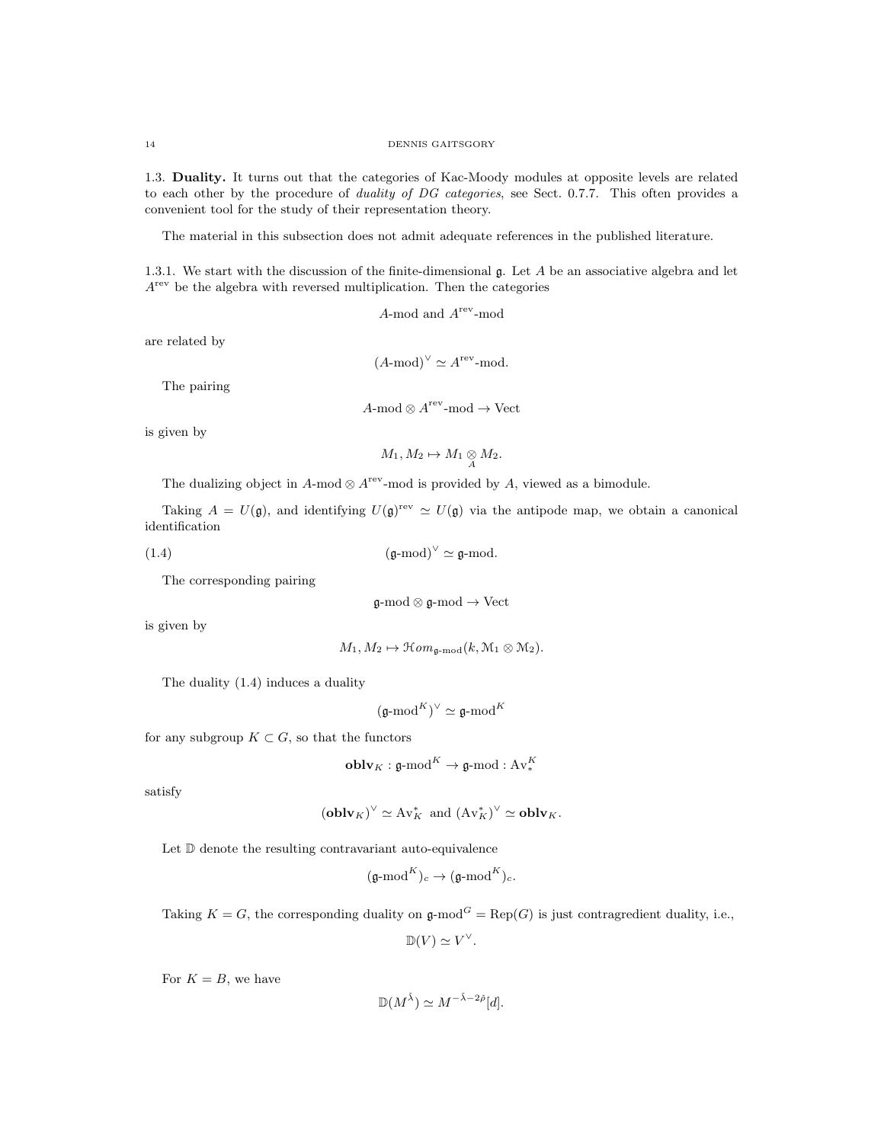1.3. Duality. It turns out that the categories of Kac-Moody modules at opposite levels are related to each other by the procedure of *duality of DG categories*, see Sect. 0.7.7. This often provides a convenient tool for the study of their representation theory.

The material in this subsection does not admit adequate references in the published literature.

1.3.1. We start with the discussion of the finite-dimensional  $\mathfrak{g}$ . Let A be an associative algebra and let  $A<sup>rev</sup>$  be the algebra with reversed multiplication. Then the categories

A-mod and  $A^{rev}$ -mod

are related by

 $(A\text{-mod})^{\vee} \simeq A^{\text{rev}}\text{-mod}.$ 

The pairing

$$
A\text{-mod} \otimes A^{\text{rev}}\text{-mod} \to \text{Vect}
$$

is given by

$$
M_1, M_2 \mapsto M_1 \underset{A}{\otimes} M_2.
$$

The dualizing object in  $A$ -mod  $\otimes A$ <sup>rev</sup>-mod is provided by A, viewed as a bimodule.

Taking  $A = U(\mathfrak{g})$ , and identifying  $U(\mathfrak{g})^{\text{rev}} \simeq U(\mathfrak{g})$  via the antipode map, we obtain a canonical identification

$$
(\mathfrak{g}\text{-mod})^{\vee} \simeq \mathfrak{g}\text{-mod}.
$$

The corresponding pairing

$$
\mathfrak{g}\text{-mod}\otimes\mathfrak{g}\text{-mod}\to\mathrm{Vect}
$$

is given by

$$
M_1, M_2 \mapsto \mathfrak{Hom}_{\mathfrak{g}\text{-}\mathrm{mod}}(k, \mathfrak{M}_1 \otimes \mathfrak{M}_2).
$$

The duality (1.4) induces a duality

 $(\mathfrak{g}\text{-mod}^K)^\vee \simeq \mathfrak{g}\text{-mod}^K$ 

for any subgroup  $K \subset G$ , so that the functors

$$
\mathbf{oblv}_K : \mathfrak{g}\text{-mod}^K \to \mathfrak{g}\text{-mod} : \text{Av}_*^K
$$

satisfy

$$
(oblv_K)^{\vee} \simeq Av_K^*
$$
 and  $(Av_K^*)^{\vee} \simeq oblv_K$ .

Let  $\mathbb D$  denote the resulting contravariant auto-equivalence

$$
(\mathfrak{g}\text{-}\mathrm{mod}^K)_c\rightarrow (\mathfrak{g}\text{-}\mathrm{mod}^K)_c.
$$

Taking  $K = G$ , the corresponding duality on  $\mathfrak{g}\text{-mod}^G = \text{Rep}(G)$  is just contragredient duality, i.e.,

 $\mathbb{D}(V) \simeq V^{\vee}.$ 

For  $K = B$ , we have

$$
\mathbb{D}(M^{\check{\lambda}}) \simeq M^{-\check{\lambda}-2\check{\rho}}[d].
$$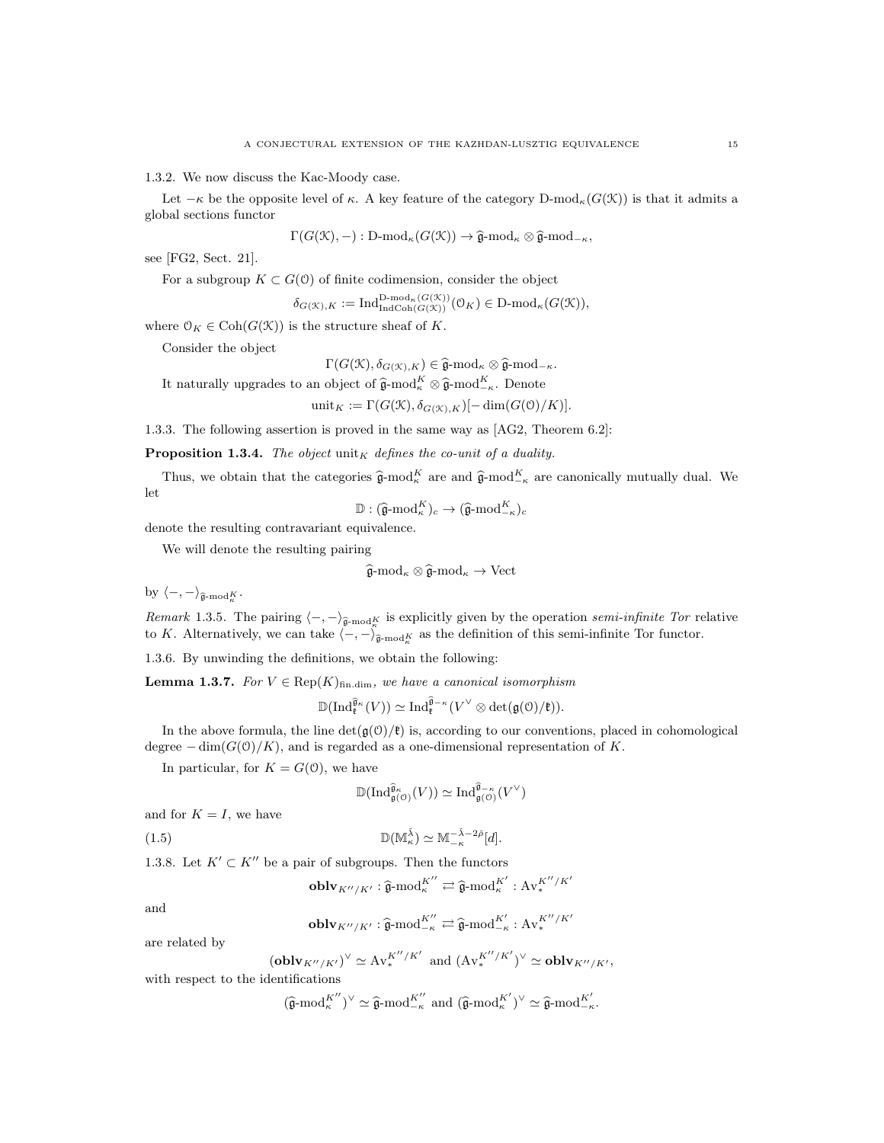1.3.2. We now discuss the Kac-Moody case.

Let  $-\kappa$  be the opposite level of  $\kappa$ . A key feature of the category D-mod<sub> $\kappa(G(\mathcal{K}))$ </sub> is that it admits a global sections functor

$$
\Gamma(G(\mathcal{K}), -): \mathrm{D\text{-}mod}_{\kappa}(G(\mathcal{K})) \to \widehat{\mathfrak{g}}\text{-}mod_{\kappa} \otimes \widehat{\mathfrak{g}}\text{-}mod_{-\kappa},
$$

see [FG2, Sect. 21].

For a subgroup 
$$
K \subset G(\mathcal{O})
$$
 of finite codimension, consider the object

$$
\delta_{G(\mathcal{K}),K} := \text{Ind}_{\text{IndCoh}(G(\mathcal{K}))}^{\text{D-mod}_{\kappa}(G(\mathcal{K}))}(\mathbb{O}_{K}) \in \text{D-mod}_{\kappa}(G(\mathcal{K})),
$$

where  $\mathcal{O}_K \in \text{Coh}(G(\mathcal{K}))$  is the structure sheaf of K.

Consider the object

$$
\Gamma(G(\mathcal{K}), \delta_{G(\mathcal{K}), K}) \in \widehat{\mathfrak{g}}\text{-mod}_\kappa \otimes \widehat{\mathfrak{g}}\text{-mod}_{-\kappa}.
$$

It naturally upgrades to an object of  $\hat{\mathfrak{g}}$ -mod $_K^K \otimes \hat{\mathfrak{g}}$ -mod $_{-\kappa}^K$ . Denote

$$
\text{unit}_K := \Gamma(G(\mathcal{K}), \delta_{G(\mathcal{K}), K})[-\dim(G(\mathcal{O})/K)].
$$

1.3.3. The following assertion is proved in the same way as [AG2, Theorem 6.2]:

**Proposition 1.3.4.** The object  $\text{unit}_K$  defines the co-unit of a duality.

Thus, we obtain that the categories  $\hat{\mathfrak{g}}$ -mod $_K^K$  are and  $\hat{\mathfrak{g}}$ -mod $_{-\kappa}^K$  are canonically mutually dual. We let

 $\mathbb{D}: (\widehat{\mathfrak{g}}\text{-mod}^K_{\kappa})_c \to (\widehat{\mathfrak{g}}\text{-mod}^K_{-\kappa})_c$ 

denote the resulting contravariant equivalence.

We will denote the resulting pairing

$$
\widehat{\mathfrak{g}}\text{-mod}_\kappa\otimes \widehat{\mathfrak{g}}\text{-mod}_\kappa\to \text{Vect}
$$

by  $\langle -, -\rangle_{\widehat{\mathfrak{g}}\text{-mod}^K_{\kappa}}$ .

Remark 1.3.5. The pairing  $\langle -, - \rangle_{\hat{\mathfrak{g}}\text{-mod}_K^K}$  is explicitly given by the operation semi-infinite Tor relative to K. Alternatively, we can take  $\langle -, -\rangle_{\widehat{\mathfrak{g}}\text{-mod}_K^K}$  as the definition of this semi-infinite Tor functor.

1.3.6. By unwinding the definitions, we obtain the following:

**Lemma 1.3.7.** For  $V \in \text{Rep}(K)_{\text{fin.dim}}$ , we have a canonical isomorphism

$$
\mathbb{D}(\mathrm{Ind}^{\widehat{\mathfrak{g}}_{\kappa}}_{\mathfrak{k}}(V))\simeq \mathrm{Ind}^{\widehat{\mathfrak{g}}_{-\kappa}}_{\mathfrak{k}}(V^{\vee}\otimes \mathrm{det}(\mathfrak{g}(\mathfrak{O})/\mathfrak{k})).
$$

In the above formula, the line  $\det(\mathfrak{g}(\mathcal{O})/\mathfrak{k})$  is, according to our conventions, placed in cohomological degree  $-\dim(G(0)/K)$ , and is regarded as a one-dimensional representation of K.

In particular, for  $K = G(0)$ , we have

$$
\mathbb{D}(\mathrm{Ind}^{\widehat{\mathfrak{g}}_{\kappa}}_{\mathfrak{g}(\mathcal{O})}(V))\simeq \mathrm{Ind}^{\widehat{\mathfrak{g}}_{-\kappa}}_{\mathfrak{g}(\mathcal{O})}(V^{\vee})
$$

and for  $K = I$ , we have

(1.5) 
$$
\mathbb{D}(\mathbb{M}_{\kappa}^{\check{\lambda}}) \simeq \mathbb{M}_{-\kappa}^{-\check{\lambda}-2\check{\rho}}[d].
$$

1.3.8. Let  $K' \subset K''$  be a pair of subgroups. Then the functors

$$
\mathbf{oblv}_{K''/K'}: \widehat{\mathfrak{g}}\text{-}\mathrm{mod}^{K''}_{\kappa} \rightleftarrows \widehat{\mathfrak{g}}\text{-}\mathrm{mod}^{K'}_{\kappa}: \mathrm{Av}^{K''/K'}_{*}
$$

and

$$
\mathbf{oblv}_{K''/K'}: \widehat{\mathfrak{g}}\text{-}\mathrm{mod}^{K''}_{-\kappa} \rightleftarrows \widehat{\mathfrak{g}}\text{-}\mathrm{mod}^{K'}_{-\kappa}: \mathrm{Av}^{K''/K'}_{*}
$$

are related by

$$
(\mathbf{oblv}_{K''/K'})^{\vee} \simeq \mathrm{Av}^{K''/K'}_{*} \text{ and } (\mathrm{Av}^{K''/K'}_{*})^{\vee} \simeq \mathbf{oblv}_{K''/K'},
$$

with respect to the identifications

$$
(\widehat{\mathfrak{g}}\text{-mod}_{\kappa}^{K''})^{\vee} \simeq \widehat{\mathfrak{g}}\text{-mod}_{-\kappa}^{K''} \text{ and } (\widehat{\mathfrak{g}}\text{-mod}_{\kappa}^{K'})^{\vee} \simeq \widehat{\mathfrak{g}}\text{-mod}_{-\kappa}^{K'}.
$$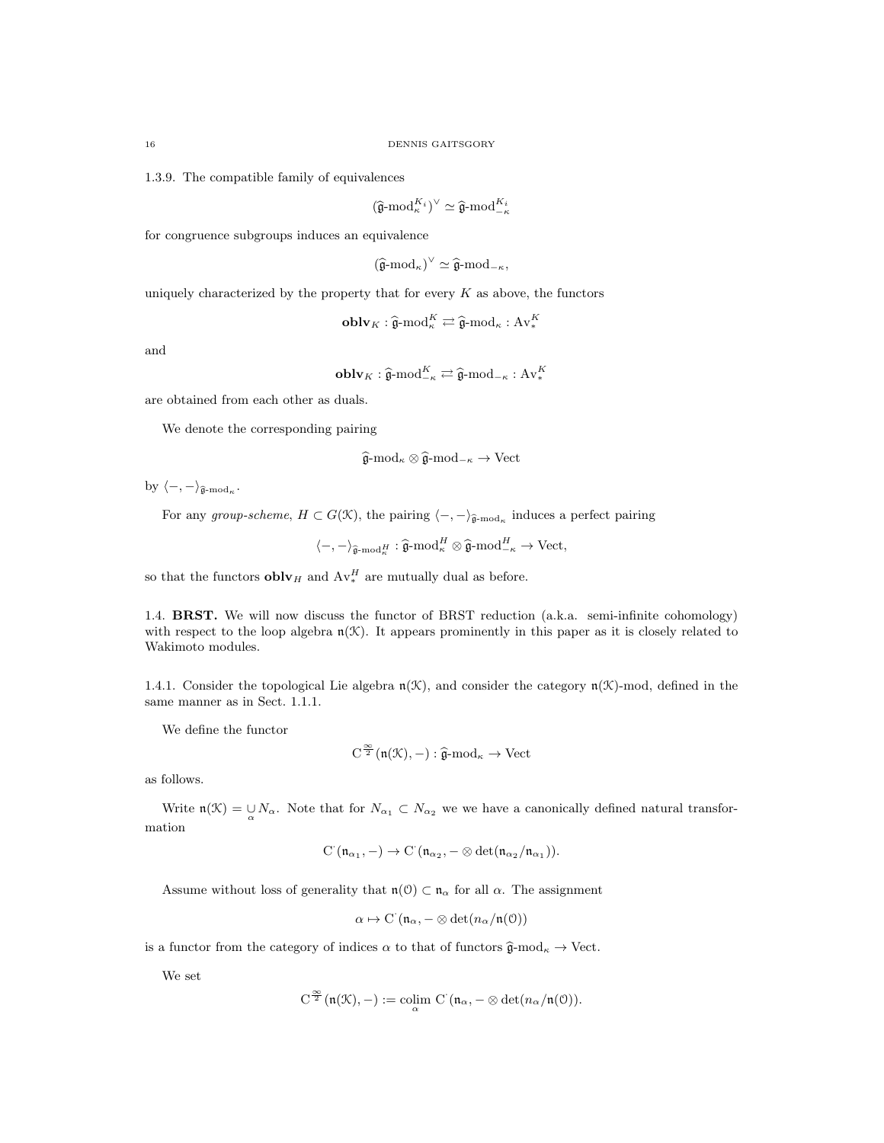1.3.9. The compatible family of equivalences

$$
(\widehat{\mathfrak{g}}\text{-mod}_{\kappa}^{K_i})^{\vee} \simeq \widehat{\mathfrak{g}}\text{-mod}_{-\kappa}^{K_i}
$$

for congruence subgroups induces an equivalence

$$
(\widehat{\mathfrak{g}}\text{-}\mathrm{mod}_\kappa)^\vee \simeq \widehat{\mathfrak{g}}\text{-}\mathrm{mod}_{-\kappa},
$$

uniquely characterized by the property that for every  $K$  as above, the functors

$$
\mathbf{oblv}_K : \widehat{\mathfrak{g}}\text{-mod}_\kappa^K \rightleftarrows \widehat{\mathfrak{g}}\text{-mod}_\kappa : \mathbf{Av}_*^K
$$

and

$$
\mathbf{oblv}_K : \widehat{\mathfrak{g}}\text{-mod}_{-\kappa}^K \rightleftarrows \widehat{\mathfrak{g}}\text{-mod}_{-\kappa} : \mathbf{Av}_*^K
$$

are obtained from each other as duals.

We denote the corresponding pairing

$$
\widehat{\mathfrak{g}}\text{-mod}_{\kappa} \otimes \widehat{\mathfrak{g}}\text{-mod}_{-\kappa} \to \text{Vect}
$$

by  $\langle -, -\rangle_{\hat{\mathfrak{g}}\text{-mod}_\kappa}.$ 

For any group-scheme,  $H \subset G(\mathcal{K})$ , the pairing  $\langle -, -\rangle_{\hat{\mathfrak{g}}\text{-mod}_\kappa}$  induces a perfect pairing

 $\langle -, -\rangle_{\widehat{\mathfrak{g}}\text{-}\mathrm{mod}^H_{\kappa}} : \widehat{\mathfrak{g}}\text{-}\mathrm{mod}^H_{-\kappa} \otimes \widehat{\mathfrak{g}}\text{-}\mathrm{mod}^{H}_{-\kappa} \to \mathrm{Vect},$ 

so that the functors  $\textbf{oblv}_H$  and  $\text{Av}_*^H$  are mutually dual as before.

1.4. **BRST.** We will now discuss the functor of BRST reduction (a.k.a. semi-infinite cohomology) with respect to the loop algebra  $n(\mathcal{K})$ . It appears prominently in this paper as it is closely related to Wakimoto modules.

1.4.1. Consider the topological Lie algebra  $n(\mathcal{K})$ , and consider the category  $n(\mathcal{K})$ -mod, defined in the same manner as in Sect. 1.1.1.

We define the functor

$$
\operatorname{C}^{\frac{\infty}{2}}(\mathfrak{n}(\mathfrak{K}),-):\widehat{\mathfrak{g}}\text{-}\mathrm{mod}_\kappa\to\operatorname{Vect}
$$

as follows.

Write  $\mathfrak{n}(\mathcal{K}) = \bigcup_{\alpha} N_{\alpha}$ . Note that for  $N_{\alpha_1} \subset N_{\alpha_2}$  we we have a canonically defined natural transformation

$$
\mathrm{C}^\cdot(\mathfrak{n}_{\alpha_1},-)\to \mathrm{C}^\cdot(\mathfrak{n}_{\alpha_2},-\otimes \det(\mathfrak{n}_{\alpha_2}/\mathfrak{n}_{\alpha_1})).
$$

Assume without loss of generality that  $n(0) \subset n_{\alpha}$  for all  $\alpha$ . The assignment

 $\alpha \mapsto C(\mathfrak{n}_{\alpha}, -\otimes \det(n_{\alpha}/\mathfrak{n}(0)))$ 

is a functor from the category of indices  $\alpha$  to that of functors  $\hat{\mathfrak{g}}$ -mod<sub> $\kappa$ </sub>  $\rightarrow$  Vect.

We set

$$
C^{\frac{\infty}{2}}(\mathfrak{n}(\mathcal{K}), -) := \operatorname{colim}_{\alpha} C^{\cdot}(\mathfrak{n}_{\alpha}, - \otimes \det(n_{\alpha}/\mathfrak{n}(\mathcal{O})).
$$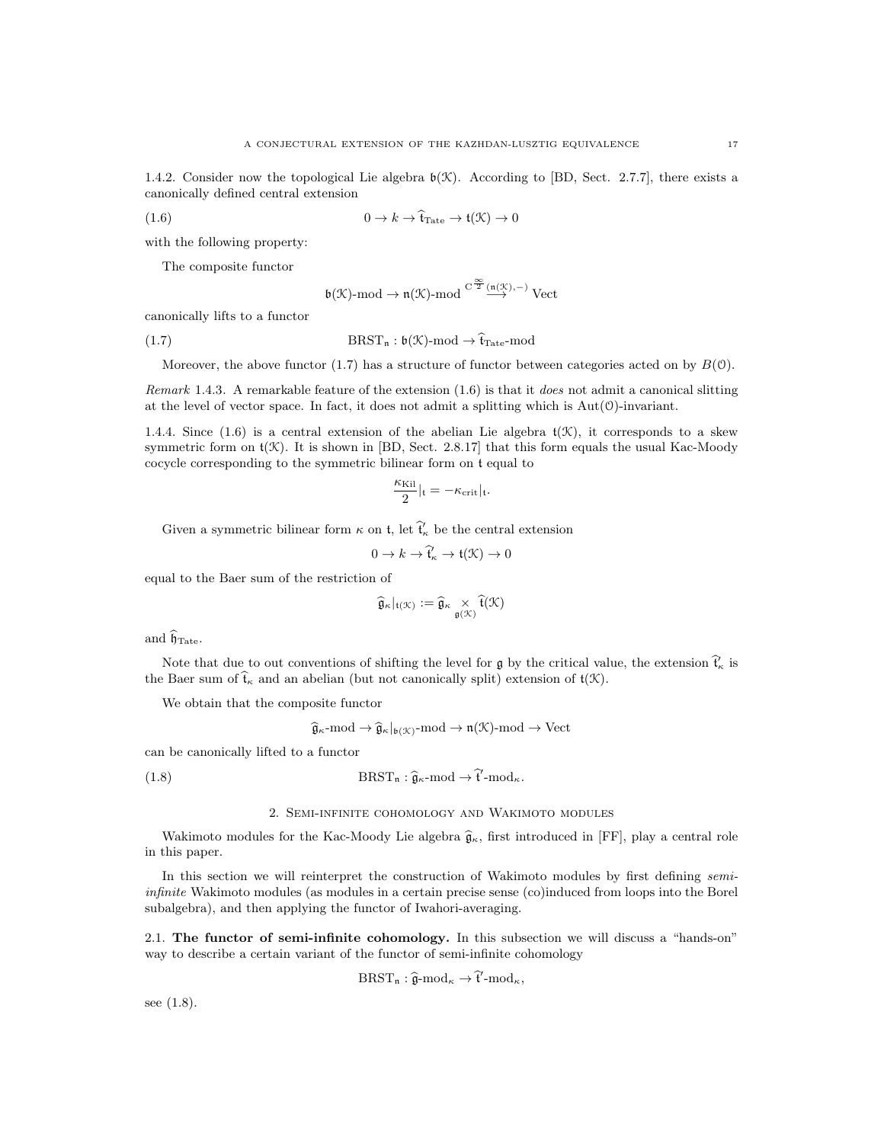1.4.2. Consider now the topological Lie algebra  $\mathfrak{b}(\mathfrak{K})$ . According to [BD, Sect. 2.7.7], there exists a canonically defined central extension

(1.6) 
$$
0 \to k \to \hat{\mathfrak{t}}_{\text{Tate}} \to \mathfrak{t}(\mathfrak{K}) \to 0
$$

with the following property:

The composite functor

$$
\mathfrak{b}(\mathfrak{K})\text{-}\mathrm{mod} \to \mathfrak{n}(\mathfrak{K})\text{-}\mathrm{mod} \overset{\mathrm{C}^{\,\frac{\infty}{2}}(\mathfrak{n}(\mathfrak{K}),-)}{\longrightarrow} \mathrm{Vect}
$$

canonically lifts to a functor

(1.7) 
$$
BRST_n : \mathfrak{b}(\mathcal{K})\text{-mod} \to \widehat{\mathfrak{t}}_{\text{Tate}}\text{-mod}
$$

Moreover, the above functor (1.7) has a structure of functor between categories acted on by  $B(0)$ .

Remark 1.4.3. A remarkable feature of the extension (1.6) is that it does not admit a canonical slitting at the level of vector space. In fact, it does not admit a splitting which is  $Aut(0)$ -invariant.

1.4.4. Since (1.6) is a central extension of the abelian Lie algebra  $\mathfrak{t}(\mathcal{K})$ , it corresponds to a skew symmetric form on  $t(\mathcal{K})$ . It is shown in [BD, Sect. 2.8.17] that this form equals the usual Kac-Moody cocycle corresponding to the symmetric bilinear form on t equal to

$$
\frac{\kappa_{\text{Kil}}}{2}|_{\mathfrak{t}}=-\kappa_{\text{crit}}|_{\mathfrak{t}}.
$$

Given a symmetric bilinear form  $\kappa$  on  $t$ , let  $\widehat{t}'_{\kappa}$  be the central extension

$$
0 \to k \to \widehat{\mathfrak{t}}'_\kappa \to \mathfrak{t}(\mathfrak{K}) \to 0
$$

equal to the Baer sum of the restriction of

$$
\widehat{\mathfrak{g}}_\kappa|_{\mathfrak{t}(\mathfrak{K})}:=\widehat{\mathfrak{g}}_\kappa\underset{\mathfrak{g}(\mathfrak{K})}{\times}\widehat{\mathfrak{t}}(\mathfrak{K})
$$

and  $\widehat{\mathfrak{h}}_{\text{Tate}}$ .

Note that due to out conventions of shifting the level for  $\mathfrak{g}$  by the critical value, the extension  $\hat{\mathcal{t}}_{\kappa}$  is the Baer sum of  $\hat{t}_{\kappa}$  and an abelian (but not canonically split) extension of  $t(\mathcal{K})$ .

We obtain that the composite functor

$$
\widehat{\mathfrak{g}}_{\kappa}\text{-mod} \to \widehat{\mathfrak{g}}_{\kappa}|_{\mathfrak{b}(\mathcal{K})}\text{-mod} \to \mathfrak{n}(\mathcal{K})\text{-mod} \to \text{Vect}
$$

can be canonically lifted to a functor

(1.8) 
$$
\text{BRST}_{n}: \widehat{\mathfrak{g}}_{\kappa} \text{-mod} \to \widehat{\mathfrak{t}}' \text{-mod}_{\kappa}.
$$

## 2. Semi-infinite cohomology and Wakimoto modules

Wakimoto modules for the Kac-Moody Lie algebra  $\hat{\mathfrak{g}}_{\kappa}$ , first introduced in [FF], play a central role in this paper.

In this section we will reinterpret the construction of Wakimoto modules by first defining semiinfinite Wakimoto modules (as modules in a certain precise sense (co)induced from loops into the Borel subalgebra), and then applying the functor of Iwahori-averaging.

2.1. The functor of semi-infinite cohomology. In this subsection we will discuss a "hands-on" way to describe a certain variant of the functor of semi-infinite cohomology

$$
\mathrm{BRST}_n : \widehat{\mathfrak{g}}\text{-}\mathrm{mod}_\kappa \to \widehat{\mathfrak{t}}' \text{-}\mathrm{mod}_\kappa,
$$

see (1.8).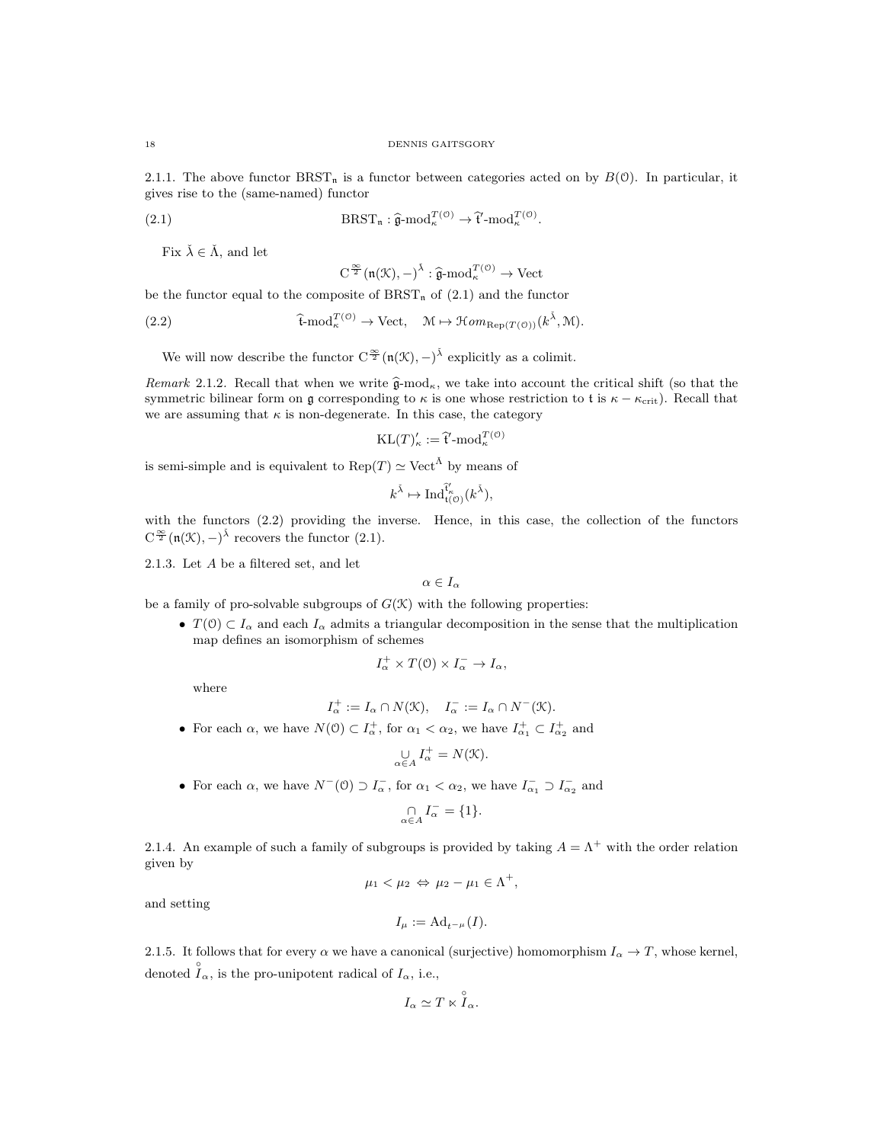2.1.1. The above functor BRST<sub>n</sub> is a functor between categories acted on by  $B(0)$ . In particular, it gives rise to the (same-named) functor

(2.1) 
$$
\text{BRST}_{n}: \widehat{\mathfrak{g}}\text{-mod}_{\kappa}^{T(\mathfrak{O})} \to \widehat{\mathfrak{t}}'\text{-mod}_{\kappa}^{T(\mathfrak{O})}.
$$

Fix  $\check{\lambda} \in \check{\Lambda}$ , and let

$$
C^{\frac{\infty}{2}}(\mathfrak{n}(\mathcal{K}), -)^{\check{\lambda}} : \widehat{\mathfrak{g}}\text{-mod}_{\kappa}^{T(\mathcal{O})} \to \text{Vect}
$$

be the functor equal to the composite of  $BRST_n$  of  $(2.1)$  and the functor

(2.2) 
$$
\hat{\mathbf{t}} \text{-mod}_{\kappa}^{T(\mathcal{O})} \to \text{Vect}, \quad \mathcal{M} \mapsto \mathcal{H}om_{\text{Rep}(T(\mathcal{O}))}(k^{\check{\lambda}}, \mathcal{M}).
$$

We will now describe the functor  $C^{\frac{\infty}{2}}(\mathfrak{n}(\mathcal{K}), -)^{\tilde{\lambda}}$  explicitly as a colimit.

Remark 2.1.2. Recall that when we write  $\hat{\mathfrak{g}}$ -mod<sub>k</sub>, we take into account the critical shift (so that the symmetric bilinear form on g corresponding to  $\kappa$  is one whose restriction to t is  $\kappa - \kappa_{\rm crit}$ ). Recall that we are assuming that  $\kappa$  is non-degenerate. In this case, the category

$$
KL(T)'_{\kappa} := \hat{\mathfrak{t}}' \text{-mod}_{\kappa}^{T(\mathfrak{O})}
$$

is semi-simple and is equivalent to  $\text{Rep}(T) \simeq \text{Vect}^{\tilde{\Lambda}}$  by means of

$$
k^{\check\lambda} \mapsto \mathrm{Ind}_{\mathfrak{t}(\mathfrak{O})}^{\tilde{\mathfrak{t}}'_{\kappa}}(k^{\check\lambda}),
$$

with the functors (2.2) providing the inverse. Hence, in this case, the collection of the functors  $C^{\frac{\infty}{2}}(\mathfrak{n}(\mathcal{K}), -)^{\tilde{\lambda}}$  recovers the functor (2.1).

2.1.3. Let A be a filtered set, and let

 $\alpha \in I_{\alpha}$ 

be a family of pro-solvable subgroups of  $G(\mathcal{K})$  with the following properties:

•  $T(0) \subset I_{\alpha}$  and each  $I_{\alpha}$  admits a triangular decomposition in the sense that the multiplication map defines an isomorphism of schemes

$$
I_{\alpha}^{+} \times T(\mathcal{O}) \times I_{\alpha}^{-} \to I_{\alpha},
$$

where

$$
I_{\alpha}^{+} := I_{\alpha} \cap N(\mathfrak{K}), \quad I_{\alpha}^{-} := I_{\alpha} \cap N^{-}(\mathfrak{K}).
$$

• For each  $\alpha$ , we have  $N(0) \subset I_{\alpha}^+$ , for  $\alpha_1 < \alpha_2$ , we have  $I_{\alpha_1}^+ \subset I_{\alpha_2}^+$  and

$$
\bigcup_{\alpha \in A} I_{\alpha}^{+} = N(\mathcal{K}).
$$

• For each  $\alpha$ , we have  $N^-(0) \supset I_\alpha^-$ , for  $\alpha_1 < \alpha_2$ , we have  $I_{\alpha_1}^- \supset I_{\alpha_2}^-$  and

$$
\bigcap_{\alpha \in A} I_{\alpha}^- = \{1\}.
$$

2.1.4. An example of such a family of subgroups is provided by taking  $A = \Lambda^+$  with the order relation given by

$$
\mu_1 < \mu_2 \Leftrightarrow \mu_2 - \mu_1 \in \Lambda^+,
$$

and setting

$$
I_{\mu}:=\mathrm{Ad}_{t^{-\mu}}(I).
$$

2.1.5. It follows that for every  $\alpha$  we have a canonical (surjective) homomorphism  $I_{\alpha} \to T$ , whose kernel, denoted  $\hat{I}_{\alpha}$ , is the pro-unipotent radical of  $I_{\alpha}$ , i.e.,

$$
I_{\alpha} \simeq T \ltimes \overset{\circ}{I}_{\alpha}.
$$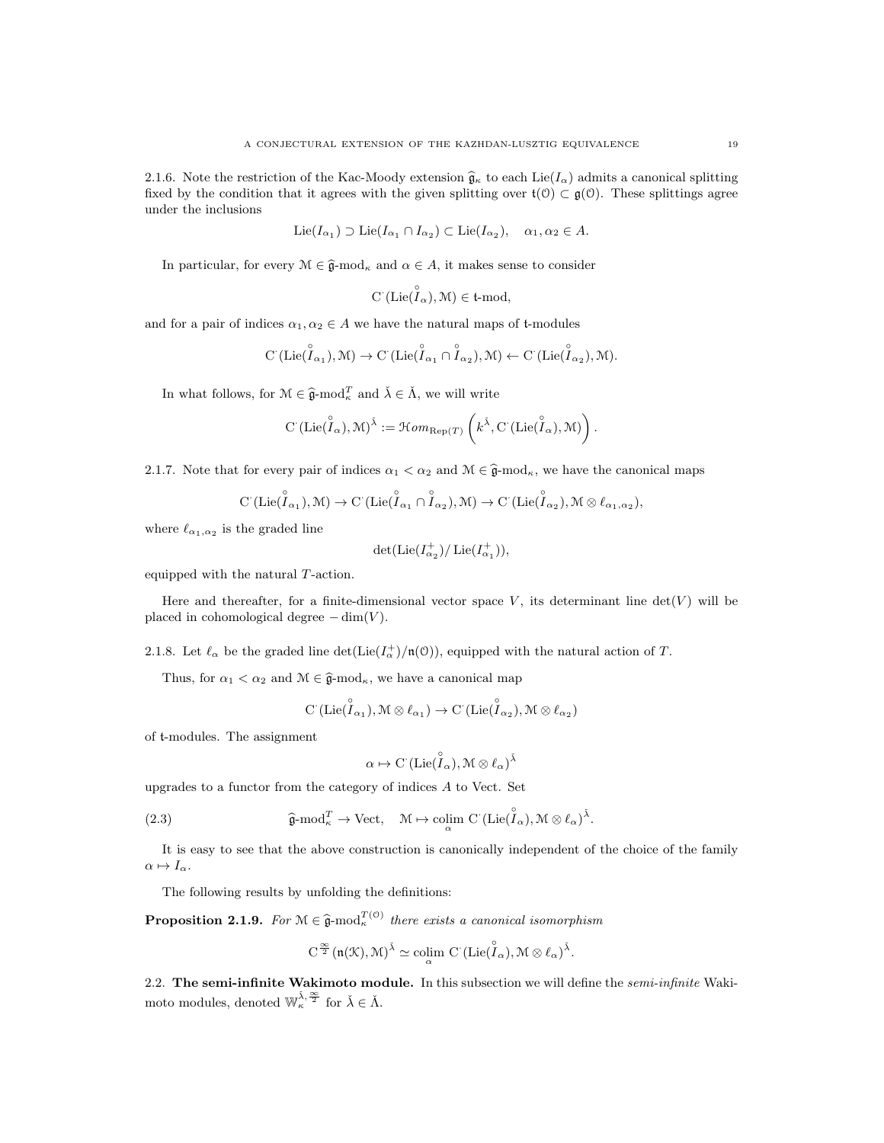2.1.6. Note the restriction of the Kac-Moody extension  $\hat{\mathfrak{g}}_{\kappa}$  to each Lie( $I_{\alpha}$ ) admits a canonical splitting fixed by the condition that it agrees with the given splitting over  $\mathfrak{t}(\mathcal{O}) \subset \mathfrak{g}(\mathcal{O})$ . These splittings agree under the inclusions

$$
\mathrm{Lie}(I_{\alpha_1}) \supset \mathrm{Lie}(I_{\alpha_1} \cap I_{\alpha_2}) \subset \mathrm{Lie}(I_{\alpha_2}), \quad \alpha_1, \alpha_2 \in A.
$$

In particular, for every  $\mathcal{M} \in \hat{\mathfrak{g}}$ -mod<sub>k</sub> and  $\alpha \in A$ , it makes sense to consider

$$
C^{\cdot}(\mathop{\rm Lie}(\overset{\circ}{I}_{\alpha}),{\mathcal {M}})\in\mathfrak{t}\text{-}\mathrm{mod},
$$

and for a pair of indices  $\alpha_1, \alpha_2 \in A$  we have the natural maps of t-modules

$$
C^{\cdot}(\mathrm{Lie}(\overset{\circ}{I}_{\alpha_1}), \mathcal{M}) \to C^{\cdot}(\mathrm{Lie}(\overset{\circ}{I}_{\alpha_1} \cap \overset{\circ}{I}_{\alpha_2}), \mathcal{M}) \leftarrow C^{\cdot}(\mathrm{Lie}(\overset{\circ}{I}_{\alpha_2}), \mathcal{M}).
$$

In what follows, for  $\mathcal{M} \in \hat{\mathfrak{g}}$ -mod $^T_{\kappa}$  and  $\check{\lambda} \in \check{\Lambda}$ , we will write

$$
\text{C}^\cdot(\text{Lie}(\overset{\circ}{I}_\alpha),\mathcal{M})^{\check{\lambda}}:=\mathcal{H}\mathit{om}_{\text{Rep}(T)}\left(k^{\check{\lambda}},\text{C}^\cdot(\text{Lie}(\overset{\circ}{I}_\alpha),\mathcal{M})\right).
$$

2.1.7. Note that for every pair of indices  $\alpha_1 < \alpha_2$  and  $\mathcal{M} \in \hat{\mathfrak{g}}$ -mod<sub> $\kappa$ </sub>, we have the canonical maps

$$
C^{\cdot}(\mathrm{Lie}(\overset{\circ}{I}_{\alpha_{1}}), \mathcal{M}) \to C^{\cdot}(\mathrm{Lie}(\overset{\circ}{I}_{\alpha_{1}} \cap \overset{\circ}{I}_{\alpha_{2}}), \mathcal{M}) \to C^{\cdot}(\mathrm{Lie}(\overset{\circ}{I}_{\alpha_{2}}), \mathcal{M} \otimes \ell_{\alpha_{1}, \alpha_{2}}),
$$

where  $\ell_{\alpha_1,\alpha_2}$  is the graded line

$$
\det(\mathrm{Lie}(I_{\alpha_2}^+)/\,\mathrm{Lie}(I_{\alpha_1}^+)),
$$

equipped with the natural T-action.

Here and thereafter, for a finite-dimensional vector space  $V$ , its determinant line  $det(V)$  will be placed in cohomological degree  $-\dim(V)$ .

2.1.8. Let  $\ell_{\alpha}$  be the graded line  $\det(\mathrm{Lie}(I_{\alpha}^{+})/\mathfrak{n}(0))$ , equipped with the natural action of T.

Thus, for  $\alpha_1 < \alpha_2$  and  $\mathcal{M} \in \hat{\mathfrak{g}}$ -mod<sub> $\kappa$ </sub>, we have a canonical map

$$
\mathrm{C}^\cdot(\mathrm{Lie}(\overset{\circ}{I}_{\alpha_1}),{\mathcal M}\otimes\ell_{\alpha_1})\to\mathrm{C}^\cdot(\mathrm{Lie}(\overset{\circ}{I}_{\alpha_2}),{\mathcal M}\otimes\ell_{\alpha_2})
$$

of t-modules. The assignment

$$
\alpha \mapsto C^{\cdot}(\mathrm{Lie}(\overset{\circ}{I}_{\alpha}), \mathcal{M} \otimes \ell_{\alpha})^{\check{\lambda}}
$$

upgrades to a functor from the category of indices  $A$  to Vect. Set

(2.3) 
$$
\widehat{\mathfrak{g}}\text{-mod}_{\kappa}^T \to \text{Vect}, \quad \mathcal{M} \mapsto \underset{\alpha}{\text{colim }} \mathrm{C}^{\cdot}(\mathrm{Lie}(\widehat{I}_{\alpha}), \mathcal{M} \otimes \ell_{\alpha})^{\check{\lambda}}.
$$

It is easy to see that the above construction is canonically independent of the choice of the family  $\alpha \mapsto I_{\alpha}.$ 

The following results by unfolding the definitions:

**Proposition 2.1.9.** For  $M \in \hat{\mathfrak{g}}$ -mod $_{\kappa}^{T(\mathfrak{O})}$  there exists a canonical isomorphism

$$
C^{\frac{\infty}{2}}(\mathfrak{n}(\mathfrak{K}),\mathfrak{M})^{\check{\lambda}}\simeq \underset{\alpha}{\operatorname{colim}}\;C\left(\mathrm{Lie}(\overset{\circ}{I}_\alpha),\mathfrak{M}\otimes \ell_\alpha\right)^{\check{\lambda}}.
$$

2.2. The semi-infinite Wakimoto module. In this subsection we will define the *semi-infinite* Wakimoto modules, denoted  $\mathbb{W}_{\kappa}^{\check{\lambda}, \frac{\infty}{2}}$  for  $\check{\lambda} \in \check{\Lambda}$ .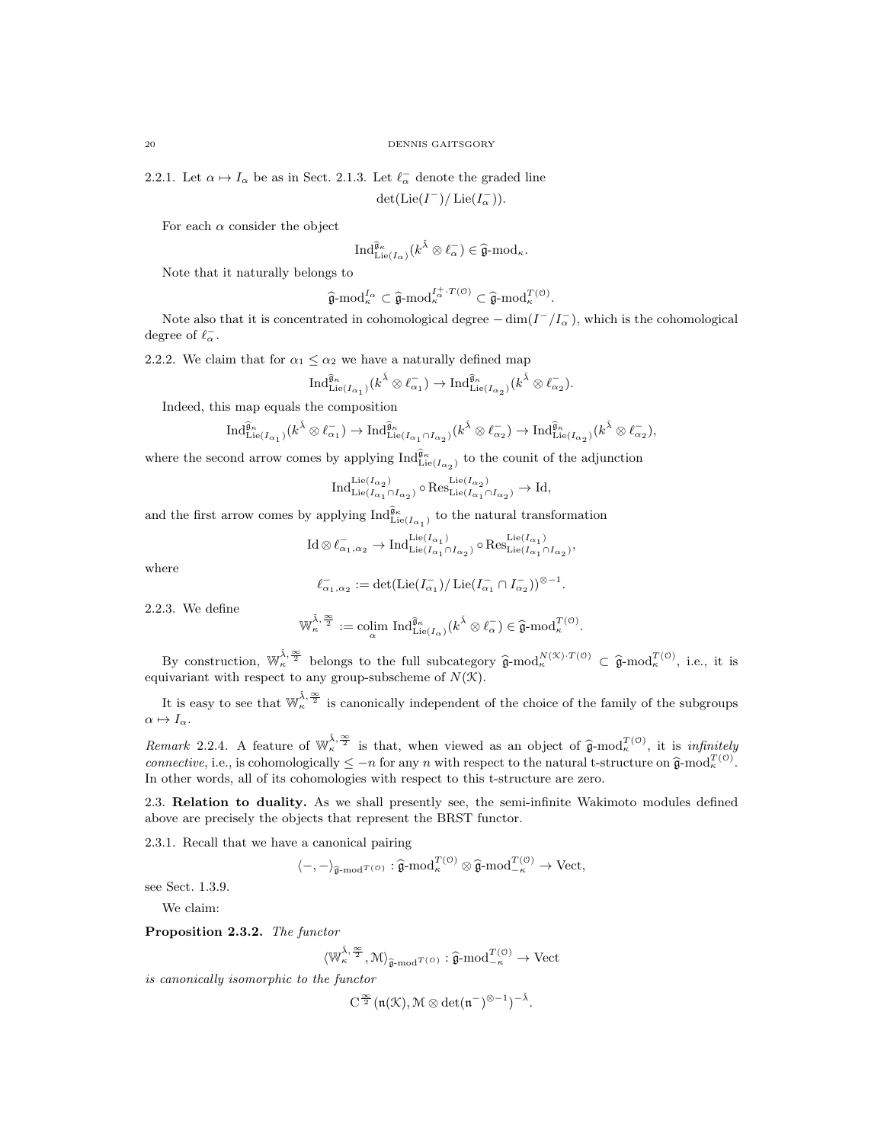2.2.1. Let  $\alpha \mapsto I_{\alpha}$  be as in Sect. 2.1.3. Let  $\ell_{\alpha}^-$  denote the graded line

$$
\det(\mathrm{Lie}(I^-)/\operatorname{Lie}(I^-_\alpha)).
$$

For each  $\alpha$  consider the object

$$
\mathrm{Ind}_{\mathrm{Lie}(I_{\alpha})}^{\widehat{\mathfrak{g}}_{\kappa}}(k^{\check{\lambda}} \otimes \ell_{\alpha}^{-}) \in \widehat{\mathfrak{g}}\text{-}\mathrm{mod}_{\kappa}.
$$

Note that it naturally belongs to

$$
\widehat{\mathfrak{g}}\text{-}\mathrm{mod}_{\kappa}^{I_{\alpha}} \subset \widehat{\mathfrak{g}}\text{-}\mathrm{mod}_{\kappa}^{I_{\alpha}^{+}\cdot T(\mathfrak{O})} \subset \widehat{\mathfrak{g}}\text{-}\mathrm{mod}_{\kappa}^{T(\mathfrak{O})}.
$$

Note also that it is concentrated in cohomological degree  $-\dim(I^-/I^-_{\alpha})$ , which is the cohomological degree of  $\ell_{\alpha}^-$ .

2.2.2. We claim that for  $\alpha_1 \leq \alpha_2$  we have a naturally defined map

$$
\mathrm{Ind}_{\mathrm{Lie}(I_{\alpha_1})}^{\widehat{\mathfrak{g}}_\kappa}(k^{\check{\lambda}}\otimes \ell_{\alpha_1}^-)\to \mathrm{Ind}_{\mathrm{Lie}(I_{\alpha_2})}^{\widehat{\mathfrak{g}}_\kappa}(k^{\check{\lambda}}\otimes \ell_{\alpha_2}^-).
$$

Indeed, this map equals the composition

$$
\mathrm{Ind}_{\mathrm{Lie}(I_{\alpha_1})}^{\widehat{\mathfrak{g}}_\kappa}(k^{\check{\lambda}}\otimes \ell_{\alpha_1}^-)\to \mathrm{Ind}_{\mathrm{Lie}(I_{\alpha_1}\cap I_{\alpha_2})}^{\widehat{\mathfrak{g}}_\kappa}(k^{\check{\lambda}}\otimes \ell_{\alpha_2}^-)\to \mathrm{Ind}_{\mathrm{Lie}(I_{\alpha_2})}^{\widehat{\mathfrak{g}}_\kappa}(k^{\check{\lambda}}\otimes \ell_{\alpha_2}^-),
$$

where the second arrow comes by applying  $\text{Ind}_{\text{Lie}(I_{\alpha_2})}^{\hat{\mathfrak{g}}_\kappa}$  to the counit of the adjunction

$$
\text{Ind}_{\text{Lie}(I_{\alpha_1} \cap I_{\alpha_2})}^{\text{Lie}(I_{\alpha_2})} \circ \text{Res}_{\text{Lie}(I_{\alpha_1} \cap I_{\alpha_2})}^{\text{Lie}(I_{\alpha_2})} \to \text{Id},
$$

and the first arrow comes by applying  $\text{Ind}_{\text{Lie}(I_{\alpha_1})}^{\widehat{\mathfrak{g}}_\kappa}$  to the natural transformation

$$
\operatorname{Id}\otimes \ell_{\alpha_1,\alpha_2}^{-}\to \operatorname{Ind}_{\operatorname{Lie}(I_{\alpha_1}\cap I_{\alpha_2})}^{\operatorname{Lie}(I_{\alpha_1})}\circ \operatorname{Res}^{\operatorname{Lie}(I_{\alpha_1})}_{\operatorname{Lie}(I_{\alpha_1}\cap I_{\alpha_2})},
$$

where

$$
\ell^-_{\alpha_1,\alpha_2}:=\det(\mathrm{Lie}(I^-_{\alpha_1})/\operatorname{Lie}(I^-_{\alpha_1}\cap I^-_{\alpha_2}))^{\otimes -1}.
$$

2.2.3. We define

$$
\mathbb{W}_{\kappa}^{\tilde{\lambda},\frac{\infty}{2}}:=\underset{\alpha}{\text{colim }}\operatorname{Ind}_{\operatorname{Lie}(I_{\alpha})}^{\widehat{\mathfrak{g}}_{\kappa}}(k^{\tilde{\lambda}}\otimes \ell_{\alpha}^{-})\in \widehat{\mathfrak{g}}\text{-}\mathrm{mod}^{T(\mathfrak{0})}_{\kappa}.
$$

By construction,  $\mathbb{W}_{\kappa}^{\bar{\lambda}, \frac{\infty}{2}}$  belongs to the full subcategory  $\hat{\mathfrak{g}}$ -mod $_{\kappa}^{N(\mathcal{K})}$   $T^{(0)} \subset \hat{\mathfrak{g}}$ -mod $_{\kappa}^{T^{(0)}}$ , i.e., it is equivariant with respect to any group-subscheme of  $N(\mathcal{K})$ .

It is easy to see that  $\mathbb{W}_{\kappa}^{\tilde{\lambda},\frac{\infty}{2}}$  is canonically independent of the choice of the family of the subgroups  $\alpha \mapsto I_{\alpha}$ .

Remark 2.2.4. A feature of  $\mathbb{W}_{\kappa}^{\tilde{\lambda}, \frac{\infty}{2}}$  is that, when viewed as an object of  $\hat{\mathfrak{g}}$ -mod $_T^{T(\mathcal{O})}$ , it is infinitely connective, i.e., is cohomologically  $\leq -n$  for any n with respect to the natural t-structure on  $\hat{\mathfrak{g}}$ -mod $_{\kappa}^{T(0)}$ . In other words, all of its cohomologies with respect to this t-structure are zero.

2.3. Relation to duality. As we shall presently see, the semi-infinite Wakimoto modules defined above are precisely the objects that represent the BRST functor.

2.3.1. Recall that we have a canonical pairing

$$
\langle -, - \rangle_{\widehat{\mathfrak{g}}\text{-}\mathrm{mod}^{T(\mathfrak{O})}} : \widehat{\mathfrak{g}}\text{-}\mathrm{mod}^{T(\mathfrak{O})}_{\kappa} \otimes \widehat{\mathfrak{g}}\text{-}\mathrm{mod}^{T(\mathfrak{O})}_{-\kappa} \to \mathrm{Vect},
$$

see Sect. 1.3.9.

We claim:

Proposition 2.3.2. The functor

 $\langle \mathbb{W}_{\kappa}^{\check{\lambda}, \frac{\infty}{2}}, \mathcal{M} \rangle_{\hat{\mathfrak{g}}\text{-}\mathrm{mod}^{T(\mathcal{O})}} : \hat{\mathfrak{g}}\text{-}\mathrm{mod}^{T(\mathcal{O})}_{-\kappa} \to \mathrm{Vect}$ 

is canonically isomorphic to the functor

$$
C^{\frac{\infty}{2}}(\mathfrak{n}(\mathcal{K}),\mathcal{M}\otimes\det(\mathfrak{n}^-)^{\otimes -1})^{-\check{\lambda}}.
$$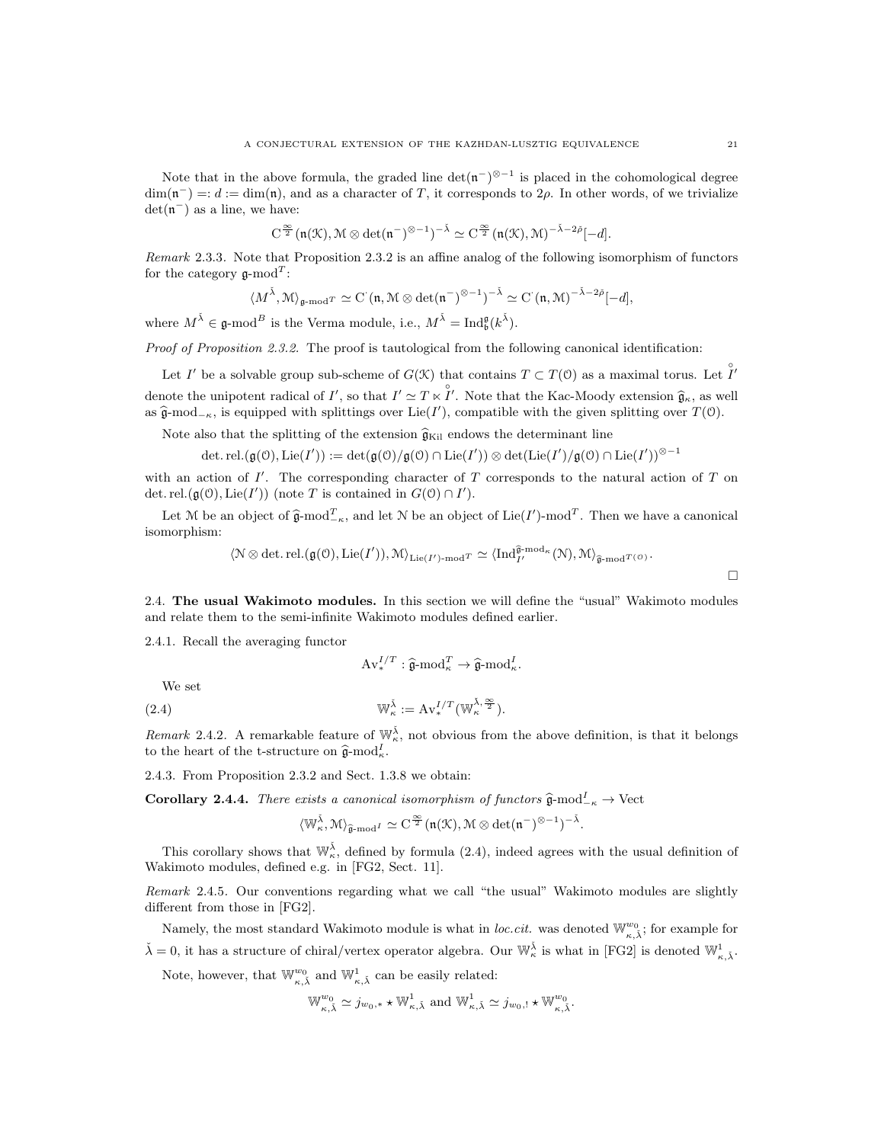Note that in the above formula, the graded line  $\det(\mathfrak{n}^{-})^{\otimes -1}$  is placed in the cohomological degree  $\dim(\mathfrak{n}^-) =: d := \dim(\mathfrak{n})$ , and as a character of T, it corresponds to  $2\rho$ . In other words, of we trivialize  $det(\mathfrak{n}^-)$  as a line, we have:

$$
C^{\frac{\infty}{2}}(\mathfrak{n}(\mathfrak{K}),\mathfrak{M}\otimes \det(\mathfrak{n}^-)^{\otimes -1})^{-\tilde{\lambda}}\simeq C^{\frac{\infty}{2}}(\mathfrak{n}(\mathfrak{K}),\mathfrak{M})^{-\tilde{\lambda}-2\tilde{\rho}}[-d].
$$

Remark 2.3.3. Note that Proposition 2.3.2 is an affine analog of the following isomorphism of functors for the category  $\mathfrak{g}\text{-mod}^T$ :

$$
\langle M^{\tilde{\lambda}}, \mathcal{M} \rangle_{\mathfrak{g}\text{-}\mathrm{mod}^T} \simeq \mathrm{C}^{\cdot}(\mathfrak{n}, \mathcal{M} \otimes \det(\mathfrak{n}^-)^{\otimes -1})^{-\tilde{\lambda}} \simeq \mathrm{C}^{\cdot}(\mathfrak{n}, \mathcal{M})^{-\tilde{\lambda}-2\tilde{\rho}}[-d],
$$

where  $M^{\check{\lambda}} \in \mathfrak{g}\text{-mod}^B$  is the Verma module, i.e.,  $M^{\check{\lambda}} = \text{Ind}_{\mathfrak{b}}^{\mathfrak{g}}(k^{\check{\lambda}})$ .

Proof of Proposition 2.3.2. The proof is tautological from the following canonical identification:

Let I' be a solvable group sub-scheme of  $G(\mathcal{K})$  that contains  $T \subset T(\mathcal{O})$  as a maximal torus. Let  $\hat{I}'$ denote the unipotent radical of  $I'$ , so that  $I' \simeq T \ltimes \overset{\circ}{I'}$ . Note that the Kac-Moody extension  $\hat{\mathfrak{g}}_{\kappa}$ , as well as  $\hat{\mathfrak{g}}$ -mod<sub>− $\kappa$ </sub>, is equipped with splittings over Lie(I'), compatible with the given splitting over  $T(0)$ .

Note also that the splitting of the extension  $\hat{\mathfrak{g}}_{\text{Kil}}$  endows the determinant line

$$
\det.\mathrm{rel.}(\mathfrak{g}(\mathcal{O}),\mathrm{Lie}(I')):=\det(\mathfrak{g}(\mathcal{O})/\mathfrak{g}(\mathcal{O})\cap\mathrm{Lie}(I'))\otimes\det(\mathrm{Lie}(I')/\mathfrak{g}(\mathcal{O})\cap\mathrm{Lie}(I'))^{\otimes -1}
$$

with an action of  $I'$ . The corresponding character of T corresponds to the natural action of T on det. rel. $(\mathfrak{g}(\mathfrak{O}), \mathrm{Lie}(I'))$  (note T is contained in  $G(\mathfrak{O}) \cap I'$ ).

Let M be an object of  $\hat{\mathfrak{g}}$ -mod $_{-\kappa}^T$ , and let N be an object of Lie(I')-mod<sup>T</sup>. Then we have a canonical isomorphism:

$$
\langle \mathbb{N} \otimes \det \det \det(\mathfrak{g}(\mathcal{O}), \mathrm{Lie}(I')), \mathcal{M} \rangle_{\mathrm{Lie}(I')\text{-}\mathrm{mod}^T} \simeq \langle \mathrm{Ind}_{I'}^{\widehat{\mathfrak{g}}\text{-}\mathrm{mod}^\kappa}(\mathbb{N}), \mathcal{M} \rangle_{\widehat{\mathfrak{g}}\text{-}\mathrm{mod}^{T(\mathcal{O})}}.
$$

2.4. The usual Wakimoto modules. In this section we will define the "usual" Wakimoto modules and relate them to the semi-infinite Wakimoto modules defined earlier.

2.4.1. Recall the averaging functor

$$
\mathrm{Av}_{*}^{I/T} : \widehat{\mathfrak{g}}\text{-}\mathrm{mod}_{\kappa}^{T} \to \widehat{\mathfrak{g}}\text{-}\mathrm{mod}_{\kappa}^{I}.
$$

We set

(2.4) 
$$
\mathbb{W}_{\kappa}^{\check{\lambda}} := \mathrm{Av}_{*}^{I/T}(\mathbb{W}_{\kappa}^{\check{\lambda},\frac{\infty}{2}}).
$$

Remark 2.4.2. A remarkable feature of  $\mathbb{W}_{\kappa}^{\check{\lambda}}$ , not obvious from the above definition, is that it belongs to the heart of the t-structure on  $\hat{\mathfrak{g}}$ -mod<sub> $\kappa$ </sub>.

2.4.3. From Proposition 2.3.2 and Sect. 1.3.8 we obtain:

**Corollary 2.4.4.** There exists a canonical isomorphism of functors  $\hat{\mathfrak{g}}$ -mod<sup>I</sup><sub>-K</sub> → Vect

$$
\langle \mathbb{W}_{\kappa}^{\check{\lambda}}, \mathfrak{M} \rangle_{\widehat{\mathfrak{g}}\text{-}\mathrm{mod}^{\mathrm{\mathit{I}}}} \simeq \mathrm{C}^{\frac{\infty}{2}}(\mathfrak{n}(\mathfrak{K}), \mathfrak{M} \otimes \mathrm{det}(\mathfrak{n}^-)^{\otimes -1})^{-\check{\lambda}}.
$$

This corollary shows that  $\mathbb{W}_{\kappa}^{\check{\lambda}}$ , defined by formula (2.4), indeed agrees with the usual definition of Wakimoto modules, defined e.g. in [FG2, Sect. 11].

Remark 2.4.5. Our conventions regarding what we call "the usual" Wakimoto modules are slightly different from those in [FG2].

Namely, the most standard Wakimoto module is what in *loc.cit.* was denoted  $\mathbb{W}_{\kappa,\tilde{\lambda}}^{w_0}$ ; for example for  $\check{\lambda} = 0$ , it has a structure of chiral/vertex operator algebra. Our  $\mathbb{W}_{\kappa}^{\check{\lambda}}$  is what in [FG2] is denoted  $\mathbb{W}_{\kappa,\check{\lambda}}^1$ .

Note, however, that  $\mathbb{W}^{w_0}_{\kappa,\check{\lambda}}$  and  $\mathbb{W}^1_{\kappa,\check{\lambda}}$  can be easily related:

$$
\mathbb{W}_{\kappa,\check{\lambda}}^{w_0} \simeq j_{w_0,*} \star \mathbb{W}_{\kappa,\check{\lambda}}^1 \text{ and } \mathbb{W}_{\kappa,\check{\lambda}}^1 \simeq j_{w_0,!} \star \mathbb{W}_{\kappa,\check{\lambda}}^{w_0}.
$$

 $\Box$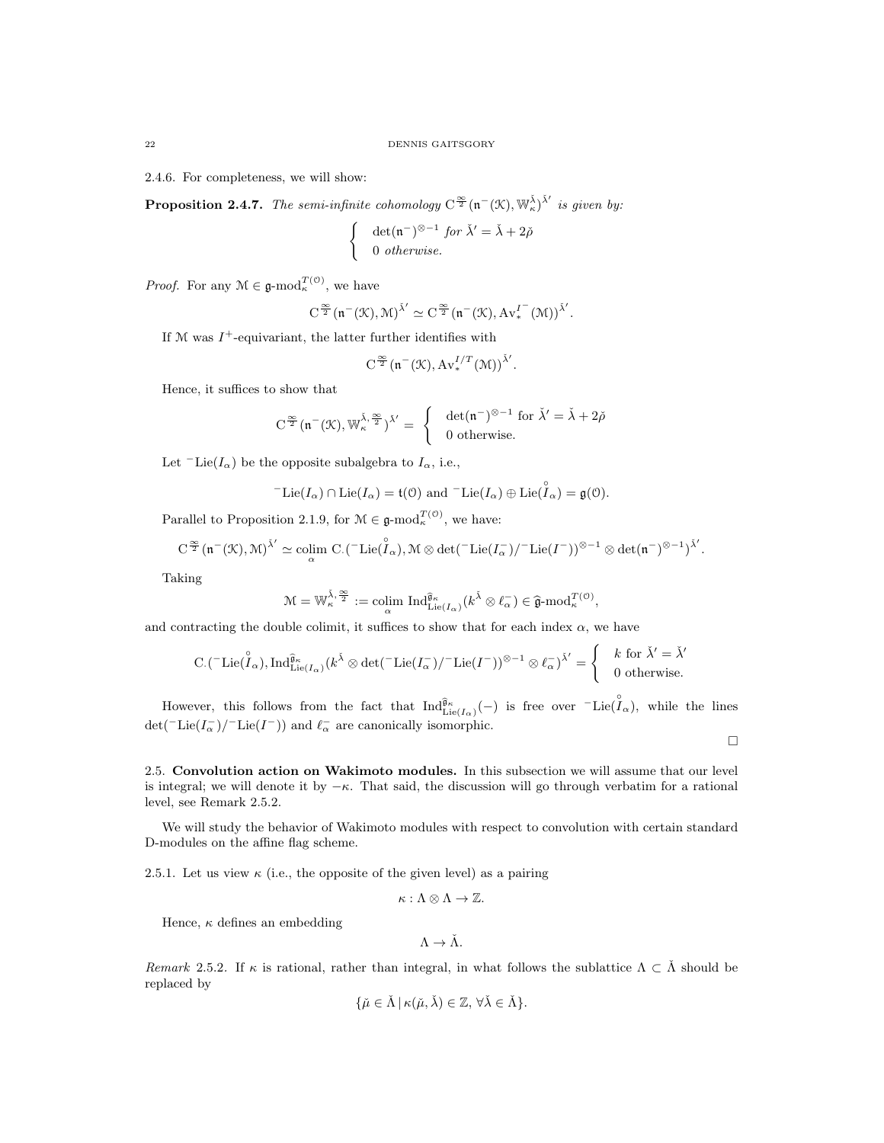2.4.6. For completeness, we will show:

**Proposition 2.4.7.** The semi-infinite cohomology  $C^{\frac{\infty}{2}}(\mathfrak{n}^{-}(\mathfrak{X}), \mathbb{W}_{\kappa}^{\check{\lambda}})^{\check{\lambda}'}$  is given by:

$$
\begin{cases} \det(\mathfrak{n}^-)^{\otimes -1} \text{ for } \check{\lambda}' = \check{\lambda} + 2\check{\rho} \\ 0 \text{ otherwise.} \end{cases}
$$

*Proof.* For any  $\mathcal{M} \in \mathfrak{g}\text{-mod}_{\kappa}^{\mathcal{T}(\mathcal{O})}$ , we have

$$
C^{\frac{\infty}{2}}(\mathfrak{n}^-(\mathfrak{K}),\mathfrak{M})^{\check{\lambda}'}\simeq C^{\frac{\infty}{2}}(\mathfrak{n}^-(\mathfrak{K}),A{v_*^1}^-(\mathfrak{M}))^{\check{\lambda}'}.
$$

If  $M$  was  $I^+$ -equivariant, the latter further identifies with

$$
C^{\frac{\infty}{2}}(\mathfrak{n}^-(\mathfrak{K}), Av_*^{I/T}(\mathfrak{M}))^{\check{\lambda}'}.
$$

Hence, it suffices to show that

$$
C^{\frac{\infty}{2}}(\mathfrak{n}^-(\mathcal{K}), \mathbb{W}_{\kappa}^{\check{\lambda}, \frac{\infty}{2}})^{\check{\lambda}'} = \begin{cases} \det(\mathfrak{n}^-)^{\otimes -1} \text{ for } \check{\lambda}' = \check{\lambda} + 2\check{\rho} \\ 0 \text{ otherwise.} \end{cases}
$$

Let  $\ulcorner$ Lie( $I_\alpha$ ) be the opposite subalgebra to  $I_\alpha$ , i.e.,

$$
{}^-\mathrm{Lie}(I_\alpha) \cap \mathrm{Lie}(I_\alpha) = \mathfrak{t}(\mathfrak{O}) \text{ and } {}^-\mathrm{Lie}(I_\alpha) \oplus \mathrm{Lie}(\overset{\circ}{I}_\alpha) = \mathfrak{g}(\mathfrak{O}).
$$

Parallel to Proposition 2.1.9, for  $\mathcal{M} \in \mathfrak{g}\text{-mod}_{\kappa}^{\mathcal{T}(\mathcal{O})}$ , we have:

$$
C^{\frac{\infty}{2}}(\mathfrak{n}^-(\mathfrak{K}),\mathfrak{M})^{\tilde{\lambda}'}\simeq\operatornamewithlimits{colim}_{\alpha} C.(\text{-}\operatorname{Lie}(\overset{\circ}{\mathcal{I}}_\alpha),\mathfrak{M}\otimes\det(\text{-}\operatorname{Lie}(I^-_\alpha)/\text{-}\operatorname{Lie}(I^-))^{\otimes-1}\otimes\det(\mathfrak{n}^-)^{\otimes-1})^{\tilde{\lambda}'}.
$$

Taking

$$
\mathcal{M}=\mathbb{W}_\kappa^{\tilde{\lambda},\frac{\infty}{2}}:=\operatornamewithlimits{colim}_{\alpha}\; \operatorname{Ind}_{\operatorname{Lie}(I_\alpha)}^{\widehat{\mathfrak{g}}_\kappa}(\mathit{k}^{\tilde{\lambda}}\otimes \ell_\alpha^-)\in \widehat{\mathfrak{g}}\text{-}\mathrm{mod}_\kappa^{\cal{T}(\mathfrak{O})},
$$

and contracting the double colimit, it suffices to show that for each index  $\alpha$ , we have

$$
\mathrm{C.}(\ulcorner \mathrm{Lie}(\overset{\circ}{I}_{\alpha}), \mathrm{Ind}_{\mathrm{Lie}(I_{\alpha})}^{\widehat{\mathfrak{g}}_{\kappa}}(k^{\check{\lambda}} \otimes \det(\ulcorner \mathrm{Lie}(I_{\alpha}^-)/\ulcorner \mathrm{Lie}(I^-))^{\otimes -1} \otimes \ell_{\alpha}^-)^{\check{\lambda}'} = \left\{\begin{array}{c} k \text{ for } \check{\lambda}' = \check{\lambda}'\\ 0 \text{ otherwise.} \end{array} \right.
$$

However, this follows from the fact that  $\text{Ind}_{\text{Lie}(I_{\alpha})}^{\hat{\mathfrak{g}}_{\kappa}}(-)$  is free over  $\text{Lie}(\hat{I}_{\alpha})$ , while the lines det(<sup>-</sup>Lie( $I_{\alpha}^-$ )/<sup>-</sup>Lie( $I^-$ )) and  $\ell_{\alpha}^-$  are canonically isomorphic.

 $\Box$ 

2.5. Convolution action on Wakimoto modules. In this subsection we will assume that our level is integral; we will denote it by  $-\kappa$ . That said, the discussion will go through verbatim for a rational level, see Remark 2.5.2.

We will study the behavior of Wakimoto modules with respect to convolution with certain standard D-modules on the affine flag scheme.

2.5.1. Let us view  $\kappa$  (i.e., the opposite of the given level) as a pairing

 $\kappa:\Lambda\otimes\Lambda\to\mathbb{Z}.$ 

Hence,  $\kappa$  defines an embedding

 $\Lambda \rightarrow \check{\Lambda}$ .

Remark 2.5.2. If  $\kappa$  is rational, rather than integral, in what follows the sublattice  $\Lambda \subset \check{\Lambda}$  should be replaced by

$$
\{\check{\mu}\in\check{\Lambda}\,|\,\kappa(\check{\mu},\check{\lambda})\in\mathbb{Z},\,\forall\check{\lambda}\in\check{\Lambda}\}.
$$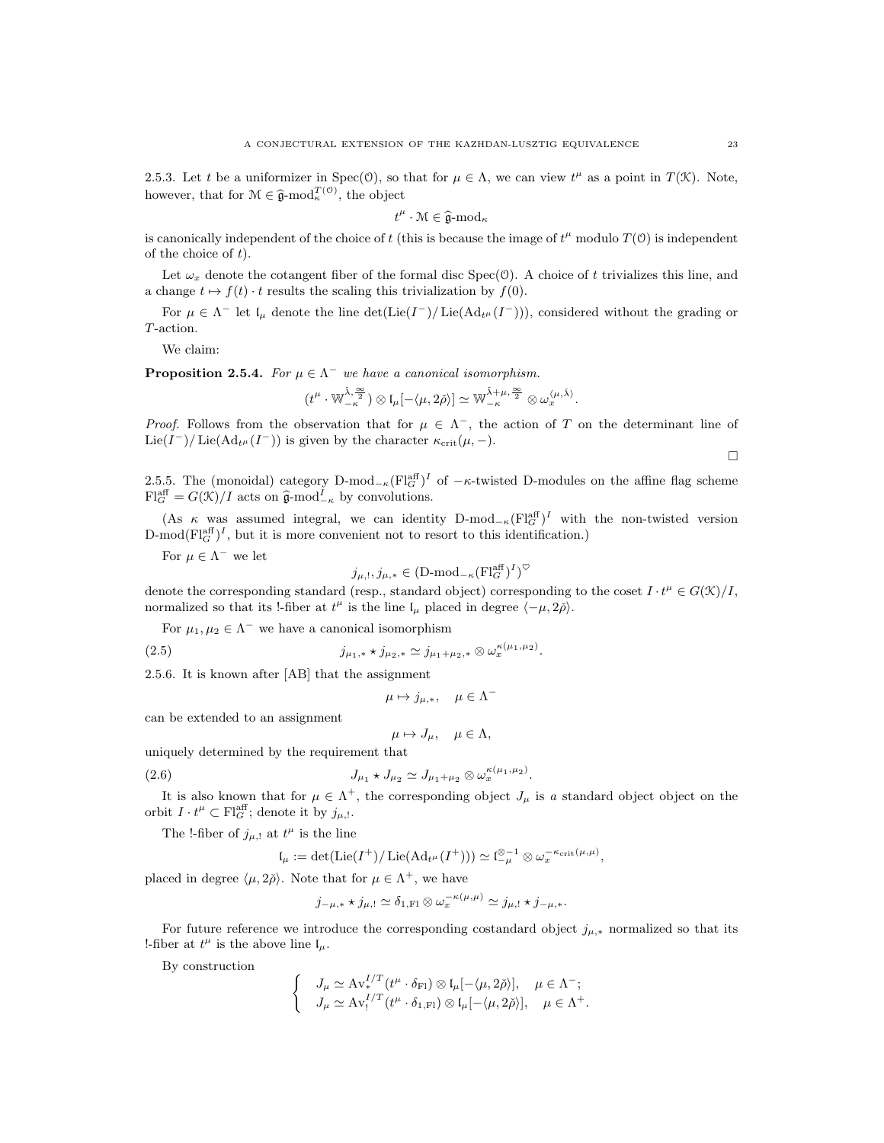2.5.3. Let t be a uniformizer in Spec $(0)$ , so that for  $\mu \in \Lambda$ , we can view  $t^{\mu}$  as a point in  $T(\mathcal{K})$ . Note, however, that for  $\mathcal{M} \in \hat{\mathfrak{g}}$ -mod $_{\kappa}^{T(\mathcal{O})}$ , the object

 $t^{\mu} \cdot \mathcal{M} \in \widehat{\mathfrak{g}}\text{-mod}_{\kappa}$ 

is canonically independent of the choice of t (this is because the image of  $t^{\mu}$  modulo  $T(0)$  is independent of the choice of  $t$ ).

Let  $\omega_x$  denote the cotangent fiber of the formal disc Spec(O). A choice of t trivializes this line, and a change  $t \mapsto f(t) \cdot t$  results the scaling this trivialization by  $f(0)$ .

For  $\mu \in \Lambda^-$  let  $\mathfrak{l}_{\mu}$  denote the line  $\det(\mathrm{Lie}(I^-)/\mathrm{Lie}(\mathrm{Ad}_{t^{\mu}}(I^-)))$ , considered without the grading or T-action.

We claim:

**Proposition 2.5.4.** For  $\mu \in \Lambda^-$  we have a canonical isomorphism.

$$
(t^{\mu} \cdot \mathbb{W}_{-\kappa}^{\check{\lambda},\frac{\infty}{2}}) \otimes \mathfrak{l}_{\mu}[-\langle \mu,2\check{\rho}\rangle] \simeq \mathbb{W}_{-\kappa}^{\check{\lambda}+\mu,\frac{\infty}{2}} \otimes \omega_x^{\langle \mu,\check{\lambda}\rangle}.
$$

*Proof.* Follows from the observation that for  $\mu \in \Lambda^{-}$ , the action of T on the determinant line of Lie(I<sup>-</sup>)/Lie(Ad<sub>t<sup>µ</sup></sub>(I<sup>-</sup>)) is given by the character  $\kappa_{\rm crit}(\mu, -)$ .  $\Box$ 

2.5.5. The (monoidal) category  $D\text{-mod}_{-\kappa}(\mathrm{Fl}_{G}^{\text{aff}})^{I}$  of  $-\kappa$ -twisted D-modules on the affine flag scheme  $\mathrm{Fl}^{\mathrm{aff}}_G = G(\mathfrak{K})/I$  acts on  $\widehat{\mathfrak{g}}$ -mod $_{-\kappa}^I$  by convolutions.

(As  $\kappa$  was assumed integral, we can identity D-mod<sub>- $\kappa$ </sub> $\left(\mathrm{Fl}_{G}^{\text{aff}}\right)^{I}$  with the non-twisted version  $D\text{-mod}(\text{Fl}_G^{\text{aff}})^I$ , but it is more convenient not to resort to this identification.)

For  $\mu \in \Lambda^-$  we let

$$
j_{\mu, !}, j_{\mu,*} \in (D\text{-mod}_{-\kappa}(\mathrm{Fl}_{G}^{\mathrm{aff}})^{I})^{\heartsuit}
$$

denote the corresponding standard (resp., standard object) corresponding to the coset  $I \cdot t^{\mu} \in G(\mathcal{K})/I$ , normalized so that its !-fiber at  $t^{\mu}$  is the line  $\mathfrak{l}_{\mu}$  placed in degree  $\langle -\mu, 2\rho \rangle$ .

For  $\mu_1, \mu_2 \in \Lambda^-$  we have a canonical isomorphism

(2.5) 
$$
j_{\mu_1,*} \star j_{\mu_2,*} \simeq j_{\mu_1+\mu_2,*} \otimes \omega_x^{\kappa(\mu_1,\mu_2)}.
$$

2.5.6. It is known after [AB] that the assignment

$$
\mu \mapsto j_{\mu,*}, \quad \mu \in \Lambda^-
$$

can be extended to an assignment

$$
\mu \mapsto J_{\mu}, \quad \mu \in \Lambda,
$$

uniquely determined by the requirement that

(2.6) 
$$
J_{\mu_1} \star J_{\mu_2} \simeq J_{\mu_1 + \mu_2} \otimes \omega_x^{\kappa(\mu_1, \mu_2)}.
$$

It is also known that for  $\mu \in \Lambda^+$ , the corresponding object  $J_\mu$  is a standard object object on the orbit  $I \cdot t^{\mu} \subset \mathrm{Fl}_{G}^{\mathrm{aff}}$ ; denote it by  $j_{\mu, \mathsf{l}}$ .

The !-fiber of  $j_{\mu,}$  at  $t^{\mu}$  is the line

$$
\mathfrak{l}_{\mu}:=\det(\mathrm{Lie}(I^+)/\mathrm{Lie}(\mathrm{Ad}_{t^{\mu}}(I^+)))\simeq \mathfrak{l}_{-\mu}^{\otimes -1}\otimes \omega_x^{-\kappa_{\mathrm{crit}}(\mu,\mu)},
$$

placed in degree  $\langle \mu, 2\check{\rho} \rangle$ . Note that for  $\mu \in \Lambda^+$ , we have

$$
j_{-\mu,*}\star j_{\mu,!}\simeq \delta_{1,\mathrm{Fl}}\otimes \omega_x^{-\kappa(\mu,\mu)}\simeq j_{\mu,!}\star j_{-\mu,*}.
$$

For future reference we introduce the corresponding costandard object  $j_{\mu,*}$  normalized so that its !-fiber at  $t^{\mu}$  is the above line  $I_{\mu}$ .

By construction

$$
\begin{cases} J_{\mu} \simeq \operatorname{Av}_{*}^{I/T}(t^{\mu} \cdot \delta_{\text{FI}}) \otimes \mathfrak{l}_{\mu}[-\langle \mu, 2\check{\rho} \rangle], \quad \mu \in \Lambda^{-};\\ J_{\mu} \simeq \operatorname{Av}_{!}^{I/T}(t^{\mu} \cdot \delta_{1,\text{FI}}) \otimes \mathfrak{l}_{\mu}[-\langle \mu, 2\check{\rho} \rangle], \quad \mu \in \Lambda^{+}. \end{cases}
$$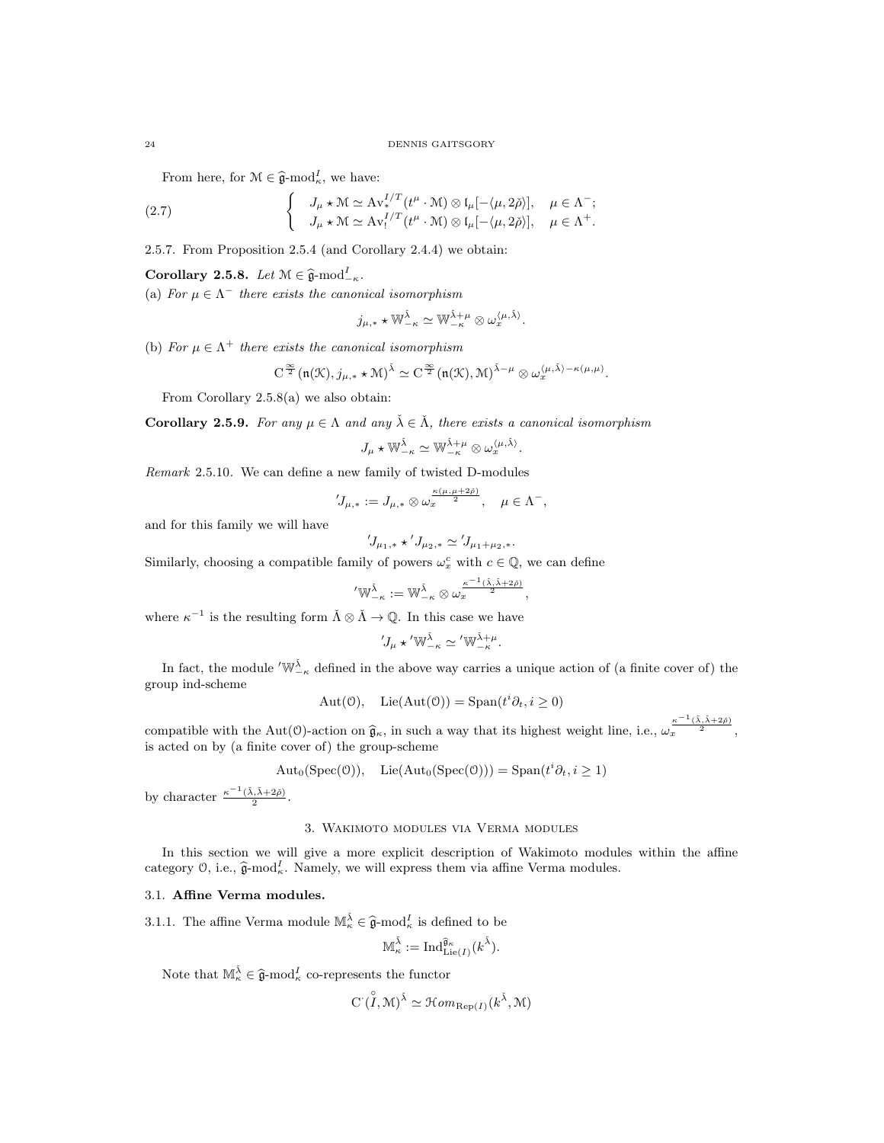From here, for  $\mathcal{M} \in \hat{\mathfrak{g}}$ -mod $_{\kappa}^{I}$ , we have:

(2.7) 
$$
\begin{cases} J_{\mu} \star \mathcal{M} \simeq \mathrm{Av}_{*}^{I/T}(t^{\mu} \cdot \mathcal{M}) \otimes \mathrm{I}_{\mu}[-\langle \mu, 2\check{\rho} \rangle], & \mu \in \Lambda^{-}; \\ J_{\mu} \star \mathcal{M} \simeq \mathrm{Av}_{1}^{I/T}(t^{\mu} \cdot \mathcal{M}) \otimes \mathrm{I}_{\mu}[-\langle \mu, 2\check{\rho} \rangle], & \mu \in \Lambda^{+}. \end{cases}
$$

2.5.7. From Proposition 2.5.4 (and Corollary 2.4.4) we obtain:

**Corollary 2.5.8.** Let  $\mathcal{M} \in \widehat{\mathfrak{g}}\text{-mod}_{-\kappa}^I$ .

(a) For  $\mu \in \Lambda^-$  there exists the canonical isomorphism

$$
j_{\mu,*}\star \mathbb{W}^{\check{\lambda}}_{-\kappa}\simeq \mathbb{W}^{\check{\lambda}+\mu}_{-\kappa}\otimes \omega_x^{\langle \mu, \check{\lambda}\rangle}.
$$

(b) For  $\mu \in \Lambda^+$  there exists the canonical isomorphism

$$
C^{\frac{\infty}{2}}(\mathfrak{n}(\mathfrak{K}),j_{\mu,*}\star\mathfrak{M})^{\check{\lambda}}\simeq C^{\frac{\infty}{2}}(\mathfrak{n}(\mathfrak{K}),\mathfrak{M})^{\check{\lambda}-\mu}\otimes \omega_x^{\langle\mu,\check{\lambda}\rangle-\kappa(\mu,\mu)}.
$$

From Corollary 2.5.8(a) we also obtain:

**Corollary 2.5.9.** For any  $\mu \in \Lambda$  and any  $\check{\lambda} \in \check{\Lambda}$ , there exists a canonical isomorphism

$$
J_\mu \star \mathbb W^{\check\lambda}_{-\kappa} \simeq \mathbb W^{\check\lambda + \mu}_{-\kappa} \otimes \omega_x^{\langle \mu, \check\lambda \rangle}.
$$

Remark 2.5.10. We can define a new family of twisted D-modules

$$
{}'J_{\mu,*}:=J_{\mu,*}\otimes \omega_x^{\frac{\kappa(\mu,\mu+2\check{\rho})}{2}},\quad \mu\in \Lambda^-,
$$

and for this family we will have

$$
{}'J_{\mu_1,*}\star'J_{\mu_2,*}\simeq {}'J_{\mu_1+\mu_2,*}.
$$

Similarly, choosing a compatible family of powers  $\omega_x^c$  with  $c \in \mathbb{Q}$ , we can define

$$
{}'\mathbb{W}^{\check{\lambda}}_{-\kappa}:=\mathbb{W}^{\check{\lambda}}_{-\kappa}\otimes\omega_x^{\frac{\kappa^{-1}(\check{\lambda},\check{\lambda}+2\check{\rho})}{2}},
$$

where  $\kappa^{-1}$  is the resulting form  $\check{\Lambda} \otimes \check{\Lambda} \to \mathbb{Q}$ . In this case we have

$$
{}'J_\mu \star {}' \mathbb{W}^{\check{\lambda}}_{-\kappa} \simeq {}' \mathbb{W}^{\check{\lambda}+\mu}_{-\kappa}.
$$

In fact, the module  $\langle W_{-\kappa}^{\tilde{\lambda}}\rangle$  defined in the above way carries a unique action of (a finite cover of) the group ind-scheme

$$
Aut(0), \quad Lie(Aut(0)) = Span(t^i \partial_t, i \ge 0)
$$

compatible with the Aut(O)-action on  $\hat{g}_{\kappa}$ , in such a way that its highest weight line, i.e.,  $\omega_x^{\frac{\kappa^{-1}(\lambda,\lambda+2\check{\rho})}{2}}$ , is acted on by (a finite cover of) the group-scheme

$$
Aut_0(Spec(0)), \text{ Lie}(Aut_0(Spec(0))) = Span(t^i \partial_t, i \ge 1)
$$

by character  $\frac{\kappa^{-1}(\check{\lambda}, \check{\lambda}+2\check{\rho})}{2}$ .

#### 3. Wakimoto modules via Verma modules

In this section we will give a more explicit description of Wakimoto modules within the affine category  $\mathcal{O}$ , i.e.,  $\widehat{\mathfrak{g}}$ -mod<sub>k</sub>. Namely, we will express them via affine Verma modules.

## 3.1. Affine Verma modules.

3.1.1. The affine Verma module  $\mathbb{M}_{\kappa}^{\tilde{\lambda}} \in \hat{\mathfrak{g}}$ -mod $_{\kappa}^{I}$  is defined to be

$$
\mathbb{M}^{\check{\lambda}}_\kappa:=\mathrm{Ind}_{\mathrm{Lie}(I)}^{\widehat{\mathfrak{g}}_\kappa}(k^{\check{\lambda}}).
$$

Note that  $\mathbb{M}_{\kappa}^{\check{\lambda}} \in \hat{\mathfrak{g}}$ -mod $_{\kappa}^I$  co-represents the functor

$$
C(\overset{\circ}{I}, \mathcal{M})^{\check{\lambda}} \simeq \mathcal{H}om_{\text{Rep}(I)}(k^{\check{\lambda}}, \mathcal{M})
$$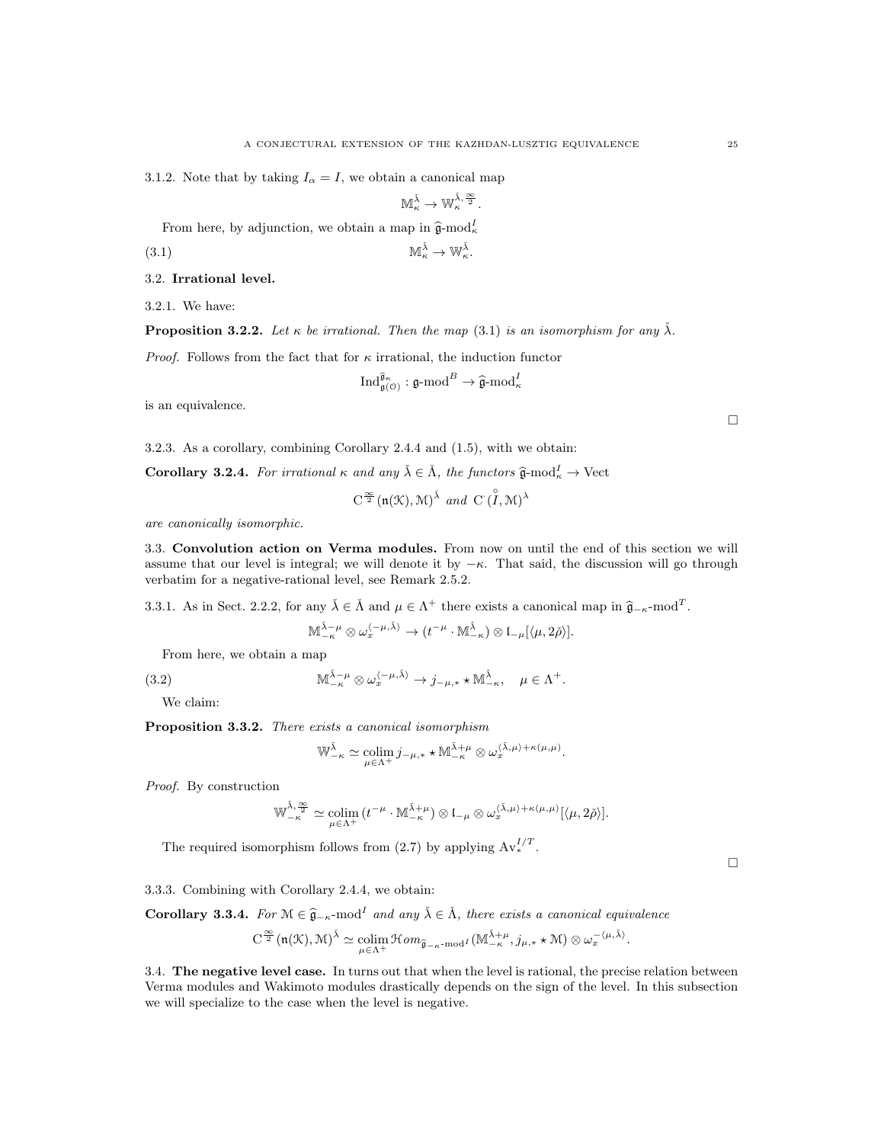3.1.2. Note that by taking  $I_{\alpha} = I$ , we obtain a canonical map

$$
\mathbb{M}_{\kappa}^{\check{\lambda}} \to \mathbb{W}_{\kappa}^{\check{\lambda},\frac{\infty}{2}}.
$$

From here, by adjunction, we obtain a map in  $\hat{\mathfrak{g}}$ -mod<sub>k</sub>

$$
\mathbb{M}_{\kappa}^{\check{\lambda}} \to \mathbb{W}_{\kappa}^{\check{\lambda}}.
$$

3.2. Irrational level.

3.2.1. We have:

**Proposition 3.2.2.** Let  $\kappa$  be irrational. Then the map (3.1) is an isomorphism for any  $\check{\lambda}$ .

*Proof.* Follows from the fact that for  $\kappa$  irrational, the induction functor

$$
\operatorname{Ind}_{\mathfrak{g}(\mathcal{O})}^{\widehat{\mathfrak{g}}_{\kappa}}:\mathfrak{g}\text{-}\mathrm{mod}^B\to \widehat{\mathfrak{g}}\text{-}\mathrm{mod}^I_{\kappa}
$$

is an equivalence.

3.2.3. As a corollary, combining Corollary 2.4.4 and (1.5), with we obtain:

**Corollary 3.2.4.** For irrational  $\kappa$  and any  $\check{\lambda} \in \check{\Lambda}$ , the functors  $\hat{\mathfrak{g}}$ -mod $_{\kappa}^I \to \text{Vect}$ 

 $C^{\frac{\infty}{2}}(\mathfrak{n}(\mathcal{K}),\mathcal{M})^{\check{\lambda}}$  and  $C^{\hat{}}(\overset{\circ}{I},\mathcal{M})^{\check{\lambda}}$ 

are canonically isomorphic.

3.3. Convolution action on Verma modules. From now on until the end of this section we will assume that our level is integral; we will denote it by  $-\kappa$ . That said, the discussion will go through verbatim for a negative-rational level, see Remark 2.5.2.

3.3.1. As in Sect. 2.2.2, for any  $\lambda \in \Lambda$  and  $\mu \in \Lambda^+$  there exists a canonical map in  $\hat{\mathfrak{g}}_{-\kappa}$ -mod<sup>T</sup>.

$$
\mathbb{M}^{\check{\lambda}-\mu}_{-\kappa} \otimes \omega_x^{\langle -\mu, \check{\lambda} \rangle} \to (t^{-\mu} \cdot \mathbb{M}^{\check{\lambda}}_{-\kappa}) \otimes \mathfrak{l}_{-\mu}[\langle \mu, 2\check{\rho} \rangle].
$$

From here, we obtain a map

(3.2) 
$$
\mathbb{M}_{-\kappa}^{\check{\lambda}-\mu} \otimes \omega_x^{\langle -\mu, \check{\lambda} \rangle} \to j_{-\mu,*} \star \mathbb{M}_{-\kappa}^{\check{\lambda}}, \quad \mu \in \Lambda^+.
$$

We claim:

Proposition 3.3.2. There exists a canonical isomorphism

$$
\mathbb{W}_{-\kappa}^{\check{\lambda}} \simeq \operatorname*{colim}_{\mu \in \Lambda^+} j_{-\mu,*} \star \mathbb{M}_{-\kappa}^{\check{\lambda}+\mu} \otimes \omega_x^{\langle \check{\lambda}, \mu \rangle + \kappa(\mu,\mu)}.
$$

Proof. By construction

$$
\mathbb{W}_{-\kappa}^{\check{\lambda},\frac{\infty}{2}}\simeq \underset{\mu\in \Lambda^{+}}{\mathrm{colim}}\, (t^{-\mu}\cdot \mathbb{M}^{\check{\lambda}+\mu}_{-\kappa})\otimes \mathfrak{l}_{-\mu} \otimes \omega_x^{\langle \check{\lambda},\mu\rangle+\kappa(\mu,\mu)}[\langle \mu,2\check{\rho}\rangle].
$$

The required isomorphism follows from (2.7) by applying  $Av_*^{I/T}$ .

3.3.3. Combining with Corollary 2.4.4, we obtain:

**Corollary 3.3.4.** For  $M \in \hat{\mathfrak{g}}_{-\kappa}$ -mod<sup>I</sup> and any  $\check{\lambda} \in \check{\Lambda}$ , there exists a canonical equivalence

$$
C^{\frac{\infty}{2}}(\mathfrak{n}(\mathcal{K}),\mathcal{M})^{\tilde{\lambda}}\simeq \underset{\mu\in\Lambda^{+}}{\operatorname{colim}}\mathcal{H}om_{\widehat{\mathfrak{g}}_{-\kappa}\text{-mod}^{I}}(\mathbb{M}^{\tilde{\lambda}+\mu}_{-\kappa},j_{\mu,*}\star\mathcal{M})\otimes \omega_{x}^{-\langle\mu,\tilde{\lambda}\rangle}.
$$

3.4. The negative level case. In turns out that when the level is rational, the precise relation between Verma modules and Wakimoto modules drastically depends on the sign of the level. In this subsection we will specialize to the case when the level is negative.

 $\Box$ 

 $\Box$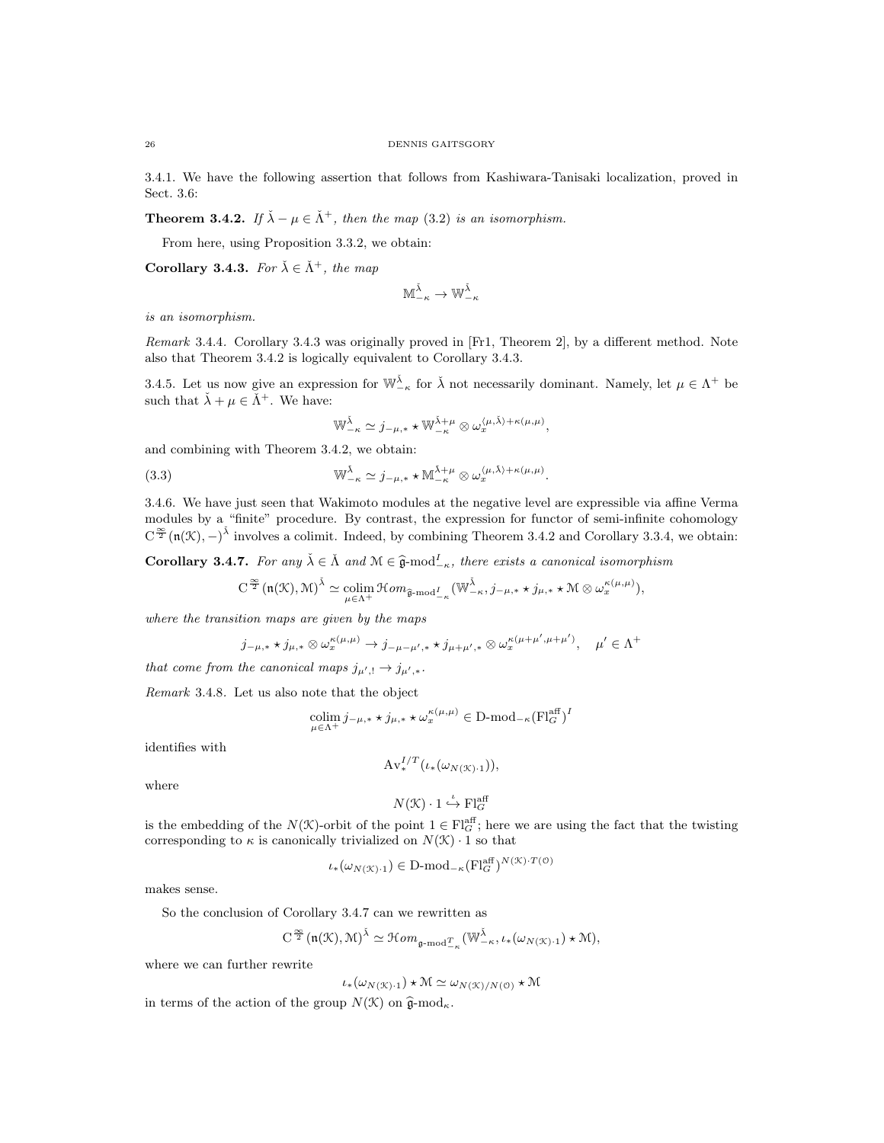3.4.1. We have the following assertion that follows from Kashiwara-Tanisaki localization, proved in Sect. 3.6:

**Theorem 3.4.2.** If  $\check{\lambda} - \mu \in \check{\Lambda}^+$ , then the map (3.2) is an isomorphism.

From here, using Proposition 3.3.2, we obtain:

Corollary 3.4.3. For  $\check{\lambda} \in \check{\Lambda}^+$ , the map

$$
\mathbb{M}_{-\kappa}^{\check{\lambda}} \to \mathbb{W}_{-\kappa}^{\check{\lambda}}
$$

is an isomorphism.

Remark 3.4.4. Corollary 3.4.3 was originally proved in [Fr1, Theorem 2], by a different method. Note also that Theorem 3.4.2 is logically equivalent to Corollary 3.4.3.

3.4.5. Let us now give an expression for  $\mathbb{W}_{-\kappa}^{\check{\lambda}}$  for  $\check{\lambda}$  not necessarily dominant. Namely, let  $\mu \in \Lambda^+$  be such that  $\check{\lambda} + \mu \in \check{\Lambda}^+$ . We have:

$$
\mathbb{W}_{-\kappa}^{\check{\lambda}} \simeq j_{-\mu,*} \star \mathbb{W}_{-\kappa}^{\check{\lambda}+\mu} \otimes \omega_x^{\langle \mu, \check{\lambda} \rangle + \kappa(\mu,\mu)},
$$

and combining with Theorem 3.4.2, we obtain:

(3.3) 
$$
\mathbb{W}_{-\kappa}^{\check{\lambda}} \simeq j_{-\mu,*} \star \mathbb{M}_{-\kappa}^{\check{\lambda}+\mu} \otimes \omega_x^{\langle \mu, \check{\lambda} \rangle + \kappa(\mu,\mu)}.
$$

3.4.6. We have just seen that Wakimoto modules at the negative level are expressible via affine Verma modules by a "finite" procedure. By contrast, the expression for functor of semi-infinite cohomology  $C^{\frac{\infty}{2}}(n(\mathcal{K}), -)^{\tilde{\lambda}}$  involves a colimit. Indeed, by combining Theorem 3.4.2 and Corollary 3.3.4, we obtain:

**Corollary 3.4.7.** For any  $\check{\lambda} \in \check{\Lambda}$  and  $\mathcal{M} \in \hat{\mathfrak{g}}$ -mod<sup>I</sup><sub>- $\kappa$ </sub>, there exists a canonical isomorphism

$$
C^{\frac{\infty}{2}}(\mathfrak{n}(\mathcal{K}),\mathcal{M})^{\tilde{\lambda}}\simeq \underset{\mu\in\Lambda^{+}}{\mathrm{colim}}\mathcal{H}om_{\widehat{\mathfrak{g}}\text{-}\mathrm{mod}^{\mathcal{I}}_{-\kappa}}(\mathbb{W}_{-\kappa}^{\tilde{\lambda}},j_{-\mu,*}\star j_{\mu,*}\star\mathcal{M}\otimes\omega_{x}^{\kappa(\mu,\mu)}),
$$

where the transition maps are given by the maps

$$
j_{-\mu,*}\star j_{\mu,*} \otimes \omega_x^{\kappa(\mu,\mu)} \to j_{-\mu-\mu',*}\star j_{\mu+\mu',*} \otimes \omega_x^{\kappa(\mu+\mu',\mu+\mu')}, \quad \mu'\in \Lambda^+
$$

that come from the canonical maps  $j_{\mu',!} \to j_{\mu',*}.$ 

Remark 3.4.8. Let us also note that the object

$$
\underset{\mu \in \Lambda^{+}}{\text{colim}} j_{-\mu,*} \star j_{\mu,*} \star \omega_{x}^{\kappa(\mu,\mu)} \in \mathcal{D} \text{-mod}_{-\kappa}(\mathcal{F}^{\text{aff}}_{\mathcal{G}})^{I}
$$

identifies with

$$
\operatorname{Av}^{I/T}_*(\iota_*(\omega_{N(\mathfrak{X})\cdot 1})),
$$

where

$$
N(\mathcal{K})\cdot 1 \xrightarrow{\iota} \mathrm{Fl}_G^{\mathrm{aff}}
$$

is the embedding of the  $N(\mathcal{K})$ -orbit of the point  $1 \in Fl_G^{\text{aff}}$ ; here we are using the fact that the twisting corresponding to  $\kappa$  is canonically trivialized on  $N(\mathcal{K}) \cdot 1$  so that

$$
\iota_*(\omega_{N(\mathcal{K})\cdot 1}) \in \mathbf{D}\text{-mod}_{-\kappa}(\mathbf{Fl}_G^{\text{aff}})^{N(\mathcal{K})\cdot T(\mathbf{0})}
$$

makes sense.

So the conclusion of Corollary 3.4.7 can we rewritten as

$$
\textstyle \mathrm{C}^{\frac{\infty}{2}}(\mathfrak{n}(\mathcal K),\mathcal M)^{\check\lambda}\simeq \mathcal Hom_{\mathfrak{g}\text{-}\mathrm{mod}^T_{-\kappa}}(\mathbb W^{\check\lambda}_{-\kappa},\iota_*(\omega_{N(\mathcal K)\cdot 1})\star \mathcal M),
$$

where we can further rewrite

$$
\iota_*(\omega_{N(\mathcal{K})\cdot 1}) \star \mathcal{M} \simeq \omega_{N(\mathcal{K})/N(\mathcal{O})} \star \mathcal{M}
$$

in terms of the action of the group  $N(\mathcal{K})$  on  $\hat{\mathfrak{g}}$ -mod<sub>k</sub>.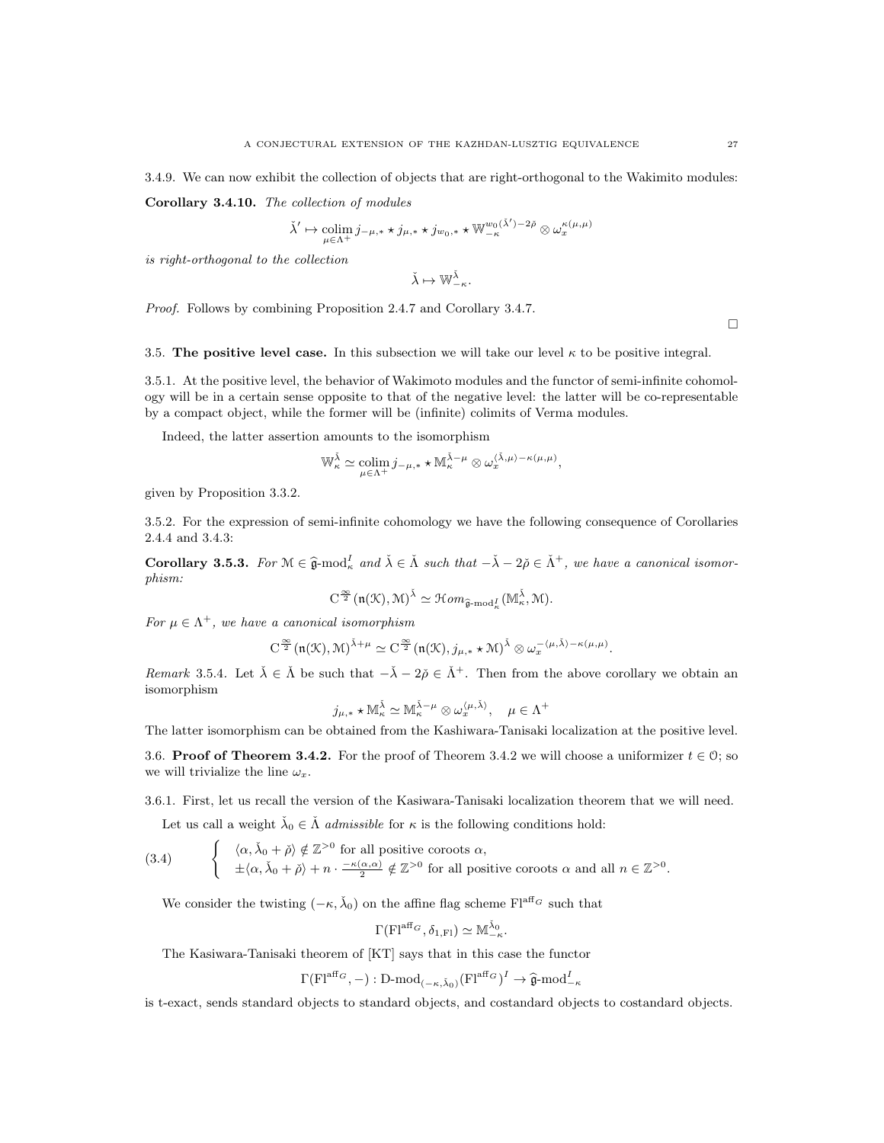3.4.9. We can now exhibit the collection of objects that are right-orthogonal to the Wakimito modules: Corollary 3.4.10. The collection of modules

$$
\check{\lambda}' \mapsto \operatornamewithlimits{colim}_{\mu \in \Lambda^+} j_{-\mu,*} \star j_{\mu,*} \star j_{w_0,*} \star \mathbb{W}^{w_0(\check{\lambda}')-2\check{\rho}}_{-\kappa} \otimes \omega_x^{\kappa(\mu,\mu)}
$$

is right-orthogonal to the collection

$$
\check{\lambda}\mapsto \mathbb{W}^{\check{\lambda}}_{-\kappa}.
$$

Proof. Follows by combining Proposition 2.4.7 and Corollary 3.4.7.

 $\Box$ 

3.5. The positive level case. In this subsection we will take our level  $\kappa$  to be positive integral.

3.5.1. At the positive level, the behavior of Wakimoto modules and the functor of semi-infinite cohomology will be in a certain sense opposite to that of the negative level: the latter will be co-representable by a compact object, while the former will be (infinite) colimits of Verma modules.

Indeed, the latter assertion amounts to the isomorphism

$$
\mathbb{W}_\kappa^{\check{\lambda}} \simeq \underset{\mu \in \Lambda^+}{\text{colim}} j_{-\mu,*} \star \mathbb{M}_\kappa^{\check{\lambda}-\mu} \otimes \omega_x^{\langle \check{\lambda}, \mu \rangle - \kappa(\mu,\mu)},
$$

given by Proposition 3.3.2.

3.5.2. For the expression of semi-infinite cohomology we have the following consequence of Corollaries 2.4.4 and 3.4.3:

**Corollary 3.5.3.** For  $M \in \hat{\mathfrak{g}}$ -mod<sub> $\vec{k}$ </sub> and  $\check{\lambda} \in \check{\Lambda}$  such that  $-\check{\lambda} - 2\check{\rho} \in \check{\Lambda}^+$ , we have a canonical isomorphism:

$$
C^{\frac{\infty}{2}}(\mathfrak{n}(\mathfrak{K}),\mathfrak{M})^{\check{\lambda}}\simeq \mathcal{H}om_{\widehat{\mathfrak{g}}\text{-}\mathrm{mod}^I_{\kappa}}(\mathbb{M}_{\kappa}^{\check{\lambda}},\mathfrak{M}).
$$

For  $\mu \in \Lambda^+$ , we have a canonical isomorphism

$$
C^{\frac{\infty}{2}}(\mathfrak{n}(\mathcal{K}),\mathcal{M})^{\tilde{\lambda}+\mu}\simeq C^{\frac{\infty}{2}}(\mathfrak{n}(\mathcal{K}),j_{\mu,*}\star\mathcal{M})^{\tilde{\lambda}}\otimes \omega_x^{-\langle\mu,\tilde{\lambda}\rangle-\kappa(\mu,\mu)}.
$$

Remark 3.5.4. Let  $\check{\lambda} \in \check{\Lambda}$  be such that  $-\check{\lambda} - 2\check{\rho} \in \check{\Lambda}^+$ . Then from the above corollary we obtain an isomorphism

$$
j_{\mu,*}\star{\mathbb M}_\kappa^{\check\lambda}\simeq{\mathbb M}_\kappa^{\check\lambda-\mu}\otimes\omega_x^{\langle\mu,\check\lambda\rangle},\quad \mu\in\Lambda^+
$$

The latter isomorphism can be obtained from the Kashiwara-Tanisaki localization at the positive level.

3.6. **Proof of Theorem 3.4.2.** For the proof of Theorem 3.4.2 we will choose a uniformizer  $t \in \mathcal{O}$ ; so we will trivialize the line  $\omega_x$ .

3.6.1. First, let us recall the version of the Kasiwara-Tanisaki localization theorem that we will need.

Let us call a weight  $\check{\lambda}_0 \in \check{\Lambda}$  *admissible* for  $\kappa$  is the following conditions hold:

(3.4) 
$$
\begin{cases} \langle \alpha, \check{\lambda}_0 + \check{\rho} \rangle \notin \mathbb{Z}^{>0} \text{ for all positive coroots } \alpha, \\ \pm \langle \alpha, \check{\lambda}_0 + \check{\rho} \rangle + n \cdot \frac{-\kappa(\alpha, \alpha)}{2} \notin \mathbb{Z}^{>0} \text{ for all positive coroots } \alpha \text{ and all } n \in \mathbb{Z}^{>0}. \end{cases}
$$

We consider the twisting  $(-\kappa, \check{\lambda}_0)$  on the affine flag scheme  $\text{Fl}^{\text{aff}_G}$  such that

$$
\Gamma(Fl^{\mathrm{aff}_G},\delta_{1,Fl})\simeq \mathbb{M}_{-\kappa}^{\check{\lambda}_0}
$$

.

The Kasiwara-Tanisaki theorem of [KT] says that in this case the functor

$$
\Gamma(\mathrm{Fl}^{\mathrm{aff}_G}, -): \mathrm{D\text{-}mod}_{(-\kappa, \check{\lambda}_0)}(\mathrm{Fl}^{\mathrm{aff}_G})^I \to \hat{\mathfrak{g}}\text{-} \mathrm{mod}^I_{-\kappa}
$$

is t-exact, sends standard objects to standard objects, and costandard objects to costandard objects.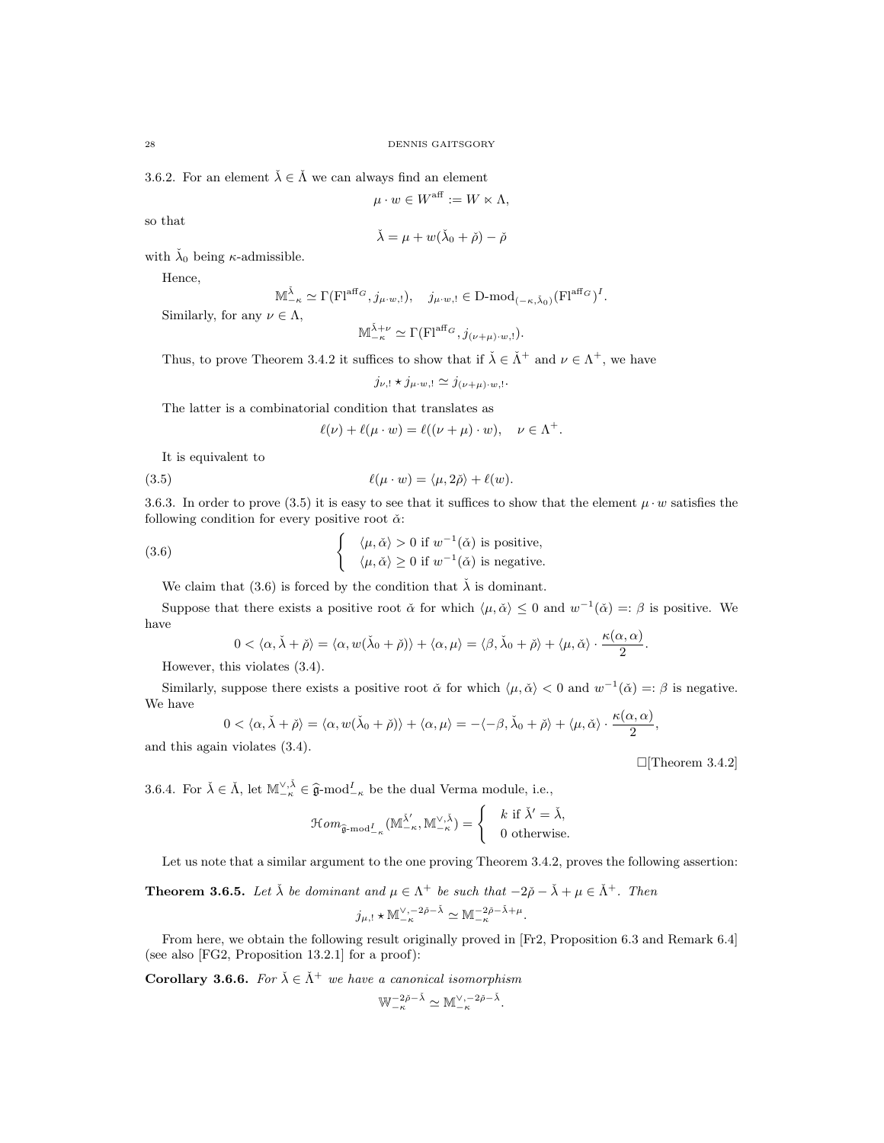3.6.2. For an element  $\check{\lambda} \in \check{\Lambda}$  we can always find an element

$$
\mu \cdot w \in W^{\text{aff}} := W \ltimes \Lambda,
$$

so that

$$
\check{\lambda} = \mu + w(\check{\lambda}_0 + \check{\rho}) - \check{\rho}
$$

with  $\lambda_0$  being  $\kappa$ -admissible.

Hence,

$$
\mathbb{M}_{-\kappa}^{\check{\lambda}}\simeq \Gamma(\mathrm{Fl}^{\mathrm{aff}_G},j_{\mu\cdot w,!}),\quad j_{\mu\cdot w,!}\in \mathrm{D\text{-}mod}_{(-\kappa,\check{\lambda}_0)}(\mathrm{Fl}^{\mathrm{aff}_G})^I.
$$

Similarly, for any  $\nu \in \Lambda$ ,

$$
\mathbb{M}_{-\kappa}^{\check{\lambda}+\nu} \simeq \Gamma(\mathrm{Fl}^{\mathrm{aff}_G}, j_{(\nu+\mu)\cdot w,!}).
$$

Thus, to prove Theorem 3.4.2 it suffices to show that if  $\check{\lambda} \in \check{\Lambda}^+$  and  $\nu \in \Lambda^+$ , we have

 $j_{\nu,!}\star j_{\mu\cdot w,!}\simeq j_{(\nu+\mu)\cdot w,!}.$ 

The latter is a combinatorial condition that translates as

$$
\ell(\nu) + \ell(\mu \cdot w) = \ell((\nu + \mu) \cdot w), \quad \nu \in \Lambda^+.
$$

It is equivalent to

(3.5) 
$$
\ell(\mu \cdot w) = \langle \mu, 2\breve{\rho} \rangle + \ell(w).
$$

3.6.3. In order to prove (3.5) it is easy to see that it suffices to show that the element  $\mu \cdot w$  satisfies the following condition for every positive root  $\check{\alpha}$ :

(3.6) 
$$
\begin{cases} \langle \mu, \check{\alpha} \rangle > 0 \text{ if } w^{-1}(\check{\alpha}) \text{ is positive,} \\ \langle \mu, \check{\alpha} \rangle \ge 0 \text{ if } w^{-1}(\check{\alpha}) \text{ is negative.} \end{cases}
$$

We claim that (3.6) is forced by the condition that  $\check{\lambda}$  is dominant.

Suppose that there exists a positive root  $\check{\alpha}$  for which  $\langle \mu, \check{\alpha} \rangle \leq 0$  and  $w^{-1}(\check{\alpha}) =: \beta$  is positive. We have

$$
0<\langle\alpha,\check{\lambda}+\check{\rho}\rangle=\langle\alpha,w(\check{\lambda}_0+\check{\rho})\rangle+\langle\alpha,\mu\rangle=\langle\beta,\check{\lambda}_0+\check{\rho}\rangle+\langle\mu,\check{\alpha}\rangle\cdot\frac{\kappa(\alpha,\alpha)}{2}.
$$

However, this violates (3.4).

Similarly, suppose there exists a positive root  $\check{\alpha}$  for which  $\langle \mu, \check{\alpha} \rangle < 0$  and  $w^{-1}(\check{\alpha}) =: \beta$  is negative. We have

$$
0 < \langle \alpha, \check{\lambda} + \check{\rho} \rangle = \langle \alpha, w(\check{\lambda}_0 + \check{\rho}) \rangle + \langle \alpha, \mu \rangle = -\langle -\beta, \check{\lambda}_0 + \check{\rho} \rangle + \langle \mu, \check{\alpha} \rangle \cdot \frac{\kappa(\alpha, \alpha)}{2},
$$

and this again violates (3.4).

 $\Box$ [Theorem 3.4.2]

3.6.4. For  $\check{\lambda} \in \check{\Lambda}$ , let  $\mathbb{M}^{\vee, \check{\lambda}}_{-\kappa} \in \hat{\mathfrak{g}}$ -mod $^I_{-\kappa}$  be the dual Verma module, i.e.,

$$
\mathcal{H}om_{\widehat{\mathfrak{g}}\text{-}\mathrm{mod}^I_{-\kappa}}(\mathbb{M}_{-\kappa}^{\check{\lambda}'}\mathbb{M}_{-\kappa}^{\vee,\check{\lambda}})=\begin{cases} & k \text{ if } \check{\lambda}'=\check{\lambda}, \\ & 0 \text{ otherwise.} \end{cases}
$$

Let us note that a similar argument to the one proving Theorem 3.4.2, proves the following assertion:

**Theorem 3.6.5.** Let  $\check{\lambda}$  be dominant and  $\mu \in \Lambda^+$  be such that  $-2\check{\rho} - \check{\lambda} + \mu \in \check{\Lambda}^+$ . Then  $j_{\mu,!}\star \mathbb{M}_{-\kappa}^{\vee,-2\check{\rho}-\check{\lambda}} \simeq \mathbb{M}_{-\kappa}^{-2\check{\rho}-\check{\lambda}+\mu}.$ 

From here, we obtain the following result originally proved in [Fr2, Proposition 6.3 and Remark 6.4] (see also [FG2, Proposition 13.2.1] for a proof):

**Corollary 3.6.6.** For  $\check{\lambda} \in \check{\Lambda}^+$  we have a canonical isomorphism

$$
\mathbb{W}_{-\kappa}^{-2\check{\rho}-\check{\lambda}}\simeq \mathbb{M}_{-\kappa}^{\vee,-2\check{\rho}-\check{\lambda}}
$$

.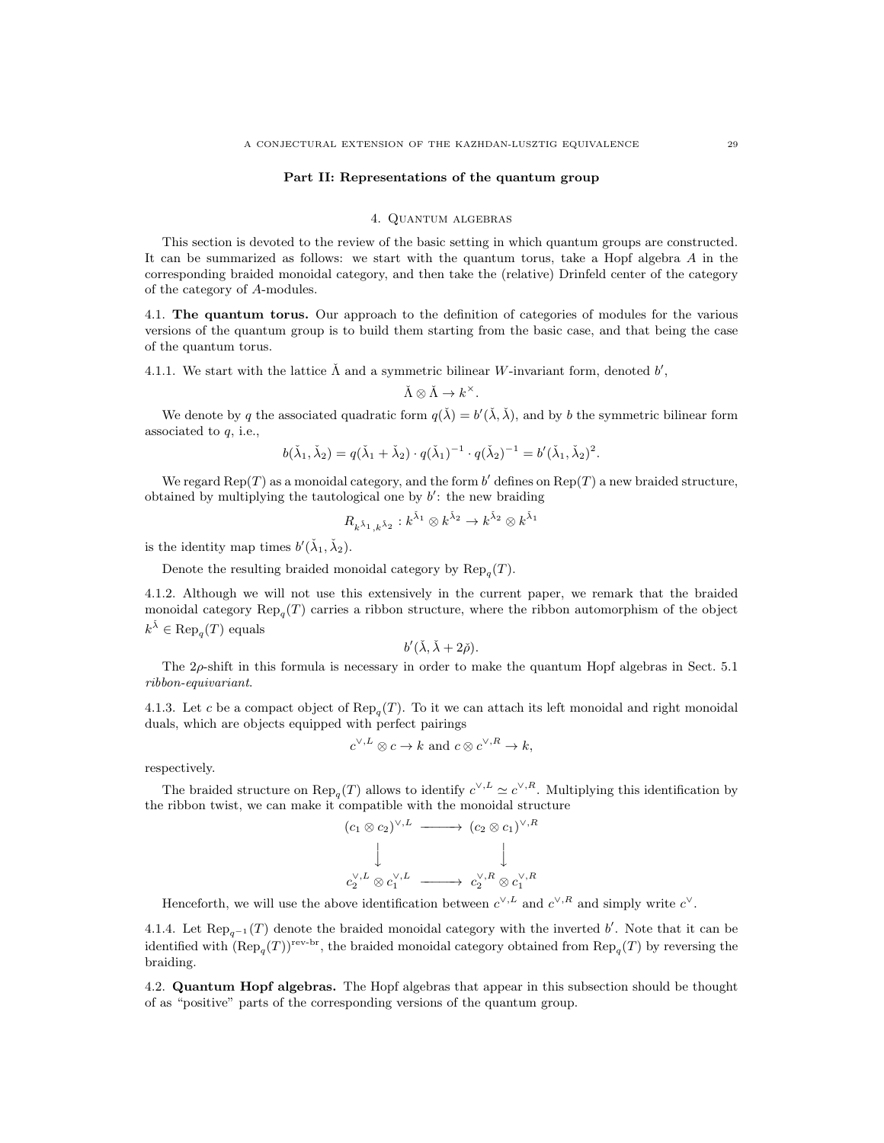#### Part II: Representations of the quantum group

#### 4. Quantum algebras

This section is devoted to the review of the basic setting in which quantum groups are constructed. It can be summarized as follows: we start with the quantum torus, take a Hopf algebra A in the corresponding braided monoidal category, and then take the (relative) Drinfeld center of the category of the category of A-modules.

4.1. The quantum torus. Our approach to the definition of categories of modules for the various versions of the quantum group is to build them starting from the basic case, and that being the case of the quantum torus.

4.1.1. We start with the lattice  $\check{\Lambda}$  and a symmetric bilinear W-invariant form, denoted  $b'$ ,

$$
\check{\Lambda} \otimes \check{\Lambda} \to k^{\times}.
$$

We denote by q the associated quadratic form  $q(\lambda) = b'(\lambda, \lambda)$ , and by b the symmetric bilinear form associated to q, i.e.,

$$
b(\check{\lambda}_1, \check{\lambda}_2) = q(\check{\lambda}_1 + \check{\lambda}_2) \cdot q(\check{\lambda}_1)^{-1} \cdot q(\check{\lambda}_2)^{-1} = b'(\check{\lambda}_1, \check{\lambda}_2)^2.
$$

We regard  $\text{Rep}(T)$  as a monoidal category, and the form b' defines on  $\text{Rep}(T)$  a new braided structure, obtained by multiplying the tautological one by  $b'$ : the new braiding

$$
R_{k^{\check\lambda_1},k^{\check\lambda_2}}:k^{\check\lambda_1}\otimes k^{\check\lambda_2}\to k^{\check\lambda_2}\otimes k^{\check\lambda_1}
$$

is the identity map times  $b'(\check{\lambda}_1, \check{\lambda}_2)$ .

Denote the resulting braided monoidal category by  $\text{Rep}_q(T)$ .

4.1.2. Although we will not use this extensively in the current paper, we remark that the braided monoidal category  $\text{Rep}_q(T)$  carries a ribbon structure, where the ribbon automorphism of the object  $k^{\check{\lambda}} \in \text{Rep}_q(T)$  equals

$$
b'(\check{\lambda}, \check{\lambda} + 2\check{\rho}).
$$

The  $2\rho$ -shift in this formula is necessary in order to make the quantum Hopf algebras in Sect. 5.1 ribbon-equivariant.

4.1.3. Let c be a compact object of  $\text{Rep}_q(T)$ . To it we can attach its left monoidal and right monoidal duals, which are objects equipped with perfect pairings

$$
c^{\vee, L} \otimes c \to k
$$
 and  $c \otimes c^{\vee, R} \to k$ ,

respectively.

The braided structure on  $\text{Rep}_q(T)$  allows to identify  $c^{\vee,L} \simeq c^{\vee,R}$ . Multiplying this identification by the ribbon twist, we can make it compatible with the monoidal structure

$$
(c_1 \otimes c_2)^{\vee, L} \longrightarrow (c_2 \otimes c_1)^{\vee, R}
$$
  
\n
$$
\downarrow \qquad \qquad \downarrow
$$
  
\n
$$
c_2^{\vee, L} \otimes c_1^{\vee, L} \longrightarrow c_2^{\vee, R} \otimes c_1^{\vee, R}
$$

Henceforth, we will use the above identification between  $c^{\vee,L}$  and  $c^{\vee,R}$  and simply write  $c^{\vee}$ .

4.1.4. Let  $\text{Rep}_{q^{-1}}(T)$  denote the braided monoidal category with the inverted b'. Note that it can be identified with  $(\text{Rep}_q(T))^\text{rev-br}$ , the braided monoidal category obtained from  $\text{Rep}_q(T)$  by reversing the braiding.

4.2. Quantum Hopf algebras. The Hopf algebras that appear in this subsection should be thought of as "positive" parts of the corresponding versions of the quantum group.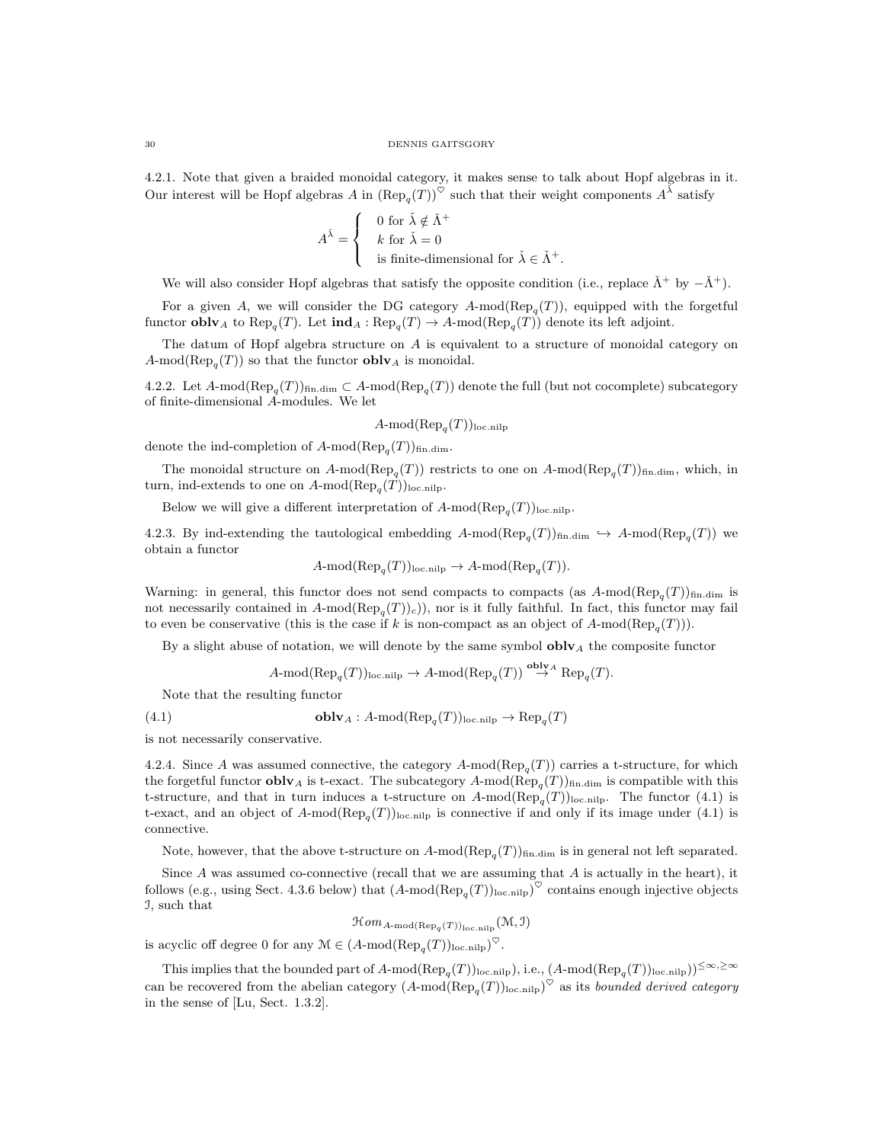4.2.1. Note that given a braided monoidal category, it makes sense to talk about Hopf algebras in it. Our interest will be Hopf algebras A in  $(\text{Rep}_q(T))^{\heartsuit}$  such that their weight components  $A^{\bar{\lambda}}$  satisfy

$$
A^{\check{\lambda}} = \begin{cases} 0 \text{ for } \check{\lambda} \notin \check{\Lambda}^+ \\ k \text{ for } \check{\lambda} = 0 \\ \text{ is finite-dimensional for } \check{\lambda} \in \check{\Lambda}^+. \end{cases}
$$

We will also consider Hopf algebras that satisfy the opposite condition (i.e., replace  $\check{\Lambda}^+$  by  $-\check{\Lambda}^+$ ).

For a given A, we will consider the DG category  $A\text{-mod}(\text{Rep}_q(T))$ , equipped with the forgetful functor **obly** A to  $\text{Rep}_q(T)$ . Let  $\text{ind}_A : \text{Rep}_q(T) \to A$ -mod $(\text{Rep}_q(T))$  denote its left adjoint.

The datum of Hopf algebra structure on A is equivalent to a structure of monoidal category on  $A\text{-mod}(\text{Rep}_q(T))$  so that the functor **obly** A is monoidal.

4.2.2. Let  $A\text{-mod}(\text{Rep}_q(T))_{\text{fin.dim}} \subset A\text{-mod}(\text{Rep}_q(T))$  denote the full (but not cocomplete) subcategory of finite-dimensional A-modules. We let

# $A\text{-mod}(\text{Rep}_q(T))_{\text{loc.nilp}}$

denote the ind-completion of  $A$ -mod $(\text{Rep}_q(T))_{\text{fin.dim}}$ .

The monoidal structure on  $A$ -mod $(\text{Rep}_q(T))$  restricts to one on  $A$ -mod $(\text{Rep}_q(T))$ <sub>fin.dim</sub>, which, in turn, ind-extends to one on  $A$ -mod $(\text{Rep}_q(T))_{\text{loc.nilp}}$ .

Below we will give a different interpretation of  $A$ -mod $(\text{Rep}_q(T))_{\text{loc,nilp}}$ .

4.2.3. By ind-extending the tautological embedding  $A\text{-mod}(\text{Rep}_q(T))_{\text{fin.dim}} \hookrightarrow A\text{-mod}(\text{Rep}_q(T))$  we obtain a functor

 $A\text{-mod}(\text{Rep}_q(T))_{\text{loc,nilp}} \to A\text{-mod}(\text{Rep}_q(T)).$ 

Warning: in general, this functor does not send compacts to compacts (as  $A\text{-mod}(\text{Rep}_q(T))_{\text{fin.dim}}$  is not necessarily contained in  $A\text{-mod}(\text{Rep}_q(T))_c)$ , nor is it fully faithful. In fact, this functor may fail to even be conservative (this is the case if k is non-compact as an object of  $A\text{-mod}(\text{Rep}_q(T)))$ .

By a slight abuse of notation, we will denote by the same symbol  $oblv<sub>A</sub>$  the composite functor

$$
A\text{-mod}(\text{Rep}_q(T))_{\text{loc,nilp}} \to A\text{-mod}(\text{Rep}_q(T)) \stackrel{\text{oblv}_A}{\to} \text{Rep}_q(T).
$$

Note that the resulting functor

(4.1) 
$$
\mathbf{oblv}_A : A\text{-mod}(\text{Rep}_q(T))_{\text{loc,nilp}} \to \text{Rep}_q(T)
$$

is not necessarily conservative.

4.2.4. Since A was assumed connective, the category  $A\text{-mod}(\text{Rep}_q(T))$  carries a t-structure, for which the forgetful functor **obly** A is t-exact. The subcategory  $A$ -mod $(\text{Rep}_q(T))$ <sub>fin.dim</sub> is compatible with this t-structure, and that in turn induces a t-structure on  $A\text{-mod}(\text{Rep}_q(T))_{\text{loc,nilp}}$ . The functor (4.1) is t-exact, and an object of  $A\text{-mod}(\text{Rep}_q(T))_{\text{loc.nilp}}$  is connective if and only if its image under (4.1) is connective.

Note, however, that the above t-structure on  $A\text{-mod}(\text{Rep}_{q}(T))_{\text{fin.dim}}$  is in general not left separated.

Since A was assumed co-connective (recall that we are assuming that A is actually in the heart), it follows (e.g., using Sect. 4.3.6 below) that  $(A\text{-mod}(\text{Rep}_q(T))_{\text{loc,nilp}})^\heartsuit$  contains enough injective objects I, such that

 $\mathfrak{Hom}_{A\operatorname{\!-mod}\nolimits(\mathop{\mathrm{Rep}}\nolimits_q(T))_{\rm loc\mathinner{\mathrm{.nilp}}\nolimits}}(\mathfrak{M},\mathfrak{I})$ 

is acyclic off degree 0 for any  $\mathcal{M} \in (A\text{-mod}(\text{Rep}_q(T))_{\text{loc,nilp}})^\heartsuit$ .

This implies that the bounded part of  $A$ -mod $(\text{Rep}_q(T))_{\text{loc.nilp}}$ , i.e.,  $(A\text{-mod}(\text{Rep}_q(T))_{\text{loc.nilp}})$  $\leq \infty$ ,  $\geq \infty$ can be recovered from the abelian category  $(A\text{-mod}(\text{Rep}_q(T))_{\text{loc,nilp}})^\heartsuit$  as its *bounded derived category* in the sense of [Lu, Sect. 1.3.2].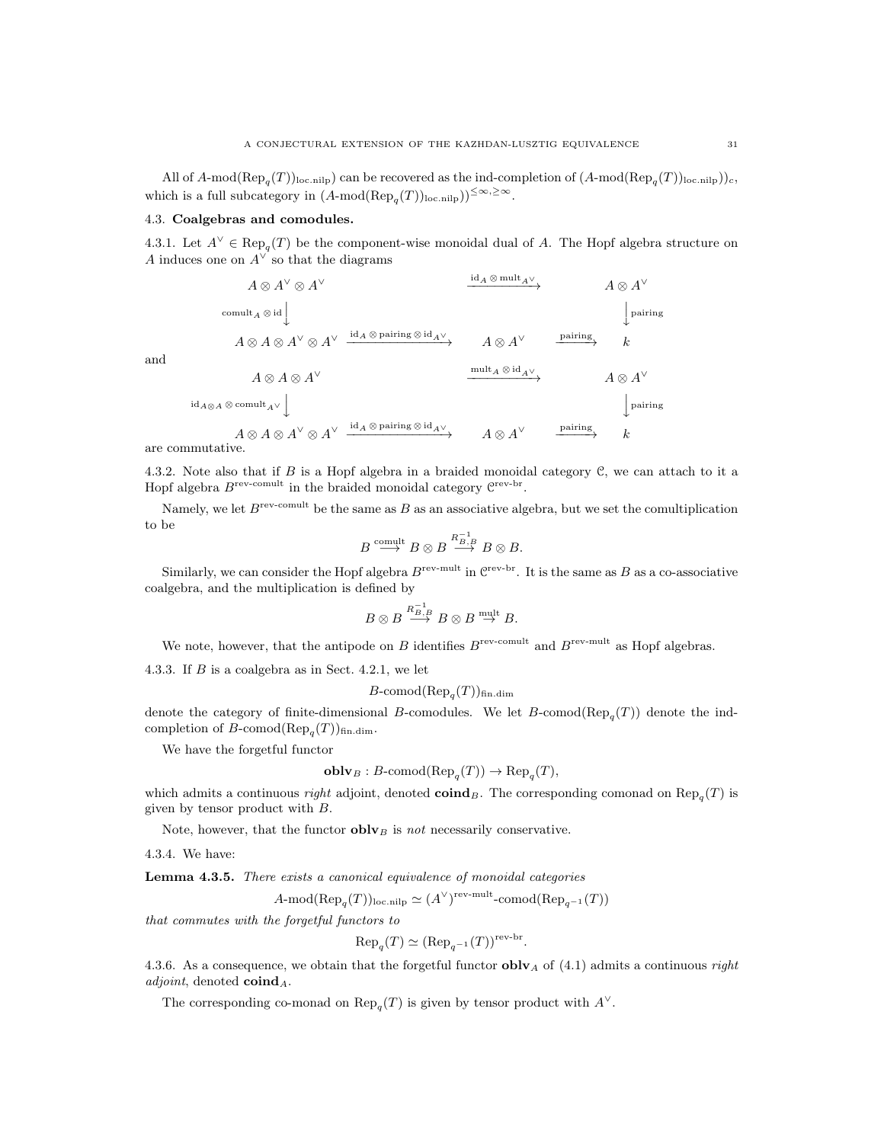All of  $A\text{-mod}(\text{Rep}_q(T))_{\text{loc,nilp}}$  can be recovered as the ind-completion of  $(A\text{-mod}(\text{Rep}_q(T))_{\text{loc,nilp}})_{c}$ , which is a full subcategory in  $(A\text{-mod}(\text{Rep}_q(T))_{\text{loc,nilp}}))^{\leq \infty, \geq \infty}$ .

### 4.3. Coalgebras and comodules.

4.3.1. Let  $A^{\vee} \in \text{Rep}_q(T)$  be the component-wise monoidal dual of A. The Hopf algebra structure on A induces one on  $A^{\vee}$  so that the diagrams

id<sup>A</sup> ⊗ multA<sup>∨</sup>

$$
A \otimes A^{\vee} \otimes A^{\vee}
$$
\n
$$
A \otimes A^{\vee} \otimes A^{\vee}
$$
\n
$$
A \otimes A \otimes A^{\vee} \otimes A^{\vee}
$$
\n
$$
A \otimes A \otimes A^{\vee} \otimes A^{\vee}
$$
\n
$$
A \otimes A \otimes A^{\vee}
$$
\n
$$
A \otimes A \otimes A^{\vee}
$$
\n
$$
A \otimes A \otimes A^{\vee}
$$
\n
$$
A \otimes A \otimes A^{\vee}
$$
\n
$$
A \otimes A \otimes A^{\vee}
$$
\n
$$
A \otimes A \otimes A^{\vee}
$$
\n
$$
A \otimes A \otimes A^{\vee}
$$
\n
$$
A \otimes A \otimes A^{\vee}
$$
\n
$$
A \otimes A \otimes A^{\vee}
$$
\n
$$
A \otimes A^{\vee}
$$
\n
$$
A \otimes A^{\vee}
$$
\n
$$
A \otimes A^{\vee}
$$
\n
$$
A \otimes A^{\vee}
$$
\n
$$
A \otimes A^{\vee}
$$
\n
$$
A \otimes A^{\vee}
$$
\n
$$
A \otimes A^{\vee}
$$
\n
$$
A \otimes A^{\vee}
$$
\n
$$
A \otimes A^{\vee}
$$
\n
$$
A \otimes A^{\vee}
$$
\n
$$
A \otimes A^{\vee}
$$
\n
$$
A \otimes A^{\vee}
$$
\n
$$
A \otimes A^{\vee}
$$
\n
$$
A \otimes A^{\vee}
$$
\n
$$
A \otimes A^{\vee}
$$
\n
$$
A \otimes A^{\vee}
$$
\n
$$
A \otimes A^{\vee}
$$
\n
$$
A \otimes A^{\vee}
$$
\n
$$
A \otimes A^{\vee}
$$
\n
$$
A \otimes A^{\vee}
$$
\n
$$
A \otimes A^{\vee}
$$
\n
$$
A \otimes A^{\vee}
$$
\n
$$
A \otimes A^{\vee}
$$
\n<

and

4.3.2. Note also that if B is a Hopf algebra in a braided monoidal category C, we can attach to it a Hopf algebra  $B^{\text{rev-comult}}$  in the braided monoidal category  $C^{\text{rev-br}}$ .

Namely, we let  $B^{\text{rev-comult}}$  be the same as B as an associative algebra, but we set the comultiplication to be

$$
B\stackrel{\rm comult}{\longrightarrow} B\otimes B\stackrel{R^{-1}_{B,B}}{\longrightarrow} B\otimes B.
$$

Similarly, we can consider the Hopf algebra  $B^{\text{rev-mult}}$  in  $\mathbb{C}^{\text{rev-br}}$ . It is the same as B as a co-associative coalgebra, and the multiplication is defined by

$$
B\otimes B\stackrel{R_{B,B}^{-1}}{\longrightarrow} B\otimes B\stackrel{\operatorname{mult}}{\rightarrow} B.
$$

We note, however, that the antipode on B identifies  $B^{\text{rev-comult}}$  and  $B^{\text{rev-mult}}$  as Hopf algebras.

4.3.3. If B is a coalgebra as in Sect. 4.2.1, we let

$$
B\text{-comod}(\text{Rep}_q(T))_{\text{fin.dim}}
$$

denote the category of finite-dimensional B-comodules. We let  $B$ -comod $(\text{Rep}_q(T))$  denote the indcompletion of B-comod $(\text{Rep}_q(T))_{\text{fin.dim}}$ .

We have the forgetful functor

$$
oblvB : B-comod( $\text{Rep}_q(T)$ )  $\to$   $\text{Rep}_q(T)$ ,
$$

which admits a continuous *right* adjoint, denoted **coind**<sub>B</sub>. The corresponding comonad on  $\text{Rep}_q(T)$  is given by tensor product with B.

Note, however, that the functor  $oblv_B$  is not necessarily conservative.

4.3.4. We have:

Lemma 4.3.5. There exists a canonical equivalence of monoidal categories

$$
A\text{-mod}(\text{Rep}_q(T))_{\text{loc,nilp}} \simeq (A^{\vee})^{\text{rev-mult}}\text{-comod}(\text{Rep}_{q^{-1}}(T))
$$

that commutes with the forgetful functors to

$$
\text{Rep}_{q}(T) \simeq (\text{Rep}_{q^{-1}}(T))^{\text{rev-br}}.
$$

4.3.6. As a consequence, we obtain that the forgetful functor  $oblv<sub>A</sub>$  of (4.1) admits a continuous *right*  $adjoint$ , denoted  $\mathbf{coind}_A$ .

The corresponding co-monad on  $\text{Rep}_q(T)$  is given by tensor product with  $A^{\vee}$ .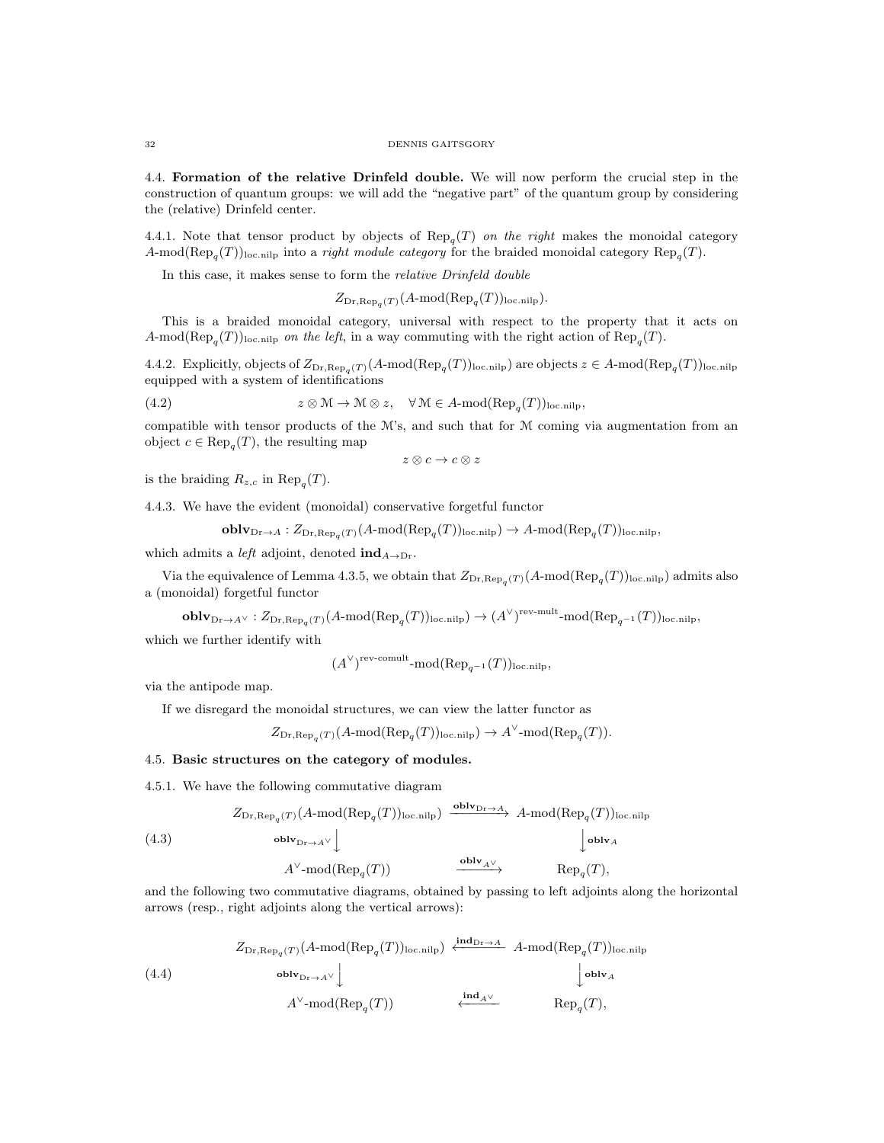4.4. Formation of the relative Drinfeld double. We will now perform the crucial step in the construction of quantum groups: we will add the "negative part" of the quantum group by considering the (relative) Drinfeld center.

4.4.1. Note that tensor product by objects of  $\text{Rep}_q(T)$  on the right makes the monoidal category A-mod( $\text{Rep}_q(T)$ )<sub>loc.nilp</sub> into a *right module category* for the braided monoidal category  $\text{Rep}_q(T)$ .

In this case, it makes sense to form the relative Drinfeld double

$$
Z_{\text{Dr}, \text{Rep}_q(T)}(A \text{-mod}(\text{Rep}_q(T))_{\text{loc.nilp}}).
$$

This is a braided monoidal category, universal with respect to the property that it acts on A-mod( $\text{Rep}_q(T)$ )<sub>loc.nilp</sub> on the left, in a way commuting with the right action of  $\text{Rep}_q(T)$ .

4.4.2. Explicitly, objects of  $Z_{Dr,Rep_q(T)}(A\text{-mod}(Rep_q(T))_{loc,nilp})$  are objects  $z \in A\text{-mod}(Rep_q(T))_{loc,nilp}$ equipped with a system of identifications

(4.2) 
$$
z \otimes M \to M \otimes z
$$
,  $\forall M \in A$ -mod( $\text{Rep}_q(T)$ )<sub>loc.nilp</sub>,

compatible with tensor products of the  $M$ 's, and such that for  $M$  coming via augmentation from an object  $c \in \text{Rep}_q(T)$ , the resulting map

 $z \otimes c \rightarrow c \otimes z$ 

is the braiding  $R_{z,c}$  in  $\text{Rep}_q(T)$ .

4.4.3. We have the evident (monoidal) conservative forgetful functor

 ${\bf oblv}_{{\rm Dr}\rightarrow A}:Z_{{\rm Dr}, {\rm Rep}_q(T)}(A{\text{-mod}}({\rm Rep}_q(T))_{\rm loc. nilp})\rightarrow A{\text{-mod}}({\rm Rep}_q(T))_{\rm loc. nilp},$ 

which admits a *left* adjoint, denoted  $\text{ind}_{A\rightarrow\text{Dr}}$ .

Via the equivalence of Lemma 4.3.5, we obtain that  $Z_{\text{Dr},\text{Rep}_q(T)}(A\text{-mod}(\text{Rep}_q(T))_{\text{loc.nilp}})$  admits also a (monoidal) forgetful functor

 ${\bf oblv}_{{\rm Dr}\rightarrow A^\vee}:Z_{{\rm Dr}, {\rm Rep}_q(T)}(A{\text{-mod}}({\rm Rep}_q(T))_{\rm loc. nilp})\rightarrow (A^\vee)^{\rm rev-mult}{\rm -mod}({\rm Rep}_{q^{-1}}(T))_{\rm loc. nilp},$ 

which we further identify with

$$
(A^{\vee})^{\text{rev-comult}}
$$
-mod( $\text{Rep}_{q^{-1}}(T)$ )<sub>loc.nilp</sub>,

via the antipode map.

If we disregard the monoidal structures, we can view the latter functor as

$$
Z_{\mathrm{Dr}, \mathrm{Rep}_q(T)}(A \text{-mod}(\mathrm{Rep}_q(T))_{\mathrm{loc}, \mathrm{nilp}}) \to A^{\vee} \text{-mod}(\mathrm{Rep}_q(T)).
$$

# 4.5. Basic structures on the category of modules.

4.5.1. We have the following commutative diagram

(4.3)  
\n
$$
Z_{\text{Dr}, \text{Rep}_{q}(T)}(A \text{-mod}(\text{Rep}_{q}(T))_{\text{loc.nilp}}) \xrightarrow{\text{oblv}_{\text{Dr}\to A}} A \text{-mod}(\text{Rep}_{q}(T))_{\text{loc.nilp}}
$$
\n
$$
\downarrow \text{oblv}_{A}
$$
\n
$$
A^{\vee} \text{-mod}(\text{Rep}_{q}(T)) \xrightarrow{\text{oblv}_{A^{\vee}}} \text{Rep}_{q}(T),
$$

and the following two commutative diagrams, obtained by passing to left adjoints along the horizontal arrows (resp., right adjoints along the vertical arrows):

(4.4)  
\n
$$
Z_{\text{Dr}, \text{Rep}_q(T)}(A \text{-mod}(\text{Rep}_q(T))_{\text{loc.nilp}}) \xleftarrow{\text{ind}_{\text{Dr}\to A}} A \text{-mod}(\text{Rep}_q(T))_{\text{loc.nilp}}
$$
\n
$$
(\text{4.4}) \qquad \qquad \text{oblv}_{\text{Dr}\to A^{\vee}} \qquad \qquad \downarrow \text{oblv}_{A}
$$
\n
$$
A^{\vee} \text{-mod}(\text{Rep}_q(T)) \qquad \qquad \xleftarrow{\text{ind}_{A^{\vee}}} \text{Rep}_q(T),
$$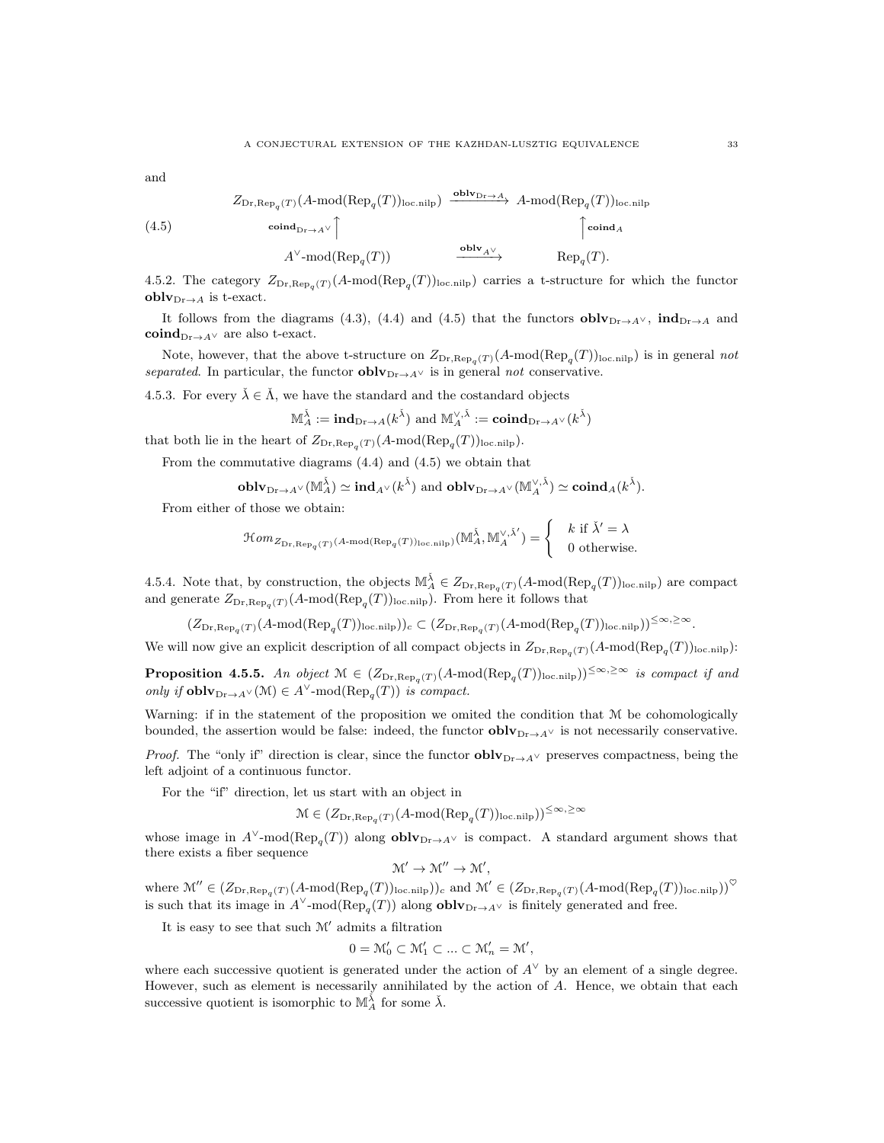and

(4.5)  
\n
$$
Z_{\text{Dr}, \text{Rep}_{q}(T)}(A\text{-mod}(\text{Rep}_{q}(T))_{\text{loc.nilp}}) \xrightarrow{\text{oblv}_{\text{Dr}\to A}} A\text{-mod}(\text{Rep}_{q}(T))_{\text{loc.nilp}}
$$
\n
$$
\uparrow \text{coind}_{A}
$$
\n
$$
A^{\vee}\text{-mod}(\text{Rep}_{q}(T)) \xrightarrow{\text{oblv}_{A^{\vee}}} \text{Rep}_{q}(T).
$$

4.5.2. The category  $Z_{Dr,Rep_q}(T)$  (A-mod(Rep<sub>q</sub>(T))<sub>loc.nilp</sub>) carries a t-structure for which the functor  $oblv_{Dr\rightarrow A}$  is t-exact.

It follows from the diagrams (4.3), (4.4) and (4.5) that the functors  $\textbf{oblv}_{\text{Dr}\rightarrow A}\vee$ ,  $\textbf{ind}_{\text{Dr}\rightarrow A}$  and  $\mathbf{coind}_{\mathrm{Dr}\to A^{\vee}}$  are also t-exact.

Note, however, that the above t-structure on  $Z_{\text{Dr},\text{Rep}_q(T)}(A\text{-mod}(\text{Rep}_q(T))_{\text{loc.nilp}})$  is in general not separated. In particular, the functor  $\textbf{oblv}_{Dr\to A}\vee$  is in general not conservative.

4.5.3. For every  $\check{\lambda} \in \check{\Lambda}$ , we have the standard and the costandard objects

$$
\mathbb{M}_{A}^{\tilde{\lambda}} := \mathbf{ind}_{\mathrm{Dr}\to A}(k^{\tilde{\lambda}}) \text{ and } \mathbb{M}_{A}^{\vee, \tilde{\lambda}} := \mathbf{coind}_{\mathrm{Dr}\to A^{\vee}}(k^{\tilde{\lambda}})
$$

that both lie in the heart of  $Z_{\text{Dr},\text{Rep}_q(T)}(A\text{-mod}(\text{Rep}_q(T))_{\text{loc,nilp}})$ .

From the commutative diagrams (4.4) and (4.5) we obtain that

$$
\mathbf{oblv}_{\mathrm{Dr}\to A^\vee}(\mathbb{M}_A^{\check{\lambda}})\simeq \mathbf{ind}_{A^\vee}(k^{\check{\lambda}})\text{ and } \mathbf{oblv}_{\mathrm{Dr}\to A^\vee}(\mathbb{M}_A^{\vee,\check{\lambda}})\simeq \mathbf{coind}_{A}(k^{\check{\lambda}}).
$$

From either of those we obtain:

$$
\mathcal{H}om_{Z_{\mathrm{Dr}, \mathrm{Rep}_{q}(T) }(A\text{-}\mathrm{mod}(\mathrm{Rep}_{q}(T))_{\mathrm{loc. nilp}})} (\mathbb{M}_{A}^{\check{\lambda}}, \mathbb{M}_{A}^{\vee, \check{\lambda}'})=\left\{\begin{array}{c} k \text{ if } \check{\lambda}'=\lambda \\ 0 \text{ otherwise.} \end{array} \right.
$$

4.5.4. Note that, by construction, the objects  $\mathbb{M}_{A}^{\check{\lambda}} \in Z_{\text{Dr},\text{Rep}_q(T)}(A\text{-mod}(\text{Rep}_q(T))_{\text{loc,nilp}})$  are compact and generate  $Z_{\text{Dr}, \text{Rep}_q(T)}(A \text{-mod}(\text{Rep}_q(T))_{\text{loc.nilp}})$ . From here it follows that

 $(Z_{\text{Dr},\text{Rep}_{q}(T)}(A\text{-mod}(\text{Rep}_{q}(T))_{\text{loc.nilp}}))_{c} \subset (Z_{\text{Dr},\text{Rep}_{q}(T)}(A\text{-mod}(\text{Rep}_{q}(T))_{\text{loc.nilp}}))^{\leq \infty, \geq \infty}.$ 

We will now give an explicit description of all compact objects in  $Z_{\text{Dr},\text{Rep}_q(T)}(A\text{-mod}(\text{Rep}_q(T))_{\text{loc,nilp}})$ :

**Proposition 4.5.5.** An object  $M \in (Z_{Dr, Rep_q(T)}(A\text{-mod}(Rep_q(T))_{loc,nilp}))^{\leq \infty, \geq \infty}$  is compact if and *only if* **oblv**<sub>Dr→A</sub>∨(M)  $\in$  A<sup>V</sup>-mod(Rep<sub>q</sub>(T)) is compact.

Warning: if in the statement of the proposition we omited the condition that M be cohomologically bounded, the assertion would be false: indeed, the functor  $\textbf{oblv}_{\text{Dr}\to A^{\vee}}$  is not necessarily conservative.

*Proof.* The "only if" direction is clear, since the functor  $oblv_{Dr\to A}$  preserves compactness, being the left adjoint of a continuous functor.

For the "if" direction, let us start with an object in

$$
\mathcal{M} \in (Z_{\mathrm{Dr}, \mathrm{Rep}_q(T)}(A \text{-}\mathrm{mod}(\mathrm{Rep}_q(T))_{\mathrm{loc}, \mathrm{nilp}}))^{\leq \infty, \geq \infty}
$$

whose image in  $A^{\vee}$ -mod( $\text{Rep}_{q}(T)$ ) along **oblv**<sub>Dr→A</sub> $\vee$  is compact. A standard argument shows that there exists a fiber sequence

 $\mathcal{M}' \to \mathcal{M}'' \to \mathcal{M}',$ 

where  $\mathcal{M}'' \in (Z_{\text{Dr},\text{Rep}_{q}(T)}(A\text{-mod}(\text{Rep}_{q}(T)))_{\text{loc.nilp}}))_{c}$  and  $\mathcal{M}' \in (Z_{\text{Dr},\text{Rep}_{q}(T)}(A\text{-mod}(\text{Rep}_{q}(T)))_{\text{loc.nilp}}))_{c}$ is such that its image in  $A^{\vee}$ -mod( $\text{Rep}_{q}(T)$ ) along **oblv**<sub>Dr→A</sub> $\vee$  is finitely generated and free.

It is easy to see that such  $M'$  admits a filtration

$$
0 = \mathcal{M}'_0 \subset \mathcal{M}'_1 \subset \ldots \subset \mathcal{M}'_n = \mathcal{M}',
$$

where each successive quotient is generated under the action of  $A^{\vee}$  by an element of a single degree. However, such as element is necessarily annihilated by the action of A. Hence, we obtain that each successive quotient is isomorphic to  $\mathbb{M}_{A}^{\tilde{\lambda}}$  for some  $\tilde{\lambda}$ .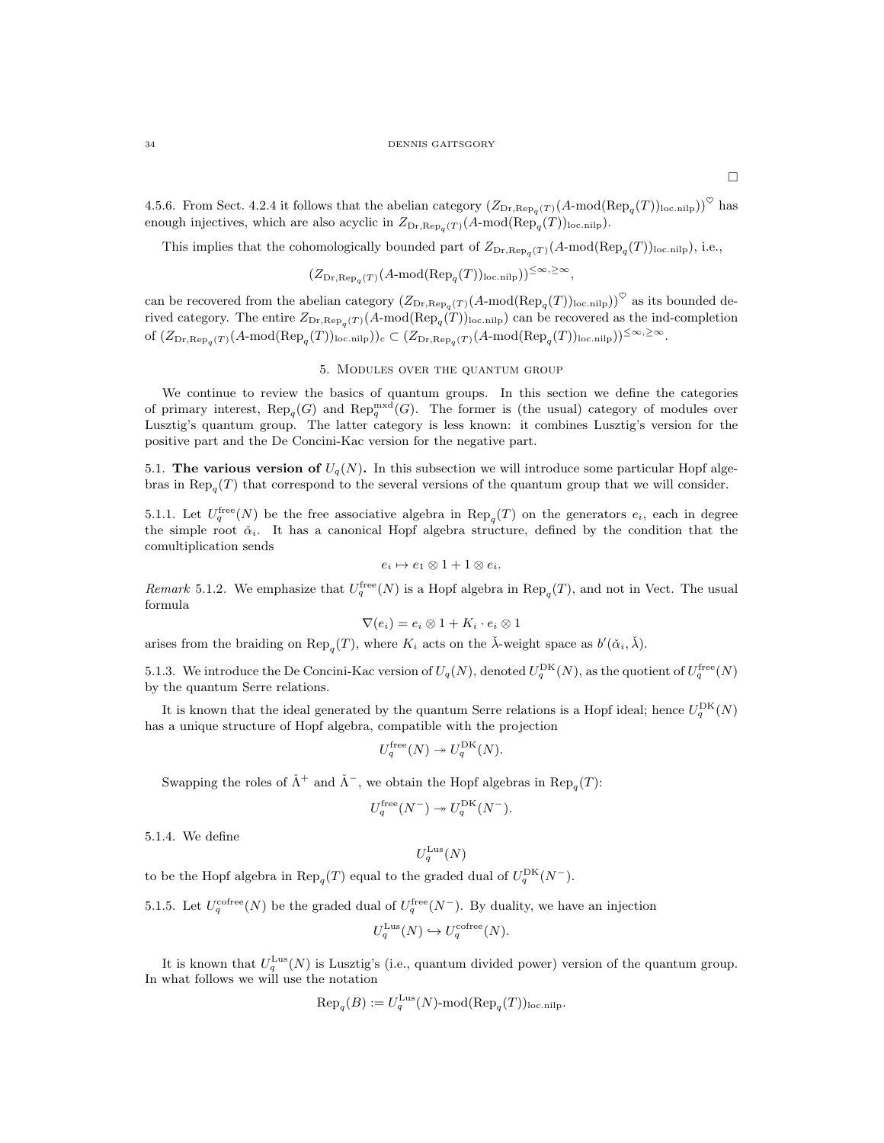4.5.6. From Sect. 4.2.4 it follows that the abelian category  $(Z_{Dr,Rep_q}(T)(A-mod(Rep_q(T))_{loc.nilp}))^{\heartsuit}$  has enough injectives, which are also acyclic in  $Z_{Dr, Rep_q(T)}(A\text{-mod}(Rep_q(T))_{loc,nilp}).$ 

This implies that the cohomologically bounded part of  $Z_{Dr,Rep_q(T)}(A\text{-mod}(Rep_q(T))_{loc,nilp}),$  i.e.,

$$
(Z_{\mathrm{Dr}, \mathrm{Rep}_{q}(T)}(A \text{-}\mathrm{mod}(\mathrm{Rep}_{q}(T))_{\mathrm{loc. nilp}}))^{\leq \infty, \geq \infty},
$$

can be recovered from the abelian category  $(Z_{Dr, Rep_q(T)}(A\text{-mod}(\text{Rep}_q(T))_{\text{loc.nilp}}))^{\heartsuit}$  as its bounded derived category. The entire  $Z_{\text{Dr},\text{Rep}_q(T)}(A\text{-mod}(\text{Rep}_q(T))_{\text{loc.nilp}})$  can be recovered as the ind-completion of  $(Z_{\text{Dr},\text{Rep}_{q}(T)}(A\text{-mod}(\text{Rep}_{q}(T))_{\text{loc.nilp}}))_{c} \subset (Z_{\text{Dr},\text{Rep}_{q}(T)}(A\text{-mod}(\text{Rep}_{q}(T))_{\text{loc.nilp}}))^{\leq \infty, \geq \infty}$ .

### 5. Modules over the quantum group

We continue to review the basics of quantum groups. In this section we define the categories of primary interest,  $\text{Rep}_q(G)$  and  $\text{Rep}_q^{\text{mxd}}(G)$ . The former is (the usual) category of modules over Lusztig's quantum group. The latter category is less known: it combines Lusztig's version for the positive part and the De Concini-Kac version for the negative part.

5.1. The various version of  $U_q(N)$ . In this subsection we will introduce some particular Hopf algebras in  $\text{Rep}_q(T)$  that correspond to the several versions of the quantum group that we will consider.

5.1.1. Let  $U_q^{\text{free}}(N)$  be the free associative algebra in  $\text{Rep}_q(T)$  on the generators  $e_i$ , each in degree the simple root  $\check{\alpha}_i$ . It has a canonical Hopf algebra structure, defined by the condition that the comultiplication sends

$$
e_i \mapsto e_1 \otimes 1 + 1 \otimes e_i.
$$

Remark 5.1.2. We emphasize that  $U_q^{\text{free}}(N)$  is a Hopf algebra in  $\text{Rep}_q(T)$ , and not in Vect. The usual formula

$$
\nabla(e_i) = e_i \otimes 1 + K_i \cdot e_i \otimes 1
$$

arises from the braiding on  $\text{Rep}_q(T)$ , where  $K_i$  acts on the  $\check{\lambda}$ -weight space as  $b'(\check{\alpha}_i, \check{\lambda})$ .

5.1.3. We introduce the De Concini-Kac version of  $U_q(N)$ , denoted  $U_q^{\text{DK}}(N)$ , as the quotient of  $U_q^{\text{free}}(N)$ by the quantum Serre relations.

It is known that the ideal generated by the quantum Serre relations is a Hopf ideal; hence  $U_q^{\text{DK}}(N)$ has a unique structure of Hopf algebra, compatible with the projection

$$
U_q^{\text{free}}(N) \twoheadrightarrow U_q^{\text{DK}}(N).
$$

Swapping the roles of  $\check{\Lambda}$ <sup>+</sup> and  $\check{\Lambda}$ <sup>-</sup>, we obtain the Hopf algebras in  $\text{Rep}_q(T)$ :

$$
U_q^{\text{free}}(N^-) \twoheadrightarrow U_q^{\text{DK}}(N^-).
$$

5.1.4. We define

$$
U_q^{\rm{Lus}}(N)
$$

to be the Hopf algebra in  $\text{Rep}_q(T)$  equal to the graded dual of  $U_q^{\text{DK}}(N^-)$ .

5.1.5. Let  $U_q^{\text{cofree}}(N)$  be the graded dual of  $U_q^{\text{free}}(N^-)$ . By duality, we have an injection

$$
U_q^{\text{Lus}}(N) \hookrightarrow U_q^{\text{cofree}}(N).
$$

It is known that  $U_q^{\text{Lus}}(N)$  is Lusztig's (i.e., quantum divided power) version of the quantum group. In what follows we will use the notation

$$
\text{Rep}_{q}(B) := U_{q}^{\text{Lus}}(N) \text{-mod}(\text{Rep}_{q}(T))_{\text{loc,nilp}}.
$$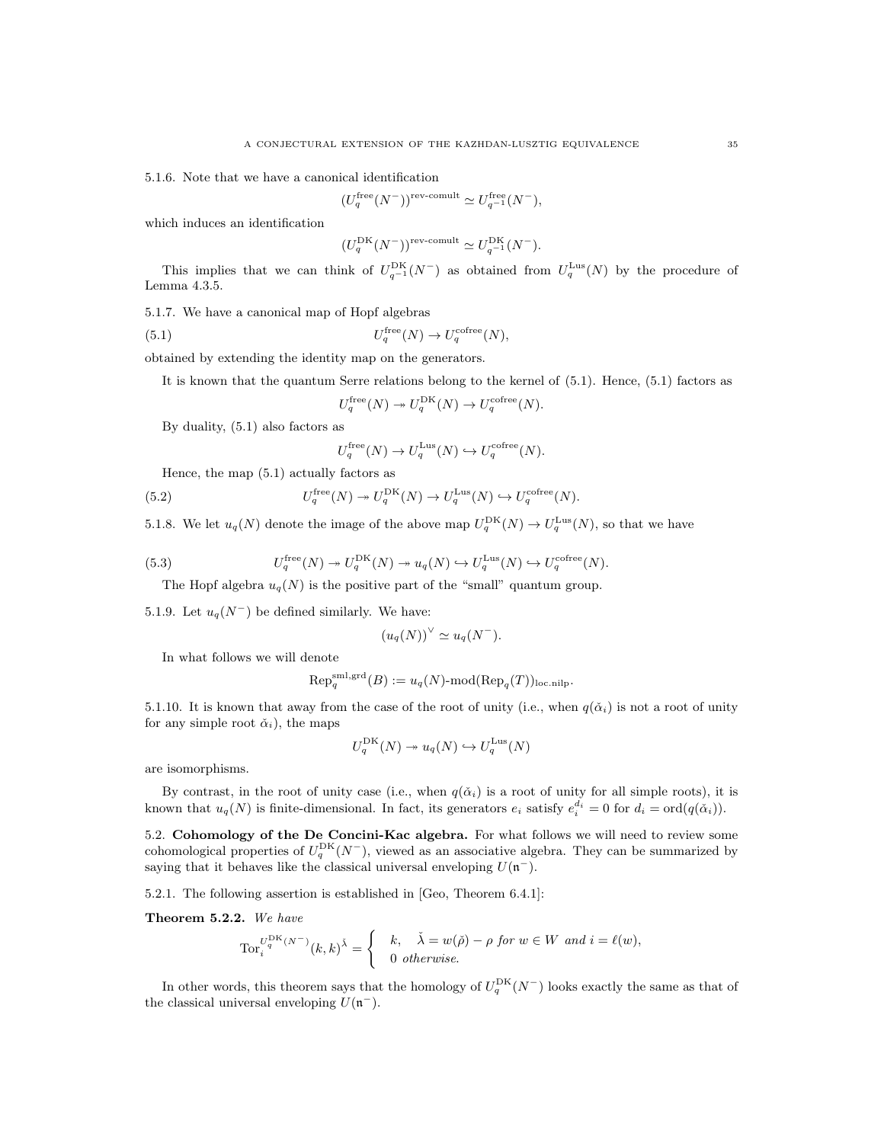5.1.6. Note that we have a canonical identification

$$
(U_q^{\text{free}}(N^-))^{\text{rev-comult}} \simeq U_{q^{-1}}^{\text{free}}(N^-),
$$

which induces an identification

$$
(U_q^{\rm DK}(N^-))^{rev\text{-comult}} \simeq U_{q^{-1}}^{\rm DK}(N^-).
$$

This implies that we can think of  $U_{q^{-1}}^{\text{DK}}(N^-)$  as obtained from  $U_q^{\text{Lus}}(N)$  by the procedure of Lemma 4.3.5.

5.1.7. We have a canonical map of Hopf algebras

 $(5.1)$  $U_q^{\text{free}}(N) \to U_q^{\text{cofree}}(N),$ 

obtained by extending the identity map on the generators.

It is known that the quantum Serre relations belong to the kernel of 
$$
(5.1)
$$
. Hence,  $(5.1)$  factors as

$$
U_q^{\text{free}}(N) \twoheadrightarrow U_q^{\text{DK}}(N) \to U_q^{\text{cofree}}(N).
$$

By duality, (5.1) also factors as

$$
I_q^{\text{free}}(N) \to U_q^{\text{Lus}}(N) \hookrightarrow U_q^{\text{cofree}}(N).
$$

Hence, the map (5.1) actually factors as

(5.2) 
$$
U_q^{\text{free}}(N) \twoheadrightarrow U_q^{\text{DK}}(N) \to U_q^{\text{Lus}}(N) \hookrightarrow U_q^{\text{cofree}}(N).
$$

 $\overline{I}$ 

5.1.8. We let  $u_q(N)$  denote the image of the above map  $U_q^{\text{DK}}(N) \to U_q^{\text{Lus}}(N)$ , so that we have

(5.3) 
$$
U_q^{\text{free}}(N) \twoheadrightarrow U_q^{\text{DK}}(N) \twoheadrightarrow u_q(N) \hookrightarrow U_q^{\text{Lus}}(N) \hookrightarrow U_q^{\text{cofree}}(N).
$$

The Hopf algebra  $u_q(N)$  is the positive part of the "small" quantum group.

5.1.9. Let  $u_q(N^-)$  be defined similarly. We have:

$$
(u_q(N))^\vee \simeq u_q(N^-).
$$

In what follows we will denote

$$
\text{Rep}_q^{\text{sml},\text{grd}}(B) := u_q(N)\text{-mod}(\text{Rep}_q(T))_{\text{loc.nilp}}.
$$

5.1.10. It is known that away from the case of the root of unity (i.e., when  $q(\check{\alpha}_i)$  is not a root of unity for any simple root  $\check{\alpha}_i$ , the maps

$$
U_q^{\mathrm{DK}}(N) \to u_q(N) \hookrightarrow U_q^{\mathrm{Lus}}(N)
$$

are isomorphisms.

By contrast, in the root of unity case (i.e., when  $q(\check{\alpha}_i)$  is a root of unity for all simple roots), it is known that  $u_q(N)$  is finite-dimensional. In fact, its generators  $e_i$  satisfy  $e_i^{d_i} = 0$  for  $d_i = \text{ord}(q(\check{\alpha}_i))$ .

5.2. Cohomology of the De Concini-Kac algebra. For what follows we will need to review some cohomological properties of  $U_q^{\text{DK}}(N^-)$ , viewed as an associative algebra. They can be summarized by saying that it behaves like the classical universal enveloping  $U(\mathfrak{n}^-)$ .

5.2.1. The following assertion is established in [Geo, Theorem 6.4.1]:

Theorem 5.2.2. We have

$$
\operatorname{Tor}_i^{U_q^{\operatorname{DK}}(N^-)}(k,k)^{\check{\lambda}} = \begin{cases} & k, \quad \check{\lambda} = w(\check{\rho}) - \rho \text{ for } w \in W \text{ and } i = \ell(w), \\ & 0 \text{ otherwise.} \end{cases}
$$

In other words, this theorem says that the homology of  $U_q^{\text{DK}}(N^-)$  looks exactly the same as that of the classical universal enveloping  $U(\mathfrak{n}^-)$ .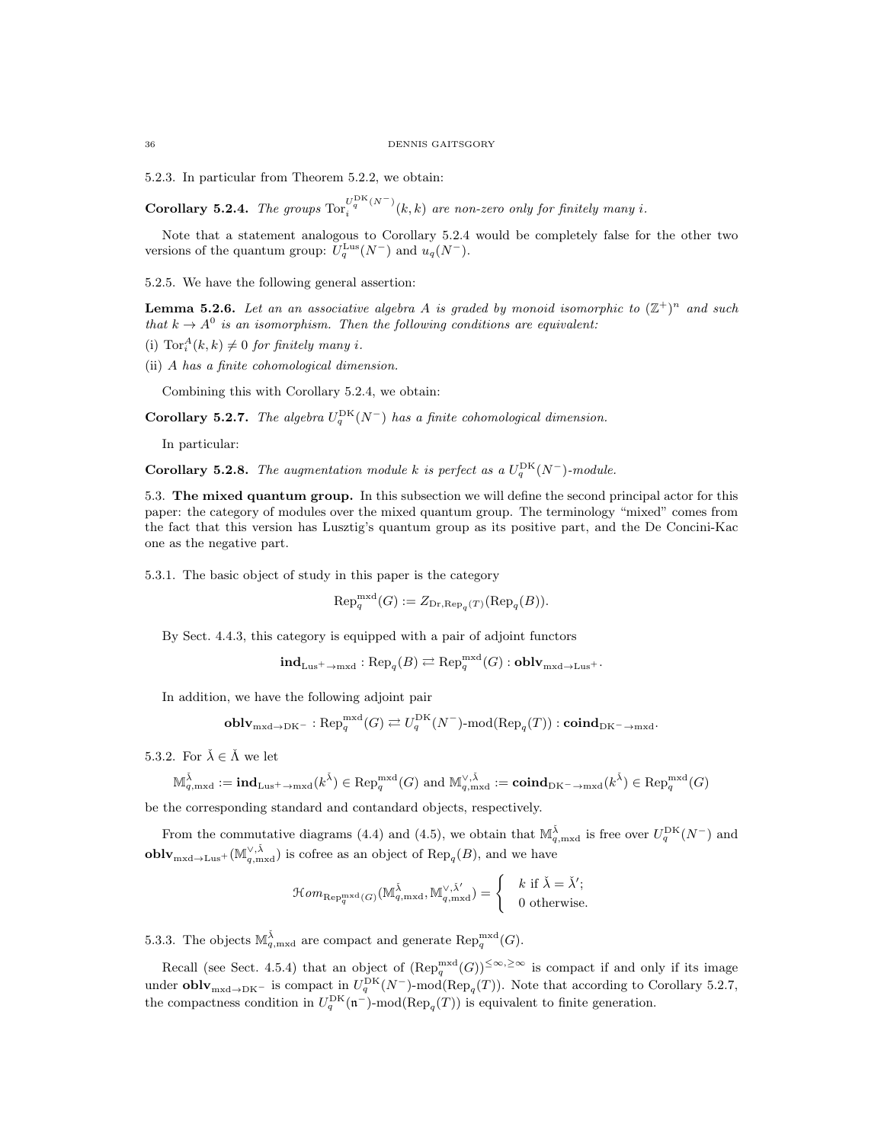5.2.3. In particular from Theorem 5.2.2, we obtain:

Corollary 5.2.4. The groups  $\text{Tor}_i^{U_2^{\text{DK}}(N^-)}$  $\int_{i}^{\infty}$  (i.e., i.e. one non-zero only for finitely many i.

Note that a statement analogous to Corollary 5.2.4 would be completely false for the other two versions of the quantum group:  $U_q^{\text{Lus}}(N^-)$  and  $u_q(N^-)$ .

5.2.5. We have the following general assertion:

**Lemma 5.2.6.** Let an an associative algebra A is graded by monoid isomorphic to  $(\mathbb{Z}^+)^n$  and such that  $k \to A^0$  is an isomorphism. Then the following conditions are equivalent:

- (i)  $\text{Tor}_i^A(k,k) \neq 0$  for finitely many i.
- (ii) A has a finite cohomological dimension.

Combining this with Corollary 5.2.4, we obtain:

**Corollary 5.2.7.** The algebra  $U_q^{\text{DK}}(N^-)$  has a finite cohomological dimension.

In particular:

**Corollary 5.2.8.** The augmentation module k is perfect as a  $U_q^{\text{DK}}(N^-)$ -module.

5.3. The mixed quantum group. In this subsection we will define the second principal actor for this paper: the category of modules over the mixed quantum group. The terminology "mixed" comes from the fact that this version has Lusztig's quantum group as its positive part, and the De Concini-Kac one as the negative part.

5.3.1. The basic object of study in this paper is the category

$$
\text{Rep}_q^{\text{mxd}}(G) := Z_{\text{Dr}, \text{Rep}_q(T)}(\text{Rep}_q(B)).
$$

By Sect. 4.4.3, this category is equipped with a pair of adjoint functors

$$
\mathbf{ind}_{\mathrm{Lus}^+ \to \mathrm{mxd}} : \mathrm{Rep}_q(B) \rightleftarrows \mathrm{Rep}_q^{\mathrm{mxd}}(G) : \mathbf{oblv}_{\mathrm{mxd} \to \mathrm{Lus}^+}.
$$

In addition, we have the following adjoint pair

$$
\textbf{oblv}_{\text{mxd}\to \text{DK}^-}:\text{Rep}_q^{\text{mxd}}(G)\rightleftarrows U_q^{\text{DK}}(N^-)\text{-mod}(\text{Rep}_q(T)):\textbf{coind}_{\text{DK}^-\to \text{mxd}}.
$$

5.3.2. For  $\check{\lambda} \in \check{\Lambda}$  we let

$$
\mathbb{M}^{\tilde{\lambda}}_{q,\mathrm{mxd}} := \mathrm{\mathbf{ind}}_{\mathrm{Lus}^+ \to \mathrm{mxd}}(k^{\tilde{\lambda}}) \in \mathrm{Rep}_q^{\mathrm{mxd}}(G) \text{ and } \mathbb{M}_{q,\mathrm{mxd}}^{\vee,\tilde{\lambda}} := \mathrm{\mathbf{coind}}_{\mathrm{DK}^- \to \mathrm{mxd}}(k^{\tilde{\lambda}}) \in \mathrm{Rep}_q^{\mathrm{mxd}}(G)
$$

be the corresponding standard and contandard objects, respectively.

From the commutative diagrams (4.4) and (4.5), we obtain that  $\mathbb{M}^{\check{\lambda}}_{q,\text{maxd}}$  is free over  $U_q^{\text{DK}}(N^-)$  and **obl**  $\mathbf{v}_{\text{mxd}\to\text{Lus}^+}(\mathbb{M}_{q,\text{mxd}}^{\vee,\tilde{\lambda}})$  is cofree as an object of  $\text{Rep}_q(B)$ , and we have

$$
\mathcal{H}om_{\text{Rep}_q^{\text{mxd}}(G)}(\mathbb{M}_{q,\text{mxd}}^{\tilde{\lambda}}, \mathbb{M}_{q,\text{mxd}}^{\vee,\tilde{\lambda}'} ) = \begin{cases} & k \text{ if } \tilde{\lambda} = \tilde{\lambda}'; \\ & 0 \text{ otherwise.} \end{cases}
$$

5.3.3. The objects  $\mathbb{M}_{q,\text{mxd}}^{\tilde{\lambda}}$  are compact and generate  $\text{Rep}_q^{\text{mxd}}(G)$ .

Recall (see Sect. 4.5.4) that an object of  $(\text{Rep}_q^{\text{mxd}}(G))^{\leq \infty, \geq \infty}$  is compact if and only if its image under **obl**  $\mathbf{v}_{\text{mxd}\to\text{DK}-}$  is compact in  $U_q^{\text{DK}}(N^-)$ -mod(Rep<sub>q</sub>(T)). Note that according to Corollary 5.2.7, the compactness condition in  $U_q^{\text{DK}}(\mathfrak{n}^-)$ -mod $(\text{Rep}_q(T))$  is equivalent to finite generation.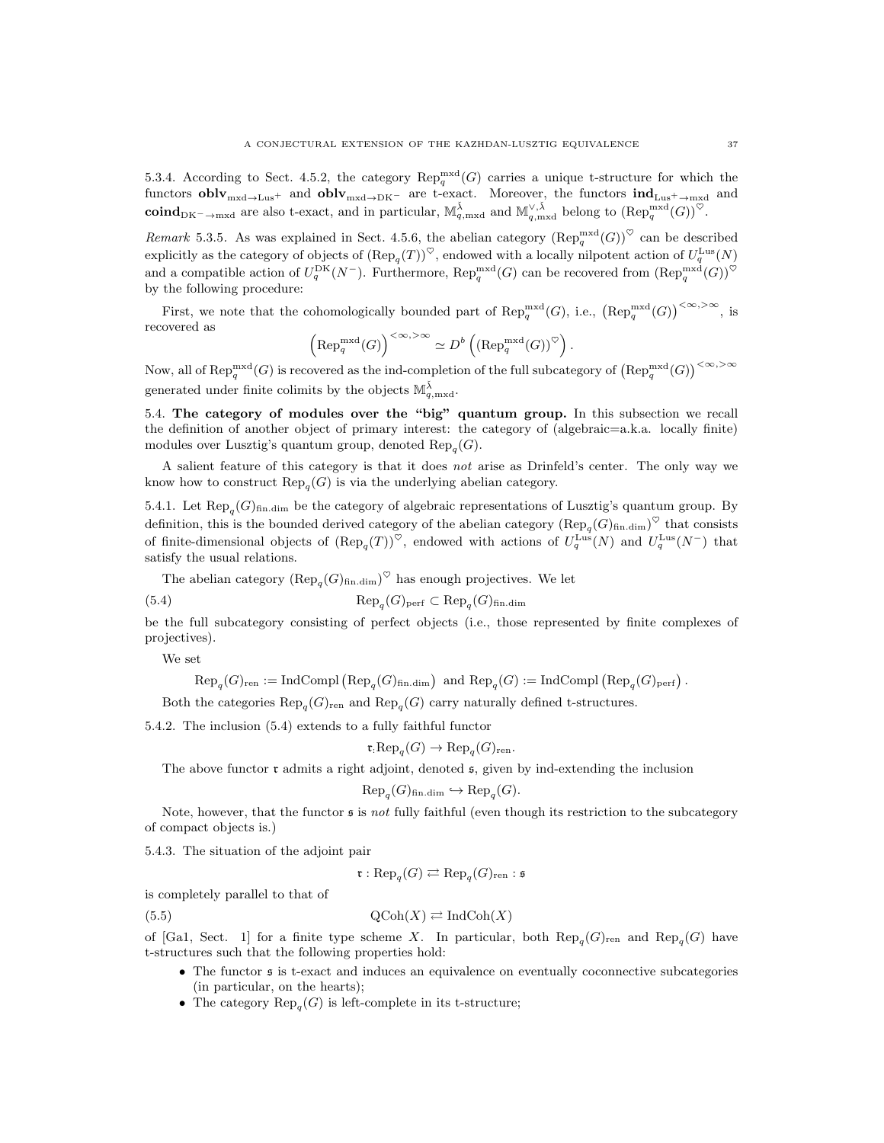5.3.4. According to Sect. 4.5.2, the category  $\text{Rep}_q^{\text{mxd}}(G)$  carries a unique t-structure for which the functors  $\textbf{oblv}_{\text{mxd}\to\text{Lus}^+}$  and  $\textbf{oblv}_{\text{mxd}\to\text{DK}^-}$  are t-exact. Moreover, the functors  $\textbf{ind}_{\text{Lus}^+ \to \text{mxd}}$  and  $\mathbf{coind}_{\mathrm{DK}-\to\mathrm{mxd}}$  are also t-exact, and in particular,  $\mathbb{M}_{q,\mathrm{mxd}}^{\check{\lambda}}$  and  $\mathbb{M}_{q,\mathrm{mxd}}^{\vee,\check{\lambda}}$  belong to  $(\mathrm{Rep}_q^{\mathrm{mxd}}(G))^{\heartsuit}$ .

Remark 5.3.5. As was explained in Sect. 4.5.6, the abelian category  $(\text{Rep}_q^{\text{mxd}}(G))^{\heartsuit}$  can be described explicitly as the category of objects of  $(\text{Rep}_q(T))^{\heartsuit}$ , endowed with a locally nilpotent action of  $U_q^{\text{Lus}}(N)$ and a compatible action of  $U_q^{\text{DK}}(N^-)$ . Furthermore,  $\text{Rep}_q^{\text{mxd}}(G)$  can be recovered from  $(\text{Rep}_q^{\text{mxd}}(G))^{\heartsuit}$ by the following procedure:

First, we note that the cohomologically bounded part of  $\text{Rep}_q^{\text{mxd}}(G)$ , i.e.,  $(\text{Rep}_q^{\text{mxd}}(G))^{<\infty,>\infty}$ , is recovered as

$$
\left(\mathrm{Rep}_q^{\mathrm{mxd}}(G)\right)^{<\infty,>\infty}\simeq D^b\left(\left(\mathrm{Rep}_q^{\mathrm{mxd}}(G)\right)^\heartsuit\right).
$$

Now, all of  $\mathrm{Rep}_q^{\mathrm{mxd}}(G)$  is recovered as the ind-completion of the full subcategory of  $(\mathrm{Rep}_q^{\mathrm{mxd}}(G))^{<\infty,>\infty}$ generated under finite colimits by the objects  $\mathbb{M}_{q,\text{mxd}}^{\check{\lambda}}$ .

5.4. The category of modules over the "big" quantum group. In this subsection we recall the definition of another object of primary interest: the category of (algebraic=a.k.a. locally finite) modules over Lusztig's quantum group, denoted  $\text{Rep}_q(G)$ .

A salient feature of this category is that it does not arise as Drinfeld's center. The only way we know how to construct  $\text{Rep}_q(G)$  is via the underlying abelian category.

5.4.1. Let  $\text{Rep}_{q}(G)_{\text{fin.dim}}$  be the category of algebraic representations of Lusztig's quantum group. By definition, this is the bounded derived category of the abelian category  $(\text{Rep}_q(G)_{\text{fin.dim}})^\heartsuit$  that consists of finite-dimensional objects of  $(\text{Rep}_q(T))^{\heartsuit}$ , endowed with actions of  $U_q^{\text{Lus}}(N)$  and  $U_q^{\text{Lus}}(N^-)$  that satisfy the usual relations.

The abelian category  $(\text{Rep}_q(G)_{\text{fin.dim}})^\heartsuit$  has enough projectives. We let

(5.4) 
$$
\operatorname{Rep}_q(G)_{\text{perf}} \subset \operatorname{Rep}_q(G)_{\text{fin.dim}}
$$

be the full subcategory consisting of perfect objects (i.e., those represented by finite complexes of projectives).

We set

 $\text{Rep}_q(G)_{\text{ren}} := \text{IndCompl}(\text{Rep}_q(G)_{\text{fin.dim}})$  and  $\text{Rep}_q(G) := \text{IndCompl}(\text{Rep}_q(G)_{\text{perf}})$ .

Both the categories  $\text{Rep}_{q}(G)_{\text{ren}}$  and  $\text{Rep}_{q}(G)$  carry naturally defined t-structures.

5.4.2. The inclusion (5.4) extends to a fully faithful functor

$$
\mathfrak{r} \text{;} \text{Rep}_q(G) \to \text{Rep}_q(G)_{\text{ren}}.
$$

The above functor  $\mathfrak r$  admits a right adjoint, denoted  $\mathfrak s$ , given by ind-extending the inclusion

$$
\text{Rep}_{q}(G)_{\text{fin.dim}} \hookrightarrow \text{Rep}_{q}(G).
$$

Note, however, that the functor  $\mathfrak s$  is not fully faithful (even though its restriction to the subcategory of compact objects is.)

5.4.3. The situation of the adjoint pair

$$
\mathfrak{r}: \text{Rep}_q(G) \rightleftarrows \text{Rep}_q(G)_{\text{ren}} : \mathfrak{s}
$$

is completely parallel to that of

$$
\mathrm{QCoh}(X) \rightleftarrows \mathrm{IndCoh}(X)
$$

of [Ga1, Sect. 1] for a finite type scheme X. In particular, both  $\text{Rep}_q(G)_{\text{ren}}$  and  $\text{Rep}_q(G)$  have t-structures such that the following properties hold:

- The functor  $\epsilon$  is t-exact and induces an equivalence on eventually coconnective subcategories (in particular, on the hearts);
- The category  $\text{Rep}_q(G)$  is left-complete in its t-structure;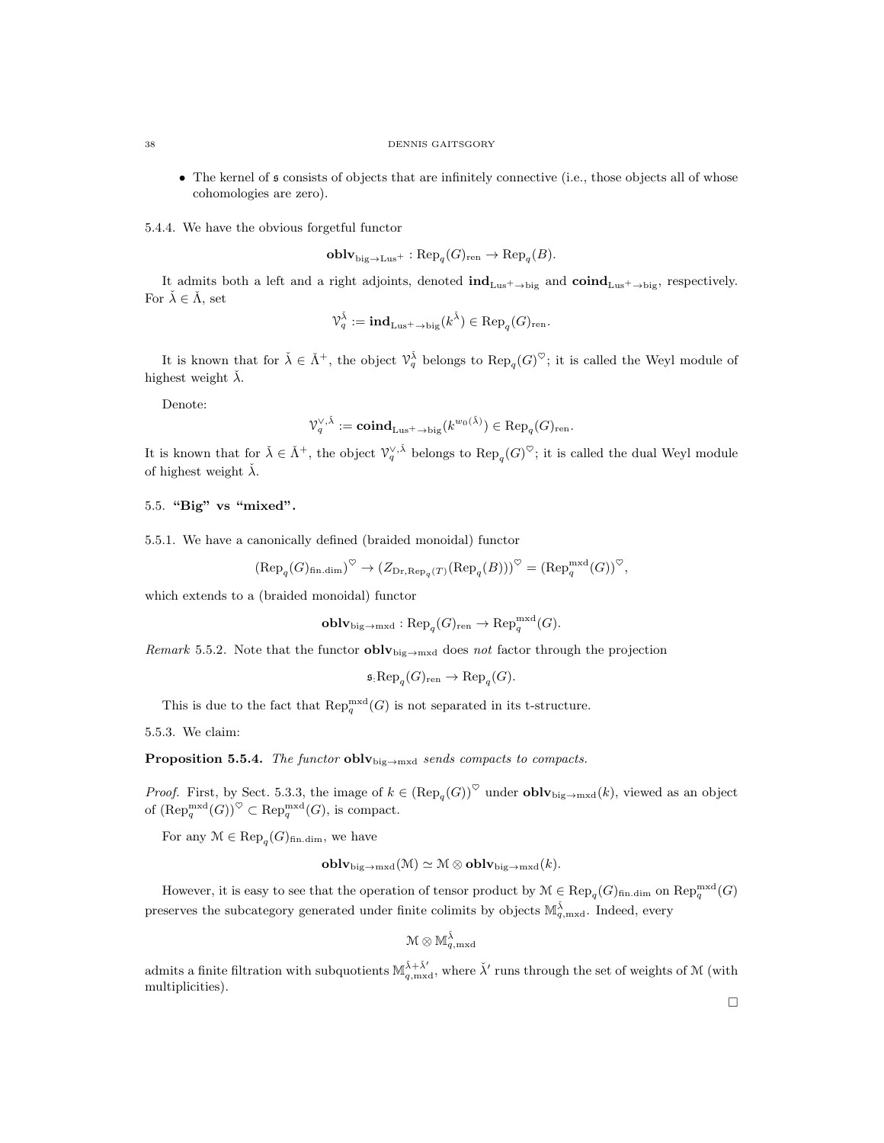• The kernel of  $\mathfrak s$  consists of objects that are infinitely connective (i.e., those objects all of whose cohomologies are zero).

5.4.4. We have the obvious forgetful functor

 $\textbf{oblv}_{\text{big} \to \text{Lus}^+} : \text{Rep}_q(G)_{\text{ren}} \to \text{Rep}_q(B).$ 

It admits both a left and a right adjoints, denoted  $\text{ind}_{\text{Lus}^+ \to \text{big}}$  and  $\text{coind}_{\text{Lus}^+ \to \text{big}}$ , respectively. For  $\check{\lambda} \in \check{\Lambda}$ , set

$$
\mathcal{V}_q^{\check\lambda}:=\mathbf{ind}_{{\rm{Lus}}^+ \to {\rm{big}}}(k^{\check\lambda}) \in {\rm{Rep}}_q(G)_{\rm{ren}}.
$$

It is known that for  $\check{\lambda} \in \check{\Lambda}^+$ , the object  $\mathcal{V}_q^{\check{\lambda}}$  belongs to  $\text{Rep}_q(G)^\heartsuit$ ; it is called the Weyl module of highest weight  $\lambda$ .

Denote:

$$
\mathcal{V}_q^{\vee, \check{\lambda}}:= {\rm \bf coind}_{\rm \bf Lus^+ \rightarrow big}(k^{w_0(\check{\lambda})}) \in {\rm Rep}_q(G)_{\rm ren}.
$$

It is known that for  $\check{\lambda} \in \check{\Lambda}^+$ , the object  $\mathcal{V}_q^{\vee,\check{\lambda}}$  belongs to  $\text{Rep}_q(G)^\heartsuit$ ; it is called the dual Weyl module of highest weight  $\lambda$ .

5.5. "Big" vs "mixed".

5.5.1. We have a canonically defined (braided monoidal) functor

$$
(\text{Rep}_{q}(G)_{\text{fin.dim}})^{\heartsuit} \to (Z_{\text{Dr}, \text{Rep}_{q}(T)}(\text{Rep}_{q}(B)))^{\heartsuit} = (\text{Rep}_{q}^{\text{mxd}}(G))^{\heartsuit},
$$

which extends to a (braided monoidal) functor

$$
\mathbf{oblv}_{\mathrm{big}\to\mathrm{mxd}}:\mathrm{Rep}_{q}(G)_{\mathrm{ren}}\to\mathrm{Rep}_q^{\mathrm{mxd}}(G).
$$

Remark 5.5.2. Note that the functor  $oblv_{\text{big}\rightarrow\text{mxd}}$  does not factor through the projection

$$
\mathfrak{s}:\mathrm{Rep}_q(G)_{\mathrm{ren}} \to \mathrm{Rep}_q(G).
$$

This is due to the fact that  $\mathrm{Rep}_q^{\mathrm{mxd}}(G)$  is not separated in its t-structure.

5.5.3. We claim:

Proposition 5.5.4. The functor oblybig $\rightarrow$ mxd sends compacts to compacts.

*Proof.* First, by Sect. 5.3.3, the image of  $k \in (\text{Rep}_q(G))^{\heartsuit}$  under **obl**  $\mathbf{v}_{\text{big}\to\text{mxd}}(k)$ , viewed as an object of  $(\text{Rep}_q^{\text{mxd}}(G))^{\heartsuit} \subset \text{Rep}_q^{\text{mxd}}(G)$ , is compact.

For any  $\mathcal{M} \in \text{Rep}_q(G)_{\text{fin.dim}}$ , we have

$$
\mathbf{oblv}_{\mathrm{big}\to\mathrm{mxd}}(\mathcal{M})\simeq \mathcal{M}\otimes \mathbf{oblv}_{\mathrm{big}\to\mathrm{mxd}}(k).
$$

However, it is easy to see that the operation of tensor product by  $\mathcal{M} \in \text{Rep}_q(G)_{\text{fin.dim}}$  on  $\text{Rep}_q^{\text{mxd}}(G)$ preserves the subcategory generated under finite colimits by objects  $\mathbb{M}_{q,\text{mxd}}^{\tilde{\lambda}}$ . Indeed, every

$$
\mathcal{M} \otimes \mathbb{M}^{\check{\lambda}}_{q,\mathrm{mxd}}
$$

admits a finite filtration with subquotients  $\mathbb{M}_{q,\text{mxd}}^{\check{\lambda}+\check{\lambda}'}$ , where  $\check{\lambda}'$  runs through the set of weights of M (with multiplicities).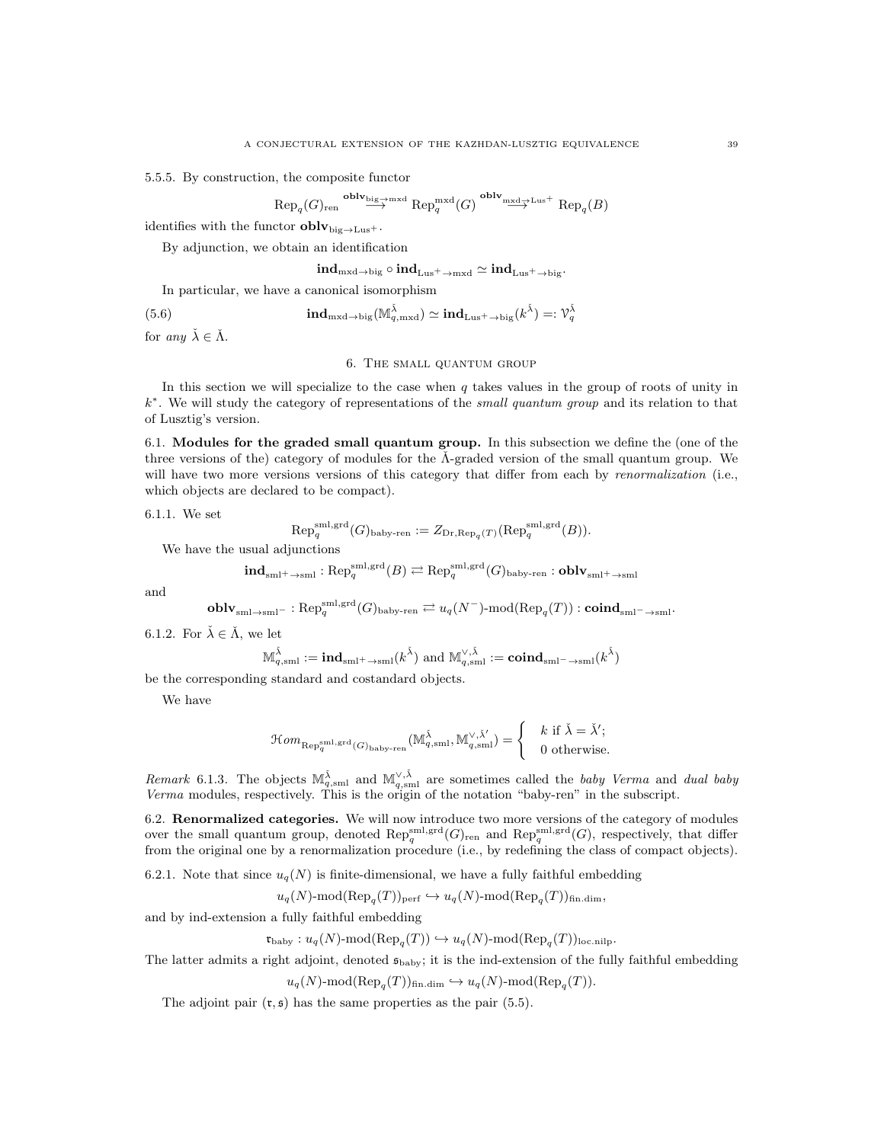5.5.5. By construction, the composite functor

$$
\text{Rep}_{q}(G)_{\text{ren}} \stackrel{\text{oblv}_{\text{big}\to\text{mxd}}}{\longrightarrow} \text{Rep}_{q}^{\text{mxd}}(G) \stackrel{\text{oblv}_{\text{mxd}\to\text{Lus}^{+}}}{\longrightarrow} \text{Rep}_{q}(B)
$$

identifies with the functor  $oblv_{\text{big}\rightarrow\text{Lus}^+}$ .

By adjunction, we obtain an identification

$$
\mathrm{ind}_{\mathrm{mxd}\to\mathrm{big}}\circ\mathrm{ind}_{\mathrm{Lus}^+ \to \mathrm{mxd}}\simeq \mathrm{ind}_{\mathrm{Lus}^+ \to \mathrm{big}}.
$$

In particular, we have a canonical isomorphism

(5.6) 
$$
\mathbf{ind}_{\mathrm{mxd}\to \mathrm{big}}(\mathbb{M}_{q,\mathrm{mxd}}^{\check{\lambda}}) \simeq \mathbf{ind}_{\mathrm{Lus}^+ \to \mathrm{big}}(k^{\check{\lambda}}) =: \mathcal{V}_q^{\check{\lambda}}
$$

for any  $\check{\lambda} \in \check{\Lambda}$ .

#### 6. The small quantum group

In this section we will specialize to the case when  $q$  takes values in the group of roots of unity in k ∗ . We will study the category of representations of the small quantum group and its relation to that of Lusztig's version.

6.1. Modules for the graded small quantum group. In this subsection we define the (one of the three versions of the) category of modules for the  $\tilde{\Lambda}$ -graded version of the small quantum group. We will have two more versions versions of this category that differ from each by *renormalization* (i.e., which objects are declared to be compact).

6.1.1. We set

$$
\text{Rep}_q^{\text{sml},\text{grd}}(G)_{\text{baby-ren}} := Z_{\text{Dr},\text{Rep}_q(T)}(\text{Rep}_q^{\text{sml},\text{grd}}(B)).
$$

We have the usual adjunctions

$$
\mathbf{ind}_{\text{sml}^+ \rightarrow \text{sml}}: \text{Rep}_q^{\text{sml}, \text{grd}}(B) \rightleftarrows \text{Rep}_q^{\text{sml}, \text{grd}}(G)_{\text{baby-ren}}: \mathbf{oblv}_{\text{sml}^+ \rightarrow \text{sml}}
$$

and

$$
\textbf{oblv}_{\text{sml}\rightarrow \text{sml}^-}:\text{Rep}_q^{\text{sml},\text{grd}}(G)_{\text{baby-ren}}\rightleftarrows u_q(N^-)\text{-mod}(\text{Rep}_q(T)):\textbf{coind}_{\text{sml}^-\rightarrow \text{sml}^+}
$$

6.1.2. For  $\check{\lambda} \in \check{\Lambda}$ , we let

$$
\mathbb{M}^{\check{\lambda}}_{q,\mathrm{sml}}:=\mathrm{\mathbf{ind}}_{\mathrm{sml}^+ \to \mathrm{sml}}(k^{\check{\lambda}}) \text{ and } \mathbb{M}^{\vee,\check{\lambda}}_{q,\mathrm{sml}}:=\mathbf{coind}_{\mathrm{sml}^-\to \mathrm{sml}}(k^{\check{\lambda}})
$$

be the corresponding standard and costandard objects.

We have

$$
\mathcal{H}om_{\mathrm{Rep}^{\mathrm{sml},\mathrm{grd}}_q(G)_{\mathrm{baby}\text{-}\mathrm{ren}}}(\mathbb{M}^{\check{\lambda}}_{q,\mathrm{sml}},\mathbb{M}^{\vee,\check{\lambda}'}_{q,\mathrm{sml}})=\left\{\begin{array}{c} k \text{ if } \check{\lambda}=\check{\lambda}'; \\ 0 \text{ otherwise.} \end{array}\right.
$$

Remark 6.1.3. The objects  $\mathbb{M}_{q,\text{sml}}^{\check{\lambda}}$  and  $\mathbb{M}_{q,\text{sml}}^{\vee,\check{\lambda}}$  are sometimes called the baby Verma and dual baby Verma modules, respectively. This is the origin of the notation "baby-ren" in the subscript.

6.2. Renormalized categories. We will now introduce two more versions of the category of modules over the small quantum group, denoted  $\text{Rep}_q^{\text{sml},\text{grd}}(G)_{\text{ren}}$  and  $\text{Rep}_q^{\text{sml},\text{grd}}(G)$ , respectively, that differ from the original one by a renormalization procedure (i.e., by redefining the class of compact objects).

6.2.1. Note that since  $u_q(N)$  is finite-dimensional, we have a fully faithful embedding

$$
u_q(N)
$$
-mod $(\text{Rep}_q(T))_{\text{perf}} \hookrightarrow u_q(N)$ -mod $(\text{Rep}_q(T))_{\text{fin.dim}}$ ,

and by ind-extension a fully faithful embedding

$$
\mathfrak{r}_{\mathrm{baby}}: u_q(N)\text{-}\mathrm{mod}(\mathrm{Rep}_q(T)) \hookrightarrow u_q(N)\text{-}\mathrm{mod}(\mathrm{Rep}_q(T))_{\mathrm{loc.nilp}}.
$$

The latter admits a right adjoint, denoted  $\mathfrak{s}_{\text{baby}}$ ; it is the ind-extension of the fully faithful embedding

$$
u_q(N)
$$
-mod( $\text{Rep}_q(T)$ )<sub>fin.dim</sub>  $\hookrightarrow u_q(N)$ -mod( $\text{Rep}_q(T)$ ).

The adjoint pair  $(r, \mathfrak{s})$  has the same properties as the pair (5.5).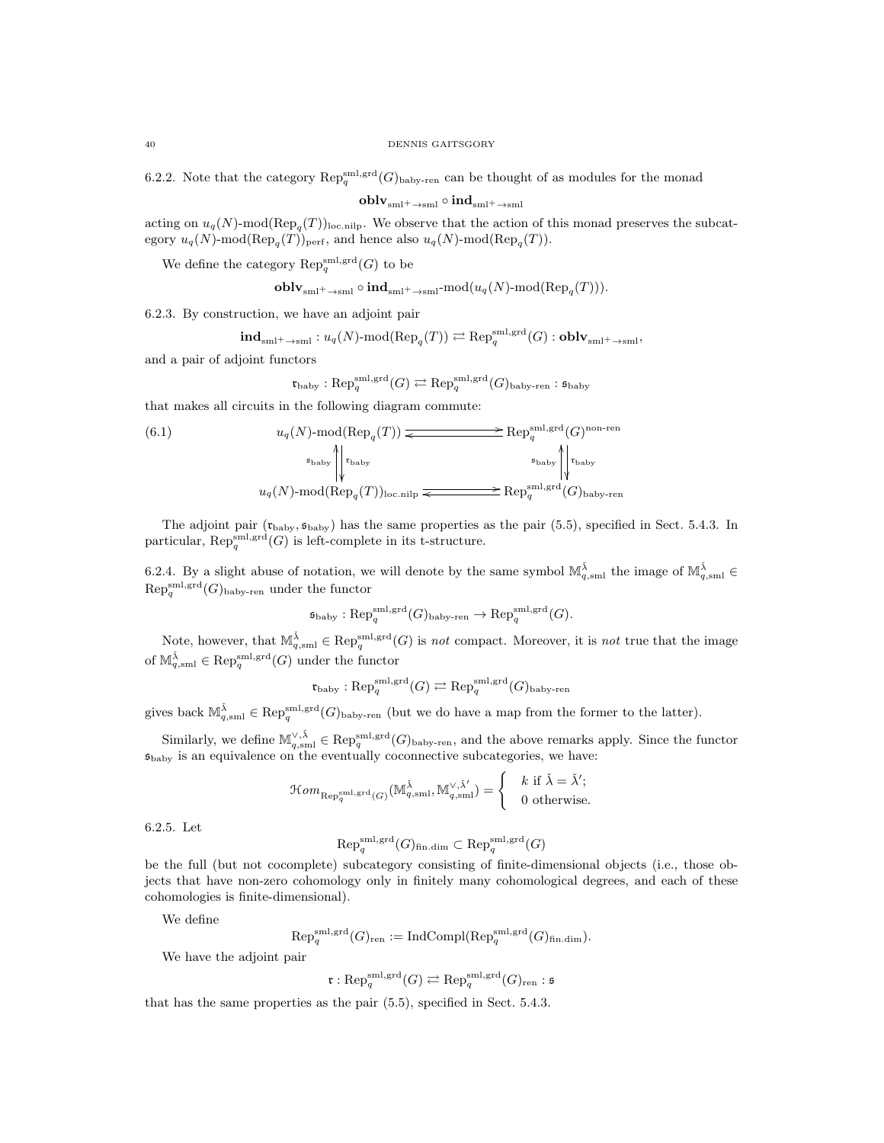6.2.2. Note that the category  $\mathrm{Rep}_q^{\mathrm{sml,grd}}(G)_{\text{baby-ren}}$  can be thought of as modules for the monad

 ${\bf oblv}_{\rm sml^+ \rightarrow sml} \circ {\bf ind}_{sml^+ \rightarrow sml}$ 

acting on  $u_q(N)$ -mod( $\text{Rep}_q(T)$ )<sub>loc.nilp</sub>. We observe that the action of this monad preserves the subcategory  $u_q(N)$ -mod $(\text{Rep}_q(T))_{\text{perf}}$ , and hence also  $u_q(N)$ -mod $(\text{Rep}_q(T))$ .

We define the category  $\mathrm{Rep}_q^{\mathrm{sml},\mathrm{grd}}(G)$  to be

$$
\mathbf{oblv}_{\mathrm{sml}^+ \to \mathrm{sml}} \circ \mathbf{ind}_{\mathrm{sml}^+ \to \mathrm{sml}} \text{-mod}(u_q(N)\text{-mod}(\mathrm{Rep}_q(T))).
$$

6.2.3. By construction, we have an adjoint pair

$$
\mathbf{ind}_{\mathrm{sml}^+ \rightarrow \mathrm{sml}}: u_q(N)\text{-}\mathrm{mod}(\mathrm{Rep}_q(T)) \rightleftarrows \mathrm{Rep}_q^{\mathrm{sml},\mathrm{grd}}(G): \mathbf{oblv}_{\mathrm{sml}^+ \rightarrow \mathrm{sml}},
$$

and a pair of adjoint functors

$$
\mathfrak{r}_{\mathrm{baby}}:\mathrm{Rep}^{\mathrm{sml},\mathrm{grd}}_q(G)\rightleftarrows \mathrm{Rep}^{\mathrm{sml},\mathrm{grd}}_q(G)_{\mathrm{baby}\text{-}ren}:\mathfrak{s}_{\mathrm{baby}}
$$

that makes all circuits in the following diagram commute:

(6.1) 
$$
u_q(N) \text{-mod}(\text{Rep}_q(T)) \xrightarrow{\text{B}(\text{Rep}_q(T))} \text{Rep}_q^{\text{sml,grd}}(G)^{\text{non-ren}}
$$
\n
$$
u_q(N) \text{-mod}(\text{Rep}_q(T))_{\text{loc,nilp}} \xrightarrow{\text{Sp}_q^{\text{sml,grd}}(G)_{\text{baby-ren}}}
$$

The adjoint pair  $(\mathfrak{r}_{\text{baby}}, \mathfrak{s}_{\text{baby}})$  has the same properties as the pair (5.5), specified in Sect. 5.4.3. In particular,  $\operatorname{Rep}_q^{\operatorname{sml},\operatorname{grd}}(G)$  is left-complete in its t-structure.

6.2.4. By a slight abuse of notation, we will denote by the same symbol  $\mathbb{M}_{q,\text{sml}}^{\tilde{\lambda}}$  the image of  $\mathbb{M}_{q,\text{sml}}^{\tilde{\lambda}} \in$  $\operatorname{Rep}_q^{\operatorname{sml},\operatorname{grd}}(G)_{\operatorname{baby-ren}}$  under the functor

$$
\mathfrak{s}_{\mathrm{baby}}:\mathrm{Rep}_q^{\mathrm{sml},\mathrm{grd}}(G)_{\mathrm{baby}\text{-}\mathrm{ren}}\to \mathrm{Rep}_q^{\mathrm{sml},\mathrm{grd}}(G).
$$

Note, however, that  $\mathbb{M}_{q,\mathrm{sml}}^{\check{\lambda}} \in \mathrm{Rep}_q^{\mathrm{sml},\mathrm{grd}}(G)$  is not compact. Moreover, it is not true that the image of  $\mathbb{M}_{q,\mathrm{sml}}^{\check{\lambda}} \in \mathrm{Rep}_q^{\mathrm{sml},\mathrm{grd}}(G)$  under the functor

$$
\mathfrak{r}_{\mathrm{baby}}:\mathrm{Rep}_q^{\mathrm{sml},\mathrm{grd}}(G)\rightleftarrows \mathrm{Rep}_q^{\mathrm{sml},\mathrm{grd}}(G)_{\mathrm{baby}\text{-}\mathrm{ren}}
$$

gives back  $\mathbb{M}_{q,\mathrm{sml}}^{\check{\lambda}} \in \mathrm{Rep}_q^{\mathrm{sml},\mathrm{grd}}(G)$ <sub>baby-ren</sub> (but we do have a map from the former to the latter).

Similarly, we define  $\mathbb{M}_{q,\mathrm{sml}}^{\vee,\check{\lambda}} \in \mathrm{Rep}_q^{\mathrm{sml},\mathrm{grd}}(G)$ <sub>baby-ren</sub>, and the above remarks apply. Since the functor  $\mathfrak{s}_{\text{baby}}$  is an equivalence on the eventually coconnective subcategories, we have:

$$
\mathcal{H}om_{\mathrm{Rep}_q^{\mathrm{sml},\mathrm{grd}}(G)}(\mathbb{M}_{q,\mathrm{sml}}^{\check{\lambda}},\mathbb{M}_{q,\mathrm{sml}}^{\vee,\check{\lambda}^{\prime}})=\left\{\begin{array}{c} k \text{ if } \check{\lambda}=\check{\lambda}^{\prime}; \\ 0 \text{ otherwise}. \end{array}\right.
$$

6.2.5. Let

$$
\mathrm{Rep}^{\mathrm{sml},\mathrm{grd}}_{q}(G)_{\mathrm{fin.dim}}\subset \mathrm{Rep}^{\mathrm{sml},\mathrm{grd}}_{q}(G)
$$

be the full (but not cocomplete) subcategory consisting of finite-dimensional objects (i.e., those objects that have non-zero cohomology only in finitely many cohomological degrees, and each of these cohomologies is finite-dimensional).

We define

$$
\mathrm{Rep}_q^{\mathrm{sml},\mathrm{grd}}(G)_{\mathrm{ren}} := \mathrm{IndCompl}(\mathrm{Rep}_q^{\mathrm{sml},\mathrm{grd}}(G)_{\mathrm{fin.dim}}).
$$

We have the adjoint pair

$$
\mathfrak r: \operatorname{Rep}_q^{\operatorname{sml},\operatorname{grd}}(G) \rightleftarrows \operatorname{Rep}_q^{\operatorname{sml},\operatorname{grd}}(G)_{\operatorname{ren}}:\mathfrak s
$$

that has the same properties as the pair (5.5), specified in Sect. 5.4.3.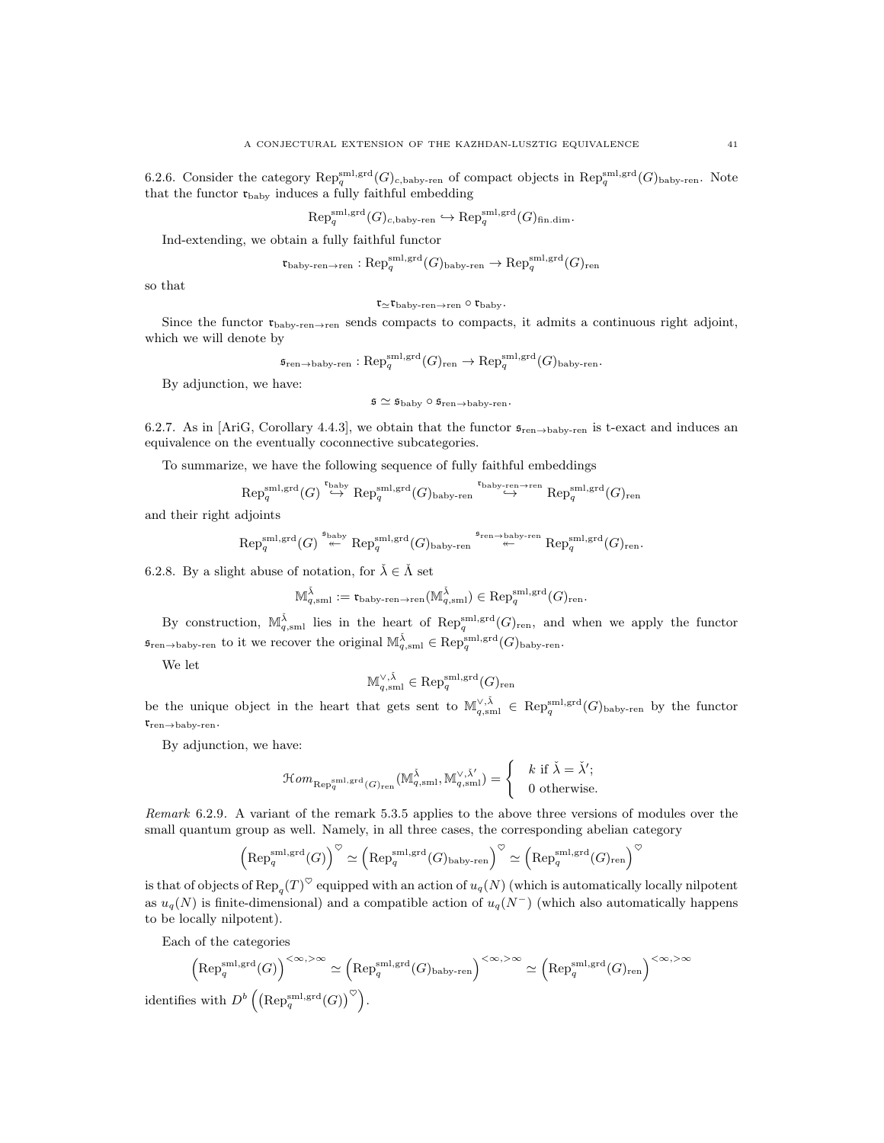6.2.6. Consider the category  $\mathrm{Rep}_q^{\mathrm{sml,grd}}(G)_{c,\mathrm{baby-ren}}$  of compact objects in  $\mathrm{Rep}_q^{\mathrm{sml,grd}}(G)_{\mathrm{baby-ren}}$ . Note that the functor  $\mathfrak{r}_{\mathrm{baby}}$  induces a fully faithful embedding

$$
\text{Rep}_q^{\text{sml},\text{grd}}(G)_{c,\text{baby-ren}} \hookrightarrow \text{Rep}_q^{\text{sml},\text{grd}}(G)_{\text{fin.dim}}.
$$

Ind-extending, we obtain a fully faithful functor

$$
\mathfrak{r}_{\mathrm{baby}\text{-}ren\to ren}: \mathrm{Rep}_q^{\mathrm{sml},\mathrm{grd}}(G)_{\mathrm{baby}\text{-}ren}\to \mathrm{Rep}_q^{\mathrm{sml},\mathrm{grd}}(G)_{\mathrm{ren}}
$$

so that

$$
\mathfrak{r}_{\simeq}\mathfrak{r}_{\rm baby\text{-}ren\to ren}\circ\mathfrak{r}_{\rm baby}.
$$

Since the functor  $\mathfrak{r}_{\text{baby-ren}\to \text{ren}}$  sends compacts to compacts, it admits a continuous right adjoint, which we will denote by

$$
\mathfrak{s}_{\text{ren}\to\text{bay-ren}}:\text{Rep}_q^{\text{sml,grd}}(G)_{\text{ren}}\to\text{Rep}_q^{\text{sml,grd}}(G)_{\text{baby-ren}}.
$$

By adjunction, we have:

$$
\mathfrak{s} \simeq \mathfrak{s}_{\mathrm{baby}} \circ \mathfrak{s}_{\mathrm{ren}\to \mathrm{baby}\text{-}\mathrm{ren}}.
$$

6.2.7. As in [AriG, Corollary 4.4.3], we obtain that the functor  $\mathfrak{s}_{ren \to baby-ren}$  is t-exact and induces an equivalence on the eventually coconnective subcategories.

To summarize, we have the following sequence of fully faithful embeddings

$$
\mathrm{Rep}^{\mathrm{sml},\mathrm{grd}}_q(G) \stackrel{\mathsf{t}_{\mathrm{baby}}}{\hookrightarrow} \mathrm{Rep}^{\mathrm{sml},\mathrm{grd}}_q(G)_{\mathrm{baby}\text{-}ren} \stackrel{\mathsf{t}_{\mathrm{baby}\text{-}ren}\to \mathrm{ren}}{\hookrightarrow} \mathrm{Rep}^{\mathrm{sml},\mathrm{grd}}_q(G)_{\mathrm{ren}}
$$

and their right adjoints

$$
\mathrm{Rep}^{\mathrm{sml},\mathrm{grd}}_{q}(G) \stackrel{\mathfrak{s}_{\mathrm{baby}}}{\twoheadleftarrow} \mathrm{Rep}^{\mathrm{sml},\mathrm{grd}}_{q}(G)_{\mathrm{baby}\text{-}\mathrm{ren}} \stackrel{\mathfrak{s}_{\mathrm{ren}\to\mathrm{baby}\text{-}\mathrm{ren}}}{\twoheadleftarrow} \mathrm{Rep}^{\mathrm{sml},\mathrm{grd}}_{q}(G)_{\mathrm{ren}}.
$$

6.2.8. By a slight abuse of notation, for  $\check{\lambda} \in \check{\Lambda}$  set

$$
\mathbb{M}^{\check{\lambda}}_{q,\mathrm{sml}}:=\mathfrak{r}_{\mathrm{baby}\text{-}\mathrm{ren}\to\mathrm{ren}}(\mathbb{M}^{\check{\lambda}}_{q,\mathrm{sml}})\in\mathrm{Rep}^{\mathrm{sml},\mathrm{grd}}_{q}(G)_{\mathrm{ren}}.
$$

By construction,  $\mathbb{M}_{q,\mathrm{sml}}^{\tilde{\lambda}}$  lies in the heart of  $\mathrm{Rep}_q^{\mathrm{sml},\mathrm{grd}}(G)_{\mathrm{ren}}$ , and when we apply the functor  $\mathfrak{s}_{\text{ren}\to\text{baby-ren}}$  to it we recover the original  $\mathbb{M}_{q,\text{sml}}^{\check{\lambda}} \in \text{Rep}_q^{\text{sml},\text{grd}}(G)_{\text{baby-ren}}$ .

We let

$$
\mathbb{M}_{q,\mathrm{sml}}^{\vee,\check{\lambda}}\in \mathrm{Rep}_q^{\mathrm{sml},\mathrm{grd}}(G)_{\mathrm{ren}}
$$

be the unique object in the heart that gets sent to  $\mathbb{M}_{q,\mathrm{sml}}^{\vee,\check{\lambda}} \in \mathrm{Rep}_q^{\mathrm{sml},\mathrm{grd}}(G)_{\mathrm{baby-ren}}$  by the functor  $\mathfrak{r}_{\mathrm{ren}\to\mathrm{baby}\text{-} \mathrm{ren}}$ .

By adjunction, we have:

$$
\mathcal{H}om_{\text{Rep}_q^{\text{sml},\text{grd}}(G)_{\text{ren}}}(\mathbb{M}_{q,\text{sml}}^{\check{\lambda}},\mathbb{M}_{q,\text{sml}}^{\vee,\check{\lambda}'} )=\begin{cases} & k \text{ if } \check{\lambda}=\check{\lambda}'; \\ & 0 \text{ otherwise.} \end{cases}
$$

Remark 6.2.9. A variant of the remark 5.3.5 applies to the above three versions of modules over the small quantum group as well. Namely, in all three cases, the corresponding abelian category

$$
\left(\mathrm{Rep}_q^{\mathrm{sml},\mathrm{grd}}(G)\right)^\heartsuit \simeq \left(\mathrm{Rep}_q^{\mathrm{sml},\mathrm{grd}}(G)_{\mathrm{baby}\text{-}ren}\right)^\heartsuit \simeq \left(\mathrm{Rep}_q^{\mathrm{sml},\mathrm{grd}}(G)_{\mathrm{ren}}\right)^\heartsuit
$$

is that of objects of  ${\rm Rep}_q(T)^{\heartsuit}$  equipped with an action of  $u_q(N)$  (which is automatically locally nilpotent as  $u_q(N)$  is finite-dimensional) and a compatible action of  $u_q(N^-)$  (which also automatically happens to be locally nilpotent).

Each of the categories

$$
\left(\mathrm{Rep}_q^{\mathrm{sml},\mathrm{grd}}(G)\right)^{<\infty,>\infty} \simeq \left(\mathrm{Rep}_q^{\mathrm{sml},\mathrm{grd}}(G)_{\mathrm{baby}\text{-}\mathrm{ren}}\right)^{<\infty,>\infty} \simeq \left(\mathrm{Rep}_q^{\mathrm{sml},\mathrm{grd}}(G)_{\mathrm{ren}}\right)^{<\infty,>\infty}
$$
 identifies with  $D^b\left(\left(\mathrm{Rep}_q^{\mathrm{sml},\mathrm{grd}}(G)\right)^\heartsuit\right)$ .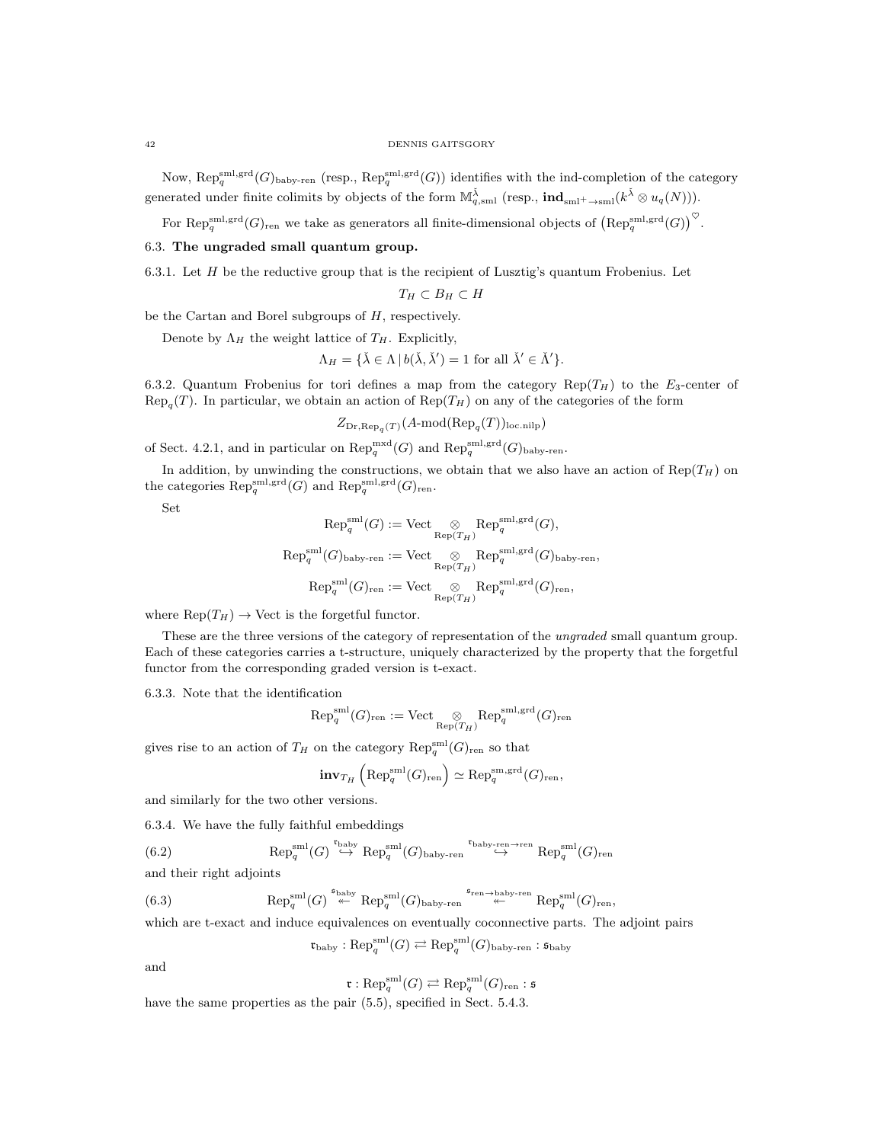#### 42 DENNIS GAITSGORY

Now,  $\text{Rep}_q^{\text{sml},\text{grd}}(G)$ <sub>baby-ren</sub> (resp.,  $\text{Rep}_q^{\text{sml},\text{grd}}(G)$ ) identifies with the ind-completion of the category generated under finite colimits by objects of the form  $\mathbb{M}^{\check{\lambda}}_{q,\text{sml}}$  (resp.,  $\text{ind}_{\text{sml}^+ \to \text{sml}}(k^{\check{\lambda}} \otimes u_q(N))$ ).

For Rep<sub>g</sub><sup>sml,grd</sup> $(G)$ <sub>ren</sub> we take as generators all finite-dimensional objects of  $(\text{Rep}_q^{\text{sml},\text{grd}}(G))^{\heartsuit}$ .

#### 6.3. The ungraded small quantum group.

6.3.1. Let  $H$  be the reductive group that is the recipient of Lusztig's quantum Frobenius. Let

$$
T_H \subset B_H \subset H
$$

be the Cartan and Borel subgroups of  $H$ , respectively.

Denote by  $\Lambda_H$  the weight lattice of  $T_H$ . Explicitly,

$$
\Lambda_H = \{ \check{\lambda} \in \Lambda \, | \, b(\check{\lambda}, \check{\lambda}') = 1 \text{ for all } \check{\lambda}' \in \check{\Lambda}' \}.
$$

6.3.2. Quantum Frobenius for tori defines a map from the category Rep( $T_H$ ) to the  $E_3$ -center of  $\text{Rep}_{q}(T)$ . In particular, we obtain an action of  $\text{Rep}(T_H)$  on any of the categories of the form

$$
Z_{\text{Dr}, \text{Rep}_q(T)}(A \text{-mod}(\text{Rep}_q(T))_{\text{loc.nilp}})
$$

of Sect. 4.2.1, and in particular on  $\text{Rep}_q^{\text{mxd}}(G)$  and  $\text{Rep}_q^{\text{sml},\text{grd}}(G)$ <sub>baby-ren</sub>.

In addition, by unwinding the constructions, we obtain that we also have an action of  $\text{Rep}(T_H)$  on the categories  $\operatorname{Rep}_q^{\operatorname{sml},\operatorname{grd}}(G)$  and  $\operatorname{Rep}_q^{\operatorname{sml},\operatorname{grd}}(G)_{\operatorname{ren}}$ .

Set

$$
Rep_q^{\text{sml}}(G) := \text{Vect} \underset{\text{Rep}(T_H)}{\otimes} Rep_q^{\text{sml},\text{grd}}(G),
$$
  
\n
$$
Rep_q^{\text{sml}}(G)_{\text{baby-ren}} := \text{Vect} \underset{\text{Rep}(T_H)}{\otimes} Rep_q^{\text{sml},\text{grd}}(G)_{\text{baby-ren}},
$$
  
\n
$$
Rep_q^{\text{sml}}(G)_{\text{ren}} := \text{Vect} \underset{\text{Rep}(T_H)}{\otimes} Rep_q^{\text{sml},\text{grd}}(G)_{\text{ren}},
$$

where  $\text{Rep}(T_H) \to \text{Vect}$  is the forgetful functor.

These are the three versions of the category of representation of the ungraded small quantum group. Each of these categories carries a t-structure, uniquely characterized by the property that the forgetful functor from the corresponding graded version is t-exact.

6.3.3. Note that the identification

$$
\mathrm{Rep}^{\mathrm{sml}}_q(G)_{\mathrm{ren}}:=\mathrm{Vect} \underset{\mathrm{Rep}(T_H)}{\otimes} \mathrm{Rep}^{\mathrm{sml},\mathrm{grd}}_q(G)_{\mathrm{ren}}
$$

gives rise to an action of  $T_H$  on the category  $\mathrm{Rep}_q^{\mathrm{sml}}(G)_{\mathrm{ren}}$  so that

$$
\mathbf{inv}_{T_H}\left({\rm Rep}_q^{\rm sml}(G)_{\rm ren}\right) \simeq {\rm Rep}_q^{\rm sm,grd}(G)_{\rm ren},
$$

and similarly for the two other versions.

6.3.4. We have the fully faithful embeddings

(6.2) 
$$
\text{Rep}_q^{\text{sml}}(G) \stackrel{\text{t}_{\text{baby}}}{\hookrightarrow} \text{Rep}_q^{\text{sml}}(G)_{\text{baby-ren}} \stackrel{\text{t}_{\text{baby-ren}\to ren}}{\hookrightarrow} \text{Rep}_q^{\text{sml}}(G)_{\text{ren}}
$$

and their right adjoints

(6.3) 
$$
\text{Rep}_q^{\text{sml}}(G) \stackrel{\text{s}_{\text{baby}}}{\text{#}} \text{Rep}_q^{\text{sml}}(G)_{\text{baby-ren}} \stackrel{\text{s}_{\text{ren}\to \text{baby-ren}}}{\text{#}} \text{Rep}_q^{\text{sml}}(G)_{\text{ren}}
$$

which are t-exact and induce equivalences on eventually coconnective parts. The adjoint pairs

$$
\mathfrak{r}_{\mathrm{baby}}:\mathrm{Rep}^{\mathrm{sml}}_q(G)\rightleftarrows \mathrm{Rep}^{\mathrm{sml}}_q(G)_{\mathrm{baby}\text{-}ren}:\mathfrak{s}_{\mathrm{baby}}
$$

and

$$
\mathfrak{r}: \text{Rep}_q^{\text{sml}}(G) \rightleftarrows \text{Rep}_q^{\text{sml}}(G)_{\text{ren}}: \mathfrak{s}
$$

have the same properties as the pair  $(5.5)$ , specified in Sect. 5.4.3.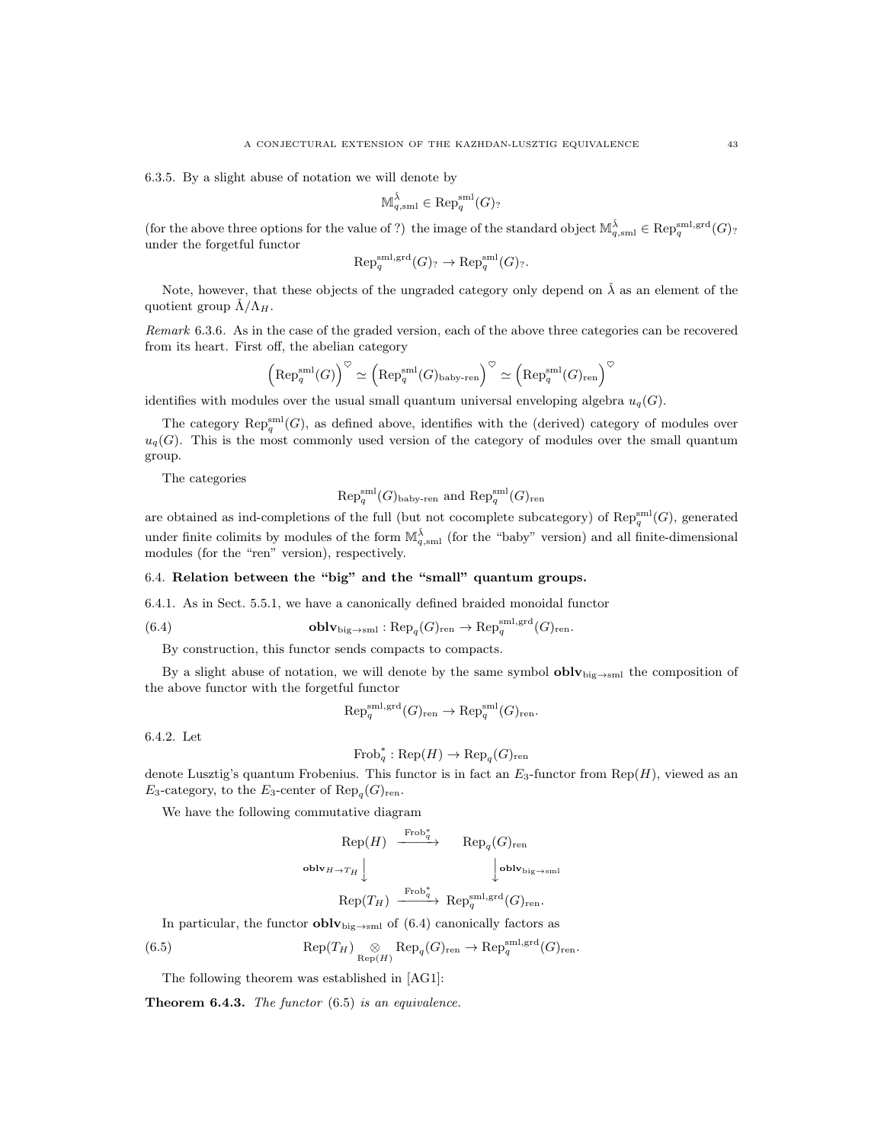6.3.5. By a slight abuse of notation we will denote by

$$
\mathbb{M}_{q,\mathrm{sml}}^{\check{\lambda}}\in \mathrm{Rep}_q^{\mathrm{sml}}(G)_?
$$

(for the above three options for the value of ?) the image of the standard object  $\mathbb{M}_{q,\mathrm{sml}}^{\tilde{\lambda}} \in \mathrm{Rep}_q^{\mathrm{sml},\mathrm{grd}}(G)$ ? under the forgetful functor

$$
\text{Rep}_q^{\text{sml},\text{grd}}(G) \to \text{Rep}_q^{\text{sml}}(G) \to .
$$

Note, however, that these objects of the ungraded category only depend on  $\tilde{\lambda}$  as an element of the quotient group  $\dot{\Lambda}/\Lambda_H$ .

Remark 6.3.6. As in the case of the graded version, each of the above three categories can be recovered from its heart. First off, the abelian category

$$
\left(\mathrm{Rep}_q^{\mathrm{sml}}(G)\right)^\heartsuit \simeq \left(\mathrm{Rep}_q^{\mathrm{sml}}(G)_{\mathrm{baby}\text{-}ren}\right)^\heartsuit \simeq \left(\mathrm{Rep}_q^{\mathrm{sml}}(G)_{\mathrm{ren}}\right)^\heartsuit
$$

identifies with modules over the usual small quantum universal enveloping algebra  $u_q(G)$ .

The category  $\mathrm{Rep}_q^{\mathrm{sml}}(G)$ , as defined above, identifies with the (derived) category of modules over  $u_q(G)$ . This is the most commonly used version of the category of modules over the small quantum group.

The categories

$$
Rep_q^{\text{sml}}(G)_{\text{baby-ren}}
$$
 and  $Rep_q^{\text{sml}}(G)_{\text{ren}}$ 

are obtained as ind-completions of the full (but not cocomplete subcategory) of  $\mathrm{Rep}_q^{\mathrm{sml}}(G)$ , generated under finite colimits by modules of the form  $\mathbb{M}_{q,\text{sml}}^{\tilde{\lambda}}$  (for the "baby" version) and all finite-dimensional modules (for the "ren" version), respectively.

## 6.4. Relation between the "big" and the "small" quantum groups.

6.4.1. As in Sect. 5.5.1, we have a canonically defined braided monoidal functor

(6.4) 
$$
\mathbf{oblv}_{\mathrm{big}\to\mathrm{sml}}:\mathrm{Rep}_q(G)_{\mathrm{ren}}\to\mathrm{Rep}_q^{\mathrm{sml},\mathrm{grd}}(G)_{\mathrm{ren}}.
$$

By construction, this functor sends compacts to compacts.

By a slight abuse of notation, we will denote by the same symbol  $\text{oblv}_{\text{big}\rightarrow\text{sm}}$  the composition of the above functor with the forgetful functor

$$
\text{Rep}_q^{\text{sml},\text{grd}}(G)_{\text{ren}} \to \text{Rep}_q^{\text{sml}}(G)_{\text{ren}}.
$$

6.4.2. Let

$$
Frob_q^* : Rep(H) \to Rep_q(G)_{ren}
$$

denote Lusztig's quantum Frobenius. This functor is in fact an  $E_3$ -functor from Rep(H), viewed as an  $E_3$ -category, to the  $E_3$ -center of  $\text{Rep}_q(G)_{\text{ren}}$ .

We have the following commutative diagram

$$
\begin{array}{ccc}\n\text{Rep}(H) & \xrightarrow{\text{Frob}_{q}^{*}} & \text{Rep}_{q}(G)_{\text{ren}} \\
\text{oblv}_{H \to T_{H}} \downarrow & & \downarrow \text{oblv}_{\text{big} \to \text{sml}} \\
\text{Rep}(T_{H}) & \xrightarrow{\text{Frob}_{q}^{*}} & \text{Rep}_{q}^{\text{sml},\text{grd}}(G)_{\text{ren}}.\n\end{array}
$$

In particular, the functor  $\textbf{oblv}_{\text{big}\rightarrow\text{sml}}$  of (6.4) canonically factors as

(6.5) 
$$
\mathrm{Rep}(T_H) \underset{\mathrm{Rep}(H)}{\otimes} \mathrm{Rep}_q(G)_{\mathrm{ren}} \to \mathrm{Rep}_q^{\mathrm{sml},\mathrm{grd}}(G)_{\mathrm{ren}}.
$$

The following theorem was established in [AG1]:

**Theorem 6.4.3.** The functor  $(6.5)$  is an equivalence.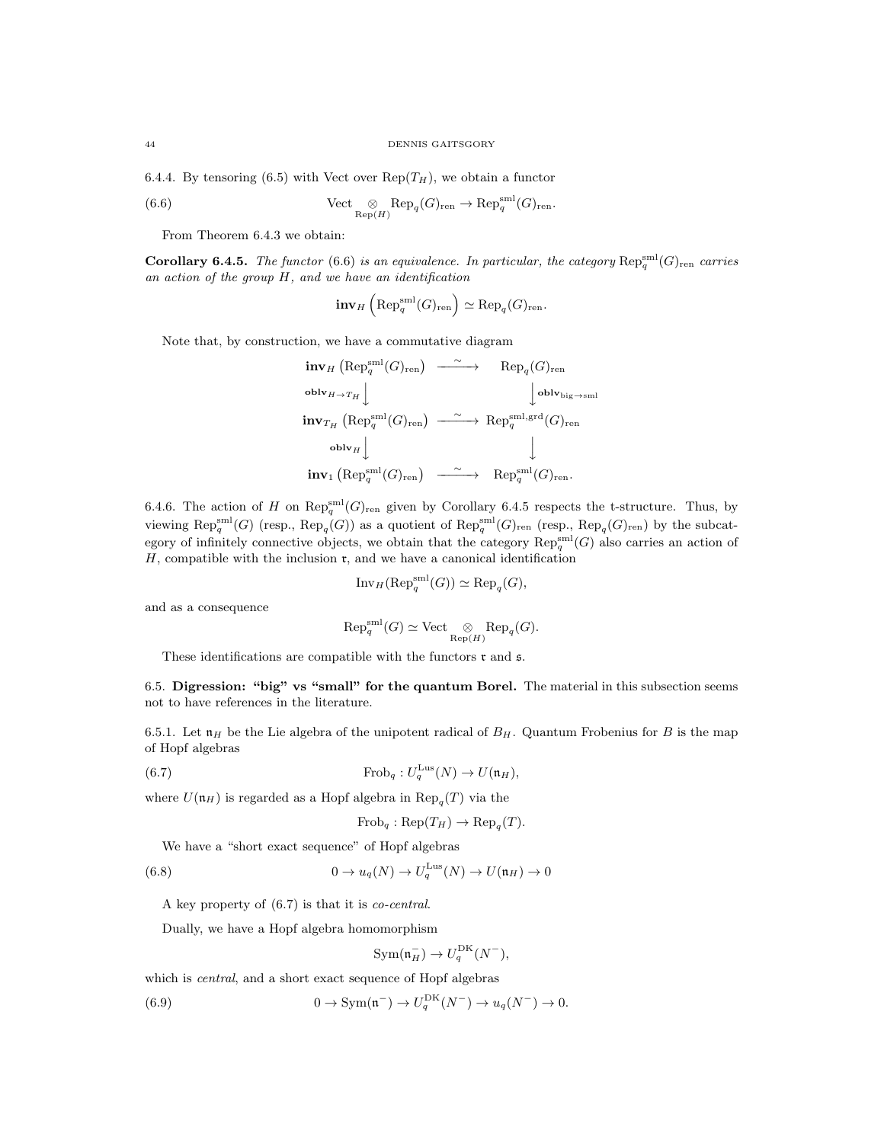6.4.4. By tensoring (6.5) with Vect over  $\text{Rep}(T_H)$ , we obtain a functor

(6.6) 
$$
\text{Vect} \underset{\text{Rep}(H)}{\otimes} \text{Rep}_q(G)_{\text{ren}} \to \text{Rep}_q^{\text{sml}}(G)_{\text{ren}}.
$$

From Theorem 6.4.3 we obtain:

**Corollary 6.4.5.** The functor (6.6) is an equivalence. In particular, the category  $\text{Rep}_q^{\text{sml}}(G)_{\text{ren}}$  carries an action of the group H, and we have an identification

$$
\mathbf{inv}_H\left(\mathrm{Rep}_q^{\mathrm{sml}}(G)_{\mathrm{ren}}\right) \simeq \mathrm{Rep}_q(G)_{\mathrm{ren}}.
$$

Note that, by construction, we have a commutative diagram

$$
\begin{array}{ccc}\n\textbf{inv}_{H}\left(\text{Rep}_{q}^{\text{small}}(G)_{\text{ren}}\right) & \xrightarrow{\sim} & \text{Rep}_{q}(G)_{\text{ren}} \\
\textbf{oblv}_{H \rightarrow T_{H}} \Big\downarrow & & \Big\downarrow \textbf{oblv}_{\text{big} \rightarrow \text{small}} \\
\textbf{inv}_{T_{H}}\left(\text{Rep}_{q}^{\text{small}}(G)_{\text{ren}}\right) & \xrightarrow{\sim} & \text{Rep}_{q}^{\text{small},\text{grd}}(G)_{\text{ren}} \\
\textbf{oblv}_{H} \Big\downarrow & & \Big\downarrow \\
\textbf{inv}_{1}\left(\text{Rep}_{q}^{\text{small}}(G)_{\text{ren}}\right) & \xrightarrow{\sim} & \text{Rep}_{q}^{\text{small}}(G)_{\text{ren}}.\n\end{array}
$$

6.4.6. The action of H on  $\text{Rep}_q^{\text{sml}}(G)_{\text{ren}}$  given by Corollary 6.4.5 respects the t-structure. Thus, by viewing  $\mathrm{Rep}_q^{\mathrm{sml}}(G)$  (resp.,  $\mathrm{Rep}_q(G)$ ) as a quotient of  $\mathrm{Rep}_q^{\mathrm{sml}}(G)_{\mathrm{ren}}$  (resp.,  $\mathrm{Rep}_q(G)_{\mathrm{ren}}$ ) by the subcategory of infinitely connective objects, we obtain that the category  $\mathrm{Rep}_q^{\mathrm{sml}}(G)$  also carries an action of  $H$ , compatible with the inclusion  $\mathfrak{r}$ , and we have a canonical identification

$$
\operatorname{Inv}_H(\operatorname{Rep}_q^{\operatorname{sml}}(G)) \simeq \operatorname{Rep}_q(G),
$$

and as a consequence

$$
\text{Rep}_q^{\text{sml}}(G) \simeq \text{Vect}_{\text{Rep}(H)} \text{Rep}_q(G).
$$

These identifications are compatible with the functors  $\mathfrak r$  and  $\mathfrak s$ .

6.5. Digression: "big" vs "small" for the quantum Borel. The material in this subsection seems not to have references in the literature.

6.5.1. Let  $\mathfrak{n}_H$  be the Lie algebra of the unipotent radical of  $B_H$ . Quantum Frobenius for B is the map of Hopf algebras

(6.7) 
$$
\operatorname{Frob}_q: U_q^{\operatorname{Lus}}(N) \to U(\mathfrak{n}_H),
$$

where  $U(\mathfrak{n}_H)$  is regarded as a Hopf algebra in  $\text{Rep}_q(T)$  via the

$$
Frob_q : Rep(T_H) \to Rep_q(T).
$$

We have a "short exact sequence" of Hopf algebras

(6.8) 
$$
0 \to u_q(N) \to U_q^{\text{Lus}}(N) \to U(\mathfrak{n}_H) \to 0
$$

A key property of (6.7) is that it is co-central.

Dually, we have a Hopf algebra homomorphism

$$
Sym(\mathfrak{n}_H^-) \to U_q^{\mathrm{DK}}(N^-),
$$

which is *central*, and a short exact sequence of Hopf algebras

(6.9) 
$$
0 \to \text{Sym}(\mathfrak{n}^-) \to U_q^{\text{DK}}(N^-) \to u_q(N^-) \to 0.
$$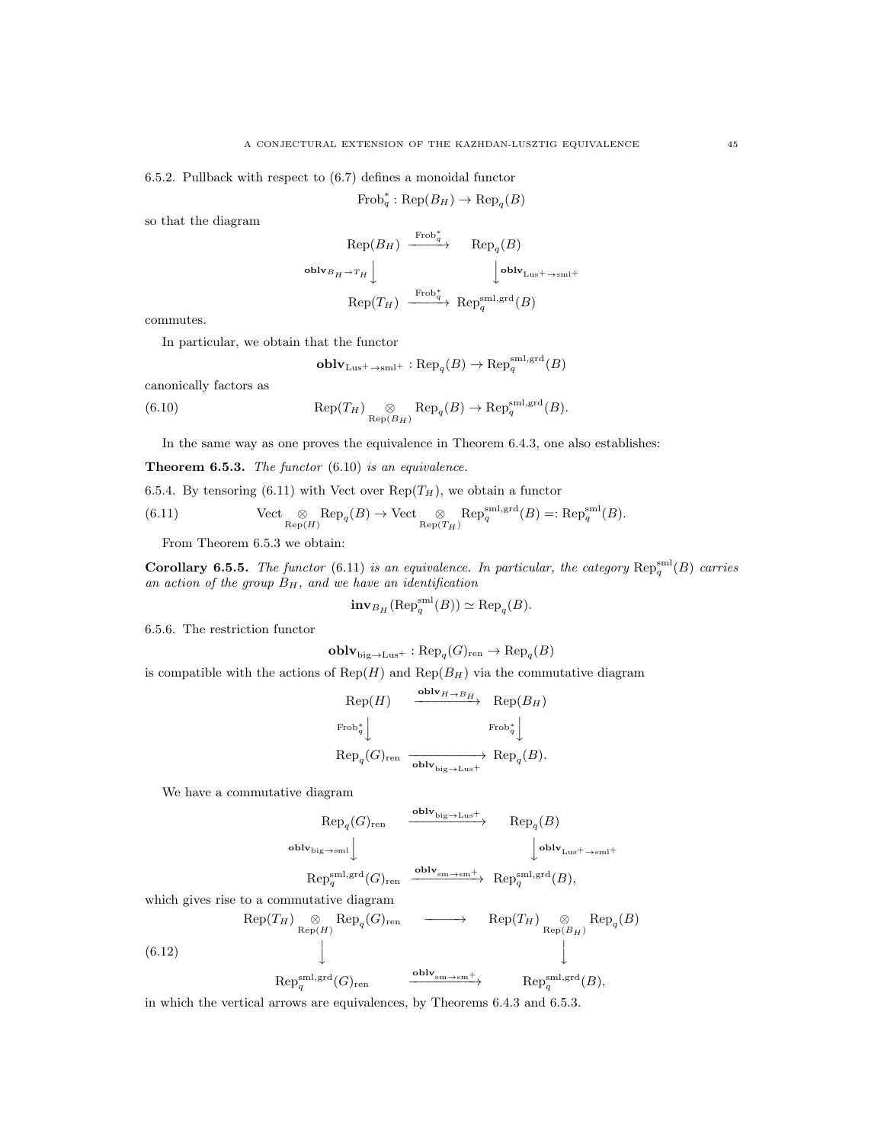6.5.2. Pullback with respect to (6.7) defines a monoidal functor

$$
Frob_q^* : Rep(B_H) \to Rep_q(B)
$$

so that the diagram

$$
\begin{array}{ccc}\n\text{Rep}(B_H) & \xrightarrow{\text{Frob}_{q}^{*}} & \text{Rep}_{q}(B) \\
\text{oblv}_{B_H \to T_H} & \downarrow & \downarrow^{\text{oblv}_{\text{Lus}^{+}} \to \text{sml}^{+}} \\
\text{Rep}(T_H) & \xrightarrow{\text{Frob}_{q}^{*}} & \text{Rep}_{q}^{\text{sml},\text{grd}}(B)\n\end{array}
$$

commutes.

In particular, we obtain that the functor

$$
\mathbf{oblv}_{\mathrm{Lus}^+ \to \mathrm{sml}^+} : \mathrm{Rep}_q(B) \to \mathrm{Rep}_q^{\mathrm{sml}, \mathrm{grd}}(B)
$$

canonically factors as

(6.10) 
$$
\operatorname{Rep}(T_H) \underset{\operatorname{Rep}(B_H)}{\otimes} \operatorname{Rep}_q(B) \to \operatorname{Rep}_q^{\operatorname{sml},\operatorname{grd}}(B).
$$

In the same way as one proves the equivalence in Theorem 6.4.3, one also establishes:

**Theorem 6.5.3.** The functor  $(6.10)$  is an equivalence.

6.5.4. By tensoring (6.11) with Vect over  $\text{Rep}(T_H)$ , we obtain a functor

(6.11) 
$$
\text{Vect}_{\text{Rep}(H)} \otimes \text{Rep}_q(B) \to \text{Vect}_{\text{Rep}(T_H)} \text{Rep}_q^{\text{sml},\text{grd}}(B) =: \text{Rep}_q^{\text{sml}}(B).
$$

From Theorem 6.5.3 we obtain:

**Corollary 6.5.5.** The functor (6.11) is an equivalence. In particular, the category  $\text{Rep}_q^{\text{sml}}(B)$  carries an action of the group  $B_H$ , and we have an identification

$$
\mathbf{inv}_{B_H}(\mathrm{Rep}_q^{\mathrm{sml}}(B)) \simeq \mathrm{Rep}_q(B).
$$

6.5.6. The restriction functor

$$
\mathbf{oblv}_{\mathrm{big} \to \mathrm{Lus}^+} : \mathrm{Rep}_q(G)_{\mathrm{ren}} \to \mathrm{Rep}_q(B)
$$

is compatible with the actions of  ${\rm Rep}({\cal H})$  and  ${\rm Rep}({\cal B}_H)$  via the commutative diagram

$$
\begin{array}{ccc}\n\text{Rep}(H) & \xrightarrow{\text{oblv}_{H \to B_{H}}} & \text{Rep}(B_{H}) \\
\text{Frob}_{q}^* & & \text{Frob}_{q}^* \\
\text{Rep}_{q}(G)_{\text{ren}} & \xrightarrow{\text{oblv}_{\text{big} \to \text{Lus}^{+}}} & \text{Rep}_{q}(B).\n\end{array}
$$

We have a commutative diagram

$$
\begin{array}{ccc}\n\text{Rep}_{q}(G)_{\text{ren}} & \xrightarrow{\text{oblv}_{\text{big}\rightarrow \text{Lus}^{+}}} & \text{Rep}_{q}(B) \\
\text{oblv}_{\text{big}\rightarrow \text{sml}} & & \downarrow{\text{oblv}}_{\text{Lus}^{+}\rightarrow \text{sml}^{+}} \\
\text{Rep}_{q}^{\text{sml,grd}}(G)_{\text{ren}} & \xrightarrow{\text{oblv}_{\text{sm}\rightarrow \text{sm}^{+}}} & \text{Rep}_{q}^{\text{sml,grd}}(B),\n\end{array}
$$

which gives rise to a commutative diagram

(6.12) 
$$
\text{Rep}(T_H) \underset{\text{Rep}_q(H) \to \text{Rep}_q(G)_{\text{ren}}}{\otimes} \text{Rep}_q(H) \longrightarrow \text{Rep}(T_H) \underset{\text{Rep}_q(H) \to \text{Rep}_q(H) \to \text{Rep}_q(H) \to \text{Rep}_q(H)}{\otimes} \text{Rep}_q(H)
$$

in which the vertical arrows are equivalences, by Theorems 6.4.3 and 6.5.3.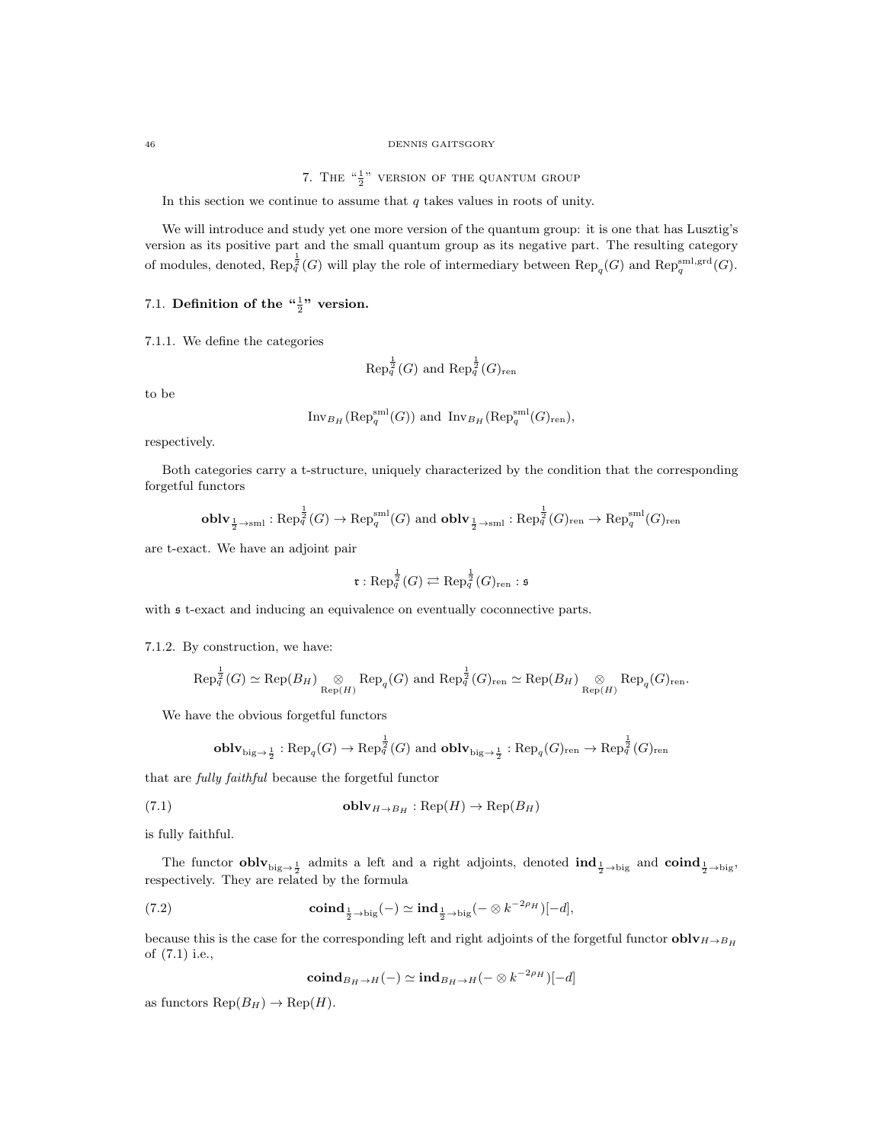#### 46 DENNIS GAITSGORY

7. THE  $\frac{a_1}{2}$ " version of the quantum group

In this section we continue to assume that  $q$  takes values in roots of unity.

We will introduce and study yet one more version of the quantum group: it is one that has Lusztig's version as its positive part and the small quantum group as its negative part. The resulting category of modules, denoted,  $\text{Rep}_q^{\frac{1}{2}}(G)$  will play the role of intermediary between  $\text{Rep}_q(G)$  and  $\text{Rep}_q^{\text{sml},\text{grd}}(G)$ .

# 7.1. Definition of the  $\frac{1}{2}$ " version.

7.1.1. We define the categories

$$
\text{Rep}_q^{\frac{1}{2}}(G)
$$
 and  $\text{Rep}_q^{\frac{1}{2}}(G)_{\text{ren}}$ 

to be

$$
\operatorname{Inv}_{B_H}(\operatorname{Rep}_q^{\operatorname{sml}}(G)) \text{ and } \operatorname{Inv}_{B_H}(\operatorname{Rep}_q^{\operatorname{sml}}(G)_{\operatorname{ren}}),
$$

respectively.

Both categories carry a t-structure, uniquely characterized by the condition that the corresponding forgetful functors

$$
\mathbf{oblv}_{\frac{1}{2}\to\mathrm{sml}}:\mathrm{Rep}_q^{\frac{1}{2}}(G)\to \mathrm{Rep}_q^{\mathrm{sml}}(G)\text{ and }\mathbf{oblv}_{\frac{1}{2}\to\mathrm{sml}}:\mathrm{Rep}_q^{\frac{1}{2}}(G)_{\mathrm{ren}}\to \mathrm{Rep}_q^{\mathrm{sml}}(G)_{\mathrm{ren}}
$$

are t-exact. We have an adjoint pair

$$
\mathfrak{r}: \text{Rep}_{q}^{\frac{1}{2}}(G) \rightleftarrows \text{Rep}_{q}^{\frac{1}{2}}(G)_{\text{ren}}: \mathfrak{s}
$$

with  $\mathfrak s$  t-exact and inducing an equivalence on eventually coconnective parts.

7.1.2. By construction, we have:

$$
\operatorname{Rep}_q^{\frac{1}{2}}(G) \simeq \operatorname{Rep}(B_H) \underset{\operatorname{Rep}(H)}{\otimes} \operatorname{Rep}_q(G) \text{ and } \operatorname{Rep}_q^{\frac{1}{2}}(G)_{\operatorname{ren}} \simeq \operatorname{Rep}(B_H) \underset{\operatorname{Rep}(H)}{\otimes} \operatorname{Rep}_q(G)_{\operatorname{ren}}.
$$

We have the obvious forgetful functors

$$
\mathbf{oblv}_{\text{big}\to\frac{1}{2}}:\text{Rep}_{q}(G)\to\text{Rep}_{q}^{\frac{1}{2}}(G)\text{ and }\mathbf{oblv}_{\text{big}\to\frac{1}{2}}:\text{Rep}_{q}(G)_{\text{ren}}\to\text{Rep}_{q}^{\frac{1}{2}}(G)_{\text{ren}}
$$

that are fully faithful because the forgetful functor

(7.1) 
$$
\mathbf{oblv}_{H \to B_H} : \mathrm{Rep}(H) \to \mathrm{Rep}(B_H)
$$

is fully faithful.

The functor  $\textbf{oblv}_{\text{big}\to\frac{1}{2}}$  admits a left and a right adjoints, denoted  $\textbf{ind}_{\frac{1}{2}\to\text{big}}$  and  $\textbf{coind}_{\frac{1}{2}\to\text{big}}$ respectively. They are related by the formula

(7.2) 
$$
\operatorname{coind}_{\frac{1}{2} \to \text{big}}(-) \simeq \operatorname{ind}_{\frac{1}{2} \to \text{big}}(- \otimes k^{-2\rho_H})[-d],
$$

because this is the case for the corresponding left and right adjoints of the forgetful functor  $oblv_{H\rightarrow B_{H}}$ of (7.1) i.e.,

$$
\mathbf{coind}_{B_H\to H}(-)\simeq\mathbf{ind}_{B_H\to H}(-\otimes k^{-2\rho_H})[-d]
$$

as functors  $\text{Rep}(B_H) \to \text{Rep}(H)$ .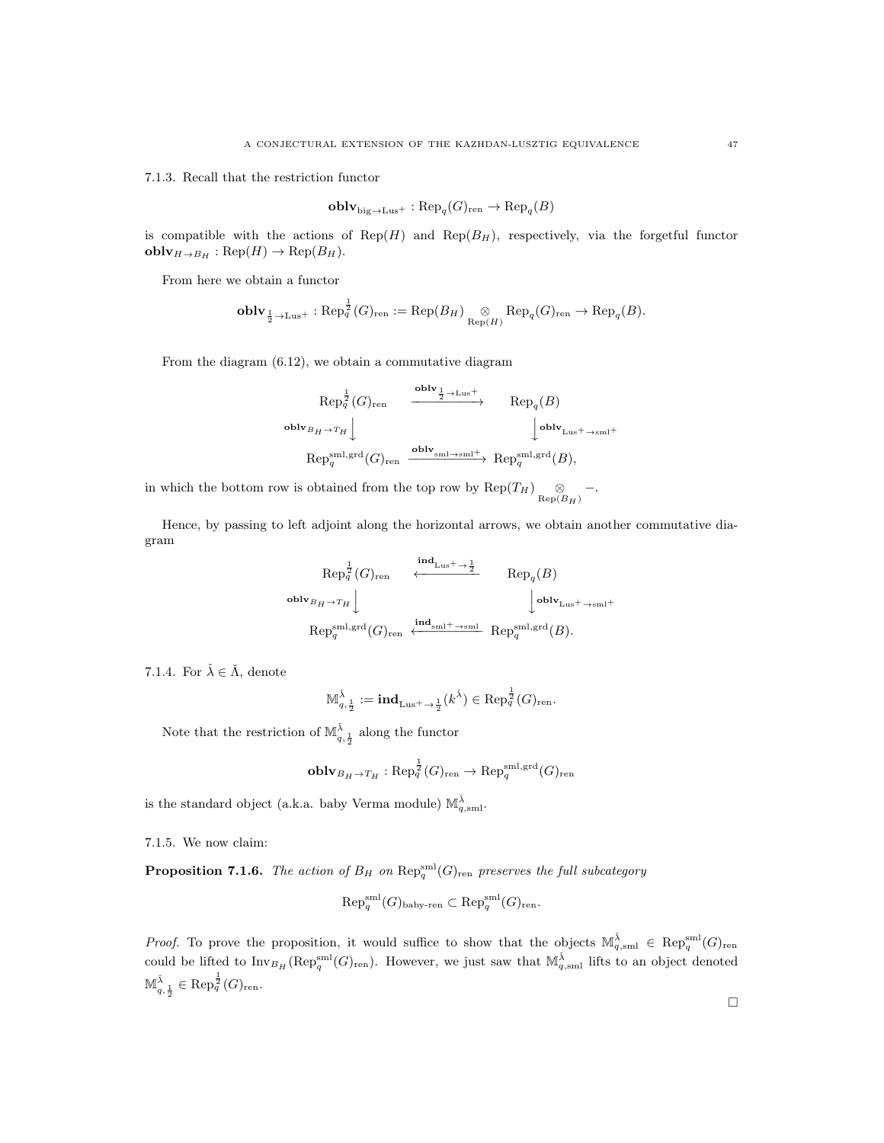7.1.3. Recall that the restriction functor

$$
\mathbf{oblv}_{\mathrm{big} \to \mathrm{Lus}^+} : \mathrm{Rep}_q(G)_{\mathrm{ren}} \to \mathrm{Rep}_q(B)
$$

is compatible with the actions of  $\text{Rep}(H)$  and  $\text{Rep}(B_H)$ , respectively, via the forgetful functor  $\text{oblv}_{H\to B_H}: \text{Rep}(H) \to \text{Rep}(B_H).$ 

From here we obtain a functor

$$
\textbf{oblv}_{\frac{1}{2}\to\text{Lus}^+}:\text{Rep}_q^{\frac{1}{2}}(G)_{\text{ren}}:=\text{Rep}(B_H) \underset{\text{Rep}(H)}{\otimes} \text{Rep}_q(G)_{\text{ren}} \to \text{Rep}_q(B).
$$

From the diagram (6.12), we obtain a commutative diagram

$$
\begin{array}{ccc}\n\text{Rep}_{q}^{\frac{1}{2}}(G)_{\text{ren}} & \xrightarrow{\text{oblv}_{\frac{1}{2}\to\text{Lus}^{+}}} & \text{Rep}_{q}(B) \\
\text{oblv}_{B_{H}\to T_{H}} \Big\downarrow & & \Big\downarrow^{\text{oblv}_{\text{Lus}^{+}\to\text{sm}^{+}}} \\
\text{Rep}_{q}^{\text{sml,grd}}(G)_{\text{ren}} & \xrightarrow{\text{oblv}_{\text{sml}\to\text{sm}^{+}}} & \text{Rep}_{q}^{\text{sml,grd}}(B),\n\end{array}
$$

in which the bottom row is obtained from the top row by  $\text{Rep}(T_H) \underset{\text{Rep}(B_H)}{\otimes}$  -.

Hence, by passing to left adjoint along the horizontal arrows, we obtain another commutative diagram

$$
\operatorname{Rep}_q^{\frac{1}{2}}(G)_{\operatorname{ren}} \xleftarrow{\operatorname{ind}_{\operatorname{Lus}^+ \to \frac{1}{2}} \operatorname{Rep}_q(B)} \operatorname{Rep}_q(B)
$$
\n
$$
\operatorname{oblv}_{B_H \to T_H} \downarrow \qquad \qquad \operatorname{lolv}_{\operatorname{Lus}^+ \to \operatorname{sml}^+} \operatorname{Rep}_q^{\operatorname{sub}}(B).
$$

7.1.4. For  $\check{\lambda} \in \check{\Lambda}$ , denote

$$
\mathbb{M}_{q,\frac{1}{2}}^{\check{\lambda}} := \mathbf{ind}_{\mathrm{Lus}^+ \to \frac{1}{2}}(k^{\check{\lambda}}) \in \mathrm{Rep}_q^{\frac{1}{2}}(G)_{\mathrm{ren}}.
$$

Note that the restriction of  $\mathbb{M}^{\check{\lambda}}_{q,\frac{1}{2}}$  along the functor

$$
\operatorname{\textbf{oblv}}_{B_H \to T_H}: \operatorname{Rep}_q^{\frac{1}{2}}(G)_{\operatorname{ren}} \to \operatorname{Rep}_q^{\operatorname{sml},\operatorname{grd}}(G)_{\operatorname{ren}}
$$

is the standard object (a.k.a. baby Verma module)  $\mathbb{M}_{q,\mathrm{sml}}^{\check{\lambda}}$ .

7.1.5. We now claim:

**Proposition 7.1.6.** The action of  $B_H$  on  $\text{Rep}_q^{\text{sml}}(G)_{\text{ren}}$  preserves the full subcategory

$$
\mathrm{Rep}_q^{\mathrm{sml}}(G)_{\mathrm{baby}\text{-}ren} \subset \mathrm{Rep}_q^{\mathrm{sml}}(G)_{\mathrm{ren}}.
$$

*Proof.* To prove the proposition, it would suffice to show that the objects  $\mathbb{M}_{q,\mathrm{sml}}^{\tilde{\lambda}} \in \mathrm{Rep}_q^{\mathrm{sml}}(G)_{\mathrm{ren}}$ could be lifted to  $\text{Inv}_{B_H}(\text{Rep}_q^{\text{sml}}(G)_{\text{ren}})$ . However, we just saw that  $\mathbb{M}_{q,\text{sml}}^{\check{\lambda}}$  lifts to an object denoted  $\mathbb{M}^{\check{\lambda}}_{q, \frac{1}{2}} \in \mathop{\mathrm{Rep}}\nolimits_q^{\frac{1}{2}}(G)_{\mathop{\mathrm{ren}}\nolimits}.$ 

 $\Box$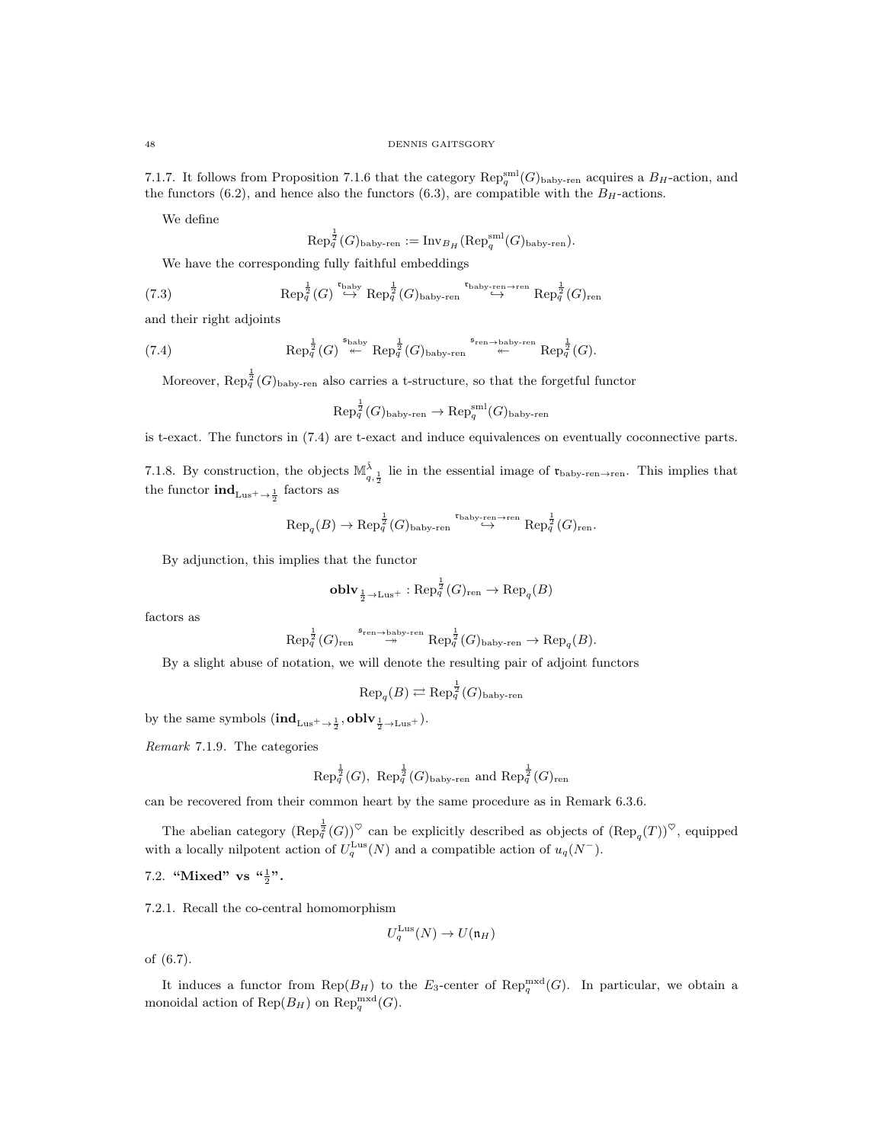7.1.7. It follows from Proposition 7.1.6 that the category  $\text{Rep}_q^{\text{sml}}(G)_{\text{baby-ren}}$  acquires a  $B_H$ -action, and the functors (6.2), and hence also the functors (6.3), are compatible with the  $B_H$ -actions.

We define

$$
\mathrm{Rep}_{q}^{\frac{1}{2}}(G)_{\mathrm{baby}\text{-}\mathrm{ren}}:=\mathrm{Inv}_{B_{H}}(\mathrm{Rep}_{q}^{\mathrm{sml}}(G)_{\mathrm{baby}\text{-}\mathrm{ren}}).
$$

We have the corresponding fully faithful embeddings

(7.3) 
$$
\text{Rep}_q^{\frac{1}{2}}(G) \stackrel{\text{t baby}}{\hookrightarrow} \text{Rep}_q^{\frac{1}{2}}(G)_{\text{baby-ren}} \stackrel{\text{tably-ren}\to\text{ren}}{\hookrightarrow} \text{Rep}_q^{\frac{1}{2}}(G)_{\text{ren}}
$$

and their right adjoints

(7.4) 
$$
\operatorname{Rep}_q^{\frac{1}{2}}(G) \stackrel{\mathfrak{s}_{\operatorname{baby}}}{\twoheadleftarrow} \operatorname{Rep}_q^{\frac{1}{2}}(G)_{\operatorname{baby-ren}} \stackrel{\mathfrak{s}_{\operatorname{ren}\to\operatorname{baby-ren}}}{\twoheadleftarrow} \operatorname{Rep}_q^{\frac{1}{2}}(G).
$$

Moreover,  $\text{Rep}_{q}^{\frac{1}{2}}(G)_{\text{baby-ren}}$  also carries a t-structure, so that the forgetful functor

$$
\mathrm{Rep}^{\frac{1}{2}}_q(G)_{\mathrm{baby}\text{-}ren}\rightarrow \mathrm{Rep}^{\mathrm{sml}}_q(G)_{\mathrm{baby}\text{-}ren}
$$

is t-exact. The functors in (7.4) are t-exact and induce equivalences on eventually coconnective parts.

7.1.8. By construction, the objects  $\mathbb{M}_{q,\frac{1}{2}}^{\tilde{\lambda}}$  lie in the essential image of  $\mathfrak{r}_{\text{baby-ren}\to \text{ren}}$ . This implies that the functor  $\mathrm{ind}_{\text{Lus}^+ \to \frac{1}{2}}$  factors as

$$
\text{Rep}_{q}(B) \rightarrow \text{Rep}_{q}^{\frac{1}{2}}(G)_{\text{baby-ren}} \overset{\mathfrak{r}_{\text{baby-ren}}}{\hookrightarrow} \text{Rep}_{q}^{\frac{1}{2}}(G)_{\text{ren}}.
$$

By adjunction, this implies that the functor

$$
\mathbf{oblv}_{\frac{1}{2}\to\text{Lus}^+}:\text{Rep}_q^{\frac{1}{2}}(G)_{\text{ren}}\to\text{Rep}_q(B)
$$

factors as

$$
\text{Rep}_q^{\frac{1}{2}}(G)_{\text{ren}} \stackrel{\mathfrak{s}_{\text{ren}\to\text{baby-ren}}}{\to} \text{Rep}_q^{\frac{1}{2}}(G)_{\text{baby-ren}} \to \text{Rep}_q(B).
$$

By a slight abuse of notation, we will denote the resulting pair of adjoint functors

$$
\text{Rep}_{q}(B) \rightleftarrows \text{Rep}_{q}^{\frac{1}{2}}(G)_{\text{baby-ren}}
$$

by the same symbols  $(\textbf{ind}_{\text{Lus}^+ \to \frac{1}{2}}, \textbf{oblv}_{\frac{1}{2} \to \text{Lus}^+}).$ 

Remark 7.1.9. The categories

$$
\text{Rep}_{q}^{\frac{1}{2}}(G), \text{ Rep}_{q}^{\frac{1}{2}}(G)_{\text{baby-ren}} \text{ and } \text{Rep}_{q}^{\frac{1}{2}}(G)_{\text{ren}}
$$

can be recovered from their common heart by the same procedure as in Remark 6.3.6.

The abelian category  $(\text{Rep}_q^{\frac{1}{2}}(G))^{\heartsuit}$  can be explicitly described as objects of  $(\text{Rep}_q(T))^{\heartsuit}$ , equipped with a locally nilpotent action of  $U_q^{\text{Lus}}(N)$  and a compatible action of  $u_q(N^-)$ .

7.2. "Mixed" vs  $\frac{a_1^2}{2}$ ".

7.2.1. Recall the co-central homomorphism

$$
U_q^{\text{Lus}}(N) \to U(\mathfrak{n}_H)
$$

of (6.7).

It induces a functor from  $\text{Rep}(B_H)$  to the  $E_3$ -center of  $\text{Rep}_q^{\text{mxd}}(G)$ . In particular, we obtain a monoidal action of  $\text{Rep}(B_H)$  on  $\text{Rep}_q^{\text{mxd}}(G)$ .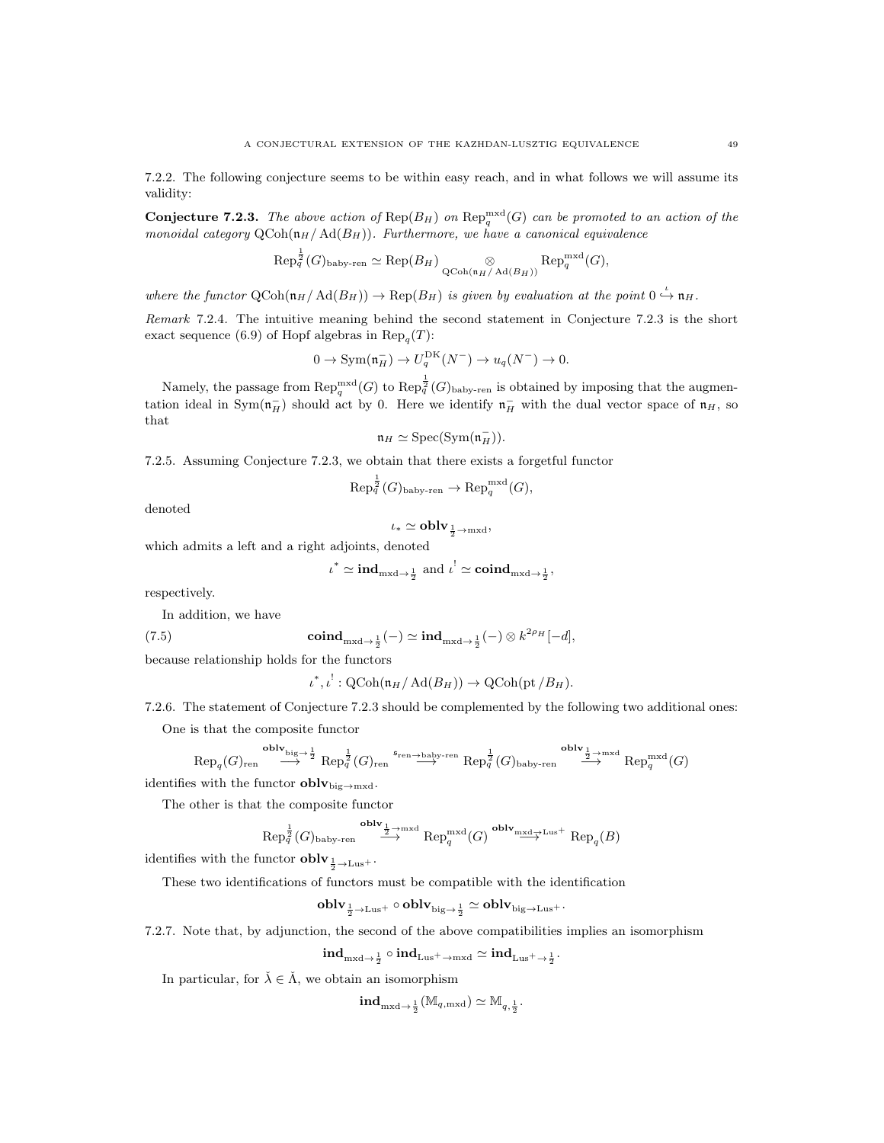7.2.2. The following conjecture seems to be within easy reach, and in what follows we will assume its validity:

**Conjecture 7.2.3.** The above action of  $\text{Rep}(B_H)$  on  $\text{Rep}_{q}^{\text{mxd}}(G)$  can be promoted to an action of the monoidal category  $Q\text{Coh}(\mathfrak{n}_H/\text{Ad}(B_H))$ . Furthermore, we have a canonical equivalence

$$
\text{Rep}_q^{\frac{1}{2}}(G)_{\text{baby-ren}} \simeq \text{Rep}(B_H) \underset{\text{QCoh}(\mathfrak{n}_H/\text{Ad}(B_H))}{\otimes} \text{Rep}_q^{\text{mxd}}(G),
$$

where the functor  $\text{QCoh}(\mathfrak{n}_H/\text{Ad}(B_H)) \to \text{Rep}(B_H)$  is given by evaluation at the point  $0 \stackrel{\iota}{\hookrightarrow} \mathfrak{n}_H$ .

Remark 7.2.4. The intuitive meaning behind the second statement in Conjecture 7.2.3 is the short exact sequence (6.9) of Hopf algebras in  $\text{Rep}_q(T)$ :

$$
0 \to \text{Sym}(\mathfrak{n}_H^-) \to U_q^{\text{DK}}(N^-) \to u_q(N^-) \to 0.
$$

Namely, the passage from  $\text{Rep}_q^{\text{mxd}}(G)$  to  $\text{Rep}_q^{\frac{1}{2}}(G)_{\text{baby-ren}}$  is obtained by imposing that the augmentation ideal in  $Sym(\mathfrak{n}_H^-)$  should act by 0. Here we identify  $\mathfrak{n}_H^-$  with the dual vector space of  $\mathfrak{n}_H$ , so that

$$
\mathfrak{n}_H \simeq \mathrm{Spec}(\mathrm{Sym}(\mathfrak{n}_H^-)).
$$

7.2.5. Assuming Conjecture 7.2.3, we obtain that there exists a forgetful functor

 $\mathrm{Rep}_q^{\frac{1}{2}}(G)_{\mathrm{baby-ren}} \to \mathrm{Rep}_q^{\mathrm{mxd}}(G),$ 

denoted

$$
\iota_* \simeq {\bf{oblv}}_{\frac{1}{2} \rightarrow {\rm{mxd}}},
$$

which admits a left and a right adjoints, denoted

$$
\iota^* \simeq \text{ind}_{\text{mxd}\to \frac{1}{2}}
$$
 and  $\iota^! \simeq \text{coind}_{\text{mxd}\to \frac{1}{2}}$ ,

respectively.

In addition, we have

(7.5) 
$$
\operatorname{coind}_{\mathrm{mxd}\to\frac{1}{2}}(-) \simeq \operatorname{ind}_{\mathrm{mxd}\to\frac{1}{2}}(-) \otimes k^{2\rho_H}[-d],
$$

because relationship holds for the functors

 $\iota^*, \iota^!: \mathrm{QCoh}(\mathfrak{n}_H/\mathrm{Ad}(B_H)) \to \mathrm{QCoh}(\mathrm{pt}/B_H).$ 

7.2.6. The statement of Conjecture 7.2.3 should be complemented by the following two additional ones:

One is that the composite functor

$$
\text{Rep}_{q}(G)_{\text{ren}} \stackrel{\text{oblv}_{\text{big} \to \frac{1}{2}}}{\longrightarrow} \text{Rep}_{q}^{\frac{1}{2}}(G)_{\text{ren}} \stackrel{\mathfrak{s}_{\text{ren}} \to \text{baby}\text{-ren}}{\longrightarrow} \text{Rep}_{q}^{\frac{1}{2}}(G)_{\text{baby}\text{-ren}} \stackrel{\text{oblv}_{\frac{1}{2} \to \text{mxd}}}{\longrightarrow} \text{Rep}_{q}^{\text{mxd}}(G)
$$

identifies with the functor  $oblv_{\text{big}\rightarrow\text{mxd}}$ .

The other is that the composite functor

$$
\mathrm{Rep}_q^{\frac{1}{2}}(G)_{\mathrm{baby}\text{-}\mathrm{ren}} \stackrel{\textbf{oblv}_{\frac{1}{2}\to\mathrm{mxd}}}{\longrightarrow} \mathrm{Rep}_q^{\mathrm{mxd}}(G) \stackrel{\textbf{oblv}_{\mathrm{mxd}\to\mathrm{Lus}^+}}{\longrightarrow} \mathrm{Rep}_q(B)
$$

identifies with the functor  ${\bf oblv}_{\frac{1}{2} \to \text{Lus}^+}$ .

These two identifications of functors must be compatible with the identification

 $\operatorname{\bf oblv}_{\frac{1}{2}\to\operatorname{Lus}^+}\circ\operatorname{\bf oblv}_{\operatorname{big}\to\frac{1}{2}}\simeq\operatorname{\bf oblv}_{\operatorname{big}\to\operatorname{Lus}^+}.$ 

7.2.7. Note that, by adjunction, the second of the above compatibilities implies an isomorphism

$$
\textup{ind}_{\textup{mxd}\to \frac{1}{2}}\circ\textup{ind}_{\textup{Lus}^+ \to \textup{mxd}}\simeq \textup{ind}_{\textup{Lus}^+ \to \frac{1}{2}}.
$$

In particular, for  $\check{\lambda} \in \check{\Lambda}$ , we obtain an isomorphism

$$
\mathbf{ind}_{\mathrm{mxd}\rightarrow\frac{1}{2}}(\mathbb{M}_{q,\mathrm{mxd}})\simeq \mathbb{M}_{q,\frac{1}{2}}
$$

.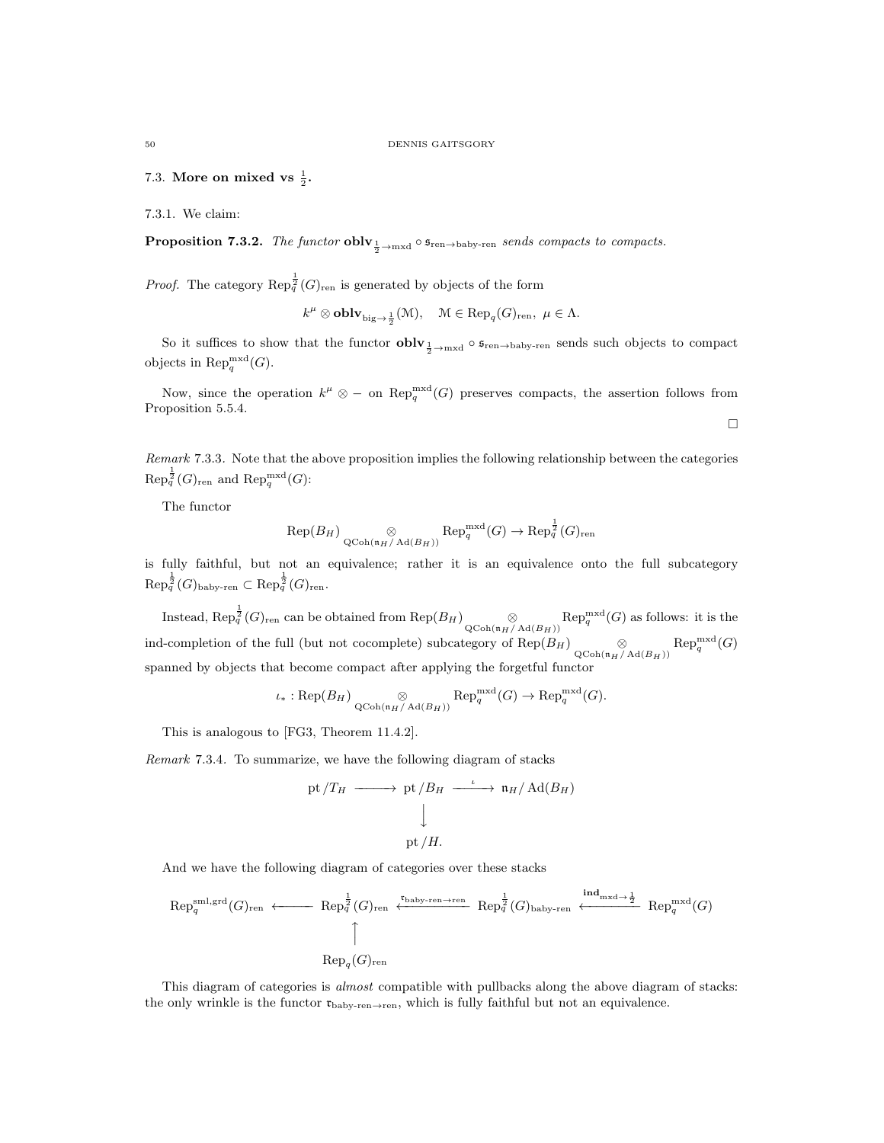7.3. More on mixed vs  $\frac{1}{2}$ .

7.3.1. We claim:

**Proposition 7.3.2.** The functor  $\textbf{oblv}_{\frac{1}{2} \to \text{mxd}} \circ \mathfrak{s}_{\text{ren} \to \text{baby-ren}}$  sends compacts to compacts.

*Proof.* The category  $\text{Rep}_{q}^{\frac{1}{2}}(G)_{\text{ren}}$  is generated by objects of the form

$$
k^{\mu} \otimes \mathbf{oblv}_{\mathrm{big} \to \frac{1}{2}}(\mathcal{M}), \quad \mathcal{M} \in \mathrm{Rep}_q(G)_{\mathrm{ren}}, \ \mu \in \Lambda.
$$

So it suffices to show that the functor  $oblv_{\frac{1}{2}\to\text{mxd}}\circ \mathfrak{s}_{\text{ren}\to\text{baby-ren}}$  sends such objects to compact objects in  $\operatorname{Rep}_q^{\operatorname{mxd}}(G)$ .

Now, since the operation  $k^{\mu} \otimes -$  on  $\text{Rep}_{q}^{\text{mxd}}(G)$  preserves compacts, the assertion follows from Proposition 5.5.4.

 $\Box$ 

Remark 7.3.3. Note that the above proposition implies the following relationship between the categories  $\mathrm{Rep}_q^{\frac{1}{2}}(G)_{\mathrm{ren}}$  and  $\mathrm{Rep}_q^{\mathrm{mxd}}(G)$ :

The functor

$$
\mathrm{Rep}(B_H) \underset{\mathrm{QCoh}(\mathfrak{n}_H/\mathrm{Ad}(B_H))}{\otimes} \mathrm{Rep}_q^{\mathrm{mxd}}(G) \to \mathrm{Rep}_q^{\frac{1}{2}}(G)_{\mathrm{ren}}
$$

is fully faithful, but not an equivalence; rather it is an equivalence onto the full subcategory  $\text{Rep}_q^{\frac{1}{2}}(G)_{\text{baby-ren}} \subset \text{Rep}_q^{\frac{1}{2}}(G)_{\text{ren}}.$ 

Instead,  $\text{Rep}_{q}^{\frac{1}{2}}(G)_{\text{ren}}$  can be obtained from  $\text{Rep}(B_H)$   $\underset{\text{QCoh}(\text{h}_H/\text{Ad}(B_H))}{\otimes}$   $\text{Rep}_{q}^{\text{mxd}}(G)$  as follows: it is the ind-completion of the full (but not cocomplete) subcategory of  $\text{Rep}(B_H) \underset{\text{QCoh}(\mathfrak{n}_H/\text{Ad}(B_H))}{\otimes} \text{Rep}_q^{\text{mxd}}(G)$ spanned by objects that become compact after applying the forgetful functor

$$
\iota_*: \mathrm{Rep}(B_H) \underset{\mathrm{QCoh}(\mathfrak{n}_H/\mathrm{Ad}(B_H))}{\otimes} \mathrm{Rep}_q^{\mathrm{mxd}}(G) \to \mathrm{Rep}_q^{\mathrm{mxd}}(G).
$$

This is analogous to [FG3, Theorem 11.4.2].

Remark 7.3.4. To summarize, we have the following diagram of stacks

pt 
$$
/T_H \longrightarrow
$$
 pt  $/B_H \xrightarrow{\iota} \mathfrak{n}_H / \text{Ad}(B_H)$   
\n  
\npt  $/H$ .

And we have the following diagram of categories over these stacks

$$
\operatorname{Rep}_q^{\operatorname{sml},\operatorname{grd}}(G)_{\operatorname{ren}} \longleftarrow \operatorname{Rep}_q^{\frac{1}{2}}(G)_{\operatorname{ren}} \xleftarrow{\operatorname{t\text{-}baby-ren}\to\operatorname{ren}} \operatorname{Rep}_q^{\frac{1}{2}}(G)_{\operatorname{baby-ren}} \xleftarrow{\operatorname{ind}_{\operatorname{mxd}\to\frac{1}{2}}} \operatorname{Rep}_q^{\operatorname{mxd}}(G)
$$
\n
$$
\uparrow
$$
\n
$$
\operatorname{Rep}_q(G)_{\operatorname{ren}}
$$

This diagram of categories is almost compatible with pullbacks along the above diagram of stacks: the only wrinkle is the functor  $\mathbf{t}_{\text{baby-ren}\to\text{ren}}$ , which is fully faithful but not an equivalence.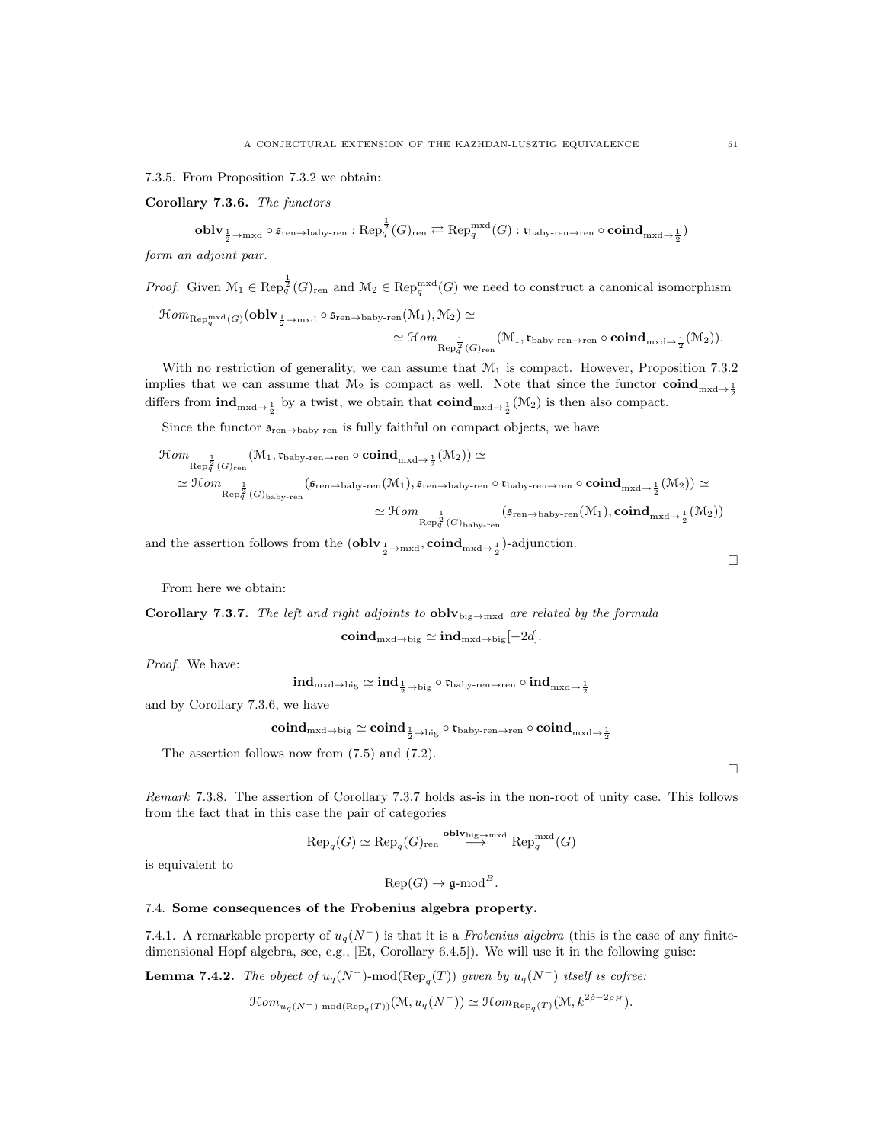7.3.5. From Proposition 7.3.2 we obtain:

Corollary 7.3.6. The functors

 $\operatorname{\textbf{oblv}}_{\frac{1}{2}\to\text{mxd}}\circ \mathfrak{s}_{\operatorname{ren}\to\text{baby-ren}}: \operatorname{Rep}_q^{\frac{1}{2}}(G)_{\operatorname{ren}}\rightleftarrows \operatorname{Rep}_q^{\operatorname{mxd}}(G): \mathfrak{r}_{\operatorname{baby-ren}\to\text{ren}}\circ \operatorname{\textbf{coind}}_{\operatorname{mxd}\to\frac{1}{2}})$ 

form an adjoint pair.

*Proof.* Given  $\mathcal{M}_1 \in \text{Rep}_q^{\frac{1}{2}}(G)_{\text{ren}}$  and  $\mathcal{M}_2 \in \text{Rep}_q^{\text{mxd}}(G)$  we need to construct a canonical isomorphism

$$
\mathcal Hom_{\text{Rep}_q^{\text{mxd}}(G)}(\textbf{oblv}_{\frac{1}{2}\to \text{mxd}}\circ \mathfrak s_{\text{ren}\to \text{baby-ren}}(\mathcal M_1),\mathcal M_2)\simeq\\ \simeq \mathcal Hom_{\text{Rep}_q^{\frac{1}{2}}(G)_{\text{ren}}}(\mathcal M_1,\mathfrak r_{\text{baby-ren}\to \text{ren}}\circ \textbf{coind}_{\text{mxd}\to \frac{1}{2}}(\mathcal M_2)).
$$

With no restriction of generality, we can assume that  $\mathcal{M}_1$  is compact. However, Proposition 7.3.2 implies that we can assume that  $M_2$  is compact as well. Note that since the functor  $\text{coind}_{m \times d \to \frac{1}{2}}$ differs from  $\text{ind}_{\text{mxd}\to \frac{1}{2}}$  by a twist, we obtain that  $\text{coind}_{\text{mxd}\to \frac{1}{2}}(\mathcal{M}_2)$  is then also compact.

Since the functor  $\mathfrak{s}_{\mathrm{ren}\to\mathrm{baby}\text{-}\mathrm{ren}}$  is fully faithful on compact objects, we have

$$
\begin{aligned} \mathcal{H}om \mathop = \limits_{\mathrm{Rep}^{\frac{1}{2}}_q(G)_{\mathrm{ren}}} \bigl( \mathcal{M}_1 , \mathfrak{r}_{\mathrm{baby-ren} \rightarrow \mathrm{ren}} \circ \mathbf{coind}_{\mathrm{mxd} \rightarrow \frac{1}{2}}(\mathcal{M}_2) \bigr) \simeq \\ \simeq \mathcal{H}om \mathop = \limits_{\mathrm{Rep}^{\frac{1}{2}}_q(G)_{\mathrm{baby-ren}}} \bigl( \mathfrak{s}_{\mathrm{ren} \rightarrow \mathrm{baby-ren}}(\mathcal{M}_1) , \mathfrak{s}_{\mathrm{ren} \rightarrow \mathrm{baby-ren}} \circ \mathfrak{r}_{\mathrm{baby-ren} \rightarrow \mathrm{ren}} \circ \mathbf{coind}_{\mathrm{mxd} \rightarrow \frac{1}{2}}(\mathcal{M}_2) \bigr) \simeq \\ \simeq \mathcal{H}om \mathop = \limits_{\mathrm{Rep}^{\frac{1}{2}}_q(G)_{\mathrm{baby-ren}}} \bigl( \mathfrak{s}_{\mathrm{ren} \rightarrow \mathrm{baby-ren}}(\mathcal{M}_1) , \mathbf{coind}_{\mathrm{mxd} \rightarrow \frac{1}{2}}(\mathcal{M}_2) \bigr) \end{aligned}
$$

and the assertion follows from the  $(\bf{oblv}_{\frac{1}{2} \to \text{mxd}}, \bf{coind}_{\text{mxd}\to\frac{1}{2}})$ -adjunction.

From here we obtain:

Corollary 7.3.7. The left and right adjoints to  $oblv_{\text{big}\rightarrow\text{mxd}}$  are related by the formula

$$
\mathbf{coind}_{\mathrm{mxd}\to\mathrm{big}}\simeq\mathbf{ind}_{\mathrm{mxd}\to\mathrm{big}}[-2d].
$$

Proof. We have:

 $\mathrm{ind}_{\mathrm{mxd}\to\mathrm{big}}\simeq\mathrm{ind}_{\frac{1}{2}\to\mathrm{big}}\circ\mathfrak{r}_{\mathrm{baby-ren}\to\mathrm{ren}}\circ\mathrm{ind}_{\mathrm{mxd}\to\frac{1}{2}}$ 

and by Corollary 7.3.6, we have

 ${\rm \bf coind}_{\rm mxd\rightarrow big}\simeq {\rm \bf coind}_{\frac{1}{2}\rightarrow big}\circ \mathfrak r_{\rm baby-ren\rightarrow ren}\circ {\rm \bf coind}_{\rm mxd\rightarrow \frac{1}{2}}$ 

The assertion follows now from (7.5) and (7.2).

Remark 7.3.8. The assertion of Corollary 7.3.7 holds as-is in the non-root of unity case. This follows from the fact that in this case the pair of categories

$$
\text{Rep}_q(G) \simeq \text{Rep}_q(G)_{\text{ren}} \stackrel{\text{oblv}_{\text{big}\to \text{mxd}}}{\longrightarrow} \text{Rep}_q^{\text{mxd}}(G)
$$

is equivalent to

 $\operatorname{Rep}(G) \to \mathfrak{g}\text{-mod}^B$ .

## 7.4. Some consequences of the Frobenius algebra property.

7.4.1. A remarkable property of  $u_q(N^-)$  is that it is a Frobenius algebra (this is the case of any finitedimensional Hopf algebra, see, e.g., [Et, Corollary 6.4.5]). We will use it in the following guise:

**Lemma 7.4.2.** The object of  $u_q(N^-)$ -mod( $\text{Rep}_q(T)$ ) given by  $u_q(N^-)$  itself is cofree:

$$
\mathcal{H}om_{u_q(N^-)-\mathrm{mod}(\mathrm{Rep}_q(T))}(\mathcal{M},u_q(N^-))\simeq \mathcal{H}om_{\mathrm{Rep}_q(T)}(\mathcal{M},k^{2\tilde{\rho}-2\rho_H}).
$$

 $\Box$ 

 $\Box$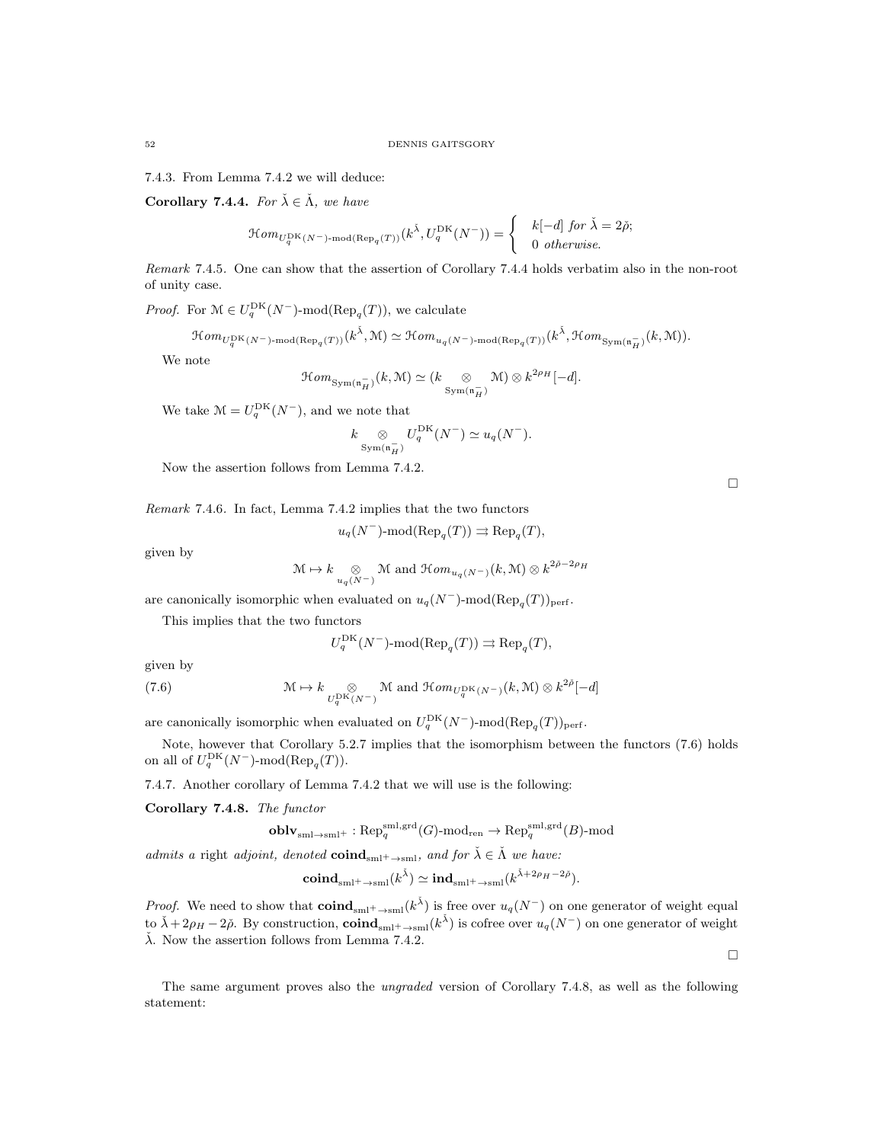7.4.3. From Lemma 7.4.2 we will deduce:

Corollary 7.4.4. For  $\check{\lambda} \in \check{\Lambda}$ , we have

$$
\mathcal{H}om_{U_q^{\rm DK}(N^-)\text{-}\mathrm{mod}(\mathrm{Rep}_q(T))}(k^{\check{\lambda}}, U_q^{\rm DK}(N^-)) = \begin{cases} & k[-d] \text{ for } \check{\lambda} = 2\check{\rho}; \\ & 0 \text{ otherwise.} \end{cases}
$$

Remark 7.4.5. One can show that the assertion of Corollary 7.4.4 holds verbatim also in the non-root of unity case.

*Proof.* For  $\mathcal{M} \in U_q^{\text{DK}}(N^-)$ -mod( $\text{Rep}_q(T)$ ), we calculate

 $\mathfrak{Hom}_{U_q^{\mathrm{DK}}(N^-)\text{-}\mathrm{mod}(\mathrm{Rep}_q(T))}(k^{\check{\lambda}},\mathfrak{M})\simeq \mathfrak{Hom}_{u_q(N^-)\text{-}\mathrm{mod}(\mathrm{Rep}_q(T))}(k^{\check{\lambda}},\mathfrak{Hom}_{\mathrm{Sym}(\mathfrak{n}_H^-)}(k,\mathfrak{M})).$ 

We note

$$
\mathcal{H}om_{\mathrm{Sym}(\mathfrak{n}_H^-)}(k,\mathcal{M}) \simeq (k \underset{\mathrm{Sym}(\mathfrak{n}_H^-)}{\otimes} \mathcal{M}) \otimes k^{2\rho_H}[-d].
$$

We take  $\mathcal{M} = U_q^{\text{DK}}(N^-)$ , and we note that

$$
k \underset{\text{Sym}(\mathfrak{n}_H^-)}{\otimes} U_q^{\text{DK}}(N^-) \simeq u_q(N^-).
$$

Now the assertion follows from Lemma 7.4.2.

Remark 7.4.6. In fact, Lemma 7.4.2 implies that the two functors

$$
u_q(N^-)\text{-}\mathrm{mod}(\mathrm{Rep}_q(T)) \rightrightarrows \mathrm{Rep}_q(T),
$$

given by

$$
\mathcal{M} \mapsto k \underset{u_q(N^-)}{\otimes} \mathcal{M} \text{ and } \mathcal{H}om_{u_q(N^-)}(k, \mathcal{M}) \otimes k^{2\tilde{\rho}-2\rho_H}
$$

are canonically isomorphic when evaluated on  $u_q(N^-)$ -mod $(\text{Rep}_q(T))_{\text{perf}}$ .

This implies that the two functors

$$
U_q^{\rm DK}(N^-)\text{-mod}(\text{Rep}_q(T)) \rightrightarrows \text{Rep}_q(T),
$$

given by

(7.6) 
$$
\mathcal{M} \mapsto k \underset{U_q^{\text{DK}}(N^-)}{\otimes} \mathcal{M} \text{ and } \mathcal{H}om_{U_q^{\text{DK}}(N^-)}(k, \mathcal{M}) \otimes k^{2\tilde{\rho}}[-d]
$$

are canonically isomorphic when evaluated on  $U_q^{\text{DK}}(N^-)$ -mod $(\text{Rep}_q(T))_{\text{perf}}$ .

Note, however that Corollary 5.2.7 implies that the isomorphism between the functors (7.6) holds on all of  $U_q^{\mathrm{DK}}(N^-)$ -mod $(\mathrm{Rep}_q(T))$ .

7.4.7. Another corollary of Lemma 7.4.2 that we will use is the following:

Corollary 7.4.8. The functor

$$
\operatorname{\textbf{oblv}}_{\operatorname{sml}\rightarrow\operatorname{sml}^+}:\operatorname{Rep}^{\operatorname{sml},\operatorname{grd}}_q(G)\operatorname{\textbf{-}mod}_{\operatorname{ren}}\to\operatorname{Rep}^{\operatorname{sml},\operatorname{grd}}_q(B)\operatorname{\textbf{-}mod}
$$

admits a right adjoint, denoted  $\text{coind}_{\text{sml}^+ \to \text{sml}}$ , and for  $\check{\lambda} \in \check{\Lambda}$  we have:

$$
\mathbf{coind}_{\mathrm{sml}^+ \to \mathrm{sml}}(k^{\check{\lambda}}) \simeq \mathbf{ind}_{\mathrm{sml}^+ \to \mathrm{sml}}(k^{\check{\lambda} + 2\rho_H - 2\check{\rho}}).
$$

*Proof.* We need to show that  $\text{coind}_{\text{sml}^+ \to \text{sml}}(k^{\check{\lambda}})$  is free over  $u_q(N^-)$  on one generator of weight equal to  $\check{\lambda} + 2\rho_H - 2\check{\rho}$ . By construction,  $\text{coind}_{\text{sml}^+ \to \text{sml}}(k^{\check{\lambda}})$  is cofree over  $u_q(N^-)$  on one generator of weight  $\lambda$ . Now the assertion follows from Lemma 7.4.2.

The same argument proves also the ungraded version of Corollary 7.4.8, as well as the following statement:

 $\Box$ 

 $\Box$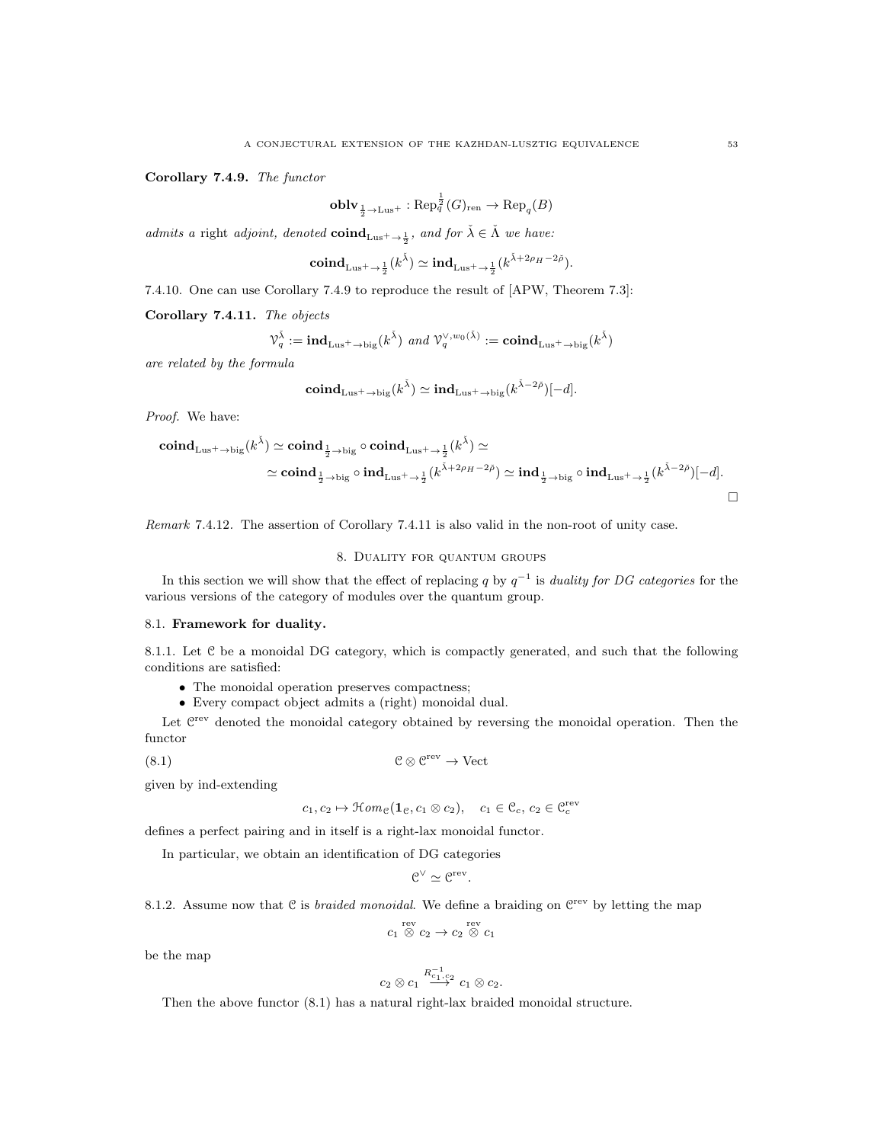Corollary 7.4.9. The functor

$$
\operatorname{\mathbf{oblv}}_{\frac{1}{2}\to\operatorname{Lus}^+}:\operatorname{Rep}_q^{\frac{1}{2}}(G)_{\operatorname{ren}}\to\operatorname{Rep}_q(B)
$$

admits a right adjoint, denoted  $\text{coind}_{Lus^+\to \frac{1}{2}}$ , and for  $\check{\lambda} \in \check{\Lambda}$  we have:

$$
\mathbf{coind}_{\mathrm{Lus}^+ \rightarrow \frac{1}{2}}(k^{\check{\lambda}}) \simeq \mathbf{ind}_{\mathrm{Lus}^+ \rightarrow \frac{1}{2}}(k^{\check{\lambda} + 2\rho_H - 2\check{\rho}}).
$$

7.4.10. One can use Corollary 7.4.9 to reproduce the result of [APW, Theorem 7.3]:

Corollary 7.4.11. The objects

$$
\mathcal{V}_q^{\check{\lambda}}:=\mathbf{ind}_{\mathrm{Lus}^+ \to \mathrm{big}}(k^{\check{\lambda}}) \ \ \text{and} \ \mathcal{V}_q^{\vee,w_0(\check{\lambda})}:=\mathbf{coind}_{\mathrm{Lus}^+ \to \mathrm{big}}(k^{\check{\lambda}})
$$

are related by the formula

$$
\mathbf{coind}_{\mathrm{Lus}^+ \to \mathrm{big}}(k^{\check{\lambda}}) \simeq \mathbf{ind}_{\mathrm{Lus}^+ \to \mathrm{big}}(k^{\check{\lambda} - 2\check{\rho}})[-d].
$$

Proof. We have:

$$
\begin{aligned} \mathbf{coind}_{\mathrm{Lus}^+ \to \mathrm{big}}(k^{\check{\lambda}}) &\simeq \mathbf{coind}_{\frac{1}{2} \to \mathrm{big}} \circ \mathbf{coind}_{\mathrm{Lus}^+ \to \frac{1}{2}}(k^{\check{\lambda}}) \simeq \\ &\simeq \mathbf{coind}_{\frac{1}{2} \to \mathrm{big}} \circ \mathbf{ind}_{\mathrm{Lus}^+ \to \frac{1}{2}}(k^{\check{\lambda}+2\rho_H-2\check{\rho}}) \simeq \mathbf{ind}_{\frac{1}{2} \to \mathrm{big}} \circ \mathbf{ind}_{\mathrm{Lus}^+ \to \frac{1}{2}}(k^{\check{\lambda}-2\check{\rho}})[-d] . \end{aligned}
$$

Remark 7.4.12. The assertion of Corollary 7.4.11 is also valid in the non-root of unity case.

## 8. Duality for quantum groups

In this section we will show that the effect of replacing q by  $q^{-1}$  is duality for DG categories for the various versions of the category of modules over the quantum group.

#### 8.1. Framework for duality.

8.1.1. Let C be a monoidal DG category, which is compactly generated, and such that the following conditions are satisfied:

- The monoidal operation preserves compactness;
- Every compact object admits a (right) monoidal dual.

Let  $C<sup>rev</sup>$  denoted the monoidal category obtained by reversing the monoidal operation. Then the functor

(8.1) C ⊗ C rev → Vect

given by ind-extending

$$
c_1, c_2 \mapsto \mathcal{H}om_{\mathcal{C}}(\mathbf{1}_{\mathcal{C}}, c_1 \otimes c_2), \quad c_1 \in \mathcal{C}_c, c_2 \in \mathcal{C}_c^{\text{rev}}
$$

defines a perfect pairing and in itself is a right-lax monoidal functor.

In particular, we obtain an identification of DG categories

$$
\mathcal{C}^{\vee} \simeq \mathcal{C}^{\mathrm{rev}}.
$$

8.1.2. Assume now that C is *braided monoidal*. We define a braiding on 
$$
\mathbb{C}^{\text{rev}}
$$
 by letting the map

$$
c_1 \stackrel{\text{rev}}{\otimes} c_2 \to c_2 \stackrel{\text{rev}}{\otimes} c_1
$$

be the map

$$
c_2 \otimes c_1 \stackrel{R^{-1}_{c_1,c_2}}{\longrightarrow} c_1 \otimes c_2.
$$

Then the above functor  $(8.1)$  has a natural right-lax braided monoidal structure.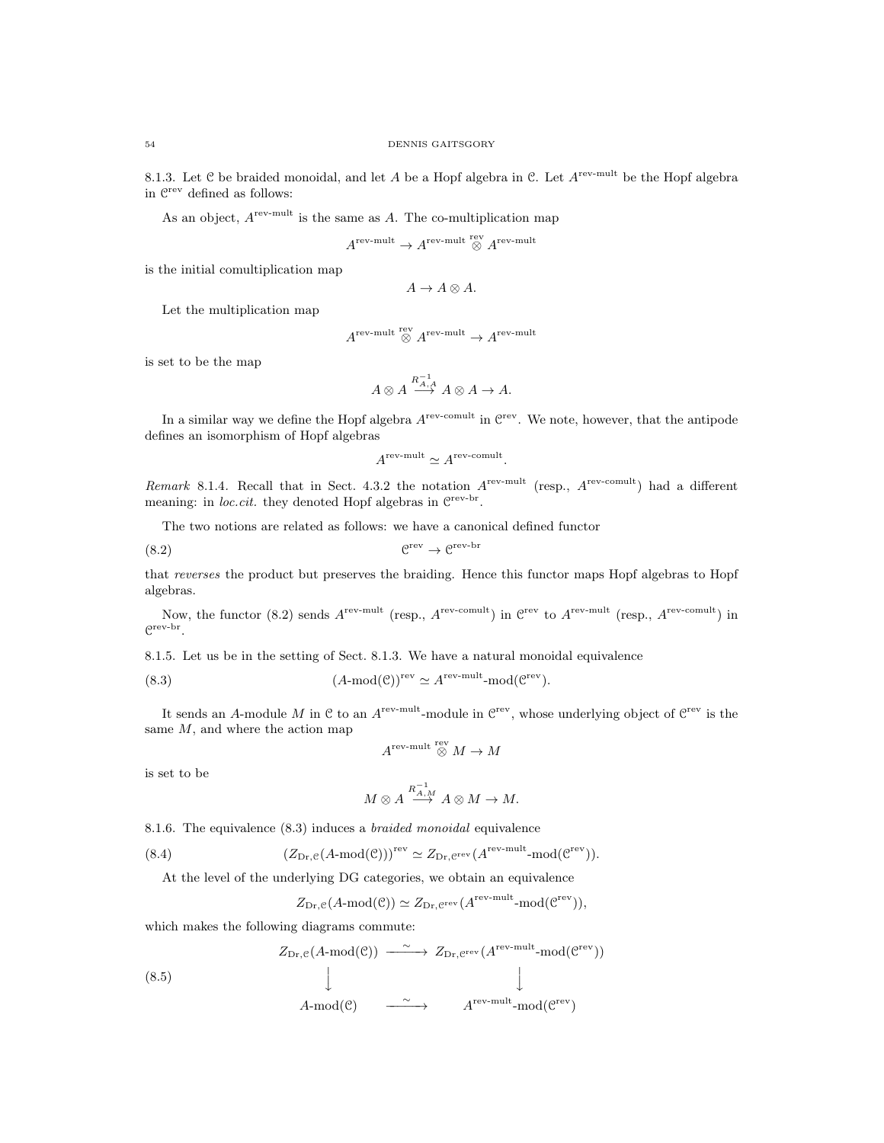8.1.3. Let C be braided monoidal, and let A be a Hopf algebra in C. Let  $A^{rev-mult}$  be the Hopf algebra in  $\mathcal{C}^{\text{rev}}$  defined as follows:

As an object,  $A^{rev-mult}$  is the same as A. The co-multiplication map

$$
A^{\text{rev-mult}} \rightarrow A^{\text{rev-mult}} \overset{\text{rev}}{\otimes} A^{\text{rev-mult}}
$$

is the initial comultiplication map

$$
A \to A \otimes A.
$$

Let the multiplication map

$$
A^{\text{rev-mult}} \overset{\text{rev}}{\otimes} A^{\text{rev-mult}} \to A^{\text{rev-mult}}
$$

is set to be the map

$$
A \otimes A \stackrel{R_{A,A}^{-1}}{\longrightarrow} A \otimes A \to A.
$$

In a similar way we define the Hopf algebra  $A^{\text{rev-comult}}$  in  $\mathbb{C}^{\text{rev}}$ . We note, however, that the antipode defines an isomorphism of Hopf algebras

$$
A^{\rm rev-mult} \simeq A^{\rm rev-comult}.
$$

Remark 8.1.4. Recall that in Sect. 4.3.2 the notation  $A^{rev-mult}$  (resp.,  $A^{rev-comult}$ ) had a different meaning: in *loc.cit.* they denoted Hopf algebras in  $\mathbb{C}^{\text{rev-br}}$ .

The two notions are related as follows: we have a canonical defined functor

(8.2) C rev → C rev-br

that reverses the product but preserves the braiding. Hence this functor maps Hopf algebras to Hopf algebras.

Now, the functor (8.2) sends  $A^{\text{rev-mult}}$  (resp.,  $A^{\text{rev-comult}}$ ) in  $C^{\text{rev}}$  to  $A^{\text{rev-mult}}$  (resp.,  $A^{\text{rev-comult}}$ ) in C rev-br .

8.1.5. Let us be in the setting of Sect. 8.1.3. We have a natural monoidal equivalence

(8.3) 
$$
(A\text{-mod}(\mathcal{C}))^{\text{rev}} \simeq A^{\text{rev-mult}} \text{-mod}(\mathcal{C}^{\text{rev}}).
$$

It sends an A-module M in C to an  $A^{\text{rev-mult}}$ -module in  $\mathbb{C}^{\text{rev}}$ , whose underlying object of  $\mathbb{C}^{\text{rev}}$  is the same  $M$ , and where the action map

$$
A^{\mathrm{rev\text{-}mult}} \overset{\mathrm{rev}}{\otimes} M \to M
$$

is set to be

$$
M \otimes A \stackrel{R_{A,M}^{-1}}{\longrightarrow} A \otimes M \to M.
$$

8.1.6. The equivalence (8.3) induces a braided monoidal equivalence

(8.4) 
$$
(Z_{\mathrm{Dr}, \mathcal{C}}(A \text{-}\mathrm{mod}(\mathcal{C})))^{\mathrm{rev}} \simeq Z_{\mathrm{Dr}, \mathcal{C}^{\mathrm{rev}}}(A^{\mathrm{rev-mult}} \text{-}\mathrm{mod}(\mathcal{C}^{\mathrm{rev}})).
$$

At the level of the underlying DG categories, we obtain an equivalence

$$
Z_{\mathrm{Dr}, \mathcal{C}}(A \text{-mod}(\mathcal{C})) \simeq Z_{\mathrm{Dr}, \mathcal{C}^{\mathrm{rev}}}(A^{\mathrm{rev\text{-}mult}} \text{-mod}(\mathcal{C}^{\mathrm{rev}})),
$$

rev)

which makes the following diagrams commute:

$$
Z_{\mathrm{Dr}, \mathcal{C}}(A \text{-mod}(\mathcal{C})) \longrightarrow Z_{\mathrm{Dr}, \mathcal{C}^{\mathrm{rev}}}(A^{\mathrm{rev\text{-}mult}} \text{-mod}(\mathcal{C}^{\mathrm{rev}}))
$$

(8.5) 
$$
\downarrow \qquad \qquad \downarrow
$$
  
  $A\text{-mod}(\mathcal{C}) \qquad \xrightarrow{\sim} \qquad A^{\text{rev-mult}}\text{-mod}(\mathcal{C}^{\text{rev}})$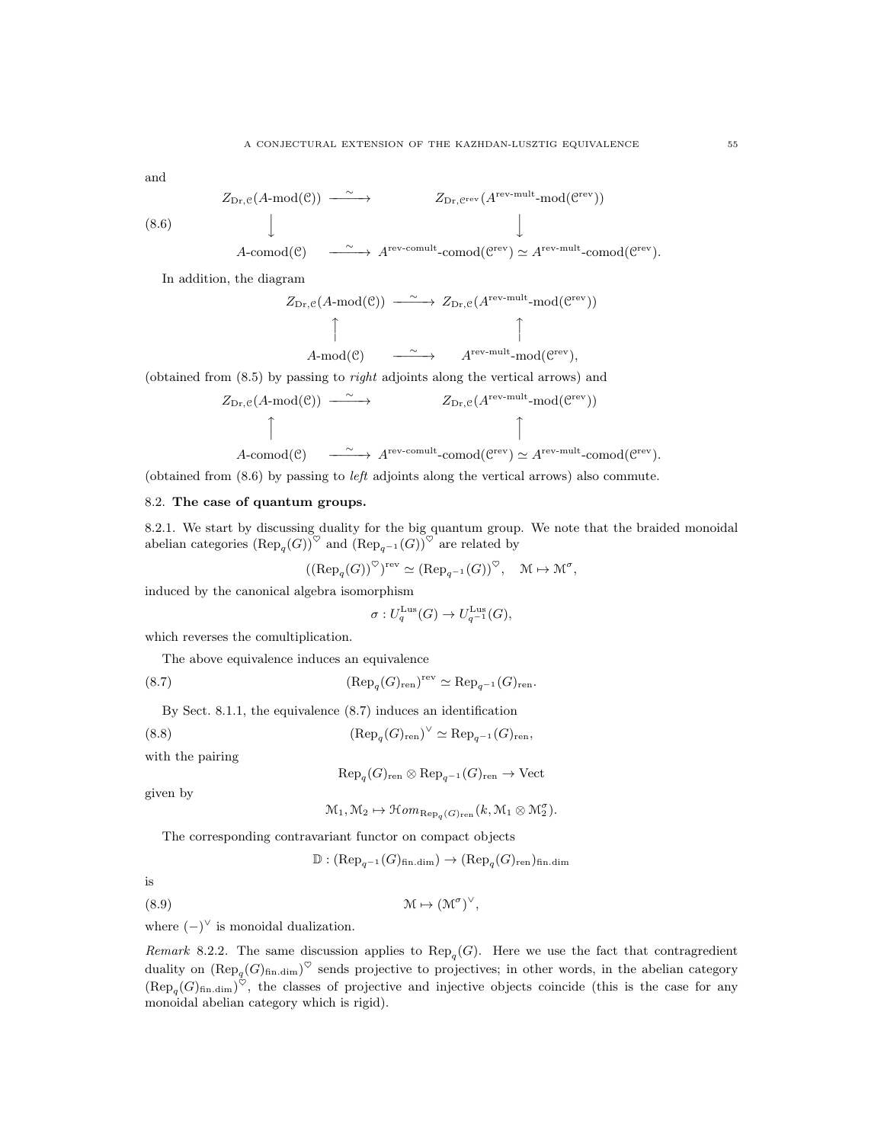and

$$
\begin{array}{ccc} Z_{\mathrm{Dr}, \mathcal{C}}(A\text{-}\mathrm{mod}(\mathcal{C})) & \xrightarrow{\ \sim\ } & & Z_{\mathrm{Dr}, \mathcal{C}^{\mathrm{rev}}}(A^{\mathrm{rev-mult}}\text{-}\mathrm{mod}(\mathcal{C}^{\mathrm{rev}})) \\ & & \downarrow & \\ & & \downarrow & \\ \end{array}
$$

(8.6)

$$
A\text{-comod}(\mathcal{C}) \quad \xrightarrow{\quad \sim \quad} A^{\text{rev-comult}}\text{-comod}(\mathcal{C}^{\text{rev}}) \simeq A^{\text{rev-mult}}\text{-comod}(\mathcal{C}^{\text{rev}}).
$$

In addition, the diagram

$$
Z_{\text{Dr}, e}(A \text{-mod}(\mathcal{C})) \xrightarrow{\sim} Z_{\text{Dr}, e}(A^{\text{rev-mult}} \text{-mod}(\mathcal{C}^{\text{rev}}))
$$
  

$$
\uparrow \qquad \qquad \uparrow
$$
  

$$
A \text{-mod}(\mathcal{C}) \xrightarrow{\sim} A^{\text{rev-mult}} \text{-mod}(\mathcal{C}^{\text{rev}}),
$$

(obtained from  $(8.5)$  by passing to *right* adjoints along the vertical arrows) and

$$
Z_{\mathrm{Dr}, \mathcal{C}}(A \text{-mod}(\mathcal{C})) \longrightarrow Z_{\mathrm{Dr}, \mathcal{C}}(A^{\mathrm{rev-mult}} \text{-mod}(\mathcal{C}^{\mathrm{rev}}))
$$
\n
$$
\uparrow
$$
\n
$$
A\text{-comod}(\mathcal{C}) \longrightarrow A^{\mathrm{rev-comult}} \text{-comod}(\mathcal{C}^{\mathrm{rev}}) \simeq A^{\mathrm{rev-mult}} \text{-comod}(\mathcal{C}^{\mathrm{rev}}).
$$

(obtained from (8.6) by passing to left adjoints along the vertical arrows) also commute.

### 8.2. The case of quantum groups.

8.2.1. We start by discussing duality for the big quantum group. We note that the braided monoidal abelian categories  $(\text{Rep}_{q}(G))^{\heartsuit}$  and  $(\text{Rep}_{q^{-1}}(G))^{\heartsuit}$  are related by

$$
((\text{Rep}_q(G))^{\heartsuit})^{\text{rev}} \simeq (\text{Rep}_{q^{-1}}(G))^{\heartsuit}, \quad \mathfrak{M} \mapsto \mathfrak{M}^{\sigma}
$$

,

induced by the canonical algebra isomorphism

$$
\sigma: U_q^{\text{Lus}}(G) \to U_{q^{-1}}^{\text{Lus}}(G),
$$

which reverses the comultiplication.

The above equivalence induces an equivalence

(8.7) 
$$
(\text{Rep}_{q}(G)_{\text{ren}})^{\text{rev}} \simeq \text{Rep}_{q^{-1}}(G)_{\text{ren}}.
$$

By Sect. 8.1.1, the equivalence (8.7) induces an identification

(8.8)  $(\text{Rep}_q(G)_{\text{ren}})^\vee \simeq \text{Rep}_{q^{-1}}(G)_{\text{ren}},$ 

with the pairing

$$
\text{Rep}_{q}(G)_{\text{ren}} \otimes \text{Rep}_{q^{-1}}(G)_{\text{ren}} \to \text{Vect}
$$

given by

$$
\mathcal{M}_1, \mathcal{M}_2 \mapsto \mathcal{H}om_{\text{Rep}_q(G)_{\text{ren}}}(k, \mathcal{M}_1 \otimes \mathcal{M}_2^{\sigma}).
$$

The corresponding contravariant functor on compact objects

 $\mathbb{D}: (\text{Rep}_{q^{-1}}(G)_{\text{fin.dim}}) \to (\text{Rep}_{q}(G)_{\text{ren}})_{\text{fin.dim}}$ 

,

is

(8.9) M 7→ (M<sup>σ</sup> ) ∨

where  $(-)^\vee$  is monoidal dualization.

*Remark* 8.2.2. The same discussion applies to  $\text{Rep}_q(G)$ . Here we use the fact that contragredient duality on  $(\text{Rep}_q(G)_{\text{fin.dim}})^\heartsuit$  sends projective to projectives; in other words, in the abelian category  $(\text{Rep}_{q}(G)_{\text{fin.dim}})^{\heartsuit}$ , the classes of projective and injective objects coincide (this is the case for any monoidal abelian category which is rigid).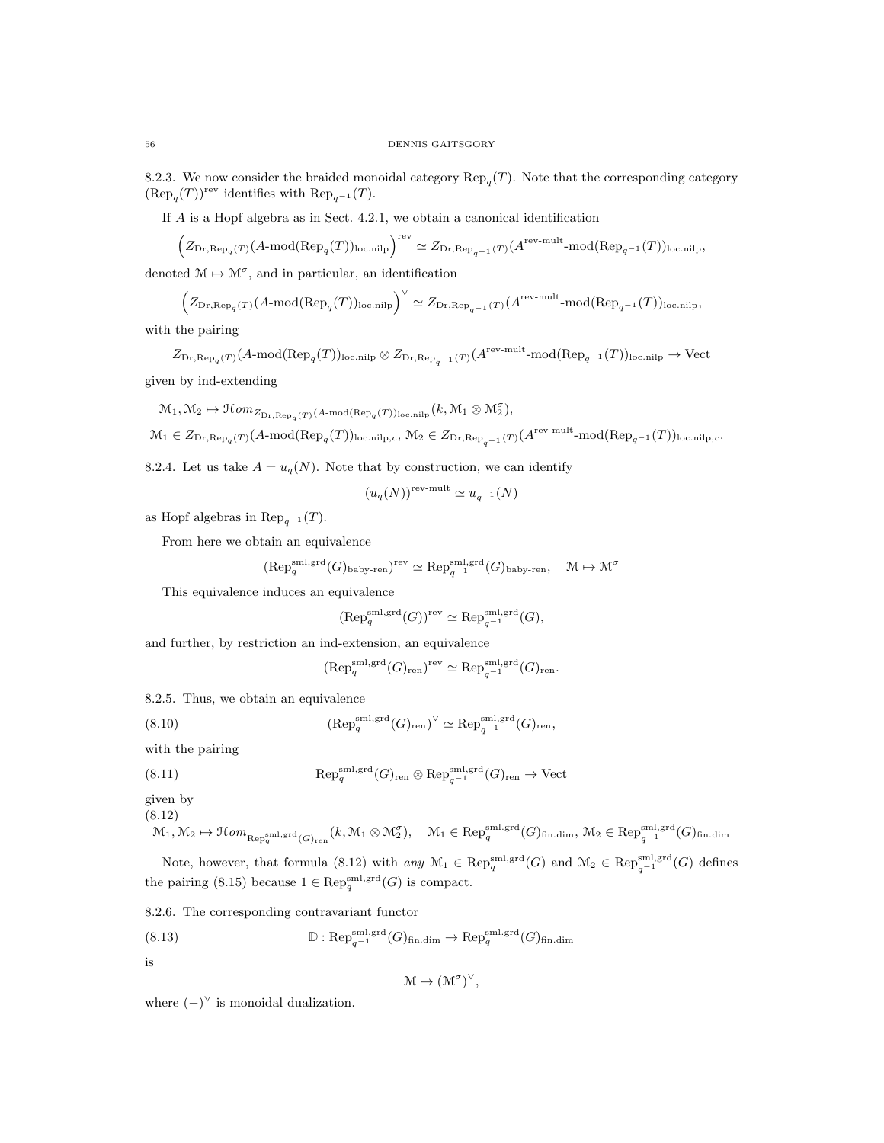8.2.3. We now consider the braided monoidal category  $\text{Rep}_q(T)$ . Note that the corresponding category  $(\text{Rep}_q(T))^{\text{rev}}$  identifies with  $\text{Rep}_{q^{-1}}(T)$ .

If A is a Hopf algebra as in Sect. 4.2.1, we obtain a canonical identification

$$
\Big(Z_{\mathrm{Dr}, \mathrm{Rep}_q(T)}(A\text{-}\mathrm{mod}(\mathrm{Rep}_q(T))_{\mathrm{loc. nilp}}\Big)^{\mathrm{rev}} \simeq Z_{\mathrm{Dr}, \mathrm{Rep}_{q^{-1}}(T)}(A^{\mathrm{rev-mult}}\text{-}\mathrm{mod}(\mathrm{Rep}_{q^{-1}}(T))_{\mathrm{loc. nilp}},
$$

denoted  $M \mapsto M^{\sigma}$ , and in particular, an identification

$$
\left(Z_{\text{Dr}, \text{Rep}_q(T)}(A \text{-mod}(\text{Rep}_q(T))_{\text{loc.nilp}}\right)^\vee \simeq Z_{\text{Dr}, \text{Rep}_{q^{-1}}(T)}(A^{\text{rev-mult}} \text{-mod}(\text{Rep}_{q^{-1}}(T))_{\text{loc.nilp}},
$$

with the pairing

 $Z_{\text{Dr},\text{Rep}_{q}(T)}(A\text{-mod}(\text{Rep}_{q}(T))_{\text{loc.nilp}}\otimes Z_{\text{Dr},\text{Rep}_{q^{-1}}(T)}(A^{\text{rev-mult}}\text{-mod}(\text{Rep}_{q^{-1}}(T))_{\text{loc.nilp}}\to \text{Vect}$ given by ind-extending

$$
\mathcal{M}_1, \mathcal{M}_2 \mapsto \mathcal{H}om_{Z_{\mathrm{Dr}, \mathrm{Rep}_q(T)}}(A\text{-}\mathrm{mod}(\mathrm{Rep}_q(T))_{\mathrm{loc. nilp}}(k, \mathcal{M}_1 \otimes \mathcal{M}_2^{\sigma}),
$$

 $\mathcal{M}_1\in Z_{\mathrm{Dr},\mathrm{Rep}_q(T)}(A\text{-mod}(\mathrm{Rep}_q(T))_{\mathrm{loc\,nilp},c},\,\mathcal{M}_2\in Z_{\mathrm{Dr},\mathrm{Rep}_{q^{-1}}(T)}(A^{\mathrm{rev\text{-}mult}}\text{-mod}(\mathrm{Rep}_{q^{-1}}(T))_{\mathrm{loc\,nilp},c}.$ 

8.2.4. Let us take  $A = u_q(N)$ . Note that by construction, we can identify

$$
(u_q(N))^{\text{rev-mult}} \simeq u_{q^{-1}}(N)
$$

as Hopf algebras in  $\text{Rep}_{q^{-1}}(T)$ .

From here we obtain an equivalence

$$
(\text{Rep}_{q}^{\text{sml,grd}}(G)_{\text{baby-ren}})^{\text{rev}} \simeq \text{Rep}_{q^{-1}}^{\text{sml,grd}}(G)_{\text{baby-ren}}, \quad \mathcal{M} \mapsto \mathcal{M}^{\sigma}
$$

This equivalence induces an equivalence

$$
(\text{Rep}_q^{\text{sml},\text{grd}}(G))^{\text{rev}} \simeq \text{Rep}_{q^{-1}}^{\text{sml},\text{grd}}(G),
$$

and further, by restriction an ind-extension, an equivalence

$$
(\text{Rep}_q^{\text{sml,grd}}(G)_{\text{ren}})^{\text{rev}} \simeq \text{Rep}_{q^{-1}}^{\text{sml,grd}}(G)_{\text{ren}}.
$$

8.2.5. Thus, we obtain an equivalence

(8.10) 
$$
(\text{Rep}_q^{\text{sml,grd}}(G)_{\text{ren}})^{\vee} \simeq \text{Rep}_{q^{-1}}^{\text{sml,grd}}(G)_{\text{ren}},
$$

with the pairing

(8.11) 
$$
Rep_q^{\text{sml,grd}}(G)_{\text{ren}} \otimes Rep_{q^{-1}}^{\text{sml,grd}}(G)_{\text{ren}} \to \text{Vect}
$$

given by (8.12)

$$
\mathcal{M}_1,\mathcal{M}_2 \mapsto \mathcal{H}om_{\mathrm{Rep}_q^{\mathrm{sml},\mathrm{grd}}(G)_{\mathrm{ren}}}(k,\mathcal{M}_1 \otimes \mathcal{M}_2^{\sigma}), \quad \mathcal{M}_1 \in \mathrm{Rep}_q^{\mathrm{sml},\mathrm{grd}}(G)_{\mathrm{fin.dim}},\, \mathcal{M}_2 \in \mathrm{Rep}_{q^{-1}}^{\mathrm{sml},\mathrm{grd}}(G)_{\mathrm{fin.dim}}
$$

Note, however, that formula (8.12) with  $any M_1 \in \text{Rep}_q^{\text{sml,grd}}(G)$  and  $M_2 \in \text{Rep}_{q^{-1}}^{\text{sml,grd}}(G)$  defines the pairing (8.15) because  $1 \in \text{Rep}_q^{\text{sml}, \text{grd}}(G)$  is compact.

8.2.6. The corresponding contravariant functor

(8.13) 
$$
\mathbb{D}: \mathrm{Rep}_{q^{-1}}^{\mathrm{sml}, \mathrm{grd}}(G)_{\mathrm{fin.dim}} \to \mathrm{Rep}_q^{\mathrm{sml}, \mathrm{grd}}(G)_{\mathrm{fin.dim}}
$$

is

$$
\mathcal{M} \mapsto (\mathcal{M}^{\sigma})^{\vee},
$$

where  $(-)^\vee$  is monoidal dualization.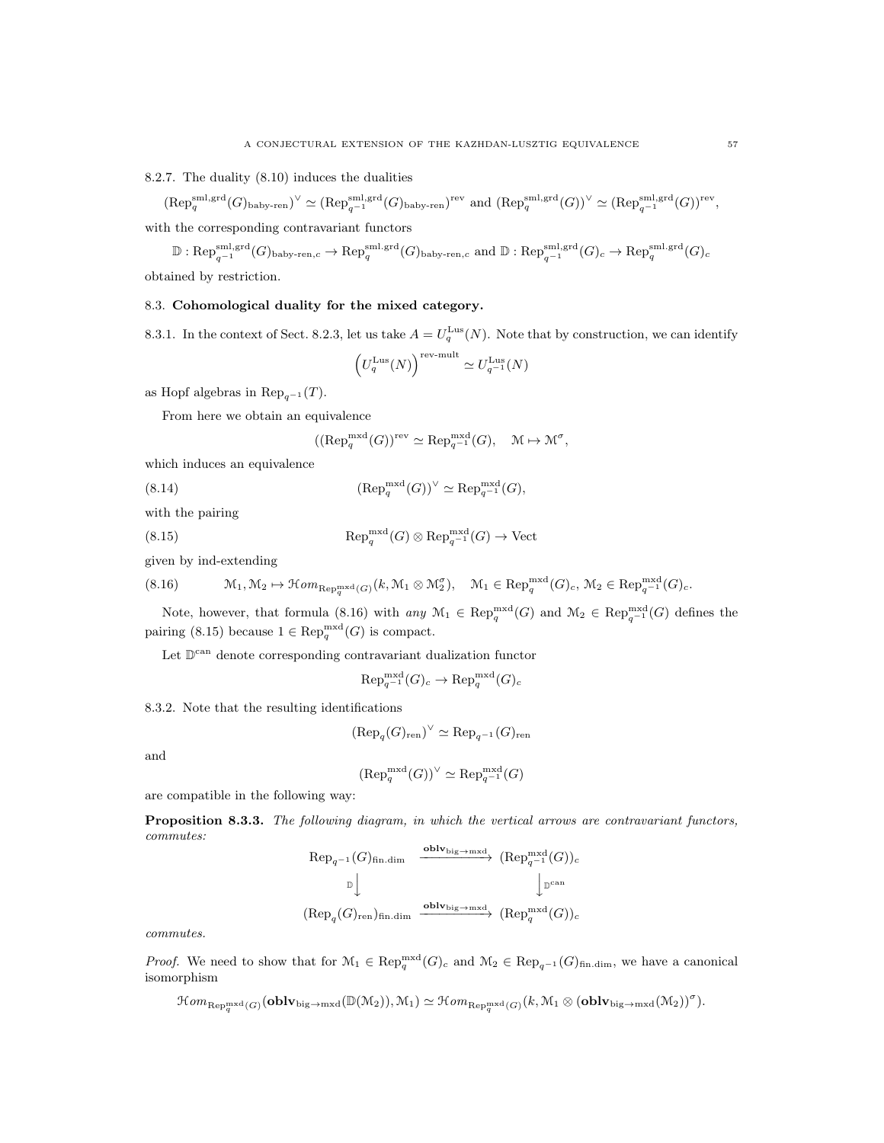8.2.7. The duality (8.10) induces the dualities

 $(\text{Rep}_{q}^{\text{sml,grd}}(G)_{\text{baby-ren}})^{\vee} \simeq (\text{Rep}_{q^{-1}}^{\text{sml,grd}}(G)_{\text{baby-ren}})^{\text{rev}}$  and  $(\text{Rep}_{q}^{\text{sml,grd}}(G))^{\vee} \simeq (\text{Rep}_{q^{-1}}^{\text{sml,grd}}(G))^{\text{rev}},$ 

with the corresponding contravariant functors

 $\mathbb{D} : \mathrm{Rep}_{q^{-1}}^{\mathrm{sml},\mathrm{grd}}(G)_{\mathrm{baby-ren},c} \to \mathrm{Rep}_q^{\mathrm{sml},\mathrm{grd}}(G)_{\mathrm{baby-ren},c} \text{ and } \mathbb{D} : \mathrm{Rep}_{q^{-1}}^{\mathrm{sml},\mathrm{grd}}(G)_c \to \mathrm{Rep}_q^{\mathrm{sml},\mathrm{grd}}(G)_c$ obtained by restriction.

### 8.3. Cohomological duality for the mixed category.

8.3.1. In the context of Sect. 8.2.3, let us take  $A = U_q^{\text{Lus}}(N)$ . Note that by construction, we can identify

$$
\left(U_q^{\text{Lus}}(N)\right)^{\text{rev-mult}} \simeq U_{q^{-1}}^{\text{Lus}}(N)
$$

as Hopf algebras in  $\text{Rep}_{q^{-1}}(T)$ .

From here we obtain an equivalence

$$
((\text{Rep}_q^{\text{mxd}}(G))^{\text{rev}} \simeq \text{Rep}_{q^{-1}}^{\text{mxd}}(G), \quad \mathcal{M} \mapsto \mathcal{M}^{\sigma},
$$

which induces an equivalence

(8.14) 
$$
(\text{Rep}_q^{\text{mxd}}(G))^{\vee} \simeq \text{Rep}_{q^{-1}}^{\text{mxd}}(G),
$$

with the pairing

(8.15) 
$$
\operatorname{Rep}_q^{\operatorname{mxd}}(G) \otimes \operatorname{Rep}_{q^{-1}}^{\operatorname{mxd}}(G) \to \operatorname{Vect}
$$

given by ind-extending

(8.16) M1, M<sup>2</sup> 7→ HomRepmxd q (G) (k, M<sup>1</sup> ⊗ M<sup>σ</sup> <sup>2</sup> ), M<sup>1</sup> ∈ Repmxd q (G)c, M<sup>2</sup> ∈ Repmxd <sup>q</sup>−<sup>1</sup> (G)c.

Note, however, that formula (8.16) with  $any M_1 \in \text{Rep}_q^{\text{mxd}}(G)$  and  $M_2 \in \text{Rep}_{q^{-1}}^{\text{mxd}}(G)$  defines the pairing (8.15) because  $1 \in \text{Rep}_q^{\text{mxd}}(G)$  is compact.

Let  $\mathbb{D}^{\text{can}}$  denote corresponding contravariant dualization functor

 $\mathrm{Rep}_{q^{-1}}^{\mathrm{mxd}}(G)_c \to \mathrm{Rep}_q^{\mathrm{mxd}}(G)_c$ 

8.3.2. Note that the resulting identifications

$$
(\text{Rep}_{q}(G)_{\text{ren}})^{\vee} \simeq \text{Rep}_{q^{-1}}(G)_{\text{ren}}
$$

and

$$
(\text{Rep}_q^{\text{mxd}}(G))^{\vee} \simeq \text{Rep}_{q^{-1}}^{\text{mxd}}(G)
$$

are compatible in the following way:

Proposition 8.3.3. The following diagram, in which the vertical arrows are contravariant functors, commutes:

$$
\begin{array}{ccc}\n\text{Rep}_{q^{-1}}(G)_{\text{fin.dim}} & \xrightarrow{\text{oblv}_{\text{big}\rightarrow\text{mxd}}} (\text{Rep}_{q^{-1}}^{\text{mxd}}(G))_{c} \\
\mathbb{D} \Big\downarrow & & \Big\downarrow{\mathbb{D}}^{\text{can}} \\
(\text{Rep}_{q}(G)_{\text{ren}})_{\text{fin.dim}} & \xrightarrow{\text{oblv}_{\text{big}\rightarrow\text{mxd}}} (\text{Rep}_{q}^{\text{mxd}}(G))_{c}\n\end{array}
$$

commutes.

*Proof.* We need to show that for  $\mathcal{M}_1 \in \text{Rep}_q^{\text{mxd}}(G)_c$  and  $\mathcal{M}_2 \in \text{Rep}_{q^{-1}}(G)_{\text{fin.dim}}$ , we have a canonical isomorphism

$$
\mathcal Hom_{\text{Rep}_q^{\text{mxd}}(G)}(\textbf{oblv}_{\text{big}\rightarrow \text{mxd}}(\mathbb D(\mathbb M_2)),\mathbb M_1)\simeq \mathcal Hom_{\text{Rep}_q^{\text{mxd}}(G)}(k,\mathbb M_1\otimes (\textbf{oblv}_{\text{big}\rightarrow \text{mxd}}(\mathbb M_2))^{\sigma}).
$$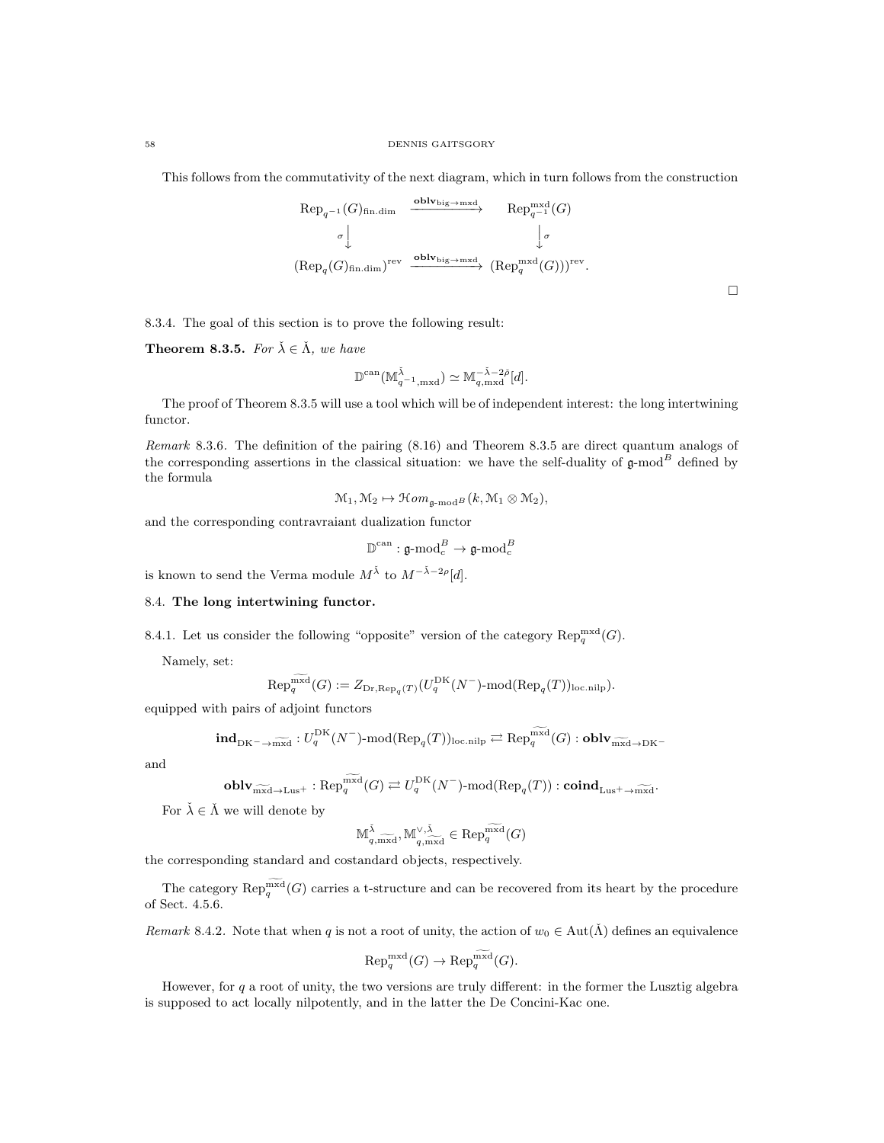This follows from the commutativity of the next diagram, which in turn follows from the construction

$$
\begin{array}{ccc}\n\text{Rep}_{q^{-1}}(G)_{\text{fin.dim}} & \xrightarrow{\text{oblv}_{\text{big}\rightarrow\text{mxd}}} & \text{Rep}_{q^{-1}}^{\text{mxd}}(G) \\
\downarrow \sigma & \downarrow \sigma \\
(\text{Rep}_q(G)_{\text{fin.dim}})^{\text{rev}} & \xrightarrow{\text{oblv}_{\text{big}\rightarrow\text{mxd}}} (\text{Rep}_q^{\text{mxd}}(G)))^{\text{rev}}.\n\end{array}
$$

 $\Box$ 

8.3.4. The goal of this section is to prove the following result:

**Theorem 8.3.5.** For  $\check{\lambda} \in \check{\Lambda}$ , we have

$$
\mathbb{D}^{\mathrm{can}}(\mathbb{M}_{q^{-1},\mathrm{mxd}}^{\check{\lambda}}) \simeq \mathbb{M}_{q,\mathrm{mxd}}^{-\check{\lambda}-2\check{\rho}}[d].
$$

The proof of Theorem 8.3.5 will use a tool which will be of independent interest: the long intertwining functor.

Remark 8.3.6. The definition of the pairing (8.16) and Theorem 8.3.5 are direct quantum analogs of the corresponding assertions in the classical situation: we have the self-duality of  $\mathfrak g$ -mod $^B$  defined by the formula

$$
\mathcal{M}_1, \mathcal{M}_2 \mapsto \mathcal{H}om_{\mathfrak{g}\text{-}\mathrm{mod}^B}(k, \mathcal{M}_1 \otimes \mathcal{M}_2),
$$

and the corresponding contravraiant dualization functor

$$
\mathbb{D}^{\mathrm{can}}:\mathfrak{g}\text{-}\mathrm{mod}_c^B\rightarrow\mathfrak{g}\text{-}\mathrm{mod}_c^B
$$

is known to send the Verma module  $M^{\check{\lambda}}$  to  $M^{-\check{\lambda}-2\rho}[d]$ .

### 8.4. The long intertwining functor.

8.4.1. Let us consider the following "opposite" version of the category  $\mathrm{Rep}_q^{\mathrm{mxd}}(G)$ .

Namely, set:

$$
\text{Rep}_q^{\overline{\text{mxd}}}(G) := Z_{\text{Dr}, \text{Rep}_q(T)}(U_q^{\text{DK}}(N^-) \text{-mod}(\text{Rep}_q(T))_{\text{loc.nilp}}).
$$

equipped with pairs of adjoint functors

$$
\mathbf{ind}_{\mathrm{DK}^{-}\to \widetilde{\mathrm{mxd}}}: U_{q}^{\mathrm{DK}}(N^{-})\text{-mod}(\mathrm{Rep}_{q}(T))_{\mathrm{loc.nilp}} \rightleftarrows \mathrm{Rep}_{q}^{\mathrm{mxd}}(G): \mathbf{oblv}_{\widetilde{\mathrm{mxd}}\to \mathrm{DK}^{-}}
$$

and

$$
\mathbf{oblv}_{\widetilde{\max} \to \mathrm{Lus}^+} : \mathrm{Rep}_q^{\mathrm{mxd}}(G) \rightleftarrows U_q^{\mathrm{DK}}(N^-) \text{-}\mathrm{mod}(\mathrm{Rep}_q(T)) : \mathbf{coind}_{\mathrm{Lus}^+ \to \widetilde{\max}^1}.
$$

For  $\check{\lambda} \in \check{\Lambda}$  we will denote by

$$
\mathbb{M}^{\check{\lambda}}_{q,\widetilde{\text{maxd}}}, \mathbb{M}^{\vee,\check{\lambda}}_{q,\widetilde{\text{maxd}}}\in \textnormal{Rep}_{q}^{\widetilde{\text{maxd}}}(G)
$$

the corresponding standard and costandard objects, respectively.

The category  $\mathrm{Rep}_q^{\mathrm{mxd}}(G)$  carries a t-structure and can be recovered from its heart by the procedure of Sect. 4.5.6.

Remark 8.4.2. Note that when q is not a root of unity, the action of  $w_0 \in \text{Aut}(\tilde{\Lambda})$  defines an equivalence

$$
\text{Rep}_q^{\text{mxd}}(G) \to \text{Rep}_q^{\widetilde{\text{mxd}}}(G).
$$

However, for  $q$  a root of unity, the two versions are truly different: in the former the Lusztig algebra is supposed to act locally nilpotently, and in the latter the De Concini-Kac one.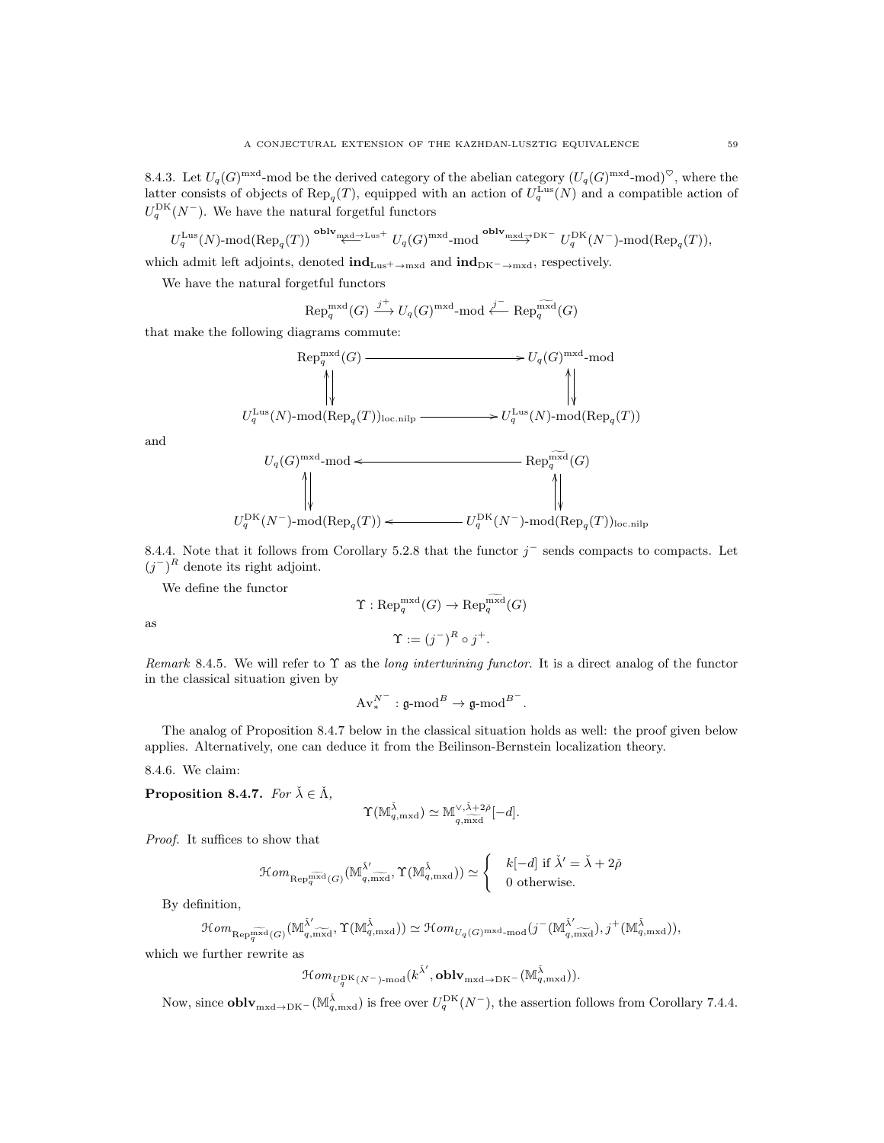8.4.3. Let  $U_q(G)$ <sup>mxd</sup>-mod be the derived category of the abelian category  $(U_q(G)$ <sup>mxd</sup>-mod)<sup> $\heartsuit$ </sup>, where the latter consists of objects of  $\text{Rep}_q(T)$ , equipped with an action of  $U_q^{\text{Lus}}(N)$  and a compatible action of  $U_q^{\text{DK}}(N^-)$ . We have the natural forgetful functors

$$
U_q^{\text{Lus}}(N)
$$
-mod $(\text{Rep}_q(T))$ <sup>oblv</sup><sub>mxd</sub>-<sub>Lus</sub><sup>+</sup> $U_q(G)$ <sup>mxd</sup>-mod <sup>oblv</sup><sub>mxd</sub>-<sub>2</sub><sub>DK</sub><sup>DK</sup> $U_q^{\text{DK}}(N^-)$ -mod $(\text{Rep}_q(T))$ ,

which admit left adjoints, denoted  $\text{ind}_{Lus^+\to mxd}$  and  $\text{ind}_{DK^-\to mxd}$ , respectively.

We have the natural forgetful functors

$$
\mathrm{Rep}_q^{\mathrm{mxd}}(G) \xrightarrow{j^+} U_q(G)^{\mathrm{mxd}} \text{-mod} \stackrel{j^-}{\longleftarrow} \mathrm{Rep}_q^{\widetilde{\mathrm{mxd}}}(G)
$$

that make the following diagrams commute:

$$
\begin{CD} \mathrm{Rep}_q^{\mathrm{mxd}}(G) @>>> U_q(G)^{\mathrm{mxd}}\text{-mod} \\ @VVV_q^{\mathrm{Lus}}(N)\text{-mod}(\mathrm{Rep}_q(T))_{\mathrm{loc,nilp}} @>>> U_q^{\mathrm{Lus}}(N)\text{-mod}(\mathrm{Rep}_q(T))\\ \end{CD}
$$

and

$$
\begin{picture}(150,10) \put(0,0){\line(1,0){10}} \put(15,0){\line(1,0){10}} \put(15,0){\line(1,0){10}} \put(15,0){\line(1,0){10}} \put(15,0){\line(1,0){10}} \put(15,0){\line(1,0){10}} \put(15,0){\line(1,0){10}} \put(15,0){\line(1,0){10}} \put(15,0){\line(1,0){10}} \put(15,0){\line(1,0){10}} \put(15,0){\line(1,0){10}} \put(15,0){\line(1,0){10}} \put(15,0){\line(1,0){10}} \put(15,0){\line(1,0){10}} \put(15,0){\line(1,0){10}} \put(15,0){\line(1,0){10}} \put(15,0){\line(1,0){10}} \put(15,0){\line(1,0){10}} \put(15,0){\line(1,0){10}} \put(15,0){\line(1,0){10}} \put(15,0){\line(1,0){10}} \put(15,0){\line(1,0){10}} \put(15,0){\line(1,0){10}} \put(15,0){\line(1,0){10}} \put(15,0){\line(1,0){10}} \put(15,0){\line(1,0){10}} \put(15,0){\line(1,0){10}} \put(15,0){\line(1,0){10}} \put(15,0){\line(1,0){10}} \put(15,0){\line(1,0){10}} \put(15,0){\line(1,0){10}} \put(15,0){\line(1,0){10}} \put(15,0){\line(1,0){10}} \put(15,0){\line(1,0){10}} \put(15,0){\line(1,0){10}} \put(15,0){\line(1,0){10}} \put(15,0){\line(1,0){10}} \put(15,0){\line(1,0){10}} \put(15,0){\line(1,0){10}} \put(15,0){\line(1,0){10}} \put(15,0){\line(1,0){10}} \put(15,0){\line(
$$

8.4.4. Note that it follows from Corollary 5.2.8 that the functor  $j^-$  sends compacts to compacts. Let  $(j^{-})^R$  denote its right adjoint.

We define the functor

$$
\Upsilon : \text{Rep}_q^{\text{mxd}}(G) \to \text{Rep}_q^{\text{mxd}}(G)
$$

$$
\Upsilon := (j^-)^R \circ j^+.
$$

as

Remark 8.4.5. We will refer to Υ as the long intertwining functor. It is a direct analog of the functor in the classical situation given by

$$
\text{Av}^{N^-}_*:\mathfrak{g}\text{-}\mathrm{mod}^B\to \mathfrak{g}\text{-}\mathrm{mod}^{B^-}.
$$

The analog of Proposition 8.4.7 below in the classical situation holds as well: the proof given below applies. Alternatively, one can deduce it from the Beilinson-Bernstein localization theory.

8.4.6. We claim:

**Proposition 8.4.7.** For  $\check{\lambda} \in \check{\Lambda}$ ,

$$
\Upsilon(\mathbb{M}^{\check{\lambda}}_{q,\mathrm{mxd}})\simeq \mathbb{M}_{q,\mathrm{\widetilde{mxd}}}^{\vee,\check{\lambda}+2\check{\rho}}[-d].
$$

Proof. It suffices to show that

$$
\mathcal{H}om_{\text{Rep}_q^{\widetilde{\text{maxd}}}(G)}(\mathbb{M}_{q,\text{maxd}}^{\check{\lambda}^\prime},\Upsilon(\mathbb{M}_{q,\text{maxd}}^{\check{\lambda}}))\simeq \left\{\begin{array}{c}k[-d] \text{ if } \check{\lambda}^\prime=\check{\lambda}+2\check{\rho}\\0 \text{ otherwise.}\end{array}\right.
$$

By definition,

$$
\mathcal{H}om_{\text{Rep}_{\overline{q}^{\text{mixd}}(G)}}(\mathbb{M}_{q,\text{mixd}}^{\tilde{\lambda}'} , \Upsilon(\mathbb{M}_{q,\text{mixd}}^{\tilde{\lambda}})) \simeq \mathcal{H}om_{U_q(G)^{\text{mixd}}-\text{mod}}(j^-(\mathbb{M}_{q,\text{mixd}}^{\tilde{\lambda}'}) , j^+(\mathbb{M}_{q,\text{mixd}}^{\tilde{\lambda}})),
$$

which we further rewrite as

$$
\mathfrak{Hom}_{U_q^{\rm DK}(N^-)\text{-}\mathrm{mod}}(k^{\check\lambda'},{\bf oblv}_{\mathrm{mxd}\to\mathrm{DK}^-}(\mathbb{M}^{\check\lambda}_{q,\mathrm{mxd}})).
$$

Now, since  $\textbf{oblv}_{\text{mxd}\to\text{DK-}}(\mathbb{M}_{q,\text{mxd}}^{\tilde{\lambda}})$  is free over  $U_q^{\text{DK}}(N^-)$ , the assertion follows from Corollary 7.4.4.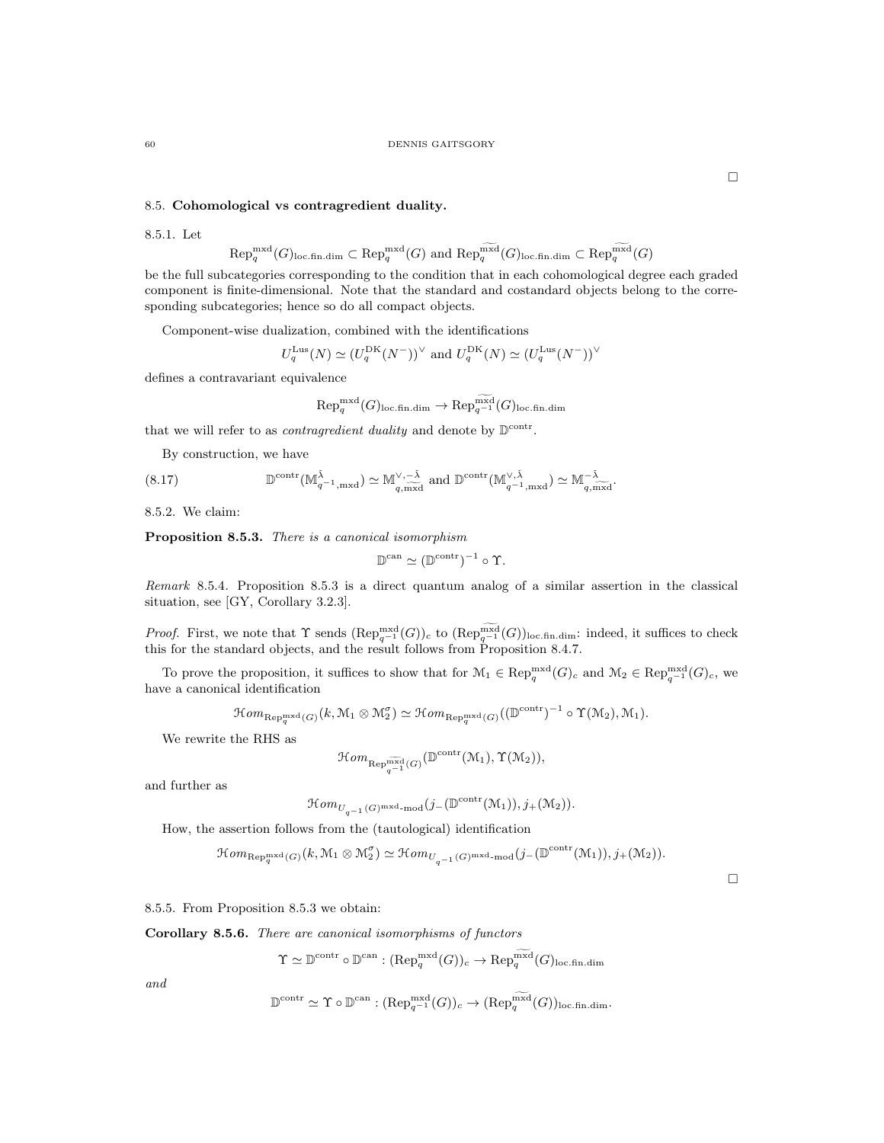### 8.5. Cohomological vs contragredient duality.

### 8.5.1. Let

$$
\text{Rep}_q^{\text{mxd}}(G)_{\text{loc-fin.dim}} \subset \text{Rep}_q^{\text{mxd}}(G)
$$
 and  $\text{Rep}_q^{\text{mxd}}(G)_{\text{loc-fin.dim}} \subset \text{Rep}_q^{\text{mxd}}(G)$ 

be the full subcategories corresponding to the condition that in each cohomological degree each graded component is finite-dimensional. Note that the standard and costandard objects belong to the corresponding subcategories; hence so do all compact objects.

Component-wise dualization, combined with the identifications

$$
U_q^{\text{Lus}}(N) \simeq (U_q^{\text{DK}}(N^-))^{\vee}
$$
 and  $U_q^{\text{DK}}(N) \simeq (U_q^{\text{Lus}}(N^-))^{\vee}$ 

defines a contravariant equivalence

$$
\text{Rep}_q^{\text{mxd}}(G)_{\text{loc-fin.dim}} \to \text{Rep}_{q^{-1}}^{\text{mxd}}(G)_{\text{loc-fin.dim}}
$$

that we will refer to as *contragredient duality* and denote by  $\mathbb{D}^{\text{contr}}$ .

By construction, we have

(8.17) 
$$
\mathbb{D}^{\text{contr}}(\mathbb{M}_{q^{-1},\text{mxd}}^{\tilde{\lambda}}) \simeq \mathbb{M}_{q,\text{mxd}}^{\vee,-\tilde{\lambda}} \text{ and } \mathbb{D}^{\text{contr}}(\mathbb{M}_{q^{-1},\text{mxd}}^{\vee,\tilde{\lambda}}) \simeq \mathbb{M}_{q,\text{mxd}}^{-\tilde{\lambda}}.
$$

8.5.2. We claim:

Proposition 8.5.3. There is a canonical isomorphism

$$
\mathbb{D}^{\mathrm{can}} \simeq (\mathbb{D}^{\mathrm{contr}})^{-1} \circ \Upsilon.
$$

Remark 8.5.4. Proposition 8.5.3 is a direct quantum analog of a similar assertion in the classical situation, see [GY, Corollary 3.2.3].

*Proof.* First, we note that  $\Upsilon$  sends  $(\text{Rep}_{q^{-1}}^{\text{mxd}}(G))_c$  to  $(\text{Rep}_{q^{-1}}^{\text{mxd}}(G))_{\text{loc-fin.dim}}$ : indeed, it suffices to check this for the standard objects, and the result follows from Proposition 8.4.7.

To prove the proposition, it suffices to show that for  $M_1 \in \text{Rep}_q^{\text{mxd}}(G)_c$  and  $M_2 \in \text{Rep}_{q^{-1}}^{\text{mxd}}(G)_c$ , we have a canonical identification

 $\mathcal{H}om_{\text{Rep}_q^{\text{mxd}}(G)}(k, \mathcal{M}_1 \otimes \mathcal{M}_2^{\sigma}) \simeq \mathcal{H}om_{\text{Rep}_q^{\text{mxd}}(G)}((\mathbb{D}^{\text{contr}})^{-1} \circ \Upsilon(\mathcal{M}_2), \mathcal{M}_1).$ 

We rewrite the RHS as

$$
\mathcal{H}om_{\mathrm{Rep}_{q^{-1}}^{\widetilde{\mathrm{mxd}}}(G)}(\mathbb{D}^{\mathrm{contr}}(\mathcal{M}_1),\Upsilon(\mathcal{M}_2)),
$$

and further as

$$
\mathcal{H}om_{U_{q^{-1}}(G)^{\mathrm{mxd}}\text{-}\mathrm{mod}}(j_{-}(\mathbb{D}^{\mathrm{contr}}(\mathcal{M}_1)),j_{+}(\mathcal{M}_2)).
$$

How, the assertion follows from the (tautological) identification

$$
\mathcal{H}om_{\text{Rep}_q^{\text{mxd}}(G)}(k,\mathcal{M}_1 \otimes \mathcal{M}_2^{\sigma}) \simeq \mathcal{H}om_{U_{q^{-1}}(G)^{\text{mxd}} \text{-mod}}(j_{-}(\mathbb{D}^{\text{contr}}(\mathcal{M}_1)),j_{+}(\mathcal{M}_2)).
$$

 $\Box$ 

8.5.5. From Proposition 8.5.3 we obtain:

Corollary 8.5.6. There are canonical isomorphisms of functors

$$
\Upsilon \simeq \mathbb{D}^{\text{contr}} \circ \mathbb{D}^{\text{can}} : (\text{Rep}_q^{\text{mxd}}(G))_c \to \text{Rep}_q^{\text{mxd}}(G)_{\text{loc-fin.dim}}
$$

and

$$
\mathbb{D}^{\text{contr}} \simeq \Upsilon \circ \mathbb{D}^{\text{can}} : (\text{Rep}_{q^{-1}}^{\text{mxd}}(G))_c \to (\text{Rep}_q^{\text{mxd}}(G))_{\text{loc-fin.dim}}.
$$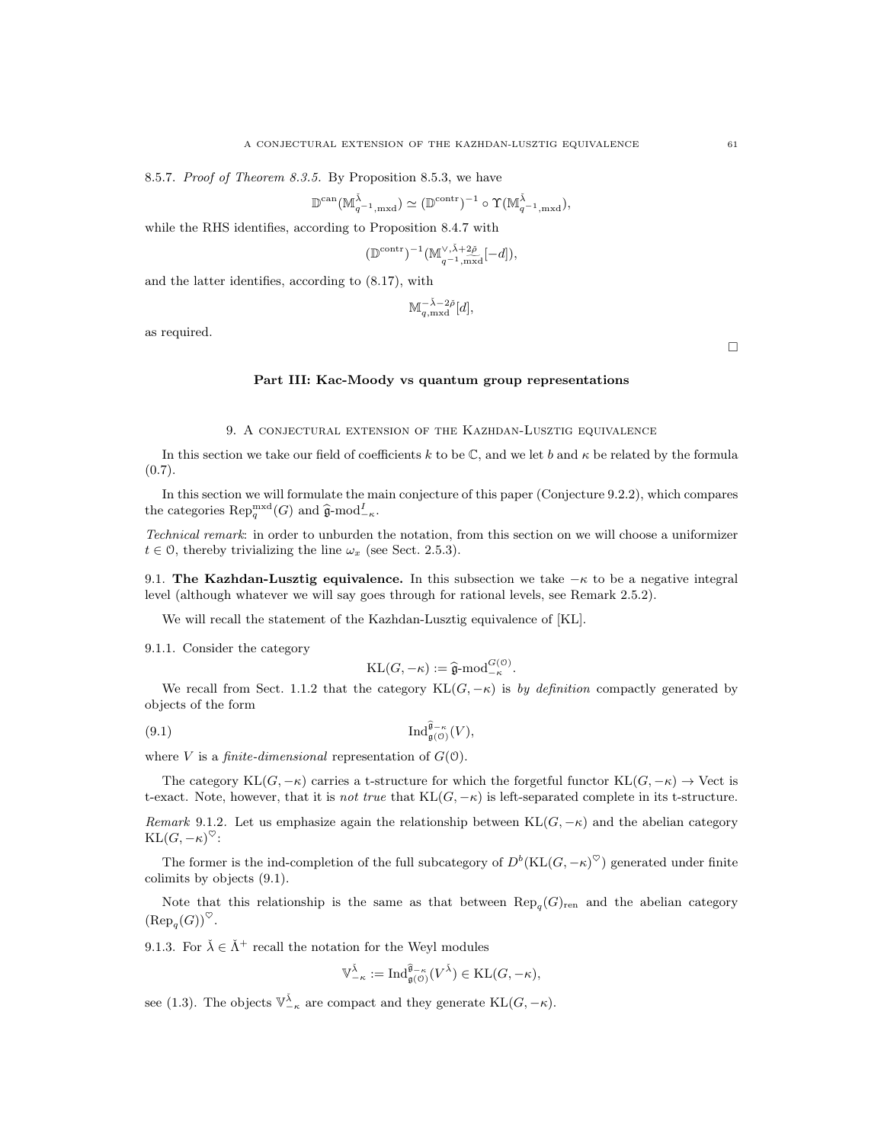8.5.7. Proof of Theorem 8.3.5. By Proposition 8.5.3, we have

$$
\mathbb{D}^{\mathrm{can}}(\mathbb{M}_{q^{-1},\mathrm{mxd}}^{\check{\lambda}}) \simeq (\mathbb{D}^{\mathrm{contr}})^{-1} \circ \Upsilon(\mathbb{M}_{q^{-1},\mathrm{mxd}}^{\check{\lambda}}),
$$

while the RHS identifies, according to Proposition 8.4.7 with

$$
(\mathbb{D}^{\mathrm{contr}})^{-1}(\mathbb{M}_{q^{-1},\mathrm{max}}^{\vee,\check{\lambda}+2\check{\rho}}[-d]),
$$

and the latter identifies, according to (8.17), with

$$
\mathbb{M}_{q,\rm mxd}^{-\check\lambda-2\check\rho}[d],
$$

as required.

 $\Box$ 

#### Part III: Kac-Moody vs quantum group representations

### 9. A conjectural extension of the Kazhdan-Lusztig equivalence

In this section we take our field of coefficients k to be  $\mathbb C$ , and we let b and  $\kappa$  be related by the formula  $(0.7).$ 

In this section we will formulate the main conjecture of this paper (Conjecture 9.2.2), which compares the categories  $\operatorname{Rep}_q^{\operatorname{mxd}}(G)$  and  $\widehat{\mathfrak{g}}$ -mod<sup>I</sup><sub>- $\kappa$ </sub>.

Technical remark: in order to unburden the notation, from this section on we will choose a uniformizer  $t \in \mathcal{O}$ , thereby trivializing the line  $\omega_x$  (see Sect. 2.5.3).

9.1. The Kazhdan-Lusztig equivalence. In this subsection we take  $-\kappa$  to be a negative integral level (although whatever we will say goes through for rational levels, see Remark 2.5.2).

We will recall the statement of the Kazhdan-Lusztig equivalence of [KL].

9.1.1. Consider the category

$$
KL(G, -\kappa) := \hat{\mathfrak{g}}\text{-mod}_{-\kappa}^{G(0)}.
$$

We recall from Sect. 1.1.2 that the category KL $(G, -\kappa)$  is by definition compactly generated by objects of the form

$$
(9.1)\qquad \qquad \mathrm{Ind}_{\mathfrak{g}(\mathfrak{O})}^{\widehat{\mathfrak{g}}_{-\kappa}}(V),
$$

where V is a *finite-dimensional* representation of  $G(0)$ .

The category  $KL(G, -\kappa)$  carries a t-structure for which the forgetful functor  $KL(G, -\kappa) \rightarrow$  Vect is t-exact. Note, however, that it is not true that  $KL(G, -\kappa)$  is left-separated complete in its t-structure.

Remark 9.1.2. Let us emphasize again the relationship between KL $(G, -\kappa)$  and the abelian category  $\mathrm{KL}(G, -\kappa)^\heartsuit:$ 

The former is the ind-completion of the full subcategory of  $D^b(\text{KL}(G, -\kappa)^\heartsuit)$  generated under finite colimits by objects (9.1).

Note that this relationship is the same as that between  $\text{Rep}_{q}(G)_{\text{ren}}$  and the abelian category  $(\text{Rep}_q(G))^{\heartsuit}.$ 

9.1.3. For  $\check{\lambda} \in \check{\Lambda}^+$  recall the notation for the Weyl modules

$$
\mathbb{V}_{-\kappa}^{\check{\lambda}}:=\mathrm{Ind}^{\widehat{\mathfrak{g}}_{-\kappa}}_{\mathfrak{g}(\mathcal{O})}(V^{\check{\lambda}})\in \mathrm{KL}(G,-\kappa),
$$

see (1.3). The objects  $\mathbb{V}_{-\kappa}^{\check{\lambda}}$  are compact and they generate  $\text{KL}(G, -\kappa)$ .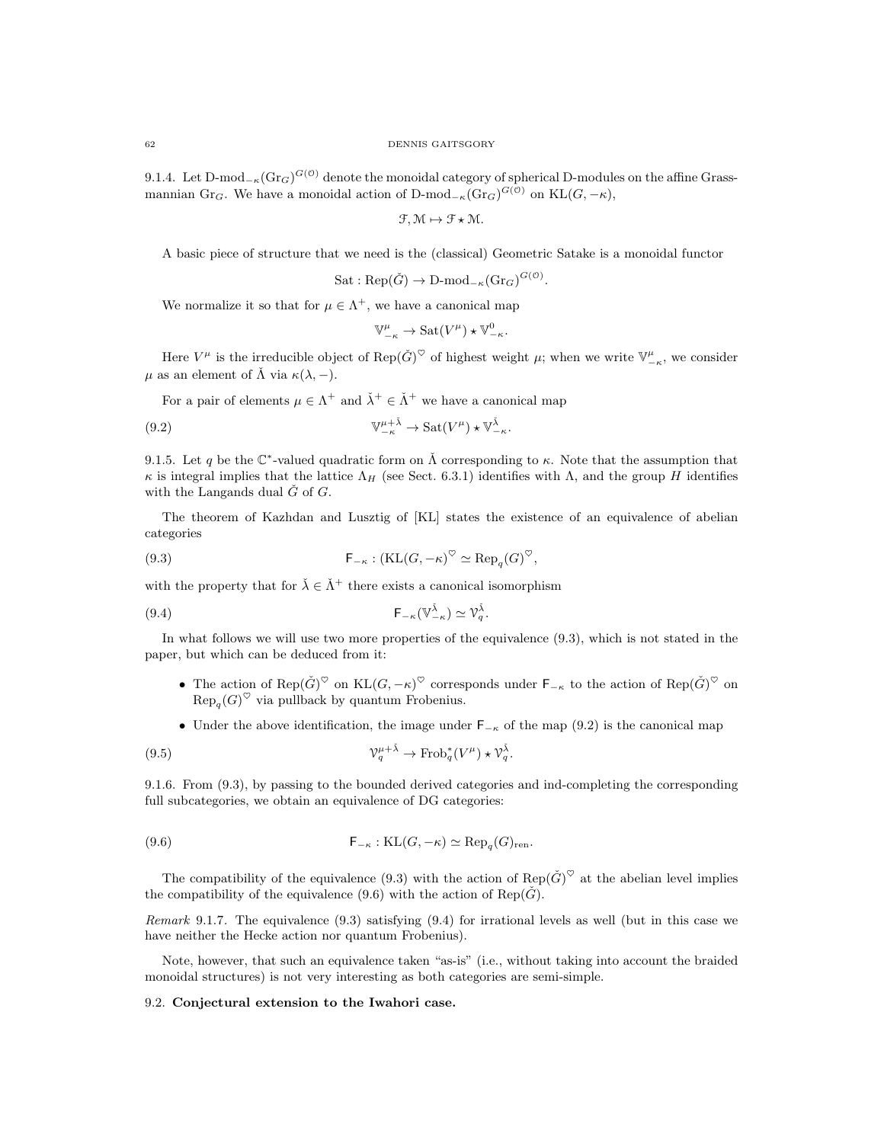9.1.4. Let D-mod<sub>− $\kappa$ </sub> $(\text{Gr}_G)^{G(\mathcal{O})}$  denote the monoidal category of spherical D-modules on the affine Grassmannian Gr<sub>G</sub>. We have a monoidal action of D-mod<sub>- $\kappa$ </sub>(Gr<sub>G</sub>)<sup>G(0)</sup> on KL(G, - $\kappa$ ),

$$
\mathcal{F}, \mathcal{M} \mapsto \mathcal{F} \star \mathcal{M}.
$$

A basic piece of structure that we need is the (classical) Geometric Satake is a monoidal functor

$$
Sat: \text{Rep}(\check{G}) \to \text{D-mod}_{-\kappa}(\text{Gr}_G)^{G(\mathcal{O})}.
$$

We normalize it so that for  $\mu \in \Lambda^+$ , we have a canonical map

$$
\mathbb{V}_{-\kappa}^{\mu} \to \text{Sat}(V^{\mu}) \star \mathbb{V}_{-\kappa}^{0}.
$$

Here  $V^{\mu}$  is the irreducible object of  $\text{Rep}(\check{G})^{\heartsuit}$  of highest weight  $\mu$ ; when we write  $\mathbb{V}^{\mu}_{-\kappa}$ , we consider  $\mu$  as an element of  $\tilde{\Lambda}$  via  $\kappa(\lambda, -)$ .

For a pair of elements  $\mu \in \Lambda^+$  and  $\check{\lambda}^+ \in \check{\Lambda}^+$  we have a canonical map

(9.2) 
$$
\mathbb{V}_{-\kappa}^{\mu+\tilde{\lambda}} \to \text{Sat}(V^{\mu}) \star \mathbb{V}_{-\kappa}^{\tilde{\lambda}}.
$$

9.1.5. Let q be the  $\mathbb{C}^*$ -valued quadratic form on  $\check{\Lambda}$  corresponding to  $\kappa$ . Note that the assumption that  $κ$  is integral implies that the lattice  $Λ_H$  (see Sect. 6.3.1) identifies with Λ, and the group H identifies with the Langands dual  $\check{G}$  of  $G$ .

The theorem of Kazhdan and Lusztig of [KL] states the existence of an equivalence of abelian categories

(9.3) 
$$
\mathsf{F}_{-\kappa} : (\mathrm{KL}(G, -\kappa)^{\heartsuit} \simeq \mathrm{Rep}_q(G)^{\heartsuit},
$$

with the property that for  $\check{\lambda} \in \check{\Lambda}^+$  there exists a canonical isomorphism

$$
\mathsf{F}_{-\kappa}(\mathbb{V}_{-\kappa}^{\check{\lambda}}) \simeq \mathcal{V}_q^{\check{\lambda}}.
$$

In what follows we will use two more properties of the equivalence (9.3), which is not stated in the paper, but which can be deduced from it:

- The action of  $\text{Rep}(\check{G})^{\heartsuit}$  on  $\text{KL}(G, -\kappa)^{\heartsuit}$  corresponds under  $\mathsf{F}_{-\kappa}$  to the action of  $\text{Rep}(\check{G})^{\heartsuit}$  on  $\text{Rep}_q(G)^\heartsuit$  via pullback by quantum Frobenius.
- Under the above identification, the image under  $F_{-\kappa}$  of the map (9.2) is the canonical map

(9.5) 
$$
\mathcal{V}_q^{\mu+\check{\lambda}} \to \text{Frob}_q^*(V^{\mu}) \star \mathcal{V}_q^{\check{\lambda}}.
$$

9.1.6. From (9.3), by passing to the bounded derived categories and ind-completing the corresponding full subcategories, we obtain an equivalence of DG categories:

(9.6) 
$$
\mathsf{F}_{-\kappa} : \mathrm{KL}(G, -\kappa) \simeq \mathrm{Rep}_q(G)_{\mathrm{ren}}.
$$

The compatibility of the equivalence (9.3) with the action of  $\text{Rep}(\check{G})^{\heartsuit}$  at the abelian level implies the compatibility of the equivalence (9.6) with the action of Rep( $\check{G}$ ).

Remark 9.1.7. The equivalence (9.3) satisfying (9.4) for irrational levels as well (but in this case we have neither the Hecke action nor quantum Frobenius).

Note, however, that such an equivalence taken "as-is" (i.e., without taking into account the braided monoidal structures) is not very interesting as both categories are semi-simple.

#### 9.2. Conjectural extension to the Iwahori case.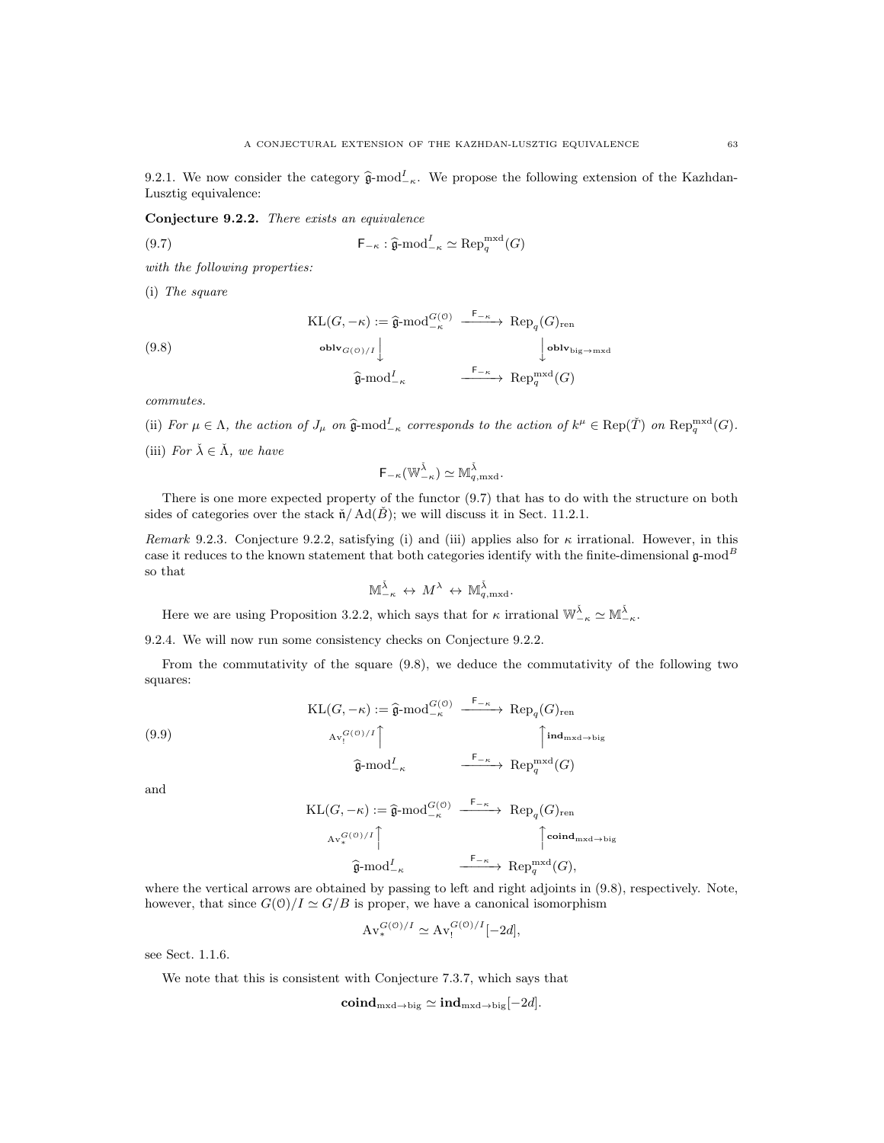9.2.1. We now consider the category  $\hat{\mathfrak{g}}$ -mod<sup>I</sup><sub>κ</sub>. We propose the following extension of the Kazhdan-Lusztig equivalence:

Conjecture 9.2.2. There exists an equivalence

(9.7) 
$$
\mathsf{F}_{-\kappa} : \widehat{\mathfrak{g}}\text{-}\mathrm{mod}^{I}_{-\kappa} \simeq \mathrm{Rep}_{q}^{\mathrm{mxd}}(G)
$$

with the following properties:

(i) The square

(9.8)  
\n
$$
\operatorname{KL}(G, -\kappa) := \hat{\mathfrak{g}}\text{-mod}_{-\kappa}^{G(\mathfrak{O})} \xrightarrow{\mathsf{F}_{-\kappa}} \operatorname{Rep}_q(G)_{\operatorname{ren}}
$$
\n
$$
\operatorname{oblv}_{G(\mathfrak{O})/I} \downarrow \qquad \qquad \downarrow \operatorname{oblv}_{\operatorname{big}\to\operatorname{mxd}}
$$
\n
$$
\hat{\mathfrak{g}}\text{-mod}_{-\kappa}^{I}
$$
\n
$$
\xrightarrow{\mathsf{F}_{-\kappa}} \operatorname{Rep}_q^{\operatorname{mxd}}(G)
$$

commutes.

(ii) For 
$$
\mu \in \Lambda
$$
, the action of  $J_{\mu}$  on  $\hat{\mathfrak{g}}\text{-mod}_{-\kappa}^{\mathcal{I}}$  corresponds to the action of  $k^{\mu} \in \text{Rep}(\check{T})$  on  $\text{Rep}_{q}^{\text{mxd}}(G)$ .

(iii) For  $\check{\lambda} \in \check{\Lambda}$ , we have

$$
\mathsf{F}_{-\kappa}(\mathbb{W}_{-\kappa}^{\check{\lambda}})\simeq \mathbb{M}_{q,\mathrm{mxd}}^{\check{\lambda}}.
$$

There is one more expected property of the functor (9.7) that has to do with the structure on both sides of categories over the stack  $\check{n}/ \text{Ad}(\check{B})$ ; we will discuss it in Sect. 11.2.1.

Remark 9.2.3. Conjecture 9.2.2, satisfying (i) and (iii) applies also for  $\kappa$  irrational. However, in this case it reduces to the known statement that both categories identify with the finite-dimensional  $\mathfrak{g}\text{-mod}^B$ so that

$$
\mathbb{M}_{-\kappa}^{\check{\lambda}} \leftrightarrow M^{\lambda} \leftrightarrow \mathbb{M}_{q,\mathrm{mxd}}^{\check{\lambda}}.
$$

Here we are using Proposition 3.2.2, which says that for  $\kappa$  irrational  $\mathbb{W}_{-\kappa}^{\tilde{\lambda}} \simeq \mathbb{M}_{-\kappa}^{\tilde{\lambda}}$ .

9.2.4. We will now run some consistency checks on Conjecture 9.2.2.

From the commutativity of the square (9.8), we deduce the commutativity of the following two squares:

(9.9)  
\n
$$
\operatorname{KL}(G, -\kappa) := \hat{\mathfrak{g}}\text{-mod}_{-\kappa}^{G(\mathcal{O})} \xrightarrow{\mathsf{F}_{-\kappa}} \operatorname{Rep}_q(G)_{\text{ren}}
$$
\n
$$
\operatorname{Av}_!^{G(\mathcal{O})/I} \uparrow \qquad \qquad \uparrow \text{ind}_{\text{mxd}\to\text{big}}
$$
\n
$$
\hat{\mathfrak{g}}\text{-mod}_{-\kappa}^I \xrightarrow{\mathsf{F}_{-\kappa}} \operatorname{Rep}_q^{\text{mxd}}(G)
$$

and

$$
\mathrm{KL}(G, -\kappa) := \hat{\mathfrak{g}}\text{-}\mathrm{mod}_{-\kappa}^{G(\mathcal{O})} \xrightarrow{\mathsf{F}_{-\kappa}} \mathrm{Rep}_q(G)_{\mathrm{ren}}
$$
\n
$$
\mathrm{Av}_{*}^{G(\mathcal{O})/I} \uparrow \qquad \qquad \uparrow \mathrm{coind}_{\mathrm{mxd \to big}}
$$
\n
$$
\hat{\mathfrak{g}}\text{-}\mathrm{mod}_{-\kappa}^{I}
$$
\n
$$
\xrightarrow{\mathsf{F}_{-\kappa}} \mathrm{Rep}_q^{\mathrm{mxd}}(G),
$$

where the vertical arrows are obtained by passing to left and right adjoints in  $(9.8)$ , respectively. Note, however, that since  $G(0)/I \simeq G/B$  is proper, we have a canonical isomorphism

$$
Av_*^{G(0)/I} \simeq Av_!^{G(0)/I}[-2d],
$$

see Sect. 1.1.6.

We note that this is consistent with Conjecture 7.3.7, which says that

 $\mathbf{coind}_{\mathrm{mxd}\to\mathrm{big}}\simeq\mathbf{ind}_{\mathrm{mxd}\to\mathrm{big}}[-2d].$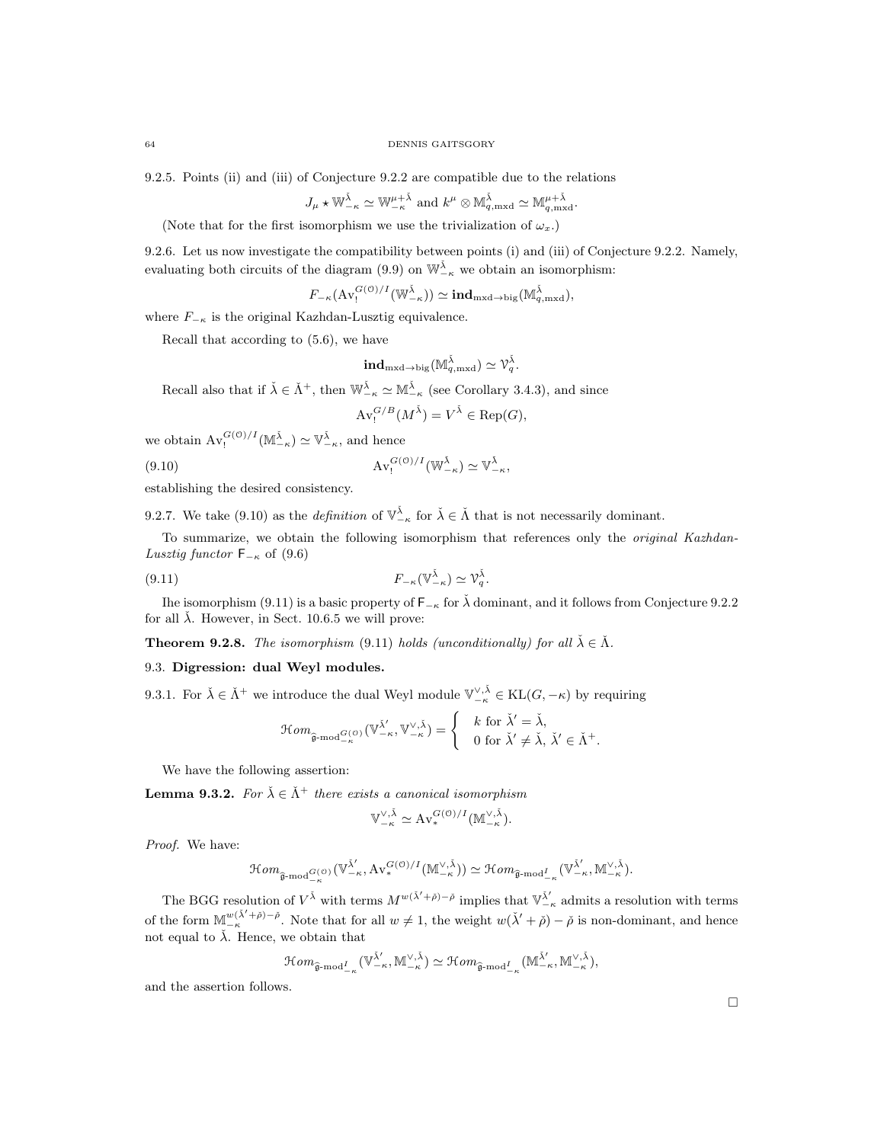9.2.5. Points (ii) and (iii) of Conjecture 9.2.2 are compatible due to the relations

$$
J_{\mu} \star \mathbb{W}_{-\kappa}^{\check{\lambda}} \simeq \mathbb{W}_{-\kappa}^{\mu+\check{\lambda}}
$$
 and  $k^{\mu} \otimes \mathbb{M}_{q,\mathrm{mxd}}^{\check{\lambda}} \simeq \mathbb{M}_{q,\mathrm{mxd}}^{\mu+\check{\lambda}}.$ 

(Note that for the first isomorphism we use the trivialization of  $\omega_x$ .)

9.2.6. Let us now investigate the compatibility between points (i) and (iii) of Conjecture 9.2.2. Namely, evaluating both circuits of the diagram (9.9) on  $\mathbb{W}_{-\kappa}^{\check{\lambda}}$  we obtain an isomorphism:

 $F_{-\kappa}(\operatorname{Av}^{G(\mathcal{O})/I}_!(\mathbb{W}_{-\kappa}^{\check{\lambda}})) \simeq \mathrm{\bf ind}_{\mathrm{mxd}\to \mathrm{big}}(\mathbb{M}^{\check{\lambda}}_{q,\mathrm{mxd}}),$ 

where  $F_{-\kappa}$  is the original Kazhdan-Lusztig equivalence.

Recall that according to (5.6), we have

$$
\mathbf{ind}_{\mathrm{mxd}\to\mathrm{big}}(\mathbb{M}^{\check{\lambda}}_{q,\mathrm{mxd}})\simeq\mathcal{V}_q^{\check{\lambda}}.
$$

Recall also that if  $\check{\lambda} \in \check{\Lambda}^+$ , then  $\mathbb{W}_{-\kappa}^{\check{\lambda}} \simeq \mathbb{M}_{-\kappa}^{\check{\lambda}}$  (see Corollary 3.4.3), and since

$$
\operatorname{Av}_{!}^{G/B}(M^{\check{\lambda}})=V^{\check{\lambda}}\in \operatorname{Rep}(G),
$$

we obtain  $\text{Av}_!^{G(0)/I}(\mathbb{M}_{-\kappa}^{\check{\lambda}}) \simeq \mathbb{V}_{-\kappa}^{\check{\lambda}}$ , and hence

(9.10) 
$$
Av_!^{G(0)/I}(\mathbb{W}_{-\kappa}^{\check{\lambda}}) \simeq \mathbb{V}_{-\kappa}^{\check{\lambda}},
$$

establishing the desired consistency.

9.2.7. We take (9.10) as the *definition* of  $\mathbb{V}_{-\kappa}^{\tilde{\lambda}}$  for  $\tilde{\lambda} \in \tilde{\Lambda}$  that is not necessarily dominant.

To summarize, we obtain the following isomorphism that references only the original Kazhdan-Lusztig functor  $F_{-\kappa}$  of (9.6)

$$
(9.11) \t\t\t F_{-\kappa}(\mathbb{V}_{-\kappa}^{\check{\lambda}}) \simeq \mathcal{V}_q^{\check{\lambda}}.
$$

Ihe isomorphism (9.11) is a basic property of  $\mathsf{F}_{-\kappa}$  for  $\check{\lambda}$  dominant, and it follows from Conjecture 9.2.2 for all  $\lambda$ . However, in Sect. 10.6.5 we will prove:

**Theorem 9.2.8.** The isomorphism (9.11) holds (unconditionally) for all  $\check{\lambda} \in \check{\Lambda}$ .

## 9.3. Digression: dual Weyl modules.

9.3.1. For  $\check{\lambda} \in \check{\Lambda}^+$  we introduce the dual Weyl module  $\mathbb{V}^{\vee,\check{\lambda}}_{-\kappa} \in KL(G,-\kappa)$  by requiring

$$
\mathcal{H}om_{\widehat{\mathfrak{g}}\text{-}\mathrm{mod}^{G(\mathcal{O})}_{-\kappa}}(\mathbb{V}^{\check{\lambda}'}_{-\kappa},\mathbb{V}^{\vee,\check{\lambda}}_{-\kappa})=\begin{cases} & k \text{ for } \check{\lambda}'=\check{\lambda}, \\ & 0 \text{ for } \check{\lambda}'\neq\check{\lambda}, \; \check{\lambda}'\in\check{\Lambda}^+. \end{cases}
$$

We have the following assertion:

**Lemma 9.3.2.** For  $\check{\lambda} \in \check{\Lambda}^+$  there exists a canonical isomorphism

$$
\mathbb{V}_{-\kappa}^{\vee,\check{\lambda}} \simeq \mathrm{Av}_{*}^{G(\mathcal{O})/I}(\mathbb{M}_{-\kappa}^{\vee,\check{\lambda}}).
$$

Proof. We have:

$$
\mathcal Hom_{\widehat{\mathfrak g}\text{-}\mathrm{mod}^{G(\mathcal O)}_{{-\kappa}}}( \mathbb V^{\check\lambda'}_{-\kappa}, \mathrm{Av}^{G(\mathcal O)/I}_*(\mathbb M^{\vee,\check\lambda}_{-\kappa}))\simeq \mathcal Hom_{\widehat{\mathfrak g}\text{-}\mathrm{mod}^I_{{-\kappa}}} ( \mathbb V^{\check\lambda'}_{-\kappa}, \mathbb M^{\vee,\check\lambda}_{-\kappa}).
$$

The BGG resolution of  $V^{\check{\lambda}}$  with terms  $M^{w(\check{\lambda}'+\check{\rho})-\check{\rho}}$  implies that  $\mathbb{V}_{-\kappa}^{\check{\lambda}'}$  admits a resolution with terms of the form  $\mathbb{M}^{w(\tilde{\lambda}'+\tilde{\rho})-\tilde{\rho}}$ . Note that for all  $w \neq 1$ , the weight  $w(\tilde{\lambda}'+\tilde{\rho})-\tilde{\rho}$  is non-dominant, and hence not equal to  $\check{\lambda}$ . Hence, we obtain that

$$
\mathcal{H}om_{\widehat{\mathfrak{g}}\text{-}\mathrm{mod}^I_{-\kappa}}(\mathbb{V}^{\check{\lambda}'}_{-\kappa}, \mathbb{M}^{\vee,\check{\lambda}}_{-\kappa}) \simeq \mathcal{H}om_{\widehat{\mathfrak{g}}\text{-}\mathrm{mod}^I_{-\kappa}}(\mathbb{M}^{\check{\lambda}'}_{-\kappa}, \mathbb{M}^{\vee,\check{\lambda}}_{-\kappa}),
$$

and the assertion follows.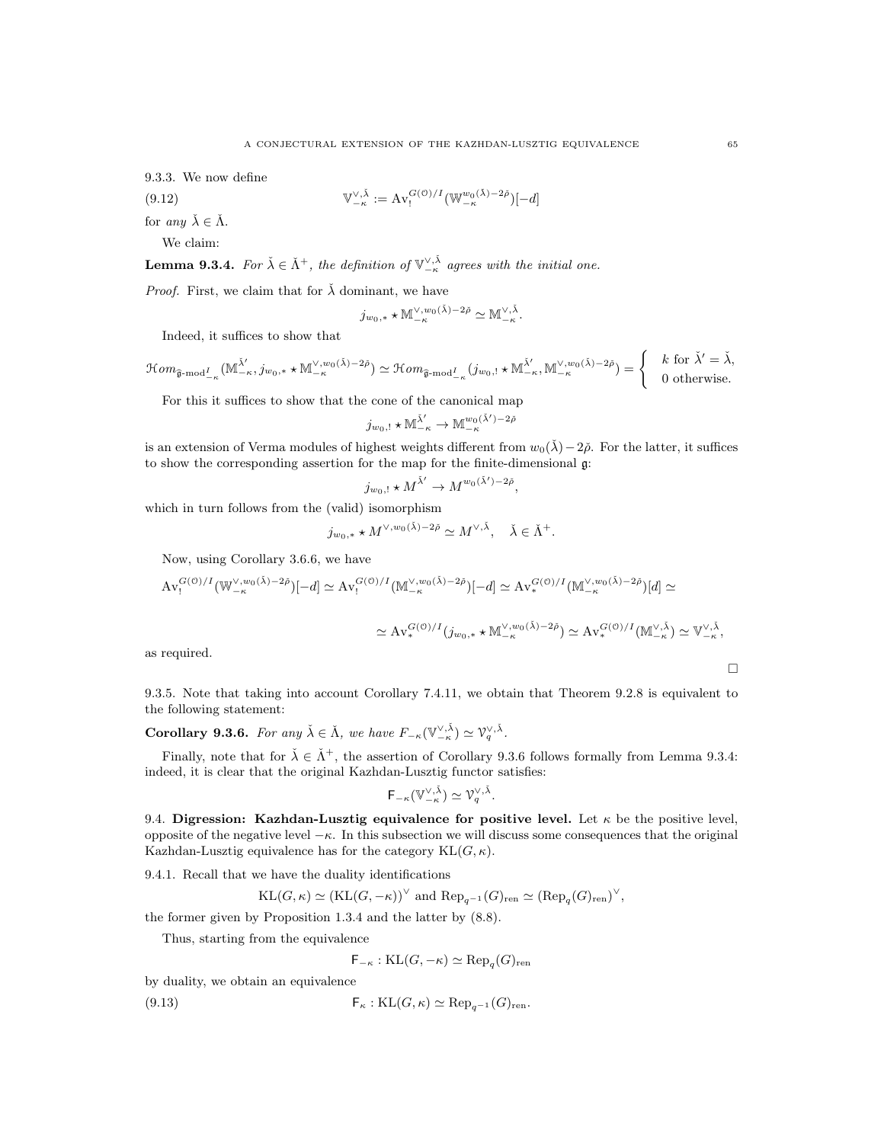9.3.3. We now define

(9.12) 
$$
\mathbb{V}_{-\kappa}^{\vee,\check{\lambda}} := \mathrm{Av}_{!}^{G(\mathbb{O})/I}(\mathbb{W}_{-\kappa}^{w_{0}(\check{\lambda})-2\check{\rho}})[-d]
$$

for any  $\check{\lambda} \in \check{\Lambda}$ .

We claim:

**Lemma 9.3.4.** For  $\check{\lambda} \in \check{\Lambda}^+$ , the definition of  $\mathbb{V}_{-\kappa}^{\vee,\check{\lambda}}$  agrees with the initial one.

*Proof.* First, we claim that for  $\lambda$  dominant, we have

$$
j_{w_0,*}\star{\mathbb M}_{-\kappa}^{\vee,w_0(\check\lambda)-2\check\rho}\simeq{\mathbb M}_{-\kappa}^{\vee,\check\lambda}.
$$

Indeed, it suffices to show that

 $\mathcal{H}om_{\widehat{\mathfrak{g}}\text{-mod}^I_{-\kappa}}(\mathbb{M}^{\check{\lambda}'}_{-\kappa},j_{w_0,*}\star\mathbb{M}^{\vee,w_0(\check{\lambda})-2\check{\rho}})\simeq \mathcal{H}om_{\widehat{\mathfrak{g}}\text{-mod}^I_{-\kappa}}(j_{w_0,!}\star\mathbb{M}^{\check{\lambda}'}_{-\kappa},\mathbb{M}^{\vee,w_0(\check{\lambda})-2\check{\rho}})=\begin{cases} & k \text{ for } \check{\lambda}'=\check{\lambda}, \\ & 0 \text{ otherwise.} \end{cases}$ 0 otherwise.

For this it suffices to show that the cone of the canonical map

$$
j_{w_0,!} \star \mathbb{M}^{\check{\lambda}'}_{-\kappa} \to \mathbb{M}^{w_0(\check{\lambda}')-2\check{\rho}}_{-\kappa}
$$

is an extension of Verma modules of highest weights different from  $w_0(\lambda) - 2\tilde{\rho}$ . For the latter, it suffices to show the corresponding assertion for the map for the finite-dimensional g:

$$
j_{w_0,!} \star M^{\check{\lambda}'} \to M^{w_0(\check{\lambda}')-2\check{\rho}},
$$

which in turn follows from the (valid) isomorphism

$$
j_{w_0,*} \star M^{\vee, w_0(\check{\lambda})-2\check{\rho}} \simeq M^{\vee, \check{\lambda}}, \quad \check{\lambda} \in \check{\Lambda}^+.
$$

Now, using Corollary 3.6.6, we have

$$
\mathrm{Av}_{!}^{G(\mathcal{O})/I}(\mathbb{W}_{-\kappa}^{\vee,w_{0}(\check{\lambda})-2\check{\rho}})[-d]\simeq \mathrm{Av}_{!}^{G(\mathcal{O})/I}(\mathbb{M}_{-\kappa}^{\vee,w_{0}(\check{\lambda})-2\check{\rho}})[-d]\simeq \mathrm{Av}_{*}^{G(\mathcal{O})/I}(\mathbb{M}_{-\kappa}^{\vee,w_{0}(\check{\lambda})-2\check{\rho}})[d]\simeq
$$

$$
\simeq \mathrm{Av}^{G(\mathcal{O})/I}_*(j_{w_0,*}\star \mathbb{M}^{\vee,w_0(\check{\lambda})-2\check{\rho}}) \simeq \mathrm{Av}^{G(\mathcal{O})/I}_*(\mathbb{M}^{\vee,\check{\lambda}}_{-\kappa}) \simeq \mathbb{V}^{\vee,\check{\lambda}}_{-\kappa},
$$

as required.

9.3.5. Note that taking into account Corollary 7.4.11, we obtain that Theorem 9.2.8 is equivalent to the following statement:

**Corollary 9.3.6.** For any  $\check{\lambda} \in \check{\Lambda}$ , we have  $F_{-\kappa}(\mathbb{V}_{-\kappa}^{\vee,\check{\lambda}}) \simeq \mathbb{V}_q^{\vee,\check{\lambda}}$ .

Finally, note that for  $\check{\lambda} \in \check{\Lambda}^+$ , the assertion of Corollary 9.3.6 follows formally from Lemma 9.3.4: indeed, it is clear that the original Kazhdan-Lusztig functor satisfies:

$$
\mathsf{F}_{-\kappa}(\mathbb{V}_{-\kappa}^{\vee,\check{\lambda}})\simeq \mathcal{V}_q^{\vee,\check{\lambda}}.
$$

9.4. Digression: Kazhdan-Lusztig equivalence for positive level. Let  $\kappa$  be the positive level, opposite of the negative level  $-\kappa$ . In this subsection we will discuss some consequences that the original Kazhdan-Lusztig equivalence has for the category  $KL(G, \kappa)$ .

9.4.1. Recall that we have the duality identifications

$$
KL(G, \kappa) \simeq (KL(G, -\kappa))^{\vee} \text{ and } Rep_{q^{-1}}(G)_{\text{ren}} \simeq (\text{Rep}_{q}(G)_{\text{ren}})^{\vee},
$$

the former given by Proposition 1.3.4 and the latter by (8.8).

Thus, starting from the equivalence

$$
\mathsf{F}_{-\kappa} : \mathrm{KL}(G, -\kappa) \simeq \mathrm{Rep}_q(G)_{\mathrm{ren}}
$$

by duality, we obtain an equivalence

(9.13) 
$$
\mathsf{F}_{\kappa} : \mathrm{KL}(G,\kappa) \simeq \mathrm{Rep}_{q^{-1}}(G)_{\mathrm{ren}}.
$$

 $\Box$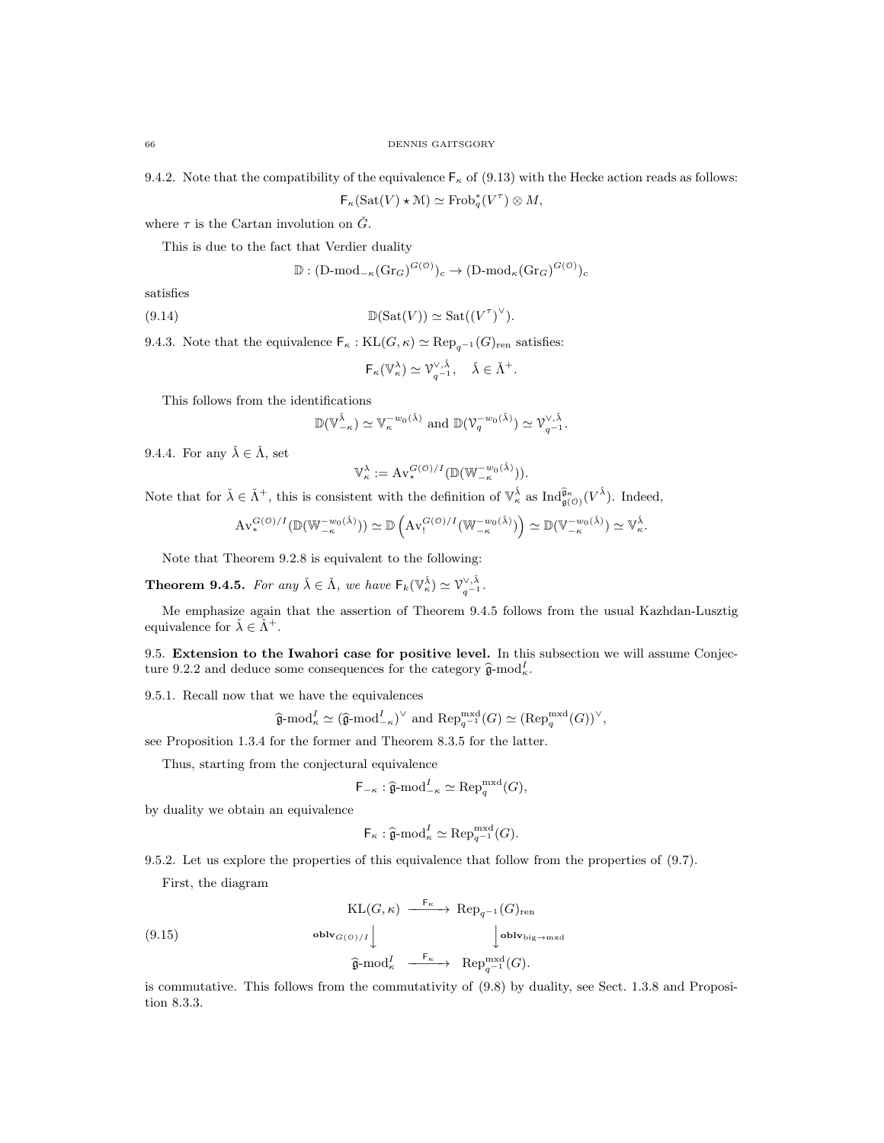9.4.2. Note that the compatibility of the equivalence  $\mathsf{F}_{\kappa}$  of (9.13) with the Hecke action reads as follows:

 $\mathsf{F}_{\kappa}(\mathrm{Sat}(V)\star{\mathcal M})\simeq\mathrm{Frob}_q^*(V^\tau)\otimes M,$ 

where  $\tau$  is the Cartan involution on  $\check{G}$ .

This is due to the fact that Verdier duality

$$
\mathbb{D}: (\mathrm{D\text{-}mod}_{-\kappa}(\mathrm{Gr}_G)^{G(\mathcal{O})})_c \to (\mathrm{D\text{-}mod}_{\kappa}(\mathrm{Gr}_G)^{G(\mathcal{O})})_c
$$

satisfies

(9.14) 
$$
\mathbb{D}(\text{Sat}(V)) \simeq \text{Sat}((V^{\tau})^{\vee}).
$$

9.4.3. Note that the equivalence  $\mathsf{F}_{\kappa} : \text{KL}(G, \kappa) \simeq \text{Rep}_{a^{-1}}(G)_{\text{ren}}$  satisfies:

$$
\mathsf{F}_{\kappa}(\mathbb{V}_{\kappa}^{\lambda}) \simeq \mathcal{V}_{q^{-1}}^{\vee,\check{\lambda}}, \quad \check{\lambda} \in \check{\Lambda}^{+}
$$

.

This follows from the identifications

$$
\mathbb{D}(\mathbb{V}_{-\kappa}^{\check{\lambda}}) \simeq \mathbb{V}_{\kappa}^{-w_0(\check{\lambda})} \text{ and } \mathbb{D}(\mathbb{V}_q^{-w_0(\check{\lambda})}) \simeq \mathbb{V}_{q^{-1}}^{\vee, \check{\lambda}}.
$$

9.4.4. For any  $\check{\lambda} \in \check{\Lambda}$ , set

$$
\mathbb{V}_\kappa^\lambda := \mathrm{Av}^{G(\mathfrak{O})/I}_*(\mathbb{D}(\mathbb{W}_{-\kappa}^{-w_0(\check{\lambda})})).
$$

Note that for  $\check{\lambda} \in \check{\Lambda}^+$ , this is consistent with the definition of  $\mathbb{V}_{\kappa}^{\check{\lambda}}$  as  $\text{Ind}_{\mathfrak{g}(0)}^{\widehat{\mathfrak{g}}_{\kappa}}(V^{\check{\lambda}})$ . Indeed,

$$
\mathrm{Av}^{G(\mathcal{O})/I}_{*}(\mathbb{D}(\mathbb{W}^{-w_0(\check{\lambda})}_{-\kappa})) \simeq \mathbb{D}\left(\mathrm{Av}^{G(\mathcal{O})/I}_{!}(\mathbb{W}^{-w_0(\check{\lambda})}_{-\kappa})\right) \simeq \mathbb{D}(\mathbb{V}^{-w_0(\check{\lambda})}_{-\kappa}) \simeq \mathbb{V}_{\kappa}^{\check{\lambda}}.
$$

Note that Theorem 9.2.8 is equivalent to the following:

**Theorem 9.4.5.** For any  $\check{\lambda} \in \check{\Lambda}$ , we have  $\mathsf{F}_k(\mathbb{V}_\kappa^{\check{\lambda}}) \simeq \mathbb{V}_{q-1}^{\vee, \check{\lambda}}$ .

Me emphasize again that the assertion of Theorem 9.4.5 follows from the usual Kazhdan-Lusztig equivalence for  $\check{\lambda} \in \check{\Lambda}^+$ .

9.5. Extension to the Iwahori case for positive level. In this subsection we will assume Conjecture 9.2.2 and deduce some consequences for the category  $\hat{\mathfrak{g}}$ -mod<sub> $k$ </sub>.

9.5.1. Recall now that we have the equivalences

$$
\widehat{\mathfrak{g}}\text{-mod}_{\kappa}^I \simeq (\widehat{\mathfrak{g}}\text{-mod}_{-\kappa}^I)^{\vee}
$$
 and  $\text{Rep}_{q^{-1}}^{\text{mxd}}(G) \simeq (\text{Rep}_q^{\text{mxd}}(G))^{\vee}$ ,

see Proposition 1.3.4 for the former and Theorem 8.3.5 for the latter.

Thus, starting from the conjectural equivalence

$$
\mathsf{F}_{-\kappa} : \widehat{\mathfrak{g}}\text{-}\mathrm{mod}^I_{-\kappa} \simeq \mathrm{Rep}_q^{\mathrm{mxd}}(G),
$$

by duality we obtain an equivalence

$$
\mathsf{F}_{\kappa} : \widehat{\mathfrak{g}}\text{-}\mathrm{mod}_{\kappa}^I \simeq \mathrm{Rep}_{q^{-1}}^{\mathrm{mxd}}(G).
$$

9.5.2. Let us explore the properties of this equivalence that follow from the properties of (9.7).

First, the diagram

(9.15)  
\n
$$
\begin{array}{c}\n\operatorname{KL}(G,\kappa) \xrightarrow{F_{\kappa}} \operatorname{Rep}_{q^{-1}}(G)_{\operatorname{ren}} \\
\downarrow \operatorname{oblv}_{\operatorname{big}\to\operatorname{mxd}} \\
\downarrow \operatorname{oblv}_{\operatorname{big}\to\operatorname{mxd}} \\
\widehat{\mathfrak{g}}\text{-mod}_{\kappa}^{I} \xrightarrow{F_{\kappa}} \operatorname{Rep}_{q^{-1}}^{m\times d}(G).\n\end{array}
$$

is commutative. This follows from the commutativity of (9.8) by duality, see Sect. 1.3.8 and Proposition 8.3.3.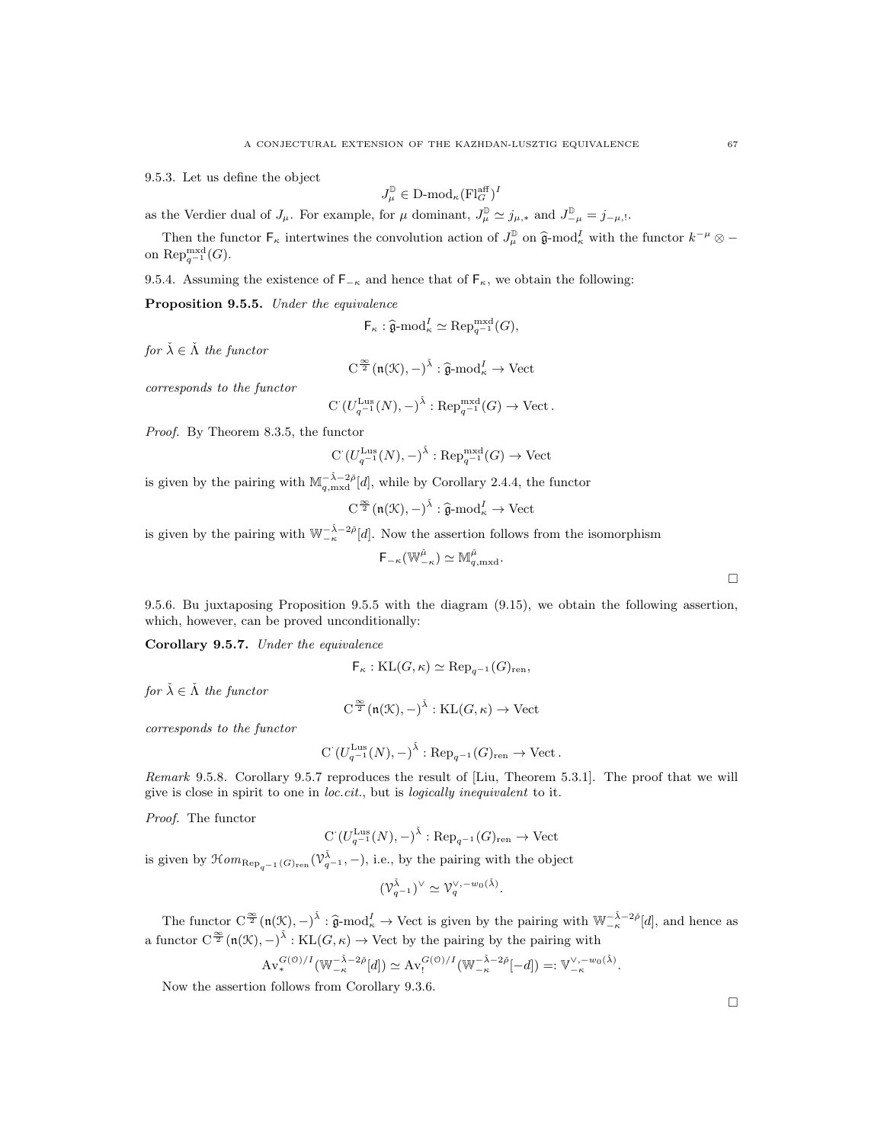9.5.3. Let us define the object

$$
J_{\mu}^{\mathbb{D}} \in \mathbf{D}\text{-mod}_{\kappa}(\mathbf{Fl}_{G}^{\text{aff}})^{I}
$$

as the Verdier dual of  $J_\mu$ . For example, for  $\mu$  dominant,  $J_\mu^{\mathbb{D}} \simeq j_{\mu,*}$  and  $J_{-\mu}^{\mathbb{D}} = j_{-\mu,!}$ .

Then the functor  $\mathsf{F}_{\kappa}$  intertwines the convolution action of  $J^{\mathbb{D}}_{\mu}$  on  $\hat{\mathfrak{g}}$ -mod<sub> $\kappa$ </sub> with the functor  $k^{-\mu} \otimes -$ <br> $\mathsf{D}_{\kappa}$  mxd $(G)$ on Rep<sup>mxd</sup> $(G)$ .

9.5.4. Assuming the existence of  $\mathsf{F}_{-\kappa}$  and hence that of  $\mathsf{F}_{\kappa}$ , we obtain the following:

Proposition 9.5.5. Under the equivalence

$$
\mathsf{F}_{\kappa} : \widehat{\mathfrak{g}}\text{-}\mathrm{mod}_{\kappa}^I \simeq \mathrm{Rep}_{q^{-1}}^{\mathrm{mxd}}(G),
$$

for  $\check{\lambda} \in \check{\Lambda}$  the functor

$$
C^{\frac{\infty}{2}}(\mathfrak{n}(\mathcal{K}), -)^{\check{\lambda}} : \widehat{\mathfrak{g}}\text{-}\mathrm{mod}^{I}_{\kappa} \to \mathrm{Vect}
$$

corresponds to the functor

 $C(U_{q^{-1}}^{Lus}(N), -)^{\check{\lambda}}: \text{Rep}_{q^{-1}}^{mxd}(G) \to \text{Vect}.$ 

Proof. By Theorem 8.3.5, the functor

$$
C(U_{q^{-1}}^{\text{Lus}}(N), -)^{\check{\lambda}} : \text{Rep}_{q^{-1}}^{\text{mxd}}(G) \to \text{Vect}
$$

is given by the pairing with  $\mathbb{M}_{q,\text{mxd}}^{-\tilde{\lambda}-2\tilde{\rho}}[d]$ , while by Corollary 2.4.4, the functor

$$
C^{\frac{\infty}{2}}(\mathfrak{n}(\mathfrak{K}), -)^{\check{\lambda}} : \widehat{\mathfrak{g}}\text{-mod}_{\kappa}^I \to \text{Vect}
$$

is given by the pairing with  $\mathbb{W}_{-\kappa}^{-\tilde{\lambda}-2\tilde{\rho}}[d]$ . Now the assertion follows from the isomorphism

$$
\mathsf{F}_{-\kappa}(\mathbb{W}^{\check{\mu}}_{-\kappa}) \simeq \mathbb{M}^{\check{\mu}}_{q,\mathrm{mxd}}.
$$

9.5.6. Bu juxtaposing Proposition 9.5.5 with the diagram (9.15), we obtain the following assertion, which, however, can be proved unconditionally:

Corollary 9.5.7. Under the equivalence

$$
\mathsf{F}_{\kappa}:\mathrm{KL}(G,\kappa)\simeq \mathrm{Rep}_{q^{-1}}(G)_{\mathrm{ren}},
$$

for  $\check{\lambda} \in \check{\Lambda}$  the functor

$$
C^{\frac{\infty}{2}}(\mathfrak{n}(\mathcal{K}), -)^{\tilde{\lambda}} : \mathrm{KL}(G, \kappa) \to \mathrm{Vect}
$$

corresponds to the functor

$$
C\left(U_{q^{-1}}^{\mathrm{Lus}}(N),-\right)^{\check{\lambda}}:\mathrm{Rep}_{q^{-1}}(G)_{\mathrm{ren}}\to\mathrm{Vect}\,.
$$

Remark 9.5.8. Corollary 9.5.7 reproduces the result of [Liu, Theorem 5.3.1]. The proof that we will give is close in spirit to one in loc.cit., but is logically inequivalent to it.

Proof. The functor

$$
C(U_{q^{-1}}^{Lus}(N), -)^{\tilde{\lambda}} : \text{Rep}_{q^{-1}}(G)_{\text{ren}} \to \text{Vect}
$$

is given by  $\mathcal{H}om_{\text{Rep}_{q^{-1}}(G)_{\text{ren}}}(\mathcal{V}_{q^{-1}}^{\tilde{\lambda}}, -)$ , i.e., by the pairing with the object

$$
(\mathcal{V}_{q-1}^{\check{\lambda}})^{\vee} \simeq \mathcal{V}_q^{\vee, -w_0(\check{\lambda})}.
$$

The functor  $C^{\infty}_{\infty}(\mathfrak{n}(\mathcal{K}), -)^{\tilde{\lambda}} : \hat{\mathfrak{g}} \text{-mod}^I_{\kappa} \to \text{Vect}$  is given by the pairing with  $\mathbb{W}_{-\kappa}^{-\tilde{\lambda}-2\tilde{\rho}}[d]$ , and hence as a functor  $C^{\frac{\infty}{2}}(\mathfrak{n}(\mathcal{K}), -)^{\tilde{\lambda}} : \text{KL}(G, \kappa) \to \text{Vect}$  by the pairing by the pairing with

$$
\mathrm{Av}^{G(\mathcal{O})/I}_{*}(\mathbb{W}_{-\kappa}^{-\check{\lambda}-2\check{\rho}}[d])\simeq \mathrm{Av}^{G(\mathcal{O})/I}_{!}(\mathbb{W}_{-\kappa}^{-\check{\lambda}-2\check{\rho}}[-d])=:\mathbb{V}_{-\kappa}^{\vee,-w_0(\check{\lambda})}.
$$

Now the assertion follows from Corollary 9.3.6.

 $\Box$ 

 $\Box$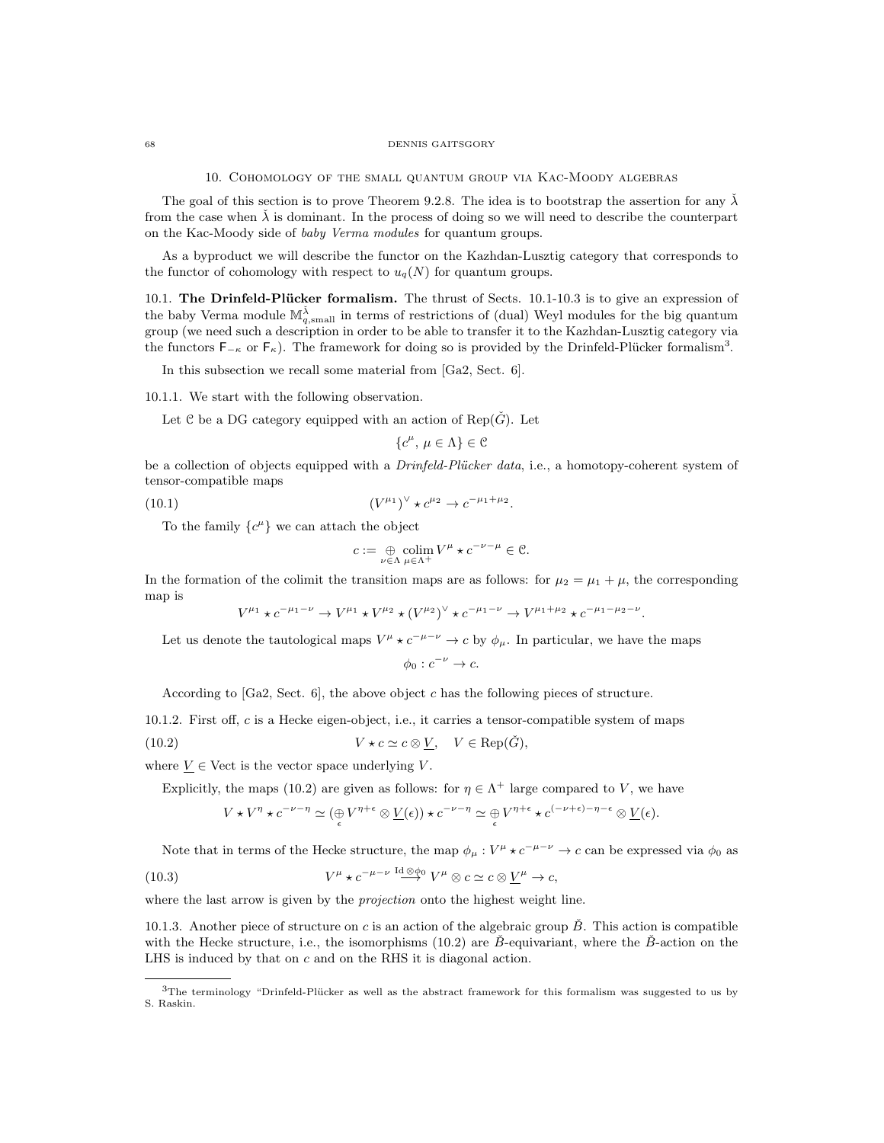#### 68 DENNIS GAITSGORY

10. Cohomology of the small quantum group via Kac-Moody algebras

The goal of this section is to prove Theorem 9.2.8. The idea is to bootstrap the assertion for any  $\lambda$ from the case when  $\lambda$  is dominant. In the process of doing so we will need to describe the counterpart on the Kac-Moody side of baby Verma modules for quantum groups.

As a byproduct we will describe the functor on the Kazhdan-Lusztig category that corresponds to the functor of cohomology with respect to  $u_q(N)$  for quantum groups.

10.1. The Drinfeld-Plücker formalism. The thrust of Sects. 10.1-10.3 is to give an expression of the baby Verma module  $\mathbb{M}_{q,\text{small}}^{\check{\lambda}}$  in terms of restrictions of (dual) Weyl modules for the big quantum group (we need such a description in order to be able to transfer it to the Kazhdan-Lusztig category via the functors  $F_{-\kappa}$  or  $F_{\kappa}$ ). The framework for doing so is provided by the Drinfeld-Plücker formalism<sup>3</sup>.

In this subsection we recall some material from [Ga2, Sect. 6].

10.1.1. We start with the following observation.

Let C be a DG category equipped with an action of Rep( $\check{G}$ ). Let

$$
\{c^{\mu}, \, \mu \in \Lambda\} \in \mathcal{C}
$$

be a collection of objects equipped with a *Drinfeld-Plücker data*, i.e., a homotopy-coherent system of tensor-compatible maps

(10.1) 
$$
(V^{\mu_1})^{\vee} \star c^{\mu_2} \to c^{-\mu_1 + \mu_2}.
$$

To the family  $\{c^{\mu}\}\$  we can attach the object

$$
c:=\underset{\nu\in\Lambda}{\oplus}\underset{\mu\in\Lambda^{+}}{\operatorname{colim}}V^{\mu}\star c^{-\nu-\mu}\in\mathcal{C}.
$$

In the formation of the colimit the transition maps are as follows: for  $\mu_2 = \mu_1 + \mu$ , the corresponding map is

$$
V^{\mu_1} \star c^{-\mu_1 - \nu} \to V^{\mu_1} \star V^{\mu_2} \star (V^{\mu_2})^{\vee} \star c^{-\mu_1 - \nu} \to V^{\mu_1 + \mu_2} \star c^{-\mu_1 - \mu_2 - \nu}.
$$

Let us denote the tautological maps  $V^{\mu} \star c^{-\mu-\nu} \to c$  by  $\phi_{\mu}$ . In particular, we have the maps  $\phi_0: c^{-\nu} \to c.$ 

According to  $[a2, Sect. 6]$ , the above object c has the following pieces of structure.

10.1.2. First off, c is a Hecke eigen-object, i.e., it carries a tensor-compatible system of maps

(10.2) 
$$
V \star c \simeq c \otimes \underline{V}, \quad V \in \text{Rep}(\check{G}),
$$

where  $V \in$  Vect is the vector space underlying V.

Explicitly, the maps (10.2) are given as follows: for  $\eta \in \Lambda^+$  large compared to V, we have

$$
V \star V^{\eta} \star c^{-\nu - \eta} \simeq (\underset{\epsilon}{\oplus} V^{\eta + \epsilon} \otimes \underline{V}(\epsilon)) \star c^{-\nu - \eta} \simeq \underset{\epsilon}{\oplus} V^{\eta + \epsilon} \star c^{(-\nu + \epsilon) - \eta - \epsilon} \otimes \underline{V}(\epsilon).
$$

Note that in terms of the Hecke structure, the map  $\phi_\mu : V^\mu \star c^{-\mu-\nu} \to c$  can be expressed via  $\phi_0$  as

(10.3) 
$$
V^{\mu} \star c^{-\mu-\nu} \stackrel{\mathrm{Id} \otimes \phi_0}{\longrightarrow} V^{\mu} \otimes c \simeq c \otimes \underline{V}^{\mu} \to c,
$$

where the last arrow is given by the *projection* onto the highest weight line.

10.1.3. Another piece of structure on c is an action of the algebraic group  $\check{B}$ . This action is compatible with the Hecke structure, i.e., the isomorphisms  $(10.2)$  are B-equivariant, where the B-action on the LHS is induced by that on c and on the RHS it is diagonal action.

 $3$ The terminology "Drinfeld-Plücker as well as the abstract framework for this formalism was suggested to us by S. Raskin.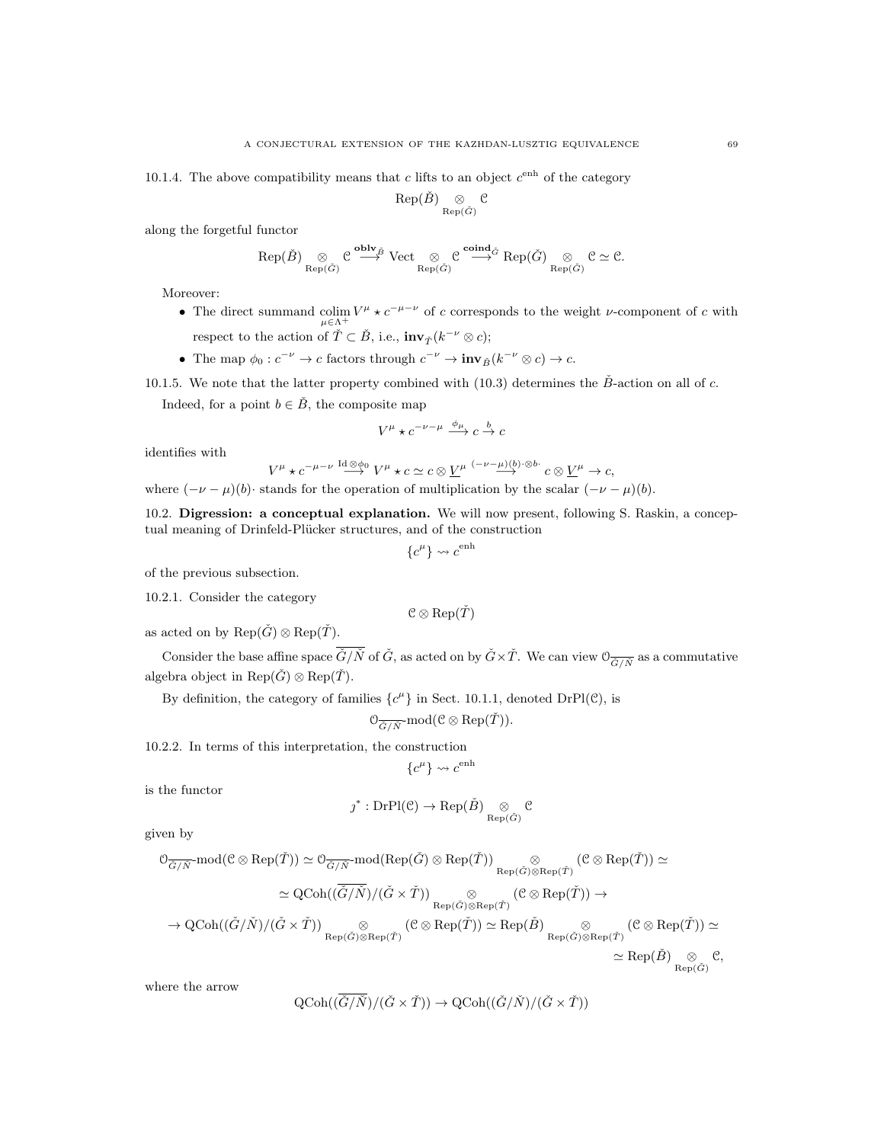10.1.4. The above compatibility means that c lifts to an object  $c^{\text{enh}}$  of the category

$$
\operatorname{Rep}(\check{B})\underset{\operatorname{Rep}(\check{G})}{\otimes}{\mathbb C}
$$

along the forgetful functor

$$
\operatorname{Rep}(\check{B})\underset{\operatorname{Rep}(\check{G})}{\otimes} \mathcal{C} \overset{\textbf{oblv}_{\check{B}}}{\longrightarrow} \operatorname{Vect}\underset{\operatorname{Rep}(\check{G})}{\otimes} \mathcal{C} \overset{\textbf{coind}_{\check{G}}}{\longrightarrow} \operatorname{Rep}(\check{G})\underset{\operatorname{Rep}(\check{G})}{\otimes} \mathcal{C} \simeq \mathcal{C}.
$$

Moreover:

- The direct summand colim  $V^{\mu} \star c^{-\mu-\nu}$  of c corresponds to the weight v-component of c with respect to the action of  $\check{T} \subset \check{B}$ , i.e.,  $\mathbf{inv}_{\check{T}}(k^{-\nu} \otimes c)$ ;
- The map  $\phi_0: c^{-\nu} \to c$  factors through  $c^{-\nu} \to inv_{\tilde{B}}(k^{-\nu} \otimes c) \to c$ .

10.1.5. We note that the latter property combined with (10.3) determines the  $\check{B}$ -action on all of c.

Indeed, for a point  $b \in \check{B}$ , the composite map

$$
V^\mu \star c^{-\nu-\mu} \stackrel{\phi_\mu}{\longrightarrow} c \stackrel{b}{\to} c
$$

identifies with

$$
V^{\mu} \star c^{-\mu-\nu} \stackrel{\mathrm{Id} \otimes \phi_0}{\longrightarrow} V^{\mu} \star c \simeq c \otimes \underline{V}^{\mu} \stackrel{(-\nu-\mu)(b)\cdot \otimes b\cdot}{\longrightarrow} c \otimes \underline{V}^{\mu} \to c,
$$
  
where  $(-\nu-\mu)(b)$  stands for the operation of multiplication by the scalar  $(-\nu-\mu)(b)$ .

10.2. Digression: a conceptual explanation. We will now present, following S. Raskin, a concep-

tual meaning of Drinfeld-Plücker structures, and of the construction

$$
\{c^{\mu}\} \leadsto c^{\text{enh}}
$$

of the previous subsection.

10.2.1. Consider the category

$$
\mathcal{C}\otimes\mathrm{Rep}(\check T)
$$

as acted on by  $\text{Rep}(\check{G}) \otimes \text{Rep}(\check{T})$ .

Consider the base affine space  $\overline{\check{G}/\check{N}}$  of  $\check{G}$ , as acted on by  $\check{G}\times\check{T}$ . We can view  $\mathcal{O}_{\overline{\check{G}/\check{N}}}$  as a commutative algebra object in  $\text{Rep}(\check{G}) \otimes \text{Rep}(\check{T})$ .

By definition, the category of families  $\{c^{\mu}\}\$ in Sect. 10.1.1, denoted DrPl(C), is

$$
\mathcal{O}_{\overline{\check{G}/\check{N}}}\text{-mod}(\mathcal{C}\otimes \text{Rep}(\check{T})).
$$

10.2.2. In terms of this interpretation, the construction

$$
\{c^{\mu}\} \leadsto c^{\text{enh}}
$$

is the functor

$$
\jmath^* : \mathrm{DrPl}(\mathcal{C}) \to \mathrm{Rep}(\check{B}) \underset{\mathrm{Rep}(\check{G})}{\otimes} \mathcal{C}
$$

given by

$$
\begin{split} \mathbb{O}_{\overline{G}/\overline{N}}\text{-mod}(\mathcal{C}\otimes\text{Rep}(\check{T}))&\simeq \mathbb{O}_{\overline{\check{G}/\overline{N}}}\text{-mod}(\text{Rep}(\check{G})\otimes\text{Rep}(\check{T}))\underset{\text{Rep}(\check{G})\otimes\text{Rep}(\check{T})}{\otimes}\mathbb{C}\otimes\text{Rep}(\check{T}))\simeq\\ &\simeq \text{QCoh}((\overline{\check{G}/\check{N}})/(\check{G}\times\check{T}))\underset{\text{Rep}(\check{G})\otimes\text{Rep}(\check{T})}{\otimes}(\mathcal{C}\otimes\text{Rep}(\check{T}))\to\\ &\to \text{QCoh}((\check{G}/\check{N})/(\check{G}\times\check{T}))\underset{\text{Rep}(\check{G})\otimes\text{Rep}(\check{T})}{\otimes}(\mathcal{C}\otimes\text{Rep}(\check{T}))\simeq \text{Rep}(\check{B})\underset{\text{Rep}(\check{G})\otimes\text{Rep}(\check{T})}{\otimes}(\mathcal{C}\otimes\text{Rep}(\check{T}))\simeq\\ &\simeq \text{Rep}(\check{B})\underset{\text{Rep}(\check{G})}{\otimes}\mathcal{C},\end{split}
$$

where the arrow

$$
\text{QCoh}((\overline{\check{G}}/\check{N})/(\check{G}\times\check{T}))\to \text{QCoh}((\check{G}/\check{N})/(\check{G}\times\check{T}))
$$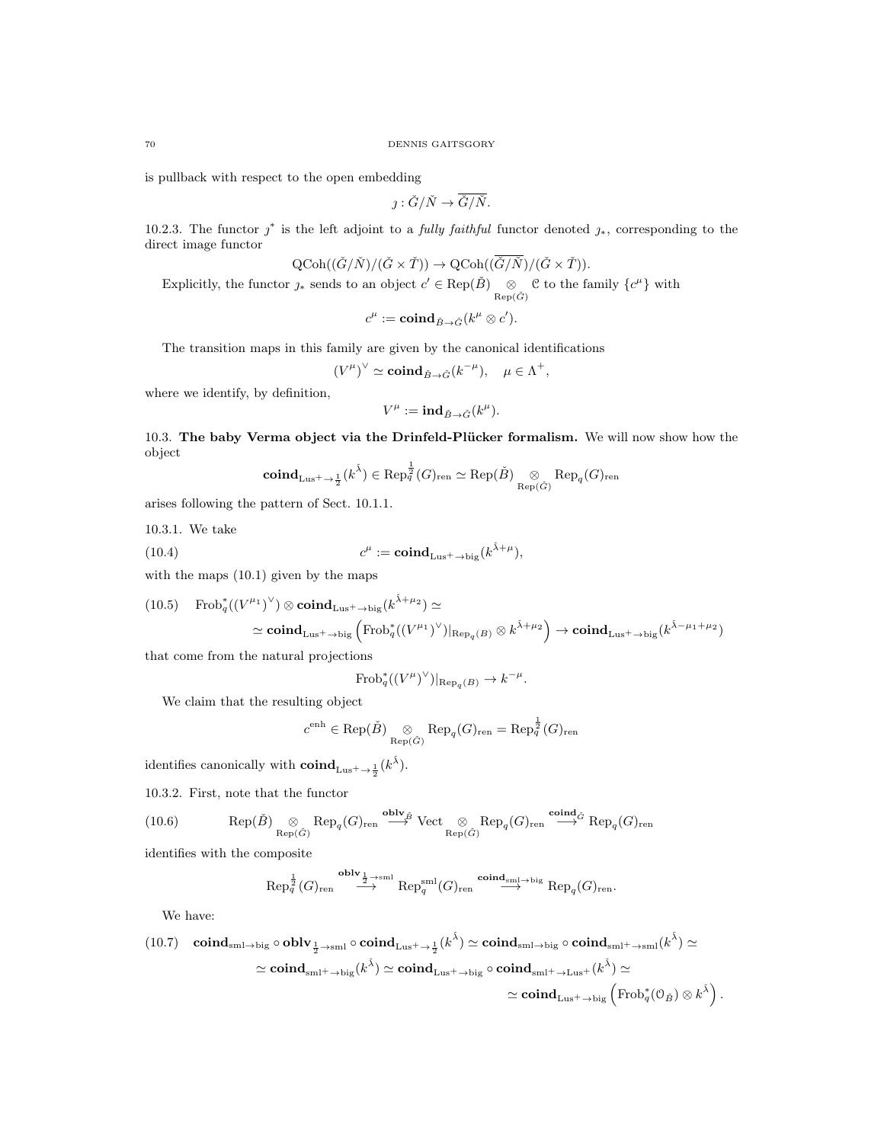is pullback with respect to the open embedding

$$
j:\check{G}/\check{N}\to \overline{\check{G}/\check{N}}.
$$

10.2.3. The functor  $j^*$  is the left adjoint to a *fully faithful* functor denoted  $j_*$ , corresponding to the direct image functor

$$
\text{QCoh}((\check{G}/\check{N})/(\check{G}\times\check{T}))\to \text{QCoh}((\overline{\check{G}/\check{N}})/(\check{G}\times\check{T})).
$$

Explicitly, the functor  $j_*$  sends to an object  $c' \in \text{Rep}(\check{B}) \underset{\text{Rep}(\check{G})}{\otimes} \mathcal{C}$  to the family  $\{c^{\mu}\}\$  with

$$
c^{\mu}:=\mathbf{coind}_{\check{B}\to\check{G}}(k^{\mu}\otimes c').
$$

The transition maps in this family are given by the canonical identifications

$$
(V^{\mu})^{\vee} \simeq \mathbf{coind}_{\check{B}\to\check{G}}(k^{-\mu}), \quad \mu \in \Lambda^{+},
$$

where we identify, by definition,

$$
V^\mu:=\text{{\rm ind}}_{\check B\to \check G}(k^\mu).
$$

10.3. The baby Verma object via the Drinfeld-Plücker formalism. We will now show how the object

$$
\mathbf{coind}_{\mathtt{Lus}^+ \rightarrow \frac{1}{2}}(k^{\check{\lambda}}) \in \mathrm{Rep}^{\frac{1}{2}}_q(G)_{\mathrm{ren}} \simeq \mathrm{Rep}(\check{B}) \underset{\mathrm{Rep}(\check{G})}{\otimes} \mathrm{Rep}_q(G)_{\mathrm{ren}}
$$

arises following the pattern of Sect. 10.1.1.

10.3.1. We take

(10.4) 
$$
c^{\mu} := \mathbf{coind}_{Lus^+ \to big}(k^{\tilde{\lambda} + \mu}),
$$

with the maps  $(10.1)$  given by the maps

(10.5) 
$$
\operatorname{Frob}_q^*((V^{\mu_1})^{\vee}) \otimes \operatorname{coind}_{Lus^+ \to big}(k^{\tilde{\lambda}+\mu_2}) \simeq
$$
  

$$
\simeq \operatorname{coind}_{Lus^+ \to big} (\operatorname{Frob}_q^*((V^{\mu_1})^{\vee})|_{\operatorname{Rep}_q(B)} \otimes k^{\tilde{\lambda}+\mu_2}) \to \operatorname{coind}_{Lus^+ \to big}(k^{\tilde{\lambda}-\mu_1+\mu_2})
$$

that come from the natural projections

$$
\operatorname{Frob}_q^*((V^\mu)^\vee)|_{\operatorname{Rep}_q(B)} \to k^{-\mu}.
$$

We claim that the resulting object

$$
c^{\text{enh}} \in \text{Rep}(\check{B}) \underset{\text{Rep}(\check{G})}{\otimes} \text{Rep}_q(G)_{\text{ren}} = \text{Rep}_q^{\frac{1}{2}}(G)_{\text{ren}}
$$

identifies canonically with  $\mathbf{coind}_{Lus^+ \to \frac{1}{2}}(k^{\tilde{\lambda}})$ .

10.3.2. First, note that the functor

(10.6) 
$$
\operatorname{Rep}(\check{B}) \underset{\operatorname{Rep}(\check{G})}{\otimes} \operatorname{Rep}_q(G)_{\operatorname{ren}} \stackrel{\operatorname{oblv}_{\check{B}}}{\longrightarrow} \operatorname{Vect} \underset{\operatorname{Rep}(\check{G})}{\otimes} \operatorname{Rep}_q(G)_{\operatorname{ren}} \stackrel{\operatorname{coind}_{\check{G}}}{\longrightarrow} \operatorname{Rep}_q(G)_{\operatorname{ren}}
$$

identifies with the composite

$$
\mathrm{Rep}^{\frac{1}{2}}_q(G)_{\mathrm{ren}} \stackrel{\mathbf{oblv}_{\frac{1}{2} \to \mathrm{sml}}}{\longrightarrow} \mathrm{Rep}^{\mathrm{sml}}_q(G)_{\mathrm{ren}} \stackrel{\mathbf{coind}_{\mathrm{sml} \to \mathrm{big}}}{\longrightarrow} \mathrm{Rep}_q(G)_{\mathrm{ren}}.
$$

We have:

$$
\begin{array}{ll} \mbox{(10.7)} & \mbox{\bf coind}_{\mathrm{sml} \rightarrow \mathrm{big}} \circ \mbox{\bf oblv}_{\frac{1}{2} \rightarrow \mathrm{sml}} \circ \mbox{\bf coind}_{\mathrm{Lus}^{\pm} \rightarrow \frac{1}{2}}(k^{\check{\lambda}}) \simeq \mbox{\bf coind}_{\mathrm{sml} \rightarrow \mathrm{big}} \circ \mbox{\bf coind}_{\mathrm{sml}^{\pm} \rightarrow \mathrm{sml}}(k^{\check{\lambda}}) \simeq \\ & \simeq \mbox{\bf coind}_{\mathrm{sml}^{\pm} \rightarrow \mathrm{big}}(k^{\check{\lambda}}) \simeq \mbox{\bf coind}_{\mathrm{Lus}^{\pm} \rightarrow \mathrm{big}} \circ \mbox{\bf coind}_{\mathrm{sml}^{\pm} \rightarrow \mathrm{Lus}^{\pm}}(k^{\check{\lambda}}) \simeq \\ & \simeq \mbox{\bf coind}_{\mathrm{Lus}^{\pm} \rightarrow \mathrm{big}} \left( \mathrm{Frob}_{q}^{*}(\mathbb{O}_{\check{B}}) \otimes k^{\check{\lambda}} \right). \end{array}
$$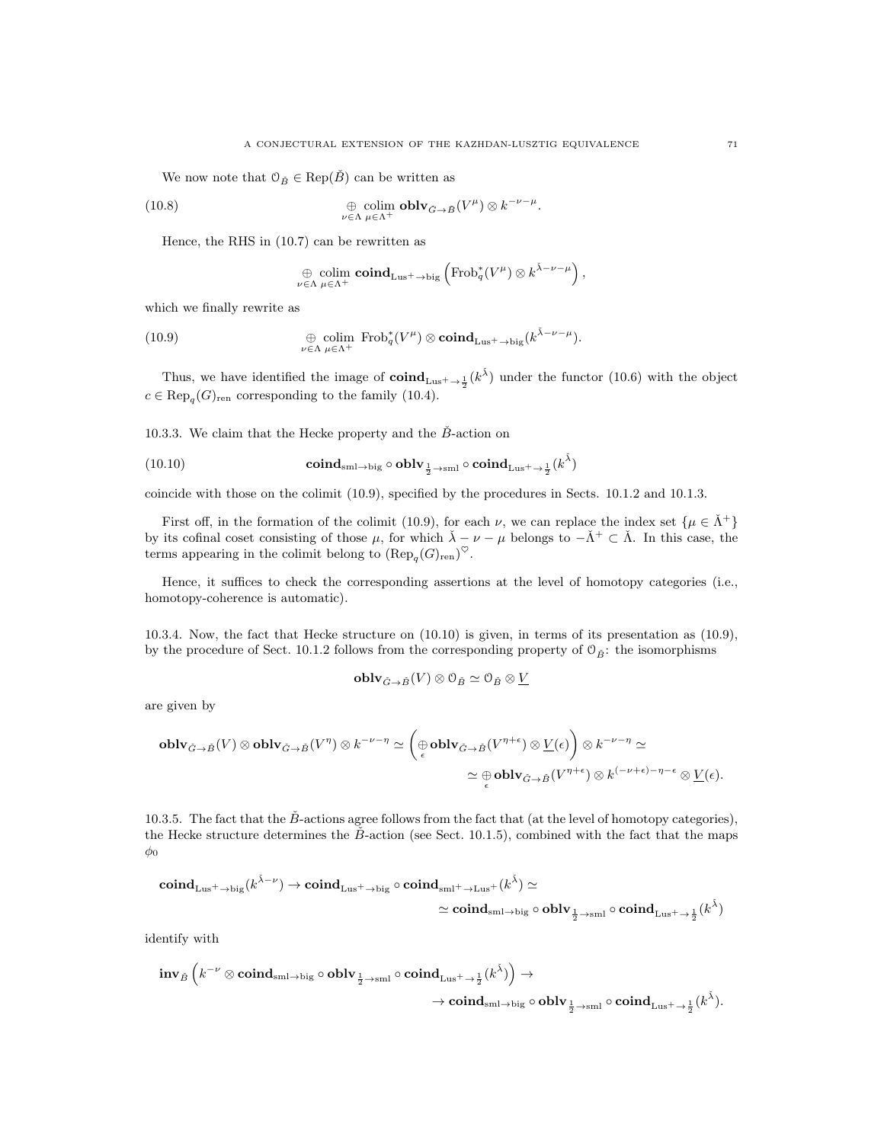We now note that  $\mathcal{O}_{\check{B}} \in \text{Rep}(\check{B})$  can be written as

(10.8) 
$$
\bigoplus_{\nu \in \Lambda} \underset{\mu \in \Lambda^+}{\text{colim oblv}} \widetilde{\sigma}_{\rightarrow \widetilde{B}}(V^{\mu}) \otimes k^{-\nu-\mu}.
$$

Hence, the RHS in (10.7) can be rewritten as

$$
\bigoplus_{\nu \in \Lambda} \underset{\mu \in \Lambda^+}{\text{colim }} \mathbf{coind}_{\mathrm{Lus}^+ \to \mathrm{big}} \left( \mathrm{Frob}_q^*(V^\mu) \otimes k^{\tilde{\lambda} - \nu - \mu} \right),
$$

which we finally rewrite as

(10.9) 
$$
\bigoplus_{\nu \in \Lambda} \text{colim } \text{Frob}_{q}^*(V^{\mu}) \otimes \mathbf{coind}_{\text{Lus}^+ \to \text{big}}(k^{\bar{\lambda} - \nu - \mu}).
$$

Thus, we have identified the image of  $\text{coind}_{Lus^+\to \frac{1}{2}}(k^{\check{\lambda}})$  under the functor (10.6) with the object  $c \in \text{Rep}_q(G)_{\text{ren}}$  corresponding to the family (10.4).

10.3.3. We claim that the Hecke property and the  $B$ -action on

(10.10) 
$$
\operatorname{coind}_{\sinl \to \text{big}} \circ \operatorname{oblv}_{\frac{1}{2} \to \text{sml}} \circ \operatorname{coind}_{Lus^{\pm} \to \frac{1}{2}}(k^{\check{\lambda}})
$$

coincide with those on the colimit (10.9), specified by the procedures in Sects. 10.1.2 and 10.1.3.

First off, in the formation of the colimit (10.9), for each  $\nu$ , we can replace the index set  $\{\mu \in \Lambda^+\}$ by its cofinal coset consisting of those  $\mu$ , for which  $\check{\lambda} - \nu - \mu$  belongs to  $-\check{\Lambda}^+ \subset \check{\Lambda}$ . In this case, the terms appearing in the colimit belong to  $(\text{Rep}_q(G)_{\text{ren}})^\heartsuit$ .

Hence, it suffices to check the corresponding assertions at the level of homotopy categories (i.e., homotopy-coherence is automatic).

10.3.4. Now, the fact that Hecke structure on (10.10) is given, in terms of its presentation as (10.9), by the procedure of Sect. 10.1.2 follows from the corresponding property of  $\mathcal{O}_{\vec{B}}$ : the isomorphisms

$$
\operatorname{\mathbf{oblv}}_{\check{G}\to \check{B}}(V)\otimes \mathbb{O}_{\check{B}}\simeq \mathbb{O}_{\check{B}}\otimes \underline{V}
$$

are given by

$$
\begin{aligned}\n\text{oblv}_{\check{G}\to \check{B}}(V)\otimes \text{oblv}_{\check{G}\to \check{B}}(V^{\eta})\otimes k^{-\nu-\eta} &\simeq \left(\underset{\epsilon}{\oplus}\text{oblv}_{\check{G}\to \check{B}}(V^{\eta+\epsilon})\otimes \underline{V}(\epsilon)\right)\otimes k^{-\nu-\eta}\simeq \\
&\simeq \underset{\epsilon}{\oplus}\text{oblv}_{\check{G}\to \check{B}}(V^{\eta+\epsilon})\otimes k^{(-\nu+\epsilon)-\eta-\epsilon}\otimes \underline{V}(\epsilon).\n\end{aligned}
$$

10.3.5. The fact that the  $\check{B}$ -actions agree follows from the fact that (at the level of homotopy categories), the Hecke structure determines the  $\check{B}$ -action (see Sect. 10.1.5), combined with the fact that the maps  $\phi_0$ 

$$
\operatorname{coind}_{\operatorname{Lus}^+ \to \operatorname{big}}(k^{\check{\lambda} - \nu}) \to \operatorname{coind}_{\operatorname{Lus}^+ \to \operatorname{big}} \circ \operatorname{coind}_{\operatorname{sml}^+ \to \operatorname{Lus}^+}(k^{\check{\lambda}}) \simeq \\ \simeq \operatorname{coind}_{\operatorname{sml} \to \operatorname{big}} \circ \operatorname{oblv}_{\frac{1}{2} \to \operatorname{sml}} \circ \operatorname{coind}_{\operatorname{Lus}^+ \to \frac{1}{2}}(k^{\check{\lambda}})
$$

identify with

$$
\textbf{inv}_{\check{B}} \left( k^{-\nu} \otimes \textbf{coind}_{\textbf{sml} \rightarrow \textbf{big}} \circ \textbf{oblv}_{\frac{1}{2} \rightarrow \textbf{sml}} \circ \textbf{coind}_{\textbf{Lus}^+ \rightarrow \frac{1}{2}} (k^{\check{\lambda}}) \right) \rightarrow \\ \hspace{2.5cm} \rightarrow \textbf{coind}_{\textbf{sml} \rightarrow \textbf{big}} \circ \textbf{oblv}_{\frac{1}{2} \rightarrow \textbf{sml}} \circ \textbf{coind}_{\textbf{Lus}^+ \rightarrow \frac{1}{2}} (k^{\check{\lambda}}).
$$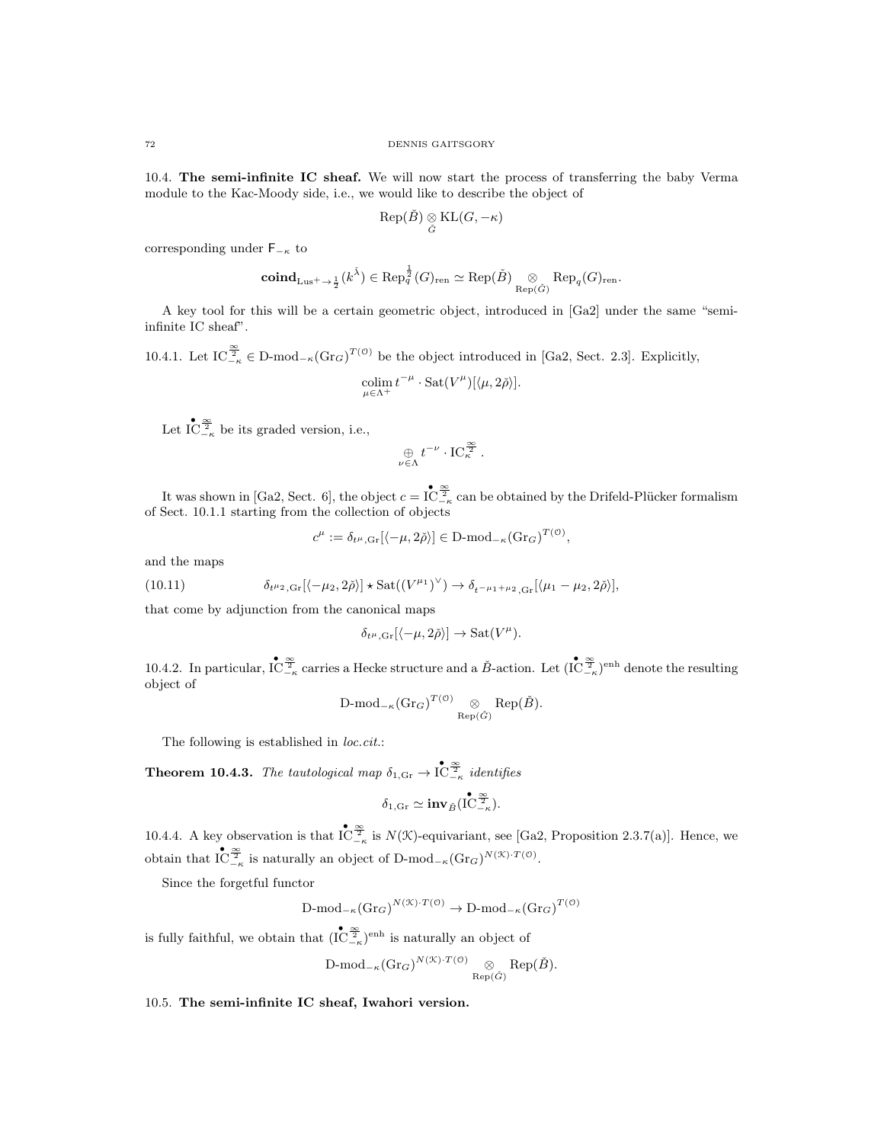10.4. The semi-infinite IC sheaf. We will now start the process of transferring the baby Verma module to the Kac-Moody side, i.e., we would like to describe the object of

$$
\text{Rep}(\check{B})\underset{\check{G}}{\otimes}\text{KL}(G,-\kappa)
$$

corresponding under  $F_{-\kappa}$  to

$$
{\rm \bf coind}_{\rm \bf Lus^+ \rightarrow {1 \over 2}}(k^{\check\lambda}) \in {\rm Rep}^{{1 \over 2}}_q(G)_{\rm ren} \simeq {\rm Rep}({\check B}) \underset{{\rm Rep}({\check G})}{\otimes} {\rm Rep}_q(G)_{\rm ren}.
$$

A key tool for this will be a certain geometric object, introduced in [Ga2] under the same "semiinfinite IC sheaf".

10.4.1. Let  $IC_{-\kappa}^{\frac{\infty}{2}} \in D\text{-mod}_{-\kappa}(\text{Gr}_G)^{T(\mathcal{O})}$  be the object introduced in [Ga2, Sect. 2.3]. Explicitly,

$$
\operatornamewithlimits{colim}_{\mu\in\Lambda^+}t^{-\mu}\cdot\operatorname{Sat}(V^{\mu})[\langle\mu,2\check\rho\rangle].
$$

Let  $\overline{IC}_{-\kappa}^{\infty}$  be its graded version, i.e.,

$$
\underset{\nu \in \Lambda}{\oplus} t^{-\nu} \cdot \mathrm{IC}_{\kappa}^{\frac{\infty}{2}}.
$$

It was shown in [Ga2, Sect. 6], the object  $c = \overline{\mathop{\rm IC}^\infty_{- \kappa}}$  can be obtained by the Drifeld-Plücker formalism of Sect. 10.1.1 starting from the collection of objects

$$
c^{\mu} := \delta_{t^{\mu}, \text{Gr}}[\langle -\mu, 2\check{\rho} \rangle] \in \mathcal{D}\text{-mod}_{-\kappa}(\text{Gr}_G)^{T(\mathcal{O})},
$$

and the maps

(10.11) 
$$
\delta_{t^{\mu_2}, \text{Gr}}[\langle -\mu_2, 2\check{\rho} \rangle] \star \text{Sat}((V^{\mu_1})^{\vee}) \to \delta_{t^{-\mu_1 + \mu_2}, \text{Gr}}[\langle \mu_1 - \mu_2, 2\check{\rho} \rangle],
$$

that come by adjunction from the canonical maps

$$
\delta_{t^{\mu},\text{Gr}}[\langle -\mu, 2\check{\rho}\rangle] \to \text{Sat}(V^{\mu}).
$$

10.4.2. In particular,  $\int_{-\kappa}^{\bullet} \frac{\infty}{2\pi}$  carries a Hecke structure and a  $\check{B}$ -action. Let  $(\int_{-\kappa}^{\bullet} \frac{\infty}{2\pi})^{\text{enh}}$  denote the resulting object of

$$
\mathrm{D\text{-}mod}_{-\kappa}(\mathrm{Gr}_G)^{T(\mathcal{O})}\underset{\mathrm{Rep}(\check{G})}{\otimes} \mathrm{Rep}(\check{B}).
$$

The following is established in *loc.cit.*:

**Theorem 10.4.3.** The tautological map  $\delta_{1,\text{Gr}} \to \mathring{\mathcal{IC}}_{-\kappa}^{\infty}$  identifies

$$
\delta_{1,\text{Gr}} \simeq \text{inv}_{\check{B}}(\mathop{\mathrm{IC}}\nolimits^{\bullet}_{-\kappa}_{-\kappa}).
$$

10.4.4. A key observation is that  $\mathop{\rm IC}^{\infty}_{-\kappa}$  is  $N(\mathcal{K})$ -equivariant, see [Ga2, Proposition 2.3.7(a)]. Hence, we obtain that  $\mathop{\rm IC}\nolimits^{\bullet\bullet}_{-\kappa}$  is naturally an object of D-mod<sub>- $\kappa(\mathrm{Gr}_G)^{N(\mathfrak{X})\cdot T(\mathfrak{O})}$ .</sub>

Since the forgetful functor

$$
\text{D-mod}_{-\kappa}(\text{Gr}_G)^{N(\mathcal{K}) \cdot T(\mathcal{O})} \to \text{D-mod}_{-\kappa}(\text{Gr}_G)^{T(\mathcal{O})}
$$

is fully faithful, we obtain that  $(\mathbf{IC}_{-\kappa}^{\infty})^{\text{enh}}$  is naturally an object of

$$
\operatorname{D-mod}_{-\kappa}(\operatorname{Gr}_G)^{N(\mathfrak{X}) \cdot T(\mathfrak{O})} \underset{\operatorname{Rep}(\check{G})}{\otimes} \operatorname{Rep}(\check{B}).
$$

10.5. The semi-infinite IC sheaf, Iwahori version.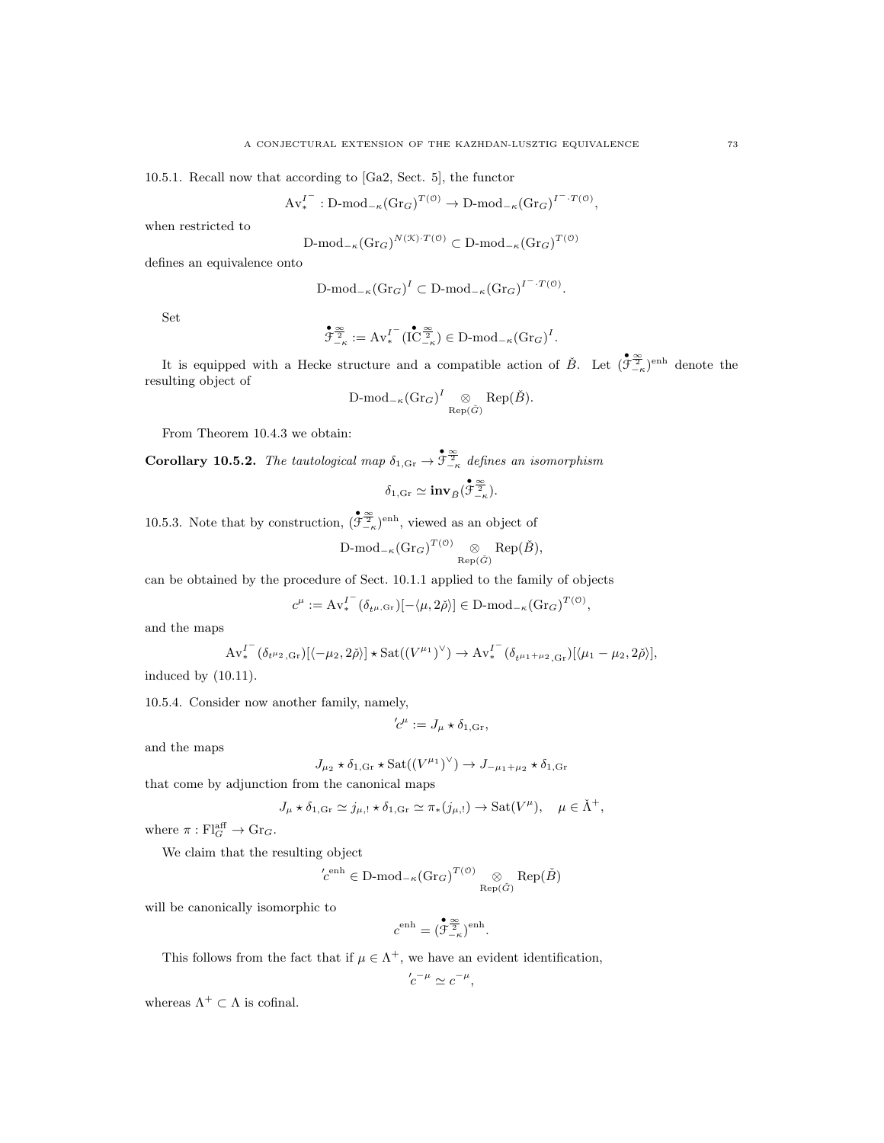10.5.1. Recall now that according to [Ga2, Sect. 5], the functor

$$
\mathrm{Av}^{I^-}_* : \mathrm{D\text{-}mod}_{-\kappa}(\mathrm{Gr}_G)^{T(\mathfrak{O})} \to \mathrm{D\text{-}mod}_{-\kappa}(\mathrm{Gr}_G)^{I^-\cdot T(\mathfrak{O})},
$$

when restricted to

$$
\mathrm{D\text{-}mod}_{-\kappa}(\mathrm{Gr}_G)^{N(\mathcal{K})\cdot T(\mathcal{O})} \subset \mathrm{D\text{-}mod}_{-\kappa}(\mathrm{Gr}_G)^{T(\mathcal{O})}
$$

defines an equivalence onto

$$
\text{D-mod}_{-\kappa}(\text{Gr}_G)^I \subset \text{D-mod}_{-\kappa}(\text{Gr}_G)^{I^-,T(\mathcal{O})}.
$$

Set

$$
\mathcal{F}_{-\kappa}^{\infty} := \mathrm{Av}_{*}^{I^{-}}(\mathbf{I}\mathbf{C}_{-\kappa}^{\infty}) \in \mathbf{D}\text{-mod}_{-\kappa}(\mathrm{Gr}_{G})^{I}.
$$

It is equipped with a Hecke structure and a compatible action of  $\check{B}$ . Let  $(\mathfrak{F}_{-\kappa}^{\infty})^{\text{enh}}$  denote the resulting object of

$$
\mathrm{D\text{-}mod}_{-\kappa}(\mathrm{Gr}_G)^I \underset{\mathrm{Rep}(\check{G})}{\otimes} \mathrm{Rep}(\check{B}).
$$

From Theorem 10.4.3 we obtain:

**Corollary 10.5.2.** The tautological map  $\delta_{1,\text{Gr}} \to \tilde{\mathcal{F}}_{-\kappa}^{\infty}$  defines an isomorphism

$$
\delta_{1,\text{Gr}} \simeq \text{inv}_{\check{B}}(\overset{\bullet}{\mathcal{F}}^{\underline{\infty}}_{-\kappa}).
$$

10.5.3. Note that by construction,  $(\mathcal{F}_{-\kappa}^{\infty})^{\text{enh}}$ , viewed as an object of

$$
\mathrm{D\text{-}mod}_{-\kappa}(\mathrm{Gr}_G)^{T(\mathfrak{O})}\underset{\mathrm{Rep}(\check{G})}{\otimes} \mathrm{Rep}(\check{B}),
$$

can be obtained by the procedure of Sect. 10.1.1 applied to the family of objects

$$
c^{\mu} := \mathrm{Av}_{*}^{I^{-}}(\delta_{t^{\mu},\mathrm{Gr}})[-\langle \mu, 2\check{\rho} \rangle] \in \mathrm{D}\text{-mod}_{-\kappa}(\mathrm{Gr}_{G})^{T(\mathcal{O})},
$$

and the maps

$$
\mathrm{Av}_{*}^{I^{-}}(\delta_{t^{\mu_2},G_{r}})[\langle -\mu_2, 2\check{\rho}\rangle] \star \mathrm{Sat}((V^{\mu_1})^{\vee}) \to \mathrm{Av}_{*}^{I^{-}}(\delta_{t^{\mu_1+\mu_2},G_{r}})[\langle \mu_1-\mu_2, 2\check{\rho}\rangle],
$$

induced by (10.11).

10.5.4. Consider now another family, namely,

$$
c^{\mu} := J_{\mu} \star \delta_{1,\text{Gr}},
$$

and the maps

$$
J_{\mu_2} \star \delta_{1,\text{Gr}} \star \text{Sat}((V^{\mu_1})^{\vee}) \to J_{-\mu_1 + \mu_2} \star \delta_{1,\text{Gr}}
$$

that come by adjunction from the canonical maps

$$
J_{\mu} \star \delta_{1,\text{Gr}} \simeq j_{\mu,!} \star \delta_{1,\text{Gr}} \simeq \pi_*(j_{\mu,!}) \to \text{Sat}(V^{\mu}), \quad \mu \in \check{\Lambda}^+,
$$

where  $\pi : \mathrm{Fl}_G^{\mathrm{aff}} \to \mathrm{Gr}_G$ .

We claim that the resulting object

$$
c^{enh} \in \mathcal{D}\text{-mod}_{-\kappa}(\mathcal{G}r_G)^{T(\mathcal{O})} \underset{\text{Rep}(\check{G})}{\otimes} \text{Rep}(\check{B})
$$

will be canonically isomorphic to

$$
c^{\mathrm{enh}}=(\overset{\bullet}{\mathcal{F}}^{\underline{\infty}}_{-\kappa})^{\mathrm{enh}}.
$$

This follows from the fact that if  $\mu \in \Lambda^+$ , we have an evident identification,

$$
c^{-\mu} \simeq c^{-\mu},
$$

whereas  $\Lambda^+ \subset \Lambda$  is cofinal.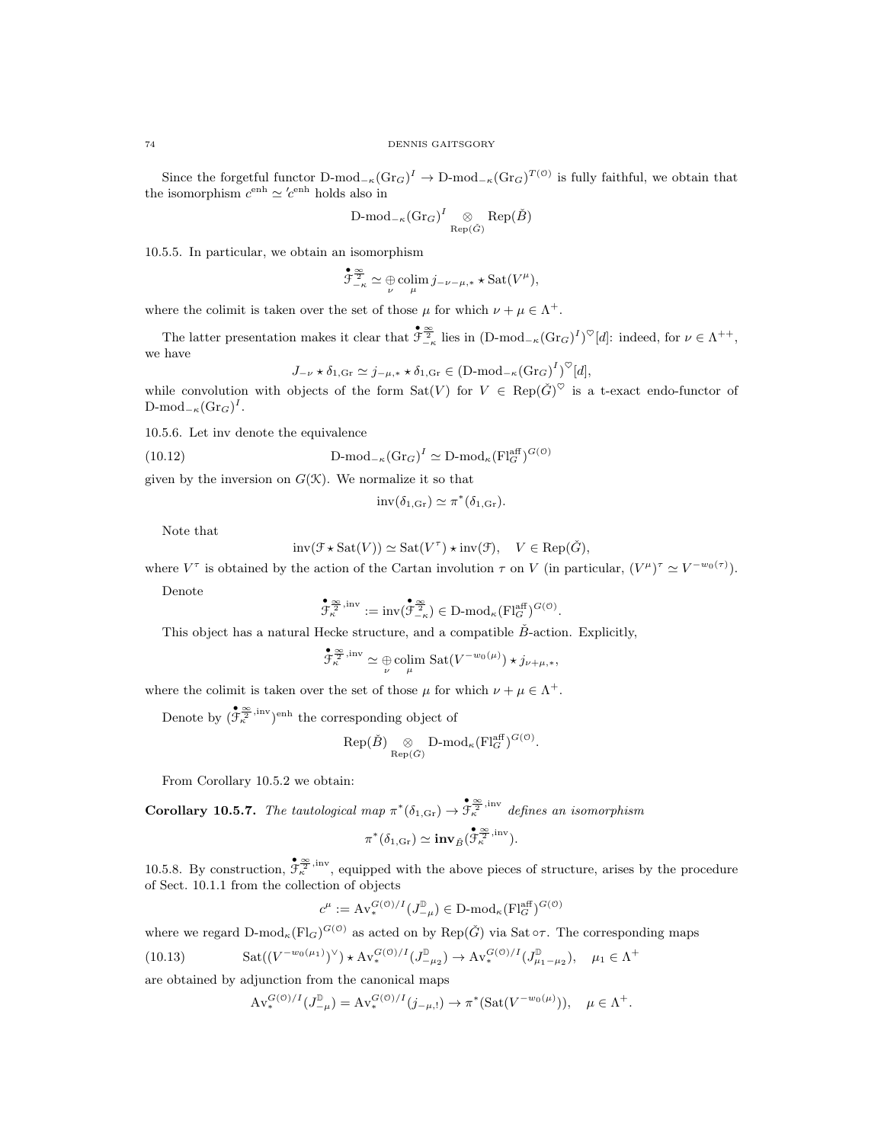Since the forgetful functor  $D\text{-mod}_{-\kappa}(Gr_G)^{\Gamma} \to D\text{-mod}_{-\kappa}(Gr_G)^{T(\mathcal{O})}$  is fully faithful, we obtain that the isomorphism  $c^{\text{enh}} \simeq c^{\text{enh}}$  holds also in

$$
\mathrm{D\text{-}mod}_{-\kappa}(\mathrm{Gr}_G)^I \underset{\mathrm{Rep}(\check{G})}{\otimes} \mathrm{Rep}(\check{B})
$$

10.5.5. In particular, we obtain an isomorphism

$$
\mathcal{F}_{-\kappa}^{\infty} \simeq \bigoplus_{\nu} \mathop{\text{colim}}_{\mu} j_{-\nu-\mu,*} * \mathop{\text{Sat}}(V^{\mu}),
$$

where the colimit is taken over the set of those  $\mu$  for which  $\nu + \mu \in \Lambda^+$ .

The latter presentation makes it clear that  $\mathfrak{F}_{-\kappa}^{\infty}$  lies in  $(D\text{-mod}_{-\kappa}(Gr_G)^I)^{\heartsuit}[d]$ : indeed, for  $\nu \in \Lambda^{++}$ , we have

$$
J_{-\nu} \star \delta_{1,\text{Gr}} \simeq j_{-\mu,*} \star \delta_{1,\text{Gr}} \in (\text{D-mod}_{-\kappa}(\text{Gr}_G)^I)^{\heartsuit}[d],
$$

while convolution with objects of the form  $\text{Sat}(V)$  for  $V \in \text{Rep}(\check{G})^{\heartsuit}$  is a t-exact endo-functor of  $\text{D-mod}_{-\kappa}(\text{Gr}_G)^I.$ 

10.5.6. Let inv denote the equivalence

(10.12) 
$$
D\text{-mod}_{-\kappa}(\text{Gr}_G)^I \simeq D\text{-mod}_{\kappa}(\text{Fl}_G^{\text{aff}})^{G(\mathcal{O})}
$$

given by the inversion on  $G(\mathcal{K})$ . We normalize it so that

$$
inv(\delta_{1,\text{Gr}}) \simeq \pi^*(\delta_{1,\text{Gr}}).
$$

Note that

$$
inv(\mathcal{F} \star \text{Sat}(V)) \simeq \text{Sat}(V^{\tau}) \star inv(\mathcal{F}), \quad V \in \text{Rep}(\check{G}),
$$

where  $V^{\tau}$  is obtained by the action of the Cartan involution  $\tau$  on V (in particular,  $(V^{\mu})^{\tau} \simeq V^{-w_0(\tau)}$ ).

Denote

$$
\overset{\bullet}{\mathcal{F}_{\kappa}^{\frac{\infty}{2},\mathrm{inv}}}:=\mathrm{inv}(\overset{\bullet}{\mathcal{F}_{-\kappa}^{\frac{\infty}{2}}})\in\mathbf{D}\text{-}\mathrm{mod}_{\kappa}(\mathrm{Fl}_{G}^{\mathrm{aff}})^{G(\mathbf{0})}.
$$

This object has a natural Hecke structure, and a compatible  $\check{B}$ -action. Explicitly,

$$
\mathcal{F}_{\kappa}^{\frac{\infty}{2},\mathrm{inv}} \simeq \bigoplus_{\nu} \mathrm{colim}_{\mu} \mathrm{Sat}(V^{-w_0(\mu)}) \star j_{\nu+\mu,*},
$$

where the colimit is taken over the set of those  $\mu$  for which  $\nu + \mu \in \Lambda^+$ .

Denote by  $(\mathfrak{F}_{\kappa}^{\infty}, {\text{inv}})_{\text{enh}}$  the corresponding object of

$$
Rep(\check{B})
$$
  $\underset{Rep(\check{G})}{\otimes} D$ - $mod_{\kappa} (Fl_{G}^{aff})^{G(\mathcal{O})}$ .

From Corollary 10.5.2 we obtain:

**Corollary 10.5.7.** The tautological map  $\pi^*(\delta_{1,\text{Gr}}) \to \mathfrak{F}_{\kappa}^{\infty}$  inv defines an isomorphism

$$
\pi^*(\delta_{1,\text{Gr}})\simeq \text{inv}_{\check{B}}(\overset{\bullet}{\mathcal{F}_{\kappa}^{\underline{\infty}},\text{inv}}).
$$

10.5.8. By construction,  $\mathcal{F}_k^{\infty}$ , inv, equipped with the above pieces of structure, arises by the procedure of Sect. 10.1.1 from the collection of objects

$$
c^\mu:=\operatorname{Av}^{G(\mathcal{O})/I}_*(J^\mathbb{D}_{-\mu})\in \operatorname{D-mod}_\kappa(\operatorname{Fl}^\text{aff}_G)^{G(\mathcal{O})}
$$

where we regard  $D\text{-mod}_{\kappa}(\mathrm{Fl}_G)^{G(\mathcal{O})}$  as acted on by  $\mathrm{Rep}(\check{G})$  via Sat  $\circ\tau$ . The corresponding maps

(10.13) 
$$
Sat((V^{-w_0(\mu_1)})^{\vee}) \star Av_*^{G(0)/I}(J^{\mathbb{D}}_{-\mu_2}) \to Av_*^{G(0)/I}(J^{\mathbb{D}}_{\mu_1-\mu_2}), \quad \mu_1 \in \Lambda^+
$$

are obtained by adjunction from the canonical maps

$$
\mathrm{Av}_{*}^{G(\mathcal{O})/I}(J_{-\mu}^{\mathbb{D}}) = \mathrm{Av}_{*}^{G(\mathcal{O})/I}(j_{-\mu,!}) \to \pi^{*}(\mathrm{Sat}(V^{-w_{0}(\mu)})), \quad \mu \in \Lambda^{+}.
$$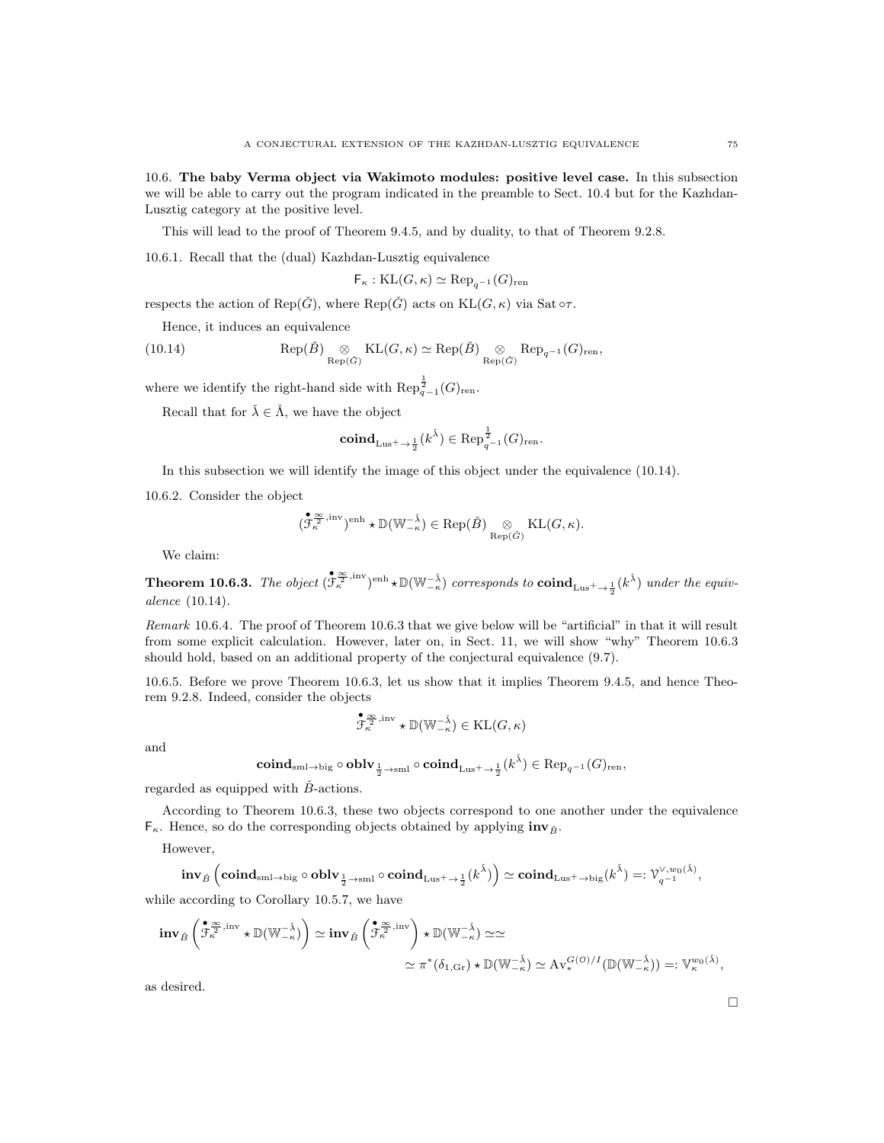10.6. The baby Verma object via Wakimoto modules: positive level case. In this subsection we will be able to carry out the program indicated in the preamble to Sect. 10.4 but for the Kazhdan-Lusztig category at the positive level.

This will lead to the proof of Theorem 9.4.5, and by duality, to that of Theorem 9.2.8.

10.6.1. Recall that the (dual) Kazhdan-Lusztig equivalence

$$
\mathsf{F}_{\kappa} : \mathrm{KL}(G, \kappa) \simeq \mathrm{Rep}_{q^{-1}}(G)_{\mathrm{ren}}
$$

respects the action of Rep( $\check{G}$ ), where Rep( $\check{G}$ ) acts on KL( $G, \kappa$ ) via Sat  $\circ \tau$ .

Hence, it induces an equivalence

(10.14) 
$$
\operatorname{Rep}(\check{B}) \underset{\operatorname{Rep}(\check{G})}{\otimes} \operatorname{KL}(G,\kappa) \simeq \operatorname{Rep}(\check{B}) \underset{\operatorname{Rep}(\check{G})}{\otimes} \operatorname{Rep}_{q^{-1}}(G)_{\operatorname{ren}},
$$

where we identify the right-hand side with  $\mathrm{Rep}_{q-1}^{\frac{1}{2}}(G)_{\text{ren}}$ .

Recall that for  $\check{\lambda} \in \check{\Lambda}$ , we have the object

$$
\mathbf{coind}_{\mathrm{Lus}^+ \to \frac{1}{2}}(k^{\check{\lambda}}) \in \mathrm{Rep}_{q^{-1}}^{\frac{1}{2}}(G)_{\mathrm{ren}}.
$$

In this subsection we will identify the image of this object under the equivalence (10.14).

10.6.2. Consider the object

$$
(\mathring{\mathcal{F}}_{\kappa}^{\frac{\infty}{2}, \mathrm{inv}})^{\mathrm{enh}} \star \mathbb{D}(\mathbb{W}_{-\kappa}^{-\check{\lambda}}) \in \mathrm{Rep}(\check{B}) \underset{\mathrm{Rep}(\check{G})}{\otimes} \mathrm{KL}(G, \kappa).
$$

We claim:

**Theorem 10.6.3.** The object  $(\mathfrak{F}_{\kappa}^{\otimes}^{\otimes}, {\text{inv}})_{\text{enh}} \star \mathbb{D}(\mathbb{W}_{-\kappa}^{-\check{\lambda}})$  corresponds to  $\text{coind}_{\text{Lus}^{\pm} \to \frac{1}{2}}(k^{\check{\lambda}})$  under the equivalence (10.14).

Remark 10.6.4. The proof of Theorem 10.6.3 that we give below will be "artificial" in that it will result from some explicit calculation. However, later on, in Sect. 11, we will show "why" Theorem 10.6.3 should hold, based on an additional property of the conjectural equivalence (9.7).

10.6.5. Before we prove Theorem 10.6.3, let us show that it implies Theorem 9.4.5, and hence Theorem 9.2.8. Indeed, consider the objects

$$
\overset{\bullet}{\mathcal{F}_{\kappa}^{\frac{\infty}{2},\mathrm{inv}}} \star \mathbb{D}(\mathbb{W}_{-\kappa}^{-\check{\lambda}}) \in \mathrm{KL}(G,\kappa)
$$

and

$$
\mathbf{coind}_{\mathbf{sml} \rightarrow \mathbf{big}} \circ \mathbf{oblv}_{\frac{1}{2} \rightarrow \mathbf{sml}} \circ \mathbf{coind}_{\mathbf{Lus}^+ \rightarrow \frac{1}{2}}(k^{\check{\lambda}}) \in \mathbf{Rep}_{q^{-1}}(G)_{\mathbf{ren}},
$$

regarded as equipped with  $\check{B}$ -actions.

According to Theorem 10.6.3, these two objects correspond to one another under the equivalence  $F_{\kappa}$ . Hence, so do the corresponding objects obtained by applying  $\mathbf{inv}_{\tilde{B}}$ .

However,

$$
\mathop{\bf inv}_{\check B}\left(\mathop{\bf coind}\nolimits_{\mathrm{sml}\to\mathrm{big}}\circ\mathop{\bf oblv}\nolimits_{\frac{1}{2}\to\mathrm{sml}}\circ\mathop{\bf coind}\nolimits_{\mathrm{Lus}^+ \to \frac{1}{2}}(k^{\check\lambda})\right)\simeq\mathop{\bf coind}\nolimits_{\mathrm{Lus}^+ \to \mathrm{big}}(k^{\check\lambda})=:\mathcal V^{\vee, w_0(\check\lambda)}_{q^{-1}},
$$

while according to Corollary 10.5.7, we have

$$
\mathop{\bf inv}_{\tilde{B}}\left(\mathring{\mathcal{F}}_{\kappa}^{\frac{\infty}{2},\mathrm{inv}}\star\mathbb{D}(\mathbb{W}_{-\kappa}^{-\check{\lambda}})\right)\simeq\mathop{\bf inv}_{\tilde{B}}\left(\mathring{\mathcal{F}}_{\kappa}^{\frac{\infty}{2},\mathrm{inv}}\right)\star\mathbb{D}(\mathbb{W}_{-\kappa}^{-\check{\lambda}})\simeq\simeq\\\simeq\pi^*(\delta_{1,\mathrm{Gr}})\star\mathbb{D}(\mathbb{W}_{-\kappa}^{-\check{\lambda}})\simeq\mathrm{Av}_{*}^{G(\mathbb{O})/I}(\mathbb{D}(\mathbb{W}_{-\kappa}^{-\check{\lambda}}))=:\mathbb{V}_{\kappa}^{w_0(\check{\lambda})},
$$

as desired.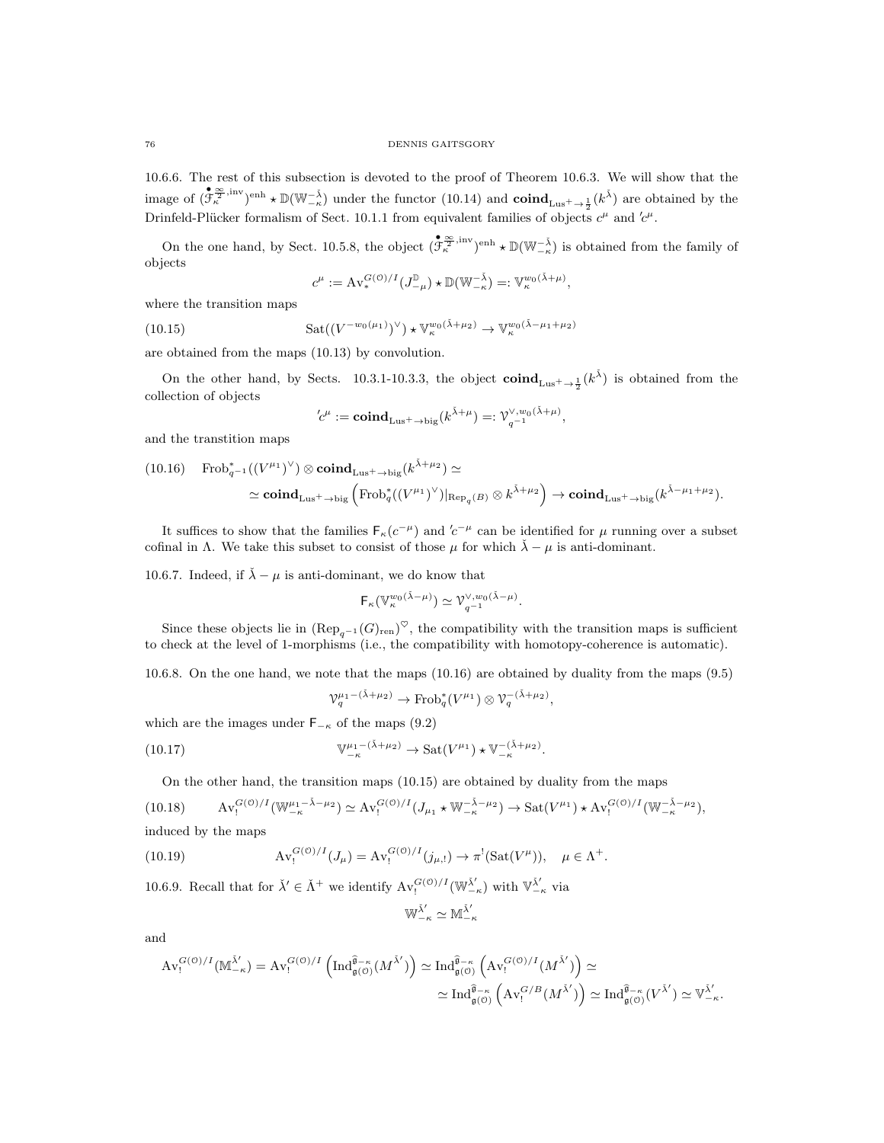10.6.6. The rest of this subsection is devoted to the proof of Theorem 10.6.3. We will show that the image of  $(\mathfrak{F}_{\kappa}^{\otimes}^{\mathfrak{Z},\text{inv}})_{\text{enh}} \star \mathbb{D}(\mathbb{W}_{-\kappa}^{-\tilde{\lambda}})$  under the functor  $(10.14)$  and  $\text{coind}_{Lus^+\to \frac{1}{2}}(k^{\tilde{\lambda}})$  are obtained by the Drinfeld-Plücker formalism of Sect. 10.1.1 from equivalent families of objects  $c^{\mu}$  and  $c^{\mu}$ .

On the one hand, by Sect. 10.5.8, the object  $(\mathcal{F}_{\kappa}^{\mathfrak{S}_{\hat{\kappa}}}^{\mathfrak{S}_{\hat{\kappa}}}^{\text{inv}})_{\text{enh}} \star \mathbb{D}(\mathbb{W}_{-\kappa}^{-\check{\lambda}})$  is obtained from the family of objects

$$
c^{\mu} := \mathrm{Av}_{*}^{G(\mathcal{O})/I}(J_{-\mu}^{\mathbb{D}}) \star \mathbb{D}(\mathbb{W}_{-\kappa}^{-\check{\lambda}}) =: \mathbb{V}_{\kappa}^{w_{0}(\check{\lambda}+\mu)},
$$

where the transition maps

(10.15) 
$$
\operatorname{Sat}((V^{-w_0(\mu_1)})^{\vee}) \star \mathbb{V}_{\kappa}^{w_0(\lambda+\mu_2)} \to \mathbb{V}_{\kappa}^{w_0(\lambda-\mu_1+\mu_2)}
$$

are obtained from the maps (10.13) by convolution.

On the other hand, by Sects. 10.3.1-10.3.3, the object  $\mathbf{coind}_{Lus^+\to \frac{1}{2}}(k^{\check{\lambda}})$  is obtained from the collection of objects

$$
'c^{\mu}
$$
 :=  $\operatorname{coind}_{Lus^+ \to big}(k^{\tilde{\lambda}+\mu}) =: \mathcal{V}_{q^{-1}}^{\vee, w_0(\tilde{\lambda}+\mu)},$ 

and the transtition maps

(10.16) 
$$
\operatorname{Frob}_{q^{-1}}^*((V^{\mu_1})^{\vee}) \otimes \operatorname{coind}_{Lus^+ \to big}(k^{\bar{\lambda}+\mu_2}) \simeq
$$
  

$$
\simeq \operatorname{coind}_{Lus^+ \to big}(\operatorname{Frob}_q^*((V^{\mu_1})^{\vee})|_{\operatorname{Rep}_q(B)} \otimes k^{\bar{\lambda}+\mu_2}) \to \operatorname{coind}_{Lus^+ \to big}(k^{\bar{\lambda}-\mu_1+\mu_2}).
$$

It suffices to show that the families  $F_{\kappa}(c^{-\mu})$  and  $c^{-\mu}$  can be identified for  $\mu$  running over a subset cofinal in Λ. We take this subset to consist of those  $\mu$  for which  $\lambda - \mu$  is anti-dominant.

10.6.7. Indeed, if  $\check{\lambda} - \mu$  is anti-dominant, we do know that

$$
\mathsf{F}_{\kappa}(\mathbb{V}_{\kappa}^{w_0(\check{\lambda}-\mu)}) \simeq \mathcal{V}_{q^{-1}}^{\vee, w_0(\check{\lambda}-\mu)}.
$$

Since these objects lie in  $(\text{Rep}_{q^{-1}}(G)_{\text{ren}})^\heartsuit$ , the compatibility with the transition maps is sufficient to check at the level of 1-morphisms (i.e., the compatibility with homotopy-coherence is automatic).

10.6.8. On the one hand, we note that the maps (10.16) are obtained by duality from the maps (9.5)

$$
\mathcal{V}_q^{\mu_1 - (\check{\lambda} + \mu_2)} \to \operatorname{Frob}_q^*(V^{\mu_1}) \otimes \mathcal{V}_q^{-(\check{\lambda} + \mu_2)},
$$

.

which are the images under  $F_{-\kappa}$  of the maps (9.2)

(10.17) 
$$
\mathbb{V}^{\mu_1-(\check{\lambda}+\mu_2)}_{-\kappa} \to \text{Sat}(V^{\mu_1}) \star \mathbb{V}^{-(\check{\lambda}+\mu_2)}_{-\kappa}
$$

On the other hand, the transition maps (10.15) are obtained by duality from the maps

(10.18) 
$$
Av_!^{G(\mathcal{O})/I}(\mathbb{W}^{\mu_1-\tilde{\lambda}-\mu_2}_{-\kappa}) \simeq Av_!^{G(\mathcal{O})/I}(J_{\mu_1} \star \mathbb{W}^{-\tilde{\lambda}-\mu_2}_{-\kappa}) \to \text{Sat}(V^{\mu_1}) \star Av_!^{G(\mathcal{O})/I}(\mathbb{W}^{-\tilde{\lambda}-\mu_2}_{-\kappa}),
$$
 induced by the maps

induced by the maps

(10.19) 
$$
Av_!^{G(0)/I}(J_\mu) = Av_!^{G(0)/I}(j_{\mu,!}) \to \pi^!(Sat(V^\mu)), \quad \mu \in \Lambda^+.
$$

10.6.9. Recall that for  $\check{\lambda}' \in \check{\Lambda}^+$  we identify  $Av_!^{G(0)/I}(\mathbb{W}_{-\kappa}^{\check{\lambda}'})$  with  $\mathbb{V}_{-\kappa}^{\check{\lambda}'}$  via

$$
\mathbb{W}^{\check{\lambda}'}_{-\kappa}\simeq \mathbb{M}^{\check{\lambda}'}_{-\kappa}
$$

and

$$
\operatorname{Av}_{!}^{G(\mathcal{O})/I}(\mathbb{M}_{-\kappa}^{\underline{\lambda}'} ) = \operatorname{Av}_{!}^{G(\mathcal{O})/I} \left( \operatorname{Ind}_{\mathfrak{g}(\mathcal{O})}^{\widehat{\mathfrak{g}}_{-\kappa}}(M^{\check{\lambda}'}) \right) \simeq \operatorname{Ind}_{\mathfrak{g}(\mathcal{O})}^{\widehat{\mathfrak{g}}_{-\kappa}} \left( \operatorname{Av}_{!}^{G(\mathcal{O})/I}(M^{\check{\lambda}'}) \right) \simeq \\ \simeq \operatorname{Ind}_{\mathfrak{g}(\mathcal{O})}^{\widehat{\mathfrak{g}}_{-\kappa}} \left( \operatorname{Av}_{!}^{G/B}(M^{\check{\lambda}'}) \right) \simeq \operatorname{Ind}_{\mathfrak{g}(\mathcal{O})}^{\widehat{\mathfrak{g}}_{-\kappa}}(V^{\check{\lambda}'}) \simeq \mathbb{V}_{-\kappa}^{\check{\lambda}'}.
$$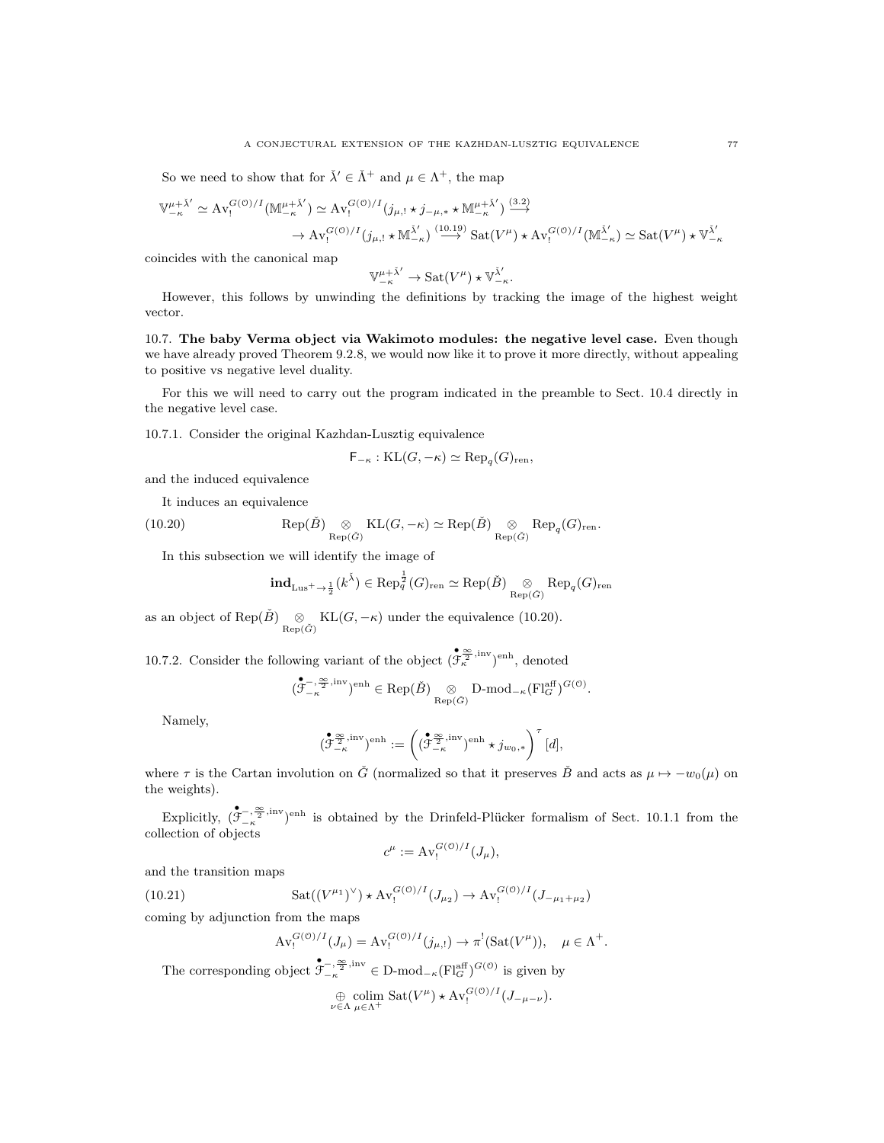So we need to show that for  $\check{\lambda}' \in \check{\Lambda}^+$  and  $\mu \in \Lambda^+$ , the map

$$
\mathbb{V}_{-\kappa}^{\mu+\tilde{\lambda}'} \simeq \operatorname{Av}_{!}^{G(0)/I}(\mathbb{M}_{-\kappa}^{\mu+\tilde{\lambda}'}) \simeq \operatorname{Av}_{!}^{G(0)/I}(j_{\mu,!} \star j_{-\mu,*} \star \mathbb{M}_{-\kappa}^{\mu+\tilde{\lambda}'}) \stackrel{(3.2)}{\longrightarrow} \to \operatorname{Av}_{!}^{G(0)/I}(j_{\mu,!} \star \mathbb{M}_{-\kappa}^{\tilde{\lambda}'}) \stackrel{(10.19)}{\longrightarrow} \operatorname{Sat}(V^{\mu}) \star \operatorname{Av}_{!}^{G(0)/I}(\mathbb{M}_{-\kappa}^{\tilde{\lambda}'}) \simeq \operatorname{Sat}(V^{\mu}) \star \mathbb{V}_{-\kappa}^{\tilde{\lambda}'}
$$

coincides with the canonical map

$$
\mathbb{V}^{\mu+\check{\lambda}'}_{-\kappa}\to \mathrm{Sat}(V^{\mu})\star \mathbb{V}^{\check{\lambda}'}_{-\kappa}.
$$

However, this follows by unwinding the definitions by tracking the image of the highest weight vector.

10.7. The baby Verma object via Wakimoto modules: the negative level case. Even though we have already proved Theorem 9.2.8, we would now like it to prove it more directly, without appealing to positive vs negative level duality.

For this we will need to carry out the program indicated in the preamble to Sect. 10.4 directly in the negative level case.

10.7.1. Consider the original Kazhdan-Lusztig equivalence

$$
\mathsf{F}_{-\kappa} : \mathrm{KL}(G, -\kappa) \simeq \mathrm{Rep}_q(G)_{\mathrm{ren}},
$$

and the induced equivalence

It induces an equivalence

(10.20) 
$$
\operatorname{Rep}(\check{B}) \underset{\operatorname{Rep}(\check{G})}{\otimes} \operatorname{KL}(G, -\kappa) \simeq \operatorname{Rep}(\check{B}) \underset{\operatorname{Rep}(\check{G})}{\otimes} \operatorname{Rep}_q(G)_{\operatorname{ren}}.
$$

In this subsection we will identify the image of

$$
{\rm \bf ind}_{\rm Lus^+ \rightarrow \frac{1}{2}}(k^{\check\lambda}) \in {\rm Rep}_q^{\frac{1}{2}}(G)_{\rm ren} \simeq {\rm Rep}({\check B}) \underset{{\rm Rep}({\check G})}{\otimes} {\rm Rep}_q(G)_{\rm ren}
$$

as an object of Rep( $\check{B}$ )  $\underset{\text{Rep}(\check{G})}{\otimes}$  KL( $G, -\kappa$ ) under the equivalence (10.20).

10.7.2. Consider the following variant of the object  $(\mathfrak{F}_{\kappa}^{\infty})^{\text{inv}}$ <sup>enh</sup>, denoted

$$
(\overset{\bullet}{\mathcal{F}}^{-,\frac{\infty}{2}, \mathrm{inv}}_{-\kappa})^{\mathrm{enh}} \in \mathrm{Rep}(\check{B}) \underset{\mathrm{Rep}(\check{G})}{\otimes} \mathrm{D-mod}_{-\kappa}(\mathrm{Fl}^{\mathrm{aff}}_G)^{G(\mathbf{0})}.
$$

Namely,

$$
(\mathring{\mathcal{F}}_{-\kappa}^{\frac{\infty}{2},\mathrm{inv}})^{\mathrm{enh}}:=\left((\mathring{\mathcal{F}}_{-\kappa}^{\frac{\infty}{2},\mathrm{inv}})^{\mathrm{enh}}\star j_{w_0,*}\right)^{\tau}[d],
$$

where  $\tau$  is the Cartan involution on  $\check{G}$  (normalized so that it preserves  $\check{B}$  and acts as  $\mu \mapsto -w_0(\mu)$  on the weights).

Explicitly,  $(\sum_{k=1}^{\infty}$ ,  $(\sum_{k=1}^{\infty}$ , inv enh is obtained by the Drinfeld-Plücker formalism of Sect. 10.1.1 from the  $\text{collection of objects}$ 

$$
c^{\mu} := \operatorname{Av}_{!}^{G(\mathcal{O})/I}(J_{\mu}),
$$

and the transition maps

(10.21) 
$$
Sat((V^{\mu_1})^{\vee}) \star Av_!^{G(\mathcal{O})/I}(J_{\mu_2}) \to Av_!^{G(\mathcal{O})/I}(J_{-\mu_1+\mu_2})
$$

coming by adjunction from the maps

$$
\operatorname{Av}^{G(\mathcal{O})/I}_! (J_\mu) = \operatorname{Av}^{G(\mathcal{O})/I}_! (j_{\mu, !}) \to \pi^! (\operatorname{Sat}(V^\mu)), \quad \mu \in \Lambda^+.
$$

The corresponding object  $\mathfrak{F}^{-,\frac{\infty}{2},\text{inv}}_{-\kappa} \in \mathcal{D}\text{-mod}_{-\kappa}(\mathcal{F}\text{H}^{\text{aff}}_{G})^{G(\mathcal{O})}$  is given by

$$
\bigoplus_{\nu \in \Lambda} \underset{\mu \in \Lambda^+}{\text{colim}} \ \text{Sat}(V^{\mu}) \star \text{Av}_{!}^{G(0)/I}(J_{-\mu-\nu}).
$$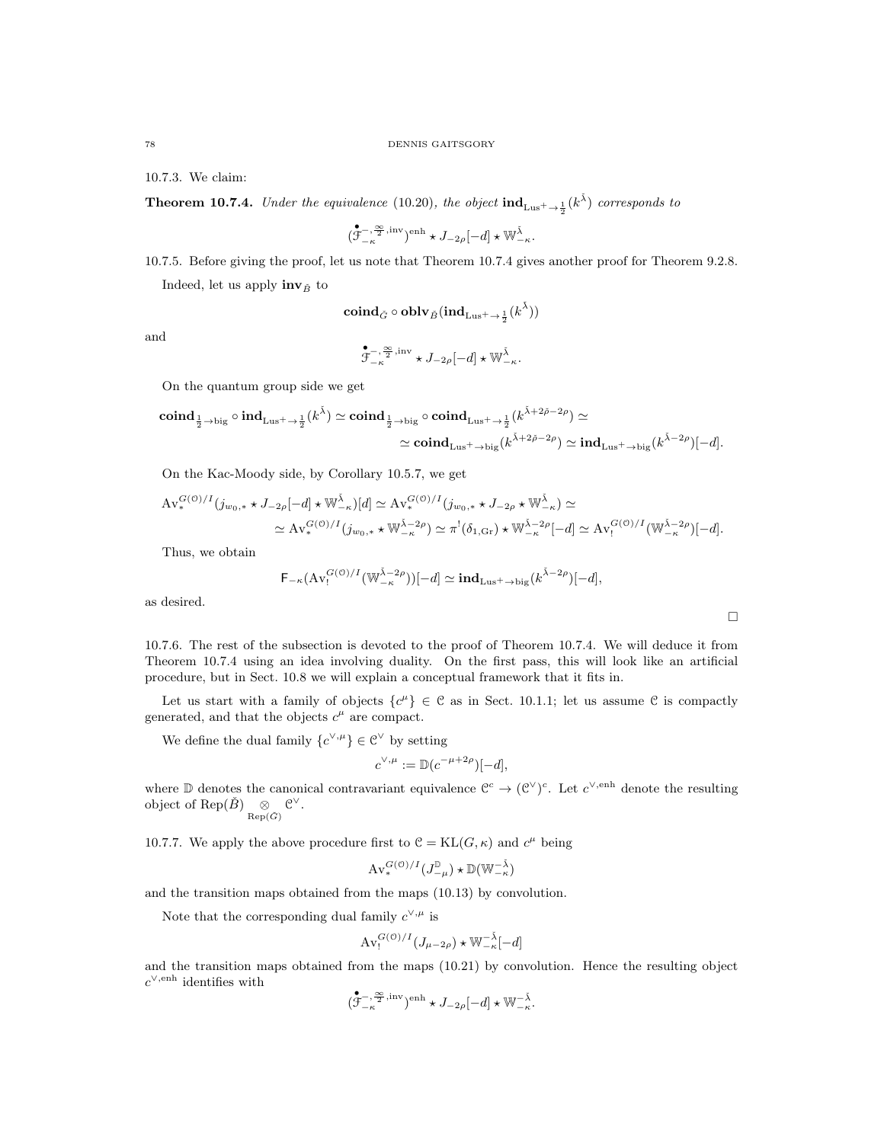10.7.3. We claim:

**Theorem 10.7.4.** Under the equivalence (10.20), the object  $\text{ind}_{Lus^+ \to \frac{1}{2}}(k^{\tilde{\lambda}})$  corresponds to

$$
\big(\overset{\bullet}{\mathcal{F}}^{-,\frac{\infty}{2},\mathrm{inv}}_{-\kappa}\big)^{\mathrm{enh}}\star J_{-2\rho}[-d]\star\mathbb{W}^{\check{\lambda}}_{-\kappa}.
$$

10.7.5. Before giving the proof, let us note that Theorem 10.7.4 gives another proof for Theorem 9.2.8. Indeed, let us apply  $\text{inv}_{\check{B}}$  to

$$
\operatorname{\mathbf{coind}}_{\check G}\circ\operatorname{\mathbf{oblv}}_{\check B}(\operatorname{\mathbf{ind}}_{\mathrm{Lus}^+ \to \frac{1}{2}}(k^{\check\lambda}))
$$

and

$$
\overset{\bullet}{\mathcal{F}}^{-,\frac{\infty}{2}, {\rm inv}}_{-\kappa}\star J_{-2\rho}[-d]\star \mathbb{W}^{\check{\lambda}}_{-\kappa}.
$$

On the quantum group side we get

$$
\operatorname{coind}_{\frac{1}{2}\to\operatorname{big}}\circ\operatorname{ind}_{\operatorname{Lus}^+\to\frac{1}{2}}(k^{\check{\lambda}})\simeq \operatorname{coind}_{\frac{1}{2}\to\operatorname{big}}\circ\operatorname{coind}_{\operatorname{Lus}^+\to\frac{1}{2}}(k^{\check{\lambda}+2\check{\rho}-2\rho})\simeq\\ \simeq \operatorname{coind}_{\operatorname{Lus}^+\to\operatorname{big}}(k^{\check{\lambda}+2\check{\rho}-2\rho})\simeq \operatorname{ind}_{\operatorname{Lus}^+\to\operatorname{big}}(k^{\check{\lambda}-2\rho})[-d].
$$

On the Kac-Moody side, by Corollary 10.5.7, we get

$$
\begin{split} \mathrm{Av}_{*}^{G(\mathcal{O})/I}(j_{w_{0},*} \star J_{-2\rho}[-d] \star \mathbb{W}_{-\kappa}^{\tilde{\lambda}})[d] &\simeq \mathrm{Av}_{*}^{G(\mathcal{O})/I}(j_{w_{0},*} \star J_{-2\rho} \star \mathbb{W}_{-\kappa}^{\tilde{\lambda}}) \simeq \\ &\simeq \mathrm{Av}_{*}^{G(\mathcal{O})/I}(j_{w_{0},*} \star \mathbb{W}_{-\kappa}^{\tilde{\lambda}-2\rho}) \simeq \pi^{!}(\delta_{1,\mathrm{Gr}}) \star \mathbb{W}_{-\kappa}^{\tilde{\lambda}-2\rho}[-d] \simeq \mathrm{Av}_{!}^{G(\mathcal{O})/I}(\mathbb{W}_{-\kappa}^{\tilde{\lambda}-2\rho})[-d]. \end{split}
$$

Thus, we obtain

$$
\mathsf{F}_{-\kappa}(\mathrm{Av}^{G(\mathcal{O})/I}_{!}(\mathbb{W}^{\tilde{\lambda}-2\rho}_{-\kappa}))[-d] \simeq \mathrm{\mathbf{ind}}_{\mathrm{Lus}^+\to \mathrm{big}}(k^{\tilde{\lambda}-2\rho})[-d],
$$

 $\Box$ 

as desired.

10.7.6. The rest of the subsection is devoted to the proof of Theorem 10.7.4. We will deduce it from Theorem 10.7.4 using an idea involving duality. On the first pass, this will look like an artificial procedure, but in Sect. 10.8 we will explain a conceptual framework that it fits in.

Let us start with a family of objects  $\{c^{\mu}\}\in\mathcal{C}$  as in Sect. 10.1.1; let us assume  $\mathcal{C}$  is compactly generated, and that the objects  $c^{\mu}$  are compact.

We define the dual family  $\{c^{\vee,\mu}\}\in \mathcal{C}^{\vee}$  by setting

$$
c^{\vee,\mu} := \mathbb{D}(c^{-\mu+2\rho})[-d],
$$

where  $\mathbb D$  denotes the canonical contravariant equivalence  $\mathbb C^c \to (\mathbb C^{\vee})^c$ . Let  $c^{\vee, \text{enh}}$  denote the resulting object of Rep( $\check{B}$ )  $\underset{\text{Rep}(\check{G})}{\otimes} \mathfrak{C}^{\vee}$ .

10.7.7. We apply the above procedure first to  $\mathcal{C} = KL(G, \kappa)$  and  $c^{\mu}$  being

$$
\operatorname{Av}^{G(\mathcal{O})/I}_*(J^{\mathbb{D}}_{-\mu}) \star \mathbb{D}(\mathbb{W}_{-\kappa}^{-\check{\lambda}})
$$

and the transition maps obtained from the maps (10.13) by convolution.

Note that the corresponding dual family  $c^{\vee,\mu}$  is

$$
\operatorname{Av}_{!}^{G(\mathcal{O})/I}(J_{\mu-2\rho}) \star \mathbb{W}_{-\kappa}^{-\check{\lambda}}[-d]
$$

and the transition maps obtained from the maps (10.21) by convolution. Hence the resulting object  $c^{\vee, \text{enh}}$  identifies with

$$
(\overset{\bullet}{\mathcal{F}}^{-,\frac{\infty}{2}, \mathrm{inv}}_{-\kappa})^{\mathrm{enh}} \star J_{-2\rho}[-d] \star \mathbb{W}_{-\kappa}^{-\check{\lambda}}.
$$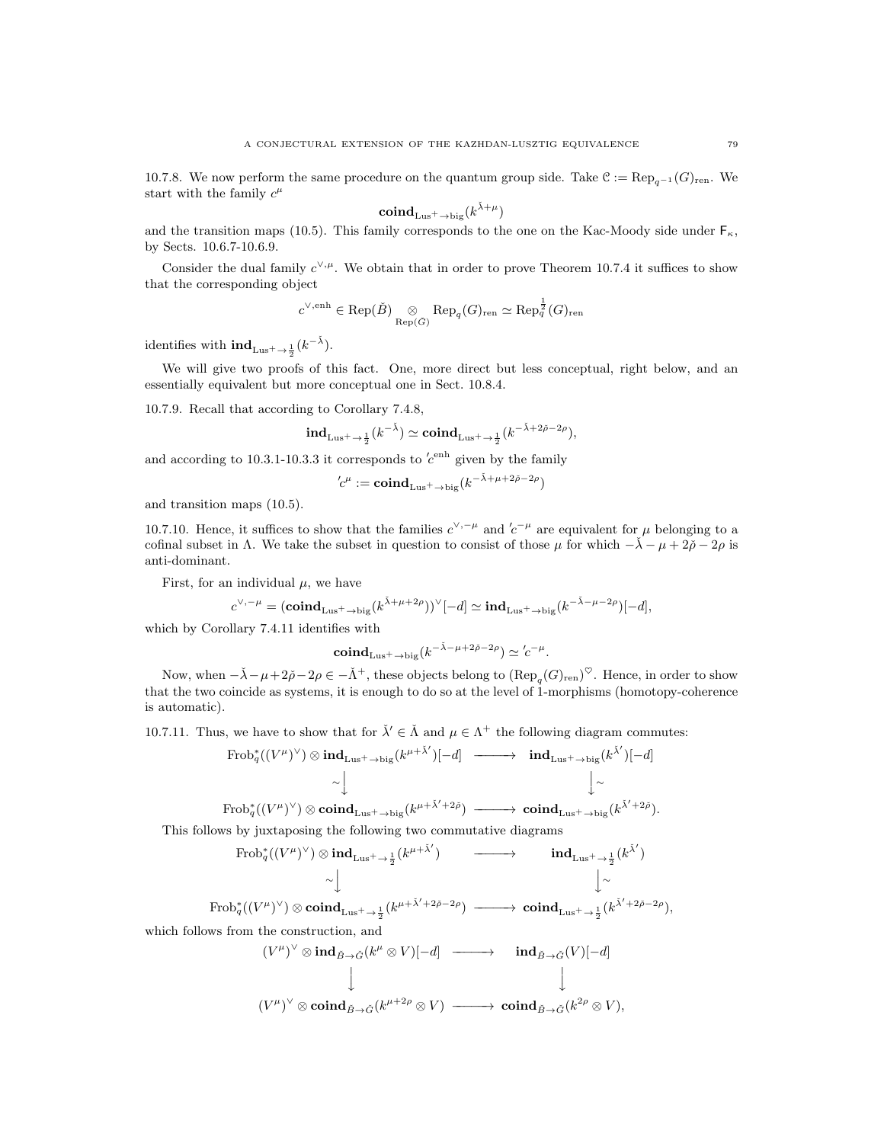10.7.8. We now perform the same procedure on the quantum group side. Take  $C := \text{Rep}_{q-1}(G)_{\text{ren}}$ . We start with the family  $c^{\mu}$ 

$$
\mathbf{coind}_{\mathrm{Lus}^+ \to \mathrm{big}}(k^{\check{\lambda} + \mu})
$$

and the transition maps (10.5). This family corresponds to the one on the Kac-Moody side under  $F_{\kappa}$ , by Sects. 10.6.7-10.6.9.

Consider the dual family  $c^{\vee,\mu}$ . We obtain that in order to prove Theorem 10.7.4 it suffices to show that the corresponding object

$$
c^{\vee,\mathrm{enh}}\in \mathrm{Rep}(\check{B})\underset{\mathrm{Rep}(\check{G})}{\otimes}\mathrm{Rep}_q(G)_{\mathrm{ren}}\simeq \mathrm{Rep}_q^{\frac{1}{2}}(G)_{\mathrm{ren}}
$$

identifies with  $\textbf{ind}_{Lus^+ \to \frac{1}{2}}(k^{-\check{\lambda}})$ .

We will give two proofs of this fact. One, more direct but less conceptual, right below, and an essentially equivalent but more conceptual one in Sect. 10.8.4.

10.7.9. Recall that according to Corollary 7.4.8,

$$
\mathrm{ind}_{\mathrm{Lus}^+ \to \frac{1}{2}}(k^{-\check\lambda}) \simeq \mathrm{\mathbf{coind}}_{\mathrm{Lus}^+ \to \frac{1}{2}}(k^{-\check\lambda + 2\check\rho - 2\rho}),
$$

and according to 10.3.1-10.3.3 it corresponds to  $c^{\text{enh}}$  given by the family

$$
'c^\mu := \mathbf{coind}_{Lus^+ \to big}(k^{-\check\lambda + \mu + 2\check\rho - 2\rho})
$$

and transition maps (10.5).

10.7.10. Hence, it suffices to show that the families  $c^{\vee,-\mu}$  and  $c^{-\mu}$  are equivalent for  $\mu$  belonging to a cofinal subset in Λ. We take the subset in question to consist of those  $\mu$  for which  $-\lambda - \mu + 2\rho - 2\rho$  is anti-dominant.

First, for an individual  $\mu$ , we have

$$
c^{\vee,-\mu} = (\mathbf{coind}_{\mathrm{Lus}^+ \to \mathrm{big}}(k^{\tilde{\lambda}+\mu+2\rho}))^{\vee}[-d] \simeq \mathbf{ind}_{\mathrm{Lus}^+ \to \mathrm{big}}(k^{-\tilde{\lambda}-\mu-2\rho})[-d],
$$

which by Corollary 7.4.11 identifies with

$$
\mathbf{coind}_{\mathrm{Lus}^+ \to \mathrm{big}} (k^{-\check{\lambda} - \mu + 2\check{\rho} - 2\rho}) \simeq {^\prime c^{-\mu}}.
$$

Now, when  $-\check{\lambda} - \mu + 2\check{\rho} - 2\rho \in -\check{\Lambda}^+$ , these objects belong to  $(\text{Rep}_q(G)_{\text{ren}})^\heartsuit$ . Hence, in order to show that the two coincide as systems, it is enough to do so at the level of 1-morphisms (homotopy-coherence is automatic).

10.7.11. Thus, we have to show that for  $\check{\lambda}' \in \check{\Lambda}$  and  $\mu \in \Lambda^+$  the following diagram commutes:

$$
\text{Frob}_{q}^{*}((V^{\mu})^{\vee}) \otimes \text{ind}_{\text{Lus}^{+} \to \text{big}}(k^{\mu+\tilde{\lambda}'})[-d] \longrightarrow \text{ind}_{\text{Lus}^{+} \to \text{big}}(k^{\tilde{\lambda}'})[-d]
$$
  
\n
$$
\sim \downarrow \qquad \qquad \downarrow \sim
$$

 $\mathrm{Frob}_q^\ast((V^\mu)^\vee) \otimes \mathbf{coind}_{\mathrm{Lus}^+ \to \mathrm{big}}(k)$  $^{\mu + \check\lambda' + 2\check\rho}) \;\longrightarrow\; \mathbf{coind}_{\mathrm{Lus}^+ \to \mathrm{big}}(k)$ ).

This follows by juxtaposing the following two commutative diagrams

$$
\begin{array}{ccc}\n\text{Frob}_{q}^*((V^{\mu})^{\vee})\otimes\text{ind}_{\text{Lus}^{+}\to\frac{1}{2}}(k^{\mu+\check{\lambda}'}) & \longrightarrow & \text{ind}_{\text{Lus}^{+}\to\frac{1}{2}}(k^{\check{\lambda}'})\\ & \sim \bigcup\limits_{\text{Frob}_{q}^*((V^{\mu})^{\vee})\otimes\text{coind}_{\text{Lus}^{+}\to\frac{1}{2}}(k^{\mu+\check{\lambda}'+2\check{\rho}-2\rho}) & \longrightarrow & \text{coind}_{\text{Lus}^{+}\to\frac{1}{2}}(k^{\check{\lambda}'+2\check{\rho}-2\rho}),\n\end{array}
$$

which follows from the construction, and

$$
(V^{\mu})^{\vee} \otimes \operatorname{ind}_{\tilde{B} \to \tilde{G}}(k^{\mu} \otimes V)[-d] \longrightarrow \operatorname{ind}_{\tilde{B} \to \tilde{G}}(V)[-d]
$$
  
\n
$$
\downarrow \qquad \qquad \downarrow
$$
  
\n
$$
(V^{\mu})^{\vee} \otimes \operatorname{coind}_{\tilde{B} \to \tilde{G}}(k^{\mu+2\rho} \otimes V) \longrightarrow \operatorname{coind}_{\tilde{B} \to \tilde{G}}(k^{2\rho} \otimes V),
$$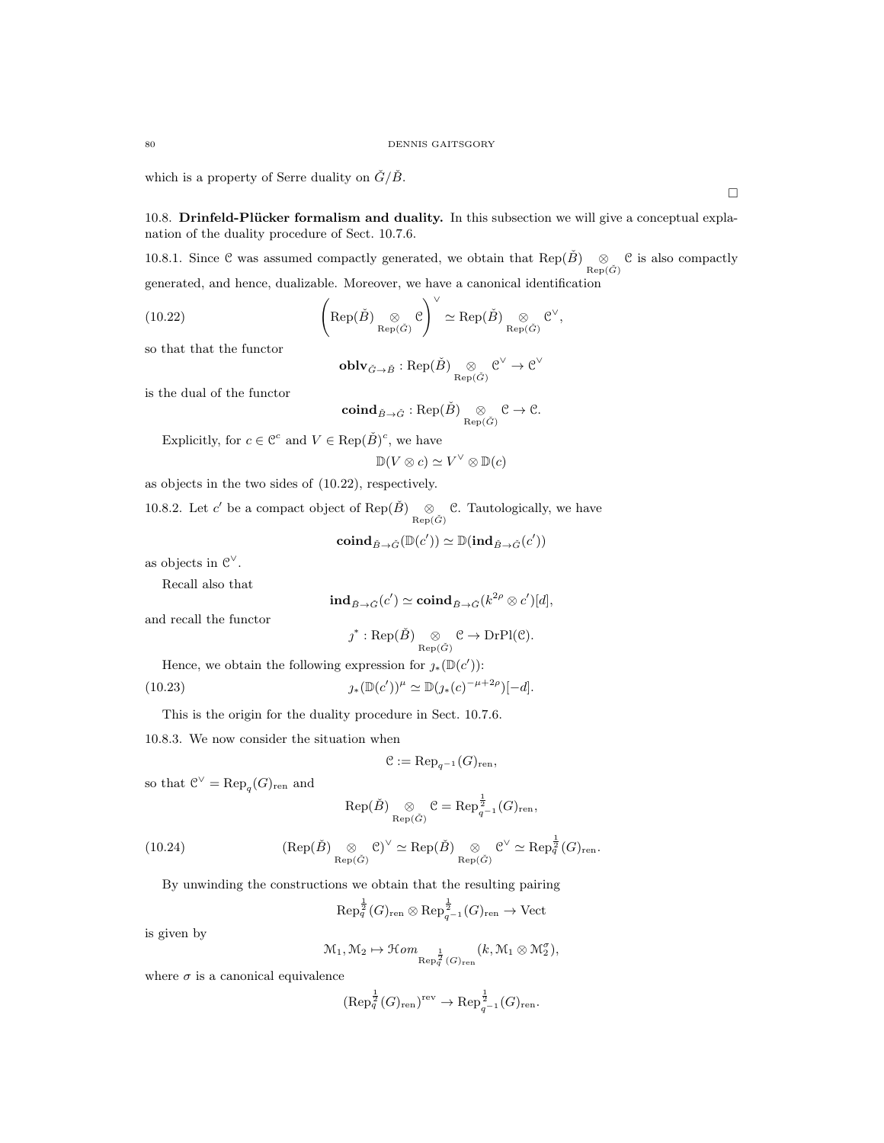which is a property of Serre duality on  $\check{G}/\check{B}$ .

10.8. Drinfeld-Plücker formalism and duality. In this subsection we will give a conceptual explanation of the duality procedure of Sect. 10.7.6.

10.8.1. Since C was assumed compactly generated, we obtain that Rep( $\check{B}$ )  $\otimes_{\text{Rep}(\check{G})}$  C is also compactly generated, and hence, dualizable. Moreover, we have a canonical identification

!<sup>∨</sup>

(10.22) 
$$
\left(\text{Rep}(\check{B})\underset{\text{Rep}(\check{G})}{\otimes} \mathcal{C}\right)^{\vee} \simeq \text{Rep}(\check{B})\underset{\text{Rep}(\check{G})}{\otimes} \mathcal{C}^{\vee},
$$

so that that the functor

$$
\operatorname{\textbf{oblv}}_{\check{G}\to \check{B}}:\operatorname{Rep}(\check{B})\underset{\operatorname{Rep}(\check{G})}{\otimes} \mathcal{C}^\vee\to \mathcal{C}^\vee
$$

is the dual of the functor

$$
\mathbf{coind}_{\check{B}\to \check{G}} : \mathrm{Rep}(\check{B}) \underset{\mathrm{Rep}(\check{G})}{\otimes} \mathcal{C} \to \mathcal{C}.
$$

Explicitly, for  $c \in \mathbb{C}^c$  and  $V \in \text{Rep}(\check{B})^c$ , we have

$$
\mathbb{D}(V \otimes c) \simeq V^{\vee} \otimes \mathbb{D}(c)
$$

as objects in the two sides of (10.22), respectively.

10.8.2. Let c' be a compact object of Rep( $\check{B}$ )  $\underset{\text{Rep}(\check{G})}{\otimes}$  C. Tautologically, we have  $\sim$   $\sim$ 

$$
\mathop{\mathrm{\bf coind}}\nolimits_{\check B\to \check G}(\mathbb D(c'))\simeq \mathbb D(\mathop{\mathrm{\bf ind}}\nolimits_{\check B\to \check G}(c'))
$$

as objects in  $\mathcal{C}^{\vee}$ .

Recall also that

$$
\mathbf{ind}_{\check B\rightarrow \check G}(c')\simeq \mathbf{coind}_{\check B\rightarrow \check G}(k^{2\rho}\otimes c')[d],
$$

and recall the functor

$$
\jmath^* : \text{Rep}(\check{B}) \underset{\text{Rep}(\check{G})}{\otimes} \mathcal{C} \to \text{DrPl}(\mathcal{C}).
$$

Hence, we obtain the following expression for  $\jmath_*(\mathbb{D}(c'))$ :

(10.23) 
$$
\jmath_*(\mathbb{D}(c'))^{\mu} \simeq \mathbb{D}(\jmath_*(c)^{-\mu+2\rho})[-d].
$$

This is the origin for the duality procedure in Sect. 10.7.6.

10.8.3. We now consider the situation when

$$
\mathcal{C} := \mathrm{Rep}_{q^{-1}}(G)_{\mathrm{ren}},
$$

so that  $\mathcal{C}^{\vee} = \text{Rep}_q(G)_{\text{ren}}$  and

$$
\text{Rep}(\check{B})\underset{\text{Rep}(\check{G})}{\otimes}\mathcal{C}=\text{Rep}_{q^{-1}}^{\frac{1}{2}}(G)_{\text{ren}},
$$

(10.24) 
$$
(\text{Rep}(\check{B}) \underset{\text{Rep}(\check{G})}{\otimes} \mathcal{C})^{\vee} \simeq \text{Rep}(\check{B}) \underset{\text{Rep}(\check{G})}{\otimes} \mathcal{C}^{\vee} \simeq \text{Rep}_{q}^{\frac{1}{2}}(G)_{\text{ren}}.
$$

By unwinding the constructions we obtain that the resulting pairing

$$
\text{Rep}_q^{\frac{1}{2}}(G)_{\text{ren}} \otimes \text{Rep}_{q^{-1}}^{\frac{1}{2}}(G)_{\text{ren}} \to \text{Vect}
$$

is given by

$$
\mathcal{M}_1, \mathcal{M}_2 \mapsto \mathcal{H}om_{\text{Rep}_q^{\frac{1}{2}}(G)_{\text{ren}}}(k, \mathcal{M}_1 \otimes \mathcal{M}_2^{\sigma}),
$$

where  $\sigma$  is a canonical equivalence

$$
(\text{Rep}_q^{\frac{1}{2}}(G)_{\text{ren}})^{\text{rev}} \to \text{Rep}_{q^{-1}}^{\frac{1}{2}}(G)_{\text{ren}}.
$$

 $\Box$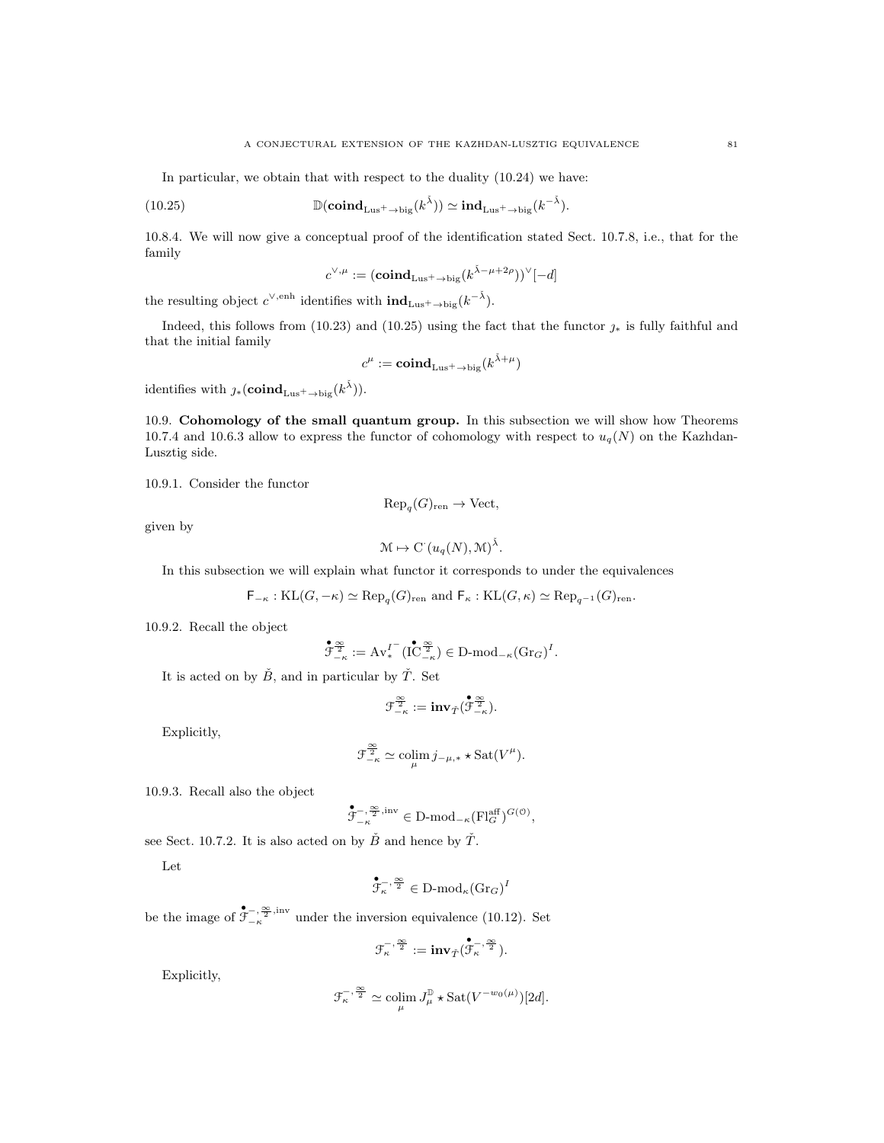In particular, we obtain that with respect to the duality (10.24) we have:

(10.25) 
$$
\mathbb{D}(\mathbf{coind}_{\mathrm{Lus}^+ \to \mathrm{big}}(k^{\check{\lambda}})) \simeq \mathbf{ind}_{\mathrm{Lus}^+ \to \mathrm{big}}(k^{-\check{\lambda}}).
$$

10.8.4. We will now give a conceptual proof of the identification stated Sect. 10.7.8, i.e., that for the family

$$
c^{\vee,\mu}:=({\rm\bf coind}_{\rm\bf Lus^+ \rightarrow big}(k^{\check\lambda-\mu+2\rho}))^\vee[-d]
$$

the resulting object  $c^{\vee, \text{enh}}$  identifies with  $\text{ind}_{\text{Lus}^+ \to \text{big}}(k^{-\tilde{\lambda}})$ .

Indeed, this follows from (10.23) and (10.25) using the fact that the functor  $\gamma_*$  is fully faithful and that the initial family

$$
c^\mu := \mathbf{coind}_{\mathrm{Lus}^+ \to \mathrm{big}}(k^{\check{\lambda} + \mu})
$$

identifies with  $\jmath_*({\rm \bf coind}_{\rm \bf Lus^+ \rightarrow big}(k^{\check\lambda})).$ 

10.9. Cohomology of the small quantum group. In this subsection we will show how Theorems 10.7.4 and 10.6.3 allow to express the functor of cohomology with respect to  $u_q(N)$  on the Kazhdan-Lusztig side.

10.9.1. Consider the functor

$$
\text{Rep}_{q}(G)_{\text{ren}} \to \text{Vect},
$$

given by

$$
\mathcal{M} \mapsto \mathrm{C}^{\cdot}(u_q(N), \mathcal{M})^{\check{\lambda}}.
$$

In this subsection we will explain what functor it corresponds to under the equivalences

 $\mathsf{F}_{-\kappa} : \mathrm{KL}(G, -\kappa) \simeq \mathrm{Rep}_q(G)_{\mathrm{ren}} \text{ and } \mathsf{F}_{\kappa} : \mathrm{KL}(G, \kappa) \simeq \mathrm{Rep}_{q^{-1}}(G)_{\mathrm{ren}}.$ 

10.9.2. Recall the object

$$
\overset{\bullet}{\mathcal{F}^{\frac{\infty}{2}}_{-\kappa}}:=\text{Av}^{I^-}_*(\overset{\bullet}{\text{IC}}^{\frac{\infty}{2}}_{-\kappa})\in\text{D-mod}_{-\kappa}(\text{Gr}_G)^I.
$$

It is acted on by  $\check{B}$ , and in particular by  $\check{T}$ . Set

$$
\mathfrak{F}_{-\kappa}^{\frac{\infty}{2}}:=\mathbf{inv}_{\check{T}}(\overset{\bullet}{\mathfrak{F}}^{\frac{\infty}{2}}_{-\kappa}).
$$

Explicitly,

$$
\mathcal{F}_{-\kappa}^{\frac{\infty}{2}} \simeq \operatorname{colim}_{\mu} j_{-\mu,*} \star \operatorname{Sat}(V^{\mu}).
$$

10.9.3. Recall also the object

$$
\overset{\bullet}{\mathcal{F}_{-\kappa}^{-,\frac{\infty}{2},\mathrm{inv}}} \in \mathbf{D}\text{-}\mathrm{mod}_{-\kappa}(\mathbf{Fl}_{G}^{\mathrm{aff}})^{G(\mathbf{0})},
$$

see Sect. 10.7.2. It is also acted on by  $\check{B}$  and hence by  $\check{T}$ .

Let

$$
\overset{\bullet}{\mathcal{F}_{\kappa}^{-}},\overset{\infty}{\mathcal{Z}}}\in\mathbf{D}\text{-}\mathrm{mod}_{\kappa}(\mathrm{Gr}_G)^{I}
$$

be the image of  $\mathfrak{F}^{-,\frac{\infty}{2},\text{inv}}_{-\kappa}$  under the inversion equivalence (10.12). Set

$$
\mathcal{F}_{\kappa}^{-,\frac{\infty}{2}}:=\mathbf{inv}_{\check{T}}(\overset{\bullet}{\mathcal{F}_{\kappa}^{-,\frac{\infty}{2}}}).
$$

Explicitly,

$$
\mathcal{F}_{\kappa}^{-,\frac{\infty}{2}} \simeq \operatorname{colim}_{\mu} J_{\mu}^{\mathbb{D}} \star \operatorname{Sat}(V^{-w_0(\mu)})[2d].
$$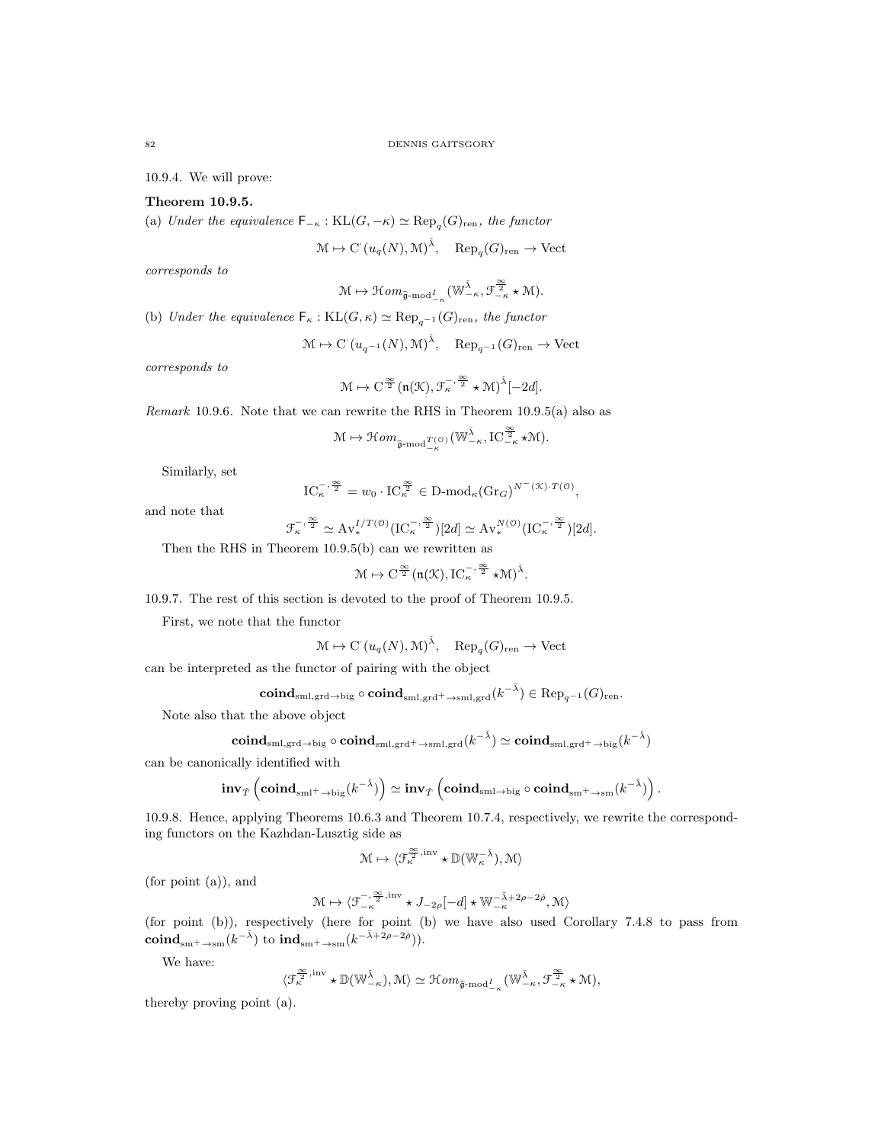10.9.4. We will prove:

## Theorem 10.9.5.

(a) Under the equivalence  $\mathsf{F}_{-\kappa} : \mathrm{KL}(G, -\kappa) \simeq \mathrm{Rep}_q(G)_{\mathrm{ren}}$ , the functor

$$
\mathcal{M} \mapsto \mathrm{C} \left( u_q(N), \mathcal{M} \right)^{\check{\lambda}}, \quad \mathrm{Rep}_q(G)_{\mathrm{ren}} \to \mathrm{Vect}
$$

corresponds to

$$
\mathcal{M} \mapsto \mathcal{H}om_{\widehat{\mathfrak{g}}\text{-}\mathrm{mod}^I_{-\kappa}}(\mathbb{W}_{-\kappa}^{\check{\lambda}},\mathcal{F}_{-\kappa}^{\frac{\infty}{2}}\star\mathcal{M}).
$$

(b) Under the equivalence  $\mathsf{F}_{\kappa} : \mathrm{KL}(G, \kappa) \simeq \mathrm{Rep}_{q^{-1}}(G)_{\mathrm{ren}}$ , the functor

$$
\mathcal{M} \mapsto \mathrm{C}^{\cdot}(u_{q^{-1}}(N), \mathcal{M})^{\tilde{\lambda}}, \quad \mathrm{Rep}_{q^{-1}}(G)_{\mathrm{ren}} \to \mathrm{Vect}
$$

corresponds to

$$
\mathcal{M} \mapsto C^{\frac{\infty}{2}}(\mathfrak{n}(\mathcal{K}),\mathcal{F}_{\kappa}^{-,\frac{\infty}{2}}\star\mathcal{M})^{\check{\lambda}}[-2d].
$$

Remark 10.9.6. Note that we can rewrite the RHS in Theorem 10.9.5(a) also as

$$
\mathcal{M} \mapsto \mathcal{H}\mathit{om}_{\widehat{\mathfrak{g}}\text{-}\mathrm{mod}^{\,T(\mathfrak{O})}_{-\kappa}}(\mathbb{W}_{-\kappa}^{\check{\lambda}},\mathrm{IC}_{-\kappa}^{\frac{\infty}{2}}\!\star\!\mathcal{M}).
$$

Similarly, set

$$
\mathrm{IC}_{\kappa}^{-,\frac{\infty}{2}}=w_0\cdot\mathrm{IC}_{\kappa}^{\frac{\infty}{2}}\in\mathcal{D}\text{-mod}_{\kappa}(\mathrm{Gr}_G)^{N^-(\mathcal{K})\cdot T(\mathcal{O})},
$$

and note that

$$
\mathcal{F}_{\kappa}^{-,\frac{\infty}{2}} \simeq \mathrm{Av}_{*}^{I/T(\mathcal{O})}(\mathrm{IC}_{\kappa}^{-,\frac{\infty}{2}})[2d] \simeq \mathrm{Av}_{*}^{N(\mathcal{O})}(\mathrm{IC}_{\kappa}^{-,\frac{\infty}{2}})[2d].
$$

Then the RHS in Theorem 10.9.5(b) can we rewritten as

$$
\mathcal{M} \mapsto C^{\frac{\infty}{2}}(\mathfrak{n}(\mathcal{K}), IC_{\kappa}^{-,\frac{\infty}{2}} \star \mathcal{M})^{\check{\lambda}}.
$$

10.9.7. The rest of this section is devoted to the proof of Theorem 10.9.5.

First, we note that the functor

$$
\mathcal{M} \mapsto \mathrm{C} \left( u_q(N), \mathcal{M} \right)^{\check{\lambda}}, \quad \mathrm{Rep}_q(G)_{\mathrm{ren}} \to \mathrm{Vect}
$$

can be interpreted as the functor of pairing with the object

$$
\mathbf{coind}_{\mathrm{sml},\mathrm{grd} \rightarrow \mathrm{big}} \circ \mathbf{coind}_{\mathrm{sml},\mathrm{grd}^+ \rightarrow \mathrm{sml},\mathrm{grd}}(k^{-\check{\lambda}}) \in \mathrm{Rep}_{q^{-1}}(G)_{\mathrm{ren}}.
$$

Note also that the above object

$$
\mathbf{coind}_{\mathrm{sml},\mathrm{grd}\to \mathrm{big}}\circ \mathbf{coind}_{\mathrm{sml},\mathrm{grd}^+ \to \mathrm{sml},\mathrm{grd}}(k^{-\check{\lambda}}) \simeq \mathbf{coind}_{\mathrm{sml},\mathrm{grd}^+ \to \mathrm{big}}(k^{-\check{\lambda}})
$$

can be canonically identified with

$$
\mathbf{inv}_{\tilde{T}}\left(\mathbf{coind}_{\mathbf{sml^+}\rightarrow\mathbf{big}}(k^{-\check{\lambda}})\right)\simeq\mathbf{inv}_{\tilde{T}}\left(\mathbf{coind}_{\mathbf{sml}\rightarrow\mathbf{big}}\circ\mathbf{coind}_{\mathbf{sml^+}\rightarrow\mathbf{sml}}(k^{-\check{\lambda}})\right).
$$

10.9.8. Hence, applying Theorems 10.6.3 and Theorem 10.7.4, respectively, we rewrite the corresponding functors on the Kazhdan-Lusztig side as

$$
\mathcal{M} \mapsto \langle \mathcal{F}_{\kappa}^{\frac{\infty}{2}, \mathrm{inv}} \star \mathbb{D}(\mathbb{W}_{\kappa}^{-\check{\lambda}}), \mathcal{M} \rangle
$$

(for point (a)), and

$$
\mathcal{M} \mapsto \langle \mathcal{F}_{-\kappa}^{-,\frac{\infty}{2},\mathrm{inv}} \star J_{-2\rho}[-d] \star \mathbb{W}_{-\kappa}^{-\check{\lambda}+2\rho-2\check{\rho}}, \mathcal{M} \rangle
$$

(for point (b)), respectively (here for point (b) we have also used Corollary 7.4.8 to pass from  ${\rm \bf coind}_{\rm sm^+ \to \rm sm}(k^{-{\check\lambda}}) \,\,{\rm to}\,\, {\rm ind}_{\rm sm^+ \to \rm sm}(k^{-{\check\lambda}+2\rho-2{\check\rho}})).$ 

We have:

$$
\langle \mathcal{F}^{\frac{\infty}{2}, \mathrm{inv}}_\kappa \star \mathbb{D}(\mathbb{W}^{\check{\lambda}}_{-\kappa}), \mathcal{M} \rangle \simeq \mathcal{H}om_{\widehat{\mathfrak{g}}\text{-}\mathrm{mod}^I_{-\kappa}}(\mathbb{W}^{\check{\lambda}}_{-\kappa}, \mathcal{F}^{\frac{\infty}{2}}_{-\kappa} \star \mathcal{M}),
$$

thereby proving point (a).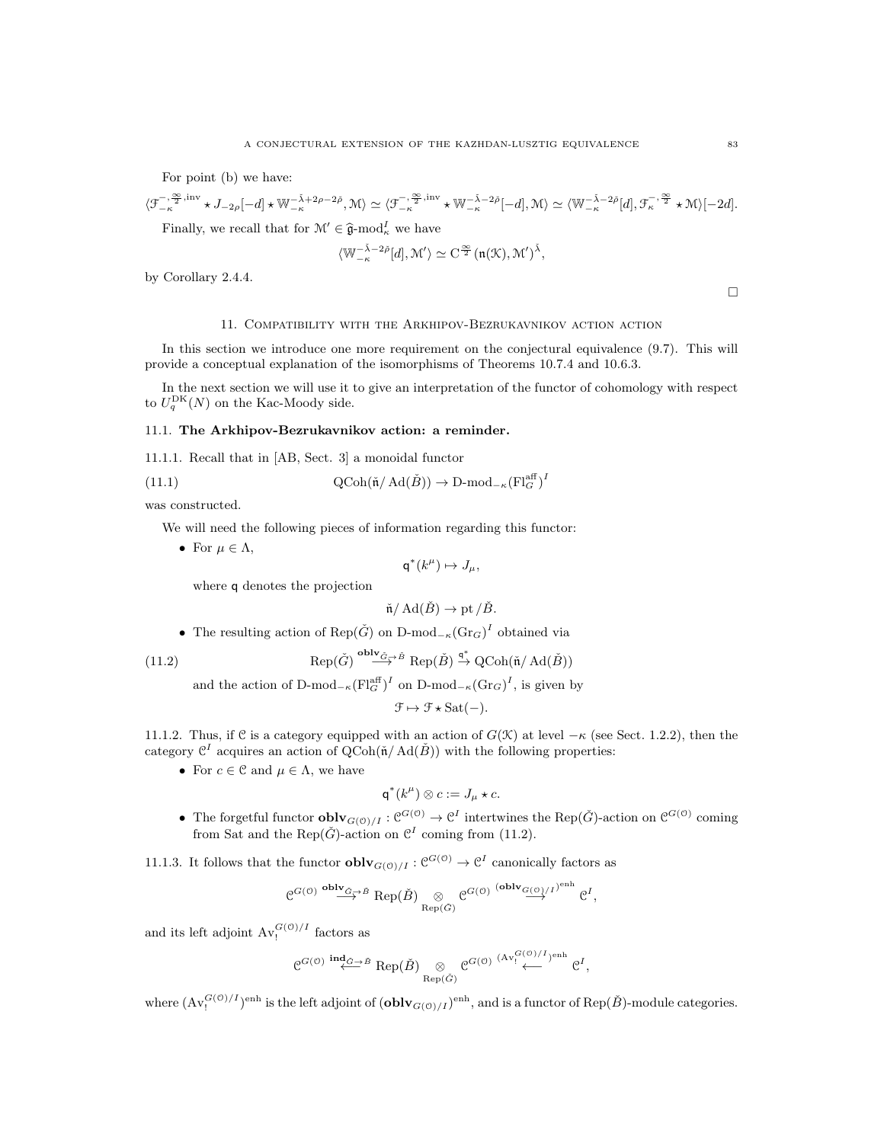For point (b) we have:

$$
\langle \mathcal{F}_{-\kappa}^{-,\frac{\infty}{2},\mathrm{inv}} \star J_{-2\rho}[-d] \star \mathbb{W}_{-\kappa}^{-\tilde{\lambda}+2\rho-2\tilde{\rho}}, \mathcal{M} \rangle \simeq \langle \mathcal{F}_{-\kappa}^{-,\frac{\infty}{2},\mathrm{inv}} \star \mathbb{W}_{-\kappa}^{-\tilde{\lambda}-2\tilde{\rho}}[-d], \mathcal{M} \rangle \simeq \langle \mathbb{W}_{-\kappa}^{-\tilde{\lambda}-2\tilde{\rho}}[d], \mathcal{F}_{\kappa}^{-,\frac{\infty}{2}} \star \mathcal{M} \rangle [-2d].
$$

Finally, we recall that for  $\mathcal{M}' \in \hat{\mathfrak{g}}$ -mod<sub> $\kappa$ </sub> we have

$$
\langle \mathbb{W}_{-\kappa}^{-\check{\lambda}-2\check{\rho}}[d], \mathcal{M}' \rangle \simeq \operatorname{C{}}^{\frac{\infty}{2}}(\mathfrak{n}(\mathcal{K}),\mathcal{M}')^{\check{\lambda}},
$$

by Corollary 2.4.4.

 $\Box$ 

#### 11. Compatibility with the Arkhipov-Bezrukavnikov action action

In this section we introduce one more requirement on the conjectural equivalence (9.7). This will provide a conceptual explanation of the isomorphisms of Theorems 10.7.4 and 10.6.3.

In the next section we will use it to give an interpretation of the functor of cohomology with respect to  $U_q^{\text{DK}}(N)$  on the Kac-Moody side.

#### 11.1. The Arkhipov-Bezrukavnikov action: a reminder.

11.1.1. Recall that in [AB, Sect. 3] a monoidal functor

(11.1) 
$$
\text{QCoh}(\check{\mathfrak{n}}/\text{Ad}(\check{B})) \to \text{D-mod}_{-\kappa}(\text{Fl}_G^{\text{aff}})^I
$$

was constructed.

We will need the following pieces of information regarding this functor:

• For  $\mu \in \Lambda$ ,

$$
\mathsf{q}^*(k^\mu) \mapsto J_\mu,
$$

where q denotes the projection

$$
\check{\mathfrak{n}}/\operatorname{Ad}(\check{B}) \to \operatorname{pt}/\check{B}.
$$

• The resulting action of  $\text{Rep}(\check{G})$  on  $D\text{-mod}_{-\kappa}(\text{Gr}_G)^I$  obtained via

(11.2) 
$$
\text{Rep}(\check{G}) \stackrel{\text{oblv}_{\check{G}\to\check{B}}}{\longrightarrow} \text{Rep}(\check{B}) \stackrel{\text{q}^*}{\to} \text{QCoh}(\check{\mathfrak{n}}/\text{Ad}(\check{B}))
$$

and the action of  $D\text{-mod}_{-\kappa}(\mathrm{Fl}_G^{\text{aff}})^I$  on  $D\text{-mod}_{-\kappa}(\mathrm{Gr}_G)^I$ , is given by

$$
\mathcal{F} \mapsto \mathcal{F} \star \text{Sat}(-).
$$

11.1.2. Thus, if C is a category equipped with an action of  $G(\mathcal{K})$  at level  $-\kappa$  (see Sect. 1.2.2), then the category  $\mathcal{C}^I$  acquires an action of  $\mathrm{QCoh}(\mathfrak{n}/\mathrm{Ad}(\check{B}))$  with the following properties:

• For  $c \in \mathcal{C}$  and  $\mu \in \Lambda$ , we have

$$
\mathsf{q}^*(k^\mu) \otimes c := J_\mu \star c.
$$

• The forgetful functor  $oblv_{G(0)/I}: \mathcal{C}^{G(0)} \to \mathcal{C}^I$  intertwines the Rep( $\check{G}$ )-action on  $\mathcal{C}^{G(0)}$  coming from Sat and the Rep( $\check{G}$ )-action on  $\mathcal{C}^I$  coming from (11.2).

11.1.3. It follows that the functor  $oblv_{G(0)/I}: \mathcal{C}^{G(0)} \to \mathcal{C}^I$  canonically factors as

$$
\mathcal{C}^{G(\texttt{0})}\overset{\textbf{oblv}_{\check{G}\to \check{B}}}{\longrightarrow}\text{Rep}(\check{B})\underset{\text{Rep}(\check{G})}{\otimes}\mathcal{C}^{G(\texttt{0})}\overset{\textbf{(oblv}_{G(\texttt{0})/I})^{\textbf{enh}}}{\longrightarrow}\mathcal{C}^{I},
$$

and its left adjoint  $Av_!^{G(0)/I}$  factors as

$$
e^{G(\mathcal{O})} \stackrel{\text{ind}_{\tilde{G}\rightarrow \tilde{B}}}{\longleftarrow} \text{Rep}(\tilde{B}) \underset{\text{Rep}(\tilde{G})}{\otimes} e^{G(\mathcal{O})} \stackrel{(\text{Av}_1^{G(\mathcal{O})}/I)_{\text{enh}}}{\longleftarrow} e^I,
$$

where  $(\text{Av}_!^{G(0)/I})^{\text{enh}}$  is the left adjoint of  $(\text{oblv}_{G(0)/I})^{\text{enh}}$ , and is a functor of  $\text{Rep}(\check{B})$ -module categories.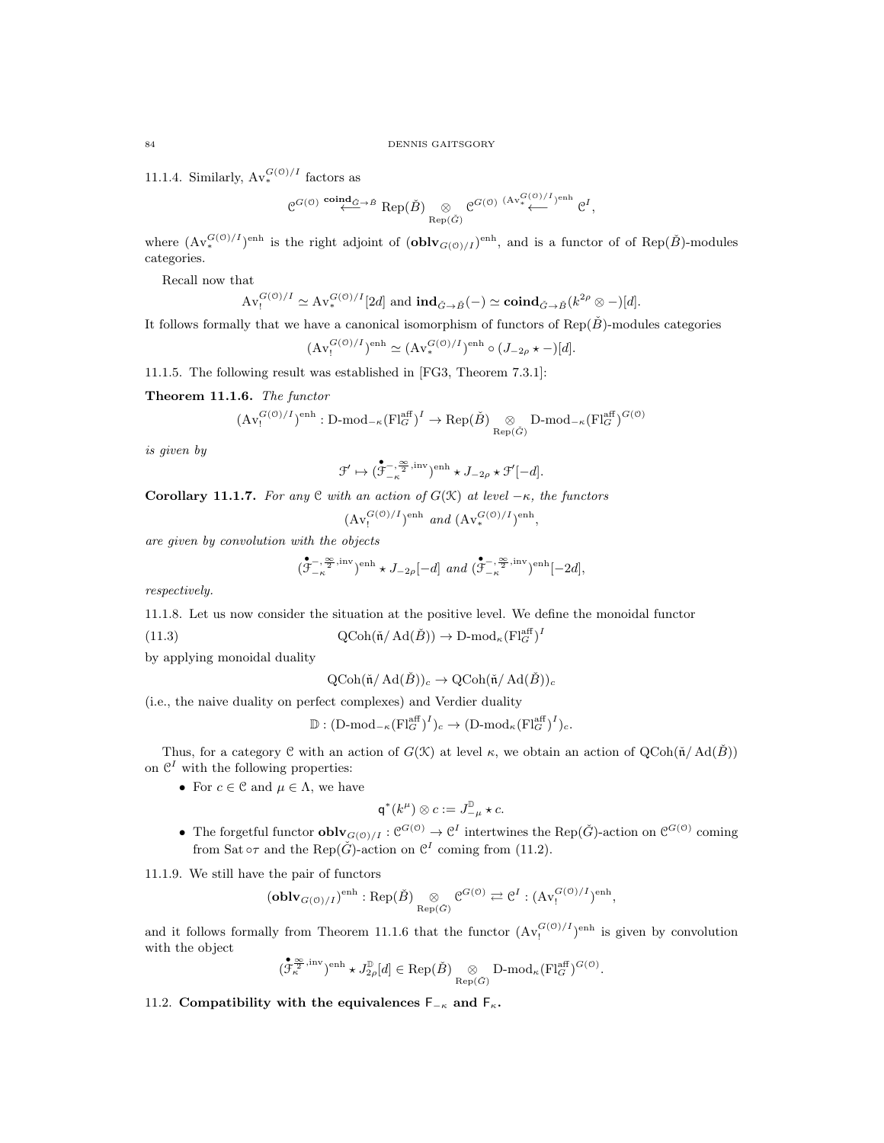11.1.4. Similarly,  $Av_*^{G(0)/I}$  factors as

$$
C^{G(\mathcal{O})} \stackrel{\mathbf{coind}_{\check{G}} \to \check{B}}{\longleftrightarrow} \text{Rep}(\check{B}) \underset{\text{Rep}(\check{G})}{\otimes} C^{G(\mathcal{O})} \stackrel{(\text{Av}_*^G(\mathcal{O})/I)^{\text{enh}}}{\longleftarrow} \mathcal{C}^I,
$$

where  $({\rm Av}_*^{G(0)/I})^{\text{enh}}$  is the right adjoint of  $({\bf oblv}_{G(0)/I})^{\text{enh}}$ , and is a functor of of Rep( $\check{B}$ )-modules categories.

Recall now that

$$
\operatorname{Av}^{G(\mathcal{O})/I}_{!} \simeq \operatorname{Av}^{G(\mathcal{O})/I}_{*}[2d] \text{ and } \operatorname{ind}_{\check{G}\to \check{B}}(-) \simeq \operatorname{coind}_{\check{G}\to \check{B}}(k^{2\rho} \otimes -)[d].
$$

It follows formally that we have a canonical isomorphism of functors of  $\text{Rep}(\check{B})$ -modules categories

$$
(\mathrm{Av}^{G(\mathcal{O})/I}_{!})^{\text{enh}} \simeq (\mathrm{Av}^{G(\mathcal{O})/I}_{*})^{\text{enh}} \circ (J_{-2\rho} \star -)[d].
$$

11.1.5. The following result was established in [FG3, Theorem 7.3.1]:

Theorem 11.1.6. The functor

$$
(\mathrm{Av}^{G(\mathcal{O})/I}_!)^{\mathrm{enh}}:\mathrm{D\text{-}mod}_{-\kappa}(\mathrm{Fl}^{\mathrm{aff}}_G)^I\rightarrow \mathrm{Rep}(\check{B})\underset{\mathrm{Rep}(\check{G})}{\otimes}\mathrm{D\text{-}mod}_{-\kappa}(\mathrm{Fl}^{\mathrm{aff}}_G)^{G(\mathcal{O})}
$$

is given by

$$
\mathcal{F}' \mapsto (\overset{\bullet}{\mathcal{F}}^{-,\frac{\infty}{2}, \mathrm{inv}}_{-\kappa})^{\mathrm{enh}} \star J_{-2\rho} \star \mathcal{F}'[-d].
$$

Corollary 11.1.7. For any  $C$  with an action of  $G(\mathcal{K})$  at level  $-\kappa$ , the functors

$$
(\operatorname{Av}^{G(\mathcal{O})/I}_!)^{\text{enh}}\ \text{and}\ (\operatorname{Av}^{G(\mathcal{O})/I}_*)^{\text{enh}},
$$

are given by convolution with the objects

$$
(\mathring{\mathcal{F}}^{-,\frac{\infty}{2},\mathrm{inv}}_{-\kappa})^{\mathrm{enh}}\star J_{-2\rho}[-d]\ \ and\ (\mathring{\mathcal{F}}^{-,\frac{\infty}{2},\mathrm{inv}}_{-\kappa})^{\mathrm{enh}}[-2d],
$$

respectively.

11.1.8. Let us now consider the situation at the positive level. We define the monoidal functor

(11.3) 
$$
\mathrm{QCoh}(\check{\mathfrak{n}}/\mathrm{Ad}(\check{B})) \to \mathrm{D}\text{-mod}_{\kappa}(\mathrm{Fl}_G^{\mathrm{aff}})^I
$$

by applying monoidal duality

 $\operatorname{QCoh}(\check{\mathfrak{n}}/\operatorname{Ad}(\check{B}))_c \to \operatorname{QCoh}(\check{\mathfrak{n}}/\operatorname{Ad}(\check{B}))_c$ 

(i.e., the naive duality on perfect complexes) and Verdier duality

 $\mathbb{D}: (\text{D-mod}_{-\kappa}(\text{Fl}_G^{\text{aff}})^I)_c \to (\text{D-mod}_{\kappa}(\text{Fl}_G^{\text{aff}})^I)_c.$ 

Thus, for a category C with an action of  $G(\mathcal{K})$  at level  $\kappa$ , we obtain an action of  $Q\text{Coh}(\mathfrak{n}/\text{Ad}(\check{B}))$ on  $\mathcal{C}^I$  with the following properties:

• For  $c \in \mathcal{C}$  and  $\mu \in \Lambda$ , we have

$$
\mathsf{q}^*(k^\mu) \otimes c := J_{-\mu}^{\mathbb{D}} \star c.
$$

• The forgetful functor  $oblv_{G(0)/I}: \mathcal{C}^{G(0)} \to \mathcal{C}^I$  intertwines the Rep( $\check{G}$ )-action on  $\mathcal{C}^{G(0)}$  coming from Sat  $\circ \tau$  and the Rep( $\check{G}$ )-action on  $\mathcal{C}^I$  coming from (11.2).

11.1.9. We still have the pair of functors

$$
(\mathbf{oblv}_{G(\mathcal{O})/I})^{\text{enh}}:\text{Rep}(\check{B})\underset{\text{Rep}(\check{G})}{\otimes}\mathcal{C}^{G(\mathcal{O})}\rightleftarrows\mathcal{C}^I:(\text{Av}_!^{G(\mathcal{O})/I})^{\text{enh}},
$$

and it follows formally from Theorem 11.1.6 that the functor  $(Av_j^{G(0)/I})^{\text{enh}}$  is given by convolution with the object

$$
(\mathfrak{F}^{\infty, \mathrm{inv}}_{\kappa})^{\mathrm{enh}} \star J_{2\rho}^{\mathbb{D}}[d] \in \mathrm{Rep}(\check{B}) \underset{\mathrm{Rep}(\check{G})}{\otimes} \mathrm{D}\text{-}\mathrm{mod}_{\kappa}(\mathrm{Fl}_{G}^{\mathrm{aff}})^{G(\mathbb{O})}.
$$

11.2. Compatibility with the equivalences  $F_{-\kappa}$  and  $F_{\kappa}$ .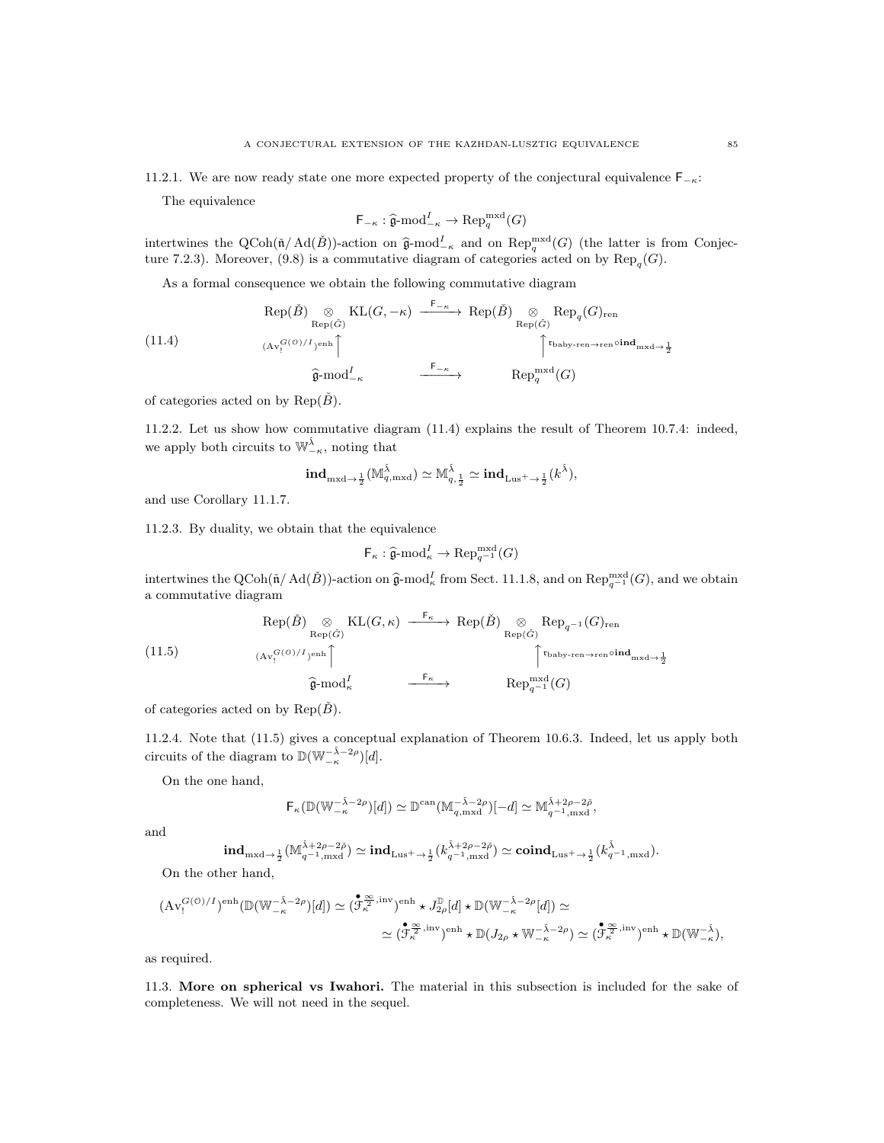The equivalence

$$
\mathsf{F}_{-\kappa} : \widehat{\mathfrak{g}}\text{-}\mathrm{mod}^I_{-\kappa} \to \mathrm{Rep}_q^{\mathrm{mxd}}(G)
$$

intertwines the QCoh( $\tilde{n}/\text{Ad}(\tilde{B})$ )-action on  $\hat{\mathfrak{g}}$ -mod<sup>I</sup><sub>K</sub> and on Rep<sup>mxd</sup>( $G$ ) (the latter is from Conjecture 7.3.2). Monocum (0.8) is a commutative diagram of optograms a stad on by Pen ( $G$ ) ture 7.2.3). Moreover, (9.8) is a commutative diagram of categories acted on by  $\text{Rep}_q(G)$ .

As a formal consequence we obtain the following commutative diagram

(11.4)  
\n
$$
Rep(\check{B}) \underset{(\mathrm{Av}_{1}^{G(\mathcal{O})/I})^{\mathrm{enh}}}{\otimes} KL(G, -\kappa) \xrightarrow{\mathsf{F}_{-\kappa}} Rep(\check{B}) \underset{\mathrm{Rep}(\check{G})}{\otimes} Rep_{q}(G)_{\mathrm{ren}}
$$
\n
$$
\xrightarrow{\mathsf{F}_{-\kappa}} \qquad \qquad \uparrow^{\mathsf{r}_{\mathrm{baby}\text{-}ren}\to\mathrm{ren}} \mathrm{oid}_{\mathrm{mxd}\to\frac{1}{2}}
$$
\n
$$
\hat{\mathfrak{g}}\text{-mod}_{-\kappa}^{I} \xrightarrow{\mathsf{F}_{-\kappa}} Rep_{q}^{\mathrm{mxd}}(G)
$$

of categories acted on by Rep( $\check{B}$ ).

11.2.2. Let us show how commutative diagram (11.4) explains the result of Theorem 10.7.4: indeed, we apply both circuits to  $\mathbb{W}_{-\kappa}^{\check{\lambda}}$ , noting that

$$
\textup{ind}_{\textup{mxd}\to \frac{1}{2}}(\mathbb{M}_{q,\textup{mxd}}^{\check{\lambda}})\simeq \mathbb{M}_{q,\frac{1}{2}}^{\check{\lambda}}\simeq \textup{ind}_{\textup{Lus}^+ \to \frac{1}{2}}(k^{\check{\lambda}}),
$$

and use Corollary 11.1.7.

11.2.3. By duality, we obtain that the equivalence

$$
\mathsf{F}_{\kappa} : \widehat{\mathfrak{g}}\text{-}\mathrm{mod}_{\kappa}^I \to \mathrm{Rep}_{q^{-1}}^{\mathrm{mxd}}(G)
$$

intertwines the QCoh( $\tilde{\mathfrak{n}}$ /Ad( $\tilde{B}$ ))-action on  $\hat{\mathfrak{g}}$ -mod<sub> $\kappa$ </sub> from Sect. 11.1.8, and on Rep<sup>mxd</sup>(*G*), and we obtain a commutative diagram

(11.5)  
\n
$$
\operatorname{Rep}(\check{B}) \underset{(\mathrm{Av}_1^{G(\mathcal{O})/I})^{\mathrm{enh}}}{\otimes} \operatorname{KL}(G,\kappa) \xrightarrow{\mathsf{F}_{\kappa}} \operatorname{Rep}(\check{B}) \underset{\mathrm{Rep}(\check{G})}{\otimes} \operatorname{Rep}_{q^{-1}}(G)_{\mathrm{ren}}
$$
\n
$$
\left(11.5\right) \qquad \qquad \left(\operatorname{Av}_1^{G(\mathcal{O})/I})^{\mathrm{enh}}\right) \qquad \qquad \qquad \overbrace{\mathfrak{g}}^{\mathrm{Fmod}} \xrightarrow{\mathsf{F}_{\kappa}} \qquad \qquad \operatorname{Rep}_{q^{-1}}^{\mathsf{F}_{\mathrm{b} \mathrm{ab}} \times \mathrm{ren} \to \mathrm{ren}} \circ \mathrm{ind}_{\mathrm{m} \times \mathrm{d} \to \frac{1}{2}}
$$

of categories acted on by Rep( $\check{B}$ ).

11.2.4. Note that (11.5) gives a conceptual explanation of Theorem 10.6.3. Indeed, let us apply both circuits of the diagram to  $\mathbb{D}(\mathbb{W}_{-\kappa}^{-\check{\lambda}-2\rho})[d]$ .

On the one hand,

$$
\mathsf{F}_{\kappa}(\mathbb{D}(\mathbb{W}_{-\kappa}^{-\tilde{\lambda}-2\rho})[d]) \simeq \mathbb{D}^{\mathrm{can}}(\mathbb{M}_{q,\mathrm{mxd}}^{-\tilde{\lambda}-2\rho})[-d] \simeq \mathbb{M}_{q^{-1},\mathrm{mxd}}^{\tilde{\lambda}+2\rho-2\tilde{\rho}},
$$

and

$$
\text{ind}_{\text{mxd}\to \frac{1}{2}}(\mathbb{M}^{\check{\lambda}+2\rho-2\check{\rho}}_{q^{-1},\text{mxd}})\simeq \text{ind}_{\text{Lus}^+ \to \frac{1}{2}}(k^{\check{\lambda}+2\rho-2\check{\rho}}_{q^{-1},\text{mxd}})\simeq \text{\bf coind}_{\text{Lus}^+ \to \frac{1}{2}}(k^{\check{\lambda}}_{q^{-1},\text{mxd}}).
$$

On the other hand,

$$
(\mathrm{Av}_{!}^{G(\mathcal{O})/I})^{\mathrm{enh}}(\mathbb{D}(\mathbb{W}_{-\kappa}^{-\check{\lambda}-2\rho})[d]) \simeq (\overset{\bullet}{\mathcal{F}_{\kappa}^{\frac{\infty}{2},\mathrm{inv}}})^{\mathrm{enh}} \star J_{2\rho}^{\mathbb{D}}[d] \star \mathbb{D}(\mathbb{W}_{-\kappa}^{-\check{\lambda}-2\rho}[d]) \simeq
$$

$$
\simeq (\overset{\bullet}{\mathcal{F}_{\kappa}^{\frac{\infty}{2},\mathrm{inv}}})^{\mathrm{enh}} \star \mathbb{D}(J_{2\rho} \star \mathbb{W}_{-\kappa}^{-\check{\lambda}-2\rho}) \simeq (\overset{\bullet}{\mathcal{F}_{\kappa}^{\frac{\infty}{2},\mathrm{inv}}})^{\mathrm{enh}} \star \mathbb{D}(\mathbb{W}_{-\kappa}^{-\check{\lambda}}),
$$

as required.

11.3. More on spherical vs Iwahori. The material in this subsection is included for the sake of completeness. We will not need in the sequel.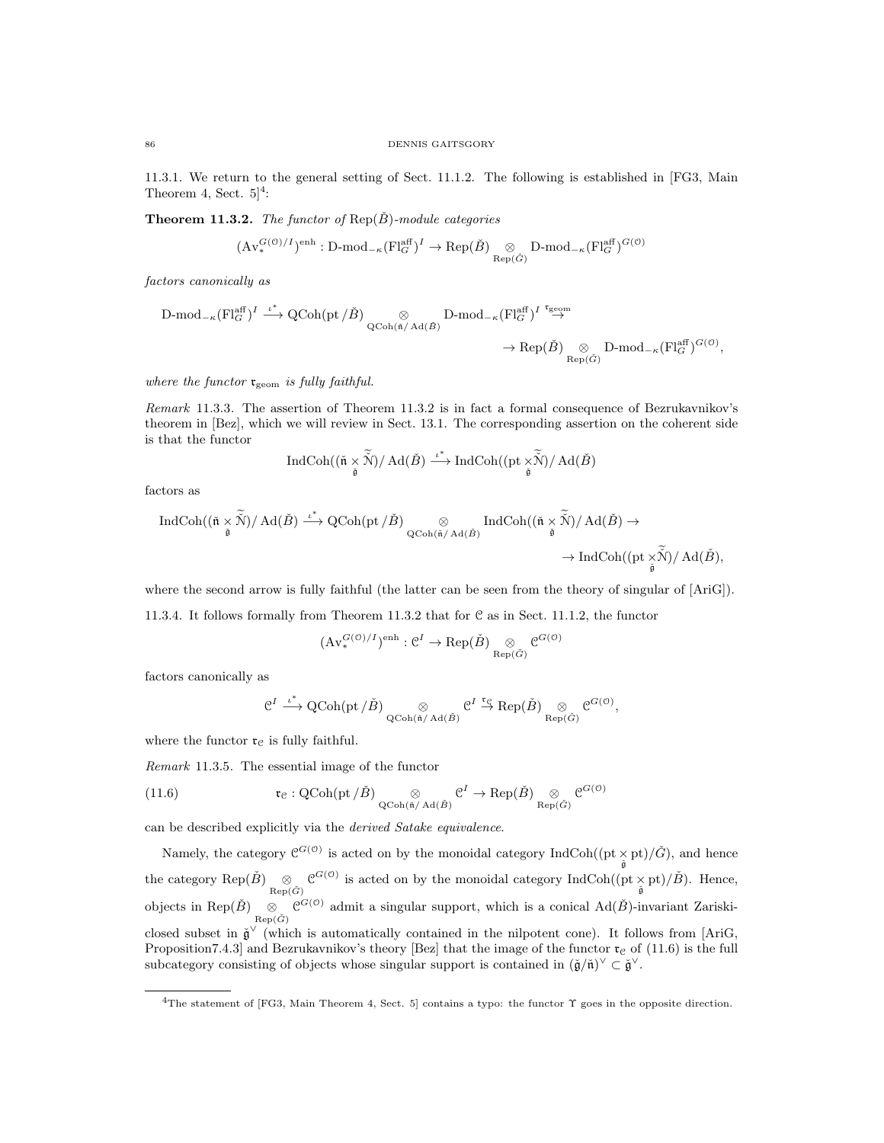11.3.1. We return to the general setting of Sect. 11.1.2. The following is established in [FG3, Main Theorem 4, Sect.  $5]^4$ :

**Theorem 11.3.2.** The functor of  $Rep(\check{B})$ -module categories

$$
(\mathrm{Av}_{*}^{G(\mathbb{O})/I})^{\mathrm{enh}} : \mathrm{D\text{-}mod}_{-\kappa}(\mathrm{Fl}_{G}^{\mathrm{aff}})^{I} \to \mathrm{Rep}(\check{B}) \underset{\mathrm{Rep}(\check{G})}{\otimes} \mathrm{D\text{-}mod}_{-\kappa}(\mathrm{Fl}_{G}^{\mathrm{aff}})^{G(\mathbb{O})}
$$

factors canonically as

$$
\begin{array}{ccc} \mathrm{D\text{-}mod}_{-\kappa}(\mathrm{Fl}_{G}^{\mathrm{aff}})^{I} \stackrel{\iota^*}{\longrightarrow} \mathrm{QCoh}(\mathrm{pt}/\check{B})&\otimes&\mathrm{D\text{-}mod}_{-\kappa}(\mathrm{Fl}_{G}^{\mathrm{aff}})^{I}\stackrel{\mathfrak{r}_{\mathrm{geom}}}{\rightarrow} \\ & & \to \mathrm{Rep}(\check{B})\underset{\mathrm{Rep}(\check{G})}{\otimes}&\mathrm{D\text{-}mod}_{-\kappa}(\mathrm{Fl}_{G}^{\mathrm{aff}})^{G(\mathbb{O})}, \end{array}
$$

where the functor  $\mathfrak{r}_{\text{geom}}$  is fully faithful.

Remark 11.3.3. The assertion of Theorem 11.3.2 is in fact a formal consequence of Bezrukavnikov's theorem in [Bez], which we will review in Sect. 13.1. The corresponding assertion on the coherent side is that the functor

$$
\operatorname{IndCoh}((\check{\mathfrak{n}}\underset{\tilde{\mathfrak{g}}}{\times}\widetilde{\tilde{\mathcal{N}}})/\operatorname{Ad}(\check{B})\overset{\iota^*}{\longrightarrow}\operatorname{IndCoh}((\operatorname{pt}\underset{\tilde{\mathfrak{g}}}{\times}\widetilde{\tilde{\mathcal{N}}})/\operatorname{Ad}(\check{B})
$$

factors as

$$
\begin{array}{ccc} \operatorname{IndCoh}((\check{n}\times\widetilde{\check{N}})/\operatorname{Ad}(\check{B})\stackrel{\iota^*}{\longrightarrow} \operatorname{QCoh}({\rm pt}\,/\check{B})\underset{\operatorname{QCoh}(\check{n}/\operatorname{Ad}(\check{B})}{\otimes}\operatorname{IndCoh}((\check{n}\times\widetilde{\check{N}})/\operatorname{Ad}(\check{B})\to\\ &\to \operatorname{IndCoh}(({\rm pt}\times\widetilde{\check{N}})/\operatorname{Ad}(\check{B}),\\ \end{array}
$$

where the second arrow is fully faithful (the latter can be seen from the theory of singular of [AriG]).

11.3.4. It follows formally from Theorem 11.3.2 that for C as in Sect. 11.1.2, the functor

$$
(\mathrm{Av}^{G(\mathcal{O})/I}_{*})^{\text{enh}}: \mathcal{C}^{I} \to \text{Rep}(\check{B}) \underset{\text{Rep}(\check{G})}{\otimes} \mathcal{C}^{G(\mathcal{O})}
$$

factors canonically as

$$
\mathcal{C}^I\stackrel{\iota^*}{\longrightarrow} \operatorname{QCoh}(\operatorname{pt}/\check{B})\underset{\operatorname{QCoh}(\check{\mathfrak{n}}/\operatorname{Ad}(\check{B})}{\otimes}\mathcal{C}^I\stackrel{\mathfrak{r}_\mathfrak{S}}{\rightarrow}\operatorname{Rep}(\check{B})\underset{\operatorname{Rep}(\check{G})}{\otimes}\mathcal{C}^{G(\mathfrak{O})},
$$

where the functor  $\mathfrak{r}_{\mathfrak{C}}$  is fully faithful.

Remark 11.3.5. The essential image of the functor

(11.6) 
$$
\mathfrak{r}_{\mathcal{C}} : \mathrm{QCoh}(\mathrm{pt}/\check{B}) \underset{\mathrm{QCoh}(\check{\mathfrak{n}}/ \mathrm{Ad}(\check{B})}{\otimes} \mathcal{C}^I \to \mathrm{Rep}(\check{B}) \underset{\mathrm{Rep}(\check{G})}{\otimes} \mathcal{C}^{G(\mathcal{O})}
$$

can be described explicitly via the derived Satake equivalence.

Namely, the category  $\mathcal{C}^{G(0)}$  is acted on by the monoidal category IndCoh((pt  $\times$  pt)/ $\check{G}$ ), and hence the category Rep( $\check{B}$ )  $\otimes$   $\mathcal{C}^{G(\mathcal{O})}$  is acted on by the monoidal category IndCoh((pt  $\times$  pt)/ $\check{B}$ ). Hence, objects in Rep( $\check{B}$ )  $\underset{\text{Rep}(\check{G})}{\otimes} \mathcal{C}^{G(\mathcal{O})}$  admit a singular support, which is a conical Ad( $\check{B}$ )-invariant Zariskiclosed subset in  $\check{\mathfrak{g}}^{\vee}$  (which is automatically contained in the nilpotent cone). It follows from [AriG, Proposition7.4.3] and Bezrukavnikov's theory [Bez] that the image of the functor  $\mathfrak{r}_c$  of (11.6) is the full subcategory consisting of objects whose singular support is contained in  $(\check{\mathfrak{g}}/\check{\mathfrak{n}})^\vee \subset \check{\mathfrak{g}}^\vee$ .

<sup>4</sup>The statement of [FG3, Main Theorem 4, Sect. 5] contains a typo: the functor Υ goes in the opposite direction.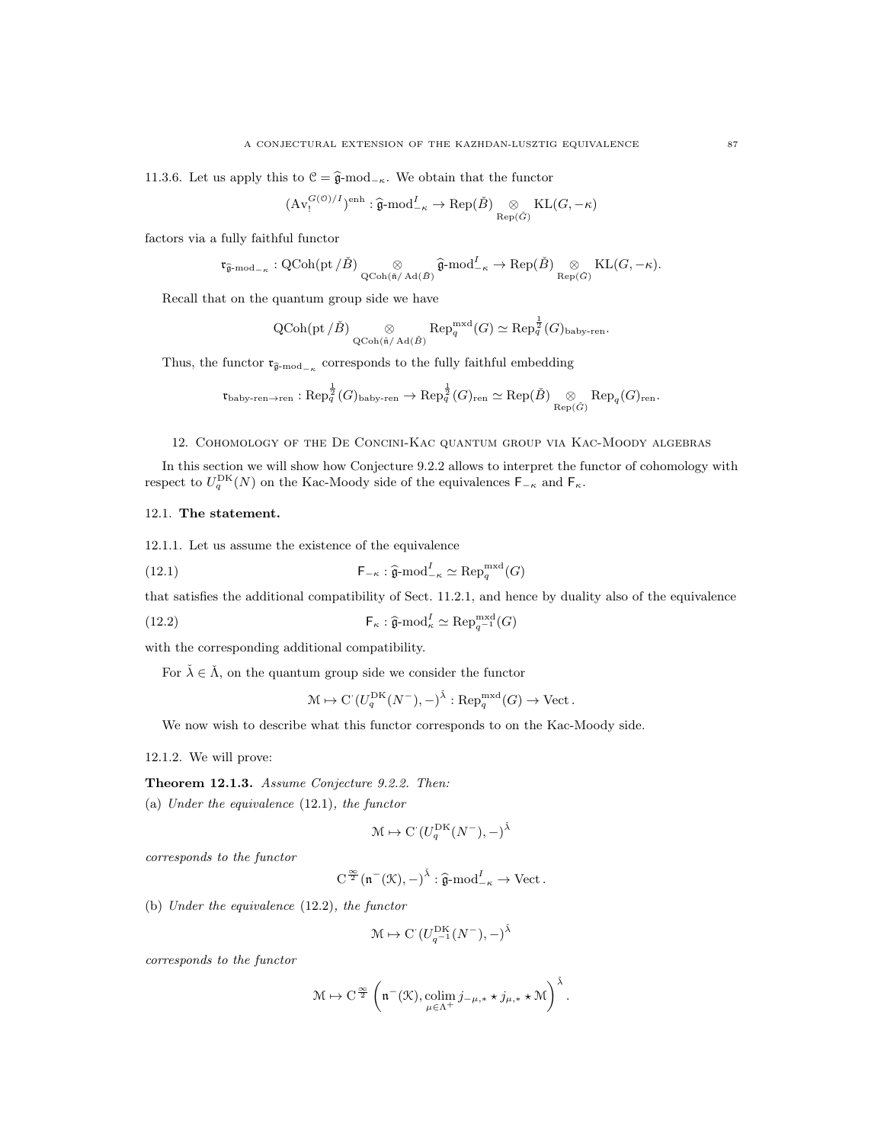11.3.6. Let us apply this to  $\mathcal{C} = \hat{\mathfrak{g}}$ -mod<sub>−κ</sub>. We obtain that the functor

$$
(\mathrm{Av}^{G(\mathcal{O})/I}_{!})^{\mathrm{enh}} : \widehat{\mathfrak{g}}\text{-}\mathrm{mod}^{I}_{-\kappa} \to \mathrm{Rep}(\check{B}) \underset{\mathrm{Rep}(\check{G})}{\otimes} \mathrm{KL}(G, -\kappa)
$$

factors via a fully faithful functor

$$
\mathfrak{r}_{\widehat{\mathfrak{g}}\text{-}\mathrm{mod}_{-\kappa}}: \mathrm{QCoh}(\mathrm{pt}/\check{B}) \underset{\mathrm{QCoh}(\tilde{\mathfrak{n}}/\mathrm{Ad}(\check{B})}{\otimes} \widehat{\mathfrak{g}}\text{-}\mathrm{mod}^I_{-\kappa} \to \mathrm{Rep}(\check{B}) \underset{\mathrm{Rep}(\check{G})}{\otimes} \mathrm{KL}(G,-\kappa).
$$

Recall that on the quantum group side we have

$$
\operatorname{QCoh}(\operatorname{pt}/\check{B})\underset{\operatorname{QCoh}(\check{\mathfrak{n}}/\operatorname{Ad}(\check{B})}{\otimes} \operatorname{Rep}_q^{\operatorname{mxd}}(G) \simeq \operatorname{Rep}_q^{\frac{1}{2}}(G)_{\operatorname{baby-ren}}.
$$

Thus, the functor  $\frak{r}_{\widehat{\frak{g}}\text{-mod}_{-\kappa}}$  corresponds to the fully faithful embedding

$$
\mathfrak{r}_{\mathrm{baby}\text{-}ren\to \mathrm{ren}}:\mathrm{Rep}_{q}^{\frac{1}{2}}(G)_{\mathrm{baby}\text{-}ren}\to \mathrm{Rep}_{q}^{\frac{1}{2}}(G)_{\mathrm{ren}}\simeq \mathrm{Rep}(\check{B})\underset{\mathrm{Rep}(\check{G})}{\otimes}\mathrm{Rep}_{q}(G)_{\mathrm{ren}}.
$$

#### 12. Cohomology of the De Concini-Kac quantum group via Kac-Moody algebras

In this section we will show how Conjecture 9.2.2 allows to interpret the functor of cohomology with respect to  $U_q^{\text{DK}}(N)$  on the Kac-Moody side of the equivalences  $\mathsf{F}_{-\kappa}$  and  $\mathsf{F}_{\kappa}$ .

#### 12.1. The statement.

12.1.1. Let us assume the existence of the equivalence

(12.1) 
$$
\mathsf{F}_{-\kappa} : \widehat{\mathfrak{g}}\text{-}\mathrm{mod}_{-\kappa}^I \simeq \mathrm{Rep}_q^{\mathrm{mxd}}(G)
$$

that satisfies the additional compatibility of Sect. 11.2.1, and hence by duality also of the equivalence

(12.2) 
$$
\mathsf{F}_{\kappa} : \widehat{\mathfrak{g}}\text{-}\mathrm{mod}_{\kappa}^{I} \simeq \mathrm{Rep}_{q^{-1}}^{\mathrm{mxd}}(G)
$$

with the corresponding additional compatibility.

For  $\check{\lambda} \in \check{\Lambda}$ , on the quantum group side we consider the functor

$$
\mathcal{M} \mapsto \mathrm{C} \left( U_q^{\mathrm{DK}}(N^-), - \right)^{\check{\lambda}} : \mathrm{Rep}_q^{\mathrm{mxd}}(G) \to \mathrm{Vect} \, .
$$

We now wish to describe what this functor corresponds to on the Kac-Moody side.

12.1.2. We will prove:

Theorem 12.1.3. Assume Conjecture 9.2.2. Then:

(a) Under the equivalence (12.1), the functor

$$
\mathcal{M} \mapsto \mathrm{C}^{\cdot}(U_q^{\mathrm{DK}}(N^-), -)^{\check{\lambda}}
$$

corresponds to the functor

$$
C^{\frac{\infty}{2}}(\mathfrak{n}^-(\mathfrak{K}),-)^{\check{\lambda}}:\widehat{\mathfrak{g}}\text{-}\mathrm{mod}^I_{-\kappa}\to \mathrm{Vect}\,.
$$

(b) Under the equivalence (12.2), the functor

$$
\mathcal{M} \mapsto \mathrm{C}^\cdot(U_{q^{-1}}^{\mathrm{DK}}(N^-),-)^{\check{\lambda}}
$$

corresponds to the functor

$$
\mathcal{M} \mapsto \mathrm{C}^{\frac{\infty}{2}}\,\bigg(\mathfrak{n}^-(\mathcal{K}), \underset{\mu\in \Lambda^+}{\mathrm{colim}}\, j_{-\mu,*}\star j_{\mu,*}\star\mathcal{M}\bigg)^{\check{\lambda}}\,.
$$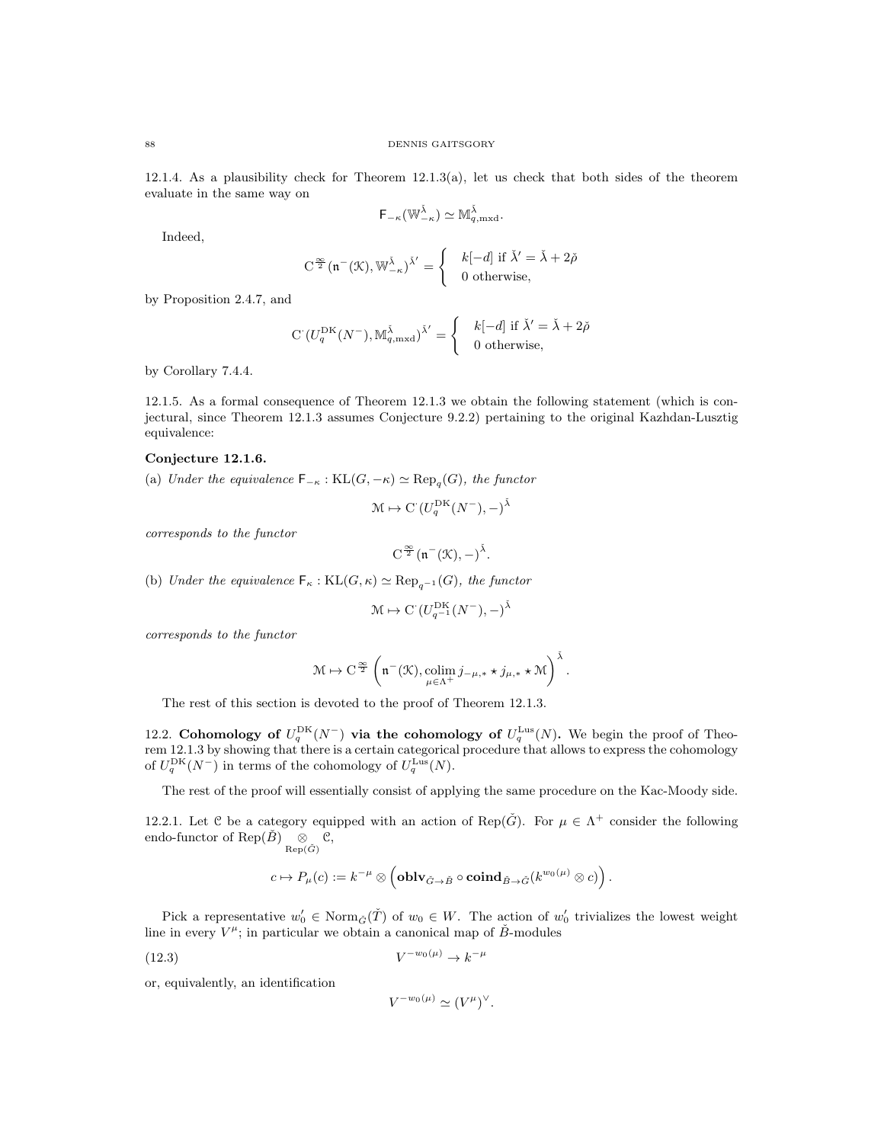12.1.4. As a plausibility check for Theorem 12.1.3(a), let us check that both sides of the theorem evaluate in the same way on

$$
\mathsf{F}_{-\kappa}(\mathbb{W}_{-\kappa}^{\check{\lambda}})\simeq \mathbb{M}_{q,\mathrm{mxd}}^{\check{\lambda}}.
$$

Indeed,

$$
C^{\frac{\infty}{2}}(\mathfrak{n}^-(\mathfrak{K}), \mathbb{W}_{-\kappa}^{\check{\lambda}})^{\check{\lambda}'} = \begin{cases} & k[-d] \text{ if } \check{\lambda}' = \check{\lambda} + 2\check{\rho} \\ & 0 \text{ otherwise,} \end{cases}
$$

by Proposition 2.4.7, and

$$
\mathcal{C}\left(U_q^{\mathrm{DK}}(N^-),\mathbb{M}_{q,\mathrm{mxd}}^{\check{\lambda}}\right)^{\check{\lambda}'}=\begin{cases} & k[-d] \text{ if } \check{\lambda}'=\check{\lambda}+2\check{\rho} \\ & 0 \text{ otherwise}, \end{cases}
$$

by Corollary 7.4.4.

12.1.5. As a formal consequence of Theorem 12.1.3 we obtain the following statement (which is conjectural, since Theorem 12.1.3 assumes Conjecture 9.2.2) pertaining to the original Kazhdan-Lusztig equivalence:

## Conjecture 12.1.6.

(a) Under the equivalence  $\mathsf{F}_{-\kappa} : \mathrm{KL}(G, -\kappa) \simeq \mathrm{Rep}_q(G)$ , the functor

$$
\mathcal{M} \mapsto \mathrm{C}^{\cdot} (U_q^{\mathrm{DK}}(N^-), -)^{\check{\lambda}}
$$

corresponds to the functor

$$
C^{\frac{\infty}{2}}(\mathfrak{n}^-(\mathfrak{K}),-)^{\check{\lambda}}.
$$

(b) Under the equivalence  $\mathsf{F}_{\kappa} : \mathrm{KL}(G, \kappa) \simeq \mathrm{Rep}_{a^{-1}}(G)$ , the functor

$$
\mathfrak{M} \mapsto \mathrm{C}^\cdot(U_{q^{-1}}^{\mathrm{DK}}(N^-),-)^{\check\lambda}
$$

corresponds to the functor

$$
\mathcal{M} \mapsto C^{\frac{\infty}{2}}\left(\mathfrak{n}^-(\mathfrak{K}), \underset{\mu \in \Lambda^+}{\operatorname{colim}} j_{-\mu,*} \star j_{\mu,*} \star \mathcal{M}\right)^{\check{\lambda}}.
$$

The rest of this section is devoted to the proof of Theorem 12.1.3.

12.2. Cohomology of  $U_q^{\text{DK}}(N^-)$  via the cohomology of  $U_q^{\text{Lus}}(N)$ . We begin the proof of Theorem 12.1.3 by showing that there is a certain categorical procedure that allows to express the cohomology of  $U_q^{\text{DK}}(N^-)$  in terms of the cohomology of  $U_q^{\text{Lus}}(N)$ .

The rest of the proof will essentially consist of applying the same procedure on the Kac-Moody side.

12.2.1. Let C be a category equipped with an action of Rep( $\check{G}$ ). For  $\mu \in \Lambda^+$  consider the following endo-functor of Rep( $\check{B}$ )  $\underset{\text{Rep}(\check{G})}{\otimes} \mathcal{C},$ 

$$
c \mapsto P_{\mu}(c) := k^{-\mu} \otimes \left( \textbf{oblv}_{\check{G} \to \check{B}} \circ \textbf{coind}_{\check{B} \to \check{G}}(k^{w_0(\mu)} \otimes c) \right).
$$

Pick a representative  $w'_0 \in \text{Norm}_{\tilde{G}}(\tilde{T})$  of  $w_0 \in W$ . The action of  $w'_0$  trivializes the lowest weight line in every  $V^{\mu}$ ; in particular we obtain a canonical map of  $\check{B}$ -modules

$$
(12.3) \t\t V^{-w_0(\mu)} \to k^{-\mu}
$$

or, equivalently, an identification

$$
V^{-w_0(\mu)} \simeq (V^{\mu})^{\vee}.
$$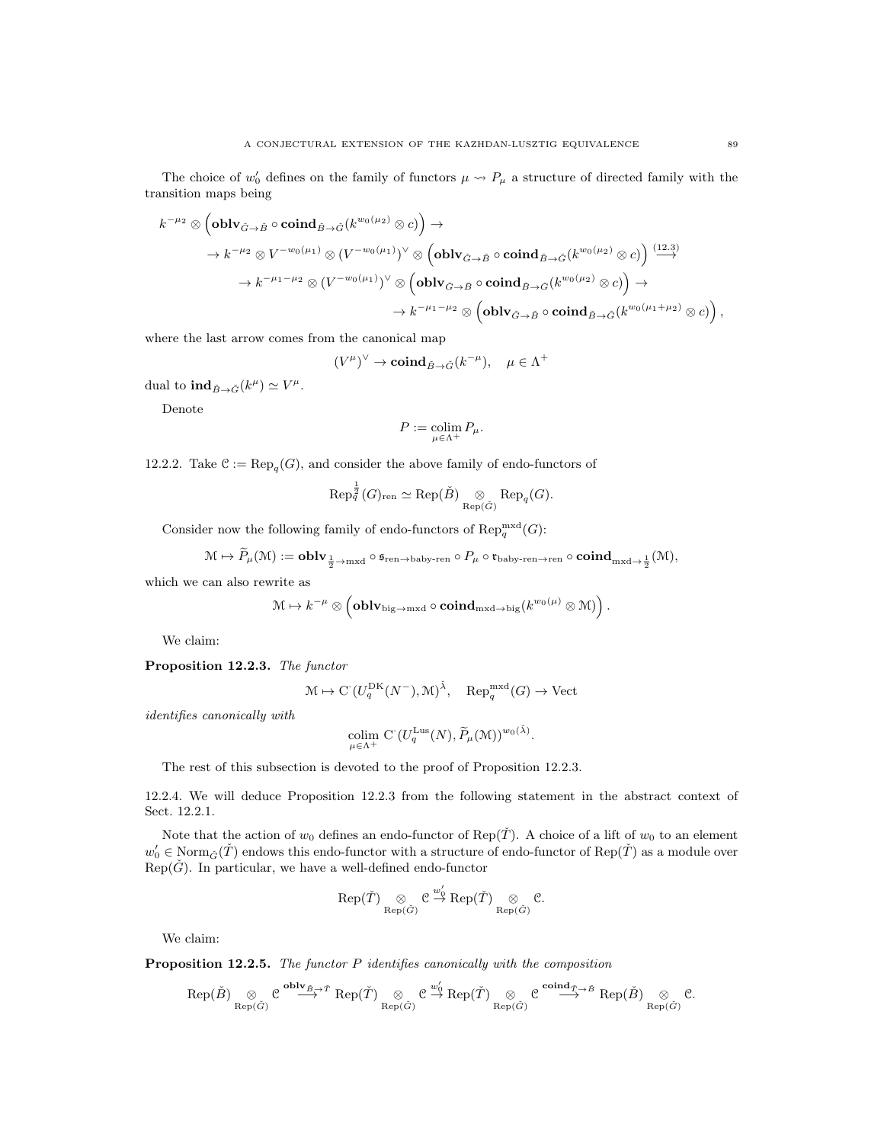The choice of  $w'_0$  defines on the family of functors  $\mu \leadsto P_\mu$  a structure of directed family with the transition maps being

$$
\begin{aligned} k^{-\mu_2} \otimes \left( {\bf oblv}_{\check G \to \check B} \circ {\bf coind}_{\check B \to \check G} (k^{w_0(\mu_2)} \otimes c) \right) &\to \\ & \to k^{-\mu_2} \otimes V^{-w_0(\mu_1)} \otimes (V^{-w_0(\mu_1)})^{\vee} \otimes \left( {\bf oblv}_{\check G \to \check B} \circ {\bf coind}_{\check B \to \check G} (k^{w_0(\mu_2)} \otimes c) \right) \stackrel{(12.3)}{\longrightarrow} \\ & \to k^{-\mu_1-\mu_2} \otimes (V^{-w_0(\mu_1)})^{\vee} \otimes \left( {\bf oblv}_{\check G \to \check B} \circ {\bf coind}_{\check B \to \check G} (k^{w_0(\mu_2)} \otimes c) \right) \to \\ & \to k^{-\mu_1-\mu_2} \otimes \left( {\bf oblv}_{\check G \to \check B} \circ {\bf coind}_{\check B \to \check G} (k^{w_0(\mu_1+\mu_2)} \otimes c) \right), \end{aligned}
$$

where the last arrow comes from the canonical map

 $(V^{\mu})^{\vee} \to \mathbf{coind}_{\check{B} \to \check{G}}(k^{-\mu}), \quad \mu \in \Lambda^+$ 

dual to  $\mathrm{ind}_{\check{B}\to\check{G}}(k^{\mu})\simeq V^{\mu}.$ 

Denote

$$
P:=\operatornamewithlimits{colim}_{\mu\in\Lambda^+}P_\mu.
$$

12.2.2. Take  $\mathfrak{C} := \text{Rep}_q(G)$ , and consider the above family of endo-functors of

$$
\operatorname{Rep}_q^{\frac{1}{2}}(G)_{\operatorname{ren}} \simeq \operatorname{Rep}(\check{B}) \underset{\operatorname{Rep}(\check{G})}{\otimes} \operatorname{Rep}_q(G).
$$

Consider now the following family of endo-functors of  $\text{Rep}_q^{\text{mxd}}(G)$ :

$$
\mathcal{M} \mapsto P_{\mu}(\mathcal{M}):=\mathbf{oblv}_{\frac{1}{2}\to\mathrm{mxd}}\circ\mathfrak{s}_{\mathrm{ren}\to\mathrm{baby}\text{-}\mathrm{ren}}\circ P_{\mu}\circ\mathfrak{r}_{\mathrm{baby}\text{-}\mathrm{ren}\to\mathrm{ren}}\circ\mathbf{coind}_{\mathrm{mxd}\to\frac{1}{2}}(\mathcal{M}),
$$

which we can also rewrite as

$$
\mathcal{M} \mapsto k^{-\mu} \otimes \left(\mathbf{oblv}_{\mathrm{big} \rightarrow \mathrm{mxd}} \circ \mathbf{coind}_{\mathrm{mxd} \rightarrow \mathrm{big}}(k^{w_0(\mu)} \otimes \mathcal{M})\right).
$$

We claim:

Proposition 12.2.3. The functor

$$
\mathcal{M} \mapsto \mathrm{C}^{\cdot} (U_q^{\mathrm{DK}}(N^-), \mathcal{M})^{\check{\lambda}}, \quad \mathrm{Rep}_q^{\mathrm{mxd}}(G) \to \mathrm{Vect}
$$

identifies canonically with

$$
\operatornamewithlimits{colim}_{\mu \in \Lambda^+} \operatorname{C}\left(U_q^{\mathrm{Lus}}(N),\widetilde{P}_\mu(\mathfrak{M})\right)^{w_0(\check{\lambda})}
$$

.

The rest of this subsection is devoted to the proof of Proposition 12.2.3.

12.2.4. We will deduce Proposition 12.2.3 from the following statement in the abstract context of Sect. 12.2.1.

Note that the action of  $w_0$  defines an endo-functor of Rep( $\tilde{T}$ ). A choice of a lift of  $w_0$  to an element  $w'_0 \in \text{Norm}_{\tilde{G}}(\tilde{T})$  endows this endo-functor with a structure of endo-functor of  $\text{Rep}(\tilde{T})$  as a module over  $Rep(\check{G})$ . In particular, we have a well-defined endo-functor

$$
\text{Rep}(\check T) \underset{\text{Rep}(\check G)}{\otimes} \mathcal{C} \overset{w_0'}{\to} \text{Rep}(\check T) \underset{\text{Rep}(\check G)}{\otimes} \mathcal{C}.
$$

We claim:

Proposition 12.2.5. The functor P identifies canonically with the composition

$$
\mathrm{Rep}(\check{B}) \underset{\mathrm{Rep}(\check{G})}{\otimes} \mathcal{C} \overset{\mathbf{oblv}_{\check{B},\check{G}},\check{T}}{\longrightarrow} \mathrm{Rep}(\check{T}) \underset{\mathrm{Rep}(\check{G})}{\otimes} \mathcal{C} \overset{w_0'}{\overset{\sim}{\rightarrow}} \mathrm{Rep}(\check{T}) \underset{\mathrm{Rep}(\check{G})}{\otimes} \mathcal{C} \overset{\mathbf{coind}_{\check{T}_1^{\check{G}},\check{B}}}{\longrightarrow} \mathrm{Rep}(\check{B}) \underset{\mathrm{Rep}(\check{G})}{\otimes} \mathcal{C}.
$$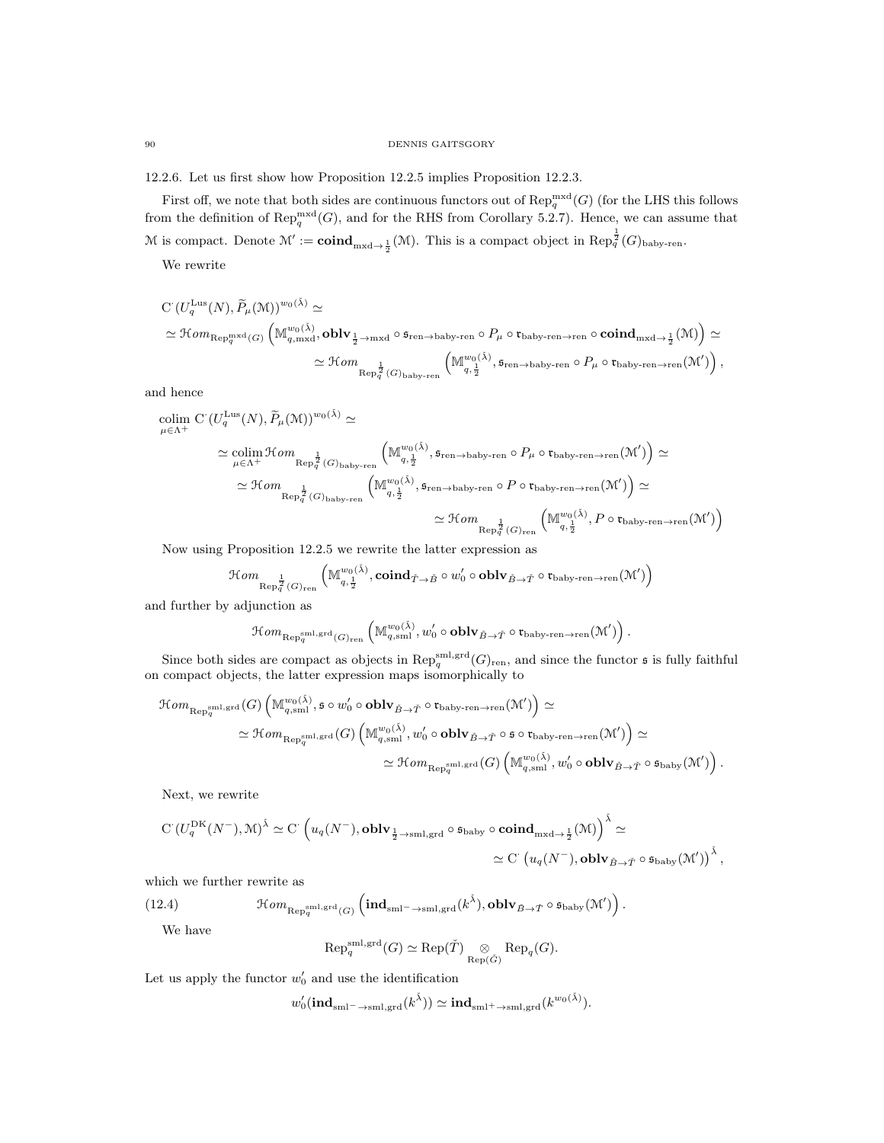12.2.6. Let us first show how Proposition 12.2.5 implies Proposition 12.2.3.

First off, we note that both sides are continuous functors out of  $\text{Rep}_q^{\text{mxd}}(G)$  (for the LHS this follows from the definition of  $\text{Rep}_q^{\text{mxd}}(G)$ , and for the RHS from Corollary 5.2.7). Hence, we can assume that M is compact. Denote  $\mathcal{M}' := \mathbf{coind}_{\mathrm{mxd}\to \frac{1}{2}}(\mathcal{M})$ . This is a compact object in  $\text{Rep}_q^{\frac{1}{2}}(G)_{\text{baby-ren}}$ .

We rewrite

$$
\begin{split} &C\left(U_{q}^{\mathrm{Lus}}(N),\widetilde{P}_{\mu}(\mathcal{M})\right)^{w_{0}(\tilde{\lambda})} \simeq \\ &\simeq \mathcal{H}om_{\mathrm{Rep}_{q}^{\mathrm{mxd}}(G)}\left(M_{q,\mathrm{mxd}}^{w_{0}(\tilde{\lambda})},\mathbf{oblv}_{\frac{1}{2}\to\mathrm{mxd}}\circ\mathfrak{s}_{\mathrm{ren}\to\mathrm{haby}\text{-ren}}\circ P_{\mu}\circ\mathfrak{r}_{\mathrm{baby}\text{-ren}\to\mathrm{ren}}\circ\mathbf{coind}_{\mathrm{mxd}\to\frac{1}{2}}(\mathcal{M})\right)\simeq \\ &\simeq \mathcal{H}om_{\mathrm{Rep}_{q}^{\frac{1}{2}}(G)_{\mathrm{baby}\text{-ren}}}\left(M_{q,\frac{1}{2}}^{w_{0}(\tilde{\lambda})},\mathfrak{s}_{\mathrm{ren}\to\mathrm{baby}\text{-ren}}\circ P_{\mu}\circ\mathfrak{r}_{\mathrm{baby}\text{-ren}\to\mathrm{ren}}(\mathcal{M}')\right), \end{split}
$$

and hence

$$
\begin{split} \underset{\mu \in \Lambda^{+}}{\text{colim}} \; & \; \mathrm{C} \left( U_{q}^{\mathrm{Lus}}(N), \widetilde{P}_{\mu}(\mathbb{M}) \right)^{w_{0}(\check{\lambda})} \simeq \\ & \; \; \simeq \underset{\mu \in \Lambda^{+}}{\text{colim}} \; \mathcal{H}om \underset{\mathrm{Rep}_{q}^{\frac{1}{2}}(G)_{\mathrm{baby-ren}}} \left( \mathbb{M}_{q,\frac{1}{2}}^{w_{0}(\check{\lambda})}, \mathfrak{s}_{\mathrm{ren}\to\mathrm{baby-ren}} \circ P_{\mu} \circ \mathfrak{r}_{\mathrm{baby-ren}\to\mathrm{ren}}(\mathbb{M}') \right) \simeq \\ & \; \simeq \mathcal{H}om \underset{\mathrm{Rep}_{q}^{\frac{1}{2}}(G)_{\mathrm{baby-ren}}} \left( \mathbb{M}_{q,\frac{1}{2}}^{w_{0}(\check{\lambda})}, \mathfrak{s}_{\mathrm{ren}\to\mathrm{baby-ren}} \circ P \circ \mathfrak{r}_{\mathrm{baby-ren}\to\mathrm{ren}}(\mathbb{M}') \right) \simeq \\ & \; \simeq \mathcal{H}om \underset{\mathrm{Rep}_{q}^{\frac{1}{2}}(G)_{\mathrm{ren}}} \left( \mathbb{M}_{q,\frac{1}{2}}^{w_{0}(\check{\lambda})}, P \circ \mathfrak{r}_{\mathrm{baby-ren}\to\mathrm{ren}}(\mathbb{M}') \right) \end{split}
$$

Now using Proposition 12.2.5 we rewrite the latter expression as

$$
\mathcal{H}om_{\text{Rep}_{q}^{\frac{1}{2}}(G)_{\text{ren}}} \left( \mathbb{M}_{q, \frac{1}{2}}^{w_0(\check{\lambda})}, \mathbf{coind}_{\check{T} \to \check{B}} \circ w_0' \circ \mathbf{oblv}_{\check{B} \to \check{T}} \circ \mathfrak{r}_{\text{bdby-ren}\to \text{ren}}(\mathcal{M}') \right)
$$

and further by adjunction as

$$
\mathcal Hom_{\text{Rep}_q^{\text{sml},\text{grd}}(G)_{\text{ren}}}\left(\mathbb M_{q,\text{sml}}^{w_0(\check\lambda)},w_0'\circ\textbf{oblv}_{\check B\to \check T}\circ \mathfrak r_{\text{baby-ren}\to \text{ren}}(\mathcal M')\right).
$$

Since both sides are compact as objects in  $\operatorname{Rep}_q^{\operatorname{sml},\operatorname{grd}}(G)_{\operatorname{ren}}$ , and since the functor  $\mathfrak s$  is fully faithful on compact objects, the latter expression maps isomorphically to

$$
\begin{split} \mathcal{H}om_{\mathrm{Rep}^{\mathrm{sml}},\mathrm{grd}}(G)\left(\mathbb{M}_{q,\mathrm{sml}}^{w_0(\check{\lambda})},\mathfrak{s}\circ w_0'\circ \mathbf{oblv}_{\check{B}\to\check{T}}\circ \mathfrak{r}_{\mathrm{bdry}\text{-}\mathrm{ren}\to\mathrm{ren}}(\mathcal{M}')\right) &\simeq\\ &\simeq \mathcal{H}om_{\mathrm{Rep}^{\mathrm{sml}},\mathrm{grd}}(G)\left(\mathbb{M}_{q,\mathrm{sml}}^{w_0(\check{\lambda})},w_0'\circ \mathbf{oblv}_{\check{B}\to\check{T}}\circ \mathfrak{s}\circ \mathfrak{r}_{\mathrm{bdry}\text{-}\mathrm{ren}\to\mathrm{ren}}(\mathcal{M}')\right) &\simeq\\ &\simeq \mathcal{H}om_{\mathrm{Rep}^{\mathrm{sml}},\mathrm{grd}}(G)\left(\mathbb{M}_{q,\mathrm{sml}}^{w_0(\check{\lambda})},w_0'\circ \mathbf{oblv}_{\check{B}\to\check{T}}\circ \mathfrak{s}_{\mathrm{baby}}(\mathcal{M}')\right). \end{split}
$$

Next, we rewrite

$$
\begin{split} \mathrm{C}\,(U_q^{\mathrm{DK}}(N^-),\mathcal{M})^{\check\lambda} &\simeq \mathrm{C}\,\left(u_q(N^-),\mathbf{oblv}_{\frac{1}{2}\to\mathrm{sml},\mathrm{grd}}\circ\mathfrak{s}_{\mathrm{baby}}\circ\mathbf{coind}_{\mathrm{mxd}\to\frac{1}{2}}(\mathcal{M})\right)^{\check\lambda} &\simeq \\ &\simeq \mathrm{C}\,\left(u_q(N^-),\mathbf{oblv}_{\check B\to\check T}\circ\mathfrak{s}_{\mathrm{baby}}(\mathcal{M}')\right)^{\check\lambda}, \end{split}
$$

which we further rewrite as

(12.4) 
$$
\mathcal{H}om_{\text{Rep}_q^{\text{sm1},\text{grd}}(G)}\left(\text{ind}_{\text{sm1}^-\to\text{sm1},\text{grd}}(k^{\check{\lambda}}),\text{oblv}_{\check{B}\to\check{T}}\circ\mathfrak{s}_{\text{baby}}(\mathcal{M}')\right).
$$

We have

$$
\operatorname{Rep}_q^{\operatorname{sml},\operatorname{grd}}(G) \simeq \operatorname{Rep}(\check{T}) \underset{\operatorname{Rep}(\check{G})}{\otimes} \operatorname{Rep}_q(G).
$$

Let us apply the functor  $w'_0$  and use the identification

$$
w_{0}'(\mathbf{ind}_{\mathrm{sml}^{-}\rightarrow\mathrm{sml},\mathrm{grd}}(k^{\check{\lambda}}))\simeq\mathbf{ind}_{\mathrm{sml}^{+}\rightarrow\mathrm{sml},\mathrm{grd}}(k^{w_{0}(\check{\lambda})}).
$$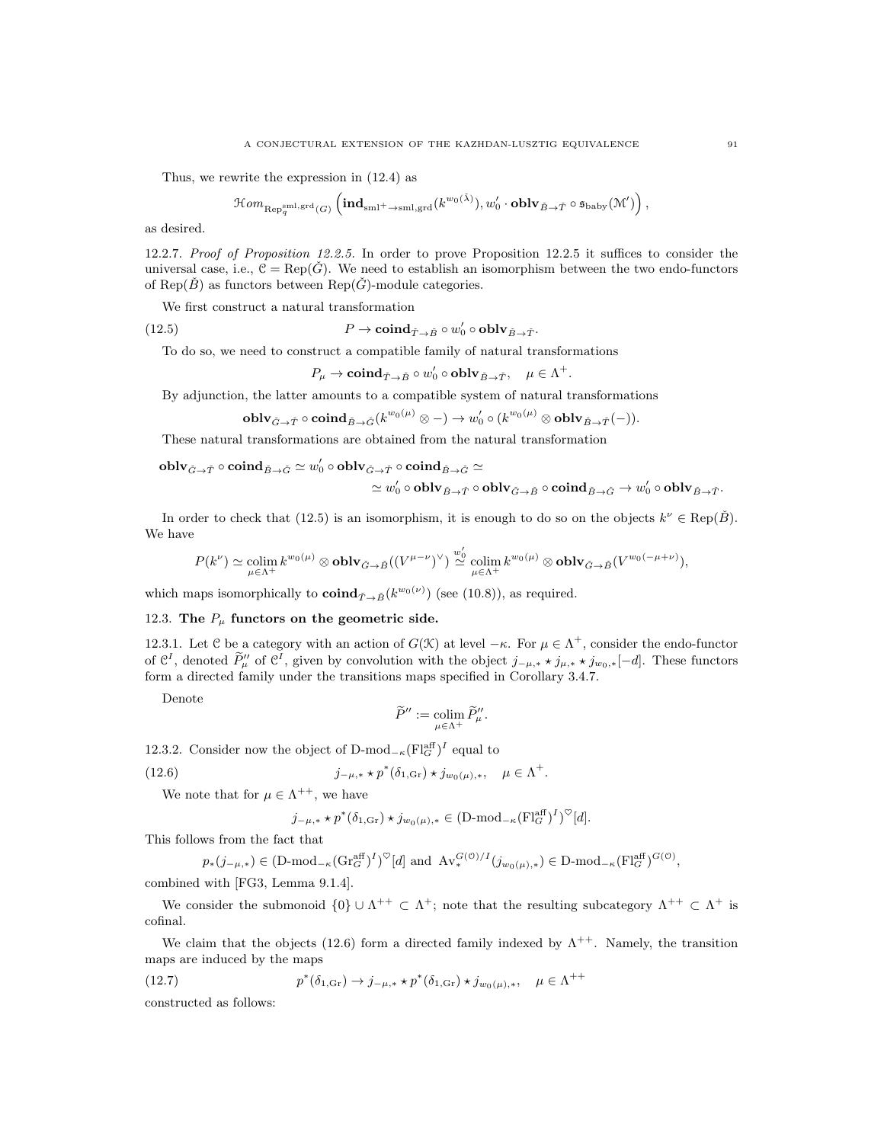Thus, we rewrite the expression in (12.4) as

$$
\mathop{\mathcal{H}\mathit{om}}\nolimits_{\mathop{\mathrm{Rep}}\nolimits_q^{\mathrm{sml},\mathop{\mathrm{grd}}\nolimits}(G)}\left(\mathop{\mathrm{\mathbf{ind}}}\nolimits_{\mathop{\mathrm{sml}}\nolimits+\mathop{\to}\mathop{\mathrm{sml}},\mathop{\mathrm{grd}}\nolimits}(k^{w_0(\check{\lambda})}), w'_0\cdot\mathop{\mathrm{\bf{oblv}}\nolimits_{\check{B}\to\check{T}}}\circ\mathop{\mathfrak{s}_{\mathrm{baby}}}\nolimits(\mathop{\mathcal{M}}'\nolimits')\right),
$$

as desired.

12.2.7. Proof of Proposition 12.2.5. In order to prove Proposition 12.2.5 it suffices to consider the universal case, i.e.,  $\mathcal{C} = \text{Rep}(\check{G})$ . We need to establish an isomorphism between the two endo-functors of Rep( $\check{B}$ ) as functors between Rep( $\check{G}$ )-module categories.

We first construct a natural transformation

(12.5)  $P \to \mathbf{coind}_{\tilde{T} \to \tilde{B}} \circ w'_0 \circ \mathbf{oblv}_{\tilde{B} \to \tilde{T}}.$ 

To do so, we need to construct a compatible family of natural transformations

 $P_\mu \to \mathbf{coind}_{\check T \to \check B} \circ w_0' \circ \mathbf{oblv}_{\check B \to \check T}, \quad \mu \in \Lambda^+.$ 

By adjunction, the latter amounts to a compatible system of natural transformations

$$
\operatorname{\mathbf{oblv}}_{\check{G}\to \check{T}}\circ \operatorname{\mathbf{coind}}_{\check{B}\to \check{G}}(k^{w_0(\mu)}\otimes -)\to w_0'\circ (k^{w_0(\mu)}\otimes \operatorname{\mathbf{oblv}}_{\check{B}\to \check{T}}(-)).
$$

These natural transformations are obtained from the natural transformation

 ${\bf oblv}_{\check{G}\rightarrow\check{T}}\circ{\bf coind}_{\check{B}\rightarrow\check{G}}\simeq w'_0\circ{\bf oblv}_{\check{G}\rightarrow\check{T}}\circ{\bf coind}_{\check{B}\rightarrow\check{G}}\simeq$ 

$$
\simeq w'_0\circ {\bf oblv}_{\check B\rightarrow \check T}\circ {\bf oblv}_{\check G\rightarrow \check B}\circ {\bf coind}_{\check B\rightarrow \check G}\rightarrow w'_0\circ {\bf oblv}_{\check B\rightarrow \check T}.
$$

.

In order to check that (12.5) is an isomorphism, it is enough to do so on the objects  $k^{\nu} \in \text{Rep}(\check{B})$ . We have

$$
P(k^{\nu}) \simeq \underset{\mu \in \Lambda^{+}}{\operatorname{colim}} \, k^{w_{0}(\mu)} \otimes \operatorname{\bf{oblv}}_{\check{G}\rightarrow \check{B}}((V^{\mu-\nu})^{\vee}) \overset{w_{0}'}{\simeq} \underset{\mu \in \Lambda^{+}}{\operatorname{colim}} \, k^{w_{0}(\mu)} \otimes \operatorname{\bf{oblv}}_{\check{G}\rightarrow \check{B}}(V^{w_{0}(-\mu+\nu)}),
$$

which maps isomorphically to  $\mathbf{coind}_{\tilde{T}\to\tilde{B}}(k^{w_0(\nu)})$  (see (10.8)), as required.

# 12.3. The  $P_\mu$  functors on the geometric side.

12.3.1. Let C be a category with an action of  $G(\mathcal{K})$  at level  $-\kappa$ . For  $\mu \in \Lambda^+$ , consider the endo-functor of  $\mathcal{C}^I$ , denoted  $\widetilde{P}''_{\mu}$  of  $\mathcal{C}^I$ , given by convolution with the object  $j_{-\mu,*} \star j_{\mu,*} \star j_{\mu_0,*}[-d]$ . These functors form a directed family under the transitions maps specified in Corollary 3.4.7.

Denote

$$
\widetilde{P}'' := \operatornamewithlimits{colim}_{\mu \in \Lambda^+} \widetilde{P}''_{\mu}.
$$

12.3.2. Consider now the object of D-mod<sub>- $\kappa$ </sub> $\left(\mathrm{Fl}_G^{\text{aff}}\right)^I$  equal to

(12.6) 
$$
j_{-\mu,*} * p^*(\delta_{1,\text{Gr}}) * j_{w_0(\mu),*}, \mu \in \Lambda^+
$$

We note that for  $\mu \in \Lambda^{++}$ , we have

$$
j_{-\mu,*}\star p^*(\delta_{1,\text{Gr}})\star j_{w_0(\mu),*}\in \text{(D-mod}_{-\kappa}(\text{Fl}_G^{\text{aff}})^I)^{\heartsuit}[d].
$$

This follows from the fact that

$$
p_*(j_{-\mu,*}) \in (\text{D-mod}_{-\kappa}(\text{Gr}_G^{\text{aff}})^I)^{\heartsuit}[d] \text{ and } \text{Av}_*^{G(\mathcal{O})/I}(j_{w_0(\mu),*}) \in \text{D-mod}_{-\kappa}(\text{Fl}_G^{\text{aff}})^{G(\mathcal{O})},
$$

combined with [FG3, Lemma 9.1.4].

We consider the submonoid  $\{0\} \cup \Lambda^{++} \subset \Lambda^+$ ; note that the resulting subcategory  $\Lambda^{++} \subset \Lambda^+$  is cofinal.

We claim that the objects (12.6) form a directed family indexed by  $\Lambda^{++}$ . Namely, the transition maps are induced by the maps

(12.7) 
$$
p^*(\delta_{1,\text{Gr}}) \to j_{-\mu,*} * p^*(\delta_{1,\text{Gr}}) * j_{w_0(\mu),*}, \quad \mu \in \Lambda^{++}
$$

constructed as follows: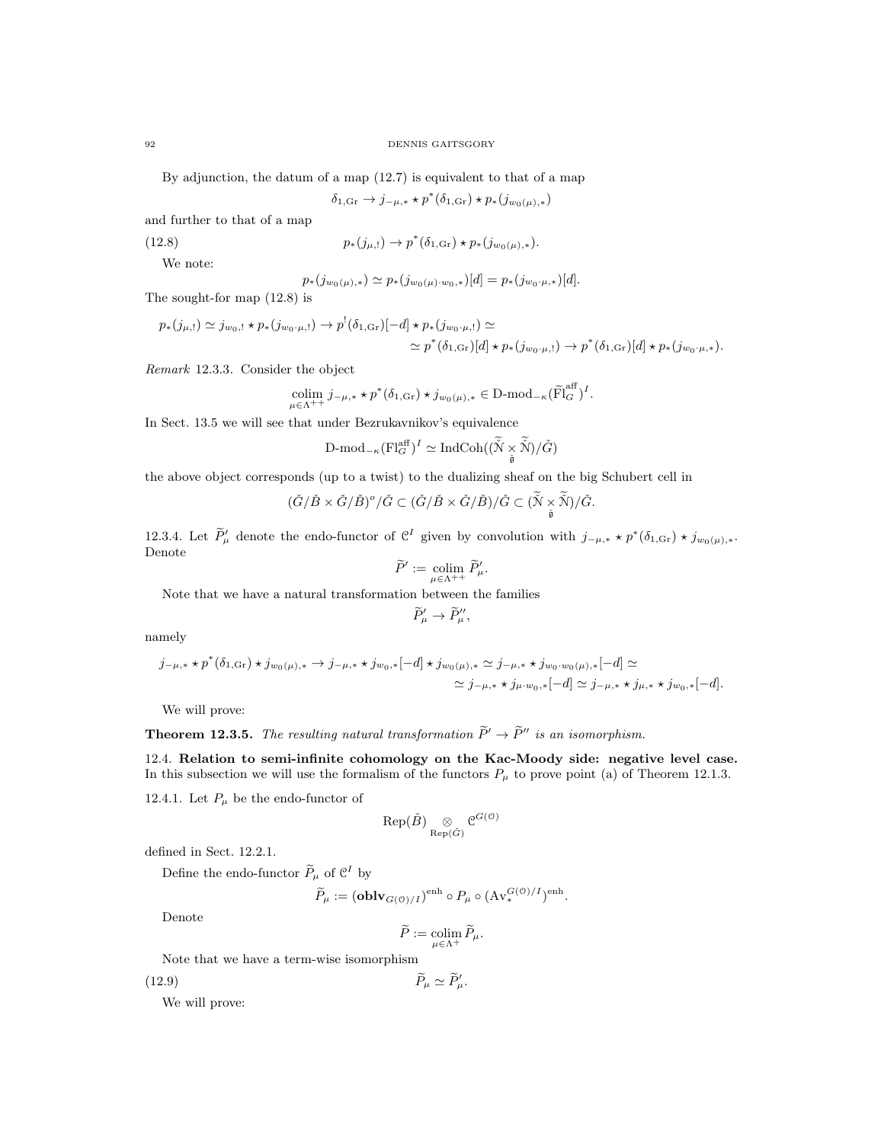By adjunction, the datum of a map (12.7) is equivalent to that of a map

 $\delta_{1,\text{Gr}} \to j_{-\mu,*} * p^*(\delta_{1,\text{Gr}}) * p_*(j_{w_0(\mu),*})$ 

and further to that of a map

(12.8) 
$$
p_*(j_{\mu,!}) \to p^*(\delta_{1,\text{Gr}}) \star p_*(j_{w_0(\mu),*}).
$$

We note:

$$
p_{*}(j_{w_{0}(\mu),*}) \simeq p_{*}(j_{w_{0}(\mu)\cdot w_{0},*})[d] = p_{*}(j_{w_{0}\cdot\mu,*})[d].
$$

The sought-for map (12.8) is

$$
p_{*}(j_{\mu,!}) \simeq j_{w_{0},!} \star p_{*}(j_{w_{0},\mu,!}) \to p^{!}(\delta_{1,\text{Gr}})[-d] \star p_{*}(j_{w_{0},\mu,!}) \simeq
$$
  

$$
\simeq p^{*}(\delta_{1,\text{Gr}})[d] \star p_{*}(j_{w_{0},\mu,!}) \to p^{*}(\delta_{1,\text{Gr}})[d] \star p_{*}(j_{w_{0},\mu,*}).
$$

Remark 12.3.3. Consider the object

$$
\underset{\mu \in \Lambda^{++}}{\text{colim }} j_{-\mu,*} \star p^*(\delta_{1,\text{Gr}}) \star j_{w_0(\mu),*} \in \text{D-mod}_{-\kappa}(\widetilde{\text{Fl}}_G^{\text{aff}})^I.
$$

In Sect. 13.5 we will see that under Bezrukavnikov's equivalence

$$
\text{D-mod}_{-\kappa}(\text{Fl}_G^{\text{aff}})^I \simeq \text{IndCoh}((\widetilde{\text{N}} \times \widetilde{\text{N}})/\check{G})
$$

the above object corresponds (up to a twist) to the dualizing sheaf on the big Schubert cell in

$$
(\check{G}/\check{B}\times \check{G}/\check{B})^o/\check{G}\subset (\check{G}/\check{B}\times \check{G}/\check{B})/\check{G}\subset (\tilde{\check{N}}\times \tilde{\check{N}})/\check{G}.
$$

12.3.4. Let  $\widetilde{P}'_{\mu}$  denote the endo-functor of  $\mathcal{C}^I$  given by convolution with  $j_{-\mu,*} \star p^*(\delta_{1,\text{Gr}}) \star j_{w_0(\mu),*}.$ Denote

$$
\widetilde{P}' := \operatornamewithlimits{colim}_{\mu \in \Lambda^{++}} \widetilde{P}'_{\mu}.
$$

Note that we have a natural transformation between the families

$$
\widetilde{P}'_{\mu} \to \widetilde{P}''_{\mu},
$$

namely

$$
j_{-\mu,*}\star p^*(\delta_{1,\text{Gr}})\star j_{w_0(\mu),*}\to j_{-\mu,*}\star j_{w_0,*}[-d]\star j_{w_0(\mu),*}\simeq j_{-\mu,*}\star j_{w_0\cdot w_0(\mu),*}[-d]\simeq\\ \simeq j_{-\mu,*}\star j_{\mu\cdot w_0,*}[-d]\simeq j_{-\mu,*}\star j_{\mu,*}\star j_{w_0,*}[-d].
$$

We will prove:

# **Theorem 12.3.5.** The resulting natural transformation  $\tilde{P}' \to \tilde{P}''$  is an isomorphism.

12.4. Relation to semi-infinite cohomology on the Kac-Moody side: negative level case. In this subsection we will use the formalism of the functors  $P_{\mu}$  to prove point (a) of Theorem 12.1.3.

12.4.1. Let  $P_\mu$  be the endo-functor of

$$
\mathrm{Rep}(\check{B}) \underset{\mathrm{Rep}(\check{G})}{\otimes} \mathfrak{C}^{G(\mathfrak{O})}
$$

defined in Sect. 12.2.1.

Define the endo-functor  $\widetilde{P}_{\mu}$  of  $\mathcal{C}^{I}$  by

$$
\widetilde{P}_{\mu} := \left(\mathbf{oblv}_{G(\mathcal{O})/I}\right)^{\text{enh}} \circ P_{\mu} \circ \left(\mathrm{Av}_{*}^{G(\mathcal{O})/I}\right)^{\text{enh}}.
$$

Denote

$$
\widetilde{P}:=\operatornamewithlimits{colim}_{\mu\in\Lambda^+}\widetilde{P}_\mu.
$$

Note that we have a term-wise isomorphism

(12.9)  $\widetilde{P}_{\mu} \simeq \widetilde{P}_{\mu}'$ .

We will prove: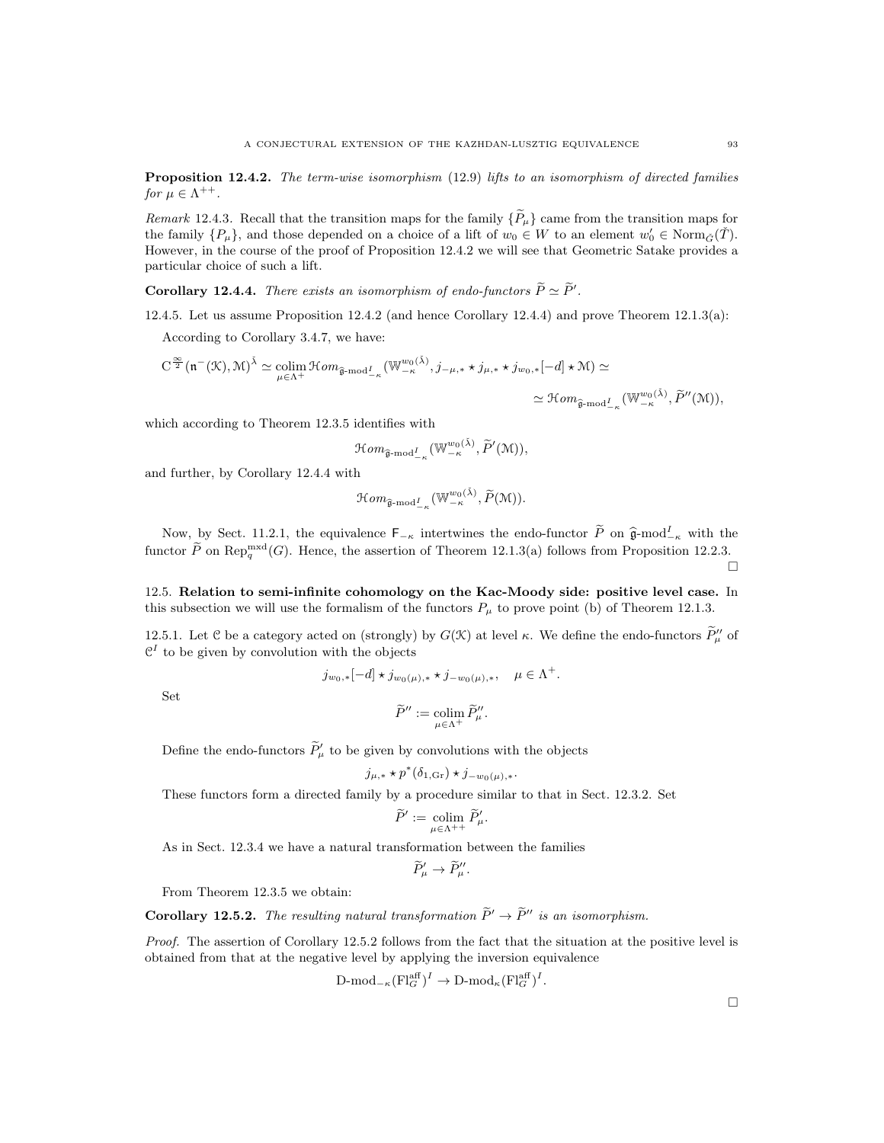Proposition 12.4.2. The term-wise isomorphism (12.9) lifts to an isomorphism of directed families for  $\mu \in \Lambda^{++}$ .

Remark 12.4.3. Recall that the transition maps for the family  $\{\widetilde{P}_{\mu}\}\$ came from the transition maps for the family  $\{P_\mu\}$ , and those depended on a choice of a lift of  $w_0 \in W$  to an element  $w'_0 \in \text{Norm}_{\tilde{G}}(\tilde{T})$ . However, in the course of the proof of Proposition 12.4.2 we will see that Geometric Satake provides a particular choice of such a lift.

**Corollary 12.4.4.** There exists an isomorphism of endo-functors  $\widetilde{P} \simeq \widetilde{P}'$ .

12.4.5. Let us assume Proposition 12.4.2 (and hence Corollary 12.4.4) and prove Theorem 12.1.3(a):

According to Corollary 3.4.7, we have:

$$
C^{\frac{\infty}{2}}(\mathfrak{n}^{-}(\mathcal{K}),\mathcal{M})^{\tilde{\lambda}}\simeq \underset{\mu\in\Lambda^{+}}{\mathrm{colim}}\mathcal{H}om_{\widehat{\mathfrak{g}}\text{-}\mathrm{mod}^{\underline{I}}_{-\kappa}}(\mathbb{W}^{w_{0}(\tilde{\lambda})}_{-\kappa},j_{-\mu,*}\star j_{\mu,*}\star j_{w_{0},*}[-d]\star\mathcal{M})\simeq
$$

$$
\simeq \mathcal{H}om_{\widehat{\mathfrak{g}}\text{-}\mathrm{mod}^{\underline{I}}_{-\kappa}}(\mathbb{W}^{w_{0}(\tilde{\lambda})}_{-\kappa},\widetilde{P}''(\mathcal{M})),
$$

which according to Theorem 12.3.5 identifies with

$$
\mathcal{H}om_{\widehat{\mathfrak{g}}\text{-}\mathrm{mod}^I_{-\kappa}}(\mathbb{W}^{w_0(\tilde{\lambda})}_{-\kappa},\widetilde{P}'(\mathfrak{M})),
$$

and further, by Corollary 12.4.4 with

$$
\mathcal Hom_{\widehat{\mathfrak g}\text{-}\mathrm{mod}^I_{-\kappa}}(\mathbb W^{w_0(\check\lambda)}_{-\kappa},\widetilde P(\mathfrak M)).
$$

Now, by Sect. 11.2.1, the equivalence  $\mathsf{F}_{-\kappa}$  intertwines the endo-functor  $\widetilde{P}$  on  $\widehat{\mathfrak{g}}$ -mod<sup>I</sup><sub> $\kappa$ </sub> with the functor  $\widetilde{P}$  on Rep<sup>mxd</sup>(G). Hence, the assertion of Theorem 12.1.3(a) follows from Proposition 12.2.3.

12.5. Relation to semi-infinite cohomology on the Kac-Moody side: positive level case. In this subsection we will use the formalism of the functors  $P_\mu$  to prove point (b) of Theorem 12.1.3.

12.5.1. Let C be a category acted on (strongly) by  $G(\mathcal{K})$  at level  $\kappa$ . We define the endo-functors  $\widetilde{P}_{\mu}^{\prime\prime}$  of  $\mathcal{C}^{I}$  to be given by convolution with the objects

$$
j_{w_0,*}[-d] \star j_{w_0(\mu),*} \star j_{-w_0(\mu),*}, \quad \mu \in \Lambda^+.
$$

Set

$$
\widetilde{P}'' := \operatornamewithlimits{colim}_{\mu \in \Lambda^+} \widetilde{P}''_{\mu}.
$$

Define the endo-functors  $\widetilde{P}_{\mu}$  to be given by convolutions with the objects

$$
j_{\mu,*}\star p^*(\delta_{1,\text{Gr}})\star j_{-w_0(\mu),*}.
$$

These functors form a directed family by a procedure similar to that in Sect. 12.3.2. Set

$$
\widetilde{P}' := \operatornamewithlimits{colim}_{\mu \in \Lambda^{++}} \widetilde{P}'_{\mu}.
$$

As in Sect. 12.3.4 we have a natural transformation between the families

$$
\widetilde{P}'_{\mu} \to \widetilde{P}''_{\mu}.
$$

From Theorem 12.3.5 we obtain:

**Corollary 12.5.2.** The resulting natural transformation  $\widetilde{P}' \to \widetilde{P}''$  is an isomorphism.

Proof. The assertion of Corollary 12.5.2 follows from the fact that the situation at the positive level is obtained from that at the negative level by applying the inversion equivalence

$$
\text{D-mod}_{-\kappa}(\text{Fl}_G^{\text{aff}})^I \to \text{D-mod}_{\kappa}(\text{Fl}_G^{\text{aff}})^I.
$$

 $\Box$ 

П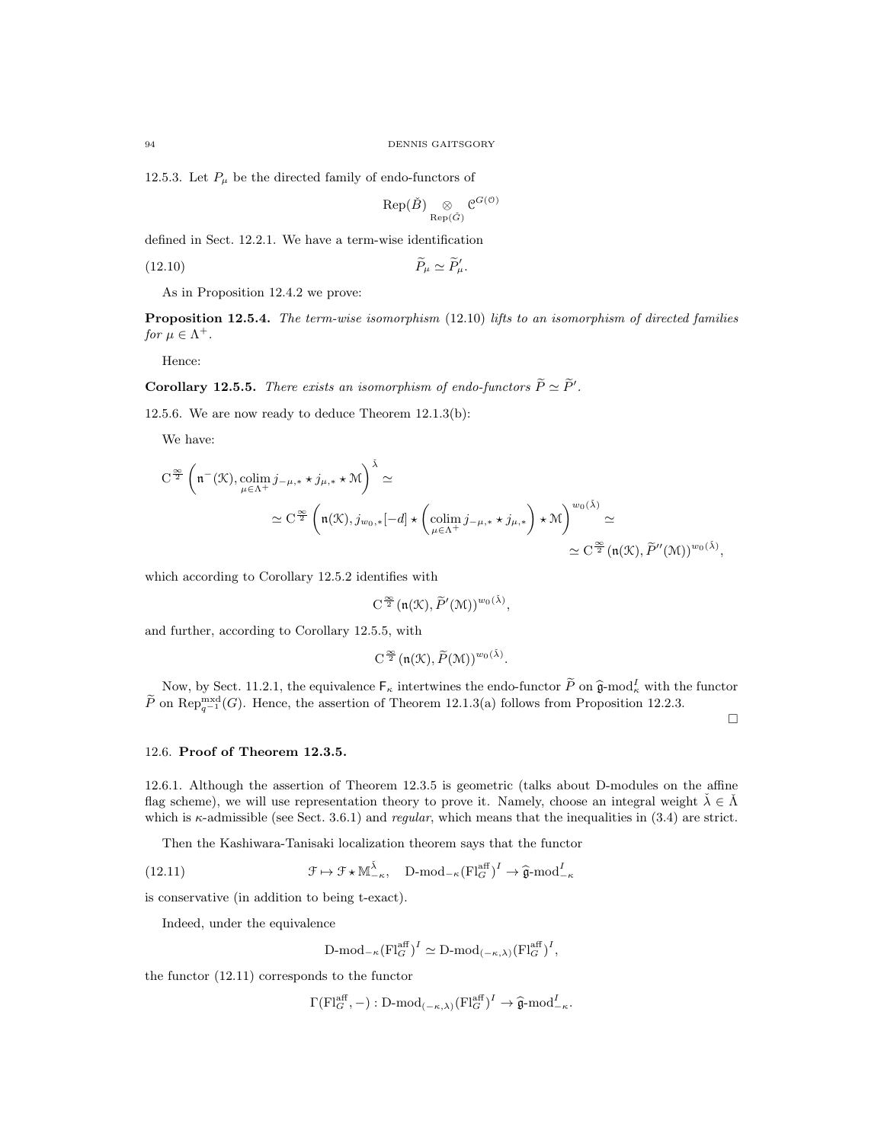12.5.3. Let  $P_\mu$  be the directed family of endo-functors of

$$
\mathrm{Rep}(\check B) \underset{\mathrm{Rep}(\check G)}{\otimes} \mathfrak{C}^{G(\mathfrak{O})}
$$

defined in Sect. 12.2.1. We have a term-wise identification

$$
\widetilde{P}_{\mu} \simeq \widetilde{P}_{\mu}'.
$$
 (12.10)

As in Proposition 12.4.2 we prove:

Proposition 12.5.4. The term-wise isomorphism (12.10) lifts to an isomorphism of directed families for  $\mu \in \Lambda^+$ .

Hence:

**Corollary 12.5.5.** There exists an isomorphism of endo-functors  $\widetilde{P} \simeq \widetilde{P}'$ .

12.5.6. We are now ready to deduce Theorem 12.1.3(b):

We have:

$$
C^{\frac{\infty}{2}} \left( \mathfrak{n}^{-}(\mathcal{K}), \underset{\mu \in \Lambda^{+}}{\text{colim}} j_{-\mu,*} \star j_{\mu,*} \star \mathcal{M} \right)^{\check{\lambda}} \simeq
$$
  

$$
\simeq C^{\frac{\infty}{2}} \left( \mathfrak{n}(\mathcal{K}), j_{w_{0},*}[-d] \star \left( \underset{\mu \in \Lambda^{+}}{\text{colim}} j_{-\mu,*} \star j_{\mu,*} \right) \star \mathcal{M} \right)^{w_{0}(\check{\lambda})} \simeq
$$
  

$$
\simeq C^{\frac{\infty}{2}} \left( \mathfrak{n}(\mathcal{K}), \widetilde{P}''(\mathcal{M}) \right)^{w_{0}(\check{\lambda})},
$$

which according to Corollary 12.5.2 identifies with

$$
C^{\frac{\infty}{2}}(\mathfrak{n}(\mathfrak{K}),\widetilde{P}'(\mathfrak{M}))^{w_0(\check{\lambda})},
$$

and further, according to Corollary 12.5.5, with

$$
C^{\frac{\infty}{2}}(\mathfrak{n}(\mathfrak{K}),\widetilde{P}(\mathfrak{M}))^{w_0(\check{\lambda})}.
$$

Now, by Sect. 11.2.1, the equivalence  $F_{\kappa}$  intertwines the endo-functor  $\widetilde{P}$  on  $\widehat{\mathfrak{g}}$ -mod<sub>k</sub> with the functor  $\widetilde{P}$  on Rep<sup>mxd</sup>(*G*). Hence, the assertion of Theorem 12.1.3(a) follows from Proposition 12.2.3.

 $\Box$ 

#### 12.6. Proof of Theorem 12.3.5.

12.6.1. Although the assertion of Theorem 12.3.5 is geometric (talks about D-modules on the affine flag scheme), we will use representation theory to prove it. Namely, choose an integral weight  $\check{\lambda} \in \check{\Lambda}$ which is  $\kappa$ -admissible (see Sect. 3.6.1) and *regular*, which means that the inequalities in (3.4) are strict.

Then the Kashiwara-Tanisaki localization theorem says that the functor

(12.11) 
$$
\mathcal{F} \mapsto \mathcal{F} \star \mathbb{M}_{-\kappa}^{\hat{\lambda}}, \quad \text{D-mod}_{-\kappa}(\text{Fl}_{G}^{\text{aff}})^{I} \to \hat{\mathfrak{g}} \text{-mod}_{-\kappa}^{I}
$$

is conservative (in addition to being t-exact).

Indeed, under the equivalence

$$
\mathrm{D\text{-}mod}_{-\kappa}(\mathrm{Fl}_G^{\mathrm{aff}})^I \simeq \mathrm{D\text{-}mod}_{(-\kappa,\lambda)}(\mathrm{Fl}_G^{\mathrm{aff}})^I,
$$

the functor (12.11) corresponds to the functor

$$
\Gamma(\mathrm{Fl}_G^{\text{aff}}, -): \mathrm{D-mod}_{(-\kappa,\lambda)}(\mathrm{Fl}_G^{\text{aff}})^I \to \widehat{\mathfrak{g}}\text{-mod}_{-\kappa}^I.
$$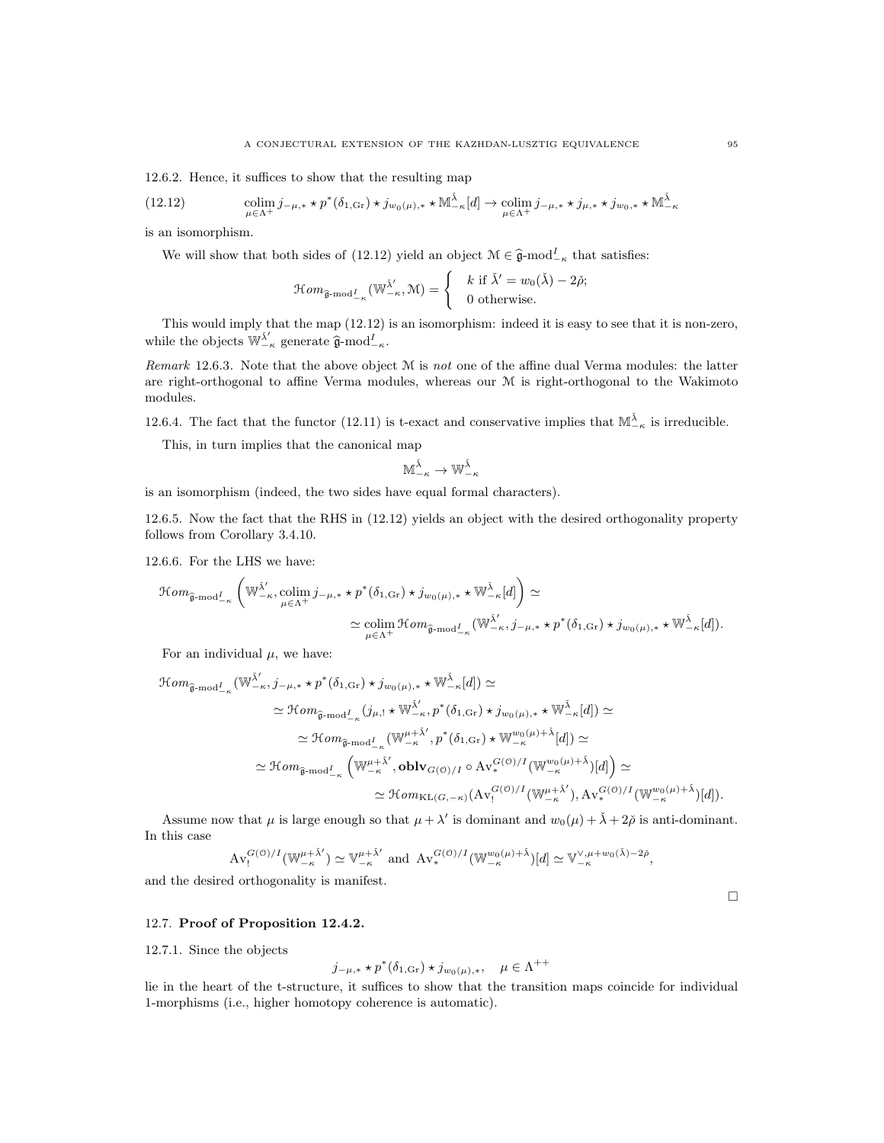12.6.2. Hence, it suffices to show that the resulting map

(12.12) 
$$
\underset{\mu \in \Lambda^{+}}{\text{colim}} j_{-\mu,*} \star p^{*}(\delta_{1,\text{Gr}}) \star j_{w_{0}(\mu),*} \star M^{\bar{\lambda}}_{-\kappa}[d] \to \underset{\mu \in \Lambda^{+}}{\text{colim}} j_{-\mu,*} \star j_{\mu,*} \star j_{w_{0},*} \star M^{\bar{\lambda}}_{-\kappa}
$$

is an isomorphism.

We will show that both sides of (12.12) yield an object  $\mathcal{M} \in \hat{\mathfrak{g}}$ -mod $_{-\kappa}^{I}$  that satisfies:

$$
\mathcal{H}om_{\widehat{\mathfrak{g}}\text{-}\mathrm{mod}^{\underline{I}}_{-\kappa}}(\mathbb{W}_{-\kappa}^{\check{\lambda}'}\mathcal{M})=\begin{cases} & k \text{ if } \check{\lambda}'=w_0(\check{\lambda})-2\check{\rho}; \\ & 0 \text{ otherwise.} \end{cases}
$$

This would imply that the map (12.12) is an isomorphism: indeed it is easy to see that it is non-zero, while the objects  $\mathbb{W}_{-\kappa}^{\tilde{\lambda}'}$  generate  $\hat{\mathfrak{g}}$ -mod $_{-\kappa}^{I}$ .

Remark 12.6.3. Note that the above object M is not one of the affine dual Verma modules: the latter are right-orthogonal to affine Verma modules, whereas our M is right-orthogonal to the Wakimoto modules.

12.6.4. The fact that the functor (12.11) is t-exact and conservative implies that  $\mathbb{M}^{\check{\lambda}}_{-\kappa}$  is irreducible.

This, in turn implies that the canonical map

$$
\mathbb{M}^{\check{\lambda}}_{-\kappa}\to \mathbb{W}^{\check{\lambda}}_{-\kappa}
$$

is an isomorphism (indeed, the two sides have equal formal characters).

12.6.5. Now the fact that the RHS in (12.12) yields an object with the desired orthogonality property follows from Corollary 3.4.10.

12.6.6. For the LHS we have:

$$
\begin{split} \mathcal{H}om_{\widehat{\mathfrak{g}}\text{-mod}^I_{-\kappa}}\left(\mathbb{W}^{\check{\lambda}'}_{-\kappa},\underset{\mu\in\Lambda^+}{\operatorname{colim}}j_{-\mu,*}\star p^*(\delta_{1,\mathrm{Gr}})\star j_{w_0(\mu),*}\star\mathbb{W}^{\check{\lambda}}_{-\kappa}[d]\right) &\simeq\\ &\simeq \underset{\mu\in\Lambda^+}{\operatorname{colim}}\mathcal{H}om_{\widehat{\mathfrak{g}}\text{-mod}^I_{-\kappa}}(\mathbb{W}^{\check{\lambda}'}_{-\kappa},j_{-\mu,*}\star p^*(\delta_{1,\mathrm{Gr}})\star j_{w_0(\mu),*}\star\mathbb{W}^{\check{\lambda}}_{-\kappa}[d]). \end{split}
$$

For an individual  $\mu$ , we have:

$$
\begin{split} \mathcal{H}om_{\widehat{\mathfrak{g}}\text{-mod}^I_{-\kappa}}( \mathbb{W}_{-\kappa}^{\bar{\lambda}'} , j_{-\mu,*}\star p^*(\delta_{1,\text{Gr}}) \star j_{w_0(\mu),*}\star \mathbb{W}_{-\kappa}^{\bar{\lambda}}[d]) &\simeq \\ &\simeq \mathcal{H}om_{\widehat{\mathfrak{g}}\text{-mod}^I_{-\kappa}}(j_{\mu,!}\star \mathbb{W}_{-\kappa}^{\bar{\lambda}'} , p^*(\delta_{1,\text{Gr}}) \star j_{w_0(\mu),*}\star \mathbb{W}_{-\kappa}^{\bar{\lambda}}[d]) &\simeq \\ &\simeq \mathcal{H}om_{\widehat{\mathfrak{g}}\text{-mod}^I_{-\kappa}}( \mathbb{W}_{-\kappa}^{\mu+\bar{\lambda}'}, p^*(\delta_{1,\text{Gr}}) \star \mathbb{W}_{-\kappa}^{w_0(\mu)+\bar{\lambda}}[d]) &\simeq \\ &\simeq \mathcal{H}om_{\widehat{\mathfrak{g}}\text{-mod}^I_{-\kappa}}\left( \mathbb{W}_{-\kappa}^{\mu+\bar{\lambda}'},\textbf{oblv}_{G(\mathbb{O})/I} \circ \mathbf{A}\mathbf{v}_{\kappa}^{G(\mathbb{O})/I}(\mathbb{W}_{-\kappa}^{\mu_0(\mu)+\bar{\lambda}})[d]\right) &\simeq \\ &\simeq \mathcal{H}om_{\widehat{\mathfrak{g}}\text{-mod}^I_{-\kappa}}\left( \mathbb{W}_{-\kappa}^{\mu+\bar{\lambda}'},\textbf{oblv}_{G(\mathbb{O})/I} \left( \mathbb{W}_{-\kappa}^{\mu+\bar{\lambda}'}\right), \mathbf{A}\mathbf{v}_{\kappa}^{G(\mathbb{O})/I}(\mathbb{W}_{-\kappa}^{w_0(\mu)+\bar{\lambda}})[d]\right). \end{split}
$$

Assume now that  $\mu$  is large enough so that  $\mu + \lambda'$  is dominant and  $w_0(\mu) + \lambda + 2\tilde{\rho}$  is anti-dominant. In this case

$$
\mathrm{Av}_{!}^{G(\mathcal{O})/I}(\mathbb{W}_{-\kappa}^{\mu+\tilde{\lambda}'}) \simeq \mathbb{V}_{-\kappa}^{\mu+\tilde{\lambda}'} \text{ and } \mathrm{Av}_{*}^{G(\mathcal{O})/I}(\mathbb{W}_{-\kappa}^{w_{0}(\mu)+\tilde{\lambda}})[d] \simeq \mathbb{V}_{-\kappa}^{\vee,\mu+w_{0}(\tilde{\lambda})-2\tilde{\rho}},
$$

and the desired orthogonality is manifest.

#### 12.7. Proof of Proposition 12.4.2.

12.7.1. Since the objects

$$
j_{-\mu,*} \star p^*(\delta_{1,\text{Gr}}) \star j_{w_0(\mu),*}, \quad \mu \in \Lambda^{++}
$$

lie in the heart of the t-structure, it suffices to show that the transition maps coincide for individual 1-morphisms (i.e., higher homotopy coherence is automatic).

 $\Box$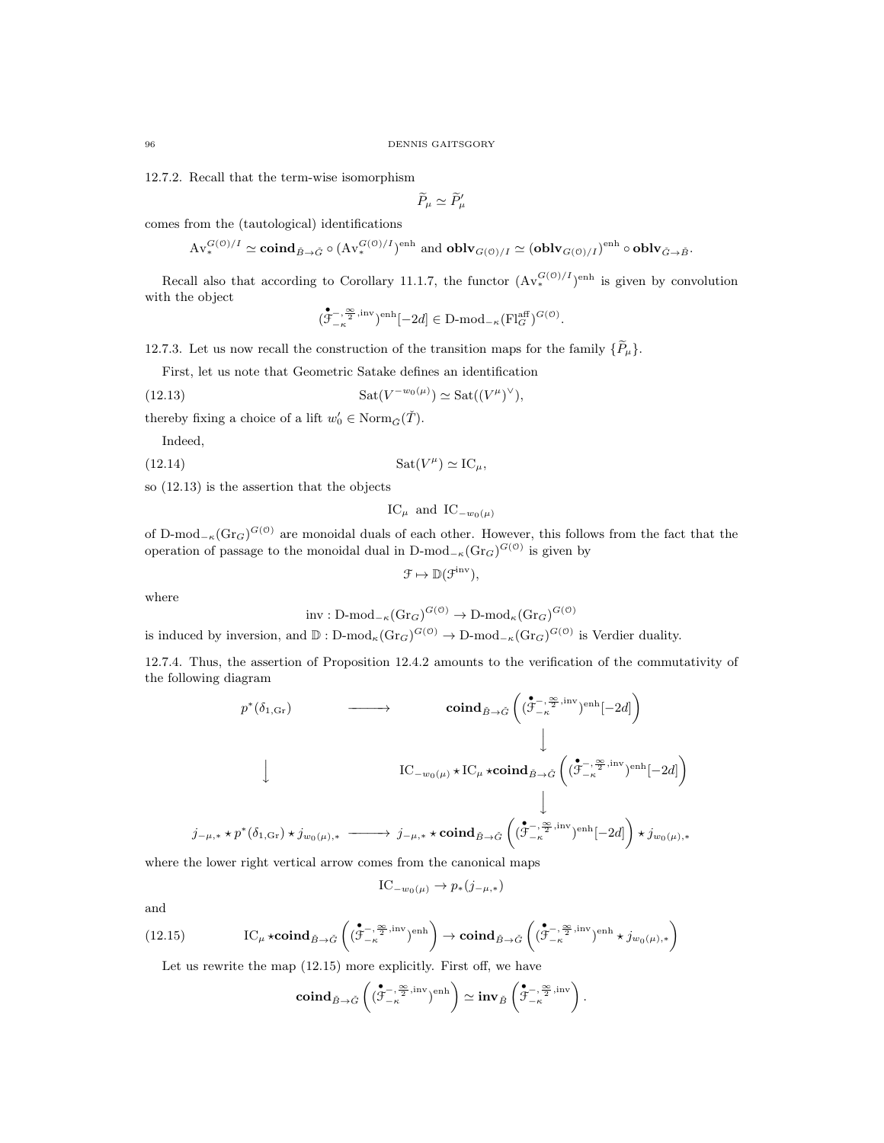12.7.2. Recall that the term-wise isomorphism

 $\widetilde{P}_{\mu} \simeq \widetilde{P}_{\mu}'$ 

comes from the (tautological) identifications

$$
\mathrm{Av}^{G(\mathbb{O})/I}_* \simeq \mathbf{coind}_{\check{B} \to \check{G}} \circ (\mathrm{Av}^{G(\mathbb{O})/I}_*)^{\text{enh}} \text{ and } \mathbf{oblv}_{G(\mathbb{O})/I} \simeq (\mathbf{oblv}_{G(\mathbb{O})/I})^{\text{enh}} \circ \mathbf{oblv}_{\check{G} \to \check{B}}.
$$

Recall also that according to Corollary 11.1.7, the functor  $(\text{Av}_*^{G(0)/I})^{\text{enh}}$  is given by convolution with the object

$$
(\mathring{\mathcal{F}}^{-,\frac{\infty}{2}, \textrm{inv}}_{-\kappa})^{\textrm{enh}}[-2d] \in \textrm{D-mod}_{-\kappa}(\textrm{Fl}_{G}^{\textrm{aff}})^{G(\mathcal{O})}.
$$

12.7.3. Let us now recall the construction of the transition maps for the family  $\{\widetilde{P}_{\mu}\}.$ 

First, let us note that Geometric Satake defines an identification

(12.13) 
$$
\operatorname{Sat}(V^{-w_0(\mu)}) \simeq \operatorname{Sat}((V^{\mu})^{\vee}),
$$

thereby fixing a choice of a lift  $w'_0 \in \text{Norm}_{\tilde{G}}(\tilde{T})$ .

Indeed,

$$
(12.14) \t\t\t Sat(V^{\mu}) \simeq IC_{\mu},
$$

so (12.13) is the assertion that the objects

$$
IC_{\mu}
$$
 and  $IC_{-w_0(\mu)}$ 

of D-mod<sub>− $\kappa$ </sub>(Gr<sub>G</sub>)<sup>*G*(0)</sup> are monoidal duals of each other. However, this follows from the fact that the operation of passage to the monoidal dual in D-mod<sub> $-\kappa$ </sub> $(\text{Gr}_G)^{G(0)}$  is given by

$$
\mathcal{F} \mapsto \mathbb{D}(\mathcal{F}^{\mathrm{inv}}),
$$

where

$$
inv: D\text{-mod}_{-\kappa}(\text{Gr}_G)^{G(\mathcal{O})} \to D\text{-mod}_{\kappa}(\text{Gr}_G)^{G(\mathcal{O})}
$$

is induced by inversion, and  $\mathbb{D}$  :  $D\text{-mod}_{\kappa}(\text{Gr}_G)^{G(\mathbb{O})} \to D\text{-mod}_{-\kappa}(\text{Gr}_G)^{G(\mathbb{O})}$  is Verdier duality.

12.7.4. Thus, the assertion of Proposition 12.4.2 amounts to the verification of the commutativity of the following diagram

$$
p^*(\delta_{1,\text{Gr}}) \longrightarrow \text{cond}_{\tilde{B}\to\tilde{G}}\left((\overset{\bullet}{\mathcal{F}}^{-,\overset{\infty}{\mathcal{F}},\text{inv}})_{\text{enh}}[-2d]\right)
$$
\n
$$
\downarrow \qquad \qquad \downarrow
$$
\n
$$
\downarrow \qquad \qquad \downarrow
$$
\n
$$
IC_{-w_0(\mu)} \star IC_{\mu} \star \text{coind}_{\tilde{B}\to\tilde{G}}\left((\overset{\bullet}{\mathcal{F}}^{-,\overset{\infty}{\mathcal{F}},\text{inv}})_{\text{enh}}[-2d]\right)
$$
\n
$$
\downarrow
$$
\n
$$
j_{-\mu,*} \star p^*(\delta_{1,\text{Gr}}) \star j_{w_0(\mu),*} \longrightarrow j_{-\mu,*} \star \text{coind}_{\tilde{B}\to\tilde{G}}\left((\overset{\bullet}{\mathcal{F}}^{-,\overset{\infty}{\mathcal{F}},\text{inv}})_{\text{enh}}[-2d]\right) \star j_{w_0(\mu),*}
$$

where the lower right vertical arrow comes from the canonical maps

$$
IC_{-w_0(\mu)} \to p_*(j_{-\mu,*})
$$

and

(12.15) 
$$
\text{IC}_{\mu} \star \mathbf{coind}_{\check{B}\to\check{G}}\left((\overset{\bullet}{\mathcal{F}_{-\kappa}}^{-,\overset{\infty}{2},\mathrm{inv}})^{\mathrm{enh}}\right) \to \mathbf{coind}_{\check{B}\to\check{G}}\left((\overset{\bullet}{\mathcal{F}_{-\kappa}}^{-,\overset{\infty}{2},\mathrm{inv}})^{\mathrm{enh}} \star j_{w_{0}(\mu),*}\right)
$$

Let us rewrite the map (12.15) more explicitly. First off, we have

$$
\mathbf{coind}_{\tilde{B}\to\tilde{G}}\left((\overset{\bullet}{\mathcal{F}}^{-,\overset{\infty}{2},\mathrm{inv}}_{-\kappa})^{\mathrm{enh}}\right)\simeq\mathbf{inv}_{\tilde{B}}\left(\overset{\bullet}{\mathcal{F}}^{-,\overset{\infty}{2},\mathrm{inv}}_{-\kappa}\right)
$$

.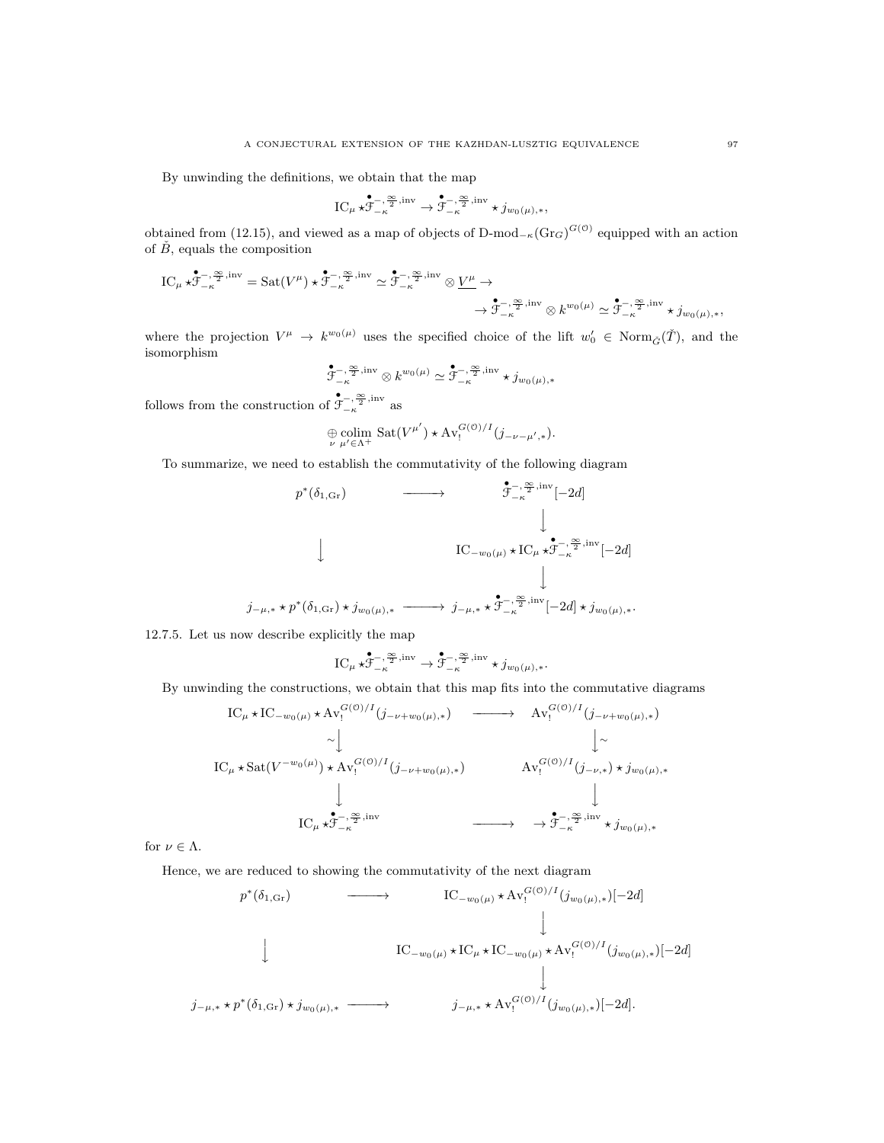By unwinding the definitions, we obtain that the map

$$
\textnormal{IC}_{\mu}\star\overset{\bullet}{\mathcal{F}}^{-,\frac{\infty}{2},\textnormal{inv}}_{-\kappa}\rightarrow \overset{\bullet}{\mathcal{F}}^{-,\frac{\infty}{2},\textnormal{inv}}_{-\kappa}\star j_{w_0(\mu),*},
$$

obtained from (12.15), and viewed as a map of objects of D-mod<sub>- $\kappa$ </sub> $(\text{Gr}_G)^{G(0)}$  equipped with an action of  $\check{B}$ , equals the composition

$$
\begin{split} \mathrm{IC}_{\mu}\star\overset{\bullet}{\mathcal{F}^{-,\frac{\infty}{2},\mathrm{inv}}_{-\kappa}}&=\mathrm{Sat}(V^{\mu})\star\overset{\bullet}{\mathcal{F}^{-,\frac{\infty}{2},\mathrm{inv}}_{-\kappa}}\simeq\overset{\bullet}{\mathcal{F}^{-,\frac{\infty}{2},\mathrm{inv}}_{-\kappa}}\otimes\underline{V^{\mu}}\rightarrow\\ &\longrightarrow\overset{\bullet}{\mathcal{F}^{-,\frac{\infty}{2},\mathrm{inv}}_{-\kappa}}\otimes k^{w_{0}(\mu)}\simeq\overset{\bullet}{\mathcal{F}^{-,\frac{\infty}{2},\mathrm{inv}}_{-\kappa}}\star j_{w_{0}(\mu),\ast}, \end{split}
$$

where the projection  $V^{\mu} \to k^{w_0(\mu)}$  uses the specified choice of the lift  $w'_0 \in \text{Norm}_{\tilde{G}}(\tilde{T})$ , and the isomorphism

$$
\mathring{\mathcal{F}}^{-,\frac{\infty}{2}, {\rm inv}}_{-\kappa}\otimes k^{w_0(\mu)}\simeq \mathring{\mathcal{F}}^{-,\frac{\infty}{2}, {\rm inv}}_{-\kappa}\star j_{w_0(\mu),*}
$$

follows from the construction of  $\mathring{\mathcal{F}}_{-\kappa}^{-,\frac{\infty}{2},\mathrm{inv}}$  as

$$
\bigoplus_{\nu} \underset{\mu' \in \Lambda^+}{\text{colim}} \ \text{Sat}(V^{\mu'}) \star \text{Av}_!^{G(\mathcal{O})/I}(j_{-\nu-\mu',*}).
$$

To summarize, we need to establish the commutativity of the following diagram

$$
p^*(\delta_{1,\text{Gr}}) \longrightarrow \mathfrak{F}_{-\kappa}^{\mathfrak{S},\text{inv}}[-2d]
$$
  
\n
$$
\downarrow \qquad \qquad \downarrow \qquad \qquad \downarrow
$$
  
\n
$$
\downarrow \qquad \qquad \downarrow
$$
  
\n
$$
IC_{-w_0(\mu)} \star IC_{\mu} \star \mathfrak{F}_{-\kappa}^{\mathfrak{S},\text{inv}}[-2d]
$$
  
\n
$$
\downarrow
$$
  
\n
$$
j_{-\mu,*} \star p^*(\delta_{1,\text{Gr}}) \star j_{w_0(\mu),*} \longrightarrow j_{-\mu,*} \star \mathfrak{F}_{-\kappa}^{-,\frac{\infty}{2},\text{inv}}[-2d] \star j_{w_0(\mu),*}.
$$

12.7.5. Let us now describe explicitly the map

$$
\textnormal{IC}_{\mu}\star\overset{\bullet}{\mathcal{F}_{-\kappa}^{-,\frac{\infty}{2},\textnormal{inv}}}\rightarrow \overset{\bullet}{\mathcal{F}_{-\kappa}^{-,\frac{\infty}{2},\textnormal{inv}}}\star j_{w_0(\mu),*}.
$$

By unwinding the constructions, we obtain that this map fits into the commutative diagrams

$$
\begin{array}{ccc}\n\text{IC}_{\mu} \star \text{IC}_{-w_{0}(\mu)} \star \text{Av}_{!}^{G(0)/I}(j_{-\nu+w_{0}(\mu),*}) & \longrightarrow & \text{Av}_{!}^{G(0)/I}(j_{-\nu+w_{0}(\mu),*}) \\
& \sim \downarrow & & \downarrow \sim \\
\text{IC}_{\mu} \star \text{Sat}(V^{-w_{0}(\mu)}) \star \text{Av}_{!}^{G(0)/I}(j_{-\nu+w_{0}(\mu),*}) & \text{Av}_{!}^{G(0)/I}(j_{-\nu,*}) \star j_{w_{0}(\mu),*} \\
& & \downarrow & & \downarrow \\
\text{IC}_{\mu} \star \stackrel{\bullet}{\mathcal{F}}_{-\kappa}^{-,\frac{\infty}{2},\text{inv}} & \longrightarrow & \stackrel{\bullet}{\mathcal{F}}_{-\kappa}^{-,\frac{\infty}{2},\text{inv}} \star j_{w_{0}(\mu),*}\n\end{array}
$$

for  $\nu \in \Lambda$ .

Hence, we are reduced to showing the commutativity of the next diagram

$$
p^*(\delta_{1,\text{Gr}}) \longrightarrow \text{IC}_{-w_0(\mu)} \star \text{Av}_!^{G(\mathcal{O})/I}(j_{w_0(\mu),*})[-2d]
$$
  
\n
$$
\downarrow \text{IC}_{-w_0(\mu)} \star \text{IC}_{\mu} \star \text{IC}_{-w_0(\mu)} \star \text{Av}_!^{G(\mathcal{O})/I}(j_{w_0(\mu),*})[-2d]
$$
  
\n
$$
j_{-\mu,*} \star p^*(\delta_{1,\text{Gr}}) \star j_{w_0(\mu),*} \longrightarrow j_{-\mu,*} \star \text{Av}_!^{G(\mathcal{O})/I}(j_{w_0(\mu),*})[-2d].
$$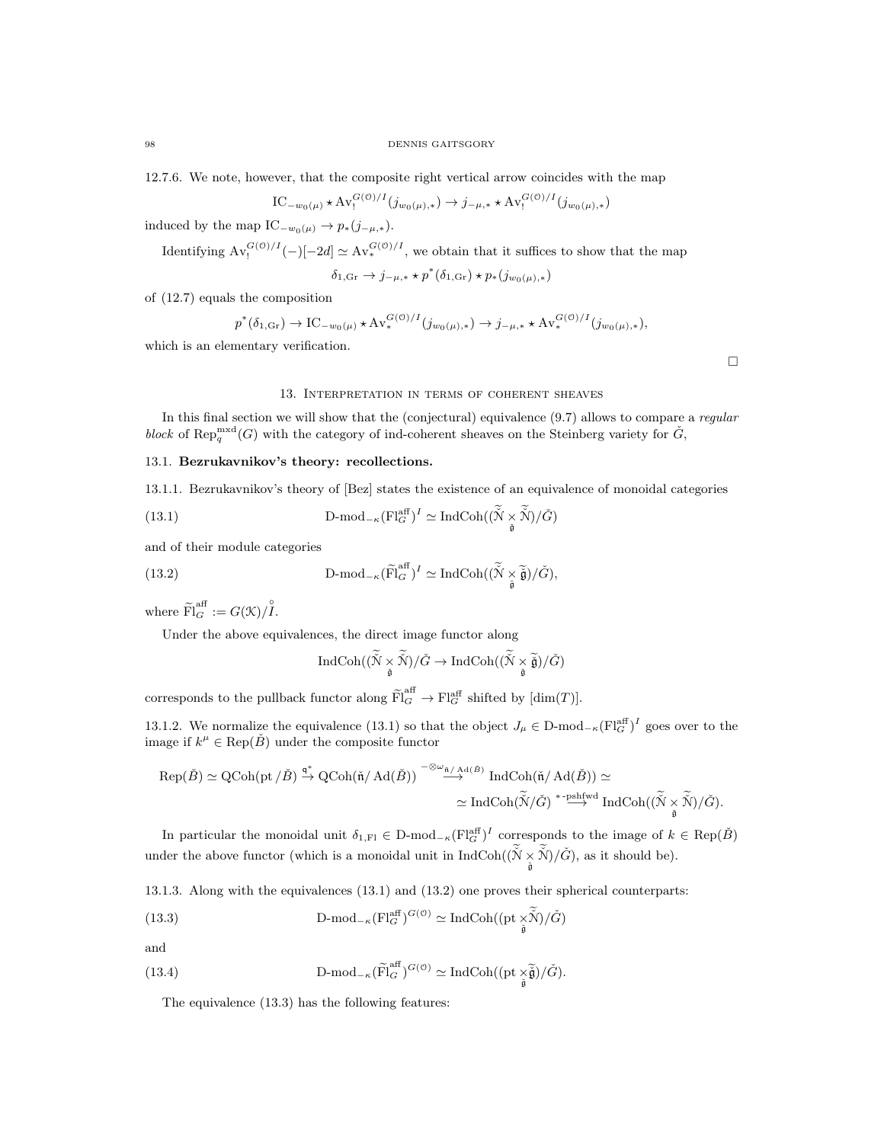12.7.6. We note, however, that the composite right vertical arrow coincides with the map

$$
IC_{-w_0(\mu)} \star \mathrm{Av}_!^{G(\mathcal{O})/I}(j_{w_0(\mu),*}) \to j_{-\mu,*} \star \mathrm{Av}_!^{G(\mathcal{O})/I}(j_{w_0(\mu),*})
$$

induced by the map  $\text{IC}_{-w_0(\mu)} \to p_*(j_{-\mu,*}).$ 

Identifying  $Av_!^{G(0)/I}(-)[-2d] \simeq Av_*^{G(0)/I}$ , we obtain that it suffices to show that the map

 $\delta_{1,\text{Gr}} \to j_{-\mu,*} * p^*(\delta_{1,\text{Gr}}) * p_*(j_{w_0(\mu),*})$ 

of (12.7) equals the composition

$$
p^*(\delta_{1,\text{Gr}}) \to \text{IC}_{-w_0(\mu)} \star \text{Av}_*^{G(\mathcal{O})/I}(j_{w_0(\mu),*}) \to j_{-\mu,*} \star \text{Av}_*^{G(\mathcal{O})/I}(j_{w_0(\mu),*}),
$$

which is an elementary verification.

#### 13. Interpretation in terms of coherent sheaves

In this final section we will show that the (conjectural) equivalence (9.7) allows to compare a *regular* block of Rep<sup>mxd</sup>(G) with the category of ind-coherent sheaves on the Steinberg variety for  $\check{G}$ ,

# 13.1. Bezrukavnikov's theory: recollections.

13.1.1. Bezrukavnikov's theory of [Bez] states the existence of an equivalence of monoidal categories

(13.1) 
$$
D\text{-mod}_{-\kappa}(\mathrm{Fl}_{G}^{\mathrm{aff}})^{I} \simeq \mathrm{IndCoh}((\check{\mathcal{N}}\times \check{\mathcal{N}})/\check{G})
$$

and of their module categories

(13.2) 
$$
\text{D-mod}_{-\kappa}(\widetilde{\mathrm{Fl}}_G^{\text{aff}})^I \simeq \text{IndCoh}((\widetilde{\mathcal{N}} \underset{\widetilde{\mathfrak{g}}}{\times} \widetilde{\widetilde{\mathfrak{g}}})/\check{G}),
$$

where  $\widetilde{\mathrm{Fl}}_G^{\mathrm{aff}} := G(\mathfrak{K})/\overset{\circ}{I}.$ 

Under the above equivalences, the direct image functor along

$$
\operatorname{IndCoh}((\widetilde{\hat{\mathcal{N}}}\times\widetilde{\hat{\mathcal{N}}})/\check{G}\to\operatorname{IndCoh}((\widetilde{\hat{\mathcal{N}}}\times\widetilde{\check{\mathfrak{g}}})/\check{G})
$$

corresponds to the pullback functor along  $\widetilde{\mathrm{Fl}}_G^{\text{aff}} \to \mathrm{Fl}_G^{\text{aff}}$  shifted by  $[\dim(T)]$ .

13.1.2. We normalize the equivalence (13.1) so that the object  $J_\mu \in \mathbb{D}\text{-mod}_{-\kappa}(\mathbf{Fl}_{G}^{\text{aff}})^{I}$  goes over to the image if  $k^{\mu} \in \text{Rep}(\check{B})$  under the composite functor

$$
\begin{aligned} \mathrm{Rep}(\check{B}) &\simeq \mathrm{QCoh}(\mathrm{pt}\,/\,\check{B}) \xrightarrow{\mathfrak{q}^*} \mathrm{QCoh}(\check{\mathfrak{n}}/\,\mathrm{Ad}(\check{B})) \xrightarrow{-\otimes \omega_{\check{\mathfrak{n}}/\,\mathrm{Ad}(\check{B})}} \mathrm{IndCoh}(\check{\mathfrak{n}}/\,\mathrm{Ad}(\check{B})) \simeq \\ &\simeq \mathrm{IndCoh}(\widetilde{\check{N}}/\check{G}) \xrightarrow{\ast\text{-pshfwd}} \mathrm{IndCoh}((\widetilde{\check{N}}\underset{\check{\mathfrak{g}}}{\times}\widetilde{\check{N}})/\check{G}). \end{aligned}
$$

In particular the monoidal unit  $\delta_{1,F}$   $\in$  D-mod<sub> $-\kappa$ </sub> $\left(\mathrm{Fl}_{G}^{\text{aff}}\right)^{I}$  corresponds to the image of  $k \in \text{Rep}(\check{B})$ under the above functor (which is a monoidal unit in  $IndCoh((\tilde{N} \times \tilde{N})/\tilde{G})$ , as it should be).

13.1.3. Along with the equivalences (13.1) and (13.2) one proves their spherical counterparts:

(13.3) 
$$
\text{D-mod}_{-\kappa}(\text{Fl}_G^{\text{aff}})^{G(\mathcal{O})} \simeq \text{IndCoh}((\text{pt} \times \check{\mathcal{N}})/\check{G})
$$

and

(13.4) 
$$
\text{D-mod}_{-\kappa}(\widetilde{\text{Fl}}_G^{\text{aff}})^{G(\mathcal{O})} \simeq \text{IndCoh}((\text{pt } \underset{\tilde{\mathfrak{g}}}{\times} \widetilde{\tilde{\mathfrak{g}}})/\check{G}).
$$

The equivalence (13.3) has the following features:

 $\Box$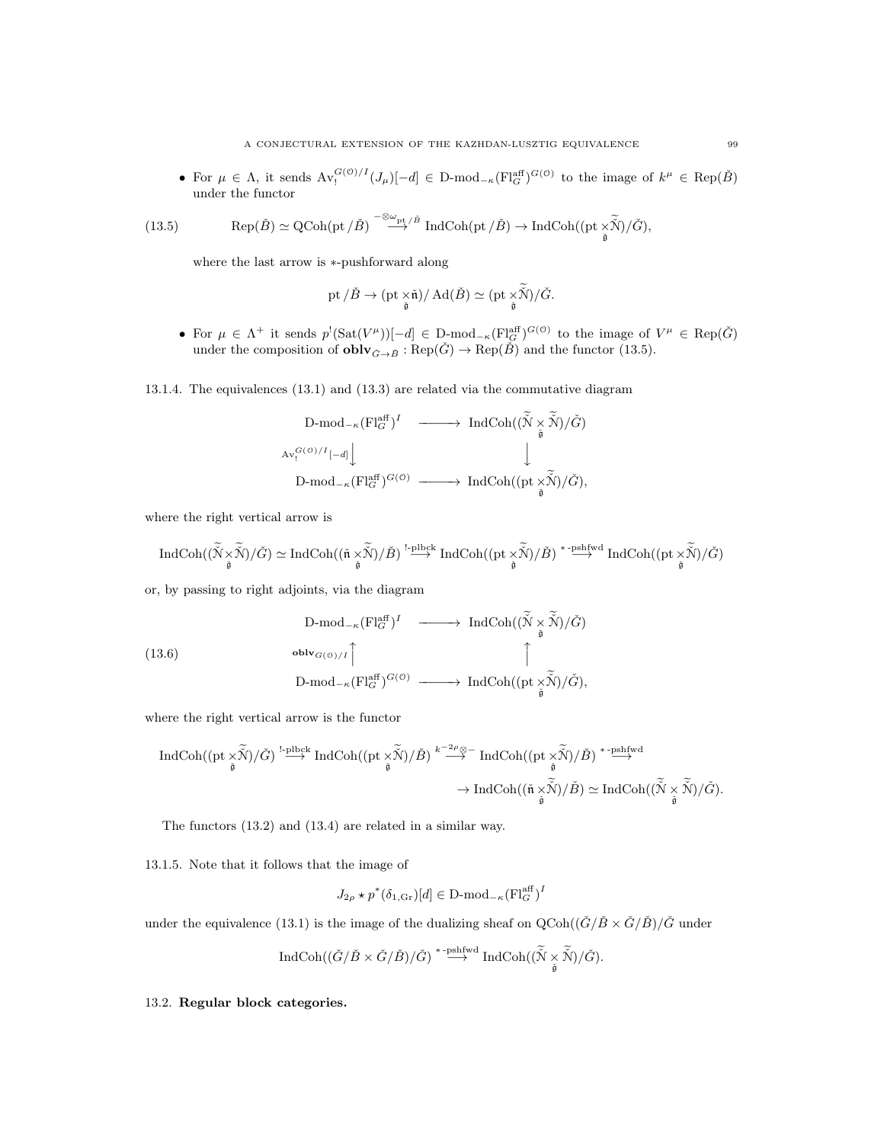• For  $\mu \in \Lambda$ , it sends  $Av_!^{G(0)/I}(J_\mu)[-d] \in \mathbb{D}$ -mod<sub>- $\kappa$ </sub>( $\text{Fl}_G^{\text{aff}}$ )<sup> $G(0)$ </sup> to the image of  $k^{\mu} \in \text{Rep}(\check{B})$ under the functor

(13.5) 
$$
\operatorname{Rep}(\check{B}) \simeq \operatorname{QCoh}(\operatorname{pt}/\check{B}) \stackrel{-\otimes \omega_{\operatorname{pt}}/\check{B}}{\longrightarrow} \operatorname{IndCoh}(\operatorname{pt}/\check{B}) \to \operatorname{IndCoh}((\operatorname{pt} \times \widetilde{\check{N}})/\check{G}),
$$

where the last arrow is ∗-pushforward along

$$
\operatorname{pt}/\check{B}\to (\operatorname{pt}\underset{\tilde{\mathfrak{g}}}{\times}\check{\mathfrak{n}})/\operatorname{Ad}(\check{B})\simeq (\operatorname{pt}\underset{\tilde{\mathfrak{g}}}{\times}\check{\check{\mathcal{N}}})/\check{G}.
$$

• For  $\mu \in \Lambda^+$  it sends  $p^!(\text{Sat}(V^{\mu}))[-d] \in \text{D-mod}_{-\kappa}(\text{Fl}_{G}^{\text{aff}})^{G(\mathcal{O})}$  to the image of  $V^{\mu} \in \text{Rep}(\check{G})$ under the composition of  $\text{oblv}_{\check{G}\to\check{B}}:\text{Rep}(\check{G})\to \text{Rep}(\check{B})$  and the functor (13.5).

13.1.4. The equivalences (13.1) and (13.3) are related via the commutative diagram

$$
\begin{array}{ccc}\n\text{D-mod}_{-\kappa}(\text{Fl}_G^{\text{aff}})^I & \xrightarrow{\hspace*{1.5cm}} \text{IndCoh}((\widetilde{\tilde{N}} \times \widetilde{\tilde{N}})/\check{G}) \\
\text{Av}_1^{G(\circ)/I}[-d] \Big\downarrow & & \Big\downarrow \\
\text{D-mod}_{-\kappa}(\text{Fl}_G^{\text{aff}})^{G(\circ)} & \xrightarrow{\hspace*{1.5cm}} \text{IndCoh}((\text{pt} \times \widetilde{\tilde{N}})/\check{G}),\n\end{array}
$$

where the right vertical arrow is

$$
\operatorname{IndCoh}((\widetilde{\breve{\mathcal{N}}}\times\widetilde{\breve{\mathcal{N}}})/\check{G})\simeq \operatorname{IndCoh}((\check{\mathfrak{n}}\times\widetilde{\breve{\mathcal{N}}})/\check{B})\stackrel{!-\text{plbck}}{\longrightarrow}\operatorname{IndCoh}((\text{pt}\times\widetilde{\breve{\mathcal{N}}})/\check{B})\stackrel{*- \text{pshfwd}}{\longrightarrow}\operatorname{IndCoh}((\text{pt}\times\widetilde{\breve{\mathcal{N}}})/\check{G})
$$

or, by passing to right adjoints, via the diagram

(13.6)  
\n
$$
D\text{-mod}_{-\kappa}(\mathrm{Fl}_{G}^{\mathrm{aff}})^{I} \longrightarrow \mathrm{IndCoh}((\widetilde{N} \times \widetilde{N})/\check{G})
$$
\n
$$
\longrightarrow \mathrm{b} \mathrm{Ind}_{G(\mathbb{O})/I} \uparrow \uparrow \uparrow \uparrow \uparrow
$$
\n
$$
D\text{-mod}_{-\kappa}(\mathrm{Fl}_{G}^{\mathrm{aff}})^{G(\mathbb{O})} \longrightarrow \mathrm{IndCoh}((\mathrm{pt} \times \widetilde{N})/\check{G}),
$$

where the right vertical arrow is the functor

$$
\begin{array}{ccc} \operatorname{IndCoh}((\mathrm{pt}\times\widetilde{\check{\mathbb{N}}})/\check{G})\stackrel{!-\mathrm{plbck}}{\longrightarrow} \operatorname{IndCoh}((\mathrm{pt}\times\widetilde{\check{\mathbb{N}}})/\check{B})\stackrel{k^{-2\rho}\otimes-}{\longrightarrow} \operatorname{IndCoh}((\mathrm{pt}\times\widetilde{\check{\mathbb{N}}})/\check{B})\stackrel{*-\mathrm{pshfwd}}{\longrightarrow}\\ \to \operatorname{IndCoh}((\check{\mathfrak{n}}\times\widetilde{\check{\mathbb{N}}})/\check{B})\simeq \operatorname{IndCoh}((\widetilde{\check{\mathbb{N}}}\times\widetilde{\check{\mathbb{N}}})/\check{G}).\end{array}
$$

The functors (13.2) and (13.4) are related in a similar way.

13.1.5. Note that it follows that the image of

$$
J_{2\rho} \star p^*(\delta_{1,\text{Gr}})[d] \in \text{D-mod}_{-\kappa}(\text{Fl}_G^{\text{aff}})^I
$$

under the equivalence (13.1) is the image of the dualizing sheaf on  $Q\text{Coh}((\check{G}/\check{B}\times\check{G}/\check{B})/\check{G}$ <sup>under</sup>

$$
\operatorname{IndCoh}((\check{G}/\check{B}\times \check{G}/\check{B})/\check{G})\stackrel{\ast\text{-pshfwd}}{\longrightarrow} \operatorname{IndCoh}((\widetilde{\check{N}}\underset{\check{\mathfrak{g}}}{\times}\widetilde{\check{N}})/\check{G}).
$$

#### 13.2. Regular block categories.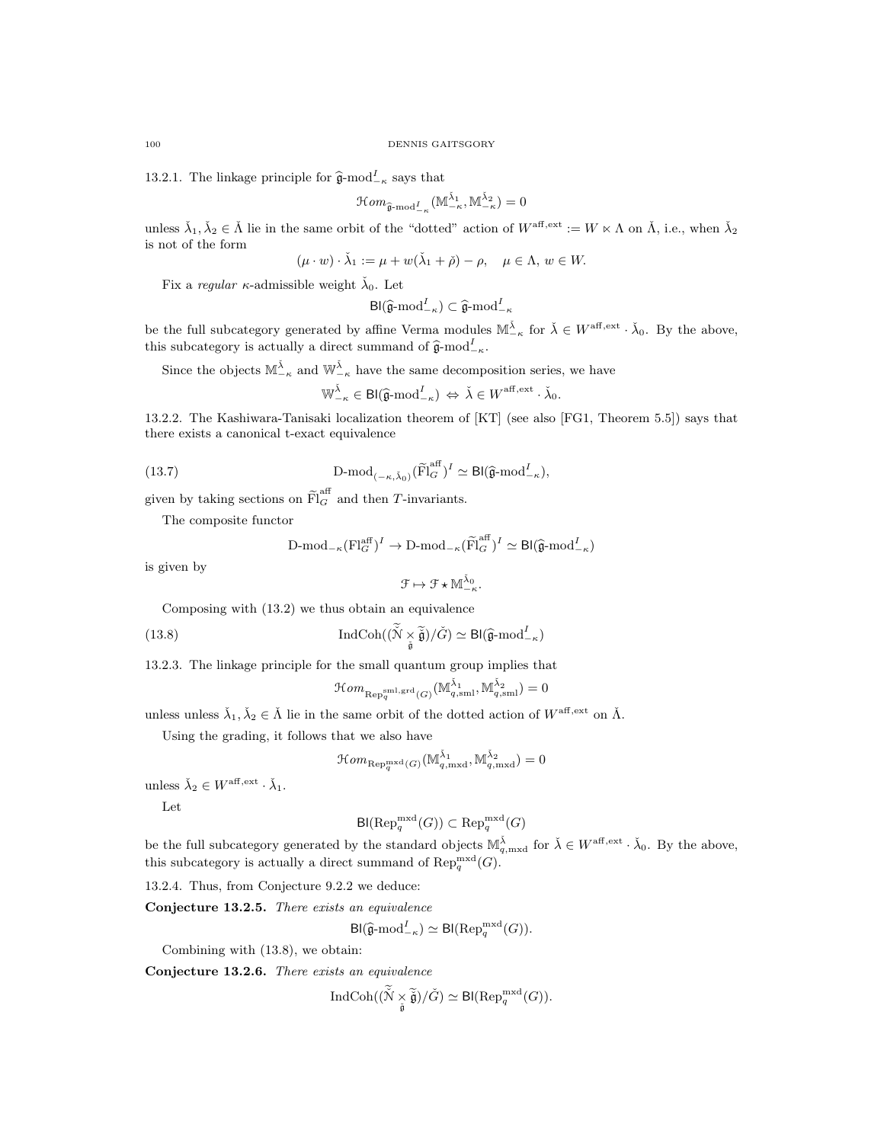13.2.1. The linkage principle for  $\hat{\mathfrak{g}}$ -mod<sup>I</sup><sub>- $\kappa$ </sub> says that

$$
\mathcal{H}om_{\widehat{\mathfrak{g}}\text{-}\mathrm{mod}^I_{-\kappa}}(\mathbb{M}_{-\kappa}^{\check{\lambda}_1},\mathbb{M}_{-\kappa}^{\check{\lambda}_2})=0
$$

unless  $\check{\lambda}_1, \check{\lambda}_2 \in \check{\Lambda}$  lie in the same orbit of the "dotted" action of  $W^{\text{aff},\text{ext}} := W \ltimes \Lambda$  on  $\check{\Lambda}$ , i.e., when  $\check{\lambda}_2$ is not of the form

$$
(\mu \cdot w) \cdot \check{\lambda}_1 := \mu + w(\check{\lambda}_1 + \check{\rho}) - \rho, \quad \mu \in \Lambda, w \in W.
$$

Fix a regular  $\kappa$ -admissible weight  $\check{\lambda}_0$ . Let

$$
\mathsf{Bl}(\widehat{\mathfrak{g}}\text{-}\mathrm{mod}^I_{-\kappa}) \subset \widehat{\mathfrak{g}}\text{-}\mathrm{mod}^I_{-\kappa}
$$

be the full subcategory generated by affine Verma modules  $\mathbb{M}_{-\kappa}^{\tilde{\lambda}}$  for  $\tilde{\lambda} \in W^{\text{aff}, \text{ext}} \cdot \tilde{\lambda}_0$ . By the above, this subcategory is actually a direct summand of  $\hat{\mathfrak{g}}$ -mod<sup>I</sup><sub>-κ</sub>.

Since the objects  $\mathbb{M}_{-\kappa}^{\check{\lambda}}$  and  $\mathbb{W}_{-\kappa}^{\check{\lambda}}$  have the same decomposition series, we have

$$
\mathbb{W}_{-\kappa}^{\check{\lambda}} \in \mathsf{Bl}(\widehat{\mathfrak{g}}\text{-}\mathrm{mod}^I_{-\kappa}) \Leftrightarrow \check{\lambda} \in W^{\mathrm{aff}, \mathrm{ext}} \cdot \check{\lambda}_0.
$$

13.2.2. The Kashiwara-Tanisaki localization theorem of [KT] (see also [FG1, Theorem 5.5]) says that there exists a canonical t-exact equivalence

(13.7) 
$$
\qquad \qquad \mathrm{D\text{-}mod}_{(-\kappa,\check{\lambda}_0)}(\widetilde{\mathrm{Fl}}_G^{\mathrm{aff}})^I \simeq \mathrm{Bl}(\widehat{\mathfrak{g}}\text{-}\mathrm{mod}^I_{-\kappa}),
$$

given by taking sections on  $\widetilde{Fl}_G^{\text{aff}}$  and then T-invariants.

The composite functor

$$
\text{D-mod}_{-\kappa}(\text{Fl}_G^{\text{aff}})^I \to \text{D-mod}_{-\kappa}(\widetilde{\text{Fl}}_G^{\text{aff}})^I \simeq \text{Bl}(\widehat{\mathfrak{g}}\text{-}\text{mod}^I_{-\kappa})
$$

is given by

$$
\mathcal{F}\mapsto \mathcal{F}\star \mathbb{M}^{\check{\lambda}_0}_{-\kappa}.
$$

Composing with (13.2) we thus obtain an equivalence

(13.8) 
$$
\operatorname{IndCoh}((\widetilde{\mathcal{N}} \underset{\widetilde{\mathfrak{g}}}{\times} \widetilde{\widetilde{\mathfrak{g}}})/\check{G}) \simeq \mathsf{Bl}(\widehat{\mathfrak{g}}\text{-}\mathrm{mod}^I_{-\kappa})
$$

13.2.3. The linkage principle for the small quantum group implies that

$$
\mathcal{H}om_{\mathrm{Rep}_q^{\mathrm{sml},\mathrm{grd}}(G)}(\mathbb{M}^{\check{\lambda}_1}_{q,\mathrm{sml}},\mathbb{M}^{\check{\lambda}_2}_{q,\mathrm{sml}})=0
$$

unless unless  $\check{\lambda}_1, \check{\lambda}_2 \in \check{\Lambda}$  lie in the same orbit of the dotted action of  $W^{\mathrm{aff},\mathrm{ext}}$  on  $\check{\Lambda}$ .

Using the grading, it follows that we also have

$$
\mathop{\mathcal{H}\mathit{om}}\nolimits_{\mathop{\mathrm{Rep}}\nolimits_q^{\mathop{\mathrm{mxd}}\nolimits}(G)}(\mathbb{M}^{\check{\lambda}_1}_{q,\mathop{\mathrm{mxd}}\nolimits},\mathbb{M}^{\check{\lambda}_2}_{q,\mathop{\mathrm{mxd}}\nolimits})=0
$$

unless  $\check{\lambda}_2 \in W^{\text{aff}, \text{ext}} \cdot \check{\lambda}_1$ .

Let

$$
\mathsf{Bl}(\mathrm{Rep}_q^{\mathrm{mxd}}(G)) \subset \mathrm{Rep}_q^{\mathrm{mxd}}(G)
$$

be the full subcategory generated by the standard objects  $\mathbb{M}_{q,\text{mxd}}^{\tilde{\lambda}}$  for  $\tilde{\lambda} \in W^{\text{aff},\text{ext}} \cdot \tilde{\lambda}_0$ . By the above, this subcategory is actually a direct summand of  $\text{Rep}_q^{\text{mxd}}(G)$ .

13.2.4. Thus, from Conjecture 9.2.2 we deduce:

Conjecture 13.2.5. There exists an equivalence

$$
\mathsf{Bl}(\widehat{\mathfrak{g}}\text{-}\mathrm{mod}^I_{-\kappa}) \simeq \mathsf{Bl}(\mathrm{Rep}_q^{\mathrm{mxd}}(G)).
$$

Combining with (13.8), we obtain:

Conjecture 13.2.6. There exists an equivalence

$$
\mathrm{IndCoh}((\widetilde{\mathcal{N}}\underset{\check{\mathfrak{g}}}{\times}\widetilde{\check{\mathfrak{g}}})/\check{G})\simeq\mathsf{Bl}(\mathrm{Rep}_q^{\mathrm{mxd}}(G)).
$$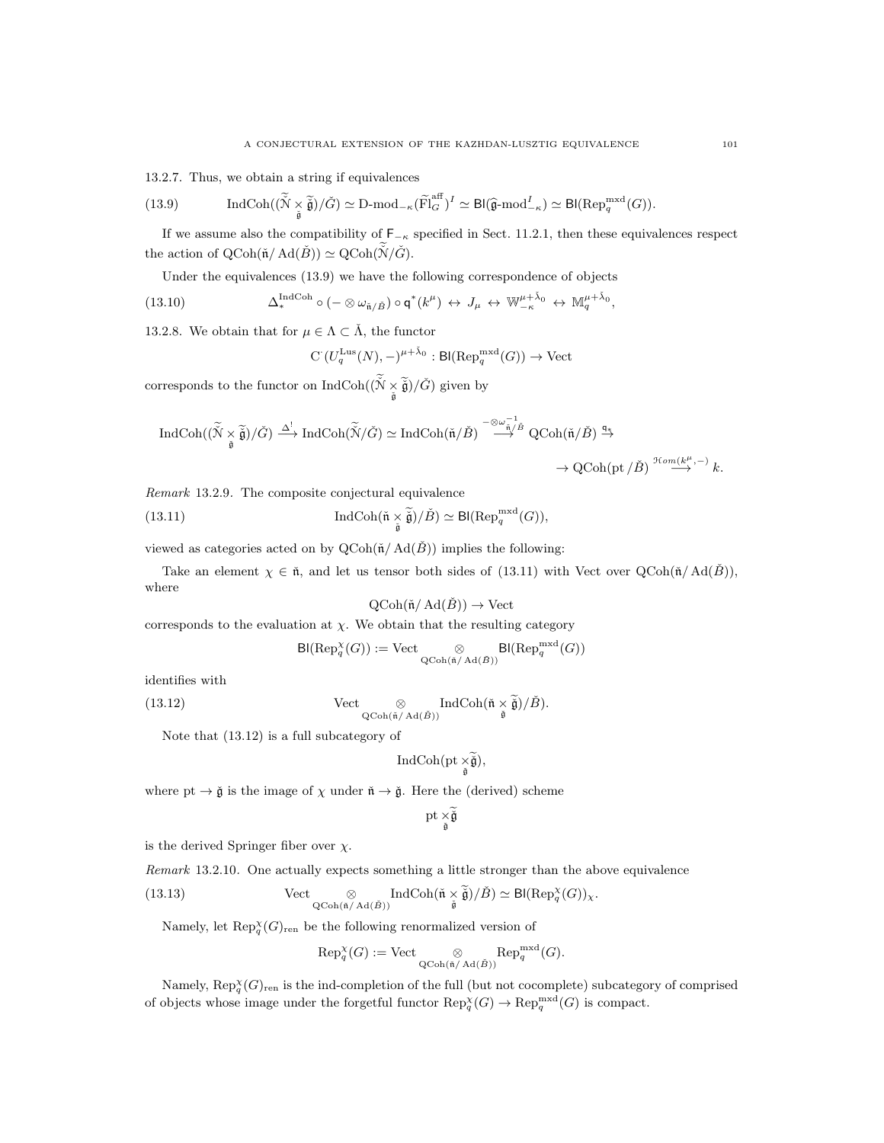13.2.7. Thus, we obtain a string if equivalences

(13.9) IndCoh
$$
((\widetilde{\widetilde{N}} \underset{\widetilde{\mathfrak{g}}}{\times} \widetilde{\widetilde{\mathfrak{g}}})/\check{G}) \simeq \mathrm{D}\text{-mod}_{-\kappa}(\widetilde{\mathrm{Fl}}_G^{\mathrm{aff}})^I \simeq \mathrm{Bl}(\widehat{\mathfrak{g}}\text{-mod}_{-\kappa}^I) \simeq \mathrm{Bl}(\mathrm{Rep}_q^{\mathrm{mxd}}(G)).
$$

If we assume also the compatibility of  $F_{-\kappa}$  specified in Sect. 11.2.1, then these equivalences respect the action of  $\mathrm{QCoh}(\tilde{\mathfrak{n}}/\mathrm{Ad}(\check{B})) \simeq \mathrm{QCoh}(\check{\mathfrak{N}}/\check{G}).$ 

Under the equivalences (13.9) we have the following correspondence of objects

(13.10) 
$$
\Delta^{\text{IndCoh}}_{*} \circ (-\otimes \omega_{\check{\mathfrak{n}}/\check{B}}) \circ \mathsf{q}^{*}(k^{\mu}) \leftrightarrow J_{\mu} \leftrightarrow \mathbb{W}^{\mu+\check{\lambda}_{0}}_{-\kappa} \leftrightarrow \mathbb{M}^{\mu+\check{\lambda}_{0}}_{q},
$$

13.2.8. We obtain that for  $\mu \in \Lambda \subset \check{\Lambda}$ , the functor

$$
C(U_q^{\text{Lus}}(N),-)^{\mu+\check{\lambda}_0} : \text{Bl}(\text{Rep}_q^{\text{mxd}}(G)) \to \text{Vect}
$$

corresponds to the functor on  $\text{IndCoh}((\check{N}\times \widetilde{\check{\mathfrak g}})/\check{G})$  given by

$$
\begin{aligned} \operatorname{IndCoh}((\widetilde{\tilde{N}}\underset{\tilde{\mathfrak{g}}}{\times}\widetilde{\tilde{\mathfrak{g}}})/\check{G})\stackrel{\Delta^{!}}{\longrightarrow} \operatorname{IndCoh}(\widetilde{\tilde{N}}/\check{G})&\simeq \operatorname{IndCoh}(\tilde{\mathfrak{n}}/\check{B})\stackrel{-\otimes \omega_{\tilde{\mathfrak{n}}/\check{B}}^{-1}}{\longrightarrow} \operatorname{QCoh}(\tilde{\mathfrak{n}}/\check{B})\stackrel{q_{\tilde{\mathfrak{n}}}}{\longrightarrow} \rightarrow \operatorname{QCoh}(\mathfrak{pt}/\check{B})\stackrel{\mathfrak{H}\circ m(k^{\mu},-)}{\longrightarrow} k. \end{aligned}
$$

Remark 13.2.9. The composite conjectural equivalence

(13.11) 
$$
\operatorname{IndCoh}(\tilde{\mathfrak{n}} \underset{\tilde{\mathfrak{g}}}{\times} \tilde{\tilde{\mathfrak{g}}})/\check{B}) \simeq \mathsf{Bl}(\operatorname{Rep}_q^{\operatorname{mxd}}(G)),
$$

viewed as categories acted on by  $Q\text{Coh}(\check{n}/\text{Ad}(\check{B}))$  implies the following:

Take an element  $\chi \in \tilde{\mathfrak{n}}$ , and let us tensor both sides of (13.11) with Vect over  $QCoh(\tilde{\mathfrak{n}}/Ad(\tilde{B}))$ , where

$$
\operatorname{QCoh}(\check{\mathfrak{n}}/\operatorname{Ad}(\check{B})) \to \operatorname{Vect}
$$

corresponds to the evaluation at  $\chi$ . We obtain that the resulting category

$$
\mathsf{Bl}(\mathrm{Rep}_q^{\chi}(G)):=\mathrm{Vect} \underset{\mathrm{QCoh}(\tilde{\mathfrak{n}}/\mathrm{Ad}(\tilde{B}))}{\otimes} \mathsf{Bl}(\mathrm{Rep}_q^{\mathrm{mxd}}(G))
$$

identifies with

(13.12) 
$$
\operatorname{Vect}_{\underset{\tilde{\mathbf{Q}} \text{Coh}(\tilde{\mathfrak{n}}/ \operatorname{Ad}(\tilde{B}))}{\otimes} \operatorname{IndCoh}(\tilde{\mathfrak{n}} \times \tilde{\tilde{\mathfrak{g}}})/\check{B}).
$$

Note that (13.12) is a full subcategory of

$$
\operatorname{IndCoh}(\operatorname{pt}\nolimits_{\underset{\check{\mathfrak{g}}}{\times}\widetilde{\check{\mathfrak{g}}}}),
$$

where  $pt \to \check{g}$  is the image of  $\chi$  under  $\check{n} \to \check{g}$ . Here the (derived) scheme

$$
\mathrm{pt}\underset{\check{\mathfrak{g}}}{\times}\widetilde{\check{\mathfrak{g}}}
$$

is the derived Springer fiber over  $\chi$ .

Remark 13.2.10. One actually expects something a little stronger than the above equivalence

(13.13) Vect 
$$
\underset{\text{QCoh}(\tilde{\mathfrak{n}}/ \text{Ad}(\tilde{B}))}{\otimes} \text{IndCoh}(\tilde{\mathfrak{n}} \times \tilde{\tilde{\mathfrak{g}}})/\tilde{B}) \simeq \text{Bl}(\text{Rep}_q^{\chi}(G))_{\chi}.
$$

Namely, let  $\operatorname{Rep}_q^{\chi}(G)_{\text{ren}}$  be the following renormalized version of

$$
\text{Rep}_q^{\chi}(G) := \text{Vect} \underset{\text{QCoh}(\tilde{\mathfrak{n}}/ \text{Ad}(\tilde{B}))}{\otimes} \text{Rep}_q^{\text{mxd}}(G).
$$

Namely,  $\text{Rep}_{q}^{\chi}(G)_{\text{ren}}$  is the ind-completion of the full (but not cocomplete) subcategory of comprised of objects whose image under the forgetful functor  $\text{Rep}_q^{\chi}(G) \to \text{Rep}_q^{\text{mxd}}(G)$  is compact.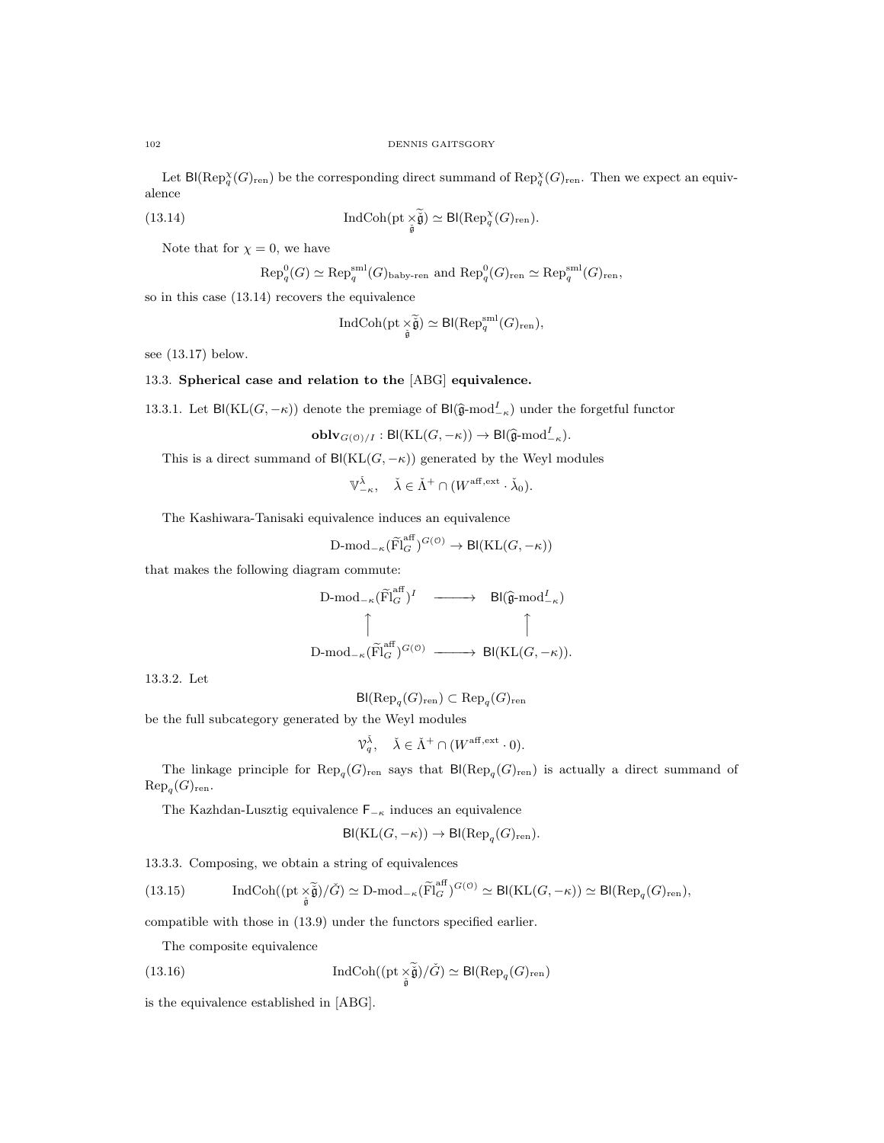Let  $\text{Bl}(\text{Rep}_{q}^{\chi}(G)_{\text{ren}})$  be the corresponding direct summand of  $\text{Rep}_{q}^{\chi}(G)_{\text{ren}}$ . Then we expect an equivalence

(13.14) 
$$
\operatorname{IndCoh}(\operatorname{pt} \underset{\tilde{\mathfrak{g}}}{\times} \tilde{\mathfrak{g}}) \simeq \operatorname{Bl}(\operatorname{Rep}_q^{\chi}(G)_{\text{ren}}).
$$

Note that for  $\chi = 0$ , we have

$$
\text{Rep}_q^0(G) \simeq \text{Rep}_q^{\text{sml}}(G)_{\text{baby-ren}}
$$
 and  $\text{Rep}_q^0(G)_{\text{ren}} \simeq \text{Rep}_q^{\text{sml}}(G)_{\text{ren}}$ ,

so in this case (13.14) recovers the equivalence

$$
\operatorname{IndCoh}(\operatorname{pt} \times_{\widetilde{\mathfrak g}}) \simeq \operatorname{Bl}(\operatorname{Rep}_q^{\operatorname{sml}}(G)_{\operatorname{ren}}),
$$

see (13.17) below.

# 13.3. Spherical case and relation to the [ABG] equivalence.

13.3.1. Let Bl(KL( $G, -\kappa$ )) denote the premiage of Bl( $\hat{\mathfrak{g}}$ -mod $_{-\kappa}^{I}$ ) under the forgetful functor

$$
\mathbf{oblv}_{G(\mathcal{O})/I} : \mathsf{Bl}(\mathrm{KL}(G, -\kappa)) \to \mathsf{Bl}(\widehat{\mathfrak{g}}\text{-}\mathrm{mod}^I_{-\kappa}).
$$

This is a direct summand of  $\text{Bl}(\text{KL}(G, -\kappa))$  generated by the Weyl modules

$$
\mathbb{V}_{-\kappa}^{\check{\lambda}}, \quad \check{\lambda} \in \check{\Lambda}^+ \cap (W^{\mathrm{aff},\mathrm{ext}} \cdot \check{\lambda}_0).
$$

The Kashiwara-Tanisaki equivalence induces an equivalence

$$
\text{D-mod}_{-\kappa}(\widetilde{\text{Fl}}_G^{\text{aff}})^{G(\mathcal{O})} \to \text{Bl}(\text{KL}(G, -\kappa))
$$

that makes the following diagram commute:

$$
\begin{array}{ccc}\n\text{D-mod}_{-\kappa}(\widetilde{\mathrm{Fl}}_{G}^{\mathrm{aff}})^{I} & \xrightarrow{\hspace{2cm}} & \text{Bl}(\widehat{\mathfrak{g}}\text{-mod}^{I}_{-\kappa}) \\
\uparrow & & \uparrow \\
\text{D-mod}_{-\kappa}(\widetilde{\mathrm{Fl}}_{G}^{\mathrm{aff}})^{G(\mathbb{O})} & \xrightarrow{\hspace{2cm}} & \text{Bl}(\mathrm{KL}(G,-\kappa)).\n\end{array}
$$

13.3.2. Let

 ${\sf Bl}(\mathrm{Rep}_{q}(G)_{\mathrm{ren}})\subset \mathrm{Rep}_{q}(G)_{\mathrm{ren}}$ 

be the full subcategory generated by the Weyl modules

$$
\mathcal{V}_q^{\check{\lambda}}, \quad \check{\lambda} \in \check{\Lambda}^+ \cap (W^{\text{aff}, \text{ext}} \cdot 0).
$$

The linkage principle for  $\text{Rep}_q(G)_{\text{ren}}$  says that  $\text{Bl}(\text{Rep}_q(G)_{\text{ren}})$  is actually a direct summand of  $\mathrm{Rep}_q(G)_{\mathrm{ren}}.$ 

The Kazhdan-Lusztig equivalence  $\mathsf{F}_{\mathsf{−}\kappa}$  induces an equivalence

$$
\text{Bl}(\text{KL}(G, -\kappa)) \to \text{Bl}(\text{Rep}_{q}(G)_{\text{ren}}).
$$

13.3.3. Composing, we obtain a string of equivalences

(13.15) IndCoh(
$$
(pt \underset{\tilde{\mathfrak{g}}}{\times} \tilde{\tilde{\mathfrak{g}}})/\tilde{G}
$$
)  $\simeq$  D-mod<sub>- $\kappa$</sub> ( $\tilde{Fl}_{G}^{\text{aff}})^{G(0)} \simeq$ Bl(KL $(G, -\kappa)$ )  $\simeq$ Bl(Rep<sub>q</sub> $(G)_{\text{ren}}$ ),

compatible with those in (13.9) under the functors specified earlier.

The composite equivalence

(13.16) 
$$
\operatorname{IndCoh}((\operatorname{pt} \underset{\tilde{\mathfrak{g}}}{\times} \tilde{\mathfrak{g}})/\check{G}) \simeq \operatorname{Bl}(\operatorname{Rep}_q(G)_{\operatorname{ren}})
$$

is the equivalence established in [ABG].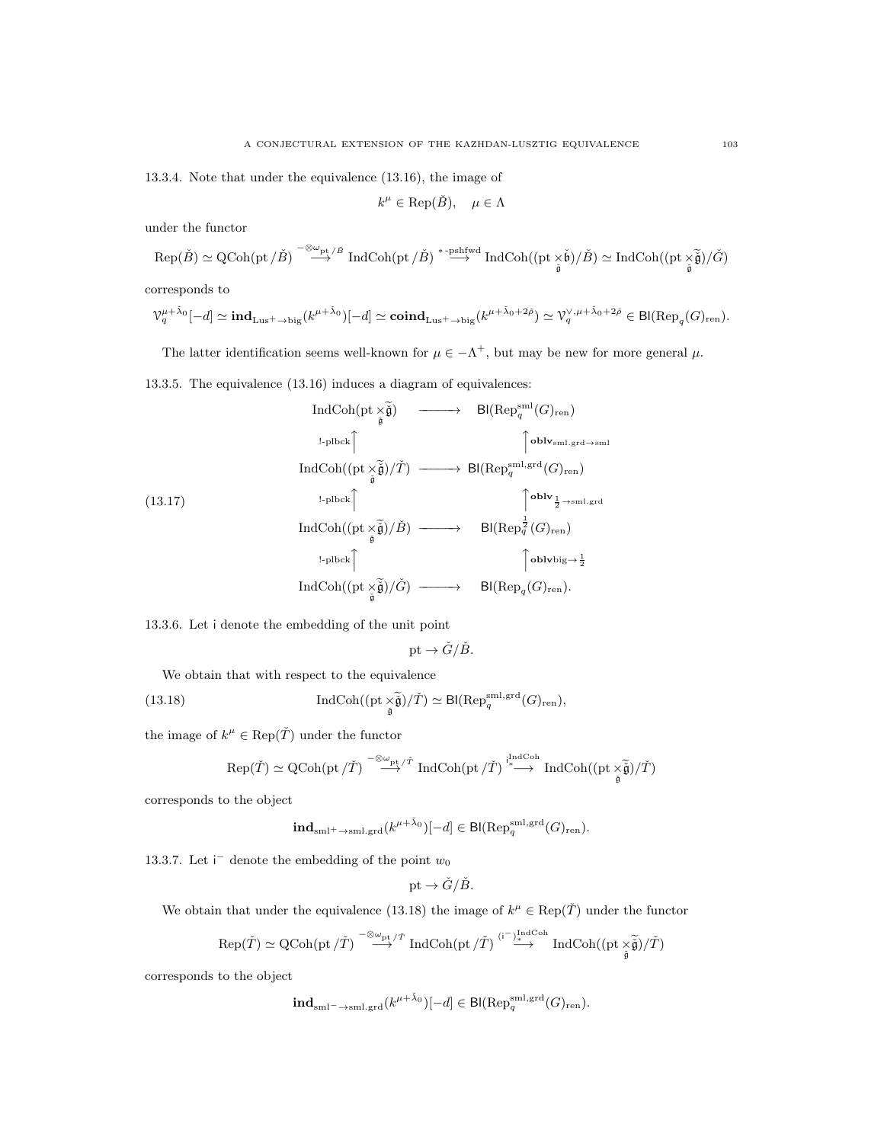13.3.4. Note that under the equivalence (13.16), the image of

$$
k^{\mu} \in \text{Rep}(\check{B}), \quad \mu \in \Lambda
$$

under the functor

$$
\mathrm{Rep}(\check{B}) \simeq \mathrm{QCoh}(\mathrm{pt}\,/\check{B}) \overset{-\otimes \omega_{\mathrm{pt}}\,/\check{B}}{\longrightarrow} \mathrm{IndCoh}(\mathrm{pt}\,/\check{B}) \overset{\ast\text{-}\mathrm{pshfwd}}{\longrightarrow} \mathrm{IndCoh}((\mathrm{pt}\, \times\check{\mathfrak{b}})/\check{B}) \simeq \mathrm{IndCoh}((\mathrm{pt}\, \times\check{\check{\mathfrak{g}}})/\check{G})
$$

corresponds to

$$
\mathcal{V}_q^{\mu+\tilde{\lambda}_0}[-d] \simeq \mathrm{ind}_{\mathrm{Lus}^+ \to \mathrm{big}}(k^{\mu+\tilde{\lambda}_0})[-d] \simeq \mathrm{coind}_{\mathrm{Lus}^+ \to \mathrm{big}}(k^{\mu+\tilde{\lambda}_0+2\tilde{\rho}}) \simeq \mathcal{V}_q^{\vee,\mu+\tilde{\lambda}_0+2\tilde{\rho}} \in \mathrm{Bl}(\mathrm{Rep}_q(G)_{\mathrm{ren}}).
$$

The latter identification seems well-known for  $\mu \in -\Lambda^+$ , but may be new for more general  $\mu$ .

13.3.5. The equivalence (13.16) induces a diagram of equivalences:

$$
\operatorname{IndCoh}(\text{pt} \underset{\tilde{\mathfrak{g}}}{\times \tilde{\mathfrak{g}}}) \longrightarrow B(\text{Rep}_{q}^{\text{sml}}(G)_{\text{ren}})
$$
\n
$$
\operatorname{IndCoh}((\text{pt} \underset{\tilde{\mathfrak{g}}}{\times \tilde{\mathfrak{g}}})/\tilde{T}) \longrightarrow B(\text{Rep}_{q}^{\text{sml,grd}\to\text{sml}}
$$
\n
$$
(13.17)
$$
\n
$$
\operatorname{IndCoh}((\text{pt} \underset{\tilde{\mathfrak{g}}}{\times \tilde{\mathfrak{g}}})/\tilde{B}) \longrightarrow B(\text{Rep}_{q}^{\frac{1}{2} \times \text{sml,grd}}(G)_{\text{ren}})
$$
\n
$$
\operatorname{IndCoh}((\text{pt} \underset{\tilde{\mathfrak{g}}}{\times \tilde{\mathfrak{g}}})/\tilde{B}) \longrightarrow B(\text{Rep}_{q}^{\frac{1}{2}}(G)_{\text{ren}})
$$
\n
$$
\operatorname{IndCoh}((\text{pt} \underset{\tilde{\mathfrak{g}}}{\times \tilde{\mathfrak{g}}})/\tilde{G}) \longrightarrow B(\text{Rep}_{q}^{\frac{1}{2}}(G)_{\text{ren}}).
$$

13.3.6. Let i denote the embedding of the unit point

$$
pt \to \check{G}/\check{B}.
$$

We obtain that with respect to the equivalence

(13.18) 
$$
\operatorname{IndCoh}((\mathrm{pt}\times_{\widetilde{\mathfrak{g}}})/\check{T})\simeq\mathsf{Bl}(\mathrm{Rep}_q^{\mathrm{sml},\mathrm{grd}}(G)_{\mathrm{ren}}),
$$

the image of  $k^{\mu} \in \text{Rep}(\check{T})$  under the functor

$$
\mathrm{Rep}(\check T)\simeq \mathrm{QCoh}(\mathrm{pt}\,/\check T)\stackrel{-\otimes_{\mathrm{opt}}\mathstrut/\check T}{\longrightarrow} \mathrm{IndCoh}(\mathrm{pt}\,/ \check T)\stackrel{\mathrm{indCoh}}{\xrightarrow{\ast}} \mathrm{IndCoh}((\mathrm{pt}\, \underset{\check{\mathfrak{g}}}{\times}\widetilde{\check{\mathfrak{g}}})/\check T)
$$

corresponds to the object

$$
\mathbf{ind}_{\mathrm{sml}^+ \to \mathrm{sml}, \mathrm{grd}}(k^{\mu+\check{\lambda}_0})[-d] \in \mathsf{Bl}(\mathrm{Rep}_q^{\mathrm{sml}, \mathrm{grd}}(G)_{\mathrm{ren}}).
$$

13.3.7. Let  $\mathsf{i}^-$  denote the embedding of the point  $w_0$ 

$$
\text{pt} \to \check{G}/\check{B}.
$$

We obtain that under the equivalence (13.18) the image of  $k^{\mu} \in \text{Rep}(\check{T})$  under the functor

$$
\mathrm{Rep}(\check{T}) \simeq \mathrm{QCoh}(\mathrm{pt}\,/\check{T}) \overset{-\otimes_{\omega_{\mathrm{pt}}}/\check{T}}{\longrightarrow} \mathrm{IndCoh}(\mathrm{pt}\,/ \check{T}) \overset{(\mathrm{i}^{-1})^{\mathrm{IndCoh}}_{\ast}}{\longrightarrow} \mathrm{IndCoh}((\mathrm{pt}\, \check{\phantom{X} \tilde{\mathfrak{g}}})/\check{T})
$$

corresponds to the object

$$
\mathbf{ind}_{\mathrm{sml}^-\to \mathrm{sml},\mathrm{grd}}(k^{\mu+\check\lambda_0})[-d]\in \mathsf{Bl}(\mathrm{Rep}^{\mathrm{sml},\mathrm{grd}}_q(G)_{\mathrm{ren}}).
$$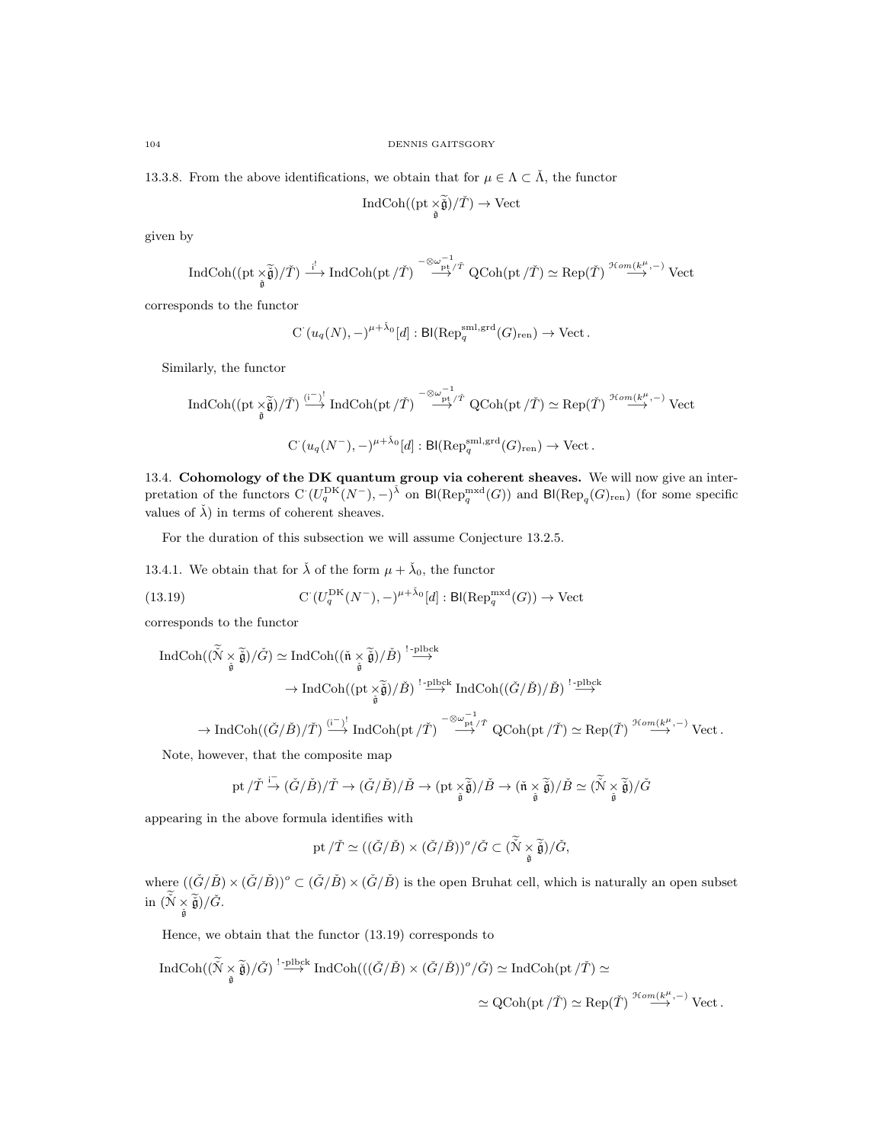13.3.8. From the above identifications, we obtain that for  $\mu \in \Lambda \subset \check{\Lambda}$ , the functor

$$
\operatorname{IndCoh}((\operatorname{pt}\nolimits_{\check{\check{\mathfrak g}}})/\check{T})\to\operatorname{Vect}
$$

given by

$$
\operatorname{IndCoh}((\mathrm{pt}\times\widetilde{\tilde{\mathfrak g}})/\check{T})\stackrel{\mathrm{i}^!}{\longrightarrow}\operatorname{IndCoh}(\mathrm{pt}\,/\check{T})\stackrel{-\otimes\omega^{-1}_{\mathrm{pt}\,/\check{T}}}{\longrightarrow}\operatorname{QCoh}(\mathrm{pt}\,/\check{T})\simeq\operatorname{Rep}(\check{T})\stackrel{\mathfrak{Hom}(k^{\mu},-)}{\longrightarrow}\operatorname{Vect}
$$

corresponds to the functor

$$
C^{\cdot}(u_q(N),-)^{\mu+\check{\lambda}_0}[d]:\mathsf{Bl}(\mathrm{Rep}_q^{\mathrm{sml},\mathrm{grd}}(G)_{\mathrm{ren}})\to\mathrm{Vect}\,.
$$

Similarly, the functor

$$
\text{Ind}\text{Coh}((\text{pt}\times\widetilde{\check{\mathfrak g}})/\check{T})\stackrel{(i^-)^!}{\longrightarrow}\text{Ind}\text{Coh}(\text{pt}/\check{T})\stackrel{-\otimes\omega_{\text{pt}}^{-1}/\check{T}}{\longrightarrow} \text{QCoh}(\text{pt}/\check{T})\simeq \text{Rep}(\check{T})\stackrel{\mathcal{H}\text{om}(k^{\mu},-)}{\longrightarrow} \text{Vect}
$$
  

$$
\text{C}'(u_q(N^-),-)^{\mu+\check{\lambda}_0}[d]:\text{Bl}(\text{Rep}_q^{\text{sml},\text{grd}}(G)_{\text{ren}})\to \text{Vect}.
$$

13.4. Cohomology of the DK quantum group via coherent sheaves. We will now give an interpretation of the functors  $C(U_q^{DK}(N^-), -)^{\tilde{\lambda}}$  on Bl(Rep<sub>q</sub><sup>mxd</sup>(G)) and Bl(Rep<sub>q</sub>(G)<sub>ren</sub>) (for some specific values of  $\check{\lambda}$ ) in terms of coherent sheaves.

For the duration of this subsection we will assume Conjecture 13.2.5.

13.4.1. We obtain that for  $\check{\lambda}$  of the form  $\mu + \check{\lambda}_0$ , the functor

(13.19) 
$$
\mathrm{C} (U_q^{\mathrm{DK}}(N^-), -)^{\mu + \check{\lambda}_0}[d]: \mathrm{Bl}(\mathrm{Rep}_q^{\mathrm{mxd}}(G)) \to \mathrm{Vect}
$$

corresponds to the functor

$$
\begin{aligned} \operatorname{IndCoh}((\tilde{\tilde{N}}\underset{\tilde{\mathfrak{g}}}{\times}\widetilde{\tilde{\mathfrak{g}}})/\check{G})&\simeq \operatorname{IndCoh}((\check{\mathfrak{n}}\underset{\tilde{\mathfrak{g}}}{\times}\widetilde{\tilde{\mathfrak{g}}})/\check{B})\stackrel{!-\mathrm{plbck}}{\longrightarrow} \\ &\to \operatorname{IndCoh}((\mathrm{pt}\underset{\tilde{\mathfrak{g}}}{\times}\widetilde{\tilde{\mathfrak{g}}})/\check{B})\stackrel{!-\mathrm{plbck}}{\longrightarrow} \operatorname{IndCoh}((\check{G}/\check{B})/\check{B})\stackrel{!-\mathrm{plbck}}{\longrightarrow} \\ &\to \operatorname{IndCoh}((\check{G}/\check{B})/\check{T})\stackrel{(\tilde{i}-\underset{\tilde{\mathfrak{g}}}{\times})}{\longrightarrow} \operatorname{IndCoh}(\mathrm{pt}/\check{T})\stackrel{-\otimes\omega^{-1}}{\longrightarrow} \operatorname{QCoh}(\mathrm{pt}/\check{T})\simeq \operatorname{Rep}(\check{T})\stackrel{\mathcal{H}om(k^{\mu},-)}{\longrightarrow} \operatorname{Vect}\,. \end{aligned}
$$

Note, however, that the composite map

$$
\operatorname{pt}/\check{T}\stackrel{\mathsf{i}^-}{\to}(\check{G}/\check{B})/\check{T}\to(\check{G}/\check{B})/\check{B}\to (\operatorname{pt}\underset{\check{\mathfrak{g}}}{\times}\widetilde{\check{\mathfrak{g}}})/\check{B}\to (\check{\mathfrak{n}}\underset{\check{\mathfrak{g}}}{\times}\widetilde{\check{\mathfrak{g}}})/\check{B}\simeq (\widetilde{\check{\mathfrak{N}}}\underset{\check{\mathfrak{g}}}{\times}\widetilde{\check{\mathfrak{g}}})/\check{G}
$$

appearing in the above formula identifies with

$$
\mathrm{pt}/\check{T}\simeq ((\check{G}/\check{B})\times (\check{G}/\check{B}))^o/\check{G}\subset (\check{\check{N}}\underset{\check{\mathfrak{g}}}{\times}\widetilde{\check{\mathfrak{g}}})/\check{G},
$$

where  $((\check{G}/\check{B})\times(\check{G}/\check{B}))^{\circ}\subset(\check{G}/\check{B})\times(\check{G}/\check{B})$  is the open Bruhat cell, which is naturally an open subset  $\mathrm{in} \; (\stackrel{\sim}{\mathfrak{N}} \times \; \stackrel{\sim}{\check{\mathfrak{g}}}) / \check{G}.$ 

Hence, we obtain that the functor (13.19) corresponds to

$$
\text{Ind}\text{Coh}((\tilde{\tilde{N}} \underset{\tilde{\mathfrak{g}}}{\times} \tilde{\tilde{\mathfrak{g}}})/\tilde{G}) \overset{! \text{ -plbck}}{\longrightarrow} \text{Ind}\text{Coh}(((\tilde{G}/\tilde{B}) \times (\tilde{G}/\tilde{B}))^{\circ}/\tilde{G}) \simeq \text{Ind}\text{Coh}(\text{pt}/\tilde{T}) \simeq
$$
  

$$
\simeq \text{QCoh}(\text{pt}/\tilde{T}) \simeq \text{Rep}(\tilde{T}) \overset{\mathcal{H}om(k^{\mu}, -)}{\longrightarrow} \text{Vect}.
$$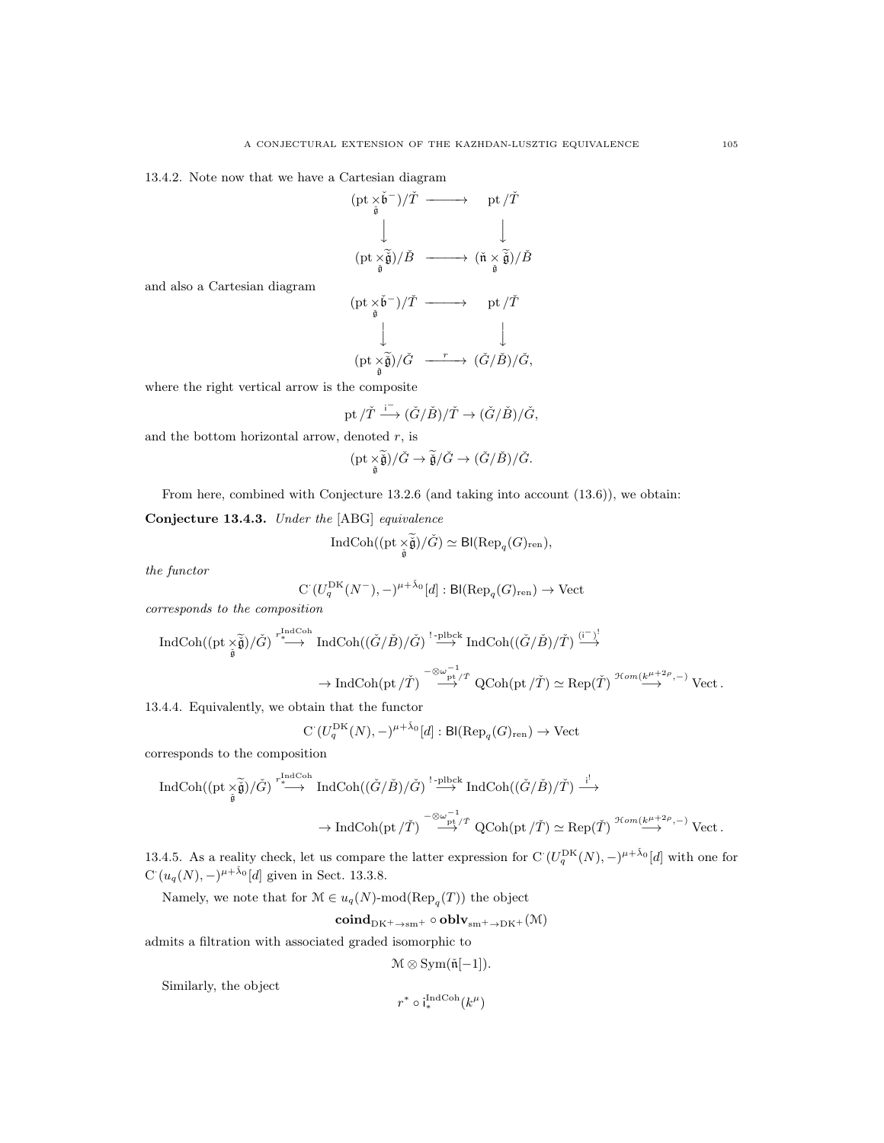13.4.2. Note now that we have a Cartesian diagram

(pt × ˇg ˇb <sup>−</sup>)/Tˇ −−−−−→ pt /Tˇ y y (pt × ˇg <sup>e</sup>ˇg)/B<sup>ˇ</sup> −−−−−→ (n<sup>ˇ</sup> <sup>×</sup> ˇg <sup>e</sup>ˇg)/B<sup>ˇ</sup>

and also a Cartesian diagram

(pt × ˇg ˇb <sup>−</sup>)/Tˇ −−−−−→ pt /Tˇ y y (pt × ˇg <sup>e</sup>ˇg)/G<sup>ˇ</sup> <sup>r</sup> −−−−−→ (G/ˇ Bˇ)/G, ˇ

where the right vertical arrow is the composite

$$
{\rm pt}\,/\check T \stackrel{\mathsf{i}^-}{\longrightarrow} (\check G/\check B)/\check T \to (\check G/\check B)/\check G,
$$

and the bottom horizontal arrow, denoted  $r$ , is

$$
(\mathrm{pt}\underset{\check{\mathfrak{g}}}{\times}\widetilde{\check{\mathfrak{g}}})/\check{G}\rightarrow \widetilde{\check{\mathfrak{g}}}/\check{G}\rightarrow (\check{G}/\check{B})/\check{G}.
$$

From here, combined with Conjecture 13.2.6 (and taking into account (13.6)), we obtain:

Conjecture 13.4.3. Under the [ABG] equivalence

$$
\operatorname{IndCoh}((\operatorname{pt} \times \widetilde{\check{\mathfrak g}})/\check{G}) \simeq \operatorname{Bl}(\operatorname{Rep}_q(G)_{\rm ren}),
$$

the functor

$$
C\left(U_q^{\mathrm{DK}}(N^-), -\right)^{\mu+\check{\lambda}_0}[d]: \mathsf{Bl}(\mathrm{Rep}_q(G)_{\mathrm{ren}}) \to \mathrm{Vect}
$$

corresponds to the composition

$$
\begin{array}{ccc}\n\text{IndCoh}((\text{pt}\times\widetilde{\check{\mathfrak g}})/\check{G})\stackrel{r_{\ast}\text{IndCoh}}{\longrightarrow}&\text{IndCoh}((\check{G}/\check{B})/\check{G})\stackrel{!-\text{plock}}{\longrightarrow}&\text{IndCoh}((\check{G}/\check{B})/\check{T})\stackrel{(\mathbf{i}-\mathbf{j})!}{\longrightarrow}&\\
\to&\text{IndCoh}(\text{pt}/\check{T})\stackrel{-\otimes\omega^{-1}_{\text{pt}/\check{T}}}{\longrightarrow}&\text{QCoh}(\text{pt}/\check{T})\simeq\text{Rep}(\check{T})\stackrel{\mathcal{H}\text{om}(k^{\mu+2\rho},-)}{\longrightarrow}&\text{Vect}\,.\\ \end{array}
$$

13.4.4. Equivalently, we obtain that the functor

$$
C\left(U_q^{\mathrm{DK}}(N), -\right)^{\mu+\check{\lambda}_0}[d]: \mathsf{Bl}(\mathrm{Rep}_q(G)_{\mathrm{ren}}) \to \mathrm{Vect}
$$

corresponds to the composition

$$
\begin{array}{ccc}\n\text{IndCoh}((\text{pt}\times\widetilde{\check{\mathfrak g}})/\check{G})\stackrel{r_{\ast}^{\text{IndCoh}}}{\longrightarrow}&\text{IndCoh}((\check{G}/\check{B})/\check{G})\stackrel{!-\text{plbck}}{\longrightarrow}&\text{IndCoh}((\check{G}/\check{B})/\check{T})\stackrel{i^!}{\longrightarrow}&\\
&\to\text{IndCoh}(\text{pt}/\check{T})\stackrel{-\otimes\omega^{-1}}{\longrightarrow}&\text{QCoh}(\text{pt}/\check{T})\simeq\text{Rep}(\check{T})\stackrel{\mathfrak{Hom}(k^{\mu+2\rho},-)}{\longrightarrow}&\text{Vect}\,.\\ \end{array}
$$

13.4.5. As a reality check, let us compare the latter expression for  $C(U_q^{DK}(N), -)^{\mu+\tilde{\lambda}_0}[d]$  with one for  $C(u_q(N), -)^{\mu + \tilde{\lambda}_0}[d]$  given in Sect. 13.3.8.

Namely, we note that for  $\mathcal{M} \in u_q(N)$ -mod $(\text{Rep}_q(T))$  the object

$$
\mathbf{coind}_{\mathrm{DK}^{+}\to\mathrm{sm}^{+}}\circ\mathbf{oblv}_{\mathrm{sm}^{+}\to\mathrm{DK}^{+}}(\mathcal{M})
$$

admits a filtration with associated graded isomorphic to

 $\mathcal{M} \otimes \text{Sym}(\check{\mathfrak{n}}[-1]).$ 

Similarly, the object

$$
r^*\circ i_*^{\operatorname{IndCoh}}(k^\mu)
$$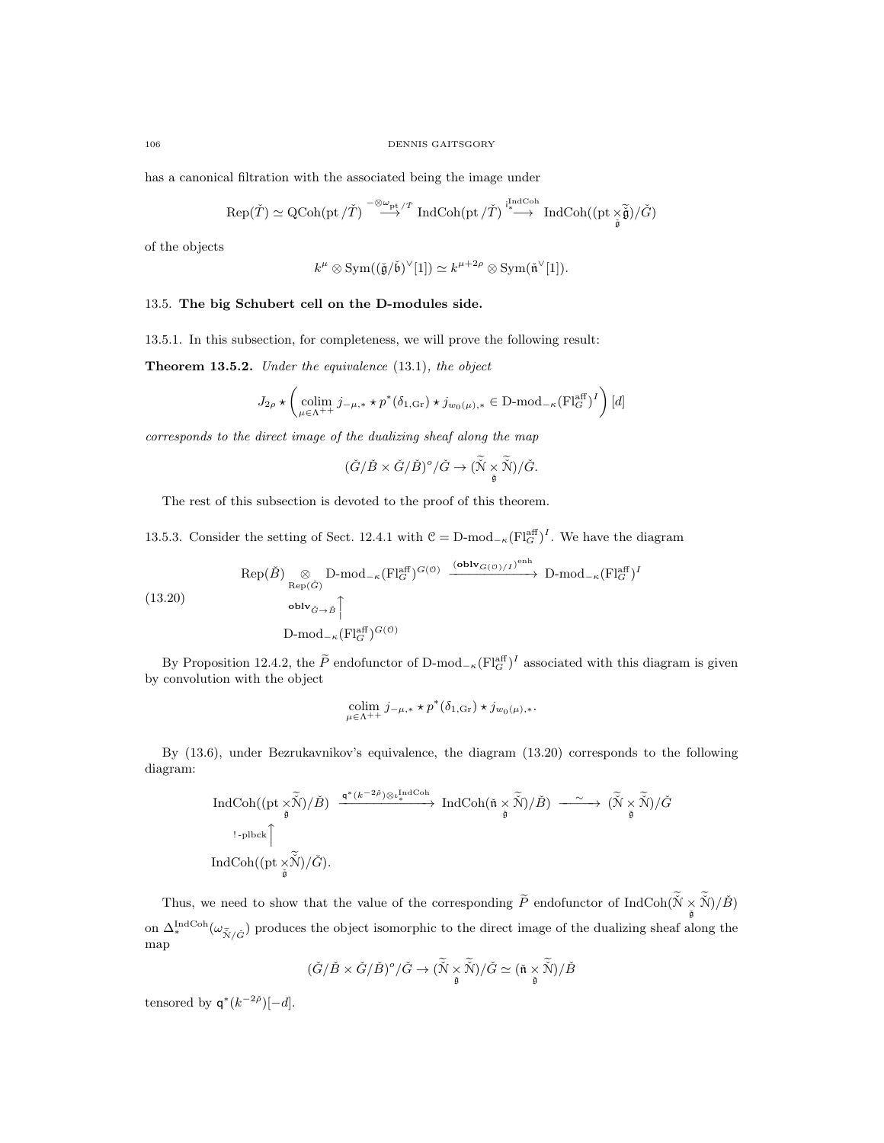has a canonical filtration with the associated being the image under

$$
\mathrm{Rep}(\check T)\simeq \mathrm{QCoh}(\mathrm{pt}\,/\check T)\stackrel{-\otimes\omega_{\mathrm{pt}}/\check T}\longrightarrow \mathrm{IndCoh}(\mathrm{pt}\,/\check T)\stackrel{\mathrm{indCoh}}{\longrightarrow}\mathrm{IndCoh}((\mathrm{pt}\, \check{\underset{\tilde{\mathfrak g}}{\times}\check{\widetilde{\mathfrak g}}})/\check G)
$$

of the objects

 $k^{\mu} \otimes \text{Sym}((\check{\mathfrak{g}}/\check{\mathfrak{b}})^{\vee}[1]) \simeq k^{\mu+2\rho} \otimes \text{Sym}(\check{\mathfrak{n}}^{\vee}[1]).$ 

#### 13.5. The big Schubert cell on the D-modules side.

13.5.1. In this subsection, for completeness, we will prove the following result:

Theorem 13.5.2. Under the equivalence (13.1), the object

$$
J_{2\rho}\star\left(\underset{\mu\in\Lambda^{++}}{\operatorname{colim}}j_{-\mu,*}\star p^*(\delta_{1,\text{Gr}})\star j_{w_0(\mu),*}\in\text{D-mod}_{-\kappa}(\text{Fl}_G^{\text{aff}})^I\right)[d]
$$

corresponds to the direct image of the dualizing sheaf along the map

$$
(\check{G}/\check{B}\times \check{G}/\check{B})^o/\check{G}\to (\widetilde{\check{N}}\times \widetilde{\check{N}})/\check{G}.
$$

The rest of this subsection is devoted to the proof of this theorem.

13.5.3. Consider the setting of Sect. 12.4.1 with  $\mathcal{C} = \text{D-mod}_{-\kappa}(\text{Fl}_{G}^{\text{aff}})^{I}$ . We have the diagram

(13.20)  
\n
$$
\text{Rep}(\check{B}) \underset{\text{Rep}(\check{G})}{\otimes} \text{D-mod}_{-\kappa}(\text{Fl}_{G}^{\text{aff}})^{G(\mathcal{O})} \xrightarrow{\text{(oblv}_{G(\mathcal{O})/I})^{\text{enh}}} \text{D-mod}_{-\kappa}(\text{Fl}_{G}^{\text{aff}})^{I}
$$
\n
$$
\text{Oblv}_{\check{G}\to\check{B}} \underset{\text{D-mod}_{-\kappa}(\text{Fl}_{G}^{\text{aff}})^{G(\mathcal{O})}}{\otimes \text{Vol}_{\check{G}\to\check{B}}} \longrightarrow \text{D-mod}_{-\kappa}(\text{Fl}_{G}^{\text{aff}})^{I}
$$

By Proposition 12.4.2, the  $\tilde{P}$  endofunctor of D-mod<sub>− $\kappa$ </sub> $\text{[Fl}_{G}^{\text{aff}})^{I}$  associated with this diagram is given by convolution with the object

$$
\operatornamewithlimits{colim}_{\mu \in \Lambda^{++}} j_{-\mu,*} \star p^*(\delta_{1,\text{Gr}}) \star j_{w_0(\mu),*}.
$$

By (13.6), under Bezrukavnikov's equivalence, the diagram (13.20) corresponds to the following diagram:

$$
\begin{array}{ccc} \operatorname{IndCoh}((\mathrm{pt}\times\widetilde{\mathbb{J}})/\check{B})&\xrightarrow{\mathfrak{q}^*(k^{-2\check{\rho}})\otimes \iota_*^{\operatorname{IndCoh}}}&\operatorname{IndCoh}(\check{\mathfrak{n}}\times\widetilde{\mathbb{J}})/\check{B})&\xrightarrow{\sim}(\widetilde{\mathbb{J}}\times\widetilde{\mathbb{J}})/\check{G}\\ &\xrightarrow[\check{\mathfrak{g}}] &\\ \operatorname{IndCoh}((\mathrm{pt}\times\widetilde{\mathbb{J}})/\check{G}). \end{array}
$$

Thus, we need to show that the value of the corresponding  $\widetilde{P}$  endofunctor of  $\text{IndCoh}(\widetilde{N} \times \widetilde{N})/\widetilde{B})$ on  $\Delta_*^{\text{IndCoh}}(\omega_{\tilde{\mathcal{N}}/\tilde{G}})$  produces the object isomorphic to the direct image of the dualizing sheaf along the map

$$
(\check G/\check B\times \check G/\check B)^\circ/\check G\to (\tilde{\check N}\underset{\check{\mathfrak g}}{\times}\widetilde{\check N})/\check G\simeq (\check{\mathfrak n}\underset{\check{\mathfrak g}}{\times}\widetilde{\check N})/\check B
$$

tensored by  $\mathsf{q}^*(k^{-2\tilde\rho})[-d].$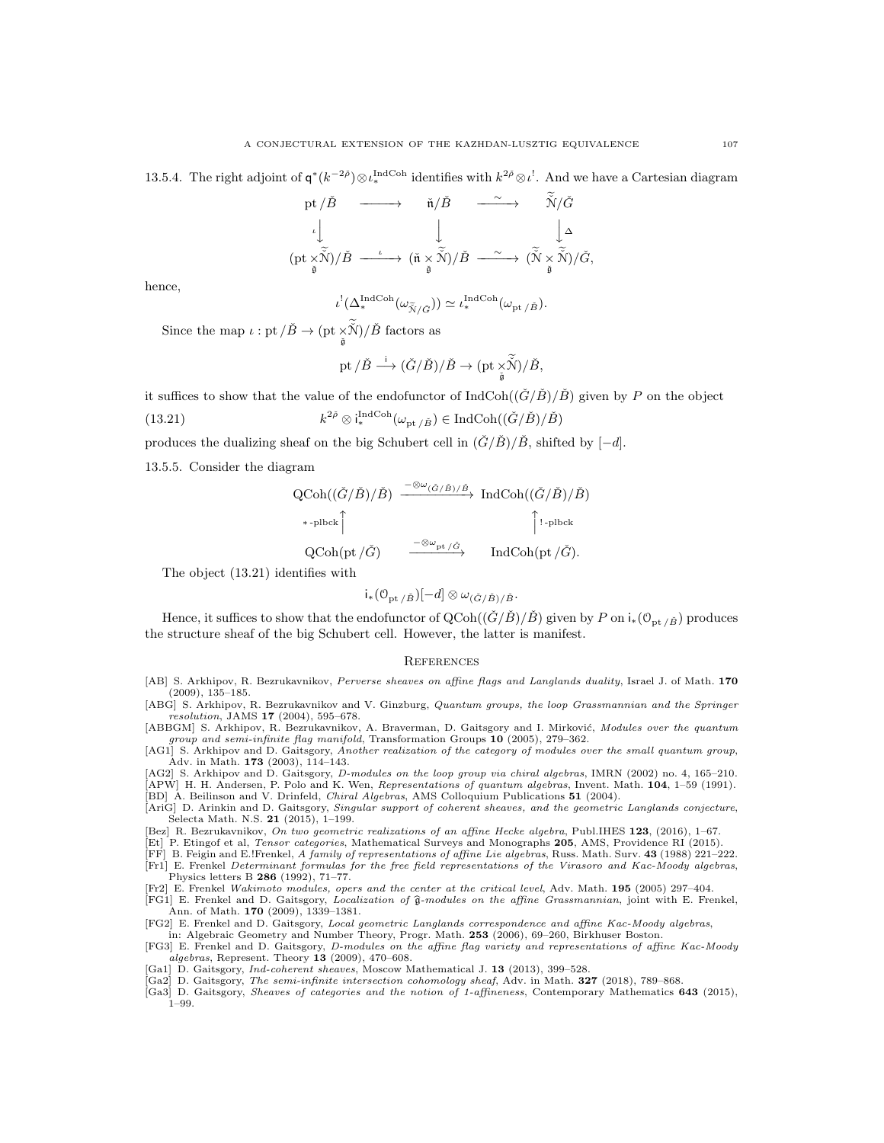13.5.4. The right adjoint of  $\mathsf{q}^*(k^{-2\tilde{\rho}}) \otimes \iota_*^{\text{IndCoh}}$  identifies with  $k^{2\tilde{\rho}} \otimes \iota^!$ . And we have a Cartesian diagram

$$
\begin{array}{ccc}\n\text{pt}/\check{B} & \xrightarrow{\hspace{0.5cm}} & \check{\mathfrak{n}}/\check{B} & \xrightarrow{\hspace{0.5cm}} & \check{\mathfrak{N}}/\check{G} \\
\downarrow & & \downarrow & & \downarrow \\
(\text{pt}\times\widetilde{\mathfrak{N}})/\check{B} & \xrightarrow{\iota} & (\check{\mathfrak{n}}\times\widetilde{\mathfrak{N}})/\check{B} & \xrightarrow{\hspace{0.5cm}} & (\check{\mathfrak{N}}\times\widetilde{\mathfrak{N}})/\check{G}, \\
\check{\mathfrak{s}} & & & \downarrow\n\end{array}
$$

hence,

$$
\iota^! (\Delta_*^{\mathrm{IndCoh}}(\omega_{\widetilde{\mathcal{N}}/\check{G}})) \simeq \iota_*^{\mathrm{IndCoh}}(\omega_{\mathrm{pt}/\check{B}}).
$$

Since the map  $\iota:$  pt  $\big/ \check{B} \to (\mathrm{pt} \times \check{\check{\mathcal{N}}})/\check{B}$  factors as

$$
\mathrm{pt}/\check{B}\stackrel{\mathrm{i}}{\longrightarrow} (\check{G}/\check{B})/\check{B}\to (\mathrm{pt}\underset{\check{\mathfrak{g}}}{\times}\widetilde{\check{\mathcal{N}}})/\check{B},
$$

it suffices to show that the value of the endofunctor of IndCoh( $(\check{G}/\check{B})/\check{B}$ ) given by P on the object

(13.21) 
$$
k^{2\tilde{\rho}} \otimes i_*^{\text{IndCoh}}(\omega_{\text{pt}/\tilde{B}}) \in \text{IndCoh}((\check{G}/\check{B})/\check{B})
$$

produces the dualizing sheaf on the big Schubert cell in  $(\check{G}/\check{B})/\check{B}$ , shifted by  $[-d]$ .

13.5.5. Consider the diagram

$$
\begin{array}{ccc}\n\text{QCoh}((\check{G}/\check{B})/\check{B}) & \xrightarrow{-\otimes \omega_{(\check{G}/\check{B})/\check{B}}} \text{IndCoh}((\check{G}/\check{B})/\check{B}) \\
\hline\n\ast\text{-plbck} \uparrow & \uparrow \text{-plbck} \\
\text{QCoh}(\text{pt}/\check{G}) & \xrightarrow{-\otimes \omega_{\text{pt}}/\check{G}} \text{IndCoh}(\text{pt}/\check{G}).\n\end{array}
$$

The object (13.21) identifies with

$$
i_*(\mathcal{O}_{\mathrm{pt}\,/\check{B}})[-d]\otimes \omega_{(\check{G}/\check{B})/\check{B}}.
$$

Hence, it suffices to show that the endofunctor of  $QCoh((\check{G}/\check{B})/\check{B})$  given by P on  $i_*(\mathcal{O}_{pt/\check{B}})$  produces the structure sheaf of the big Schubert cell. However, the latter is manifest.

#### **REFERENCES**

[AB] S. Arkhipov, R. Bezrukavnikov, Perverse sheaves on affine flags and Langlands duality, Israel J. of Math. 170  $(2009), 135-185.$ 

[ABG] S. Arkhipov, R. Bezrukavnikov and V. Ginzburg, Quantum groups, the loop Grassmannian and the Springer resolution, JAMS 17 (2004), 595–678.

[ABBGM] S. Arkhipov, R. Bezrukavnikov, A. Braverman, D. Gaitsgory and I. Mirković, Modules over the quantum group and semi-infinite flag manifold, Transformation Groups 10 (2005), 279–362.

[AG1] S. Arkhipov and D. Gaitsgory, Another realization of the category of modules over the small quantum group, Adv. in Math. 173 (2003), 114–143.

[AG2] S. Arkhipov and D. Gaitsgory, D-modules on the loop group via chiral algebras, IMRN (2002) no. 4, 165–210. [APW] H. H. Andersen, P. Polo and K. Wen, Representations of quantum algebras, Invent. Math. 104, 1–59 (1991). [BD] A. Beilinson and V. Drinfeld, Chiral Algebras, AMS Colloquium Publications 51 (2004).

[AriG] D. Arinkin and D. Gaitsgory, Singular support of coherent sheaves, and the geometric Langlands conjecture, Selecta Math. N.S. 21 (2015), 1–199.

[Bez] R. Bezrukavnikov, On two geometric realizations of an affine Hecke algebra, Publ.IHES 123, (2016), 1–67.

[Et] P. Etingof et al, Tensor categories, Mathematical Surveys and Monographs 205, AMS, Providence RI (2015).

[FF] B. Feigin and E.!Frenkel, A family of representations of affine Lie algebras, Russ. Math. Surv. 43 (1988) 221–222. [Fr1] E. Frenkel Determinant formulas for the free field representations of the Virasoro and Kac-Moody algebras, Physics letters B  $286$  (1992), 71–77.

[Fr2] E. Frenkel Wakimoto modules, opers and the center at the critical level, Adv. Math. 195 (2005) 297–404.

[FG1] E. Frenkel and D. Gaitsgory, *Localization of*  $\hat{\mathfrak{g}}$ -modules on the affine Grassmannian, joint with E. Frenkel, Ann. of Math. **170** (2009), 1339–1381.

[FG2] E. Frenkel and D. Gaitsgory, Local geometric Langlands correspondence and affine Kac-Moody algebras, in: Algebraic Geometry and Number Theory, Progr. Math. 253 (2006), 69–260, Birkhuser Boston.

- [FG3] E. Frenkel and D. Gaitsgory, D-modules on the affine flag variety and representations of affine Kac-Moody algebras, Represent. Theory 13 (2009), 470–608.
- 
- [Ga1] D. Gaitsgory, *Ind-coherent sheaves*, Moscow Mathematical J. 13 (2013), 399–528.<br>[Ga2] D. Gaitsgory, *The semi-infinite intersection cohomology sheaf*, Adv. in Math. 327 (2018), 789–868.
- [Ga3] D. Gaitsgory, Sheaves of categories and the notion of 1-affineness, Contemporary Mathematics 643 (2015), 1–99.